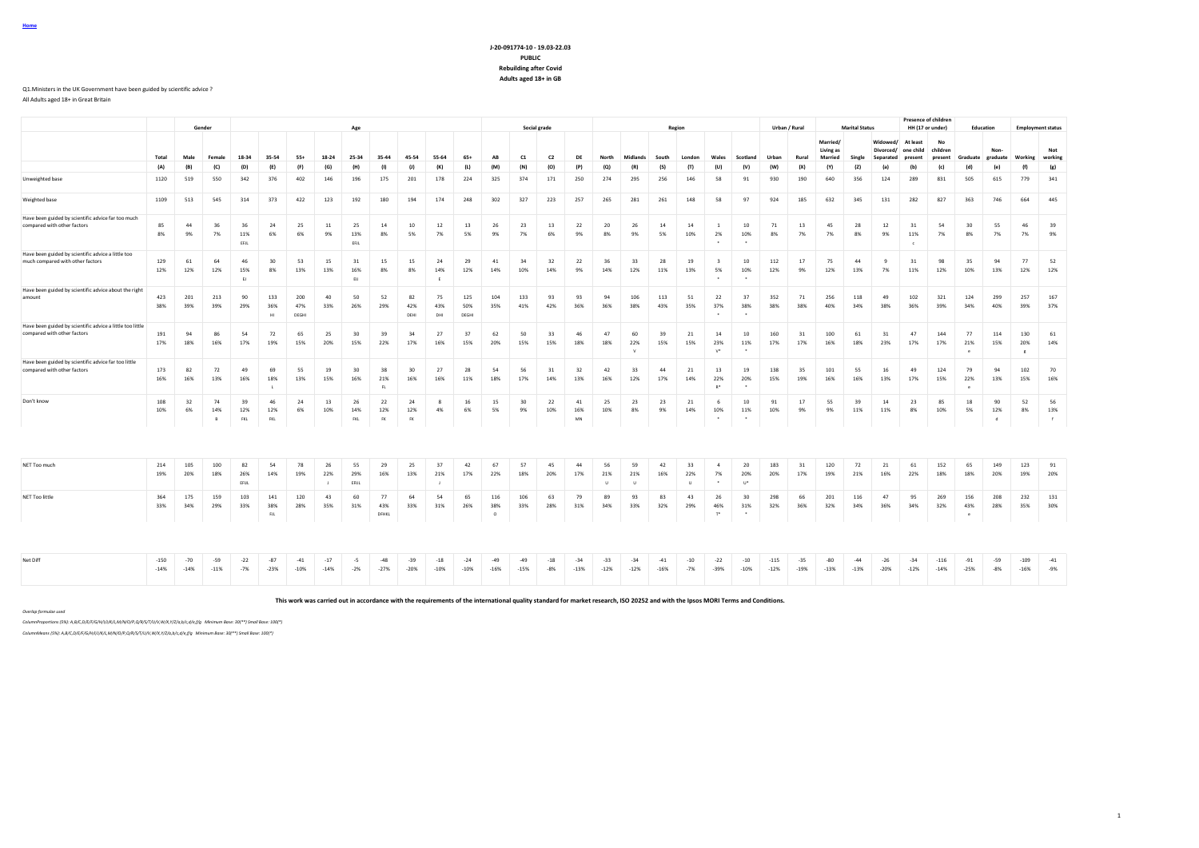# **J-20-091774-10 - 19.03-22.03 PUBLIC Rebuilding after Covid Adults aged 18+ in GB**

#### Q1.Ministers in the UK Government have been guided by scientific advice ?

All Adults aged 18+ in Great Britain

|                                                                                          |                  |                 | Gender          |                   |                            |                     |                           | Age               |                        |                        |                           |                     |                       |                 | Social grade   |                   |                     |                           |                 | Region              |                                          |                      |                  | Urban / Rural   |                                         | <b>Marital Status</b> |                       | HH (17 or under)                           | <b>Presence of children</b> | Education               |                          |                          | <b>Employment status</b> |
|------------------------------------------------------------------------------------------|------------------|-----------------|-----------------|-------------------|----------------------------|---------------------|---------------------------|-------------------|------------------------|------------------------|---------------------------|---------------------|-----------------------|-----------------|----------------|-------------------|---------------------|---------------------------|-----------------|---------------------|------------------------------------------|----------------------|------------------|-----------------|-----------------------------------------|-----------------------|-----------------------|--------------------------------------------|-----------------------------|-------------------------|--------------------------|--------------------------|--------------------------|
|                                                                                          | Total            | Male            | Female          | 18-34             | 35-54                      | $55+$               | 18-24                     | 25-34             | 35-44                  | 45-54                  | 55-64                     | $65+$               | AB                    | C1              | C2             | DF                | North               | Midlands                  | South           | London              | Wales                                    | Scotland             | Urban            | Rural           | Married/<br>Living as<br><b>Married</b> | Single                | Widowed/<br>Senarated | At least<br>Divorced/ one child<br>present | No<br>children<br>present   | Graduate                | Non<br>graduate          | Working                  | Not<br>working           |
|                                                                                          | (A)              | (B)             | (C)             | (D)               | (E)                        | (F)                 | (G)                       | (H)               | (1)                    | (1)                    | (K)                       | (L)                 | (M)                   | (N)             | (O)            | (P)               | $\left( 0 \right)$  | (R)                       | (S)             | (T)                 | (U)                                      | (V)                  | (W)              | (X)             | (Y)                                     | (Z)                   | (a)                   | (b)                                        | (c)                         | (d)                     | (e)                      | (f)                      | (g)                      |
| Unweighted base                                                                          | 1120             | 519             | 550             | 342               | 376                        | 402                 | 146                       | 196               | 175                    | 201                    | 178                       | 224                 | 325                   | 374             | 171            | 250               | 274                 | 295                       | 256             | 146                 | 58                                       | 91                   | 930              | 190             | 640                                     | 356                   | 124                   | 289                                        | 831                         | 505                     | 615                      | 779                      | 341                      |
| Weighted base                                                                            | 1109             | 513             | 545             | 314               | 373                        | 422                 | 123                       | 192               | 180                    | 194                    | 174                       | 248                 | 302                   | 327             | 223            | 257               | 265                 | 281                       | 261             | 148                 | 58                                       | 97                   | 924              | 185             | 632                                     | 345                   | 131                   | 282                                        | 827                         | 363                     | 746                      | 664                      | 445                      |
| Have been guided by scientific advice far too much<br>compared with other factors        | 85<br>8%         | 44<br>9%        | 36<br>7%        | 36<br>11%<br>EFJL | 24<br>6%                   | 25<br>6%            | 11<br>9%                  | 25<br>13%<br>EFJL | 14<br>8%               | 10<br>5%               | 12<br>7%                  | 13<br>5%            | 26<br>9%              | 23<br>7%        | 13<br>6%       | 22<br>9%          | 20<br>8%            | 26<br>9%                  | 14<br>5%        | 14<br>10%           | -1<br>2%<br>$\overline{\phantom{a}}$     | 10<br>10%<br>٠.      | 71<br>8%         | 13<br>7%        | 45<br>7%                                | 28<br>8%              | 12<br>9%              | 31<br>11%<br>$\epsilon$                    | 54<br>7%                    | 30<br>8%                | 55<br>7%                 | 46<br>7%                 | 39<br>9%                 |
| Have been guided by scientific advice a little too<br>much compared with other factors   | 129<br>12%       | 61<br>12%       | 64<br>12%       | 46<br>15%<br>EJ   | 30<br>8%                   | 53<br>13%           | 15<br>13%                 | 31<br>16%<br>EU   | 15<br>8%               | 15<br>8%               | 24<br>14%<br>$\mathbf{F}$ | 29<br>12%           | 41<br>14%             | 34<br>10%       | 32<br>14%      | 22<br>9%          | 36<br>14%           | 33<br>12%                 | 28<br>11%       | 19<br>13%           | $\overline{\mathbf{3}}$<br>5%<br>$\cdot$ | 10<br>10%<br>$\cdot$ | 112<br>12%       | 17<br>9%        | 75<br>12%                               | 44<br>13%             | -9<br>7%              | 31<br>11%                                  | 98<br>12%                   | 35<br>10%               | 94<br>13%                | 77<br>12%                | 52<br>12%                |
| Have been guided by scientific advice about the right<br>amount                          | 423<br>38%       | 201<br>39%      | 213<br>39%      | 90<br>29%         | 133<br>36%<br>H1           | 200<br>47%<br>DEGHI | 40<br>33%                 | 50<br>26%         | 52<br>29%              | 82<br>42%<br>DEHI      | 75<br>43%<br>DHI          | 125<br>50%<br>DEGHI | 104<br>35%            | 133<br>41%      | 93<br>42%      | 93<br>36%         | 94<br>36%           | 106<br>38%                | 113<br>43%      | 51<br>35%           | 22<br>37%                                | 37<br>38%            | 352<br>38%       | 71<br>38%       | 256<br>40%                              | 118<br>34%            | 49<br>38%             | 102<br>36%                                 | 321<br>39%                  | 124<br>34%              | 299<br>40%               | 257<br>39%               | 167<br>37%               |
| Have been guided by scientific advice a little too little<br>compared with other factors | 191<br>17%       | 94<br>18%       | 86<br>16%       | 54<br>17%         | 72<br>19%                  | 65<br>15%           | 25<br>20%                 | 30<br>15%         | 39<br>22%              | 34<br>17%              | 27<br>16%                 | 37<br>15%           | 62<br>20%             | 50<br>15%       | 33<br>15%      | 46<br>18%         | 47<br>18%           | 60<br>22%<br>$\mathbf{v}$ | 39<br>15%       | 21<br>15%           | 14<br>23%<br>$V^*$                       | $10$<br>11%          | 160<br>17%       | 31<br>17%       | 100<br>16%                              | 61<br>18%             | 31<br>23%             | 47<br>17%                                  | 144<br>17%                  | 77<br>21%<br>$\epsilon$ | 114<br>15%               | 130<br>20%<br>$_{\rm g}$ | 61<br>14%                |
| Have been guided by scientific advice far too little<br>compared with other factors      | 173<br>16%       | 82<br>16%       | 72<br>13%       | 49<br>16%         | 69<br>18%                  | 55<br>13%           | 19<br>15%                 | 30<br>16%         | 38<br>21%<br>FL        | 30<br>16%              | 27<br>16%                 | 28<br>11%           | 54<br>18%             | 56<br>17%       | 31<br>14%      | 32<br>13%         | 42<br>16%           | 33<br>12%                 | 44<br>17%       | 21<br>14%           | 13<br>22%<br>$D^*$                       | 19<br>20%            | 138<br>15%       | 35<br>19%       | 101<br>16%                              | 55<br>16%             | 16<br>13%             | 49<br>17%                                  | 124<br>15%                  | 79<br>22%               | 94<br>13%                | 102<br>15%               | 70<br>16%                |
| Don't know                                                                               | 108<br>10%       | 32<br>6%        | 74<br>14%<br>В  | 39<br>12%<br>FKL  | 46<br>12%<br>FKL           | 24<br>6%            | 13<br>10%                 | 26<br>14%<br>FKL  | 22<br>12%<br><b>FK</b> | 24<br>12%<br><b>FK</b> | -8<br>4%                  | 16<br>6%            | 15<br>5%              | 30<br>9%        | 22<br>10%      | 41<br>16%<br>$MN$ | 25<br>10%           | 23<br>8%                  | 23<br>9%        | 21<br>14%           | - 6<br>10%<br>$\cdot$                    | 10<br>11%<br>$\cdot$ | 91<br>10%        | 17<br>9%        | 55<br>9%                                | 39<br>11%             | 14<br>11%             | 23<br>8%                                   | 85<br>10%                   | 18<br>5%                | 90<br>12%<br>$\mathbf d$ | 52<br>8%                 | 56<br>13%<br>$\cdot$ f   |
|                                                                                          |                  |                 |                 |                   |                            |                     |                           |                   |                        |                        |                           |                     |                       |                 |                |                   |                     |                           |                 |                     |                                          |                      |                  |                 |                                         |                       |                       |                                            |                             |                         |                          |                          |                          |
| NET Too much                                                                             | 214<br>19%       | 105<br>20%      | 100<br>18%      | 82<br>26%<br>EFUL | 54<br>14%                  | 78<br>19%           | 26<br>22%<br>$\mathbf{I}$ | 55<br>29%<br>EFUL | 29<br>16%              | 25<br>13%              | 37<br>21%                 | 42<br>17%           | 67<br>22%             | 57<br>18%       | 45<br>20%      | 44<br>17%         | 56<br>21%<br>$\cup$ | 59<br>21%<br>$\cup$       | 42<br>16%       | 33<br>22%<br>$\cup$ | $\mathbf{A}$<br>7%                       | 20<br>20%<br>$U^*$   | 183<br>20%       | 31<br>17%       | 120<br>19%                              | 72<br>21%             | 21<br>16%             | 61<br>22%                                  | 152<br>18%                  | 65<br>18%               | 149<br>20%               | 123<br>19%               | 91<br>20%                |
| NET Too little                                                                           | 364<br>33%       | 175<br>34%      | 159<br>29%      | 103<br>33%        | 141<br>38%<br>$_{\rm{FL}}$ | 120<br>28%          | 43<br>35%                 | 60<br>31%         | 77<br>43%<br>DFHKL     | 64<br>33%              | 54<br>31%                 | 65<br>26%           | 116<br>38%<br>$\circ$ | 106<br>33%      | 63<br>28%      | 79<br>31%         | 89<br>34%           | 93<br>33%                 | 83<br>32%       | 43<br>29%           | 26<br>46%<br>$T^*$                       | 30<br>31%            | 298<br>32%       | 66<br>36%       | 201<br>32%                              | 116<br>34%            | 47<br>36%             | 95<br>34%                                  | 269<br>32%                  | 156<br>43%              | 208<br>28%               | 232<br>35%               | 131<br>30%               |
|                                                                                          |                  |                 |                 |                   |                            |                     |                           |                   |                        |                        |                           |                     |                       |                 |                |                   |                     |                           |                 |                     |                                          |                      |                  |                 |                                         |                       |                       |                                            |                             |                         |                          |                          |                          |
| Net Diff                                                                                 | $-150$<br>$-14%$ | $-70$<br>$-14%$ | $-59$<br>$-11%$ | $-22$<br>$-7%$    | $-87$<br>$-23%$            | $-41$<br>$-10%$     | $-17$<br>$-14%$           | $-5$<br>$-2%$     | $-48$<br>$-27%$        | $-39$<br>$-20%$        | $-18$<br>$-10%$           | $-24$<br>$-10%$     | $-49$<br>$-16%$       | $-49$<br>$-15%$ | $-18$<br>$-8%$ | $-34$<br>$-13%$   | $-33$<br>$-12%$     | $-34$<br>$-12%$           | $-41$<br>$-16%$ | $-10$<br>$-7%$      | $-22$<br>$-39%$                          | $-10$<br>$-10%$      | $-115$<br>$-12%$ | $-35$<br>$-19%$ | $-80$<br>$-13%$                         | $-44$<br>$-13%$       | $-26$<br>$-20%$       | $-34$<br>$-12%$                            | $-116$<br>$-14%$            | $-91$<br>$-25%$         | $-59$<br>$-8%$           | $-109$<br>$-16%$         | $-41$<br>$-9%$           |
|                                                                                          |                  |                 |                 |                   |                            |                     |                           |                   |                        |                        |                           |                     |                       |                 |                |                   |                     |                           |                 |                     |                                          |                      |                  |                 |                                         |                       |                       |                                            |                             |                         |                          |                          |                          |

**This work was carried out in accordance with the requirements of the international quality standard for market research, ISO 20252 and with the Ipsos MORI Terms and Conditions.**

*Overlap formulae used*

*ColumnProportions (5%): A,B/C,D/E/F/G/H/I/J/K/L,M/N/O/P,Q/R/S/T/U/V,W/X,Y/Z/a,b/c,d/e,f/g Minimum Base: 30(\*\*) Small Base: 100(\*)*

*ColumnMeans (5%): A,B/C,D/E/F/G/H/I/J/K/L,M/N/O/P,Q/R/S/T/U/V,W/X,Y/Z/a,b/c,d/e,f/g Minimum Base: 30(\*\*) Small Base: 100(\*)*

**Home**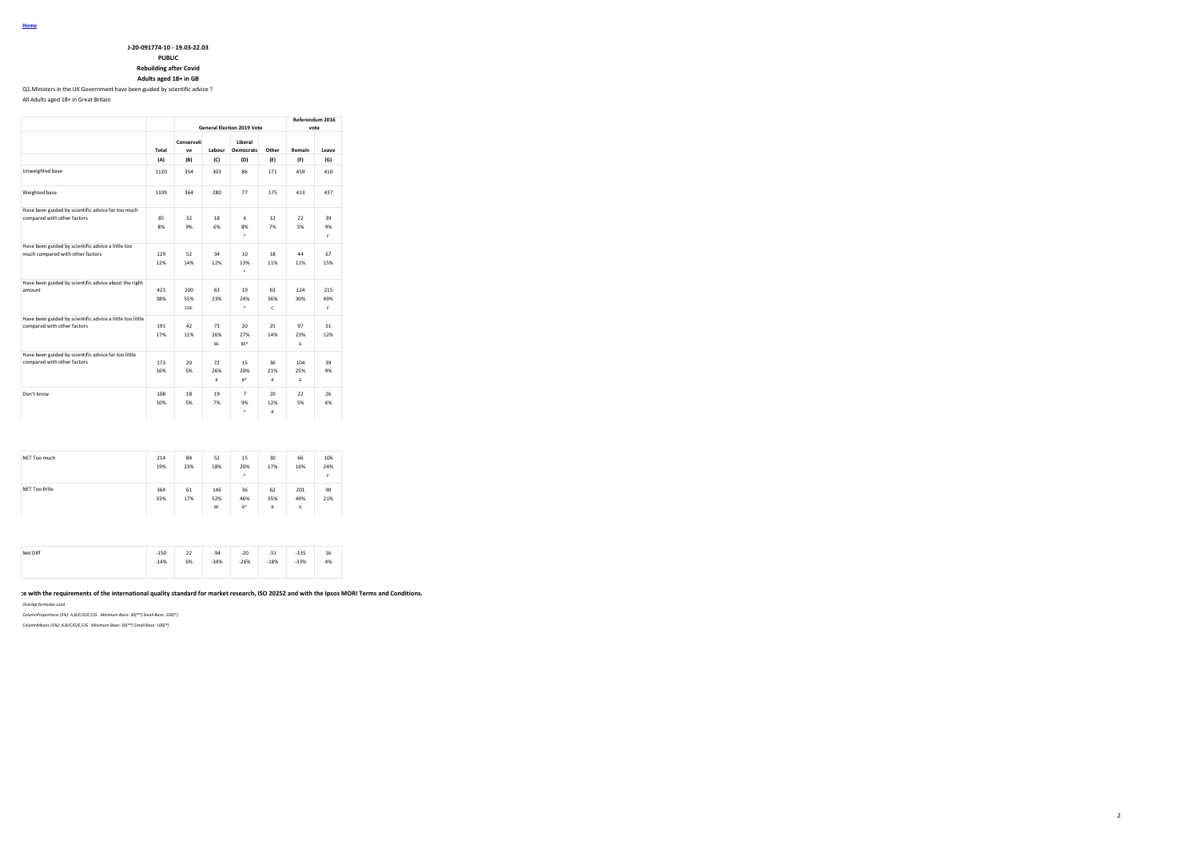**J-20-091774-10 - 19.03-22.03 PUBLIC**

**Rebuilding after Covid**

# **Adults aged 18+ in GB**

Q1.Ministers in the UK Government have been guided by scientific advice ? All Adults aged 18+ in Great Britain

**General Election 2019 Vote Referendum 2016 vote Total Conservati ve Labour Democrats Other Remain Leave Liberal (A) (B) (C) (D) (E) (F) (G)** Unweighted base 1120 354 303 86 171 459 410 Weighted base 1109 364 280 77 175 413 437 Have been guided by scientific advice far too much compared with other factors 85 32 18 6 12 22 39 8% 9% 6% 8% 7% 5% 9% \* F Have been guided by scientific advice a little too much compared with other factors 129 52 34 10 18 44 67 12% 14% 12% 13% 11% 11% 15% Have been guided by scientific advice about the right amount 423 200 63 19 63 124 215 38% 55% 23% 24% 36% 30% 49% CDE \* C F Have been guided by scientific advice a little too little rave been guided by scientific advice a little too incide<br>
compared with other factors<br>
191 42 73 20 25 97 51<br>
191 42 76 27% 14% 23% 12% 17% 11% 26% 27% 14% 23% 12% BE BE\* G Have been guided by scientific advice far too little compared with other factors<br>
compared with other factors<br>
173 20 72 15 36 104 39<br>
16% 5% 26% 20% 21% 25% 9%  $\frac{26\%}{B}$  20%  $B$  B  $B$   $B$ Don't know 108 18 19 7 20 22 26 10% 5% 7% 9% 12% 5% 6% \* B

| NET Too much   | 214<br>19% | 84<br>23% | 52<br>18%        | 15<br>20%<br>٠     | 30<br>17%      | 66<br>16%       | 106<br>24%<br>F |
|----------------|------------|-----------|------------------|--------------------|----------------|-----------------|-----------------|
| NET Too little | 364<br>33% | 61<br>17% | 146<br>52%<br>BE | 36<br>46%<br>$B^*$ | 62<br>35%<br>B | 201<br>49%<br>G | 90<br>21%       |

| Net Diff | $-150$<br>$-14%$ | 22<br>6% | $-94$<br>$-34%$ | $-20$<br>$-26%$ | $-31$<br>--<br>$-18%$ | $-135$<br>$-33%$ | 16<br>4% |
|----------|------------------|----------|-----------------|-----------------|-----------------------|------------------|----------|
|          | $-$              |          |                 |                 |                       |                  |          |

**This work was carried out in accordance with the requirements of the international quality standard for market research, ISO 20252 and with the Ipsos MORI Terms and Conditions.**

*Overlap formulae used*

*ColumnProportions (5%): A,B/C/D/E,F/G Minimum Base: 30(\*\*) Small Base: 100(\*)*

*ColumnMeans (5%): A,B/C/D/E,F/G Minimum Base: 30(\*\*) Small Base: 100(\*)*

2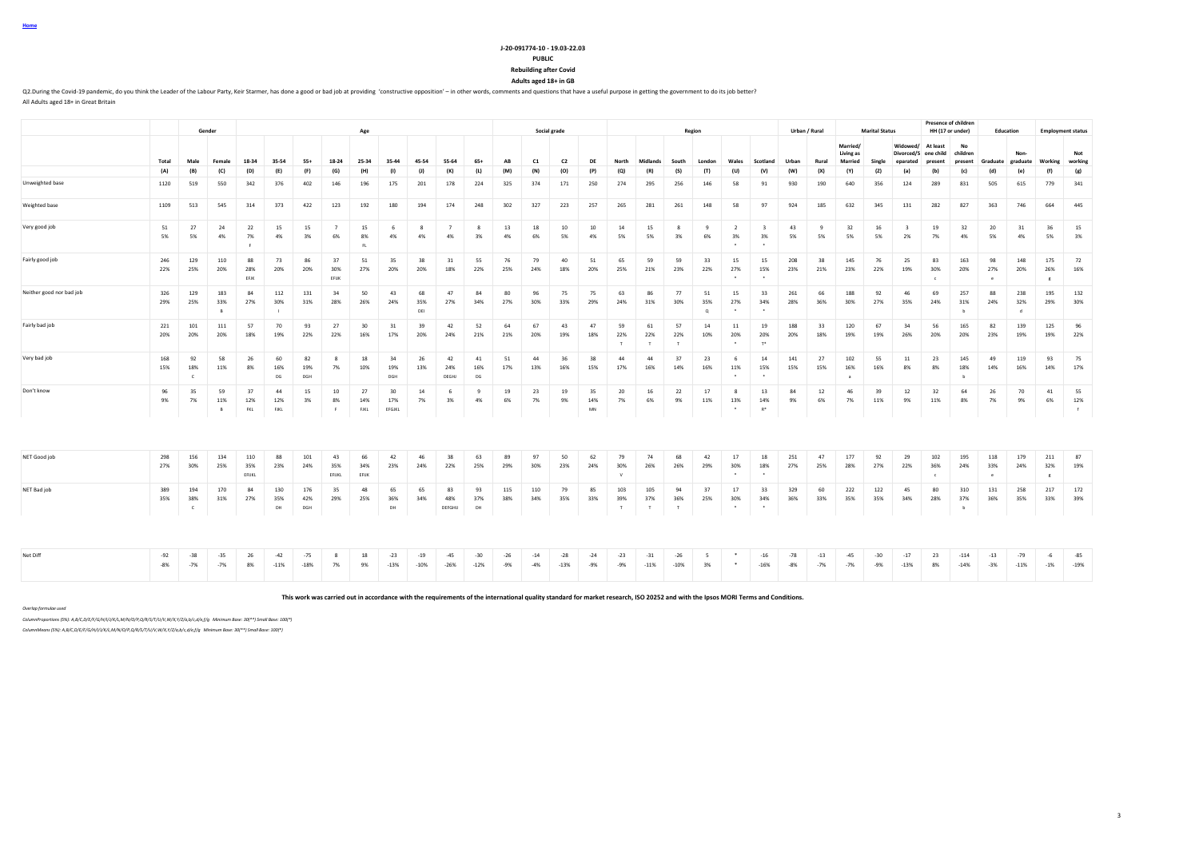# **J-20-091774-10 - 19.03-22.03**

#### **PUBLIC**

**Rebuilding after Covid**

**Adults aged 18+ in GB**

Q2.During the Covid-19 pandemic, do you think the Leader of the Labour Party, Keir Starmer, has done a good or bad job at providing 'constructive opposition' - in other words, comments and questions that have a useful purp All Adults aged 18+ in Great Britain

|                          |                |                          |                             |                     |                   |                   |                      |                   |                     |                  |                      |                 |                |                |                 |                 |                 |                           |                 |                       |                      |                               |                |                |                            |                       |                               |                         | <b>Presence of children</b> |                         |                 |                            |                 |
|--------------------------|----------------|--------------------------|-----------------------------|---------------------|-------------------|-------------------|----------------------|-------------------|---------------------|------------------|----------------------|-----------------|----------------|----------------|-----------------|-----------------|-----------------|---------------------------|-----------------|-----------------------|----------------------|-------------------------------|----------------|----------------|----------------------------|-----------------------|-------------------------------|-------------------------|-----------------------------|-------------------------|-----------------|----------------------------|-----------------|
|                          |                |                          | Gender                      |                     |                   |                   |                      | Age               |                     |                  |                      |                 |                |                | Social grade    |                 |                 |                           |                 | Region                |                      |                               |                | Urban / Rural  |                            | <b>Marital Status</b> |                               |                         | HH (17 or under)            | Education               |                 | <b>Employment status</b>   |                 |
|                          |                |                          |                             |                     |                   |                   |                      |                   |                     |                  |                      |                 |                |                |                 |                 |                 |                           |                 |                       |                      |                               |                |                | Married/                   |                       | Widowed/                      | At least                | No                          |                         |                 |                            |                 |
|                          |                |                          |                             |                     |                   |                   |                      |                   |                     |                  |                      |                 |                |                |                 |                 |                 |                           |                 |                       |                      |                               |                |                | Living as                  |                       | Divorced/S                    | one child               | children                    |                         | Non-            |                            | Not             |
|                          | Total          | Male                     | Female                      | 18-34               | 35-54             | 55+               | 18-24                | 25-34             | 35-44               | 45-54            | 55-64                | $65+$           | AB             | C1             | C <sub>2</sub>  | DE              | North           | <b>Midlands</b>           | South           | London                | Wales                | Scotland                      | Urban          | Rural          | <b>Married</b>             | Single                | eparated                      | present                 | present                     | Graduate graduate       |                 | Working                    | working         |
|                          | (A)            | (B)                      | (C)                         | (D)                 | (E)               | (F)               | (G)                  | (H)               | (1)                 | (1)              | (K)                  | (L)             | (M)            | (N)            | (O)             | (P)             | (Q)             | (R)                       | (S)             | (T)                   | (U)                  | (V)                           | (W)            | (X)            | (Y)                        | (Z)                   | (a)                           | (b)                     | (c)                         | (d)                     | (e)             | (f)                        | (g)             |
| Unweighted base          | 1120           | 519                      | 550                         | 342                 | 376               | 402               | 146                  | 196               | 175                 | 201              | 178                  | 224             | 325            | 374            | 171             | 250             | 274             | 295                       | 256             | 146                   | 58                   | 91                            | 930            | 190            | 640                        | 356                   | 124                           | 289                     | 831                         | 505                     | 615             | 779                        | 341             |
| Weighted base            | 1109           | 513                      | 545                         | 314                 | 373               | 422               | 123                  | 192               | 180                 | 194              | 174                  | 248             | 302            | 327            | 223             | 257             | 265             | 281                       | 261             | 148                   | 58                   | 97                            | 924            | 185            | 632                        | 345                   | 131                           | 282                     | 827                         | 363                     | 746             | 664                        | 445             |
| Very good job            | 51<br>5%       | 27<br>5%                 | 24<br>4%                    | 22<br>7%            | 15<br>4%          | 15<br>3%          | $\overline{7}$<br>6% | 15<br>8%<br>FL    | - 6<br>4%           | 8<br>4%          | $\overline{7}$<br>4% | 8<br>3%         | 13<br>4%       | 18<br>6%       | 10<br>5%        | 10<br>4%        | 14<br>5%        | 15<br>5%                  | 8<br>3%         | -9<br>6%              | $\overline{2}$<br>3% | $\overline{\mathbf{3}}$<br>3% | 43<br>5%       | -9<br>5%       | 32<br>5%                   | 16<br>5%              | $\overline{\mathbf{3}}$<br>2% | 19<br>7%                | 32<br>4%                    | 20<br>5%                | 31<br>4%        | 36<br>5%                   | 15<br>3%        |
| Fairly good job          | 246<br>22%     | 129<br>25%               | 110<br>20%                  | 88<br>28%<br>EFJK   | 73<br>20%         | 86<br>20%         | 37<br>30%<br>EFUK    | 51<br>27%         | 35<br>20%           | 38<br>20%        | 31<br>18%            | 55<br>22%       | 76<br>25%      | 79<br>24%      | 40<br>18%       | 51<br>20%       | 65<br>25%       | 59<br>21%                 | 59<br>23%       | 33<br>22%             | 15<br>27%<br>$\cdot$ | 15<br>15%<br>$\cdot$          | 208<br>23%     | 38<br>21%      | 145<br>23%                 | 76<br>22%             | 25<br>19%                     | 83<br>30%<br>$\epsilon$ | 163<br>20%                  | 98<br>27%<br>$^{\circ}$ | 148<br>20%      | 175<br>26%<br>$_{\rm g}$   | 72<br>16%       |
| Neither good nor bad job | 326<br>29%     | 129<br>25%               | 183<br>33%                  | 84<br>27%           | 112<br>30%        | 131<br>31%        | 34<br>28%            | 50<br>26%         | 43<br>24%           | 68<br>35%<br>DEI | 47<br>27%            | 84<br>34%       | 80<br>27%      | 96<br>30%      | 75<br>33%       | 75<br>29%       | 63<br>24%       | 86<br>31%                 | 77<br>30%       | 51<br>35%<br>$\Omega$ | 15<br>27%            | 33<br>34%                     | 261<br>28%     | 66<br>36%      | 188<br>30%                 | 92<br>27%             | 46<br>35%                     | 69<br>24%               | 257<br>31%<br>h             | 88<br>24%               | 238<br>32%<br>ď | 195<br>29%                 | 132<br>30%      |
| Fairly bad job           | 221<br>20%     | 101<br>20%               | 111<br>20%                  | 57<br>18%           | 70<br>19%         | 93<br>22%         | 27<br>22%            | 30<br>16%         | 31<br>17%           | 39<br>20%        | 42<br>24%            | 52<br>21%       | 64<br>21%      | 67<br>20%      | 43<br>19%       | 47<br>18%       | 59<br>22%       | 61<br>22%<br>$\mathbf{r}$ | 57<br>22%       | 14<br>10%             | 11<br>20%            | 19<br>20%<br>T*               | 188<br>20%     | 33<br>18%      | 120<br>19%                 | 67<br>19%             | 34<br>26%                     | 56<br>20%               | 165<br>20%                  | 82<br>23%               | 139<br>19%      | 125<br>19%                 | 96<br>22%       |
| Very bad job             | 168<br>15%     | 92<br>18%<br>$\epsilon$  | 58<br>11%                   | 26<br>8%            | 60<br>16%<br>DG   | 82<br>19%<br>DGH  | 8<br>7%              | 18<br>10%         | 34<br>19%<br>DGH    | 26<br>13%        | 42<br>24%<br>DEGHJ   | 41<br>16%<br>DG | 51<br>17%      | 44<br>13%      | 36<br>16%       | 38<br>15%       | 44<br>17%       | 44<br>16%                 | 37<br>14%       | 23<br>16%             | - 6<br>11%           | 14<br>15%                     | 141<br>15%     | 27<br>15%      | 102<br>16%<br>$\mathbf{a}$ | 55<br>16%             | 11<br>8%                      | 23<br>8%                | 145<br>18%<br>b             | 49<br>14%               | 119<br>16%      | 93<br>14%                  | 75<br>17%       |
| Don't know               | 96<br>9%       | 35<br>7%                 | 59<br>11%<br>$\overline{B}$ | 37<br>12%<br>FKL    | 44<br>12%<br>FJKL | 15<br>3%          | 10<br>8%<br>F        | 27<br>14%<br>FJKL | 30<br>17%<br>EFGJKL | 14<br>7%         | 6<br>3%              | 9<br>4%         | 19<br>6%       | 23<br>7%       | 19<br>9%        | 35<br>14%<br>MN | 20<br>7%        | 16<br>6%                  | 22<br>9%        | 17<br>11%             | 8<br>13%<br>$\cdot$  | 13<br>14%<br>$R^*$            | 84<br>9%       | 12<br>6%       | 46<br>7%                   | 39<br>11%             | 12<br>9%                      | 32<br>11%               | 64<br>8%                    | 26<br>7%                | 70<br>9%        | 41<br>6%                   | 55<br>12%<br>f  |
|                          |                |                          |                             |                     |                   |                   |                      |                   |                     |                  |                      |                 |                |                |                 |                 |                 |                           |                 |                       |                      |                               |                |                |                            |                       |                               |                         |                             |                         |                 |                            |                 |
| NET Good job             | 298<br>27%     | 156<br>30%               | 134<br>25%                  | 110<br>35%<br>EFUKL | 88<br>23%         | 101<br>24%        | 43<br>35%<br>EFUKL   | 66<br>34%<br>EFUK | 42<br>23%           | 46<br>24%        | 38<br>22%            | 63<br>25%       | 89<br>29%      | 97<br>30%      | 50<br>23%       | 62<br>24%       | 79<br>30%       | 74<br>26%                 | 68<br>26%       | 42<br>29%             | 17<br>30%            | 18<br>18%                     | 251<br>27%     | 47<br>25%      | 177<br>28%                 | 92<br>27%             | 29<br>22%                     | 102<br>36%              | 195<br>24%                  | 118<br>33%<br>e.        | 179<br>24%      | 211<br>32%<br>$\mathbf{g}$ | 87<br>19%       |
| NET Bad job              | 389<br>35%     | 194<br>38%<br>$\epsilon$ | 170<br>31%                  | 84<br>27%           | 130<br>35%<br>DH  | 176<br>42%<br>DGH | 35<br>29%            | 48<br>25%         | 65<br>36%<br>DH     | 65<br>34%        | 83<br>48%<br>DEFGHIJ | 93<br>37%<br>DH | 115<br>38%     | 110<br>34%     | 79<br>35%       | 85<br>33%       | 103<br>39%<br>T | 105<br>37%<br>T           | 94<br>36%<br>T  | 37<br>25%             | 17<br>30%<br>$\cdot$ | 33<br>34%<br>$\cdot$          | 329<br>36%     | 60<br>33%      | 222<br>35%                 | 122<br>35%            | 45<br>34%                     | 80<br>28%               | 310<br>37%<br>$\mathbf b$   | 131<br>36%              | 258<br>35%      | 217<br>33%                 | 172<br>39%      |
| Net Diff                 | $-92$<br>$-8%$ | $-38$<br>$-7%$           | $-35$<br>$-7%$              | 26<br>8%            | $-42$<br>$-11%$   | $-75$<br>$-18%$   | $\mathbf{R}$<br>7%   | 18<br>9%          | $-23$<br>$-13%$     | $-19$<br>$-10%$  | $-45$<br>$-26%$      | $-30$<br>$-12%$ | $-26$<br>$-9%$ | $-14$<br>$-4%$ | $-28$<br>$-13%$ | $-24$<br>$-9%$  | $-23$<br>$-9%$  | $-31$<br>$-11%$           | $-26$<br>$-10%$ | 3%                    |                      | $-16$<br>$-16%$               | $-78$<br>$-8%$ | $-13$<br>$-7%$ | $-45$<br>$-7%$             | $-30$<br>$-9%$        | $-17$<br>$-13%$               | 23<br>8%                | $-114$<br>$-14%$            | $-13$<br>$-3%$          | $-79$<br>$-11%$ | $-6$<br>$-1%$              | $-85$<br>$-19%$ |

**This work was carried out in accordance with the requirements of the international quality standard for market research, ISO 20252 and with the Ipsos MORI Terms and Conditions.**

*Overlap formulae used*

**Home**

*ColumnProportions (5%): A,B/C,D/E/F/G/H/I/J/K/L,M/N/O/P,Q/R/S/T/U/V,W/X,Y/Z/a,b/c,d/e,f/g Minimum Base: 30(\*\*) Small Base: 100(\*)*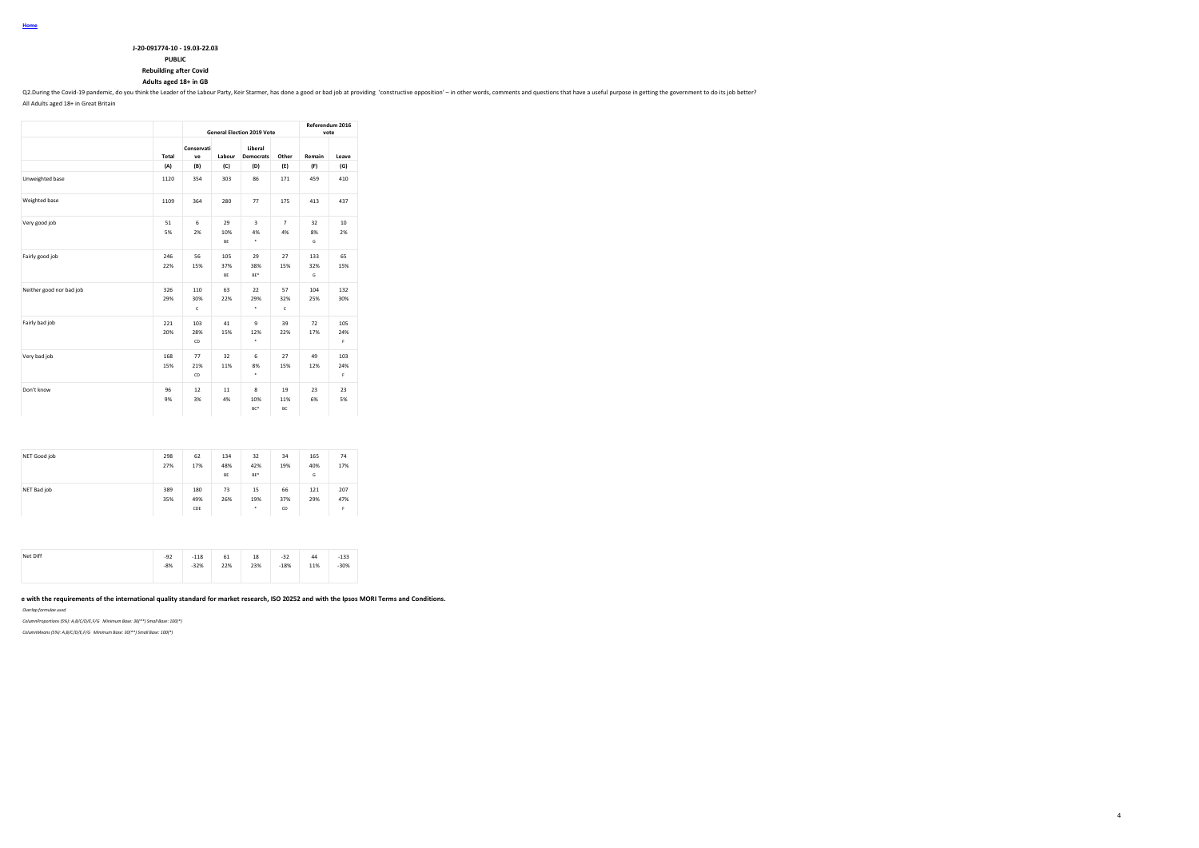# **J-20-091774-10 - 19.03-22.03**

**PUBLIC**

**Rebuilding after Covid**

# **Adults aged 18+ in GB**

Q2.During the Covid-19 pandemic, do you think the Leader of the Labour Party, Keir Starmer, has done a good or bad job at providing "constructive opposition" - in other words, comments and questions that have a useful purp

4

All Adults aged 18+ in Great Britain

**Home**

|                          |            |                  |                  | <b>General Election 2019 Vote</b>  |                      | vote            | Referendum 2016 |
|--------------------------|------------|------------------|------------------|------------------------------------|----------------------|-----------------|-----------------|
|                          | Total      | Conservati<br>ve | Labour           | Liberal<br><b>Democrats</b>        | Other                | Remain          | Leave           |
|                          | (A)        | (B)              | (C)              | (D)                                | (E)                  | (F)             | (G)             |
| Unweighted base          | 1120       | 354              | 303              | 86                                 | 171                  | 459             | 410             |
| Weighted base            | 1109       | 364              | 280              | 77                                 | 175                  | 413             | 437             |
| Very good job            | 51<br>5%   | 6<br>2%          | 29<br>10%<br>BE  | $\overline{\mathbf{3}}$<br>4%<br>٠ | $\overline{7}$<br>4% | 32<br>8%<br>G   | 10<br>2%        |
| Fairly good job          | 246<br>22% | 56<br>15%        | 105<br>37%<br>BE | 29<br>38%<br>BE*                   | 27<br>15%            | 133<br>32%<br>G | 65<br>15%       |
| Neither good nor bad job | 326<br>29% | 110<br>30%<br>c  | 63<br>22%        | 22<br>29%<br>٠                     | 57<br>32%<br>c       | 104<br>25%      | 132<br>30%      |
| Fairly bad job           | 221<br>20% | 103<br>28%<br>CD | 41<br>15%        | 9<br>12%<br>٠                      | 39<br>22%            | 72<br>17%       | 105<br>24%<br>Ė |
| Very bad job             | 168<br>15% | 77<br>21%<br>CD  | 32<br>11%        | 6<br>8%<br>٠                       | 27<br>15%            | 49<br>12%       | 103<br>24%<br>Ė |
| Don't know               | 96<br>9%   | 12<br>3%         | 11<br>4%         | 8<br>10%<br>BC*                    | 19<br>11%<br>BC      | 23<br>6%        | 23<br>5%        |

| NET Good job | 298<br>27% | 62<br>17%         | 134<br>48%<br>BE | 32<br>42%<br>BE* | 34<br>19%       | 165<br>40%<br>G | 74<br>17%       |
|--------------|------------|-------------------|------------------|------------------|-----------------|-----------------|-----------------|
| NET Bad job  | 389<br>35% | 180<br>49%<br>CDE | 73<br>26%        | 15<br>19%<br>٠   | 66<br>37%<br>CD | 121<br>29%      | 207<br>47%<br>F |

| Net Diff | $-92$ | $-118$ | 61  | 18  | $-32$  | 44          | $-133$ |
|----------|-------|--------|-----|-----|--------|-------------|--------|
|          | $-8%$ | $-32%$ | 22% | 23% | $-18%$ | 11%<br>---- | $-30%$ |
|          |       |        |     |     |        |             |        |

e with the requirements of the international quality standard for market research, ISO 20252 and with the Ipsos MORI Terms and Conditions.

*Overlap formulae used*

*ColumnProportions (5%): A,B/C/D/E,F/G Minimum Base: 30(\*\*) Small Base: 100(\*)*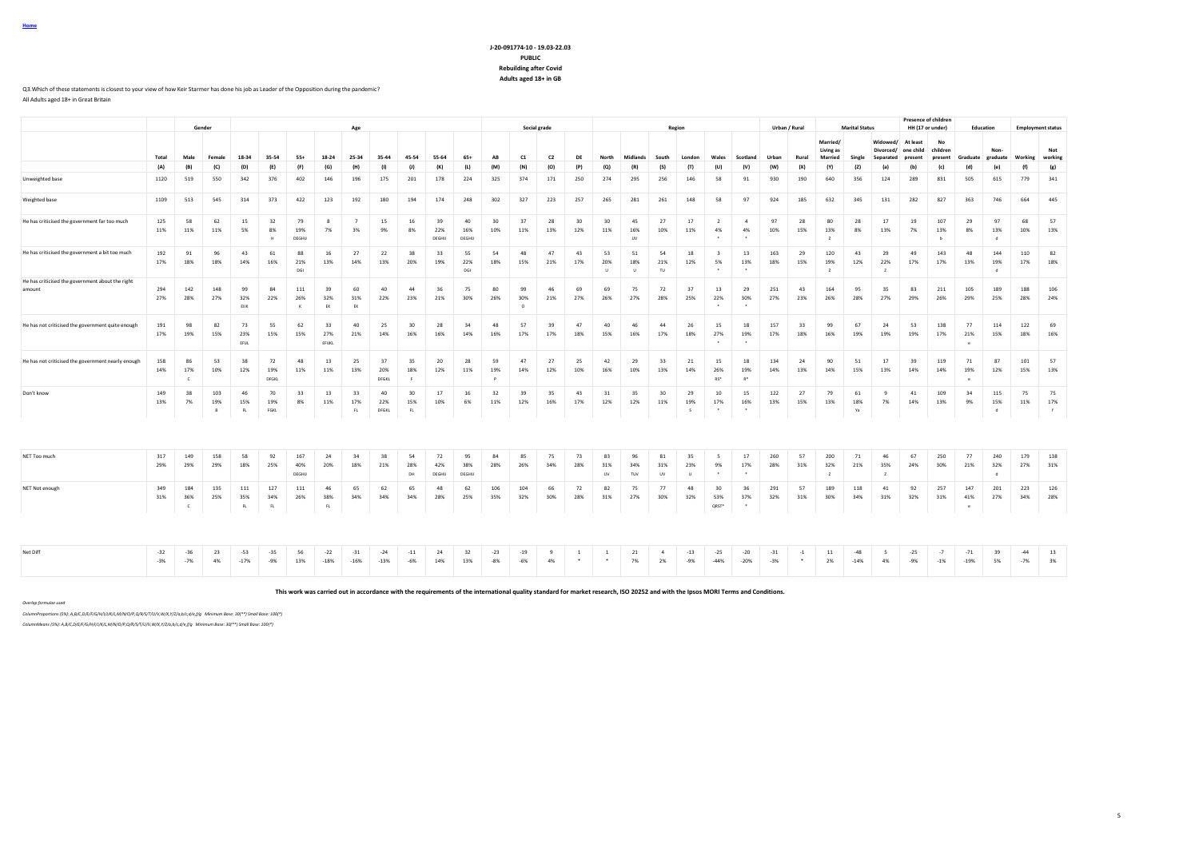# **J-20-091774-10 - 19.03-22.03 PUBLIC Rebuilding after Covid Adults aged 18+ in GB**

Q3.Which of these statements is closest to your view of how Keir Starmer has done his job as Leader of the Opposition during the pandemic?

All Adults aged 18+ in Great Britain

**Home**

|                                                            |            |                            | Gender                     |                   |                    |                        |                     | Age                  |                    |                         |                     |                     |            |                       | Social grade   |                |                        |                        |                        | Region              |                                       |                                       | Urban / Rural |           |                                  | <b>Marital Status</b> |                                    |                                         | <b>Presence of children</b><br>HH (17 or under) | Education                |                           | <b>Employment status</b> |                |
|------------------------------------------------------------|------------|----------------------------|----------------------------|-------------------|--------------------|------------------------|---------------------|----------------------|--------------------|-------------------------|---------------------|---------------------|------------|-----------------------|----------------|----------------|------------------------|------------------------|------------------------|---------------------|---------------------------------------|---------------------------------------|---------------|-----------|----------------------------------|-----------------------|------------------------------------|-----------------------------------------|-------------------------------------------------|--------------------------|---------------------------|--------------------------|----------------|
|                                                            | Total      | Male                       | Female                     | 18-34             | 35-54              | $55+$                  | 18-24               | 25-34                | 35-44              | 45-54                   | 55-64               | $65+$               | AB         | C1                    | C <sub>2</sub> | DE             | North                  | Midlands               | South                  | London              | Wales                                 | Scotland                              | Urban         | Rural     | Married/<br>Living as<br>Married | Single                | Widowed/<br>Divorced/<br>Separated | <b>At least</b><br>one child<br>present | No<br>children<br>present                       | Graduate                 | Non-<br>graduate          | Working                  | Not<br>working |
|                                                            | (A)        | (B)                        | (C)                        | (D)               | (E)                | (F)                    | (G)                 | (H)                  | (1)                | (1)                     | (K)                 | (L)                 | (M)        | (N)                   | (O)            | (P)            | (Q)                    | (R)                    | (S)                    | (T)                 | (U)                                   | (V)                                   | (W)           | (X)       | (Y)                              | (Z)                   | (a)                                | (b)                                     | (c)                                             | (d)                      | (e)                       | (f)                      | (g)            |
| Unweighted base                                            | 1120       | 519                        | 550                        | 342               | 376                | 402                    | 146                 | 196                  | 175                | 201                     | 178                 | 224                 | 325        | 374                   | 171            | 250            | 274                    | 295                    | 256                    | 146                 | 58                                    | 91                                    | 930           | 190       | 640                              | 356                   | 124                                | 289                                     | 831                                             | 505                      | 615                       | 779                      | 341            |
| Weighted base                                              | 1109       | 513                        | 545                        | 314               | 373                | 422                    | 123                 | 192                  | 180                | 194                     | 174                 | 248                 | 302        | 327                   | 223            | 257            | 265                    | 281                    | 261                    | 148                 | 58                                    | 97                                    | 924           | 185       | 632                              | 345                   | 131                                | 282                                     | 827                                             | 363                      | 746                       | 664                      | 445            |
| He has criticised the government far too much              | 125<br>11% | 58<br>11%                  | 62<br>11%                  | 15<br>5%          | 32<br>8%<br>H      | 79<br>19%<br>DEGHIJ    | 8<br>7%             | $\overline{7}$<br>3% | 15<br>9%           | 16<br>8%                | 39<br>22%<br>DEGHU  | 40<br>16%<br>DEGHIJ | 30<br>10%  | 37<br>11%             | 28<br>13%      | 30<br>12%      | 30<br>11%              | 45<br>16%<br><b>UV</b> | 27<br>10%              | 17<br>11%           | 2<br>4%                               | $\mathbf{A}$<br>4%                    | 97<br>10%     | 28<br>15% | 80<br>13%<br>$\overline{z}$      | 28<br>8%              | 17<br>13%                          | 19<br>7%                                | 107<br>13%<br>b                                 | 29<br>8%                 | 97<br>13%<br>$\mathbf d$  | 68<br>10%                | 57<br>13%      |
| He has criticised the government a bit too much            | 192<br>17% | 91<br>18%                  | 96<br>18%                  | 43<br>14%         | 61<br>16%          | 88<br>21%<br>DGI       | 16<br>13%           | 27<br>14%            | 22<br>13%          | 38<br>20%               | 33<br>19%           | 55<br>22%<br>DGI    | 54<br>18%  | 48<br>15%             | 47<br>21%      | 43<br>17%      | 53<br>20%<br>$\cup$    | 51<br>18%<br>$\cup$    | 54<br>21%<br>TU        | 18<br>12%           | $\overline{\mathbf{3}}$<br>5%         | 13<br>13%                             | 163<br>18%    | 29<br>15% | 120<br>19%<br>$\mathbf{z}$       | 43<br>12%             | 29<br>22%<br>$\mathbf{z}$          | 49<br>17%                               | 143<br>17%                                      | 48<br>13%                | 144<br>19%<br>d           | 110<br>17%               | 82<br>18%      |
| He has criticised the government about the right<br>amount | 294<br>27% | 142<br>28%                 | 148<br>27%                 | 99<br>32%<br>EUK  | 84<br>22%          | 111<br>26%<br>$\kappa$ | 39<br>32%<br>EK     | 60<br>31%<br>EK      | 40<br>22%          | 44<br>23%               | 36<br>21%           | 75<br>30%           | 80<br>26%  | 99<br>30%<br>$\Omega$ | 46<br>21%      | 69<br>27%      | 69<br>26%              | 75<br>27%              | 72<br>28%              | 37<br>25%           | 13<br>22%<br>                         | 29<br>30%                             | 251<br>27%    | 43<br>23% | 164<br>26%                       | 95<br>28%             | 35<br>27%                          | 83<br>29%                               | 211<br>26%                                      | 105<br>29%               | 189<br>25%                | 188<br>28%               | 106<br>24%     |
| He has not criticised the government quite enough          | 191<br>17% | 98<br>19%                  | 82<br>15%                  | 73<br>23%<br>EFUL | 55<br>15%          | 62<br>15%              | 33<br>27%<br>EFIJKL | 40<br>21%            | 25<br>14%          | 30<br>16%               | 28<br>16%           | 34<br>14%           | 48<br>16%  | 57<br>17%             | 39<br>17%      | 47<br>18%      | 40<br>15%              | 46<br>16%              | 44<br>17%              | 26<br>18%           | 15<br>27%<br>$\overline{\phantom{a}}$ | 18<br>19%                             | 157<br>17%    | 33<br>18% | 99<br>16%                        | 67<br>19%             | 24<br>19%                          | 53<br>19%                               | 138<br>17%                                      | 77<br>21%                | 114<br>15%                | 122<br>18%               | 69<br>16%      |
| He has not criticised the government nearly enough         | 158<br>14% | 86<br>17%<br>$\mathsf{C}$  | 53<br>10%                  | 38<br>12%         | 72<br>19%<br>DFGKL | 48<br>11%              | 13<br>11%           | 25<br>13%            | 37<br>20%<br>DFGKL | 35<br>18%<br>$\epsilon$ | 20<br>12%           | 28<br>11%           | 59<br>19%  | 47<br>14%             | 27<br>12%      | 25<br>10%      | 42<br>16%              | 29<br>10%              | 33<br>13%              | 21<br>14%           | 15<br>26%<br>RS*                      | 18<br>19%<br>$R^*$                    | 134<br>14%    | 24<br>13% | 90<br>14%                        | 51<br>15%             | 17<br>13%                          | 39<br>14%                               | 119<br>14%                                      | 71<br>19%<br>$\bullet$   | 87<br>12%                 | 101<br>15%               | 57<br>13%      |
| Don't know                                                 | 149<br>13% | 38<br>7%                   | 103<br>19%<br>$\mathsf{B}$ | 46<br>15%<br>FL   | 70<br>19%<br>FGKL  | 33<br>8%               | 13<br>11%           | 33<br>17%<br>R       | 40<br>22%<br>DFGKL | 30<br>15%<br>FL         | 17<br>10%           | 16<br>6%            | 32<br>11%  | 39<br>12%             | 35<br>16%      | 43<br>17%      | 31<br>12%              | 35<br>12%              | 30<br>11%              | 29<br>19%<br>-S     | 10<br>17%                             | 15<br>16%                             | 122<br>13%    | 27<br>15% | 79<br>13%                        | 61<br>18%<br>Ya       | $\overline{9}$<br>7%               | 41<br>14%                               | 109<br>13%                                      | 34<br>9%                 | 115<br>15%<br>d           | 75<br>11%                | 75<br>17%<br>f |
|                                                            |            |                            |                            |                   |                    |                        |                     |                      |                    |                         |                     |                     |            |                       |                |                |                        |                        |                        |                     |                                       |                                       |               |           |                                  |                       |                                    |                                         |                                                 |                          |                           |                          |                |
| NET Too much                                               | 317<br>29% | 149<br>29%                 | 158<br>29%                 | 58<br>18%         | 92<br>25%          | 167<br>40%<br>DEGHIJ   | 24<br>20%           | 34<br>18%            | 38<br>21%          | 54<br>28%<br>DH         | 72<br>42%<br>DEGHIJ | 95<br>38%<br>DEGHIJ | 84<br>28%  | 85<br>26%             | 75<br>34%      | 73<br>28%      | 83<br>31%<br><b>UV</b> | 96<br>34%<br>TUV       | 81<br>31%<br><b>UV</b> | 35<br>23%<br>$\cup$ | -5<br>9%<br>$\overline{\phantom{a}}$  | 17<br>17%<br>$\overline{\phantom{a}}$ | 260<br>28%    | 57<br>31% | 200<br>32%<br>$\mathbf{z}$       | 71<br>21%             | 46<br>35%<br>$\overline{z}$        | 67<br>24%                               | 250<br>30%                                      | 77<br>21%                | 240<br>32%<br>$\mathbf d$ | 179<br>27%               | 138<br>31%     |
| NET Not enough                                             | 349<br>31% | 184<br>36%<br>$\mathsf{C}$ | 135<br>25%                 | 111<br>35%<br>FL  | 127<br>34%<br>FL   | 111<br>26%             | 46<br>38%<br>FL     | 65<br>34%            | 62<br>34%          | 65<br>34%               | 48<br>28%           | 62<br>25%           | 106<br>35% | 104<br>32%            | 66<br>30%      | 72<br>28%      | 82<br>31%              | 75<br>27%              | 77<br>30%              | 48<br>32%           | 30<br>53%<br>QRST*                    | 36<br>37%<br>$\overline{\phantom{a}}$ | 291<br>32%    | 57<br>31% | 189<br>30%                       | 118<br>34%            | 41<br>31%                          | 92<br>32%                               | 257<br>31%                                      | 147<br>41%<br>$^{\circ}$ | 201<br>27%                | 223<br>34%               | 126<br>28%     |
| Net Diff                                                   | $-32$      | $-36$                      | 23                         | $-53$             | $-35$              | 56                     | $-22$               | $-31$                | $-24$              | $-11$                   | 24                  | 32                  | $-23$      | $-19$                 | $\mathbf{q}$   | $\overline{1}$ | <sup>1</sup>           | 21                     | $\overline{4}$         | $-13$               | $-25$                                 | $-20$                                 | $-31$         | $-1$      | 11                               | $-48$                 | -5                                 | $-25$                                   | $-7$                                            | $-71$                    | 39                        | $-44$                    | 13             |
|                                                            | $-3%$      | $-7%$                      | 4%                         | $-17%$            | $-9%$              | 13%                    | $-18%$              | $-16%$               | $-13%$             | $-6%$                   | 14%                 | 13%                 | $-8%$      | $-6%$                 | 4%             | $\cdot$        |                        | 7%                     | 2%                     | $-9%$               | $-44%$                                | $-20%$                                | $-3%$         | $\cdot$   | 2%                               | $-14%$                | 4%                                 | $-9%$                                   | $-1%$                                           | $-19%$                   | 5%                        | $-7%$                    | 3%             |

**This work was carried out in accordance with the requirements of the international quality standard for market research, ISO 20252 and with the Ipsos MORI Terms and Conditions.**

*Overlap formulae used*

*ColumnProportions (5%): A,B/C,D/E/F/G/H/I/J/K/L,M/N/O/P,Q/R/S/T/U/V,W/X,Y/Z/a,b/c,d/e,f/g Minimum Base: 30(\*\*) Small Base: 100(\*)*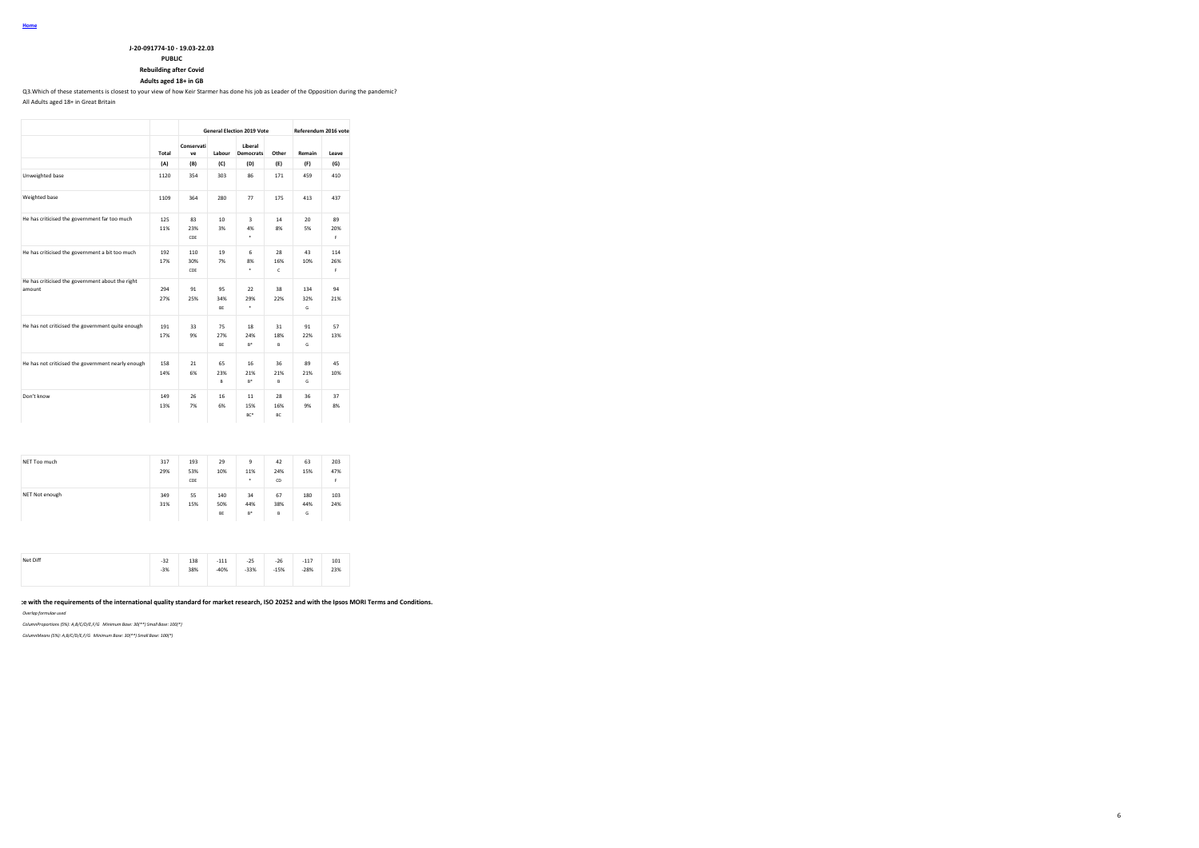### **J-20-091774-10 - 19.03-22.03**

**PUBLIC**

**Rebuilding after Covid**

**Adults aged 18+ in GB**

Q3.Which of these statements is closest to your view of how Keir Starmer has done his job as Leader of the Opposition during the pandemic?

All Adults aged 18+ in Great Britain

|                                                            |            |                   |                       | <b>General Election 2019 Vote</b> |                 | Referendum 2016 vote |                  |
|------------------------------------------------------------|------------|-------------------|-----------------------|-----------------------------------|-----------------|----------------------|------------------|
|                                                            | Total      | Conservati<br>VP  | Labour                | Liberal<br><b>Democrats</b>       | Other           | Remain               | Leave            |
|                                                            | (A)        | (B)               | (C)                   | (D)                               | (E)             | (F)                  | (G)              |
| Unweighted base                                            | 1120       | 354               | 303                   | 86                                | 171             | 459                  | 410              |
| Weighted base                                              | 1109       | 364               | 280                   | 77                                | 175             | 413                  | 437              |
| He has criticised the government far too much              | 125<br>11% | 83<br>23%<br>CDE  | 10 <sub>1</sub><br>3% | з<br>4%<br>٠                      | 14<br>8%        | 20<br>5%             | 89<br>20%<br>F.  |
| He has criticised the government a bit too much            | 192<br>17% | 110<br>30%<br>CDE | 19<br>7%              | 6<br>8%<br>٠                      | 28<br>16%<br>c  | 43<br>10%            | 114<br>26%<br>F. |
| He has criticised the government about the right<br>amount | 294<br>27% | 91<br>25%         | 95<br>34%<br>BE       | 22<br>29%<br>٠                    | 38<br>22%       | 134<br>32%<br>G      | 94<br>21%        |
| He has not criticised the government quite enough          | 191<br>17% | 33<br>9%          | 75<br>27%<br>BE       | 18<br>24%<br>$B^*$                | 31<br>18%<br>B  | 91<br>22%<br>G       | 57<br>13%        |
| He has not criticised the government nearly enough         | 158<br>14% | 21<br>6%          | 65<br>23%<br>R        | 16<br>21%<br>R*                   | 36<br>21%<br>B  | 89<br>21%<br>G       | 45<br>10%        |
| Don't know                                                 | 149<br>13% | 26<br>7%          | 16<br>6%              | 11<br>15%<br>BC*                  | 28<br>16%<br>BC | 36<br>9%             | 37<br>8%         |

| NET Too much   | 317<br>29% | 193<br>53%<br>CDE | 29<br>10%        | 9<br>11%<br>$\cdot$ | 42<br>24%<br><b>CD</b> | 63<br>15%       | 203<br>47%<br>F |
|----------------|------------|-------------------|------------------|---------------------|------------------------|-----------------|-----------------|
| NET Not enough | 349<br>31% | 55<br>15%         | 140<br>50%<br>BE | 34<br>44%<br>B*     | 67<br>38%<br>B         | 180<br>44%<br>G | 103<br>24%      |

| Net Diff | $-32$ | 138 | $-111$<br>--- | $-25$  | $-26$  | $-117$ | 101 |  |
|----------|-------|-----|---------------|--------|--------|--------|-----|--|
|          | $-3%$ | 38% | $-40%$        | $-33%$ | $-15%$ | $-28%$ | 23% |  |

**This work was carried out in accordance with the requirements of the international quality standard for market research, ISO 20252 and with the Ipsos MORI Terms and Conditions.**

6

*Overlap formulae used*

*ColumnProportions (5%): A,B/C/D/E,F/G Minimum Base: 30(\*\*) Small Base: 100(\*)*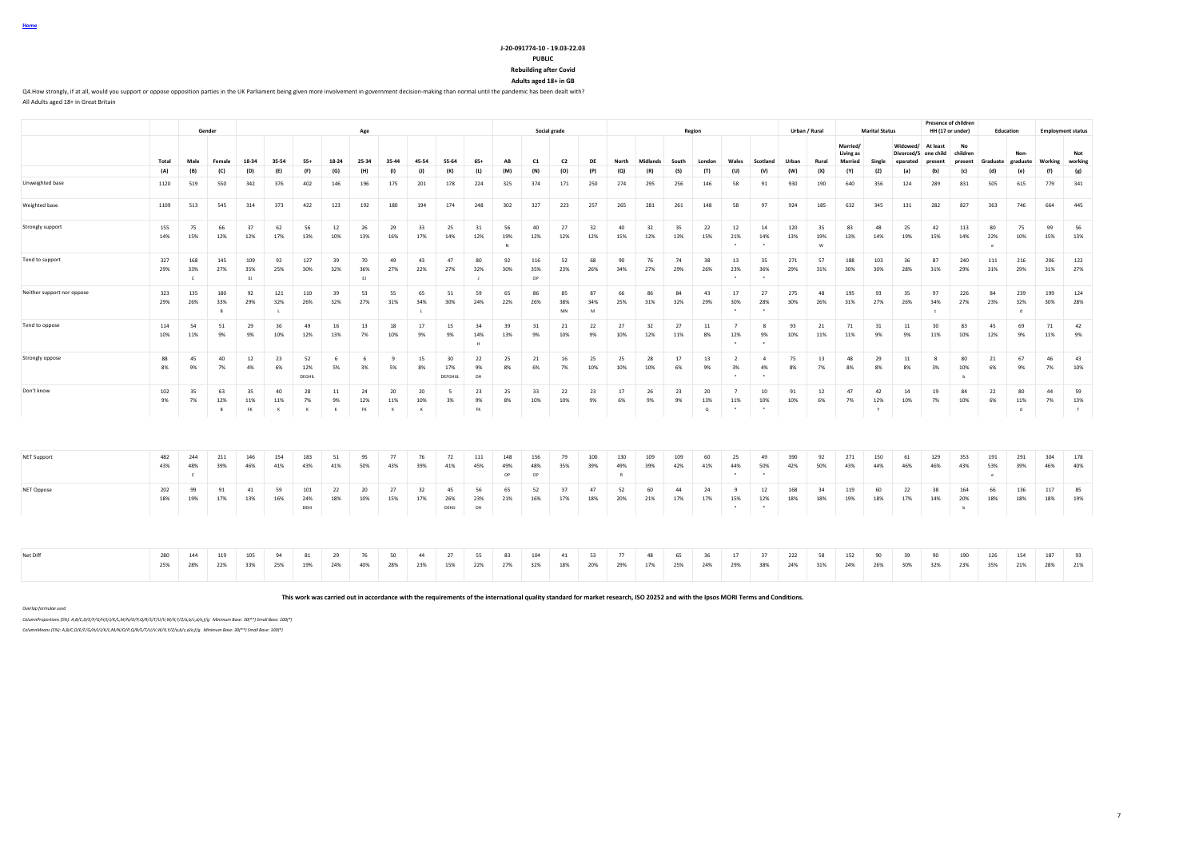#### **J-20-091774-10 - 19.03-22.03 PUBLIC**

**Rebuilding after Covid**

**Adults aged 18+ in GB** Q4.How strongly, if at all, would you support or oppose opposition parties in the UK Parliament being given more involvement in government decision-making than normal until the pandemic has been dealt with?

|                            |            |                            | Gender                     |                  |                           |                      |                          | Age                    |                       |                       |                       |                       |                  | Social grade     |                 |                |            |            |            | Region         |                                  |                      |            | Urban / Rural  |                                         | <b>Marital Status</b> |                                    | <b>Presence of children</b><br>HH (17 or under) |                           | Education         |                 |            | <b>Employment status</b> |
|----------------------------|------------|----------------------------|----------------------------|------------------|---------------------------|----------------------|--------------------------|------------------------|-----------------------|-----------------------|-----------------------|-----------------------|------------------|------------------|-----------------|----------------|------------|------------|------------|----------------|----------------------------------|----------------------|------------|----------------|-----------------------------------------|-----------------------|------------------------------------|-------------------------------------------------|---------------------------|-------------------|-----------------|------------|--------------------------|
|                            | Total      | Male                       | Female                     | 18-34            | 35-54                     | $55+$                | 18-24                    | 25-34                  | 35-44                 | 45-54                 | 55-64                 | $65+$                 | AB               | C1               | C <sub>2</sub>  | DE             | North      | Midlands   | South      | London         | Wales                            | Scotland             | Urban      | Rural          | Married/<br>Living as<br><b>Married</b> | Single                | Widowed/<br>Divorced/S<br>eparated | At least<br>one child<br>present                | No<br>children<br>present | Graduate graduate | Non-            | Working    | Not<br>working           |
|                            | (A)        | (B)                        | (C)                        | (D)              | (E)                       | (F)                  | (G)                      | (H)                    | (1)                   | (1)                   | (K)                   | (L)                   | (M)              | (N)              | (0)             | (P)            | (Q)        | (R)        | (S)        | (T)            | (U)                              | (V)                  | (W)        | (X)            | (Y)                                     | (Z)                   | (a)                                | (b)                                             | (c)                       | (d)               | (e)             | (f)        | (g)                      |
| Unweighted base            | 1120       | 519                        | 550                        | 342              | 376                       | 402                  | 146                      | 196                    | 175                   | 201                   | 178                   | 224                   | 325              | 374              | 171             | 250            | 274        | 295        | 256        | 146            | 58                               | 91                   | 930        | 190            | 640                                     | 356                   | 124                                | 289                                             | 831                       | 505               | 615             | 779        | 341                      |
| Weighted base              | 1109       | 513                        | 545                        | 314              | 373                       | 422                  | 123                      | 192                    | 180                   | 194                   | 174                   | 248                   | 302              | 327              | 223             | 257            | 265        | 281        | 261        | 148            | 58                               | 97                   | 924        | 185            | 632                                     | 345                   | 131                                | 282                                             | 827                       | 363               | 746             | 664        | 445                      |
| Strongly support           | 155<br>14% | 75<br>15%                  | 66<br>12%                  | 37<br>12%        | 62<br>17%                 | 56<br>13%            | 12<br>10%                | 26<br>13%              | 29<br>16%             | 33<br>17%             | 25<br>14%             | 31<br>12%             | 56<br>19%        | 40<br>12%        | 27<br>12%       | 32<br>12%      | 40<br>15%  | 32<br>12%  | 35<br>13%  | 22<br>15%      | 12<br>21%                        | 14<br>14%            | 120<br>13% | 35<br>19%<br>M | 83<br>13%                               | 48<br>14%             | 25<br>19%                          | 42<br>15%                                       | 113<br>14%                | 80<br>22%         | 75<br>10%       | 99<br>15%  | 56<br>13%                |
| Tend to support            | 327<br>29% | 168<br>33%<br>$\mathsf{C}$ | 145<br>27%                 | 109<br>35%<br>EJ | 92<br>25%                 | 127<br>30%           | 39<br>32%                | 70<br>36%<br>EJ        | 49<br>27%             | 43<br>22%             | 47<br>27%             | 80<br>32%             | 92<br>30%        | 116<br>35%<br>OP | 52<br>23%       | 68<br>26%      | 90<br>34%  | 76<br>27%  | 74<br>29%  | 38<br>26%      | 13<br>23%                        | 35<br>36%            | 271<br>29% | 57<br>31%      | 188<br>30%                              | 103<br>30%            | 36<br>28%                          | 87<br>31%                                       | 240<br>29%                | 111<br>31%        | 216<br>29%      | 206<br>31% | 122<br>27%               |
| Neither support nor oppose | 323<br>29% | 135<br>26%                 | 180<br>33%<br>$\mathsf{R}$ | 92<br>29%        | 121<br>32%                | 110<br>26%           | 39<br>32%                | 53<br>27%              | 55<br>31%             | 65<br>34%             | 51<br>30%             | 59<br>24%             | 65<br>22%        | 86<br>26%        | 85<br>38%<br>MN | 87<br>34%<br>M | 66<br>25%  | 86<br>31%  | 84<br>32%  | 43<br>29%      | 17<br>30%                        | 27<br>28%            | 275<br>30% | 48<br>26%      | 195<br>31%                              | 93<br>27%             | 35<br>26%                          | 97<br>34%                                       | 226<br>27%                | 84<br>23%         | 239<br>32%<br>ď | 199<br>30% | 124<br>28%               |
| Tend to oppose             | 114<br>10% | 54<br>11%                  | 51<br>9%                   | 29<br>9%         | 36<br>10%                 | 49<br>12%            | 16<br>13%                | 13<br>7%               | 18<br>10%             | 17<br>9%              | 15<br>9%              | 34<br>14%             | 39<br>13%        | 31<br>9%         | 21<br>10%       | 22<br>9%       | 27<br>10%  | 32<br>12%  | 27<br>11%  | 11<br>8%       | 12%                              | -8<br>9%             | 93<br>10%  | 21<br>11%      | 71<br>11%                               | 31<br>9%              | 11<br>9%                           | 30<br>11%                                       | 83<br>10%                 | 45<br>12%         | 69<br>9%        | 71<br>11%  | 42<br>9%                 |
| Strongly oppose            | 88<br>8%   | 45<br>9%                   | 40<br>7%                   | 12<br>4%         | 23<br>6%                  | 52<br>12%<br>DEGHIL  | 6<br>5%                  | -6<br>3%               | $\mathbf{q}$<br>5%    | 15<br>8%              | 30<br>17%<br>DEFGHIJL | 22<br>9%<br>DH        | 25<br>8%         | 21<br>6%         | 16<br>7%        | 25<br>10%      | 25<br>10%  | 28<br>10%  | 17<br>6%   | 13<br>9%       | $\overline{2}$<br>3%             | $\overline{a}$<br>4% | 75<br>8%   | 13<br>7%       | 48<br>8%                                | 29<br>8%              | 11<br>8%                           | 3%                                              | 80<br>10%                 | 21<br>6%          | 67<br>9%        | 46<br>7%   | 43<br>10%                |
| Don't know                 | 102<br>9%  | 35<br>7%                   | 63<br>12%<br>B             | 35<br>11%<br>FK  | 40<br>11%<br>$\mathbf{K}$ | 28<br>7%<br>$\kappa$ | 11<br>9%<br>$\mathbf{K}$ | 24<br>12%<br><b>FK</b> | 20<br>11%<br>$\kappa$ | 20<br>10%<br>$\kappa$ | 5<br>3%               | 23<br>9%<br><b>FK</b> | 25<br>8%         | 33<br>10%        | 22<br>10%       | 23<br>9%       | 17<br>6%   | 26<br>9%   | 23<br>9%   | 20<br>13%<br>Q | $\overline{7}$<br>11%<br>$\cdot$ | 10<br>10%<br>$\cdot$ | 91<br>10%  | 12<br>6%       | 47<br>7%                                | 42<br>12%<br><b>Y</b> | 14<br>10%                          | 19<br>7%                                        | 84<br>10%                 | 22<br>6%          | 80<br>11%<br>d  | 44<br>7%   | 59<br>13%<br>f           |
|                            |            |                            |                            |                  |                           |                      |                          |                        |                       |                       |                       |                       |                  |                  |                 |                |            |            |            |                |                                  |                      |            |                |                                         |                       |                                    |                                                 |                           |                   |                 |            |                          |
| <b>NET Support</b>         | 482<br>43% | 244<br>48%<br>$\epsilon$   | 211<br>39%                 | 146<br>46%       | 154<br>41%                | 183<br>43%           | 51<br>41%                | 95<br>50%              | 77<br>43%             | 76<br>39%             | 72<br>41%             | 111<br>45%            | 148<br>49%<br>OP | 156<br>48%<br>OP | 79<br>35%       | 100<br>39%     | 130<br>49% | 109<br>39% | 109<br>42% | 60<br>41%      | 25<br>44%                        | 49<br>50%            | 390<br>42% | 92<br>50%      | 271<br>43%                              | 150<br>44%            | 61<br>46%                          | 129<br>46%                                      | 353<br>43%                | 191<br>53%        | 291<br>39%      | 304<br>46% | 178<br>40%               |
| NET Oppose                 | 202<br>18% | 99<br>19%                  | 91<br>17%                  | 41<br>13%        | 59<br>16%                 | 101<br>24%<br>DEHI   | 22<br>18%                | 20<br>10%              | 27<br>15%             | 32<br>17%             | 45<br>26%<br>DEHIJ    | 56<br>23%<br>DH       | 65<br>21%        | 52<br>16%        | 37<br>17%       | 47<br>18%      | 52<br>20%  | 60<br>21%  | 44<br>17%  | 24<br>17%      | -9<br>15%                        | 12<br>12%            | 168<br>18% | 34<br>18%      | 119<br>19%                              | 60<br>18%             | 22<br>17%                          | 38<br>14%                                       | 164<br>20%<br>b           | 66<br>18%         | 136<br>18%      | 117<br>18% | 85<br>19%                |
| Net Diff                   | 280<br>25% | 144<br>28%                 | 119<br>22%                 | 105<br>33%       | 94<br>25%                 | 81<br>19%            | 29<br>24%                | 76<br>40%              | 50<br>28%             | 44<br>23%             | 27<br>15%             | 55<br>22%             | 83<br>27%        | 104<br>32%       | 41<br>18%       | 53<br>20%      | 77<br>29%  | 48<br>17%  | 65<br>25%  | 36<br>24%      | 17<br>29%                        | 37<br>38%            | 222<br>24% | 58<br>31%      | 152<br>24%                              | 90<br>26%             | 39<br>30%                          | 90<br>32%                                       | 190<br>23%                | 126<br>35%        | 154<br>21%      | 187<br>28% | 93<br>21%                |

**This work was carried out in accordance with the requirements of the international quality standard for market research, ISO 20252 and with the Ipsos MORI Terms and Conditions.**

*Overlap formulae used*

**Home**

All Adults aged 18+ in Great Britain

*ColumnProportions (5%): A,B/C,D/E/F/G/H/I/J/K/L,M/N/O/P,Q/R/S/T/U/V,W/X,Y/Z/a,b/c,d/e,f/g Minimum Base: 30(\*\*) Small Base: 100(\*)*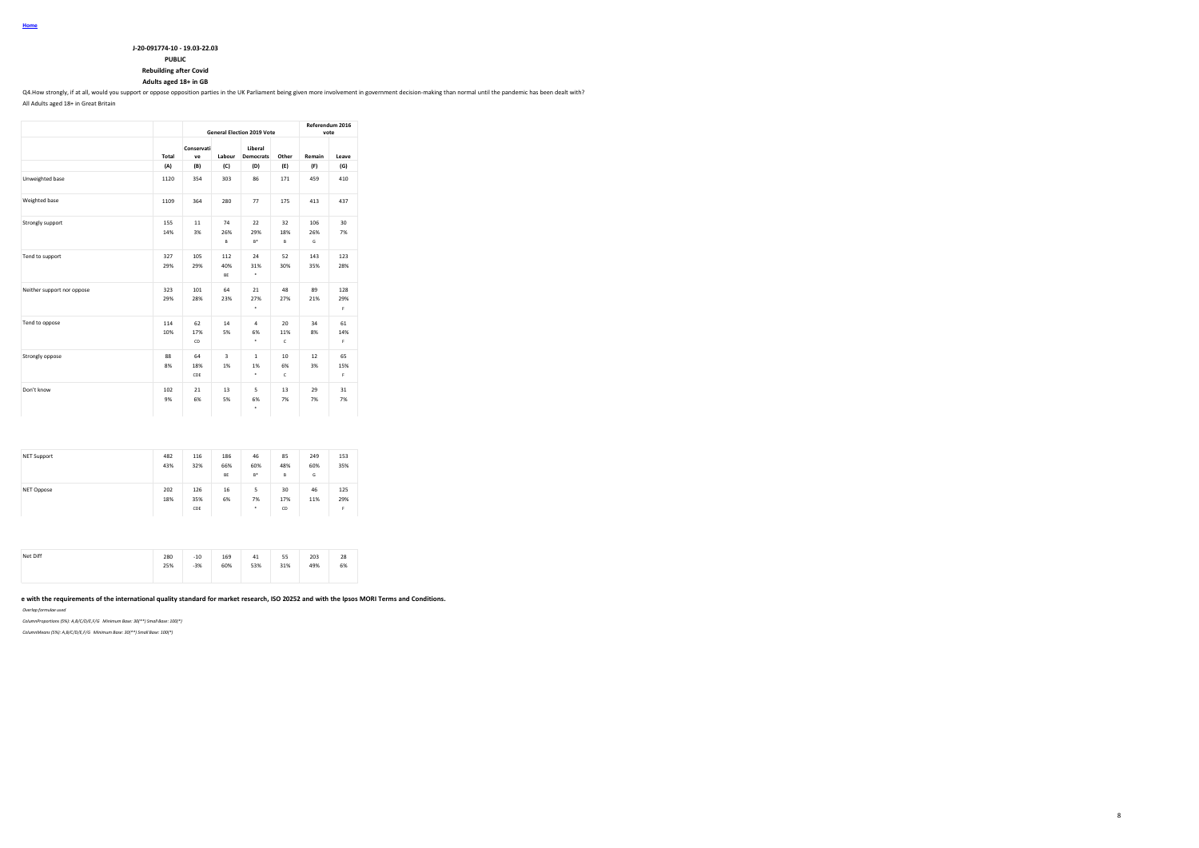### **J-20-091774-10 - 19.03-22.03**

# **PUBLIC**

**Rebuilding after Covid**

# **Adults aged 18+ in GB**

Q4.How strongly, if at all, would you support or oppose opposition parties in the UK Parliament being given more involvement in government decision-making than normal until the pandemic has been dealt with?

All Adults aged 18+ in Great Britain

|                            |            |                  |                               | <b>General Election 2019 Vote</b> |                | Referendum 2016 | vote            |
|----------------------------|------------|------------------|-------------------------------|-----------------------------------|----------------|-----------------|-----------------|
|                            | Total      | Conservati<br>ve | Labour                        | Liberal<br><b>Democrats</b>       | Other          | Remain          | Leave           |
|                            | (A)        | (B)              | (C)                           | (D)                               | (E)            | (F)             | (G)             |
| Unweighted base            | 1120       | 354              | 303                           | 86                                | 171            | 459             | 410             |
| Weighted base              | 1109       | 364              | 280                           | 77                                | 175            | 413             | 437             |
| Strongly support           | 155<br>14% | 11<br>3%         | 74<br>26%<br>B                | 22<br>29%<br>$B^*$                | 32<br>18%<br>B | 106<br>26%<br>G | 30<br>7%        |
| Tend to support            | 327<br>29% | 105<br>29%       | 112<br>40%<br>BE              | 24<br>31%<br>٠                    | 52<br>30%      | 143<br>35%      | 123<br>28%      |
| Neither support nor oppose | 323<br>29% | 101<br>28%       | 64<br>23%                     | 21<br>27%<br>٠                    | 48<br>27%      | 89<br>21%       | 128<br>29%<br>F |
| Tend to oppose             | 114<br>10% | 62<br>17%<br>CD  | 14<br>5%                      | 4<br>6%<br>٠                      | 20<br>11%<br>c | 34<br>8%        | 61<br>14%<br>F  |
| Strongly oppose            | 88<br>8%   | 64<br>18%<br>CDE | $\overline{\mathbf{3}}$<br>1% | $\mathbf{1}$<br>1%<br>٠           | 10<br>6%<br>c  | 12<br>3%        | 65<br>15%<br>F  |
| Don't know                 | 102<br>9%  | 21<br>6%         | 13<br>5%                      | 5<br>6%<br>٠                      | 13<br>7%       | 29<br>7%        | 31<br>7%        |

| <b>NET Support</b> | 482<br>43% | 116<br>32%        | 186<br>66%<br>BE | 46<br>60%<br>$B^*$ | 85<br>48%<br>B  | 249<br>60%<br>G | 153<br>35%      |
|--------------------|------------|-------------------|------------------|--------------------|-----------------|-----------------|-----------------|
| NET Oppose         | 202<br>18% | 126<br>35%<br>CDE | 16<br>6%         | 5<br>7%<br>٠       | 30<br>17%<br>CD | 46<br>11%       | 125<br>29%<br>F |

| Net Diff | 280<br>$\sim$ $\sim$ | $-10$ | 169 | 41  | 55  | 203 | 28 |
|----------|----------------------|-------|-----|-----|-----|-----|----|
|          | 25%                  | $-3%$ | 60% | 53% | 31% | 49% | 6% |
|          |                      |       |     |     |     |     |    |

# e with the requirements of the international quality standard for market research, ISO 20252 and with the Ipsos MORI Terms and Conditions.

*Overlap formulae used*

*ColumnProportions (5%): A,B/C/D/E,F/G Minimum Base: 30(\*\*) Small Base: 100(\*)*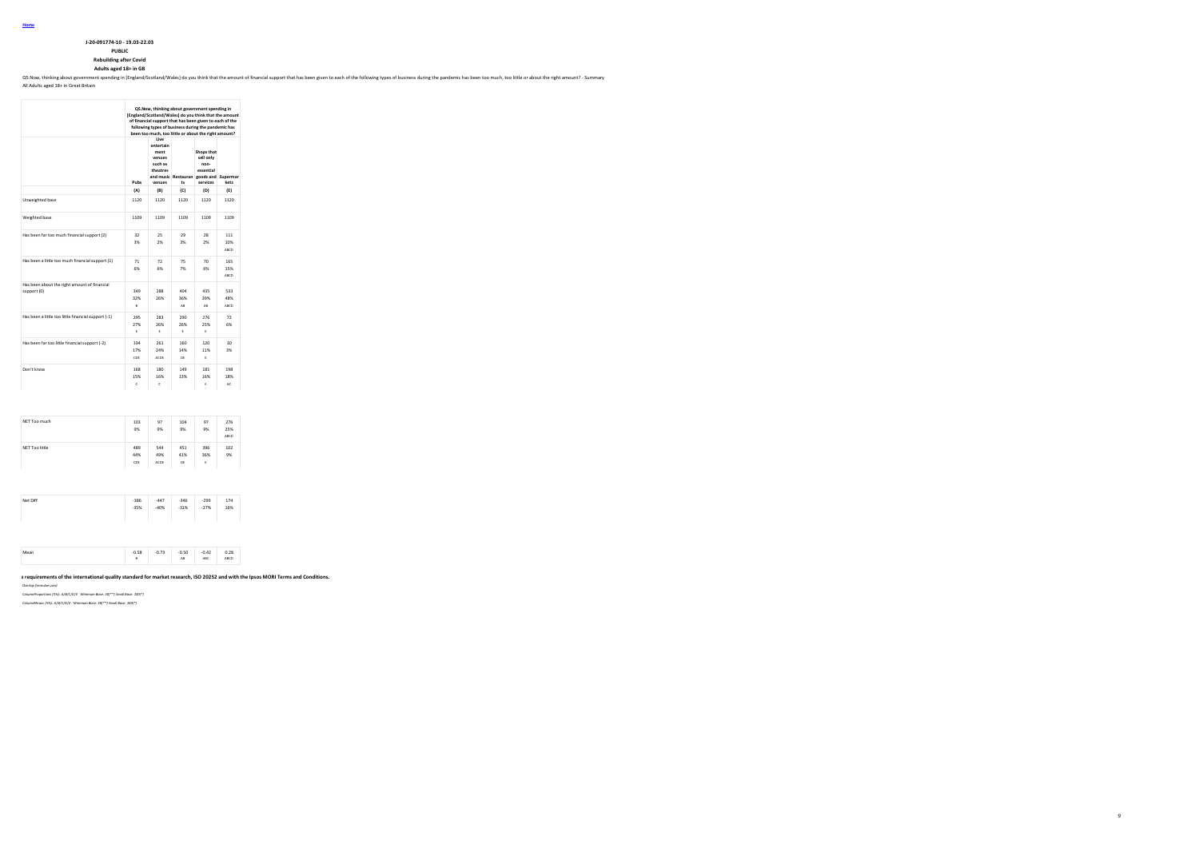**J-20-091774-10 - 19.03-22.03**

**PUBLIC Rebuilding after Covid Adults aged 18+ in GB**

Q5. Now, thinking about government spending in [England/Scotland/Wales] do you think that the amount of financial support that has been given to each of the following types of business during the pandemic has been too much

9

All Adults aged 18+ in Great Britain

|                                                             |                   | Q5. Now, thinking about government spending in<br>[England/Scotland/Wales] do you think that the amount<br>of financial support that has been given to each of the<br>following types of business during the pandemic has<br>been too much, too little or about the right amount? |                  |                                                                                                    |                    |
|-------------------------------------------------------------|-------------------|-----------------------------------------------------------------------------------------------------------------------------------------------------------------------------------------------------------------------------------------------------------------------------------|------------------|----------------------------------------------------------------------------------------------------|--------------------|
|                                                             | Pubs              | Live<br>entertain<br>ment<br>venues<br>such as<br>theatres<br>venues                                                                                                                                                                                                              | ts               | Shops that<br>sell only<br>non-<br>essential<br>and music Restauran goods and Supermar<br>services | kets               |
|                                                             | (A)               | (B)                                                                                                                                                                                                                                                                               | (C)              | (D)                                                                                                | (E)                |
| Unweighted base                                             | 1120              | 1120                                                                                                                                                                                                                                                                              | 1120             | 1120                                                                                               | 1120               |
| Weighted base                                               | 1109              | 1109                                                                                                                                                                                                                                                                              | 1109             | 1109                                                                                               | 1109               |
| Has been far too much financial support (2)                 | 32<br>3%          | 25<br>2%                                                                                                                                                                                                                                                                          | 29<br>3%         | 28<br>2%                                                                                           | 111<br>10%<br>ARCD |
| Has been a little too much financial support (1)            | 71<br>6%          | 72<br>6%                                                                                                                                                                                                                                                                          | 75<br>7%         | 70<br>6%                                                                                           | 165<br>15%<br>ABCD |
| Has been about the right amount of financial<br>support (0) | 349<br>32%<br>B   | 288<br>26%                                                                                                                                                                                                                                                                        | 404<br>36%<br>AB | 435<br>39%<br>AB                                                                                   | 533<br>48%<br>ABCD |
| Has been a little too little financial support (-1)         | 295<br>27%<br>ε   | 283<br>26%<br>s.                                                                                                                                                                                                                                                                  | 290<br>26%<br>Ė  | 276<br>25%<br>p.                                                                                   | 72<br>6%           |
| Has been far too little financial support (-2)              | 194<br>17%<br>CDE | 261<br>24%<br>ACDE                                                                                                                                                                                                                                                                | 160<br>14%<br>DE | 120<br>11%<br>Ė                                                                                    | 30<br>3%           |
| Don't know                                                  | 168<br>15%<br>ċ   | 180<br>16%<br>ċ                                                                                                                                                                                                                                                                   | 149<br>13%       | 181<br>16%<br>ċ                                                                                    | 198<br>18%<br>AC   |
|                                                             |                   |                                                                                                                                                                                                                                                                                   |                  |                                                                                                    |                    |
| NET Too much                                                | 103<br>9%         | 97<br>9%                                                                                                                                                                                                                                                                          | 104<br>9%        | 97<br>9%                                                                                           | 276<br>25%<br>ABCD |
| NET Too little                                              | 489<br>44%<br>CDE | 544<br>49%<br>ACDE                                                                                                                                                                                                                                                                | 451<br>41%<br>DE | 396<br>36%<br>Ė                                                                                    | 102<br>9%          |
|                                                             |                   |                                                                                                                                                                                                                                                                                   |                  |                                                                                                    |                    |
| Net Diff                                                    | $-386$<br>$-35%$  | $-447$<br>$-40%$                                                                                                                                                                                                                                                                  | $-346$<br>$-31%$ | $-299$<br>$-27%$                                                                                   | 174<br>16%         |
|                                                             |                   |                                                                                                                                                                                                                                                                                   |                  |                                                                                                    |                    |

0.58 -0.73 -0.50 -0.42 0.28 -0.50 -0.42<br>B ABC ABCD **This work was carried out in accordance with the requirements of the international quality standard for market research, ISO 20252 and with the Ipsos MORI Terms and Conditions.**

*Overlap formulae used*

*ColumnProportions (5%): A/B/C/D/E Minimum Base: 30(\*\*) Small Base: 100(\*)*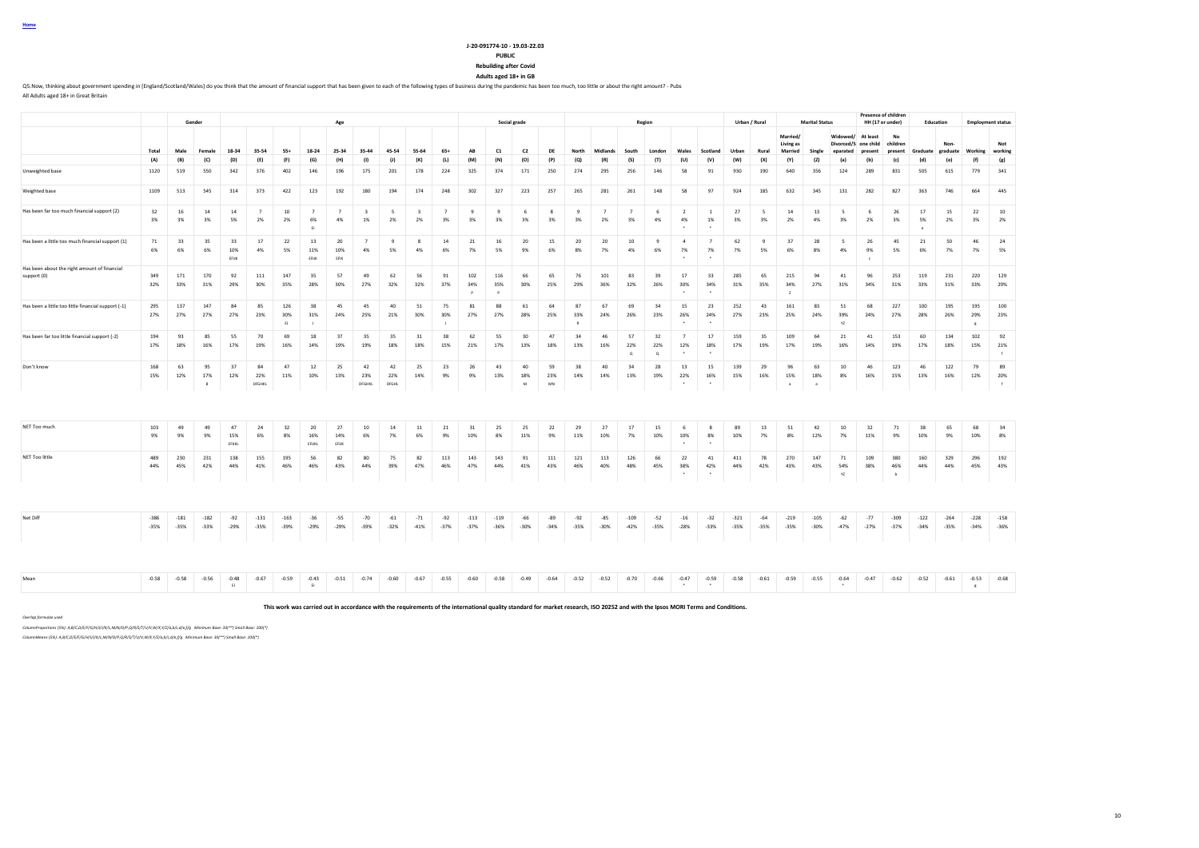### **J-20-091774-10 - 19.03-22.03**

#### **PUBLIC**

**Rebuilding after Covid**

**Adults aged 18+ in GB**

Q5. Now, thinking about government spending in [England/Scotland/Wales] do you think that the amount of financial support that has been given to each of the following types of business during the pandemic has been too much

All Adults aged 18+ in Great Britain

|                                                             |                  |                  | Gender              |                         |                      |                  |                             | Age                  |                               |                    |                               |                      |                  |                  | Social grade               |                  |                 |                      |                       | Region               |                                 |                                   |                  | Urban / Rural      |                                         | <b>Marital Status</b>       |                                              |                     | Presence of children<br>HH (17 or under) | Education              |                  |                            | <b>Employment status</b>  |
|-------------------------------------------------------------|------------------|------------------|---------------------|-------------------------|----------------------|------------------|-----------------------------|----------------------|-------------------------------|--------------------|-------------------------------|----------------------|------------------|------------------|----------------------------|------------------|-----------------|----------------------|-----------------------|----------------------|---------------------------------|-----------------------------------|------------------|--------------------|-----------------------------------------|-----------------------------|----------------------------------------------|---------------------|------------------------------------------|------------------------|------------------|----------------------------|---------------------------|
|                                                             | Total            | Male             | Female              | 18-34                   | 35-54                | 55+              | 18-24                       | 25-34                | 35-44                         | 45-54              | 55-64                         | $65+$                | AB               | C1               | C <sub>2</sub>             | DF               | North           | Midlands             | South                 | London               | Wales                           | Scotland                          | Urban            | Rural              | Married/<br><b>Living as</b><br>Married | Single                      | Widowed/<br>Divorced/S one child<br>enarated | At least<br>oresent | No<br>children<br>present                | Graduate graduate      | Non              | Working                    | Not<br>working            |
|                                                             | (A)              | (B)              | (C)                 | (D)                     | (E)                  | (F)              | (G)                         | (H)                  | (1)                           | (1)                | (K)                           | (L)                  | (M)              | (N)              | (O)                        | (P)              | (Q)             | (R)                  | (S)                   | (T)                  | (U)                             | (V)                               | (W)              | (X)                | (Y)                                     | (2)                         | (a)                                          | (b)                 | (c)                                      | (d)                    | (e)              | (f)                        | (g)                       |
| Unweighted base                                             | 1120             | 519              | 550                 | 342                     | 376                  | 402              | 146                         | 196                  | 175                           | 201                | 178                           | 224                  | 325              | 374              | 171                        | 250              | 274             | 295                  | 256                   | 146                  | 58                              | 91                                | 930              | 190                | 640                                     | 356                         | 124                                          | 289                 | 831                                      | 505                    | 615              | 779                        | 341                       |
| Weighted base                                               | 1109             | 513              | 545                 | 314                     | 373                  | 422              | 123                         | 192                  | 180                           | 194                | 174                           | 248                  | 302              | 327              | 223                        | 257              | 265             | 281                  | 261                   | 148                  | 58                              | 97                                | 924              | 185                | 632                                     | 345                         | 131                                          | 282                 | 827                                      | 363                    | 746              | 664                        | 445                       |
| Has been far too much financial support (2)                 | 32<br>3%         | 16<br>3%         | 14<br>3%            | 14<br>5%                | $\overline{7}$<br>2% | 10<br>2%         | $\overline{7}$<br>6%<br>FL. | $\overline{7}$<br>4% | $\overline{\mathbf{3}}$<br>1% | 5<br>2%            | $\overline{\mathbf{3}}$<br>2% | $\overline{7}$<br>3% | 9<br>3%          | 9<br>3%          | 6<br>3%                    | $^{\circ}$<br>3% | 9<br>3%         | $\overline{7}$<br>2% | $\overline{7}$<br>3%  | 6<br>4%              | $\overline{2}$<br>4%            | $\overline{1}$<br>1%              | 27<br>3%         | 5<br>3%            | $14\,$<br>2%                            | 13<br>4%                    | - 5<br>3%                                    | - 6<br>2%           | 26<br>3%                                 | 17<br>5%<br>$\epsilon$ | 15<br>2%         | 22<br>3%                   | $10\,$<br>2%              |
| Has been a little too much financial support (1)            | 71<br>6%         | 33<br>6%         | 35<br>6%            | 33<br>10%<br>EFUK       | 17<br>4%             | 22<br>5%         | 13<br>11%<br>EFUK           | 20<br>10%<br>EFIK    | $\overline{7}$<br>4%          | $\mathbf{Q}$<br>5% | $\mathbf{\hat{z}}$<br>4%      | 14<br>6%             | 21<br>7%         | 16<br>5%         | 20<br>9%                   | 15<br>6%         | 20<br>8%        | 20<br>7%             | 10<br>4%              | $\mathbf{q}$<br>6%   | $\overline{a}$<br>7%            | $\overline{7}$<br>7%              | 62<br>7%         | $\mathbf{q}$<br>5% | 37<br>6%                                | 28<br>8%                    | $\sim$<br>4%                                 | 26<br>9%            | 45<br>5%                                 | 21<br>6%               | 50<br>7%         | 46<br>7%                   | 24<br>5%                  |
| Has been about the right amount of financial<br>support (0) | 349<br>32%       | 171<br>33%       | 170<br>31%          | 92<br>29%               | 111<br>30%           | 147<br>35%       | 35<br>28%                   | 57<br>30%            | 49<br>27%                     | 62<br>32%          | 56<br>32%                     | 91<br>37%            | 102<br>34%<br>P  | 116<br>35%<br>P  | 66<br>30%                  | 65<br>25%        | 76<br>29%       | 101<br>36%           | 83<br>32%             | 39<br>26%            | 17<br>30%                       | 33<br>34%                         | 285<br>31%       | 65<br>35%          | 215<br>34%<br>$\mathbf{z}$              | 94<br>27%                   | 41<br>31%                                    | 96<br>34%           | 253<br>31%                               | 119<br>33%             | 231<br>31%       | 220<br>33%                 | 129<br>29%                |
| Has been a little too little financial support (-1)         | 295<br>27%       | 137<br>27%       | 147<br>27%          | 84<br>27%               | 85<br>23%            | 126<br>30%<br>E1 | 38<br>31%                   | 45<br>24%            | 45<br>25%                     | 40<br>21%          | 51<br>30%                     | 75<br>30%            | 81<br>27%        | 88<br>27%        | 61<br>28%                  | 64<br>25%        | 87<br>33%       | 67<br>24%            | 69<br>26%             | 34<br>23%            | 15<br>26%                       | 23<br>24%                         | 252<br>27%       | 43<br>23%          | 161<br>25%                              | 83<br>24%                   | 51<br>39%<br>YZ                              | 68<br>24%           | 227<br>27%                               | 100<br>28%             | 195<br>26%       | 195<br>29%<br>$\mathbf{g}$ | 100<br>23%                |
| Has been far too little financial support (-2)              | 194<br>17%       | 93<br>18%        | 85<br>16%           | 55<br>17%               | 70<br>19%            | 69<br>16%        | 18<br>14%                   | 37<br>19%            | 35<br>19%                     | 35<br>18%          | 31<br>18%                     | 38<br>15%            | 62<br>21%        | 55<br>17%        | 30<br>13%                  | 47<br>18%        | 34<br>13%       | 46<br>16%            | 57<br>22%<br>$\alpha$ | 32<br>22%<br>$\circ$ | $\overline{7}$<br>12%<br>$\sim$ | 17<br>18%<br>$\ddot{\phantom{1}}$ | 159<br>17%       | 35<br>19%          | 109<br>17%                              | 64<br>19%                   | 21<br>16%                                    | 41<br>14%           | 153<br>19%                               | 60<br>17%              | 134<br>18%       | 102<br>15%                 | 92<br>21%<br>$\ddot{f}$   |
| Don't know                                                  | 168<br>15%       | 63<br>12%        | 95<br>17%<br>$\,$ B | 37<br>12%               | 84<br>22%<br>DFGHKL  | 47<br>11%        | 12<br>10%                   | 25<br>13%            | 42<br>23%<br>DFGHKL           | 42<br>22%<br>DFGHL | 25<br>14%                     | 23<br>9%             | 26<br>9%         | 43<br>13%        | 40<br>18%<br>${\mathbf M}$ | 59<br>23%<br>MN  | 38<br>14%       | 40<br>14%            | 34<br>13%             | 28<br>19%            | 13<br>22%                       | 15<br>16%                         | 139<br>15%       | 29<br>16%          | 96<br>15%                               | 63<br>18%<br>$\overline{a}$ | 10<br>8%                                     | 46<br>16%           | 123<br>15%                               | 46<br>13%              | 122<br>16%       | 79<br>12%                  | 89<br>20%<br>$\mathbf{f}$ |
|                                                             |                  |                  |                     |                         |                      |                  |                             |                      |                               |                    |                               |                      |                  |                  |                            |                  |                 |                      |                       |                      |                                 |                                   |                  |                    |                                         |                             |                                              |                     |                                          |                        |                  |                            |                           |
| NET Too much                                                | 103<br>9%        | 49<br>9%         | 49<br>9%            | 47<br>15%<br>EFUKL      | 24<br>6%             | 32<br>8%         | 20<br>16%<br>EFUKL          | 27<br>14%<br>EFIJK   | 10<br>6%                      | 14<br>7%           | 11<br>6%                      | 21<br>9%             | 31<br>10%        | 25<br>8%         | 25<br>11%                  | 22<br>9%         | 29<br>11%       | 27<br>10%            | 17<br>7%              | 15<br>10%            | -6<br>10%                       | $^{\circ}$<br>8%                  | 89<br>10%        | 13<br>7%           | 51<br>8%                                | 42<br>12%                   | 10<br>7%                                     | 32<br>11%           | 71<br>9%                                 | 38<br>10%              | 65<br>9%         | 68<br>10%                  | 34<br>8%                  |
| NET Too little                                              | 489<br>44%       | 230<br>45%       | 231<br>42%          | 138<br>44%              | 155<br>41%           | 195<br>46%       | 56<br>46%                   | 82<br>43%            | 80<br>44%                     | 75<br>39%          | 82<br>47%                     | 113<br>46%           | 143<br>47%       | 143<br>44%       | 91<br>41%                  | 111<br>43%       | 121<br>46%      | 113<br>40%           | 126<br>48%            | 66<br>45%            | 22<br>38%                       | 41<br>42%                         | 411<br>44%       | 78<br>42%          | 270<br>43%                              | 147<br>43%                  | 71<br>54%<br>YZ                              | 109<br>38%          | 380<br>46%<br>$\overline{b}$             | 160<br>44%             | 329<br>44%       | 296<br>45%                 | 192<br>43%                |
|                                                             |                  |                  |                     |                         |                      |                  |                             |                      |                               |                    |                               |                      |                  |                  |                            |                  |                 |                      |                       |                      |                                 |                                   |                  |                    |                                         |                             |                                              |                     |                                          |                        |                  |                            |                           |
| Net Diff                                                    | $-386$<br>$-35%$ | $-181$<br>$-35%$ | $-182$<br>$-33%$    | $-92$<br>$-29%$         | $-131$<br>$-35%$     | $-163$<br>$-39%$ | $-36$<br>$-29%$             | $-55$<br>$-29%$      | $-70$<br>$-39%$               | $-61$<br>$-32%$    | $-71$<br>$-41%$               | $-92$<br>$-37%$      | $-113$<br>$-37%$ | $-119$<br>$-36%$ | $-66$<br>$-30%$            | $-89$<br>$-34%$  | $-92$<br>$-35%$ | $-85$<br>$-30%$      | $-109$<br>$-42%$      | $-52$<br>$-35%$      | $-16$<br>$-28%$                 | $-32$<br>$-33%$                   | $-321$<br>$-35%$ | $-64$<br>$-35%$    | $-219$<br>$-35%$                        | $-105$<br>$-30%$            | $-62$<br>$-47%$                              | $-77$<br>$-27%$     | $-309$<br>$-37%$                         | $-122$<br>$-34%$       | $-264$<br>$-35%$ | $-228$<br>$-34%$           | $-158$<br>$-36%$          |
|                                                             |                  |                  |                     |                         |                      |                  |                             |                      |                               |                    |                               |                      |                  |                  |                            |                  |                 |                      |                       |                      |                                 |                                   |                  |                    |                                         |                             |                                              |                     |                                          |                        |                  |                            |                           |
| Mean                                                        | $-0.58$          | $-0.58$          | $-0.56$             | $-0.48$<br>$\mathbb{H}$ | $-0.67$              | $-0.59$          | $-0.43$<br>E                | $-0.51$              | $-0.74$                       | $-0.60$            | $-0.67$                       | $-0.55$              | $-0.60$          | $-0.58$          | $-0.49$                    | $-0.64$          | $-0.52$         | $-0.52$              | $-0.70$               | $-0.66$              | $-0.47$                         | $-0.59$                           | $-0.58$          | $-0.61$            | $-0.59$                                 | $-0.55$                     | $-0.64$                                      | $-0.47$             | $-0.62$                                  | $-0.52$                | $-0.61$          | $-0.53$<br>$_{\rm g}$      | $-0.68$                   |
|                                                             |                  |                  |                     |                         |                      |                  |                             |                      |                               |                    |                               |                      |                  |                  |                            |                  |                 |                      |                       |                      |                                 |                                   |                  |                    |                                         |                             |                                              |                     |                                          |                        |                  |                            |                           |

**This work was carried out in accordance with the requirements of the international quality standard for market research, ISO 20252 and with the Ipsos MORI Terms and Conditions.**

*Overlap formulae used*

*ColumnProportions (5%): A,B/C,D/E/F/G/H/I/J/K/L,M/N/O/P,Q/R/S/T/U/V,W/X,Y/Z/a,b/c,d/e,f/g Minimum Base: 30(\*\*) Small Base: 100(\*)*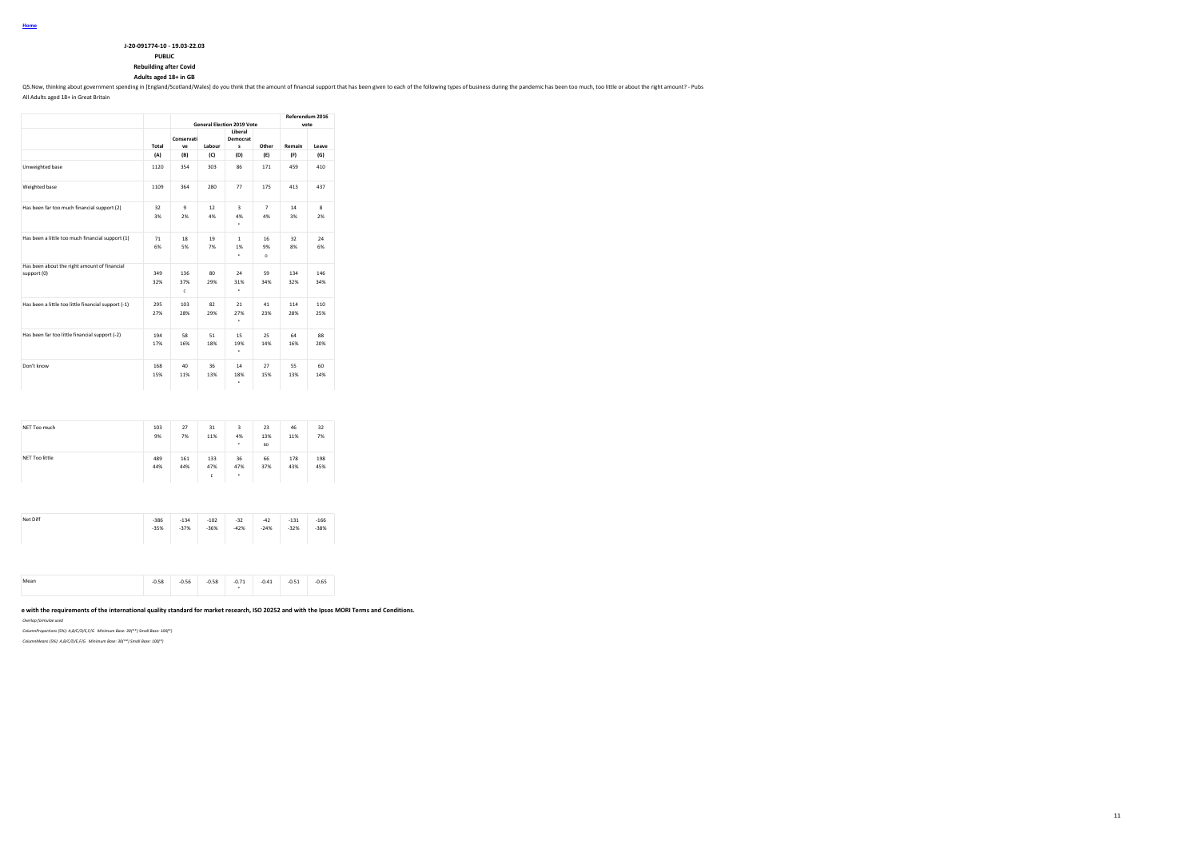| J-20-091774-10 - 19.03-22.03 |  |
|------------------------------|--|
|                              |  |

# **PUBLIC**

**Rebuilding after Covid**

**Adults aged 18+ in GB**

Q5. Now, thinking about government spending in [England/Scotland/Wales] do you think that the amount of financial support that has been given to each of the following types of business during the pandemic has been too much

All Adults aged 18+ in Great Britain

|                                                             |            |                  |                        | <b>General Election 2019 Vote</b> |                      | Referendum 2016<br>vote |            |
|-------------------------------------------------------------|------------|------------------|------------------------|-----------------------------------|----------------------|-------------------------|------------|
|                                                             | Total      | Conservati<br>ve | Labour                 | Liberal<br>Democrat<br>s          | Other                | Remain                  | Leave      |
|                                                             | (A)        | (B)              | (C)                    | (D)                               | (E)                  | (F)                     | (G)        |
| Unweighted base                                             | 1120       | 354              | 303                    | 86                                | 171                  | 459                     | 410        |
| Weighted base                                               | 1109       | 364              | 280                    | 77                                | 175                  | 413                     | 437        |
| Has been far too much financial support (2)                 | 32<br>3%   | ۹<br>2%          | 12<br>4%               | 3<br>4%<br>٠                      | $\overline{7}$<br>4% | 14<br>3%                | 8<br>2%    |
| Has been a little too much financial support (1)            | 71<br>6%   | 18<br>5%         | 19<br>7%               | 1<br>1%<br>٠                      | 16<br>9%<br>n.       | 32<br>8%                | 24<br>6%   |
| Has been about the right amount of financial<br>support (0) | 349<br>32% | 136<br>37%<br>c  | 80 <sub>1</sub><br>29% | 24<br>31%<br>٠                    | 59<br>34%            | 134<br>32%              | 146<br>34% |
| Has been a little too little financial support (-1)         | 295<br>27% | 103<br>28%       | 82<br>29%              | 21<br>27%<br>٠                    | 41<br>23%            | 114<br>28%              | 110<br>25% |
| Has been far too little financial support (-2)              | 194<br>17% | 58<br>16%        | 51<br>18%              | 15<br>19%<br>٠                    | 25<br>14%            | 64<br>16%               | 88<br>20%  |
| Don't know                                                  | 168<br>15% | 40<br>11%        | 36<br>13%              | 14<br>18%<br>۰                    | 27<br>15%            | 55<br>13%               | 60<br>14%  |

| 9%<br>7%<br>11%<br>4%<br>7%<br>13%<br>11%<br>٠<br><b>BD</b><br>36<br>489<br>161<br>66<br>133<br>178<br>198<br>44%<br>44%<br>47%<br>37%<br>47%<br>43%<br>45%<br>٠<br>Ε<br>$-386$<br>$-102$<br>$-32$<br>$-166$<br>$-134$<br>$-42$<br>$-131$<br>$-38%$<br>$-35%$<br>$-37%$<br>$-36%$<br>$-42%$<br>$-24%$<br>$-32%$ | NET Too much          | 103 | 27 | 31 | 3 | 23 | 46 | 32 |
|-----------------------------------------------------------------------------------------------------------------------------------------------------------------------------------------------------------------------------------------------------------------------------------------------------------------|-----------------------|-----|----|----|---|----|----|----|
|                                                                                                                                                                                                                                                                                                                 |                       |     |    |    |   |    |    |    |
|                                                                                                                                                                                                                                                                                                                 | <b>NET Too little</b> |     |    |    |   |    |    |    |
|                                                                                                                                                                                                                                                                                                                 |                       |     |    |    |   |    |    |    |
|                                                                                                                                                                                                                                                                                                                 |                       |     |    |    |   |    |    |    |
|                                                                                                                                                                                                                                                                                                                 |                       |     |    |    |   |    |    |    |
|                                                                                                                                                                                                                                                                                                                 |                       |     |    |    |   |    |    |    |
|                                                                                                                                                                                                                                                                                                                 | Net Diff              |     |    |    |   |    |    |    |
|                                                                                                                                                                                                                                                                                                                 |                       |     |    |    |   |    |    |    |

**This work was carried out in accordance with the requirements of the international quality standard for market research, ISO 20252 and with the Ipsos MORI Terms and Conditions.**

*Overlap formulae used*

*ColumnProportions (5%): A,B/C/D/E,F/G Minimum Base: 30(\*\*) Small Base: 100(\*)*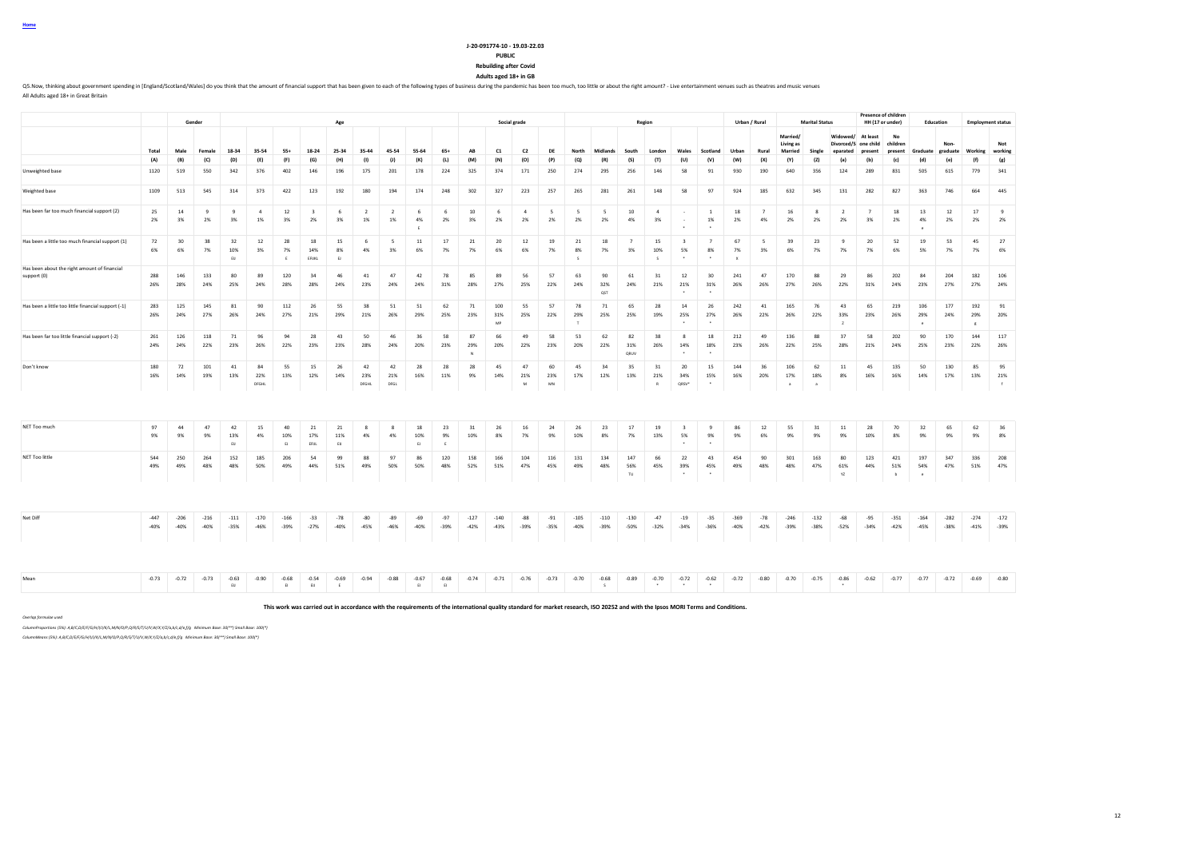#### **J-20-091774-10 - 19.03-22.03**

### **PUBLIC**

**Rebuilding after Covid Adults aged 18+ in GB**

OS Now, thinking about government sognding in [England/Scotland/Wales] do you think that the amount of financial support that has been given to each of the following types of business during the andemic has been too much, All Adults aged 18+ in Great Britain

**Gender Age Social grade Region Urban / Rural Marital Status Presence of children HH (17 or under) Education Employment status** Total Male Female 18-34 35-54 55+ 18-24 25-34 35-44 45-54 55-64 65+ AB C1 C2 DE North Midlands South London Wales Scotland Urban Rural **Married/ Living as Married Single Widowed/ At least Divorced/S eparated one child present children present Graduate No Non-graduate Working Not working** (A) (B) (C) (D) (E) (F) (G) (H) (I) (J) (K) (L) (M) (N) (O) (P) (Q) (R) (S) (T) (U) (V) (W) (X) (Y) (Z) (a) (b) (c) (d) (e) (t) (g) Unweighted base 1120 519 550 342 376 402 146 196 175 201 178 224 325 374 171 250 274 295 256 146 58 91 930 190 640 356 124 289 831 505 615 779 341 Weighted base 1109 513 545 314 373 422 123 192 180 194 174 248 302 327 223 257 265 281 261 148 58 97 924 185 632 345 131 282 827 363 746 664 445 Has been far too much financial support (2) 25 14 9 9 4 12 3 6 2 2 6 6 10 6 4 5 5 5 10 4 - 1 18 7 16 8 2 7 18 13 12 17 9 2% 3% 2% 3% 1% 3% 2% 3% 1% 1% 4% 2% 3% 2% 2% 2% 2% 2% 4% 3% - 1% 2% 4% 2% 2% 2% 3% 2% 4% 2% 2% 2% E terms and the second control of the second control of the second control of the second control of the second Has been a little too much financial support (1) | 72 | 30 | 38 | 32 | 12 | 28 | 18 | 15 | 6 | 5 | 11 | 17 | 21 | 20 | 12 | 21 | 18 | 7 | 15 | 3 | 7 | 67 | 5 | 39 | 23 | 9 | 20 | 52 | 19 | 53 | 45 | 27 6% 6% 7% 10% 3% 7% 14% 8% 4% 3% 6% 7% 7% 6% 6% 7% 8% 7% 3% 10% 5% 8% 7% 3% 6% 7% 7% 7% 6% 5% 7% 7% 6% EIJ E EFIJKL EJ S S \* \* X Has been about the right amount of financial<br>sunnort (0) support (0) 288 146 133 80 89 120 34 46 41 47 42 78 85 89 56 57 63 90 61 31 12 30 241 47 170 88 29 86 202 84 204 182 106 26% 28% 24% 25% 24% 28% 28% 24% 23% 24% 24% 31% 28% 27% 25% 22% 24% 32% 24% 21% 21% 31% 26% 26% 27% 26% 22% 31% 24% 23% 27% 27% 24% QST \* \* Has been a little too little financial support (-1) 283 125 145 81 90 112 26 55 38 51 51 62 71 100 55 57 78 71 65 28 14 26 242 41 165 76 43 65 219 106 177 192 91 26% 24% 27% 26% 24% 27% 21% 29% 21% 26% 29% 25% 23% 31% 25% 22% 29% 25% 25% 19% 25% 27% 26% 22% 26% 22% 33% 23% 26% 29% 24% 29% 20% MP to a set of the set of the set of the set of the set of the set of the set of the set of the set of the set of the set of the set of the set of the set of the set of the set of the set of the set of the set of the set Has been far too little financial support (-2) 261 126 118 71 96 94 28 43 50 46 36 58 87 66 49 58 53 62 82 38 8 18 212 49 136 88 37 58 202 90 170 144 117 24% 24% 22% 23% 26% 22% 23% 23% 28% 24% 20% 23% 29% 20% 22% 23% 20% 22% 31% 26% 14% 18% 23% 26% 22% 25% 28% 21% 24% 25% 23% 22% 26% N QRUV  $\qquad \qquad \bullet$ Don't know 180 72 101 41 84 55 15 26 42 42 28 28 28 45 47 60 45 34 35 31 20 15 144 36 106 62 11 45 135 50 130 85 95 16% 14% 19% 13% 22% 13% 12% 14% 23% 21% 16% 11% 9% 14% 21% 23% 17% 12% 13% 21% 34% 15% 16% 20% 17% 18% 8% 16% 16% 14% 17% 13% 21% DFGHL I DFGHL DFGL I I M MN RM I R QRSV\* \* I a a fl i f NET Too much 97 44 47 42 15 40 21 21 8 8 18 23 31 26 16 24 26 23 17 19 3 9 86 12 55 31 11 28 70 32 65 62 36 9% 9% 9% 13% 4% 10% 17% 11% 4% 4% 10% 9% 10% 8% 7% 9% 10% 8% 7% 13% 5% 9% 9% 6% 9% 9% 9% 10% 8% 9% 9% 9% 8% EIJ EJ EFIJL EIJ EJ E \* \* NET Too little 544 250 264 152 185 206 54 99 88 97 86 120 158 166 104 116 131 134 147 66 22 43 454 90 301 163 80 123 421 197 347 336 208 49% 49% 48% 48% 50% 49% 44% 51% 49% 50% 50% 48% 52% 51% 47% 45% 49% 48% 56% 45% 39% 45% 49% 48% 48% 47% 61% 44% 51% 54% 47% 51% 47% TU \* \* YZ b e Net Diff -447 -206 -216 -111 -170 -166 -33 -78 -80 -89 -69 -97 -127 -140 -88 -91 -105 -110 -130 -47 -19 -35 -369 -78 -246 -132 -68 -95 -351 -164 -282 -274 -172 -40% -40% -40% -35% -46% -39% -27% -40% -45% -46% -40% -39% -42% -43% -39% -35% -40% -39% -50% -32% -34% -36% -40% -42% -39% -38% -52% -34% -42% -45% -38% -41% -39% Mean -0.73 -0.73 -0.53 -0.90 -0.68 -0.94 -0.89 -0.94 -0.88 -0.69 -0.74 -0.71 -0.74 -0.73 -0.70 -0.79 -0.70 -0.79 -0.70 -0.70 -0.70 -0.70 -0.70 -0.72 -0.89 -0.80 -0.71 -0.77 -0.77 -0.79 -0.89 -0.80 -0.92 -0.89 -0.90 -0.72 -EIJ EI EIJ E EI EI S \* \* \* \*

**This work was carried out in accordance with the requirements of the international quality standard for market research, ISO 20252 and with the Ipsos MORI Terms and Conditions.**

*Overlap formulae used*

*ColumnProportions (5%): A,B/C,D/E/F/G/H/I/J/K/L,M/N/O/P,Q/R/S/T/U/V,W/X,Y/Z/a,b/c,d/e,f/g Minimum Base: 30(\*\*) Small Base: 100(\*)*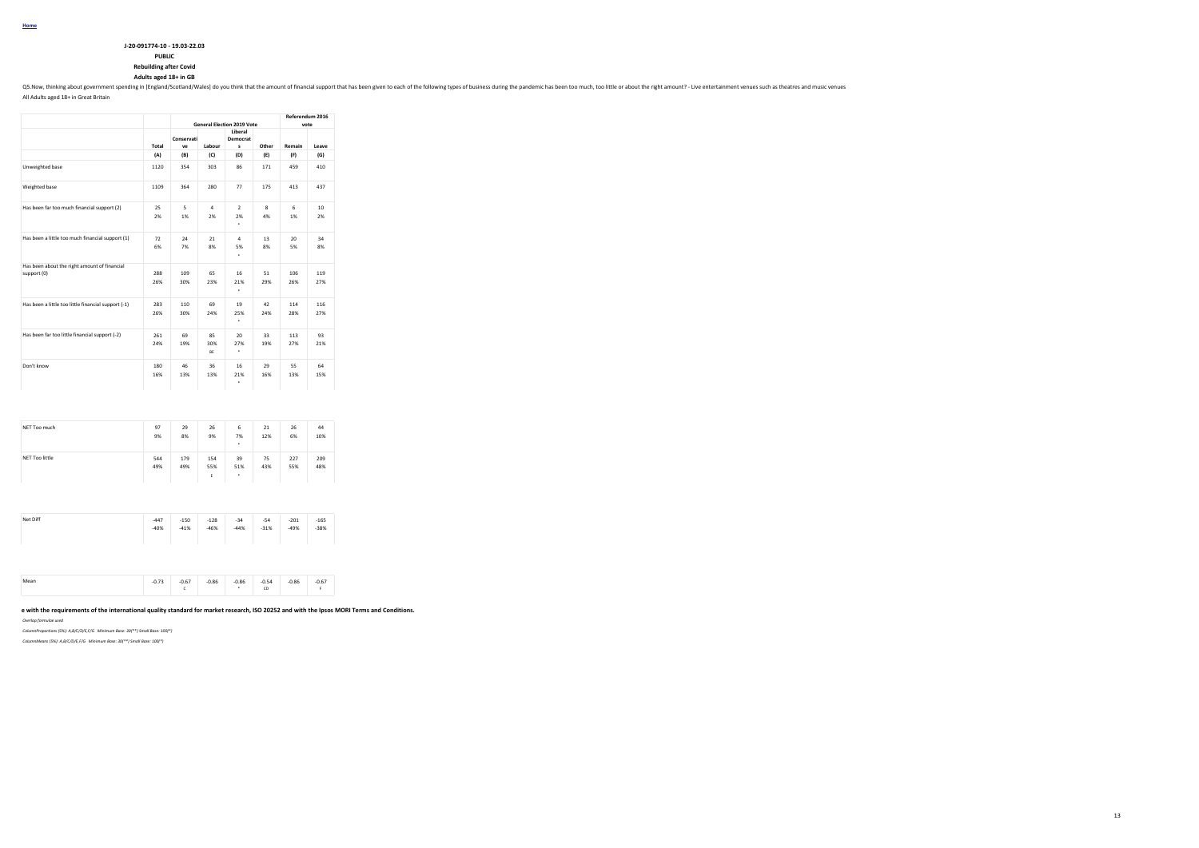| J-20-091774-10 - 19.03-22.03 |  |
|------------------------------|--|
| -------                      |  |

# **PUBLIC**

**Rebuilding after Covid**

**Adults aged 18+ in GB**

Q5. Now, thinking about government spending in [England/Scotland/Wales] do you think that the amount of financial support that has been given to each of the following types of business during the pandemic has been too much

All Adults aged 18+ in Great Britain

|                                                             |            |                  |                        | <b>General Election 2019 Vote</b> |                    | Referendum 2016<br>vote |                       |
|-------------------------------------------------------------|------------|------------------|------------------------|-----------------------------------|--------------------|-------------------------|-----------------------|
|                                                             | Total      | Conservati<br>ve | Labour                 | Liberal<br>Democrat<br>s          | Other              | Remain                  | Leave                 |
|                                                             | (A)        | (B)              | (C)                    | (D)                               | (E)                | (F)                     | (G)                   |
| Unweighted base                                             | 1120       | 354              | 303                    | 86                                | 171                | 459                     | 410                   |
| Weighted base                                               | 1109       | 364              | 280                    | 77                                | 175                | 413                     | 437                   |
| Has been far too much financial support (2)                 | 25<br>2%   | 5<br>1%          | $\overline{a}$<br>2%   | $\mathcal{P}$<br>2%<br>٠          | $\mathbf{R}$<br>4% | 6<br>1%                 | 10 <sup>1</sup><br>2% |
| Has been a little too much financial support (1)            | 72<br>6%   | 24<br>7%         | 21<br>8%               | 4<br>5%<br>٠                      | 13<br>8%           | 20 <sub>0</sub><br>5%   | 34<br>8%              |
| Has been about the right amount of financial<br>support (0) | 288<br>26% | 109<br>30%       | 65<br>23%              | 16<br>21%<br>٠                    | 51<br>29%          | 106<br>26%              | 119<br>27%            |
| Has been a little too little financial support (-1)         | 283<br>26% | 110<br>30%       | 69<br>24%              | 19<br>25%<br>٠                    | 42<br>24%          | 114<br>28%              | 116<br>27%            |
| Has been far too little financial support (-2)              | 261<br>24% | 69<br>19%        | 85<br>30%<br><b>RF</b> | 20<br>27%<br>٠                    | 33<br>19%          | 113<br>27%              | 93<br>21%             |
| Don't know                                                  | 180<br>16% | 46<br>13%        | 36<br>13%              | 16<br>21%<br>٠                    | 29<br>16%          | 55<br>13%               | 64<br>15%             |

| NET Too much          | 97         | 29         | 26         | 6         | 21        | 26         | 44         |
|-----------------------|------------|------------|------------|-----------|-----------|------------|------------|
|                       | 9%         | 8%         | 9%         | 7%<br>٠   | 12%       | 6%         | 10%        |
| <b>NET Too little</b> | 544<br>49% | 179<br>49% | 154<br>55% | 39<br>51% | 75<br>43% | 227<br>55% | 209<br>48% |
|                       |            |            | E          | ٠         |           |            |            |
|                       |            |            |            |           |           |            |            |
|                       | $-447$     | $-150$     | $-128$     | $-34$     | $-54$     | $-201$     | $-165$     |
| Net Diff              | $-40%$     | $-41%$     | $-46%$     | $-44%$    | $-31%$    | $-49%$     | $-38%$     |
|                       |            |            |            |           |           |            |            |

| Moze<br> | 0.72<br>$-0.75$<br>$\cdots$ | $-0.86$<br>-0.67 | -0.86 | $-0.54$<br>CD | $-0.86$ | $-0.67$ |
|----------|-----------------------------|------------------|-------|---------------|---------|---------|
|----------|-----------------------------|------------------|-------|---------------|---------|---------|

e with the requirements of the international quality standard for market research, ISO 20252 and with the Ipsos MORI Terms and Conditions.

*Overlap formulae used*

*ColumnProportions (5%): A,B/C/D/E,F/G Minimum Base: 30(\*\*) Small Base: 100(\*)*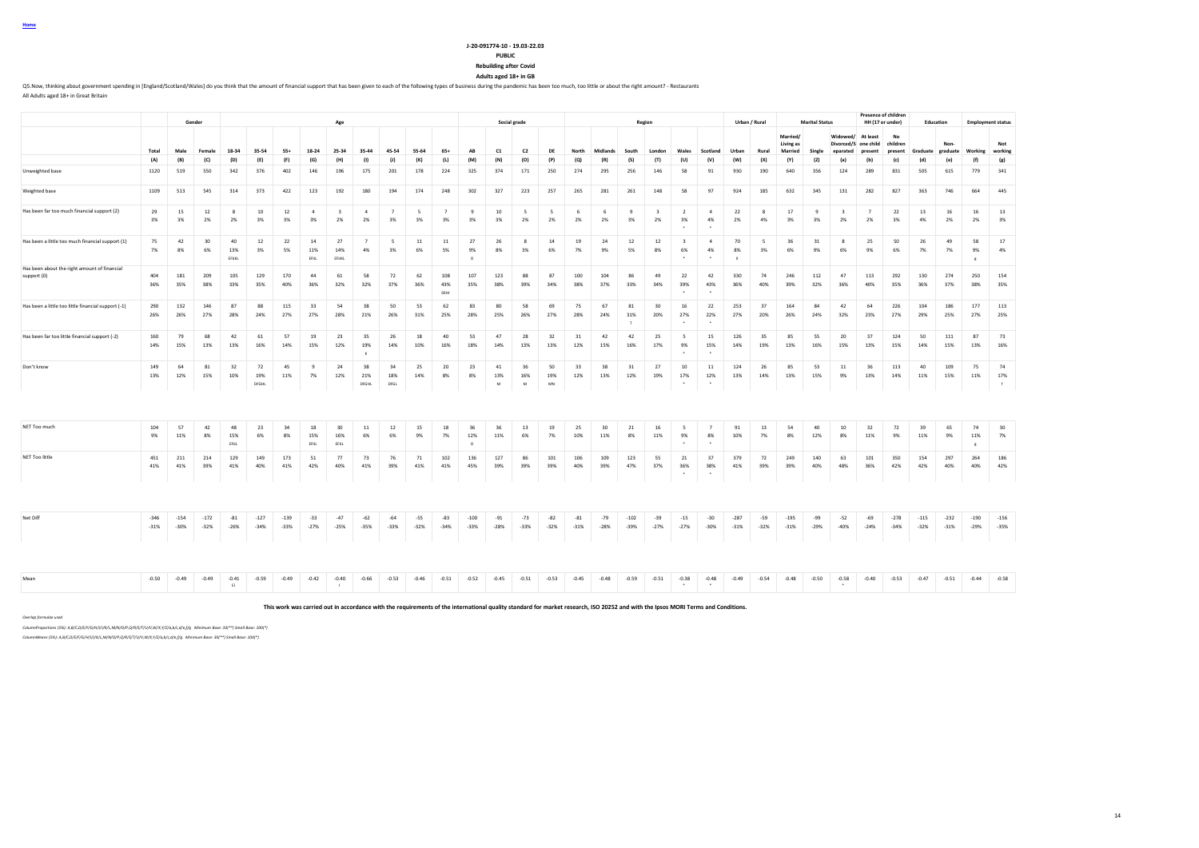# **J-20-091774-10 - 19.03-22.03**

# **PUBLIC**

**Rebuilding after Covid Adults aged 18+ in GB**

Q5. Now, thinking about government spending in [England/Scotland/Wales] do you think that the amount of financial support that has been given to each of the following types of business during the pandemic has been too much

All Adults aged 18+ in Great Britain

|                                                             |                  |                  | Gender           |                    |                    |                  |                      | Age                           |                       |                      |                                |                      |                      | Social grade               |                            |                 |                 |                 |                           | Region                        |                                         |                                 | Urban / Rural            |                                |                                  | <b>Marital Status</b> |                                              | <b>Presence of children</b><br>HH (17 or under) |                           | Education         |                  |                          | <b>Employment status</b> |
|-------------------------------------------------------------|------------------|------------------|------------------|--------------------|--------------------|------------------|----------------------|-------------------------------|-----------------------|----------------------|--------------------------------|----------------------|----------------------|----------------------------|----------------------------|-----------------|-----------------|-----------------|---------------------------|-------------------------------|-----------------------------------------|---------------------------------|--------------------------|--------------------------------|----------------------------------|-----------------------|----------------------------------------------|-------------------------------------------------|---------------------------|-------------------|------------------|--------------------------|--------------------------|
|                                                             | Total            | Male             | Female           | 18-34              | 35-54              | 55+              | 18-24                | 25-34                         | 35-44                 | 45-54                | 55-64                          | 65+                  | AB                   | C1                         | C <sub>2</sub>             | DE              | North           | Midlands        | South                     | London                        | Wales                                   | Scotland                        | Urban                    | Rural                          | Married/<br>Living as<br>Married | Single                | Widowed/<br>Divorced/S one child<br>eparated | At least<br>present                             | No<br>children<br>present | Graduate graduate | Non-             | Working                  | Not<br>working           |
|                                                             | (A)              | (B)              | (C)              | (D)                | (E)                | (F)              | (G)                  | (H)                           | (1)                   | (1)                  | (K)                            | (L)                  | (M)                  | (N)                        | (O)                        | (P)             | (Q)             | (R)             | (S)                       | (T)                           | (U)                                     | (V)                             | (W)                      | (X)                            | (Y)                              | (Z)                   | (a)                                          | (b)                                             | (c)                       | (d)               | (e)              | (f)                      | (g)                      |
| Unweighted base                                             | 1120             | 519              | 550              | 342                | 376                | 402              | 146                  | 196                           | 175                   | 201                  | 178                            | 224                  | 325                  | 374                        | 171                        | 250             | 274             | 295             | 256                       | 146                           | 58                                      | 91                              | 930                      | 190                            | 640                              | 356                   | 124                                          | 289                                             | 831                       | 505               | 615              | 779                      | 341                      |
| Weighted base                                               | 1109             | 513              | 545              | 314                | 373                | 422              | 123                  | 192                           | 180                   | 194                  | 174                            | 248                  | 302                  | 327                        | 223                        | 257             | 265             | 281             | 261                       | 148                           | 58                                      | 97                              | 924                      | 185                            | 632                              | 345                   | 131                                          | 282                                             | 827                       | 363               | 746              | 664                      | 445                      |
| Has been far too much financial support (2)                 | 29<br>3%         | 15<br>3%         | 12<br>2%         | 8<br>2%            | 10<br>3%           | 12<br>3%         | $\overline{4}$<br>3% | $\overline{\mathbf{3}}$<br>2% | $\overline{4}$<br>2%  | $\overline{7}$<br>3% | $\overline{\phantom{a}}$<br>3% | $\overline{7}$<br>3% | 9<br>3%              | 10<br>3%                   | 5<br>2%                    | 5<br>2%         | 6<br>2%         | 6<br>2%         | 9<br>3%                   | $\overline{\mathbf{3}}$<br>2% | $\overline{2}$<br>3%                    | $\overline{4}$<br>4%            | 22<br>2%                 | 8<br>4%                        | 17<br>3%                         | 9<br>3%               | $\overline{\mathbf{3}}$<br>2%                | $\overline{7}$<br>2%                            | 22<br>3%                  | 13<br>4%          | 16<br>2%         | 16<br>2%                 | 13<br>3%                 |
| Has been a little too much financial support (1)            | 75<br>7%         | 42<br>8%         | 30<br>6%         | 40<br>13%<br>FEIRL | 12<br>3%           | 22<br>5%         | 14<br>11%<br>EFIJL   | 27<br>14%<br>EFUKL            | $\overline{7}$<br>4%  | 5<br>3%              | $11\,$<br>6%                   | $11\,$<br>5%         | 27<br>9%<br>$\Omega$ | 26<br>8%                   | 8<br>3%                    | 14<br>6%        | 19<br>7%        | 24<br>9%        | 12<br>5%                  | 12<br>8%                      | $\overline{\mathbf{3}}$<br>6%<br>$\sim$ | $\overline{4}$<br>4%            | 70<br>8%<br>$\mathbf{x}$ | $\overline{\phantom{a}}$<br>3% | 36<br>6%                         | 31<br>9%              | $\mathbf{R}$<br>6%                           | 25<br>9%                                        | 50<br>6%                  | 26<br>7%          | 49<br>7%         | 58<br>9%                 | 17<br>4%                 |
| Has been about the right amount of financial<br>support (0) | 404<br>36%       | 181<br>35%       | 209<br>38%       | 105<br>33%         | 129<br>35%         | 170<br>40%       | 44<br>36%            | 61<br>32%                     | 58<br>32%             | 72<br>37%            | 62<br>36%                      | 108<br>43%<br>DEHI   | 107<br>35%           | 123<br>38%                 | 88<br>39%                  | 87<br>34%       | 100<br>38%      | 104<br>37%      | 86<br>33%                 | 49<br>34%                     | 22<br>39%<br>$\ddot{\phantom{1}}$       | 42<br>43%                       | 330<br>36%               | 74<br>40%                      | 246<br>39%                       | 112<br>32%            | 47<br>36%                                    | 113<br>40%                                      | 292<br>35%                | 130<br>36%        | 274<br>37%       | 250<br>38%               | 154<br>35%               |
| Has been a little too little financial support (-1)         | 290<br>26%       | 132<br>26%       | 146<br>27%       | 87<br>28%          | 88<br>24%          | 115<br>27%       | 33<br>27%            | 54<br>28%                     | 38<br>21%             | 50<br>26%            | 53<br>31%                      | 62<br>25%            | 83<br>28%            | 80<br>25%                  | 58<br>26%                  | 69<br>27%       | 75<br>28%       | 67<br>24%       | 81<br>31%<br>$\mathbf{r}$ | 30<br>20%                     | 16<br>27%                               | 22<br>22%                       | 253<br>27%               | 37<br>20%                      | 164<br>26%                       | 84<br>24%             | 42<br>32%                                    | 64<br>23%                                       | 226<br>27%                | 104<br>29%        | 186<br>25%       | 177<br>27%               | 113<br>25%               |
| Has been far too little financial support (-2)              | 160<br>14%       | 79<br>15%        | 68<br>13%        | 42<br>13%          | 61<br>16%          | 57<br>14%        | 19<br>15%            | 23<br>12%                     | 35<br>19%<br>$\kappa$ | 26<br>14%            | 18<br>10%                      | 40<br>16%            | 53<br>18%            | 47<br>14%                  | 28<br>13%                  | 32<br>13%       | 31<br>12%       | 42<br>15%       | 42<br>16%                 | 25<br>17%                     | $\sim$<br>9%                            | 15<br>15%                       | 126<br>14%               | 35<br>19%                      | 85<br>13%                        | 55<br>16%             | 20<br>15%                                    | 37<br>13%                                       | 124<br>15%                | 50<br>14%         | 111<br>15%       | 87<br>13%                | 73<br>16%                |
| Don't know                                                  | 149<br>13%       | 64<br>12%        | 81<br>15%        | 32<br>10%          | 72<br>19%<br>DFGHL | 45<br>11%        | $\overline{9}$<br>7% | 24<br>12%                     | 38<br>21%<br>DFGHL    | 34<br>18%<br>DFGL    | 25<br>14%                      | 20<br>8%             | 23<br>8%             | 41<br>13%<br>${\mathsf M}$ | 36<br>16%<br>${\mathbf M}$ | 50<br>19%<br>MN | 33<br>12%       | 38<br>13%       | 31<br>12%                 | 27<br>19%                     | 10<br>17%                               | 11<br>12%                       | 124<br>13%               | 26<br>14%                      | 85<br>13%                        | 53<br>15%             | 11<br>9%                                     | 36<br>13%                                       | 113<br>14%                | 40<br>11%         | 109<br>15%       | 75<br>11%                | 74<br>17%<br>f           |
| NET Too much                                                | 104<br>9%        | 57<br>11%        | 42<br>8%         | 48<br>15%<br>FRU.  | 23<br>6%           | 34<br>8%         | 18<br>15%<br>FRU.    | 30<br>16%<br>FELL             | 11<br>6%              | 12<br>6%             | 15<br>9%                       | 18<br>7%             | 36<br>12%<br>$\circ$ | 36<br>11%                  | 13<br>6%                   | 19<br>7%        | 25<br>10%       | 30<br>11%       | 21<br>8%                  | 16<br>11%                     | 5<br>9%                                 | $\overline{7}$<br>8%            | 91<br>10%                | 13<br>7%                       | 54<br>8%                         | 40<br>12%             | 10<br>8%                                     | 32<br>11%                                       | 72<br>9%                  | 39<br>11%         | 65<br>9%         | 74<br>11%                | 30<br>7%                 |
| NET Too little                                              | 451<br>41%       | 211<br>41%       | 214<br>39%       | 129<br>41%         | 149<br>40%         | 173<br>41%       | 51<br>42%            | 77<br>40%                     | 73<br>41%             | 76<br>39%            | 71<br>41%                      | 102<br>41%           | 136<br>45%           | 127<br>39%                 | 86<br>39%                  | 101<br>39%      | 106<br>40%      | 109<br>39%      | 123<br>47%                | 55<br>37%                     | 21<br>36%                               | 37<br>38%                       | 379<br>41%               | 72<br>39%                      | 249<br>39%                       | 140<br>40%            | 63<br>48%                                    | 101<br>36%                                      | 350<br>42%                | 154<br>42%        | 297<br>40%       | $_{\rm g}$<br>264<br>40% | 186<br>42%               |
|                                                             |                  |                  |                  |                    |                    |                  |                      |                               |                       |                      |                                |                      |                      |                            |                            |                 |                 |                 |                           |                               |                                         |                                 |                          |                                |                                  |                       |                                              |                                                 |                           |                   |                  |                          |                          |
| Net Diff                                                    | $-346$<br>$-31%$ | $-154$<br>$-30%$ | $-172$<br>$-32%$ | $-81$<br>$-26%$    | $-127$<br>$-34%$   | $-139$<br>$-33%$ | $-33$<br>$-27%$      | $-47$<br>$-25%$               | $-62$<br>$-35%$       | $-64$<br>$-33%$      | $-55$<br>$-32%$                | $-83$<br>$-34%$      | $-100$<br>$-33%$     | $-91$<br>$-28%$            | $-73$<br>$-33%$            | $-82$<br>$-32%$ | $-81$<br>$-31%$ | $-79$<br>$-28%$ | $-102$<br>$-39%$          | $-39$<br>$-27%$               | $-15$<br>$-27%$                         | $-30$<br>$-30%$                 | $-287$<br>$-31%$         | $-59$<br>$-32%$                | $-195$<br>$-31%$                 | $-99$<br>$-29%$       | $-52$<br>$-40%$                              | $-69$<br>$-24%$                                 | $-278$<br>$-34%$          | $-115$<br>$-32%$  | $-232$<br>$-31%$ | $-190$<br>$-29%$         | $-156$<br>$-35%$         |
|                                                             |                  |                  |                  |                    |                    |                  |                      |                               |                       |                      |                                |                      |                      |                            |                            |                 |                 |                 |                           |                               |                                         |                                 |                          |                                |                                  |                       |                                              |                                                 |                           |                   |                  |                          |                          |
| Mean                                                        | $-0.50$          | $-0.49$          | $-0.49$          | $-0.41$<br>E1      | $-0.59$            | $-0.49$          | $-0.42$              | $-0.40$<br>$\mathbf{I}$       | $-0.66$               | $-0.53$              | $-0.46$                        | $-0.51$              | $-0.52$              | $-0.45$                    | $-0.51$                    | $-0.53$         | $-0.45$         | $-0.48$         | $-0.59$                   | $-0.51$                       | $-0.38$<br>$\ddot{\phantom{1}}$         | $-0.48$<br>$\ddot{\phantom{1}}$ | $-0.49$                  | $-0.54$                        | $-0.48$                          | $-0.50$               | $-0.58$                                      | $-0.40$                                         | $-0.53$                   | $-0.47$           | $-0.51$          | $-0.44$                  | $-0.58$                  |

**This work was carried out in accordance with the requirements of the international quality standard for market research, ISO 20252 and with the Ipsos MORI Terms and Conditions.**

*Overlap formulae used*

*ColumnProportions (5%): A,B/C,D/E/F/G/H/I/J/K/L,M/N/O/P,Q/R/S/T/U/V,W/X,Y/Z/a,b/c,d/e,f/g Minimum Base: 30(\*\*) Small Base: 100(\*)*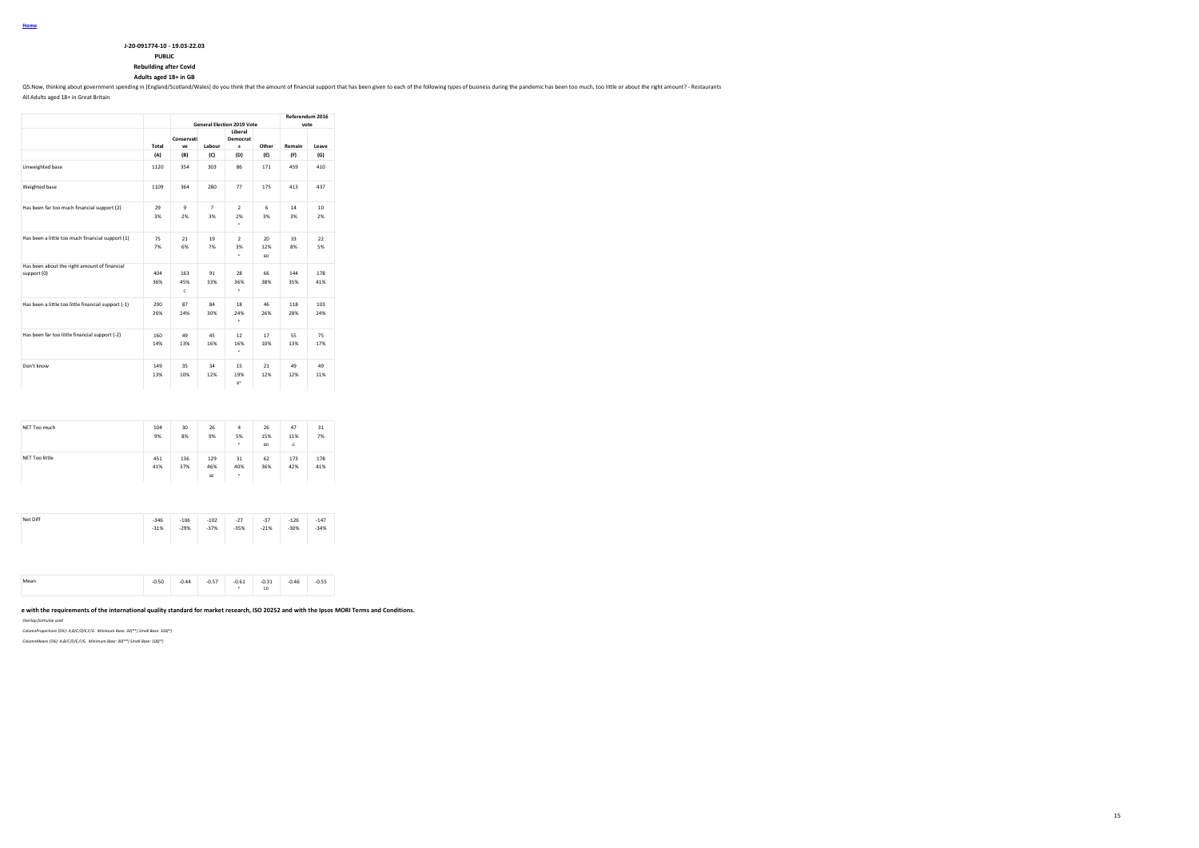| J-20-091774-10 - 19.03-22.03 |
|------------------------------|
| <b>DUDIT</b>                 |

# **PUBLIC**

**Rebuilding after Covid Adults aged 18+ in GB**

Q5. Now, thinking about government spending in [England/Scotland/Wales] do you think that the amount of financial support that has been given to each of the following types of business during the pandemic has been too much

All Adults aged 18+ in Great Britain

|                                                             |            |                    |                      | <b>General Election 2019 Vote</b> |                               | Referendum 2016 | vote                   |
|-------------------------------------------------------------|------------|--------------------|----------------------|-----------------------------------|-------------------------------|-----------------|------------------------|
|                                                             | Total      | Conservati<br>ve   | Labour               | Liberal<br>Democrat<br>s          | Other                         | Remain          | Leave                  |
|                                                             | (A)        | (B)                | (C)                  | (D)                               | (E)                           | (F)             | (G)                    |
| Unweighted base                                             | 1120       | 354                | 303                  | 86                                | 171                           | 459             | 410                    |
| Weighted base                                               | 1109       | 364                | 280                  | 77                                | 175                           | 413             | 437                    |
| Has been far too much financial support (2)                 | 29<br>3%   | $\mathbf{Q}$<br>2% | $\overline{7}$<br>3% | $\overline{a}$<br>2%<br>٠         | 6<br>3%                       | 14<br>3%        | 10 <sub>10</sub><br>2% |
| Has been a little too much financial support (1)            | 75<br>7%   | 21<br>6%           | 19<br>7%             | $\overline{2}$<br>3%<br>٠         | 20 <sub>0</sub><br>12%<br>RD. | 33<br>8%        | 22<br>5%               |
| Has been about the right amount of financial<br>support (0) | 404<br>36% | 163<br>45%<br>c    | 91<br>33%            | 28<br>36%<br>٠                    | 66<br>38%                     | 144<br>35%      | 178<br>41%             |
| Has been a little too little financial support (-1)         | 290<br>26% | 87<br>24%          | 84<br>30%            | 18<br>24%<br>٠                    | 46<br>26%                     | 118<br>28%      | 103<br>24%             |
| Has been far too little financial support (-2)              | 160<br>14% | 49<br>13%          | 45<br>16%            | 12<br>16%<br>٠                    | 17<br>10%                     | 55<br>13%       | 75<br>17%              |
| Don't know                                                  | 149<br>13% | 35<br>10%          | 34<br>12%            | 15<br>19%<br>$R^*$                | 21<br>12%                     | 49<br>12%       | 49<br>11%              |

| NET Too much          | 104    | 30     | 26     | $\overline{a}$ | 26        | 47     | 31     |
|-----------------------|--------|--------|--------|----------------|-----------|--------|--------|
|                       | 9%     | 8%     | 9%     | 5%             | 15%       | 11%    | 7%     |
|                       |        |        |        | ٠              | <b>BD</b> | G      |        |
| <b>NET Too little</b> | 451    | 136    | 129    | 31             | 62        | 173    | 178    |
|                       | 41%    | 37%    | 46%    | 40%            | 36%       | 42%    | 41%    |
|                       |        |        | BE     | ٠              |           |        |        |
|                       |        |        |        |                |           |        |        |
|                       |        |        |        |                |           |        |        |
|                       | $-346$ | $-106$ | $-102$ | $-27$          | $-37$     | $-126$ | $-147$ |
| Net Diff              | $-31%$ | $-29%$ | $-37%$ | $-35%$         | $-21%$    | $-30%$ | $-34%$ |
|                       |        |        |        |                |           |        |        |
|                       |        |        |        |                |           |        |        |
|                       |        |        |        |                |           |        |        |

|  | -----<br>. | .<br>the contract of the contract of | ----- | ----- | ---- | . | ----<br>. |
|--|------------|--------------------------------------|-------|-------|------|---|-----------|
|  |            |                                      |       |       |      |   |           |
|  |            |                                      |       |       | w    |   |           |
|  |            |                                      |       |       |      |   |           |

**This work was carried out in accordance with the requirements of the international quality standard for market research, ISO 20252 and with the Ipsos MORI Terms and Conditions.**

*Overlap formulae used*

*ColumnProportions (5%): A,B/C/D/E,F/G Minimum Base: 30(\*\*) Small Base: 100(\*)*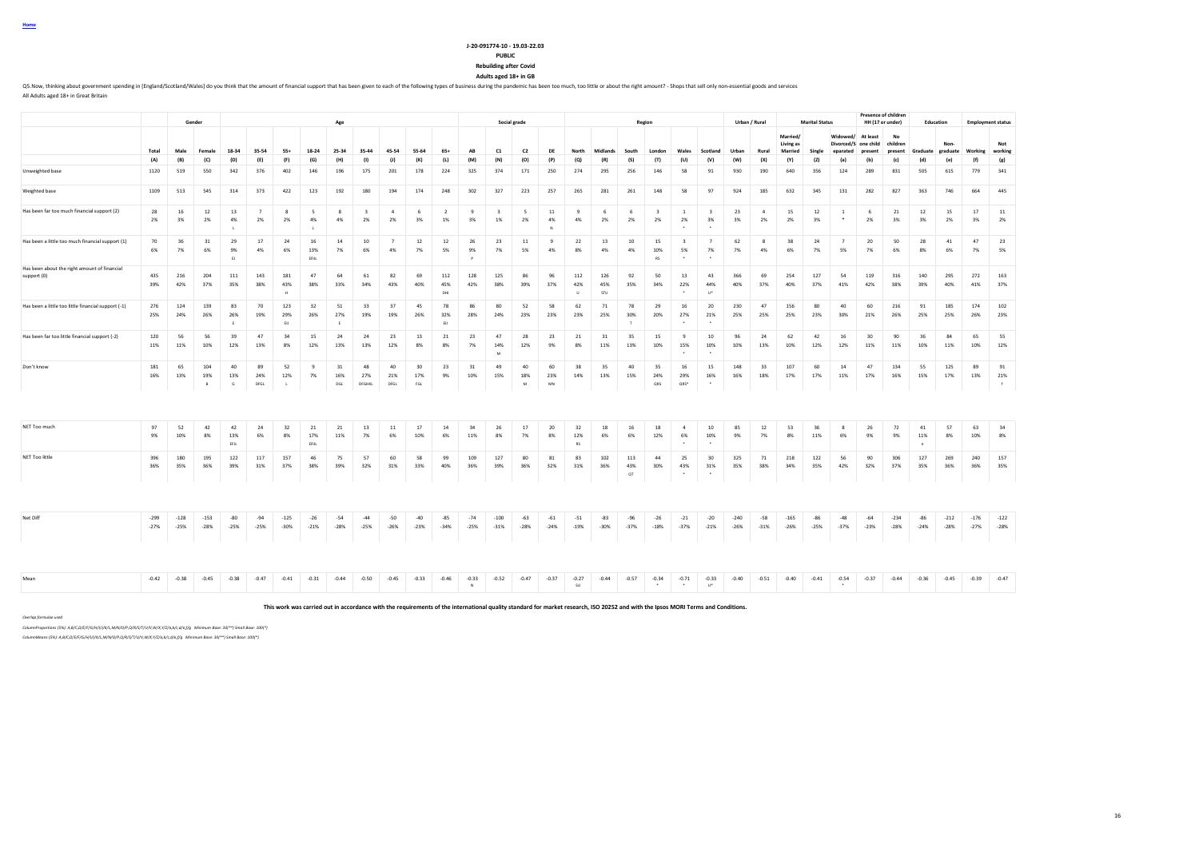#### **J-20-091774-10 - 19.03-22.03**

### **PUBLIC**

**Rebuilding after Covid Adults aged 18+ in GB**

OS Now, thinking about government spending in [England/Scotland/Wales] do you think that the amount of financial support that has been given to each of the following types of business during the pandemic has been too much, All Adults aged 18+ in Great Britain

**Gender Age Social grade Region Urban / Rural Marital Status Presence of childre HH (17 or under) Education Employment status** Total Male Female 18-34 35-54 55+ 18-24 25-34 35-44 45-54 55-64 65+ AB C1 C2 DE North Midlands South London Wales Scotland Urban Rural **Married/ Living as Married Single Widowed/ At least Divorced/S eparated one child**  present children<br>Present present **No present Graduate Non-graduate Working Not working** (A) (B) (C) (D) (E) (F) (G) (H) (I) (J) (K) (L) (M) (N) (O) (P) (Q) (R) (S) (T) (U) (V) (W) (X) (Y) (Z) (a) (b) (c) (d) (e) (t) (g) Unweighted base 1120 519 550 342 376 402 146 196 175 201 178 224 325 374 171 250 274 295 256 146 58 91 930 190 640 356 124 289 831 505 615 779 341 Weighted base 1109 513 545 314 373 422 123 192 180 194 174 248 302 327 223 257 265 281 261 148 58 97 924 185 632 345 131 282 827 363 746 664 445 Has been far too much financial support (2) 28 16 12 13 7 8 5 8 3 4 6 2 9 3 5 11 9 6 6 6 3 1 3 23 4 15 12 1 6 21 12 15 17 11 2% 3% 2% 4% 2% 2% 4% 4% 2% 2% 3% 1% 3% 1% 2% 4% 4% 2% 2% 2% 2% 3% 3% 2% 2% 3% \* 2% 3% 3% 2% 3% 2% L L N \* \* Has been a little too much financial support (1) | 70 | 36 | 31 | 29 | 17 | 24 | 16 | 14 | 10 | 7 | 12 | 12 | 26 | 23 | 11 | 9 | 22 | 13 | 10 | 15 | 3 | 7 | 62 | 8 | 38 | 24 | 7 | 20 | 50 | 28 | 41 | 47 | 23 6% 7% 6% 9% 4% 6% 13% 7% 6% 4% 7% 5% 9% 7% 5% 4% 8% 4% 4% 10% 5% 7% 7% 4% 6% 7% 5% 7% 6% 8% 6% 7% 5% EJ EFIJL I RODINAL I RODINAL I RODINAL I RODINAL I RODINAL I RODINAL I RODINAL I RODINAL I RODINAL I RODINAL I Has been about the right amount of financial<br>sunnort (0) support (0) 435 216 204 111 143 181 47 64 61 82 69 112 128 125 86 96 112 126 92 50 13 43 366 69 254 127 54 119 316 140 295 272 163 39% 42% 37% 35% 38% 43% 38% 33% 34% 43% 40% 45% 42% 38% 39% 37% 42% 45% 35% 34% 22% 44% 40% 37% 40% 37% 41% 42% 38% 39% 40% 41% 37% H DHI U STU \* U\* Has been a little too little financial support (-1) 276 124 139 83 70 123 32 51 33 37 45 78 86 80 52 58 62 71 78 29 16 20 230 47 156 80 40 60 216 91 185 174 102 25% 24% 26% 26% 19% 29% 26% 27% 19% 19% 26% 32% 28% 24% 23% 23% 23% 25% 30% 20% 27% 21% 25% 25% 25% 23% 30% 21% 26% 25% 25% 26% 23% E EIJ E EIJ T \* \* Has been far too little financial support (-2) 120 56 56 39 47 34 15 24 24 23 13 21 23 47 28 23 21 31 35 15 9 10 96 24 62 42 16 30 90 36 84 65 55 11% 11% 10% 12% 13% 8% 12% 13% 13% 12% 8% 8% 7% 14% 12% 9% 8% 11% 13% 10% 15% 10% 10% 13% 10% 12% 12% 11% 11% 10% 11% 10% 12%  $M$  . The set of the set of the set of the set of the set of the set of the set of the set of the set of the set of the set of the set of the set of the set of the set of the set of the set of the set of the set of the se Don't know 181 65 104 40 89 52 9 31 48 40 30 23 31 49 40 60 38 35 40 35 16 15 148 33 107 60 14 47 134 55 125 89 91 16% 13% 19% 13% 24% 12% 7% 16% 27% 21% 17% 9% 10% 15% 18% 23% 14% 13% 15% 24% 29% 16% 16% 18% 17% 17% 11% 17% 16% 15% 17% 13% 21% B G DFGL L DGL DFGHKL DFGL FGL FGL M MN MN QRS QRS\* \* f l l group of the strategy for the strategy of the stra NET Too much 97 52 42 42 24 32 21 21 13 11 17 14 34 26 17 20 32 18 16 18 4 10 85 12 53 36 8 26 72 41 57 63 34 9% 10% 8% 13% 6% 8% 17% 11% 7% 6% 10% 6% 11% 8% 7% 8% 12% 6% 6% 12% 6% 10% 9% 7% 8% 11% 6% 9% 9% 11% 8% 10% 8% EFLL I EFLL I STATE I STATE I STATE I STATE I STATE I STATE I STATE I STATE I STATE I STATE I STATE I STATE I S NET Too little 396 180 195 122 117 157 46 75 57 60 58 99 109 127 80 81 83 102 113 44 25 30 325 71 218 122 56 90 306 127 269 240 157 36% 35% 36% 39% 31% 37% 38% 39% 32% 31% 33% 40% 36% 39% 36% 32% 31% 36% 43% 30% 43% 31% 35% 38% 34% 35% 42% 32% 37% 35% 36% 36% 35%  $\alpha$ T  $\qquad \qquad$   $\qquad \qquad$   $\qquad \qquad$   $\qquad \qquad$   $\qquad \qquad$ 1990 -128 -128 -128 -129 -128 -129 -290 -128 -290 -129 -200 -40 -85 -74 -100 -63 -61 -51 -83 -96 -26 -21 -20 -240 -58 -165 -86 -48 -64 -234 -86 -212 -176 -122 -27% -25% -28% -25% -25% -30% -21% -28% -25% -26% -23% -34% -25% -31% -28% -24% -19% -30% -37% -18% -37% -21% -26% -31% -26% -25% -37% -23% -28% -24% -28% -27% -28% 00an -0.42 -0.38 -0.45 -0.38 -0.41 -0.31 -0.44 -0.50 -0.45 -0.33 -0.46 -0.33 -0.52 -0.47 -0.37 -0.41 -0.53 -0.40 -0.41 -0.54 -0.41 -0.54 -0.37 -0.44 -0.36 -0.45 -0.40 -0.41 -0.54 -0.37 -0.44 -0.36 -0.45 -0.47 -0.39 -0.47 N SU SU \* \* U\* U\* 1 \* 1 \* 1 \*

**This work was carried out in accordance with the requirements of the international quality standard for market research, ISO 20252 and with the Ipsos MORI Terms and Conditions.**

*Overlap formulae used*

*ColumnProportions (5%): A,B/C,D/E/F/G/H/I/J/K/L,M/N/O/P,Q/R/S/T/U/V,W/X,Y/Z/a,b/c,d/e,f/g Minimum Base: 30(\*\*) Small Base: 100(\*)*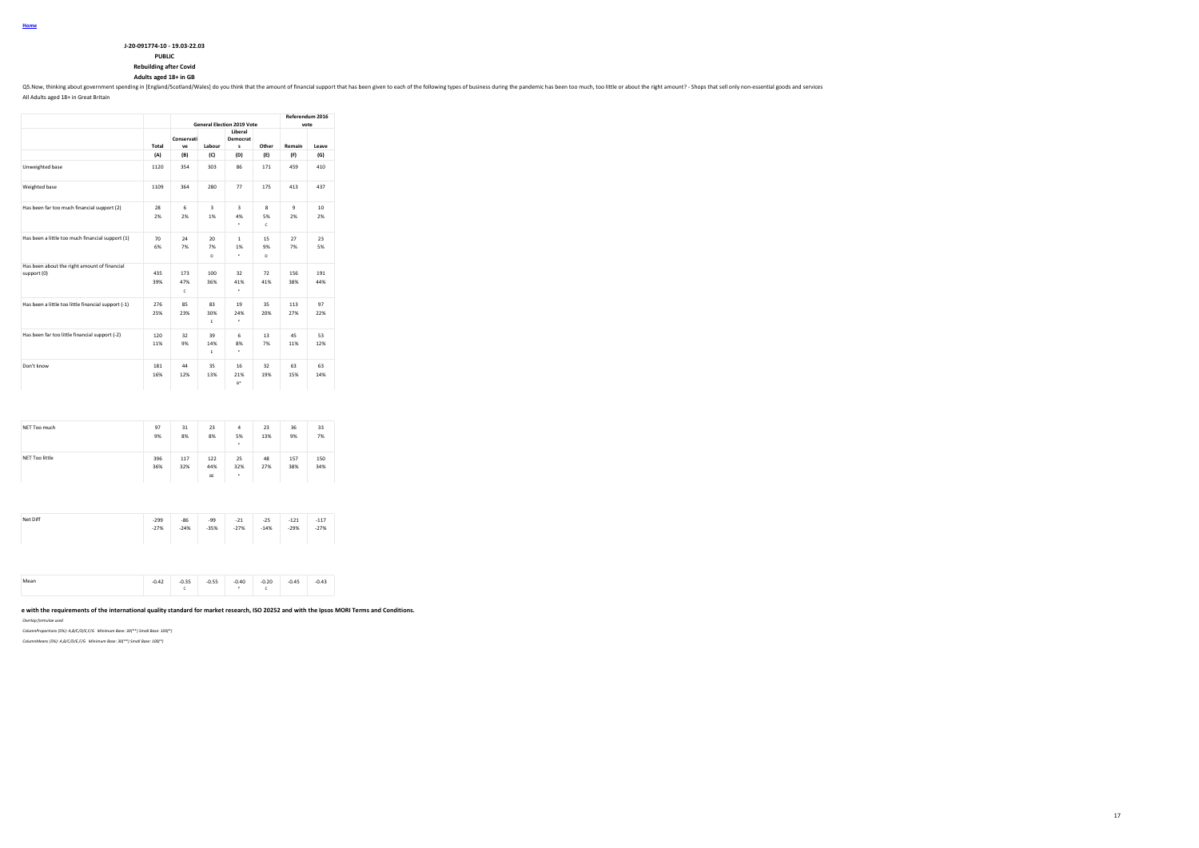# **PUBLIC**

**Rebuilding after Covid**

**Adults aged 18+ in GB**

Q5. Now, thinking about government spending in [England/Scotland/Wales] do you think that the amount of financial support that has been given to each of the following types of business during the pandemic has been too much

All Adults aged 18+ in Great Britain

|                                                             |            |                  |                               | <b>General Election 2019 Vote</b> |               | Referendum 2016    | vote                   |
|-------------------------------------------------------------|------------|------------------|-------------------------------|-----------------------------------|---------------|--------------------|------------------------|
|                                                             | Total      | Conservati<br>ve | Labour                        | Liberal<br>Democrat<br>s          | Other         | Remain             | Leave                  |
|                                                             | (A)        | (B)              | (C)                           | (D)                               | (E)           | (F)                | (G)                    |
| Unweighted base                                             | 1120       | 354              | 303                           | 86                                | 171           | 459                | 410                    |
| Weighted base                                               | 1109       | 364              | 280                           | 77                                | 175           | 413                | 437                    |
| Has been far too much financial support (2)                 | 28<br>2%   | 6<br>2%          | $\overline{\mathbf{3}}$<br>1% | 3<br>4%<br>٠                      | 8<br>5%<br>c  | $\mathbf{Q}$<br>2% | 10 <sub>10</sub><br>2% |
| Has been a little too much financial support (1)            | 70<br>6%   | 24<br>7%         | 20 <sub>0</sub><br>7%<br>D    | 1<br>1%<br>٠                      | 15<br>9%<br>D | 27<br>7%           | 23<br>5%               |
| Has been about the right amount of financial<br>support (0) | 435<br>39% | 173<br>47%<br>c  | 100<br>36%                    | 32<br>41%<br>٠                    | 72<br>41%     | 156<br>38%         | 191<br>44%             |
| Has been a little too little financial support (-1)         | 276<br>25% | 85<br>23%        | 83<br>30%<br>F.               | 19<br>24%<br>٠                    | 35<br>20%     | 113<br>27%         | 97<br>22%              |
| Has been far too little financial support (-2)              | 120<br>11% | 32<br>9%         | 39<br>14%<br>E                | 6<br>8%<br>٠                      | 13<br>7%      | 45<br>11%          | 53<br>12%              |
| Don't know                                                  | 181<br>16% | 44<br>12%        | 35<br>13%                     | 16<br>21%<br>R*                   | 32<br>19%     | 63<br>15%          | 63<br>14%              |

| NET Too much          | 97<br>9%         | 31<br>8%        | 23<br>8%         | $\overline{a}$<br>5%<br>٠ | 23<br>13%       | 36<br>9%         | 33<br>7%         |
|-----------------------|------------------|-----------------|------------------|---------------------------|-----------------|------------------|------------------|
| <b>NET Too little</b> | 396<br>36%       | 117<br>32%      | 122<br>44%<br>BE | 25<br>32%<br>٠            | 48<br>27%       | 157<br>38%       | 150<br>34%       |
|                       |                  |                 |                  |                           |                 |                  |                  |
| Net Diff              | $-299$<br>$-27%$ | $-86$<br>$-24%$ | $-99$<br>$-35%$  | $-21$<br>$-27%$           | $-25$<br>$-14%$ | $-121$<br>$-29%$ | $-117$<br>$-27%$ |

Mean -0.42 -0.35 -0.55 -0.40 -0.20 -0.45 -0.43<br>C + C

**This work was carried out in accordance with the requirements of the international quality standard for market research, ISO 20252 and with the Ipsos MORI Terms and Conditions.**

*Overlap formulae used*

*ColumnProportions (5%): A,B/C/D/E,F/G Minimum Base: 30(\*\*) Small Base: 100(\*)*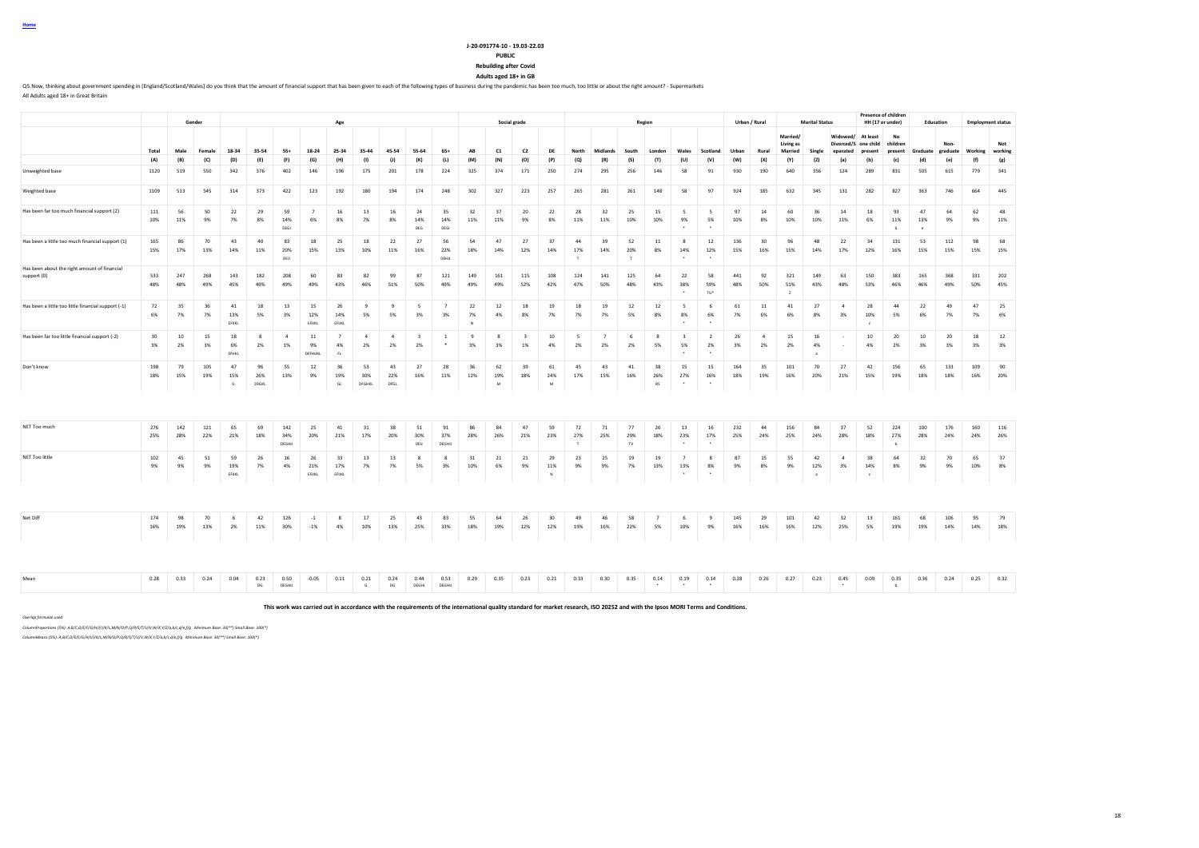# **J-20-091774-10 - 19.03-22.03**

# **PUBLIC**

**Rebuilding after Covid Adults aged 18+ in GB**

Q5. Now, thinking about government spending in [England/Scotland/Wales] do you think that the amount of financial support that has been given to each of the following types of business during the pandemic has been too much

All Adults aged 18+ in Great Britain

|                                                             |            |            | Gender     |                           |                    |                      |                      | Age                         |                      |                      |                               |                          |                    |                | Social grade                  |                |                           |                      |                     | Region               |                                   |                                   |            | Urban / Rural          |                                  | <b>Marital Status</b>     |                                                       | Presence of childrer<br>HH (17 or under) |                              | <b>Education</b>          |                  | <b>Employment status</b> |                |
|-------------------------------------------------------------|------------|------------|------------|---------------------------|--------------------|----------------------|----------------------|-----------------------------|----------------------|----------------------|-------------------------------|--------------------------|--------------------|----------------|-------------------------------|----------------|---------------------------|----------------------|---------------------|----------------------|-----------------------------------|-----------------------------------|------------|------------------------|----------------------------------|---------------------------|-------------------------------------------------------|------------------------------------------|------------------------------|---------------------------|------------------|--------------------------|----------------|
|                                                             | Total      | Male       | Female     | 18-34                     | 35-54              | $55+$                | 18-24                | 25-34                       | 35-44                | 45-54                | 55-64                         | 65+                      | AB                 | C1             | C2                            | DE             | North                     | Midlands             | South               | London               | Wales                             | Scotland                          | Urban      | Rural                  | Married/<br>Living as<br>Married | Single                    | Widowed/ At least<br>Divorced/S one child<br>enarated | present                                  | No<br>children<br>present    | Graduate                  | Non-<br>graduate | Working                  | Not<br>working |
|                                                             | (A)        | (B)        | (C)        | (D)                       | (E)                | (F)                  | (G)                  | (H)                         | (1)                  | (1)                  | (K)                           | (L)                      | (M)                | (N)            | (O)                           | (P)            | (Q)                       | (R)                  | (S)                 | (T)                  | (U)                               | (V)                               | (W)        | (X)                    | (Y)                              | (Z)                       | (a)                                                   | (b)                                      | (c)                          | (d)                       | (e)              | (f)                      | (g)            |
| Unweighted base                                             | 1120       | 519        | 550        | 342                       | 376                | 402                  | 146                  | 196                         | 175                  | 201                  | 178                           | 224                      | 325                | 374            | 171                           | 250            | 274                       | 295                  | 256                 | 146                  | 58                                | 91                                | 930        | 190                    | 640                              | 356                       | 124                                                   | 289                                      | 831                          | 505                       | 615              | 779                      | 341            |
| Weighted base                                               | 1109       | 513        | 545        | 314                       | 373                | 422                  | 123                  | 192                         | 180                  | 194                  | 174                           | 248                      | 302                | 327            | 223                           | 257            | 265                       | 281                  | 261                 | 148                  | 58                                | 97                                | 924        | 185                    | 632                              | 345                       | 131                                                   | 282                                      | 827                          | 363                       | 746              | 664                      | 445            |
| Has been far too much financial support (2)                 | 111<br>10% | 56<br>11%  | 50<br>9%   | 22<br>7%                  | 29<br>8%           | 59<br>14%<br>DEGI    | $\overline{7}$<br>6% | 16<br>8%                    | 13<br>7%             | $16\,$<br>8%         | 24<br>14%<br>DEG              | 35<br>14%<br>DEGI        | 32<br>11%          | 37<br>11%      | 20<br>9%                      | 22<br>8%       | 28<br>11%                 | 32<br>11%            | 25<br>10%           | 15<br>10%            | $\sim$<br>9%                      | 5<br>5%                           | 97<br>10%  | 14<br>8%               | 60<br>10%                        | 36<br>10%                 | 14<br>11%                                             | 18<br>6%                                 | 93<br>11%<br>$\mathbf b$     | 47<br>13%<br>$\mathbf{c}$ | 64<br>9%         | 62<br>9%                 | 48<br>11%      |
| Has been a little too much financial support (1)            | 165<br>15% | 86<br>17%  | 70<br>13%  | 43<br>14%                 | 40<br>11%          | 83<br>20%<br>DEU     | 18<br>15%            | 25<br>13%                   | 18<br>10%            | 22<br>11%            | 27<br>16%                     | 56<br>22%<br><b>DEHU</b> | 54<br>18%          | 47<br>14%      | 27<br>12%                     | 37<br>14%      | 44<br>17%                 | 39<br>14%            | 52<br>20%<br>$\top$ | 11<br>8%             | 8<br>14%<br>$\ddot{\phantom{1}}$  | 12<br>12%                         | 136<br>15% | 30 <sup>°</sup><br>16% | 96<br>15%                        | 48<br>14%                 | 22<br>17%                                             | 34<br>12%                                | 131<br>16%                   | 53<br>15%                 | 112<br>15%       | 98<br>15%                | 68<br>15%      |
| Has been about the right amount of financial<br>support (0) | 533<br>48% | 247<br>48% | 268<br>49% | 143<br>45%                | 182<br>49%         | 208<br>49%           | 60<br>49%            | 83<br>43%                   | 82<br>46%            | 99<br>51%            | 87<br>50%                     | 121<br>49%               | 149<br>49%         | 161<br>49%     | 115<br>52%                    | 108<br>42%     | 124<br>47%                | 141<br>50%           | 125<br>48%          | 64<br>43%            | 22<br>38%<br>$\bullet$            | 58<br>59%<br>TU <sup>+</sup>      | 441<br>48% | 92<br>50%              | 321<br>51%<br>$\mathbf{z}$       | 149<br>43%                | 63<br>48%                                             | 150<br>53%                               | 383<br>46%                   | 165<br>46%                | 368<br>49%       | 331<br>50%               | 202<br>45%     |
| Has been a little too little financial support (-1)         | 72<br>6%   | 35<br>7%   | 36<br>7%   | 41<br>13%<br>EFUKL        | 18<br>5%           | 13<br>3%             | 15<br>12%<br>EFIJKL  | 26<br>14%<br>EFUKL          | 9<br>5%              | $\overline{9}$<br>5% | $\sim$<br>3%                  | $\overline{7}$<br>3%     | 22<br>7%           | 12<br>4%       | 18<br>8%                      | 19<br>7%       | 18<br>7%                  | 19<br>7%             | $12\,$<br>5%        | 12<br>8%             | - 5<br>8%<br>$\sim$               | 6<br>6%<br>$\sim$                 | 61<br>7%   | 11<br>6%               | 41<br>6%                         | 27<br>8%                  | $\overline{4}$<br>3%                                  | 28<br>10%<br>×                           | 44<br>5%                     | 22<br>6%                  | 49<br>7%         | 47<br>7%                 | 25<br>6%       |
| Has been far too little financial support (-2)              | 30<br>3%   | 10<br>2%   | 15<br>3%   | 18<br>6%<br>EFHKL         | -8<br>2%           | $\overline{4}$<br>1% | 11<br>9%<br>DEFHUKL  | $\overline{7}$<br>4%<br>FL. | $\overline{4}$<br>2% | $\overline{4}$<br>2% | $\overline{\mathbf{3}}$<br>2% |                          | $\mathbf{q}$<br>3% | 3%             | $\overline{\mathbf{3}}$<br>1% | 10<br>4%       | -5<br>2%                  | $\overline{7}$<br>2% | 6<br>2%             | 8<br>5%              | $\overline{\mathbf{3}}$<br>5%     | $\overline{2}$<br>2%              | 26<br>3%   | $\overline{4}$<br>2%   | 15<br>2%                         | 16<br>4%                  |                                                       | 10<br>4%                                 | 20<br>2%                     | 10<br>3%                  | 20<br>3%         | 18<br>3%                 | 12<br>3%       |
| Don't know                                                  | 198<br>18% | 79<br>15%  | 105<br>19% | 47<br>15%<br>$\mathsf{G}$ | 96<br>26%<br>DFGKL | 55<br>13%            | 12<br>9%             | 36<br>19%<br>GL             | 53<br>30%<br>DFGHKL  | 43<br>22%<br>DFGL    | 27<br>16%                     | 28<br>11%                | 36<br>12%          | 62<br>19%<br>M | 39<br>18%                     | 61<br>24%<br>M | 45<br>17%                 | 43<br>15%            | 41<br>16%           | 38<br>26%<br>RS      | 15<br>27%<br>$\ddot{\phantom{1}}$ | 15<br>16%<br>$\ddot{\phantom{1}}$ | 164<br>18% | 35<br>19%              | 101<br>16%                       | 70<br>20%                 | 27<br>21%                                             | 42<br>15%                                | 156<br>19%                   | 65<br>18%                 | 133<br>18%       | 109<br>16%               | 90<br>20%      |
| NET Too much                                                | 276<br>25% | 142<br>28% | 121<br>22% | 65<br>21%                 | 69<br>18%          | 142<br>34%<br>DEGHIJ | 25<br>20%            | 41<br>21%                   | 31<br>17%            | 38<br>20%            | 51<br>30%<br>DEIJ             | 91<br>37%<br>DEGHU       | 86<br>28%          | 84<br>26%      | 47<br>21%                     | 59<br>23%      | 72<br>27%<br>$\mathbf{I}$ | 71<br>25%            | 77<br>29%<br>TV.    | 26<br>18%            | 13<br>23%<br>$\ddot{\phantom{1}}$ | 16<br>17%<br>$\ddot{\phantom{1}}$ | 232<br>25% | 44<br>24%              | 156<br>25%                       | 84<br>24%                 | 37<br>28%                                             | 52<br>18%                                | 224<br>27%<br>$\overline{b}$ | 100<br>28%                | 176<br>24%       | 160<br>24%               | 116<br>26%     |
| NET Too little                                              | 102<br>9%  | 45<br>9%   | 51<br>9%   | 59<br>19%<br>EFUKL        | 26<br>7%           | 16<br>4%             | 26<br>21%<br>EFUKL   | 33<br>17%<br>EFUKL          | 13<br>7%             | 13<br>7%             | -8<br>5%                      | $\mathbf{\hat{R}}$<br>3% | 31<br>10%          | 21<br>6%       | 21<br>9%                      | 29<br>11%<br>N | 23<br>9%                  | 25<br>9%             | 19<br>7%            | 19<br>13%            | $\overline{7}$<br>13%             | 8<br>8%                           | 87<br>9%   | 15<br>8%               | 55<br>9%                         | 42<br>12%<br>$\mathbf{a}$ | $\overline{4}$<br>3%                                  | 38<br>14%<br>$\epsilon$                  | 64<br>8%                     | 32<br>9%                  | 70<br>9%         | 65<br>10%                | 37<br>8%       |
|                                                             |            |            |            |                           |                    |                      |                      |                             |                      |                      |                               |                          |                    |                |                               |                |                           |                      |                     |                      |                                   |                                   |            |                        |                                  |                           |                                                       |                                          |                              |                           |                  |                          |                |
| Net Diff                                                    | 174<br>16% | 98<br>19%  | 70<br>13%  | 6<br>2%                   | 42<br>11%          | 126<br>30%           | $-1$<br>$-1%$        | 8<br>4%                     | 17<br>10%            | 25<br>13%            | 43<br>25%                     | 83<br>33%                | 55<br>18%          | 64<br>19%      | 26<br>12%                     | 30<br>12%      | 49<br>19%                 | 46<br>16%            | 58<br>22%           | $\overline{7}$<br>5% | - 6<br>10%                        | 9<br>9%                           | 145<br>16% | 29<br>16%              | 101<br>16%                       | 42<br>12%                 | 32<br>25%                                             | 13<br>5%                                 | 161<br>19%                   | 68<br>19%                 | 106<br>14%       | 95<br>14%                | 79<br>18%      |
|                                                             |            |            |            |                           |                    |                      |                      |                             |                      |                      |                               |                          |                    |                |                               |                |                           |                      |                     |                      |                                   |                                   |            |                        |                                  |                           |                                                       |                                          |                              |                           |                  |                          |                |
| Mean                                                        | 0.28       | 0.33       | 0.24       | 0.04                      | 0.23<br>DG         | 0.50<br>DEGHIJ       | $-0.05$              | 0.11                        | 0.21<br>G            | 0.24<br>DG           | 0.44<br>DEGHI                 | 0.53<br>DEGHU            | 0.29               | 0.35           | 0.23                          | 0.21           | 0.33                      | 0.30                 | 0.35                | 0.14<br>$\cdot$      | 0.19<br>$\ddot{\phantom{1}}$      | 0.14<br>$\ddot{\phantom{1}}$      | 0.28       | 0.26                   | 0.27                             | 0.23                      | 0.45<br>$\sim$                                        | 0.09                                     | 0.35<br>b                    | 0.36                      | 0.24             | 0.25                     | 0.32           |

**This work was carried out in accordance with the requirements of the international quality standard for market research, ISO 20252 and with the Ipsos MORI Terms and Conditions.**

*Overlap formulae used*

*ColumnProportions (5%): A,B/C,D/E/F/G/H/I/J/K/L,M/N/O/P,Q/R/S/T/U/V,W/X,Y/Z/a,b/c,d/e,f/g Minimum Base: 30(\*\*) Small Base: 100(\*)*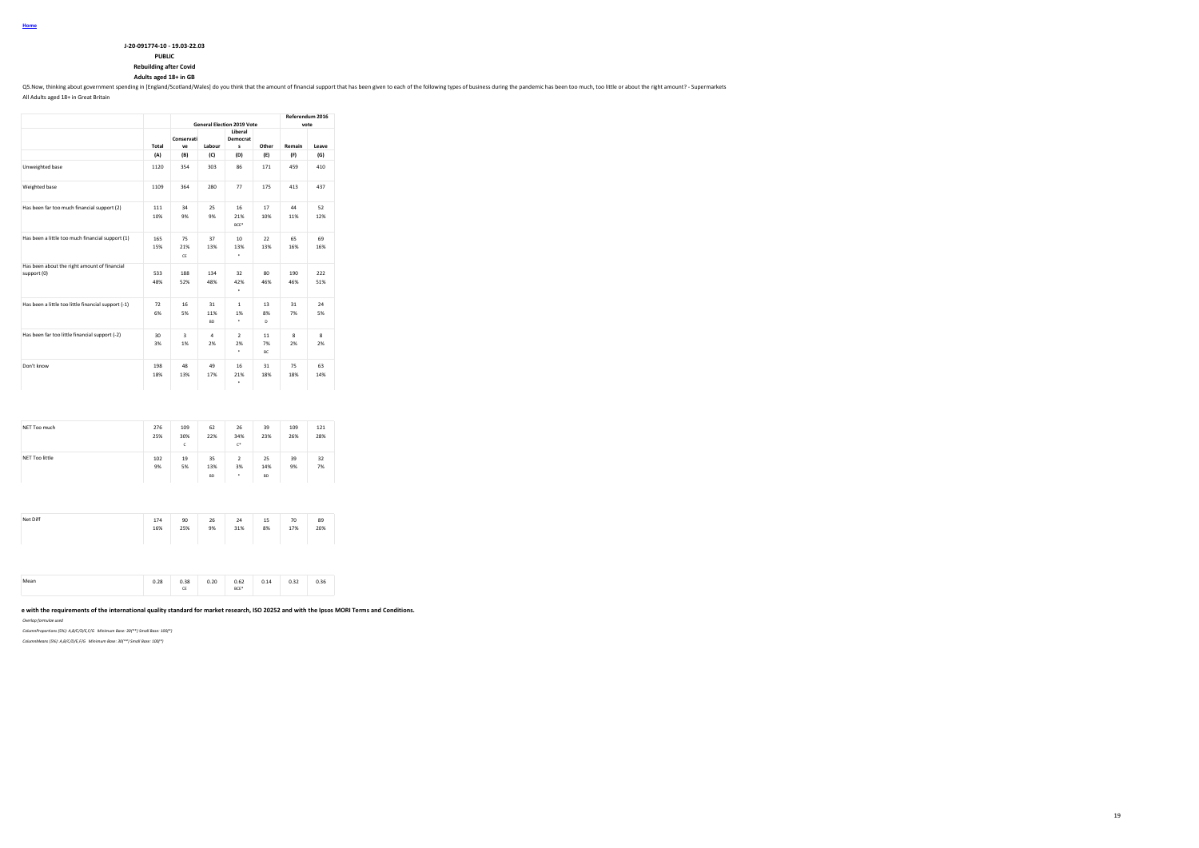| J-20-091774-10 - 19.03-22.03 |
|------------------------------|
| <b>DUDIT</b>                 |

# **PUBLIC**

**Rebuilding after Covid**

**Adults aged 18+ in GB**

Q5.Now, thinking about government spending in [England/Scotland/Wales] do you think that the amount of financial support that has been given to each of the following types of business during the pandemic has been too much,

All Adults aged 18+ in Great Britain

|                                                             |            |                  |                        | <b>General Election 2019 Vote</b> |                        | Referendum 2016<br>vote |                    |
|-------------------------------------------------------------|------------|------------------|------------------------|-----------------------------------|------------------------|-------------------------|--------------------|
|                                                             | Total      | Conservati<br>VP | Labour                 | Liberal<br>Democrat<br>s          | Other                  | Remain                  | Leave              |
|                                                             | (A)        | (B)              | (C)                    | (D)                               | (E)                    | (F)                     | (G)                |
| Unweighted base                                             | 1120       | 354              | 303                    | 86                                | 171                    | 459                     | 410                |
| Weighted base                                               | 1109       | 364              | 280                    | 77                                | 175                    | 413                     | 437                |
| Has been far too much financial support (2)                 | 111<br>10% | 34<br>9%         | 25<br>9%               | 16<br>21%<br>BCE*                 | 17<br>10%              | 44<br>11%               | 52<br>12%          |
| Has been a little too much financial support (1)            | 165<br>15% | 75<br>21%<br>CE  | 37<br>13%              | 10 <sup>1</sup><br>13%<br>٠       | 22<br>13%              | 65.<br>16%              | 69<br>16%          |
| Has been about the right amount of financial<br>support (0) | 533<br>48% | 188<br>52%       | 134<br>48%             | 32<br>42%<br>٠                    | 80 <sub>1</sub><br>46% | 190<br>46%              | 222<br>51%         |
| Has been a little too little financial support (-1)         | 72<br>6%   | 16<br>5%         | 31<br>11%<br><b>BD</b> | 1<br>1%<br>٠                      | 13<br>8%<br>D          | 31<br>7%                | 24<br>5%           |
| Has been far too little financial support (-2)              | 30<br>3%   | 3<br>1%          | $\overline{a}$<br>2%   | $\mathcal{P}$<br>2%<br>٠          | 11<br>7%<br>BC.        | $\mathbf{R}$<br>2%      | $\mathbf{R}$<br>2% |
| Don't know                                                  | 198<br>18% | 48<br>13%        | 49<br>17%              | 16<br>21%<br>٠                    | 31<br>18%              | 75<br>18%               | 63<br>14%          |

| 102        |           |                        |                        |                        |           |           |
|------------|-----------|------------------------|------------------------|------------------------|-----------|-----------|
| 9%         | 19<br>5%  | 35<br>13%<br><b>BD</b> | $\mathbf 2$<br>3%<br>٠ | 25<br>14%<br><b>BD</b> | 39<br>9%  | 32<br>7%  |
| 174<br>16% | 90<br>25% | 26<br>9%               | 24<br>31%              | 15<br>8%               | 70<br>17% | 89<br>20% |
|            |           |                        |                        |                        |           |           |

Mean 0.28 0.38 0.20 0.62 0.14 0.32 0.36 CE BCE\*

| e with the requirements of the international quality standard for market research, ISO 20252 and with the Ipsos MORI Terms and Conditions. |  |
|--------------------------------------------------------------------------------------------------------------------------------------------|--|

*Overlap formulae used*

*ColumnProportions (5%): A,B/C/D/E,F/G Minimum Base: 30(\*\*) Small Base: 100(\*)*

*ColumnMeans (5%): A,B/C/D/E,F/G Minimum Base: 30(\*\*) Small Base: 100(\*)*

19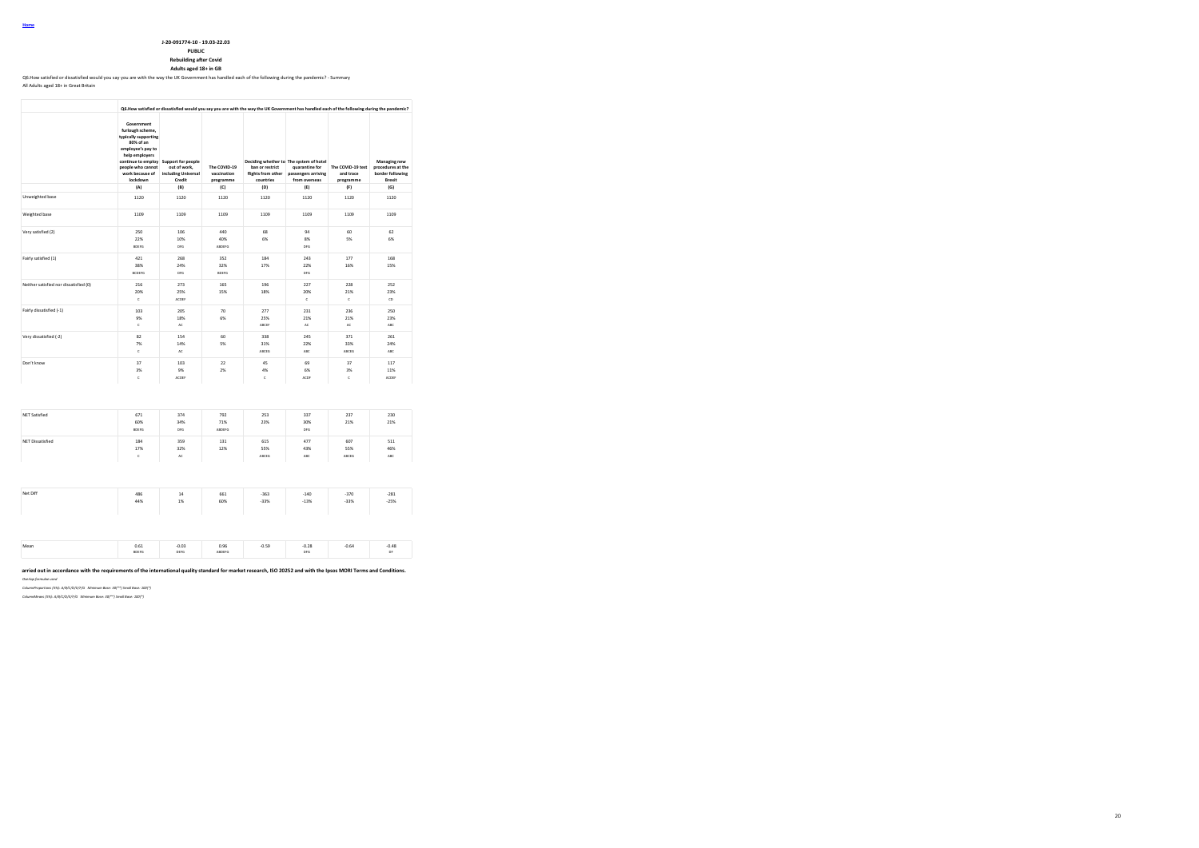# **J-20-091774-10 - 19.03-22.03**

**PUBLIC Rebuilding after Covid**

**Adults aged 18+ in GB** Q6.How satisfied or dissatisfied would you say you are with the way the UK Government has handled each of the following during the pandemic? - Summary

### All Adults aged 18+ in Great Britain

|                                        |                                                                                                                                                                                      |                                                                     |                                          | Q6. How satisfied or dissatisfied would you say you are with the way the UK Government has handled each of the following during the pandemic? |                                                                                                   |                                             |                                                                 |
|----------------------------------------|--------------------------------------------------------------------------------------------------------------------------------------------------------------------------------------|---------------------------------------------------------------------|------------------------------------------|-----------------------------------------------------------------------------------------------------------------------------------------------|---------------------------------------------------------------------------------------------------|---------------------------------------------|-----------------------------------------------------------------|
|                                        | Government<br>furlough scheme.<br>typically supporting<br>80% of an<br>employee's pay to<br>help employers<br>continue to employ<br>people who cannot<br>work because of<br>lockdown | Support for people<br>out of work,<br>including Universal<br>Credit | The COVID-19<br>vaccination<br>programme | ban or restrict<br>flights from other<br>countries                                                                                            | Deciding whether to The system of hotel<br>quarantine for<br>passengers arriving<br>from overseas | The COVID-19 test<br>and trace<br>programme | Managing new<br>procedures at the<br>border following<br>Brexit |
|                                        | (A)                                                                                                                                                                                  | (B)                                                                 | (C)                                      | (D)                                                                                                                                           | (E)                                                                                               | (F)                                         | (G)                                                             |
| Unweighted base                        | 1120                                                                                                                                                                                 | 1120                                                                | 1120                                     | 1120                                                                                                                                          | 1120                                                                                              | 1120                                        | 1120                                                            |
| Weighted base                          | 1109                                                                                                                                                                                 | 1109                                                                | 1109                                     | 1109                                                                                                                                          | 1109                                                                                              | 1109                                        | 1109                                                            |
| Very satisfied (2)                     | 250<br>22%<br><b>BDEFG</b>                                                                                                                                                           | 106<br>10%<br>DFG                                                   | 440<br>40%<br>ABDEFG                     | 68<br>6%                                                                                                                                      | 94<br>8%<br>DFG                                                                                   | 60<br>5%                                    | 62<br>6%                                                        |
| Fairly satisfied (1)                   | 421<br>38%<br><b>BCDEFG</b>                                                                                                                                                          | 268<br>24%<br>DFG                                                   | 352<br>32%<br><b>BDEFG</b>               | 184<br>17%                                                                                                                                    | 243<br>22%<br>DEG                                                                                 | 177<br>16%                                  | 168<br>15%                                                      |
| Neither satisfied nor dissatisfied (0) | 216<br>20%<br>c                                                                                                                                                                      | 273<br>25%<br>ACDEF                                                 | 165<br>15%                               | 196<br>18%                                                                                                                                    | 227<br>20%<br>c                                                                                   | 228<br>21%<br>$\mathsf{c}\,$                | 252<br>23%<br>CD                                                |
| Fairly dissatisfied (-1)               | 103<br>9%<br>$\mathsf{c}\,$                                                                                                                                                          | 205<br>18%<br>AC                                                    | 70<br>6%                                 | 277<br>25%<br>ABCEF                                                                                                                           | 231<br>21%<br>AC                                                                                  | 236<br>21%<br>AC                            | 250<br>23%<br>ABC                                               |
| Very dissatisfied (-2)                 | 82<br>7%<br>$\mathsf{c}$                                                                                                                                                             | 154<br>14%<br>AC                                                    | 60<br>5%                                 | 338<br>31%<br>ABCEG                                                                                                                           | 245<br>22%<br>ABC                                                                                 | 371<br>33%<br>ABCEG                         | 261<br>24%<br>ABC                                               |
| Don't know                             | 37<br>3%<br>c                                                                                                                                                                        | 103<br>9%<br>ACDEF                                                  | 22<br>2%                                 | 45<br>4%<br>ċ                                                                                                                                 | 69<br>6%<br>ACDE                                                                                  | 37<br>3%<br>ċ                               | 117<br>11%<br>ACDEF                                             |
|                                        |                                                                                                                                                                                      |                                                                     |                                          |                                                                                                                                               |                                                                                                   |                                             |                                                                 |
| <b>NET Satisfied</b>                   | 671<br>60%<br>BDEFG                                                                                                                                                                  | 374<br>34%<br>DFG                                                   | 792<br>71%<br>ABDEFG                     | 253<br>23%                                                                                                                                    | 337<br>30%<br>DFG                                                                                 | 237<br>21%                                  | 230<br>21%                                                      |
| <b>NET Dissatisfied</b>                | 184<br>17%<br>$\mathsf{c}$                                                                                                                                                           | 359<br>32%<br>AC                                                    | 131<br>12%                               | 615<br>55%<br>ABCEG                                                                                                                           | 477<br>43%<br>ABC                                                                                 | 607<br>55%<br>ABCEG                         | 511<br>46%<br>ABC                                               |
|                                        |                                                                                                                                                                                      |                                                                     |                                          |                                                                                                                                               |                                                                                                   |                                             |                                                                 |
| Net Diff                               | 486<br>44%                                                                                                                                                                           | 14<br>1%                                                            | 661<br>60%                               | $-363$<br>$-33%$                                                                                                                              | $-140$<br>$-13%$                                                                                  | $-370$<br>$-33%$                            | $-281$<br>$-25%$                                                |
|                                        |                                                                                                                                                                                      |                                                                     |                                          |                                                                                                                                               |                                                                                                   |                                             |                                                                 |
| Mean                                   | 0.61<br><b>BDEFG</b>                                                                                                                                                                 | $-0.03$<br>DEFG                                                     | 0.96<br>ABDEFG                           | $-0.59$                                                                                                                                       | $-0.28$<br>DEG                                                                                    | $-0.64$                                     | $-0.48$<br>DF                                                   |

**This work was carried out in accordance with the requirements of the international quality standard for market research, ISO 20252 and with the Ipsos MORI Terms and Conditions.** *Overlap formulae used*

*ColumnProportions (5%): A/B/C/D/E/F/G Minimum Base: 30(\*\*) Small Base: 100(\*)*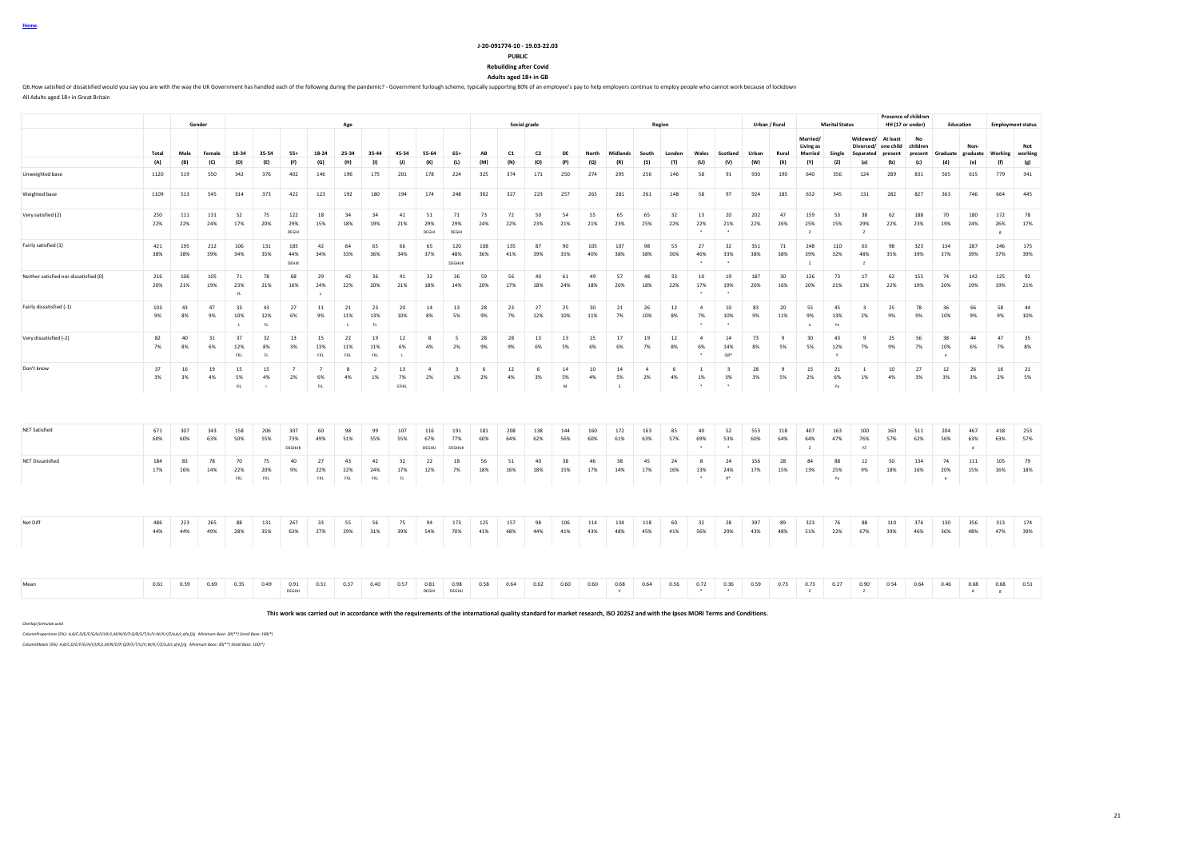| Home |  |  |
|------|--|--|
|      |  |  |

#### **J-20-091774-10 - 19.03-22.03 PUBLIC**

**Rebuilding after Covid**

**Adults aged 18+ in GB**

Q6.How satisfied or dissatisfied would you say you are with the way the UK Government has handled each of the following during the pandemic? - Government furlough scheme, typically supporting 80% of an employee's pay to he All Adults aged 18+ in Great Britain

**Gender Age Social grade Region Urban / Rural Marital Status Presence of children HH (17 or under) Education Employment status** Total Male Female 18-34 35-54 55+ 18-24 25-34 35-44 45-54 55-64 65+ AB C1 C2 DE North Midlands South London Wales Scotland Urban Rural **Married/ Living as Married Single Widowed/ At least Divorced/ one child Separated present No children present Graduate Nongraduate Working Not working** (A) (B) (C) (D) (E) (F) (G) (H) (I) (J) (K) (L) (M) (N) (O) (P) (Q) (R) (S) (T) (U) (V) (W) (X) (Y) (Z) (a) (b) (c) (d) (e) (f) (g) Unweighted base 1120 519 550 342 376 402 146 196 175 201 178 224 325 374 171 250 274 295 256 146 58 91 930 190 640 356 124 289 831 505 615 779 341 Weighted base 1109 513 545 314 373 422 123 192 180 194 174 248 302 327 223 257 265 281 261 148 58 97 924 185 632 345 131 282 827 363 746 664 445 Very satisfied (2) 250 111 131 52 75 122 18 34 34 41 51 71 73 72 50 54 55 65 65 32 13 20 202 47 159 53 38 62 188 70 180 172 78 22% 22% 24% 17% 20% 29% 15% 18% 19% 21% 29% 29% 24% 22% 23% 21% 21% 23% 25% 22% 22% 21% 22% 26% 25% 15% 29% 22% 23% 19% 24% 26% 17% DEGHI DEGHI DEGHI \* \* Z Z g Fairly satisfied (1) 421 195 212 106 131 185 42 64 65 66 65 120 108 135 87 90 105 107 98 53 27 32 351 71 248 110 63 98 323 134 287 246 175 38% 38% 39% 34% 35% 44% 34% 33% 36% 34% 37% 48% 36% 41% 39% 35% 40% 38% 38% 36% 46% 33% 38% 38% 39% 32% 48% 35% 39% 37% 39% 37% 39% DEHJK DEGHIJK \* \* Z Z Neither satisfied nor dissatisfied (0) 216 106 105 71 78 68 29 42 36 41 32 36 59 56 40 61 49 57 48 33 10 19 187 30 126 73 17 62 155 74 142 125 92 20% 21% 19% 23% 21% 16% 24% 22% 20% 21% 18% 14% 20% 17% 18% 24% 18% 20% 18% 22% 17% 19% 20% 16% 20% 21% 13% 22% 19% 20% 19% 19% 21% FL L \* \* Fairly dissatisfied (-1) 103 43 47 33 43 27 11 21 23 20 14 13 28 23 27 25 30 21 26 12 4 10 83 20 55 45 3 25 78 36 66 58 44 9% 8% 9% 10% 12% 6% 9% 11% 13% 10% 8% 5% 9% 7% 12% 10% 11% 7% 10% 8% 7% 10% 9% 11% 9% 13% 2% 9% 9% 10% 9% 9% 10% L FL L FL \* \* a Ya Very dissatisfied (-2) 82 40 31 37 32 13 15 22 19 12 8 5 28 28 13 13 15 17 19 12 4 14 73 9 30 43 9 25 56 38 44 47 35 7% 8% 6% 12% 8% 3% 13% 11% 11% 6% 4% 2% 9% 9% 6% 5% 6% 6% 7% 8% 6% 14% 8% 5% 5% 12% 7% 9% 7% 10% 6% 7% 8% FKL FL FKL FKL FKL L \* QR\* Y e Don't know 37 16 19 15 15 7 7 8 2 13 4 3 6 12 6 14 10 14 4 6 1 3 28 9 15 21 1 10 27 12 26 16 21 3% 3% 4% 5% 4% 2% 6% 4% 1% 7% 2% 1% 2% 4% 3% 5% 4% 5% 2% 4% 1% 3% 3% 5% 2% 6% 1% 4% 3% 3% 3% 2% 5% FIL I FILM STERIC I FIRCLE I STERIC I STERIC I STERIC I STERIC I STERIC I STERIC I STERIC I STERIC I STERIC I S NET Satisfied 671 307 343 158 206 307 60 98 99 107 116 191 181 208 138 144 160 172 163 85 40 52 553 118 407 163 100 160 511 204 467 418 253 60% 60% 63% 50% 55% 73% 49% 51% 55% 55% 67% 77% 60% 64% 62% 56% 60% 61% 63% 57% 69% 53% 60% 64% 64% 47% 76% 57% 62% 56% 63% 63% 57% DEGHIJK Z YZ VZ JOEGHIJ DEGHIJK DEGHIJK DEGHIJK DEGHIJK DEGHIJK DEGHIJK DEGHIJK DEGHIJK DEGHIJK DEGHIJK DEGHIJK NET Dissatisfied 184 83 78 70 75 40 27 43 42 32 22 18 56 51 40 38 46 38 45 24 8 24 156 28 84 88 12 50 134 74 111 105 79 17% 16% 14% 22% 20% 9% 22% 22% 24% 17% 12% 7% 18% 16% 18% 15% 17% 14% 17% 16% 13% 24% 17% 15% 13% 25% 9% 18% 16% 20% 15% 16% 18% FKL FKL FKL FKL FKL FKL RL R. I e termine and the state of the state of the state of the state of the state of the state of the state of the state of the state of the state of the state of the state of the state of the st Net Diff 486 223 265 88 131 267 33 55 56 75 94 173 125 157 98 106 114 134 118 60 32 28 397 89 323 76 88 110 376 130 356 313 174 44% 44% 49% 28% 35% 63% 27% 29% 31% 39% 54% 70% 41% 48% 44% 41% 43% 48% 45% 41% 56% 29% 43% 48% 51% 22% 67% 39% 46% 36% 48% 47% 39% Mean 1980 0.59 0.59 0.59 0.59 0.59 0.81 0.31 0.37 0.40 0.57 0.81 0.58 0.54 0.62 0.60 0.60 0.68 0.64 0.56 0.59 0.73 0.27 0.37 0.27 0.37 0.27 0.90 0.54 0.46 0.46 0.46 0.68 0.68 0.51 0.51 0.54 0.46 0.46 0.46 0.46 0.51 0.51 0. DEGHIJ DEGHI DEGHIJ V \* \* Z Z d g

**This work was carried out in accordance with the requirements of the international quality standard for market research, ISO 20252 and with the Ipsos MORI Terms and Conditions.**

*Overlap formulae used*

*ColumnProportions (5%): A,B/C,D/E/F/G/H/I/J/K/L,M/N/O/P,Q/R/S/T/U/V,W/X,Y/Z/a,b/c,d/e,f/g Minimum Base: 30(\*\*) Small Base: 100(\*)*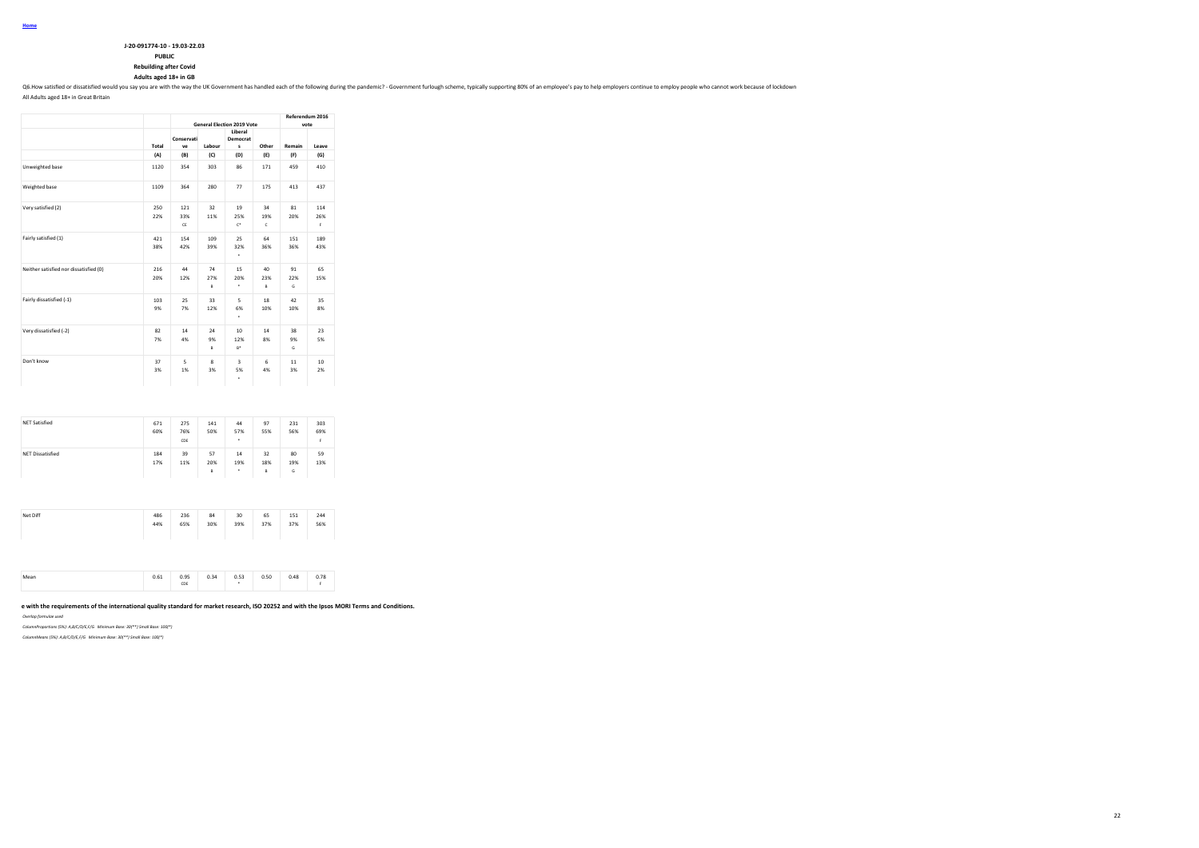| J-20-091774-10 - 19.03-22.03  |
|-------------------------------|
| <b>PUBLIC</b>                 |
| <b>Rebuilding after Covid</b> |

# **Adults aged 18+ in GB**

Q6.How satisfied or dissatisfied would you say you are with the way the UK Government has handled each of the following during the pandemic? - Government furiough scheme, typically supporting 80% of an employee's pay to he

All Adults aged 18+ in Great Britain

|                                        |                                                                               |                  |                | <b>General Election 2019 Vote</b>  |                | Referendum 2016<br>vote |                  |  |
|----------------------------------------|-------------------------------------------------------------------------------|------------------|----------------|------------------------------------|----------------|-------------------------|------------------|--|
|                                        | Total<br>(A)<br>1120<br>1109<br>250<br>22%<br>421<br>38%<br>216<br>20%<br>103 | Conservati<br>ve | Labour         | Liberal<br>Democrat<br>s           | Other          | Remain                  | Leave            |  |
|                                        |                                                                               | (B)              | (C)            | (D)                                | (E)            | (F)                     | (G)              |  |
| Unweighted base                        |                                                                               | 354              | 303            | 86                                 | 171            | 459                     | 410              |  |
| Weighted base                          |                                                                               | 364              | 280            | 77                                 | 175            | 413                     | 437              |  |
| Very satisfied (2)                     |                                                                               | 121<br>33%<br>CE | 32<br>11%      | 19<br>25%<br>$\mathbb{C}^*$        | 34<br>19%<br>c | 81<br>20%               | 114<br>26%<br>F. |  |
| Fairly satisfied (1)                   |                                                                               | 154<br>42%       | 109<br>39%     | 25<br>32%<br>٠                     | 64<br>36%      | 151<br>36%              | 189<br>43%       |  |
| Neither satisfied nor dissatisfied (0) |                                                                               | 44<br>12%        | 74<br>27%<br>B | 15<br>20%<br>٠                     | 40<br>23%<br>B | 91<br>22%<br>G          | 65<br>15%        |  |
| Fairly dissatisfied (-1)               | 9%                                                                            | 25<br>7%         | 33<br>12%      | 5<br>6%<br>٠                       | 18<br>10%      | 42<br>10%               | 35<br>8%         |  |
| Very dissatisfied (-2)                 | 82<br>7%                                                                      | 14<br>4%         | 24<br>9%<br>B  | 10<br>12%<br>$B^*$                 | 14<br>8%       | 38<br>9%<br>G           | 23<br>5%         |  |
| Don't know                             | 37<br>3%                                                                      | 5<br>1%          | 8<br>3%        | $\overline{\mathbf{3}}$<br>5%<br>٠ | 6<br>4%        | 11<br>3%                | 10<br>2%         |  |

| 57<br><b>NET Dissatisfied</b><br>32<br>59<br>39<br>14<br>184<br>80<br>17%<br>20%<br>19%<br>18%<br>11%<br>19%<br>13% |
|---------------------------------------------------------------------------------------------------------------------|
| ۰<br>B<br>G<br>B                                                                                                    |

| Net Diff | 486<br>44% | 236<br>65% | 84<br>30% | 30<br>39%<br>the contract of the contract of the contract of the contract of the contract of | 65<br>37% | 151<br>37% | 244<br>56% |  |
|----------|------------|------------|-----------|----------------------------------------------------------------------------------------------|-----------|------------|------------|--|
|          |            |            |           |                                                                                              |           |            |            |  |

|  | Mean | 0.61 | 0.95<br>CDE | 0.34<br><b>U.34</b> | 0.53 | 0.50 | 0.48 | 0.78 |
|--|------|------|-------------|---------------------|------|------|------|------|
|--|------|------|-------------|---------------------|------|------|------|------|

### e with the requirements of the international quality standard for market research, ISO 20252 and with the Ipsos MORI Terms and Conditions.

*Overlap formulae used*

*ColumnProportions (5%): A,B/C/D/E,F/G Minimum Base: 30(\*\*) Small Base: 100(\*)*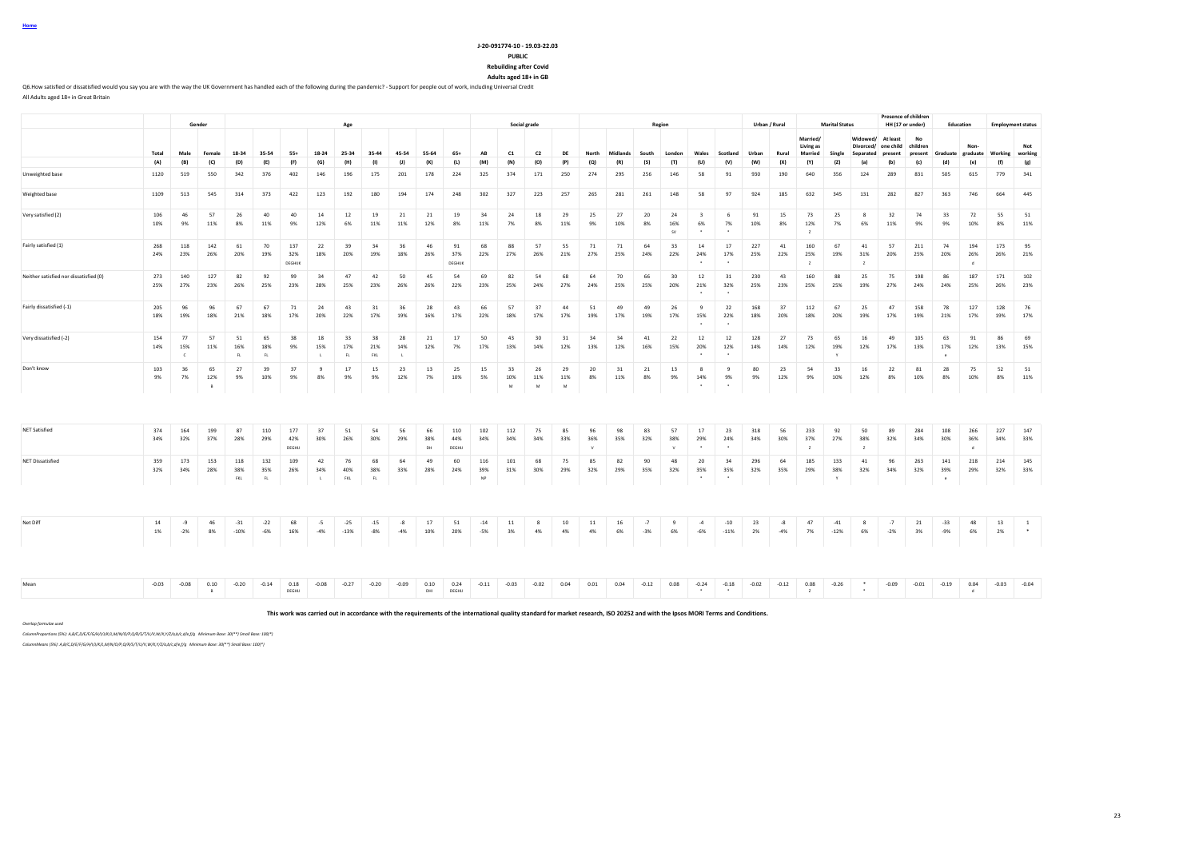#### **J-20-091774-10 - 19.03-22.03 PUBLIC**

**Rebuilding after Covid**

**Adults aged 18+ in GB**

Q6.How satisfied or dissatisfied would you say you are with the way the UK Government has handled each of the following during the pandemic? - Support for people out of work, including Universal Credit All Adults aged 18+ in Great Britain

|                                        |            |                           | Gender         |                   |                   |                       |                           | Age              |                  |               |                 |                      |                  | <b>Presence of children</b><br>Social grade<br><b>Marital Status</b><br>Region<br>Urban / Rural<br>HH (17 or under)<br>Education |                |                |                           |           |               | <b>Employment status</b> |                                          |                      |            |               |                                         |                 |                                    |                                  |                           |                 |                           |            |                                 |
|----------------------------------------|------------|---------------------------|----------------|-------------------|-------------------|-----------------------|---------------------------|------------------|------------------|---------------|-----------------|----------------------|------------------|----------------------------------------------------------------------------------------------------------------------------------|----------------|----------------|---------------------------|-----------|---------------|--------------------------|------------------------------------------|----------------------|------------|---------------|-----------------------------------------|-----------------|------------------------------------|----------------------------------|---------------------------|-----------------|---------------------------|------------|---------------------------------|
|                                        | Total      | Male                      | Female         | 18-34             | 35-54             | $55+$                 | 18-24                     | 25-34            | 35-44            | 45-54         | 55-64           | $65+$                | AB               | C1                                                                                                                               | C <sub>2</sub> | DE             | North                     | Midlands  | South         | London                   | Wales                                    | Scotland             | Urban      | Rural         | Married/<br>Living as<br><b>Married</b> | Single          | Widowed/<br>Divorced/<br>Separated | At least<br>one child<br>present | No<br>children<br>present | Graduate        | Non-<br>graduate          | Working    | Not<br>working                  |
|                                        | (A)        | (B)                       | (C)            | (D)               | (E)               | (F)                   | (G)                       | (H)              | (1)              | (1)           | (K)             | (L)                  | (M)              | (N)                                                                                                                              | (O)            | (P)            | (Q)                       | (R)       | (S)           | (T)                      | (U)                                      | (V)                  | (W)        | (X)           | (Y)                                     | (2)             | (a)                                | (b)                              | (c)                       | (d)             | (e)                       | (f)        | (g)                             |
| Unweighted base                        | 1120       | 519                       | 550            | 342               | 376               | 402                   | 146                       | 196              | 175              | 201           | 178             | 224                  | 325              | 374                                                                                                                              | 171            | 250            | 274                       | 295       | 256           | 146                      | 58                                       | 91                   | 930        | 190           | 640                                     | 356             | 124                                | 289                              | 831                       | 505             | 615                       | 779        | 341                             |
| Weighted base                          | 1109       | 513                       | 545            | 314               | 373               | 422                   | 123                       | 192              | 180              | 194           | 174             | 248                  | 302              | 327                                                                                                                              | 223            | 257            | 265                       | 281       | 261           | 148                      | 58                                       | 97                   | 924        | 185           | 632                                     | 345             | 131                                | 282                              | 827                       | 363             | 746                       | 664        | 445                             |
| Very satisfied (2)                     | 106<br>10% | 46<br>9%                  | 57<br>11%      | 26<br>8%          | 40<br>11%         | 40<br>9%              | 14<br>12%                 | 12<br>6%         | 19<br>11%        | 21<br>11%     | 21<br>12%       | 19<br>8%             | 34<br>11%        | 24<br>7%                                                                                                                         | 18<br>8%       | 29<br>11%      | 25<br>9%                  | 27<br>10% | 20<br>8%      | 24<br>16%<br>sv          | $\overline{\mathbf{3}}$<br>6%<br>$\cdot$ | 6<br>7%<br>$\cdot$   | 91<br>10%  | 15<br>8%      | 73<br>12%<br>$\mathbf{z}$               | 25<br>7%        | 8<br>6%                            | 32<br>11%                        | 74<br>9%                  | 33<br>9%        | 72<br>10%                 | 55<br>8%   | 51<br>11%                       |
| Fairly satisfied (1)                   | 268<br>24% | 118<br>23%                | 142<br>26%     | 61<br>20%         | 70<br>19%         | 137<br>32%<br>DEGHIJK | 22<br>18%                 | 39<br>20%        | 34<br>19%        | 36<br>18%     | 46<br>26%       | 91<br>37%<br>DEGHIJK | 68<br>22%        | 88<br>27%                                                                                                                        | 57<br>26%      | 55<br>21%      | 71<br>27%                 | 71<br>25% | 64<br>24%     | 33<br>22%                | 14<br>24%                                | 17<br>17%            | 227<br>25% | 41<br>22%     | 160<br>25%<br>z                         | 67<br>19%       | 41<br>31%<br>z                     | 57<br>20%                        | 211<br>25%                | 74<br>20%       | 194<br>26%<br>$\mathbf d$ | 173<br>26% | 95<br>21%                       |
| Neither satisfied nor dissatisfied (0) | 273<br>25% | 140<br>27%                | 127<br>23%     | 82<br>26%         | 92<br>25%         | 99<br>23%             | 34<br>28%                 | 47<br>25%        | 42<br>23%        | 50<br>26%     | 45<br>26%       | 54<br>22%            | 69<br>23%        | 82<br>25%                                                                                                                        | 54<br>24%      | 68<br>27%      | 64<br>24%                 | 70<br>25% | 66<br>25%     | 30<br>20%                | 12<br>21%                                | 31<br>32%            | 230<br>25% | 43<br>23%     | 160<br>25%                              | 88<br>25%       | 25<br>19%                          | 75<br>27%                        | 198<br>24%                | 86<br>24%       | 187<br>25%                | 171<br>26% | 102<br>23%                      |
| Fairly dissatisfied (-1)               | 205<br>18% | 96<br>19%                 | 96<br>18%      | 67<br>21%         | 67<br>18%         | 71<br>17%             | 24<br>20%                 | 43<br>22%        | 31<br>17%        | 36<br>19%     | 28<br>16%       | 43<br>17%            | 66<br>22%        | 57<br>18%                                                                                                                        | 37<br>17%      | 44<br>17%      | 51<br>19%                 | 49<br>17% | 49<br>19%     | 26<br>17%                | 9<br>15%                                 | 22<br>22%            | 168<br>18% | 37<br>20%     | 112<br>18%                              | 67<br>20%       | 25<br>19%                          | 47<br>17%                        | 158<br>19%                | 78<br>21%       | 127<br>17%                | 128<br>19% | 76<br>17%                       |
| Very dissatisfied (-2)                 | 154<br>14% | 77<br>15%<br>$\mathbf{C}$ | 57<br>11%      | 51<br>16%<br>FL   | 65<br>18%<br>FL   | 38<br>9%              | 18<br>15%                 | 33<br>17%<br>FL  | 38<br>21%<br>FKL | 28<br>14%     | 21<br>12%       | 17<br>7%             | 50<br>17%        | 43<br>13%                                                                                                                        | 30<br>14%      | 31<br>12%      | 34<br>13%                 | 34<br>12% | 41<br>16%     | 22<br>15%                | 12<br>20%                                | 12<br>12%            | 128<br>14% | 27<br>14%     | 73<br>12%                               | 65<br>19%       | 16<br>12%                          | 49<br>17%                        | 105<br>13%                | 63<br>17%       | 91<br>12%                 | 86<br>13%  | 69<br>15%                       |
| Don't know                             | 103<br>9%  | 36<br>7%                  | 65<br>12%<br>B | 27<br>9%          | 39<br>10%         | 37<br>9%              | 9<br>8%                   | 17<br>9%         | 15<br>9%         | 23<br>12%     | 13<br>7%        | 25<br>10%            | 15<br>5%         | 33<br>10%<br>M                                                                                                                   | 26<br>11%<br>M | 29<br>11%<br>M | 20<br>8%                  | 31<br>11% | 21<br>8%      | 13<br>9%                 | 8<br>14%<br>$\cdot$                      | -9<br>9%<br>$\sim$   | 80<br>9%   | 23<br>12%     | 54<br>9%                                | 33<br>10%       | 16<br>12%                          | 22<br>8%                         | 81<br>10%                 | 28<br>8%        | 75<br>10%                 | 52<br>8%   | 51<br>11%                       |
|                                        |            |                           |                |                   |                   |                       |                           |                  |                  |               |                 |                      |                  |                                                                                                                                  |                |                |                           |           |               |                          |                                          |                      |            |               |                                         |                 |                                    |                                  |                           |                 |                           |            |                                 |
| <b>NET Satisfied</b>                   | 374<br>34% | 164<br>32%                | 199<br>37%     | 87<br>28%         | 110<br>29%        | 177<br>42%<br>DEGHIJ  | 37<br>30%                 | 51<br>26%        | 54<br>30%        | 56<br>29%     | 66<br>38%<br>DH | 110<br>44%<br>DEGHIJ | 102<br>34%       | 112<br>34%                                                                                                                       | 75<br>34%      | 85<br>33%      | 96<br>36%<br>$\mathbf{v}$ | 98<br>35% | 83<br>32%     | 57<br>38%<br>V           | 17<br>29%                                | 23<br>24%            | 318<br>34% | 56<br>30%     | 233<br>37%<br>$\mathbf{z}$              | 92<br>27%       | 50<br>38%<br>z                     | 89<br>32%                        | 284<br>34%                | 108<br>30%      | 266<br>36%<br>d           | 227<br>34% | 147<br>33%                      |
| <b>NET Dissatisfied</b>                | 359<br>32% | 173<br>34%                | 153<br>28%     | 118<br>38%<br>FKL | 132<br>35%<br>FL. | 109<br>26%            | 42<br>34%<br>$\mathbf{L}$ | 76<br>40%<br>FKL | 68<br>38%<br>FL. | 64<br>33%     | 49<br>28%       | 60<br>24%            | 116<br>39%<br>NP | 101<br>31%                                                                                                                       | 68<br>30%      | 75<br>29%      | 85<br>32%                 | 82<br>29% | 90<br>35%     | 48<br>32%                | 20<br>35%                                | 34<br>35%            | 296<br>32% | 64<br>35%     | 185<br>29%                              | 133<br>38%<br>Y | 41<br>32%                          | 96<br>34%                        | 263<br>32%                | 141<br>39%<br>e | 218<br>29%                | 214<br>32% | 145<br>33%                      |
|                                        |            |                           |                |                   |                   |                       |                           |                  |                  |               |                 |                      |                  |                                                                                                                                  |                |                |                           |           |               |                          |                                          |                      |            |               |                                         |                 |                                    |                                  |                           |                 |                           |            |                                 |
| Net Diff                               | 14<br>1%   | -9<br>$-2%$               | 46<br>8%       | $-31$<br>$-10%$   | $-22$<br>$-6%$    | 68<br>16%             | $-5$<br>$-4%$             | $-25$<br>$-13%$  | $-15$<br>$-8%$   | $-8$<br>$-4%$ | 17<br>10%       | 51<br>20%            | $-14$<br>$-5%$   | 11<br>3%                                                                                                                         | -8<br>4%       | 10<br>4%       | 11<br>4%                  | 16<br>6%  | $-7$<br>$-3%$ | 9<br>6%                  | $-4$<br>$-6%$                            | $-10$<br>$-11%$      | 23<br>2%   | $-8$<br>$-4%$ | 47<br>7%                                | $-41$<br>$-12%$ | 8<br>6%                            | $-7$<br>$-2%$                    | 21<br>3%                  | $-33$<br>$-9%$  | 48<br>6%                  | 13<br>2%   | $\overline{1}$<br>$\rightarrow$ |
|                                        |            |                           |                |                   |                   |                       |                           |                  |                  |               |                 |                      |                  |                                                                                                                                  |                |                |                           |           |               |                          |                                          |                      |            |               |                                         |                 |                                    |                                  |                           |                 |                           |            |                                 |
| Mean                                   | $-0.03$    | $-0.08$                   | 0.10<br>B      | $-0.20$           | $-0.14$           | 0.18<br>DEGHIJ        | $-0.08$                   | $-0.27$          | $-0.20$          | $-0.09$       | 0.10<br>DHI     | 0.24<br>DEGHIJ       | $-0.11$          | $-0.03$                                                                                                                          | $-0.02$        | 0.04           | 0.01                      | 0.04      | $-0.12$       | 0.08                     | $-0.24$<br>$\bullet$                     | $-0.18$<br>$\bullet$ | $-0.02$    | $-0.12$       | 0.08<br>$\mathbf{z}$                    | $-0.26$         | $\hat{\phantom{a}}$                | $-0.09$                          | $-0.01$                   | $-0.19$         | 0.04<br>d                 | $-0.03$    | $-0.04$                         |

**This work was carried out in accordance with the requirements of the international quality standard for market research, ISO 20252 and with the Ipsos MORI Terms and Conditions.**

*Overlap formulae used*

*ColumnProportions (5%): A,B/C,D/E/F/G/H/I/J/K/L,M/N/O/P,Q/R/S/T/U/V,W/X,Y/Z/a,b/c,d/e,f/g Minimum Base: 30(\*\*) Small Base: 100(\*)*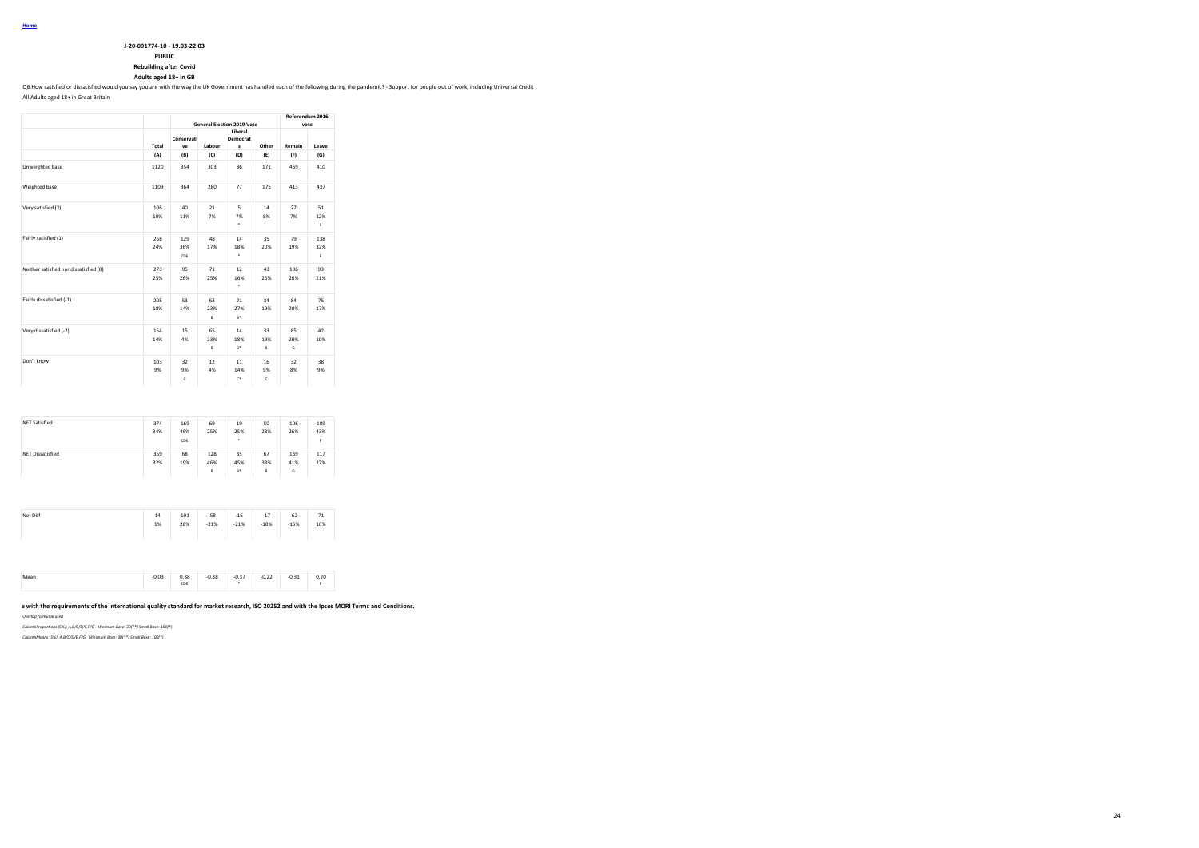| J-20-091774-10 - 19.03-22.03 |
|------------------------------|

**PUBLIC**

**Rebuilding after Covid**

**Adults aged 18+ in GB**

Q6.How satisfied or dissatisfied would you say you are with the way the UK Government has handled each of the following during the pandemic? - Support for people out of work, including Universal Credit

All Adults aged 18+ in Great Britain

|                                        |            |                   |                | <b>General Election 2019 Vote</b> |                | Referendum 2016<br>vote |                  |
|----------------------------------------|------------|-------------------|----------------|-----------------------------------|----------------|-------------------------|------------------|
|                                        | Total      | Conservati<br>ve  | Labour         | Liberal<br>Democrat<br>s          | Other          | Remain                  | Leave            |
|                                        | (A)        | (B)               | (C)            | (D)                               | (E)            | (F)                     | (G)              |
| Unweighted base                        | 1120       | 354               | 303            | 86                                | 171            | 459                     | 410              |
| Weighted base                          | 1109       | 364               | 280            | 77                                | 175            | 413                     | 437              |
| Very satisfied (2)                     | 106<br>10% | 40<br>11%         | 21<br>7%       | 5<br>7%<br>٠                      | 14<br>8%       | 27<br>7%                | 51<br>12%<br>F.  |
| Fairly satisfied (1)                   | 268<br>24% | 129<br>36%<br>CDE | 48<br>17%      | 14<br>18%<br>٠                    | 35<br>20%      | 79<br>19%               | 138<br>32%<br>F. |
| Neither satisfied nor dissatisfied (0) | 273<br>25% | 95<br>26%         | 71<br>25%      | 12<br>16%<br>٠                    | 43<br>25%      | 106<br>26%              | 93<br>21%        |
| Fairly dissatisfied (-1)               | 205<br>18% | 53<br>14%         | 63<br>23%<br>B | 21<br>27%<br>$B^*$                | 34<br>19%      | 84<br>20%               | 75<br>17%        |
| Very dissatisfied (-2)                 | 154<br>14% | 15<br>4%          | 65<br>23%<br>B | 14<br>18%<br>$B^*$                | 33<br>19%<br>B | 85<br>20%<br>G          | 42<br>10%        |
| Don't know                             | 103<br>9%  | 32<br>9%<br>c     | 12<br>4%       | 11<br>14%<br>$C^*$                | 16<br>9%<br>c  | 32<br>8%                | 38<br>9%         |

| 35<br>67<br><b>NET Dissatisfied</b><br>68<br>359<br>128<br>169<br>117 | <b>NET Satisfied</b> | 374<br>34% | 169<br>46%<br>CDE | 69<br>25% | 19<br>25%<br>٠ | 50<br>28% | 106<br>26% | 189<br>43%<br>F. |
|-----------------------------------------------------------------------|----------------------|------------|-------------------|-----------|----------------|-----------|------------|------------------|
| $B^*$<br>B<br>B<br>G                                                  |                      | 32%        | 19%               | 46%       | 45%            | 38%       | 41%        | 27%              |
|                                                                       | Net Diff             | 14         | 101               | $-58$     | $-16$          | $-17$     | $-62$      | 71               |

| . | $\rightarrow$ | $\overline{\phantom{a}}$ | $\overline{\phantom{a}}$ | $\overline{\phantom{a}}$ | $\ddot{\phantom{0}}$ | $\overline{\phantom{a}}$ | $\overline{\phantom{a}}$ |  |
|---|---------------|--------------------------|--------------------------|--------------------------|----------------------|--------------------------|--------------------------|--|
|   | 1%            | 28%                      | $-21%$                   | $-21%$                   | $-10%$               | $-15%$                   | 16%                      |  |
|   |               |                          |                          |                          |                      |                          |                          |  |
|   |               |                          |                          |                          |                      |                          |                          |  |
|   |               |                          |                          |                          |                      |                          |                          |  |
|   |               |                          |                          |                          |                      |                          |                          |  |

| CDE |
|-----|
|-----|

# e with the requirements of the international quality standard for market research, ISO 20252 and with the Ipsos MORI Terms and Conditions.

*Overlap formulae used*

*ColumnProportions (5%): A,B/C/D/E,F/G Minimum Base: 30(\*\*) Small Base: 100(\*)*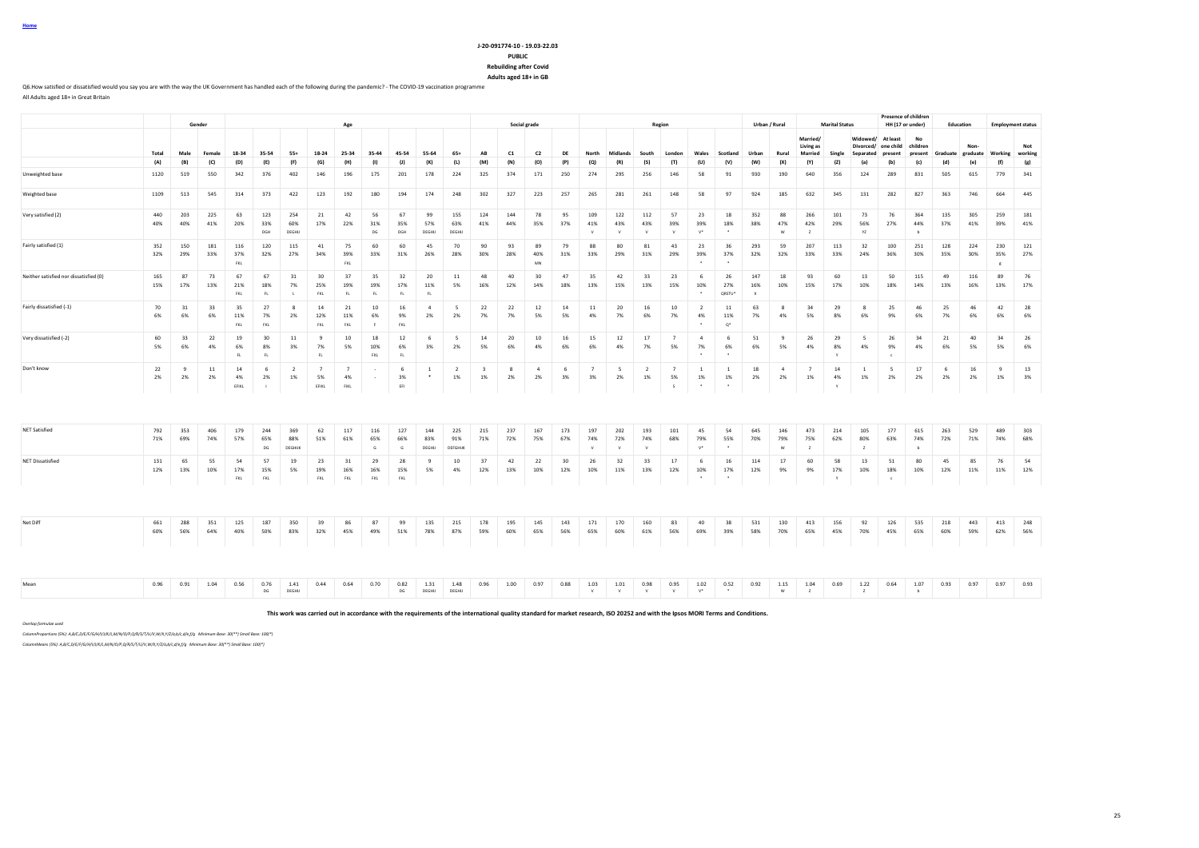### **J-20-091774-10 - 19.03-22.03 PUBLIC Rebuilding after Covid**

**Adults aged 18+ in GB**

Q6.How satisfied or dissatisfied would you say you are with the way the UK Government has handled each of the following during the pandemic? - The COVID-19 vaccination programme

All Adults aged 18+ in Great Britain

|                                        |            |            | Gender       |                          |                   |                          |                               | Age                          |                  |                  |                      |                                |                               |            | Social grade    |            |                            |                      |                      | Region                     |                                              |                                    |                            | Urban / Rural   |                                         | <b>Marital Status</b>    |                        |                                           | Presence of children<br>HH (17 or under) |            | Education        |                        | <b>Employment status</b> |
|----------------------------------------|------------|------------|--------------|--------------------------|-------------------|--------------------------|-------------------------------|------------------------------|------------------|------------------|----------------------|--------------------------------|-------------------------------|------------|-----------------|------------|----------------------------|----------------------|----------------------|----------------------------|----------------------------------------------|------------------------------------|----------------------------|-----------------|-----------------------------------------|--------------------------|------------------------|-------------------------------------------|------------------------------------------|------------|------------------|------------------------|--------------------------|
|                                        | Total      | Male       | Female       | 18-34                    | 35-54             | $55+$                    | 18-24                         | 25-34                        | 35-44            | 45-54            | 55-64                | $65+$                          | AB                            | C1         | C <sub>2</sub>  | DE         | North                      | Midlands             | South                | London                     | Wales                                        | Scotland                           | Urban                      | Rural           | Married/<br>Living as<br><b>Married</b> | Single                   | Divorced/<br>Senarated | Widowed/ At least<br>one child<br>present | No<br>children<br>present                | Graduate   | Non-<br>graduate |                        | Not<br>Working working   |
|                                        | (A)        | (B)        | (C)          | (D)                      | (E)               | (F)                      | (G)                           | (H)                          | (1)              | (1)              | (K)                  | (L)                            | (M)                           | (N)        | (O)             | (P)        | (Q)                        | (R)                  | (S)                  | (T)                        | (U)                                          | (V)                                | (W)                        | (X)             | (Y)                                     | (Z)                      | (a)                    | (b)                                       | (c)                                      | (d)        | (e)              | (f)                    | (g)                      |
| Unweighted base                        | 1120       | 519        | 550          | 342                      | 376               | 402                      | 146                           | 196                          | 175              | 201              | 178                  | 224                            | 325                           | 374        | 171             | 250        | 274                        | 295                  | 256                  | 146                        | 58                                           | 91                                 | 930                        | 190             | 640                                     | 356                      | 124                    | 289                                       | 831                                      | 505        | 615              | 779                    | 341                      |
| Weighted base                          | 1109       | 513        | 545          | 314                      | 373               | 422                      | 123                           | 192                          | 180              | 194              | 174                  | 248                            | 302                           | 327        | 223             | 257        | 265                        | 281                  | 261                  | 148                        | 58                                           | 97                                 | 924                        | 185             | 632                                     | 345                      | 131                    | 282                                       | 827                                      | 363        | 746              | 664                    | 445                      |
| Very satisfied (2)                     | 440<br>40% | 203<br>40% | 225<br>41%   | 63<br>20%                | 123<br>33%<br>DGH | 254<br>60%<br>DEGHU      | 21<br>17%                     | 42<br>22%                    | 56<br>31%<br>DG  | 67<br>35%<br>DGH | 99<br>57%<br>DEGHIJ  | 155<br>63%<br>DEGHIJ           | 124<br>41%                    | 144<br>44% | 78<br>35%       | 95<br>37%  | 109<br>41%<br>V            | 122<br>43%<br>V      | 112<br>43%<br>V      | 57<br>39%<br>V             | 23<br>39%<br>$V^*$                           | 18<br>18%<br>$\bullet$             | 352<br>38%                 | 88<br>47%<br>W  | 266<br>42%<br>$\mathbf{z}$              | 101<br>29%               | 73<br>56%<br>YZ        | 76<br>27%                                 | 364<br>44%<br>$\overline{b}$             | 135<br>37% | 305<br>41%       | 259<br>39%             | 181<br>41%               |
| Fairly satisfied (1)                   | 352<br>32% | 150<br>29% | 181<br>33%   | 116<br>37%<br><b>FKL</b> | 120<br>32%        | 115<br>27%               | 41<br>34%                     | 75<br>39%<br>FKL             | 60<br>33%        | 60<br>31%        | 45<br>26%            | 70<br>28%                      | 90<br>30%                     | 93<br>28%  | 89<br>40%<br>MM | 79<br>31%  | 88<br>33%                  | 80<br>29%            | 81<br>31%            | 43<br>29%                  | 23<br>39%                                    | 36<br>37%                          | 293<br>32%                 | 59<br>32%       | 207<br>33%                              | 113<br>33%               | 32<br>24%              | 100<br>36%                                | 251<br>30%                               | 128<br>35% | 224<br>30%       | 230<br>35%<br>$\kappa$ | 121<br>27%               |
| Neither satisfied nor dissatisfied (0) | 165<br>15% | 87<br>17%  | 73<br>13%    | 67<br>21%<br>FKL         | 67<br>18%<br>FL   | 31<br>7%<br>$\mathbf{L}$ | 30<br>25%<br>FKL              | 37<br>19%<br>FL              | 35<br>19%<br>FL  | 32<br>17%<br>FL. | 20<br>11%<br>FL      | 11<br>5%                       | 48<br>16%                     | 40<br>12%  | 30<br>14%       | 47<br>18%  | 35<br>13%                  | 42<br>15%            | 33<br>13%            | 23<br>15%                  | - 6<br>10%<br>$\bullet$                      | 26<br>27%<br>QRSTU*                | 147<br>16%<br>$\mathbf{x}$ | 18<br>10%       | 93<br>15%                               | 60<br>17%                | 13<br>10%              | 50<br>18%                                 | 115<br>14%                               | 49<br>13%  | 116<br>16%       | 89<br>13%              | 76<br>17%                |
| Fairly dissatisfied (-1)               | 70<br>6%   | 31<br>6%   | 33<br>6%     | 35<br>11%<br>FKL         | 27<br>7%<br>FKL   | -8<br>2%                 | 14<br>12%<br>FKL              | 21<br>11%<br>FKL             | 10<br>6%<br>F    | 16<br>9%<br>FKL  | $\mathbf{A}$<br>2%   | $\overline{\phantom{a}}$<br>2% | 22<br>7%                      | 22<br>7%   | 12<br>5%        | 14<br>5%   | 11<br>4%                   | 20<br>7%             | 16<br>6%             | 10<br>7%                   | $\overline{2}$<br>4%<br>$\ddot{\phantom{1}}$ | 11<br>11%<br>$\mathsf{Q}^*$        | 63<br>7%                   | 8<br>4%         | 34<br>5%                                | 29<br>8%                 | 8<br>6%                | 25<br>9%                                  | 46<br>6%                                 | 25<br>7%   | 46<br>6%         | 42<br>6%               | 28<br>6%                 |
| Very dissatisfied (-2)                 | 60<br>5%   | 33<br>6%   | 22<br>4%     | 19<br>6%<br>FL           | 30<br>8%<br>FL    | 11<br>3%                 | $\overline{9}$<br>7%<br>FL.   | 10<br>5%                     | 18<br>10%<br>FKL | 12<br>6%<br>FL   | 6<br>3%              | 5<br>2%                        | 14<br>5%                      | 20<br>6%   | $10\,$<br>4%    | 16<br>6%   | 15<br>6%                   | 12<br>4%             | 17<br>7%             | $\overline{7}$<br>5%       | $\sim$<br>7%                                 | -6<br>6%                           | 51<br>6%                   | -9<br>5%        | 26<br>4%                                | 29<br>8%<br>$\mathbf{v}$ | 5<br>4%                | 26<br>9%<br>$\epsilon$                    | 34<br>4%                                 | 21<br>6%   | 40<br>5%         | 34<br>5%               | 26<br>6%                 |
| Don't know                             | 22<br>2%   | -9<br>2%   | $11\,$<br>2% | 14<br>4%<br>EFIKL        | 6<br>2%<br>- 11   | $\overline{2}$<br>1%     | $\overline{7}$<br>5%<br>EFIKL | $\overline{7}$<br>4%<br>FIKL |                  | 6<br>3%<br>EFI   | <sup>1</sup><br>*    | $\overline{2}$<br>1%           | $\overline{\mathbf{3}}$<br>1% | -8<br>2%   | $\sim$<br>2%    | 6<br>3%    | $\overline{7}$<br>3%       | - 5<br>2%            | $\overline{2}$<br>1% | $\overline{7}$<br>5%<br>s. | <sup>1</sup><br>1%<br>$\bullet$              | <sup>1</sup><br>$1\%$<br>$\bullet$ | 18<br>2%                   | $\sim$<br>2%    | $\overline{7}$<br>1%                    | 14<br>4%<br>Y            | <sup>1</sup><br>1%     | -5<br>2%                                  | 17<br>2%                                 | -6<br>2%   | 16<br>2%         | 9<br>1%                | 13<br>3%                 |
| <b>NET Satisfied</b>                   | 792<br>71% | 353<br>69% | 406<br>74%   | 179<br>57%               | 244<br>65%<br>DG  | 369<br>88%<br>DEGHIJK    | 62<br>51%                     | 117<br>61%                   | 116<br>65%<br>G  | 127<br>66%<br>G  | 144<br>83%<br>DEGHIJ | 225<br>91%<br>DEFGHUK          | 215<br>71%                    | 237<br>72% | 167<br>75%      | 173<br>67% | 197<br>74%<br>$\mathbf{v}$ | 202<br>72%           | 193<br>74%           | 101<br>68%                 | 45<br>79%<br>$\mathsf{V}^\star$              | 54<br>55%<br>$\ddot{\phantom{1}}$  | 645<br>70%                 | 146<br>79%<br>W | 473<br>75%<br>z                         | 214<br>62%               | 105<br>80%<br>z        | 177<br>63%                                | 615<br>74%<br>$\overline{b}$             | 263<br>72% | 529<br>71%       | 489<br>74%             | 303<br>68%               |
| NET Dissatisfied                       | 131<br>12% | 65<br>13%  | 55<br>10%    | 54<br>17%<br>FKL         | 57<br>15%<br>FKL  | 19<br>5%                 | 23<br>19%<br>FKL              | 31<br>16%<br>FKL             | 29<br>16%<br>FKL | 28<br>15%<br>FKL | $\mathbf{Q}$<br>5%   | 10<br>4%                       | 37<br>12%                     | 42<br>13%  | 22<br>10%       | 30<br>12%  | 26<br>10%                  | 32<br>11%            | 33<br>13%            | 17<br>12%                  | -6<br>10%<br>$\bullet$                       | 16<br>17%<br>$\bullet$             | 114<br>12%                 | 17<br>9%        | 60<br>9%                                | 58<br>17%<br>Y           | 13<br>10%              | 51<br>18%<br>$\mathbf c$                  | 80<br>10%                                | 45<br>12%  | 85<br>11%        | 76<br>11%              | 54<br>12%                |
|                                        |            |            |              |                          |                   |                          |                               |                              |                  |                  |                      |                                |                               |            |                 |            |                            |                      |                      |                            |                                              |                                    |                            |                 |                                         |                          |                        |                                           |                                          |            |                  |                        |                          |
| Net Diff                               | 661<br>60% | 288<br>56% | 351<br>64%   | 125<br>40%               | 187<br>50%        | 350<br>83%               | 39<br>32%                     | 86<br>45%                    | 87<br>49%        | 99<br>51%        | 135<br>78%           | 215<br>87%                     | 178<br>59%                    | 195<br>60% | 145<br>65%      | 143<br>56% | 171<br>65%                 | 170<br>60%           | 160<br>61%           | 83<br>56%                  | 40<br>69%                                    | 38<br>39%                          | 531<br>58%                 | 130<br>70%      | 413<br>65%                              | 156<br>45%               | 92<br>70%              | 126<br>45%                                | 535<br>65%                               | 218<br>60% | 443<br>59%       | 413<br>62%             | 248<br>56%               |
| Mean                                   | 0.96       | 0.91       | 1.04         | 0.56                     | 0.76<br>DG        | 1.41<br>DEGHU            | 0.44                          | 0.64                         | 0.70             | 0.82<br>ng       | 1.31<br>DEGHIJ       | 1.48<br>DEGHL                  | 0.96                          | 1.00       | 0.97            | 0.88       | 1.03<br>$\mathbf{v}$       | 1.01<br>$\mathbf{M}$ | 0.98                 | 0.95                       | 1.02<br>$V^*$                                | 0.52                               | 0.92                       | 1.15<br>w       | 1.04<br>$\overline{z}$                  | 0.69                     | 1.22<br>$\overline{z}$ | 0.64                                      | 1.07<br>ь.                               | 0.93       | 0.97             | 0.97                   | 0.93                     |

**This work was carried out in accordance with the requirements of the international quality standard for market research, ISO 20252 and with the Ipsos MORI Terms and Conditions.**

*Overlap formulae used*

*ColumnProportions (5%): A,B/C,D/E/F/G/H/I/J/K/L,M/N/O/P,Q/R/S/T/U/V,W/X,Y/Z/a,b/c,d/e,f/g Minimum Base: 30(\*\*) Small Base: 100(\*)*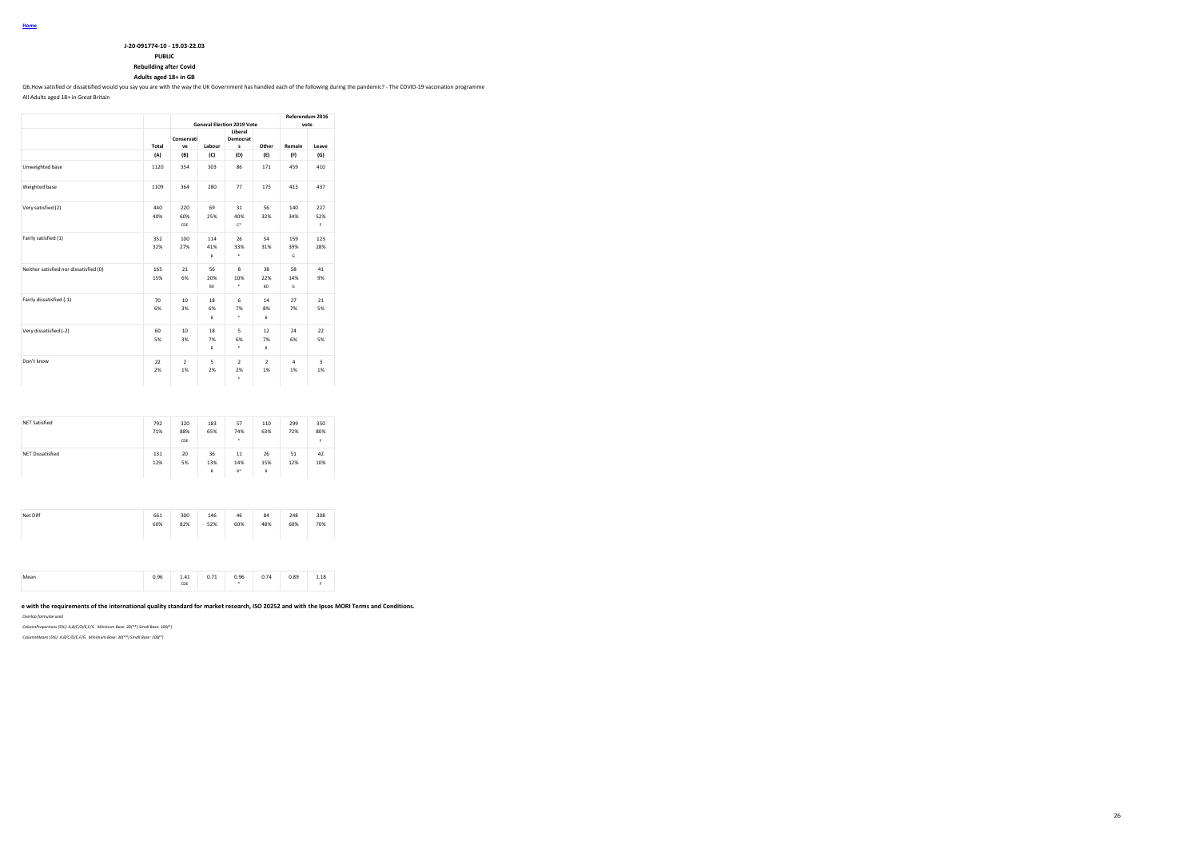| J-20-091774-10 - 19.03-22.03 |
|------------------------------|

**PUBLIC**

**Rebuilding after Covid**

**Adults aged 18+ in GB**

Q6.How satisfied or dissatisfied would you say you are with the way the UK Government has handled each of the following during the pandemic? - The COVID-19 vaccination programme

All Adults aged 18+ in Great Britain

|                                        |            |                       |                        | <b>General Election 2019 Vote</b> |                        | Referendum 2016<br>vote |                               |
|----------------------------------------|------------|-----------------------|------------------------|-----------------------------------|------------------------|-------------------------|-------------------------------|
|                                        | Total      | Conservati<br>VP      | Labour                 | Liberal<br>Democrat<br>s          | Other                  | Remain                  | Leave                         |
|                                        | (A)        | (B)                   | (C)                    | (D)                               | (E)                    | (F)                     | (G)                           |
| Unweighted base                        | 1120       | 354                   | 303                    | 86                                | 171                    | 459                     | 410                           |
| Weighted base                          | 1109       | 364                   | 280                    | 77                                | 175                    | 413                     | 437                           |
| Very satisfied (2)                     | 440<br>40% | 220<br>60%<br>CDE     | 69<br>25%              | 31<br>40%<br>$\mathbb{C}^*$       | 56<br>32%              | 140<br>34%              | 227<br>52%<br>F.              |
| Fairly satisfied (1)                   | 352<br>32% | 100<br>27%            | 114<br>41%<br>B        | 26<br>33%<br>٠                    | 54<br>31%              | 159<br>39%<br>G         | 123<br>28%                    |
| Neither satisfied nor dissatisfied (0) | 165<br>15% | 21<br>6%              | 56<br>20%<br><b>BD</b> | 8<br>10%<br>٠                     | 38<br>22%<br><b>BD</b> | 58<br>14%<br>G          | 41<br>9%                      |
| Fairly dissatisfied (-1)               | 70<br>6%   | 10<br>3%              | 18<br>6%<br>B          | 6<br>7%<br>٠                      | 14<br>8%<br>B          | 27<br>7%                | 21<br>5%                      |
| Very dissatisfied (-2)                 | 60<br>5%   | 10 <sup>1</sup><br>3% | 18<br>7%<br>B          | 5<br>6%<br>٠                      | 12<br>7%<br>B          | 24<br>6%                | 22<br>5%                      |
| Don't know                             | 22<br>2%   | $\overline{2}$<br>1%  | 5<br>2%                | $\overline{2}$<br>2%<br>٠         | $\overline{2}$<br>1%   | $\Delta$<br>1%          | $\overline{\mathbf{3}}$<br>1% |

| <b>NET Satisfied</b>    | 792<br>71% | 320<br>88%<br>CDE | 183<br>65%     | 57<br>74%<br>٠     | 110<br>63%     | 299<br>72% | 350<br>80%<br>F. |
|-------------------------|------------|-------------------|----------------|--------------------|----------------|------------|------------------|
| <b>NET Dissatisfied</b> | 131<br>12% | 20<br>5%          | 36<br>13%<br>B | 11<br>14%<br>$B^*$ | 26<br>15%<br>B | 51<br>12%  | 42<br>10%        |

| Net Diff | 661<br>60% | 300<br>82% | 146<br>52% | 46<br>60% | 84<br>48% | 248<br>60% | 308<br>70% |  |
|----------|------------|------------|------------|-----------|-----------|------------|------------|--|
|          |            |            |            |           |           |            |            |  |

| CDE |
|-----|
|-----|

# e with the requirements of the international quality standard for market research, ISO 20252 and with the Ipsos MORI Terms and Conditions.

*Overlap formulae used*

*ColumnProportions (5%): A,B/C/D/E,F/G Minimum Base: 30(\*\*) Small Base: 100(\*)*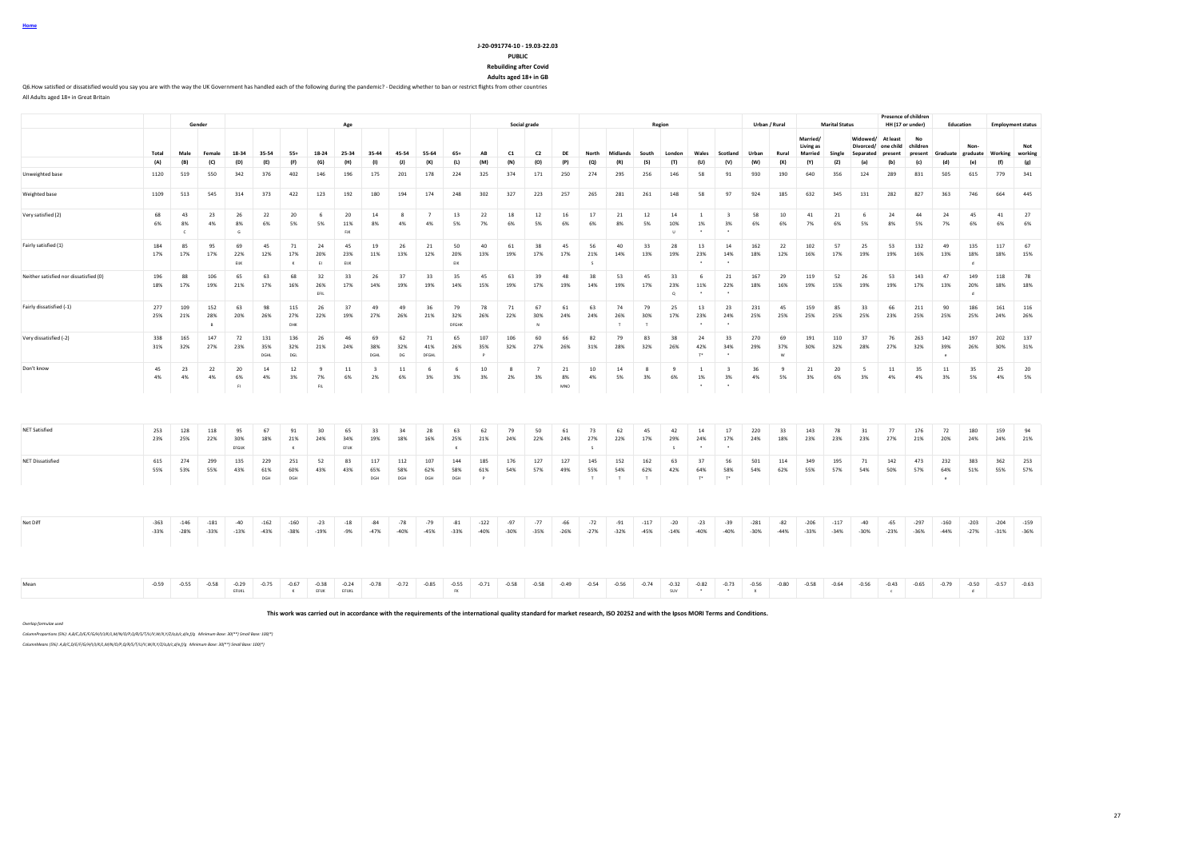# **J-20-091774-10 - 19.03-22.03**

**PUBLIC**

**Rebuilding after Covid Adults aged 18+ in GB**

Q6.How satisfied or dissatisfied would you say you are with the way the UK Government has handled each of the following during the pandemic? - Deciding whether to ban or restrict flights from other countries

All Adults aged 18+ in Great Britain

|                                        |                  |                        | Gender           |                    |                    |                           |                       | Age                     |                               |                   |                      |                       |                  |                 | Social grade         |                 |                     |                     |                  | Region                    |                             |                               |                  | Urban / Rural   |                                  | <b>Marital Status</b> |                       |                                            | Presence of children<br>HH (17 or under) |                            | <b>Fducation</b>          |                  | <b>Employment status</b> |
|----------------------------------------|------------------|------------------------|------------------|--------------------|--------------------|---------------------------|-----------------------|-------------------------|-------------------------------|-------------------|----------------------|-----------------------|------------------|-----------------|----------------------|-----------------|---------------------|---------------------|------------------|---------------------------|-----------------------------|-------------------------------|------------------|-----------------|----------------------------------|-----------------------|-----------------------|--------------------------------------------|------------------------------------------|----------------------------|---------------------------|------------------|--------------------------|
|                                        | Total            | Male                   | Female           | 18-34              | 35-54              | $55+$                     | 18-24                 | 25-34                   | 35-44                         | 45-54             | 55-64                | $65+$                 | AB               | C1              | C <sub>2</sub>       | DE              | North               | Midlands            | South            | London                    | Wales                       | Scotland                      | Urban            | Rural           | Married/<br>Living as<br>Married | Single                | Widowed/<br>Separated | At least<br>Divorced/ one child<br>present | No<br>children<br>present                |                            | Non-<br>Graduate graduate |                  | Not<br>Working working   |
|                                        | (A)              | (B)                    | (C)              | (D)                | (E)                | (F)                       | (G)                   | (H)                     | (1)                           | (1)               | (K)                  | (L)                   | (M)              | (N)             | (O)                  | (P)             | (Q)                 | (R)                 | (S)              | (T)                       | (U)                         | (V)                           | (W)              | (X)             | (Y)                              | (Z)                   | (a)                   | (b)                                        | (c)                                      | (d)                        | (e)                       | (f)              | (g)                      |
| Unweighted base                        | 1120             | 519                    | 550              | 342                | 376                | 402                       | 146                   | 196                     | 175                           | 201               | 178                  | 224                   | 325              | 374             | 171                  | 250             | 274                 | 295                 | 256              | 146                       | 58                          | 91                            | 930              | 190             | 640                              | 356                   | 124                   | 289                                        | 831                                      | 505                        | 615                       | 779              | 341                      |
| Weighted base                          | 1109             | 513                    | 545              | 314                | 373                | 422                       | 123                   | 192                     | 180                           | 194               | 174                  | 248                   | 302              | 327             | 223                  | 257             | 265                 | 281                 | 261              | 148                       | 58                          | 97                            | 924              | 185             | 632                              | 345                   | 131                   | 282                                        | 827                                      | 363                        | 746                       | 664              | 445                      |
| Very satisfied (2)                     | 68<br>6%         | 43<br>8%<br>$\epsilon$ | 23<br>4%         | 26<br>8%<br>G      | 22<br>6%           | 20<br>5%                  | 6<br>5%               | 20<br>11%<br><b>FJK</b> | 14<br>8%                      | -8<br>4%          | $\overline{7}$<br>4% | 13<br>5%              | 22<br>7%         | 18<br>6%        | 12<br>5%             | 16<br>6%        | 17<br>6%            | 21<br>8%            | 12<br>5%         | 14<br>10%<br>$\mathbf{H}$ | $\overline{1}$<br>1%        | $\overline{\mathbf{3}}$<br>3% | 58<br>6%         | 10<br>6%        | 41<br>7%                         | 21<br>6%              | 6<br>5%               | 24<br>8%                                   | 44<br>5%                                 | 24<br>7%                   | 45<br>6%                  | 41<br>6%         | 27<br>6%                 |
| Fairly satisfied (1)                   | 184<br>17%       | 85<br>17%              | 95<br>17%        | 69<br>22%<br>EIJK  | 45<br>12%          | 71<br>17%<br>$\mathbf x$  | 24<br>20%<br>E1       | 45<br>23%<br>EIJK       | 19<br>11%                     | 26<br>13%         | 21<br>12%            | 50<br>20%<br>EIK      | 40<br>13%        | 61<br>19%       | 38<br>17%            | 45<br>17%       | 56<br>21%           | 40<br>14%           | 33<br>13%        | 28<br>19%                 | 13<br>23%                   | 14<br>14%                     | 162<br>18%       | 22<br>12%       | 102<br>16%                       | 57<br>17%             | 25<br>19%             | 53<br>19%                                  | 132<br>16%                               | 49<br>13%                  | 135<br>18%<br>d           | 117<br>18%       | 67<br>15%                |
| Neither satisfied nor dissatisfied (0) | 196<br>18%       | 88<br>17%              | 106<br>19%       | 65<br>21%          | 63<br>17%          | 68<br>16%                 | 32<br>26%<br>EFIL     | 33<br>17%               | 26<br>14%                     | 37<br>19%         | 33<br>19%            | 35<br>14%             | 45<br>15%        | 63<br>19%       | 39<br>17%            | 48<br>19%       | 38<br>14%           | 53<br>19%           | 45<br>17%        | 33<br>23%<br>$\alpha$     | 6<br>11%                    | 21<br>22%                     | 167<br>18%       | 29<br>16%       | 119<br>19%                       | 52<br>15%             | 26<br>19%             | 53<br>19%                                  | 143<br>17%                               | 47<br>13%                  | 149<br>20%<br>d           | 118<br>18%       | 78<br>18%                |
| Fairly dissatisfied (-1)               | 277<br>25%       | 109<br>21%             | 152<br>28%<br>B  | 63<br>20%          | 98<br>26%          | 115<br>27%<br>DHK         | 26<br>22%             | 37<br>19%               | 49<br>27%                     | 49<br>26%         | 36<br>21%            | 79<br>32%<br>DFGHK    | 78<br>26%        | 71<br>22%       | 67<br>30%<br>N       | 61<br>24%       | 63<br>24%           | 74<br>26%<br>$\tau$ | 79<br>30%        | 25<br>17%                 | 13<br>23%                   | 23<br>24%                     | 231<br>25%       | 45<br>25%       | 159<br>25%                       | 85<br>25%             | 33<br>25%             | 66<br>23%                                  | 211<br>25%                               | 90<br>25%                  | 186<br>25%                | 161<br>24%       | 116<br>26%               |
| Very dissatisfied (-2)                 | 338<br>31%       | 165<br>32%             | 147<br>27%       | 72<br>23%          | 131<br>35%<br>DGHL | 136<br>32%<br>DGL         | 26<br>21%             | 46<br>24%               | 69<br>38%<br>DGHL             | 62<br>32%<br>DG   | 71<br>41%<br>DFGHL   | 65<br>26%             | 107<br>35%<br>P  | 106<br>32%      | 60<br>27%            | 66<br>26%       | 82<br>31%           | 79<br>28%           | 83<br>32%        | 38<br>26%                 | 24<br>42%<br>$T^*$          | 33<br>34%                     | 270<br>29%       | 69<br>37%       | 191<br>30%                       | 110<br>32%            | 37<br>28%             | 76<br>27%                                  | 263<br>32%                               | 142<br>39%<br>$\epsilon$   | 197<br>26%                | 202<br>30%       | 137<br>31%               |
| Don't know                             | 45<br>4%         | 23<br>4%               | 22<br>4%         | 20<br>6%<br>FI.    | 14<br>4%           | 12<br>3%                  | 9<br>7%<br><b>FIL</b> | 11<br>6%                | $\overline{\mathbf{3}}$<br>2% | 11<br>6%          | 6<br>3%              | 6<br>3%               | 10<br>3%         | 8<br>2%         | $\overline{7}$<br>3% | 21<br>8%<br>MNO | 10<br>4%            | 14<br>5%            | 8<br>3%          | 9<br>6%                   | <sup>1</sup><br>1%          | $\overline{\mathbf{3}}$<br>3% | 36<br>4%         | -9<br>5%        | 21<br>3%                         | 20<br>6%              | 5<br>3%               | 11<br>4%                                   | 35<br>4%                                 | 11<br>3%                   | 35<br>5%                  | 25<br>4%         | 20<br>5%                 |
| <b>NET Satisfied</b>                   | 253<br>23%       | 128<br>25%             | 118<br>22%       | 95<br>30%<br>EFGUK | 67<br>18%          | 91<br>21%<br>$\mathbf{x}$ | 30<br>24%             | 65<br>34%<br>EFIJK      | 33<br>19%                     | 34<br>18%         | 28<br>16%            | 63<br>25%<br>$\kappa$ | 62<br>21%        | 79<br>24%       | 50<br>22%            | 61<br>24%       | 73<br>27%<br>$\sim$ | 62<br>22%           | 45<br>17%        | 42<br>29%<br>$\sim$       | 14<br>24%                   | 17<br>17%                     | 220<br>24%       | 33<br>18%       | 143<br>23%                       | 78<br>23%             | 31<br>23%             | 77<br>27%                                  | 176<br>21%                               | 72<br>20%                  | 180<br>24%                | 159<br>24%       | 94<br>21%                |
| NET Dissatisfied                       | 615<br>55%       | 274<br>53%             | 299<br>55%       | 135<br>43%         | 229<br>61%<br>DGH  | 251<br>60%<br>DGH         | 52<br>43%             | 83<br>43%               | 117<br>65%<br>DGH             | 112<br>58%<br>DGH | 107<br>62%<br>DGH    | 144<br>58%<br>DGH     | 185<br>61%<br>P  | 176<br>54%      | 127<br>57%           | 127<br>49%      | 145<br>55%<br>T     | 152<br>54%<br>T     | 162<br>62%<br>T  | 63<br>42%                 | 37<br>64%<br>$\mathsf{T}^*$ | 56<br>58%<br>$T^*$            | 501<br>54%       | 114<br>62%      | 349<br>55%                       | 195<br>57%            | 71<br>54%             | 142<br>50%                                 | 473<br>57%                               | 232<br>64%<br>$\mathbf{c}$ | 383<br>51%                | 362<br>55%       | 253<br>57%               |
|                                        |                  |                        |                  |                    |                    |                           |                       |                         |                               |                   |                      |                       |                  |                 |                      |                 |                     |                     |                  |                           |                             |                               |                  |                 |                                  |                       |                       |                                            |                                          |                            |                           |                  |                          |
| Net Diff                               | $-363$<br>$-33%$ | $-146$<br>$-28%$       | $-181$<br>$-33%$ | $-40$<br>$-13%$    | $-162$<br>$-43%$   | $-160$<br>$-38%$          | $-23$<br>$-19%$       | $-18$<br>$-9%$          | $-84$<br>$-47%$               | $-78$<br>$-40%$   | $-79$<br>$-45%$      | $-81$<br>$-33%$       | $-122$<br>$-40%$ | $-97$<br>$-30%$ | $-77$<br>$-35%$      | $-66$<br>$-26%$ | $-72$<br>$-27%$     | $-91$<br>$-32%$     | $-117$<br>$-45%$ | $-20$<br>$-14%$           | $-23$<br>$-40%$             | $-39$<br>$-40%$               | $-281$<br>$-30%$ | $-82$<br>$-44%$ | $-206$<br>$-33%$                 | $-117$<br>$-34%$      | $-40$<br>$-30%$       | $-65$<br>$-23%$                            | $-297$<br>$-36%$                         | $-160$<br>$-44%$           | $-203$<br>$-27%$          | $-204$<br>$-31%$ | $-159$<br>$-36%$         |
|                                        |                  |                        |                  |                    |                    |                           |                       |                         |                               |                   |                      |                       |                  |                 |                      |                 |                     |                     |                  |                           |                             |                               |                  |                 |                                  |                       |                       |                                            |                                          |                            |                           |                  |                          |
| Mean                                   | $-0.59$          | $-0.55$                | $-0.58$          | $-0.29$<br>EFIJKL  | $-0.75$            | $-0.67$<br>$\mathbf{x}$   | $-0.38$<br>EFIJK      | $-0.24$<br>EFIJKL       | $-0.78$                       | $-0.72$           | $-0.85$              | $-0.55$<br>FK         | $-0.71$          | $-0.58$         | $-0.58$              | $-0.49$         | $-0.54$             | $-0.56$             | $-0.74$          | $-0.32$<br>suv            | $-0.82$<br>$\sim$           | $-0.73$<br>$\sim$             | $-0.56$          | $-0.80$         | $-0.58$                          | $-0.64$               | $-0.56$               | $-0.43$                                    | $-0.65$                                  | $-0.79$                    | $-0.50$<br>$\mathbf{d}$   | $-0.57$          | $-0.63$                  |

**This work was carried out in accordance with the requirements of the international quality standard for market research, ISO 20252 and with the Ipsos MORI Terms and Conditions.**

*Overlap formulae used*

*ColumnProportions (5%): A,B/C,D/E/F/G/H/I/J/K/L,M/N/O/P,Q/R/S/T/U/V,W/X,Y/Z/a,b/c,d/e,f/g Minimum Base: 30(\*\*) Small Base: 100(\*)*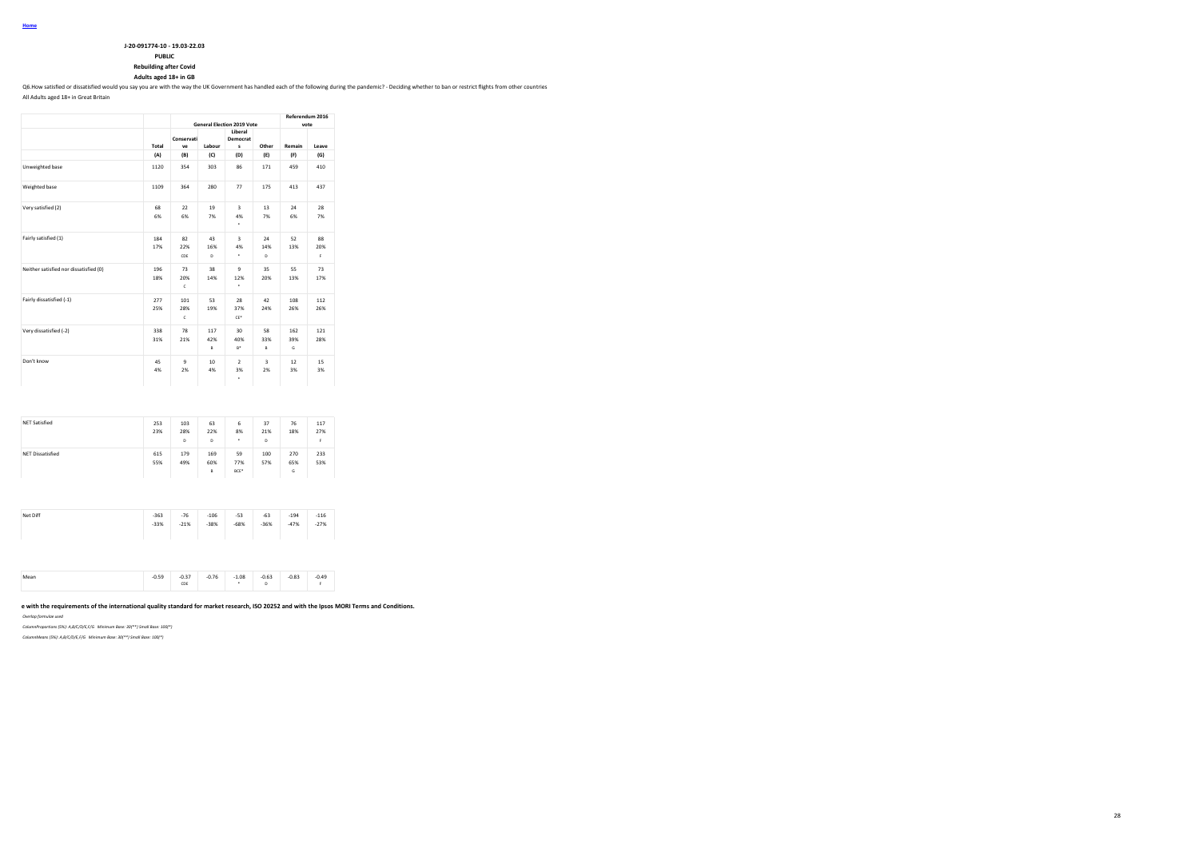| J-20-091774-10 - 19.03-22.03 |
|------------------------------|

**PUBLIC**

**Rebuilding after Covid Adults aged 18+ in GB**

Q6.How satisfied or dissatisfied would you say you are with the way the UK Government has handled each of the following during the pandemic? - Deciding whether to ban or restrict flights from other countries

All Adults aged 18+ in Great Britain

|                                        |            |                           |                 | <b>General Election 2019 Vote</b>  |                               | Referendum 2016<br>vote |                 |
|----------------------------------------|------------|---------------------------|-----------------|------------------------------------|-------------------------------|-------------------------|-----------------|
|                                        | Total      | Conservati<br>ve          | Labour          | Liberal<br>Democrat<br>s           | Other                         | Remain                  | Leave           |
|                                        | (A)        | (B)                       | (C)             | (D)                                | (E)                           | (F)                     | (G)             |
| Unweighted base                        | 1120       | 354                       | 303             | 86                                 | 171                           | 459                     | 410             |
| Weighted base                          | 1109       | 364                       | 280             | 77                                 | 175                           | 413                     | 437             |
| Very satisfied (2)                     | 68<br>6%   | 22<br>6%                  | 19<br>7%        | $\overline{\mathbf{3}}$<br>4%<br>٠ | 13<br>7%                      | 24<br>6%                | 28<br>7%        |
| Fairly satisfied (1)                   | 184<br>17% | 82<br>22%<br>CDE          | 43<br>16%<br>D  | $\overline{\mathbf{3}}$<br>4%<br>٠ | 24<br>14%<br>D                | 52<br>13%               | 88<br>20%<br>F. |
| Neither satisfied nor dissatisfied (0) | 196<br>18% | 73<br>20%<br>$\mathbf{c}$ | 38<br>14%       | 9<br>12%<br>۰                      | 35<br>20%                     | 55<br>13%               | 73<br>17%       |
| Fairly dissatisfied (-1)               | 277<br>25% | 101<br>28%<br>c           | 53<br>19%       | 28<br>37%<br>$CE*$                 | 42<br>24%                     | 108<br>26%              | 112<br>26%      |
| Very dissatisfied (-2)                 | 338<br>31% | 78<br>21%                 | 117<br>42%<br>B | 30<br>40%<br>$B^*$                 | 58<br>33%<br>$\mathsf{B}$     | 162<br>39%<br>G         | 121<br>28%      |
| Don't know                             | 45<br>4%   | $\overline{9}$<br>2%      | 10<br>4%        | $\overline{2}$<br>3%<br>۰          | $\overline{\mathbf{3}}$<br>2% | 12<br>3%                | 15<br>3%        |

| <b>NET Satisfied</b>    | 253<br>23% | 103<br>28%<br>D | 63<br>22%<br>D  | 6<br>8%<br>٠      | 37<br>21%<br>D | 76<br>18%       | 117<br>27%<br>F. |
|-------------------------|------------|-----------------|-----------------|-------------------|----------------|-----------------|------------------|
| <b>NET Dissatisfied</b> | 615<br>55% | 179<br>49%      | 169<br>60%<br>B | 59<br>77%<br>BCE* | 100<br>57%     | 270<br>65%<br>G | 233<br>53%       |
|                         |            |                 |                 |                   |                |                 |                  |
| Net Diff                | $-363$     | $-76$           | $-106$          | $-53$             | $-63$          | $-194$          | $-116$           |

|  | $-2$<br>$- - -$ | $\sim$ $\sim$<br>U.JJ<br>CDE | 0.76 | 1.08 | 0.63<br>. | $-0.83$<br>$-$ | 0.49 |
|--|-----------------|------------------------------|------|------|-----------|----------------|------|
|--|-----------------|------------------------------|------|------|-----------|----------------|------|

# e with the requirements of the international quality standard for market research, ISO 20252 and with the Ipsos MORI Terms and Conditions.

*Overlap formulae used*

*ColumnProportions (5%): A,B/C/D/E,F/G Minimum Base: 30(\*\*) Small Base: 100(\*)*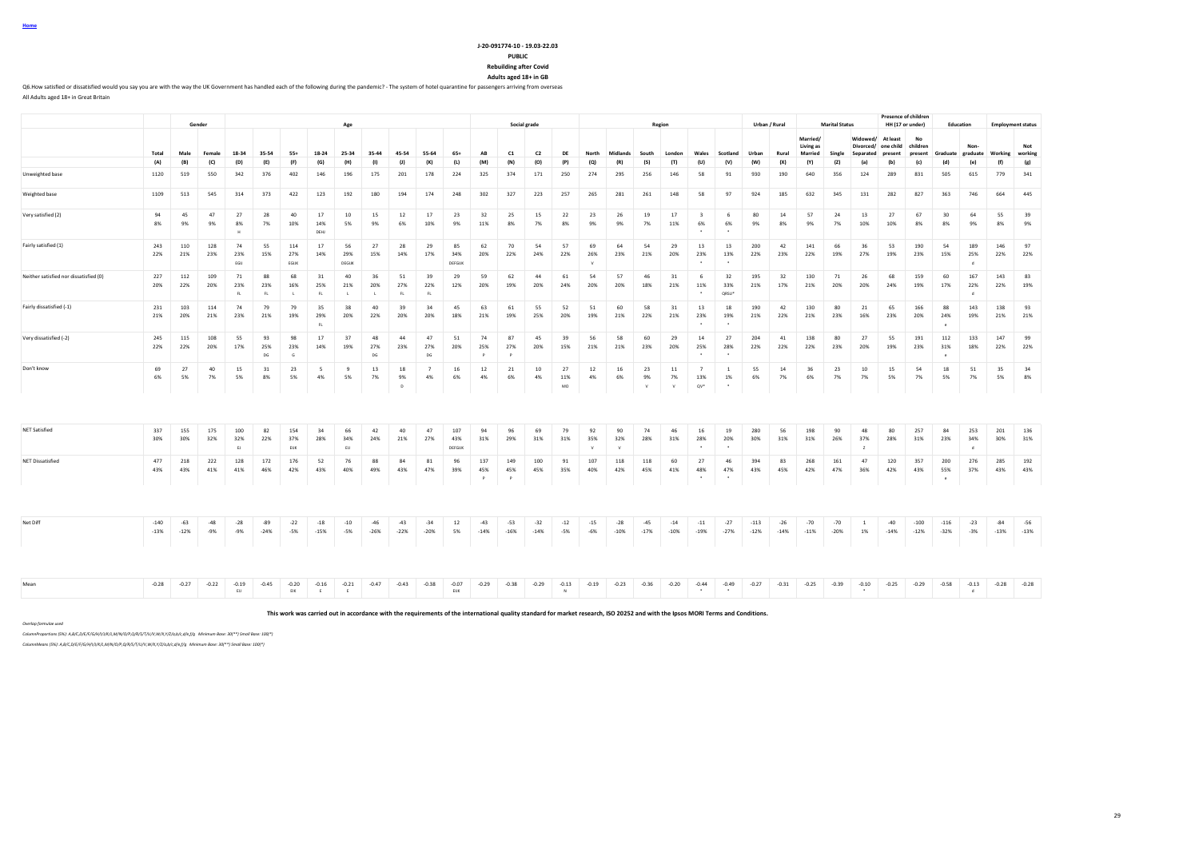#### **J-20-091774-10 - 19.03-22.03 PUBLIC**

**Rebuilding after Covid**

**Adults aged 18+ in GB**

Q6.How satisfied or dissatisfied would you say you are with the way the UK Government has handled each of the following during the pandemic? - The system of hotel quarantine for passengers arriving from overseas All Adults aged 18+ in Great Britain

|                                        |                  |                 | Gender         |                   |                 |                           |                   |                           |                           |                         |                            |                            |                 |                 | Social grade    |                 |                           |                           |                 |                 |                                 |                                     |                  |                 |                       | <b>Marital Status</b> |                                     |                       | Presence of children               |                          |                            |                 |                                 |
|----------------------------------------|------------------|-----------------|----------------|-------------------|-----------------|---------------------------|-------------------|---------------------------|---------------------------|-------------------------|----------------------------|----------------------------|-----------------|-----------------|-----------------|-----------------|---------------------------|---------------------------|-----------------|-----------------|---------------------------------|-------------------------------------|------------------|-----------------|-----------------------|-----------------------|-------------------------------------|-----------------------|------------------------------------|--------------------------|----------------------------|-----------------|---------------------------------|
|                                        |                  |                 |                |                   |                 |                           |                   | Age                       |                           |                         |                            |                            |                 |                 |                 |                 |                           |                           |                 | Region          |                                 |                                     |                  | Urban / Rural   | Married/<br>Living as |                       | Widowed/<br>Divorced/               | At least<br>one child | HH (17 or under)<br>No<br>children | Education                | Non                        |                 | <b>Employment status</b><br>Not |
|                                        | Total            | Male            | Female         | 18-34             | 35-54           | $55+$                     | 18-24             | 25-34                     | 35-44                     | 45-54                   | 55-64                      | $65+$                      | AB              | C1              | C <sub>2</sub>  | DF              | North                     | <b>Midlands</b>           | South           | London          | Wales                           | Scotland                            | Urban            | Rural           | Married               | Single                | Separated                           | present               | present                            | Graduate                 | graduate                   | Working         | working                         |
|                                        | (A)              | (B)             | (C)            | (D)               | (E)             | (F)                       | (G)               | (H)                       | (1)                       | (1)                     | (K)                        | (L)                        | (M)             | (N)             | (O)             | (P)             | (Q)                       | (R)                       | (S)             | (T)             | (U)                             | (V)                                 | (W)              | (X)             | (Y)                   | (2)                   | (a)                                 | (b)                   | (c)                                | (d)                      | (e)                        | (f)             | (g)                             |
| Unweighted base                        | 1120             | 519             | 550            | 342               | 376             | 402                       | 146               | 196                       | 175                       | 201                     | 178                        | 224                        | 325             | 374             | 171             | 250             | 274                       | 295                       | 256             | 146             | 58                              | 91                                  | 930              | 190             | 640                   | 356                   | 124                                 | 289                   | 831                                | 505                      | 615                        | 779             | 341                             |
| Weighted base                          | 1109             | 513             | 545            | 314               | 373             | 422                       | 123               | 192                       | 180                       | 194                     | 174                        | 248                        | 302             | 327             | 223             | 257             | 265                       | 281                       | 261             | 148             | 58                              | 97                                  | 924              | 185             | 632                   | 345                   | 131                                 | 282                   | 827                                | 363                      | 746                        | 664             | 445                             |
| Very satisfied (2)                     | 94<br>8%         | 45<br>9%        | 47<br>9%       | 27<br>8%          | 28<br>7%        | 40<br>10%                 | 17<br>14%<br>DEHJ | 10<br>5%                  | 15<br>9%                  | 12<br>6%                | 17<br>10%                  | 23<br>9%                   | 32<br>11%       | 25<br>8%        | 15<br>7%        | 22<br>8%        | 23<br>9%                  | 26<br>9%                  | 19<br>7%        | 17<br>11%       | $\overline{\mathbf{3}}$<br>6%   | 6<br>6%                             | 80<br>9%         | 14<br>8%        | 57<br>9%              | 24<br>7%              | 13<br>10%                           | 27<br>10%             | 67<br>8%                           | 30 <sub>o</sub><br>8%    | 64<br>9%                   | 55<br>8%        | 39<br>9%                        |
| Fairly satisfied (1)                   | 243<br>22%       | 110<br>21%      | 128<br>23%     | 74<br>23%<br>EGIJ | 55<br>15%       | 114<br>27%<br>EGUK        | 17<br>14%         | 56<br>29%<br>DEGUK        | 27<br>15%                 | 28<br>14%               | 29<br>17%                  | 85<br>34%<br><b>DEFGUK</b> | 62<br>20%       | 70<br>22%       | 54<br>24%       | 57<br>22%       | 69<br>26%                 | 64<br>23%                 | 54<br>21%       | 29<br>20%       | 13<br>23%                       | 13<br>13%                           | 200<br>22%       | 42<br>23%       | 141<br>22%            | 66<br>19%             | 36<br>27%                           | 53<br>19%             | 190<br>23%                         | 54<br>15%                | 189<br>25%<br>$\mathbf{d}$ | 146<br>22%      | 97<br>22%                       |
| Neither satisfied nor dissatisfied (0) | 227<br>20%       | 112<br>22%      | 109<br>20%     | 71<br>23%<br>FL   | 88<br>23%<br>FL | 68<br>16%<br>$\mathbf{L}$ | 31<br>25%<br>FL   | 40<br>21%<br>$\mathbf{L}$ | 36<br>20%<br>$\mathbf{L}$ | 51<br>27%<br>FL         | 39<br>22%<br>$\mathsf{FL}$ | 29<br>12%                  | 59<br>20%       | 62<br>19%       | 44<br>20%       | 61<br>24%       | 54<br>20%                 | 57<br>20%                 | 46<br>18%       | 31<br>21%       | -6<br>11%                       | 32<br>33%<br>QRSU*                  | 195<br>21%       | 32<br>17%       | 130<br>21%            | 71<br>20%             | 26<br>20%                           | 68<br>24%             | 159<br>19%                         | 60<br>17%                | 167<br>22%<br>$\mathbf d$  | 143<br>22%      | 83<br>19%                       |
| Fairly dissatisfied (-1)               | 231<br>21%       | 103<br>20%      | 114<br>21%     | 74<br>23%         | 79<br>21%       | 79<br>19%                 | 35<br>29%<br>FL.  | 38<br>20%                 | 40<br>22%                 | 39<br>20%               | 34<br>20%                  | 45<br>18%                  | 63<br>21%       | 61<br>19%       | 55<br>25%       | 52<br>20%       | 51<br>19%                 | 60<br>21%                 | 58<br>22%       | 31<br>21%       | 13<br>23%                       | 18<br>19%                           | 190<br>21%       | 42<br>22%       | 130<br>21%            | 80<br>23%             | 21<br>16%                           | 65<br>23%             | 166<br>20%                         | 88<br>24%<br>$\sim$      | 143<br>19%                 | 138<br>21%      | 93<br>21%                       |
| Very dissatisfied (-2)                 | 245<br>22%       | 115<br>22%      | 108<br>20%     | 55<br>17%         | 93<br>25%<br>DG | 98<br>23%<br>G            | 17<br>14%         | 37<br>19%                 | 48<br>27%<br>DG           | 44<br>23%               | 47<br>27%<br>DG            | 51<br>20%                  | 74<br>25%<br>P  | 87<br>27%       | 45<br>20%       | 39<br>15%       | 56<br>21%                 | 58<br>21%                 | 60<br>23%       | 29<br>20%       | 14<br>25%                       | 27<br>28%                           | 204<br>22%       | 41<br>22%       | 138<br>22%            | 80<br>23%             | 27<br>20%                           | 55<br>19%             | 191<br>23%                         | 112<br>31%<br>$\epsilon$ | 133<br>18%                 | 147<br>22%      | 99<br>22%                       |
| Don't know                             | 69<br>6%         | 27<br>5%        | 40<br>7%       | 15<br>5%          | 31<br>8%        | 23<br>5%                  | 5<br>4%           | 9<br>5%                   | 13<br>7%                  | 18<br>9%<br>$\mathbb D$ | $\overline{7}$<br>4%       | 16<br>6%                   | 12<br>4%        | 21<br>6%        | 10<br>4%        | 27<br>11%<br>MO | 12<br>4%                  | 16<br>6%                  | 23<br>9%<br>V   | 11<br>7%<br>V   | $\overline{7}$<br>13%<br>$QV^*$ | <sup>1</sup><br>1%<br>$\bullet$     | 55<br>6%         | 14<br>7%        | 36<br>6%              | 23<br>7%              | 10<br>7%                            | 15<br>5%              | 54<br>7%                           | 18<br>5%                 | 51<br>7%                   | 35<br>5%        | 34<br>8%                        |
| <b>NET Satisfied</b>                   | 337<br>30%       | 155<br>30%      | 175<br>32%     | 100<br>32%<br>EJ  | 82<br>22%       | 154<br>37%<br>EUK         | 34<br>28%         | 66<br>34%<br>EIJ          | 42<br>24%                 | 40<br>21%               | 47<br>27%                  | 107<br>43%<br>DEEGUR       | 94<br>31%       | 96<br>29%       | 69<br>31%       | 79<br>31%       | 92<br>35%<br>$\mathbf{v}$ | 90<br>32%<br>$\mathbf{M}$ | 74<br>28%       | 46<br>31%       | 16<br>28%                       | 19<br>20%                           | 280<br>30%       | 56<br>31%       | 198<br>31%            | 90<br>26%             | 48<br>37%<br>$\mathbb{Z}$           | 80<br>28%             | 257<br>31%                         | 84<br>23%                | 253<br>34%<br>$\mathbf d$  | 201<br>30%      | 136<br>31%                      |
| <b>NET Dissatisfied</b>                | 477<br>43%       | 218<br>43%      | 222<br>41%     | 128<br>41%        | 172<br>46%      | 176<br>42%                | 52<br>43%         | 76<br>40%                 | 88<br>49%                 | 84<br>43%               | 81<br>47%                  | 96<br>39%                  | 137<br>45%<br>P | 149<br>45%      | 100<br>45%      | 91<br>35%       | 107<br>40%                | 118<br>42%                | 118<br>45%      | 60<br>41%       | 27<br>48%                       | 46<br>47%                           | 394<br>43%       | 83<br>45%       | 268<br>42%            | 161<br>47%            | 47<br>36%                           | 120<br>42%            | 357<br>43%                         | 200<br>55%<br>$\epsilon$ | 276<br>37%                 | 285<br>43%      | 192<br>43%                      |
|                                        |                  |                 |                |                   |                 |                           |                   |                           |                           |                         |                            |                            |                 |                 |                 |                 |                           |                           |                 |                 |                                 |                                     |                  |                 |                       |                       |                                     |                       |                                    |                          |                            |                 |                                 |
| Net Diff                               | $-140$<br>$-13%$ | $-63$<br>$-12%$ | $-48$<br>$-9%$ | $-28$<br>$-9%$    | $-89$<br>$-24%$ | $-22$<br>$-5%$            | $-18$<br>$-15%$   | $-10$<br>$-5%$            | $-46$<br>$-26%$           | $-43$<br>$-22%$         | $-34$<br>$-20%$            | 12<br>5%                   | $-43$<br>$-14%$ | $-53$<br>$-16%$ | $-32$<br>$-14%$ | $-12$<br>$-5%$  | $-15$<br>$-6%$            | $-28$<br>$-10%$           | $-45$<br>$-17%$ | $-14$<br>$-10%$ | $-11$<br>$-19%$                 | $-27$<br>$-27%$                     | $-113$<br>$-12%$ | $-26$<br>$-14%$ | $-70$<br>$-11%$       | $-70$<br>$-20%$       | <sup>1</sup><br>1%                  | $-40$<br>$-14%$       | $-100$<br>$-12%$                   | $-116$<br>$-32%$         | $-23$<br>$-3%$             | $-84$<br>$-13%$ | $-56$<br>$-13%$                 |
| Mean                                   | $-0.28$          | $-0.27$         | $-0.22$        | $-0.19$<br>EIJ    | $-0.45$         | $-0.20$<br>EIK            | $-0.16$<br>E      | $-0.21$<br>F              | $-0.47$                   | $-0.43$                 | $-0.38$                    | $-0.07$<br>ELIK            | $-0.29$         | $-0.38$         | $-0.29$         | $-0.13$<br>N    | $-0.19$                   | $-0.23$                   | $-0.36$         | $-0.20$         | $-0.44$<br>$\sim$               | $-0.49$<br>$\overline{\phantom{a}}$ | $-0.27$          | $-0.31$         | $-0.25$               | $-0.39$               | $-0.10$<br>$\overline{\phantom{a}}$ | $-0.25$               | $-0.29$                            | $-0.58$                  | $-0.13$<br>$\mathbf d$     | $-0.28$         | $-0.28$                         |

**This work was carried out in accordance with the requirements of the international quality standard for market research, ISO 20252 and with the Ipsos MORI Terms and Conditions.**

*Overlap formulae used*

*ColumnProportions (5%): A,B/C,D/E/F/G/H/I/J/K/L,M/N/O/P,Q/R/S/T/U/V,W/X,Y/Z/a,b/c,d/e,f/g Minimum Base: 30(\*\*) Small Base: 100(\*)*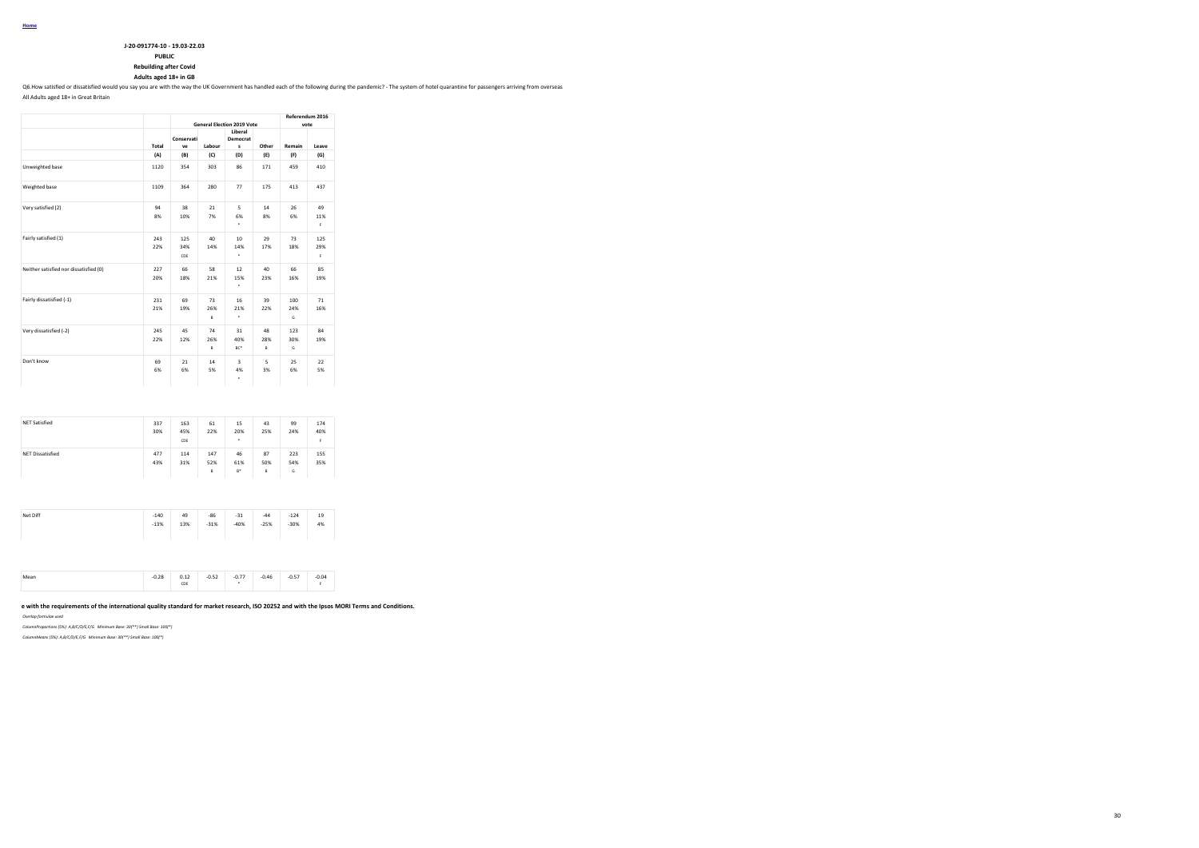| J-20-091774-10 - 19.03-22.03 |
|------------------------------|
|                              |

**PUBLIC**

**Rebuilding after Covid**

**Adults aged 18+ in GB**

Q6.How satisfied or dissatisfied would you say you are with the way the UK Government has handled each of the following during the pandemic? - The system of hotel quarantine for passengers arriving from overseas

All Adults aged 18+ in Great Britain

|                                        |            |                   | <b>General Election 2019 Vote</b> | Referendum 2016<br>vote           |                |                 |                  |
|----------------------------------------|------------|-------------------|-----------------------------------|-----------------------------------|----------------|-----------------|------------------|
|                                        | Total      | Conservati<br>ve  | Labour                            | Liberal<br>Democrat<br>s          | Other          | Remain          | Leave            |
|                                        | (A)        | (B)               | (C)                               | (D)                               | (E)            | (F)             | (G)              |
| Unweighted base                        | 1120       | 354               | 303                               | 86                                | 171            | 459             | 410              |
| Weighted base                          | 1109       | 364               | 280                               | 77                                | 175            | 413             | 437              |
| Very satisfied (2)                     | 94<br>8%   | 38<br>10%         | 21<br>7%                          | 5<br>6%<br>٠                      | 14<br>8%       | 26<br>6%        | 49<br>11%<br>F.  |
| Fairly satisfied (1)                   | 243<br>22% | 125<br>34%<br>CDE | 40<br>14%                         | 10 <sub>10</sub><br>14%<br>٠      | 29<br>17%      | 73<br>18%       | 125<br>29%<br>F. |
| Neither satisfied nor dissatisfied (0) | 227<br>20% | 66<br>18%         | 58<br>21%                         | 12<br>15%<br>$\ddot{\phantom{1}}$ | 40<br>23%      | 66<br>16%       | 85<br>19%        |
| Fairly dissatisfied (-1)               | 231<br>21% | 69<br>19%         | 73<br>26%<br>B                    | 16<br>21%<br>٠                    | 39<br>22%      | 100<br>24%<br>G | 71<br>16%        |
| Very dissatisfied (-2)                 | 245<br>22% | 45<br>12%         | 74<br>26%<br>B                    | 31<br>40%<br>BC*                  | 48<br>28%<br>B | 123<br>30%<br>G | 84<br>19%        |
| Don't know                             | 69<br>6%   | 21<br>6%          | 14<br>5%                          | 3<br>4%<br>٠                      | 5<br>3%        | 25<br>6%        | 22<br>5%         |

| <b>NET Satisfied</b>    | 337<br>30% | 163<br>45%<br>CDE | 61<br>22%       | 15<br>20%<br>٠     | 43<br>25%      | 99<br>24%       | 174<br>40%<br>F |
|-------------------------|------------|-------------------|-----------------|--------------------|----------------|-----------------|-----------------|
| <b>NET Dissatisfied</b> | 477<br>43% | 114<br>31%        | 147<br>52%<br>B | 46<br>61%<br>$B^*$ | 87<br>50%<br>B | 223<br>54%<br>G | 155<br>35%      |

| Net Diff<br>$-31$<br>$-140$<br>$-86$<br>49<br>$-44$<br>$-124$<br>19<br>13%<br>$-40%$<br>$-25%$<br>$-30%$<br>4%<br>$-13%$<br>$-31%$ |
|------------------------------------------------------------------------------------------------------------------------------------|
|------------------------------------------------------------------------------------------------------------------------------------|

| $-0.52$<br>$-0.57$<br>$-0.28$<br>$-0.77$<br>0.04<br>0.46<br>0.12<br>Mean<br><br>$-$<br>CDE |
|--------------------------------------------------------------------------------------------|
|--------------------------------------------------------------------------------------------|

# e with the requirements of the international quality standard for market research, ISO 20252 and with the Ipsos MORI Terms and Conditions.

*Overlap formulae used*

*ColumnProportions (5%): A,B/C/D/E,F/G Minimum Base: 30(\*\*) Small Base: 100(\*)*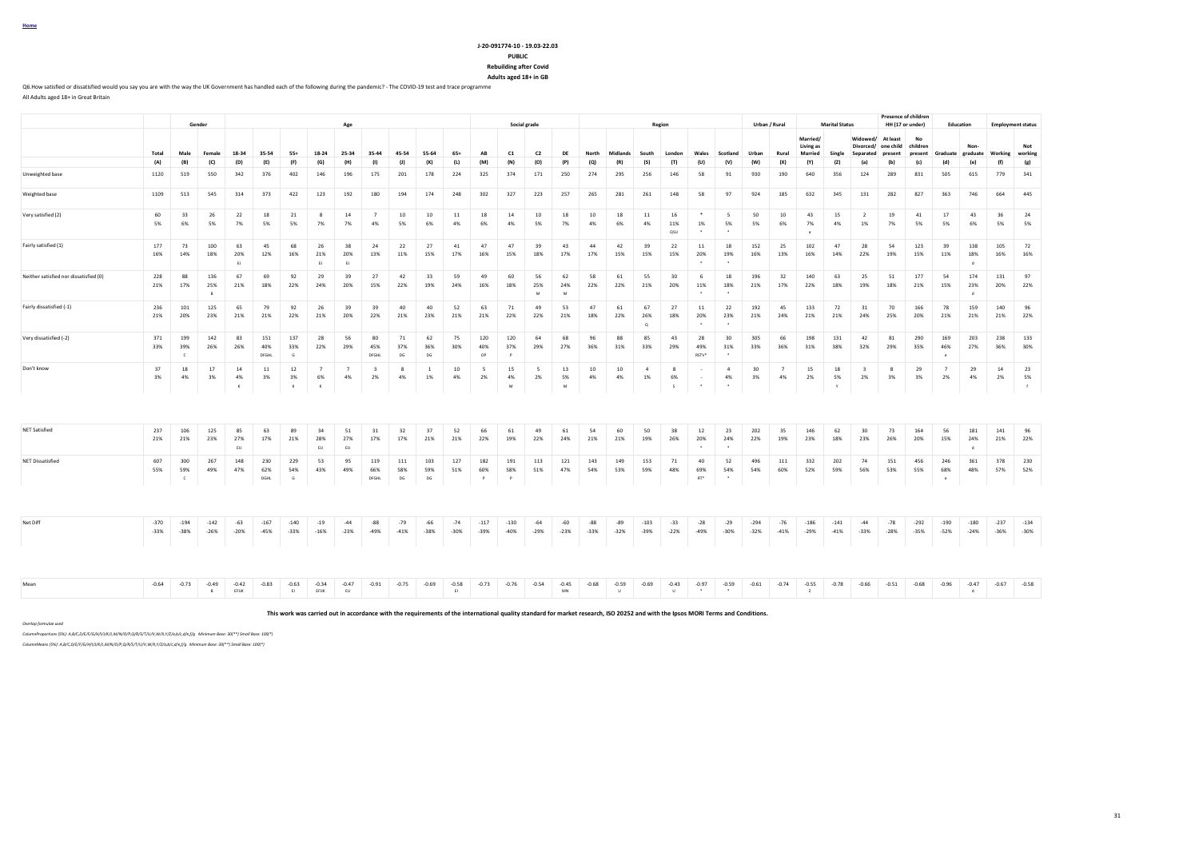#### **J-20-091774-10 - 19.03-22.03 PUBLIC Rebuilding after Covid Adults aged 18+ in GB**

Q6.How satisfied or dissatisfied would you say you are with the way the UK Government has handled each of the following during the pandemic? - The COVID-19 test and trace programme All Adults aged 18+ in Great Britain

**Gender Age Social grade Region Urban / Rural Marital Status Presence of children HH (17 or under) Education Employment status** Total Male Female 18-34 35-54 55+ 18-24 25-34 35-44 45-54 55-64 65+ AB C1 C2 DE North Midlands South London Wales Scotland Urban Rural **Married/ Living as Married Single Widowed/ At least Divorced/ one child Separated present No children**  Graduate<br>(d) **Nongraduate Working Not working** (A) (B) (C) (D) (E) (F) (G) (H) (I) (J) (K) (L) (M) (N) (O) (P) (Q) (R) (S) (T) (U) (V) (W) (X) (Y) (Z) (a) (b) (c) (d) (e) (f) (g) Unweighted base 1120 519 550 342 376 402 146 196 175 201 178 224 325 374 171 250 274 295 256 146 58 91 930 190 640 356 124 289 831 505 615 779 341 Weighted base 1109 513 545 314 373 422 123 192 180 194 174 248 302 327 223 257 265 281 261 148 58 97 924 185 632 345 131 282 827 363 746 664 445 Very satisfied (2) 60 33 26 22 18 21 8 14 7 10 10 11 18 14 10 18 10 18 11 16 \* 5 50 10 43 15 2 19 41 17 43 36 24 5% 6% 5% 7% 5% 5% 7% 7% 4% 5% 6% 4% 6% 4% 5% 7% 4% 6% 4% 11% 1% 5% 5% 6% 7% 4% 1% 7% 5% 5% 6% 5% 5% QSU \* \* a Fairly satisfied (1) 177 73 100 63 45 68 26 38 24 22 27 41 47 47 39 43 44 42 39 22 11 18 152 25 102 47 28 54 123 39 138 105 72 16% 14% 18% 20% 12% 16% 21% 20% 13% 11% 15% 17% 16% 15% 18% 17% 17% 15% 15% 15% 20% 19% 16% 13% 16% 14% 22% 19% 15% 11% 18% 16% 16% ej elebent de la constantin de la constantin de la constantin de la constantin de la constantin de la constantin Neither satisfied nor dissatisfied (0) 228 88 136 67 69 92 29 39 27 42 33 59 49 60 56 62 58 61 55 30 6 18 196 32 140 63 25 51 177 54 174 131 97 21% 17% 25% 21% 18% 22% 24% 20% 15% 22% 19% 24% 16% 18% 25% 24% 22% 22% 21% 20% 11% 18% 21% 17% 22% 18% 19% 18% 21% 15% 23% 20% 22% B M M \* \* d Fairly dissatisfied (-1) 236 101 125 65 79 92 26 39 39 40 40 52 63 71 49 53 47 61 67 27 11 22 192 45 133 72 31 70 166 78 159 140 96 21% 20% 23% 21% 21% 22% 21% 20% 22% 21% 23% 21% 21% 22% 22% 21% 18% 22% 26% 18% 20% 23% 21% 24% 21% 21% 24% 25% 20% 21% 21% 21% 22%  $\overline{\phantom{a}}$  .  $\overline{\phantom{a}}$  ,  $\overline{\phantom{a}}$  ,  $\overline{\phantom{a}}$  ,  $\overline{\phantom{a}}$  ,  $\overline{\phantom{a}}$  ,  $\overline{\phantom{a}}$  ,  $\overline{\phantom{a}}$  ,  $\overline{\phantom{a}}$  ,  $\overline{\phantom{a}}$  ,  $\overline{\phantom{a}}$  ,  $\overline{\phantom{a}}$  ,  $\overline{\phantom{a}}$  ,  $\overline{\phantom{a}}$  ,  $\overline{\phantom{a}}$  ,  $\overline{\phantom{a}}$ Very dissatisfied (-2) 371 199 142 83 151 137 28 56 80 71 62 75 120 120 64 68 96 88 85 43 28 30 305 66 198 131 42 81 290 169 203 238 133 33% 39% 26% 26% 40% 33% 22% 29% 45% 37% 36% 30% 40% 37% 29% 27% 36% 31% 33% 29% 49% 31% 33% 36% 31% 38% 32% 29% 35% 46% 27% 36% 30% C DFGHL G DFGHL DG DG OP P RSTV\* \* e Don't know 37 18 17 14 11 12 7 7 3 8 1 10 5 15 5 13 10 10 4 8 - 4 30 7 15 18 3 8 29 7 29 14 23 3% 4% 3% 4% 3% 3% 6% 4% 2% 4% 1% 4% 2% 4% 2% 5% 4% 4% 1% 6% - 4% 3% 4% 2% 5% 2% 3% 3% 2% 4% 2% 5% K K K M M S \* \* Y f NET Satisfied 237 106 125 85 63 89 34 51 31 32 37 52 66 61 49 61 54 60 50 38 12 23 202 35 146 62 30 73 164 56 181 141 96 21% 21% 23% 27% 17% 21% 28% 27% 17% 17% 21% 21% 22% 19% 22% 24% 21% 21% 19% 26% 20% 24% 22% 19% 23% 18% 23% 26% 20% 15% 24% 21% 22% EIJ EIJ EIJ \* \* d NET Dissatisfied 607 300 267 148 230 229 53 95 119 111 103 127 182 191 113 121 143 149 153 71 40 52 496 111 332 202 74 151 456 246 361 378 230 55% 59% 49% 47% 62% 54% 43% 49% 66% 58% 59% 51% 60% 58% 51% 47% 54% 53% 59% 48% 69% 54% 54% 60% 52% 59% 56% 53% 55% 68% 48% 57% 52% C DGHL G DFGHL DG DG P P RT\* \* e 1960ff - - - - - -370 | -194 | -142 | -63 | -157 | -140 | -19 | -44 | -88 | -79 | -66 | -74 | -117 | -130 | -88 | -89 | -88 | -88 | -88 | -89 | -29 | -29 | -29 | -190 | -190 | -180 | -180 | -180 | -180 | -180 | -180 | -18 -33% -38% -26% -20% -45% -33% -16% -23% -49% -41% -38% -30% -39% -40% -29% -23% -33% -32% -39% -22% -49% -30% -32% -41% -29% -41% -33% -28% -35% -52% -24% -36% -30% Mean -0.64 -0.73 -0.49 -0.42 -0.83 -0.53 -0.54 -0.41 -0.91 -0.91 -0.91 -0.91 -0.91 -0.59 -0.54 -0.54 -0.45 -0.59 -0.69 -0.97 -0.59 -0.59 -0.59 -0.59 -0.59 -0.54 -0.55 -0.78 -0.56 -0.51 -0.68 -0.96 -0.47 -0.57 -0.58 -0.96 -

**This work was carried out in accordance with the requirements of the international quality standard for market research, ISO 20252 and with the Ipsos MORI Terms and Conditions.**

B EFIJK EI EFIJK EIJ EI MN U U \* \* Z d

*Overlap formulae used*

*ColumnProportions (5%): A,B/C,D/E/F/G/H/I/J/K/L,M/N/O/P,Q/R/S/T/U/V,W/X,Y/Z/a,b/c,d/e,f/g Minimum Base: 30(\*\*) Small Base: 100(\*)*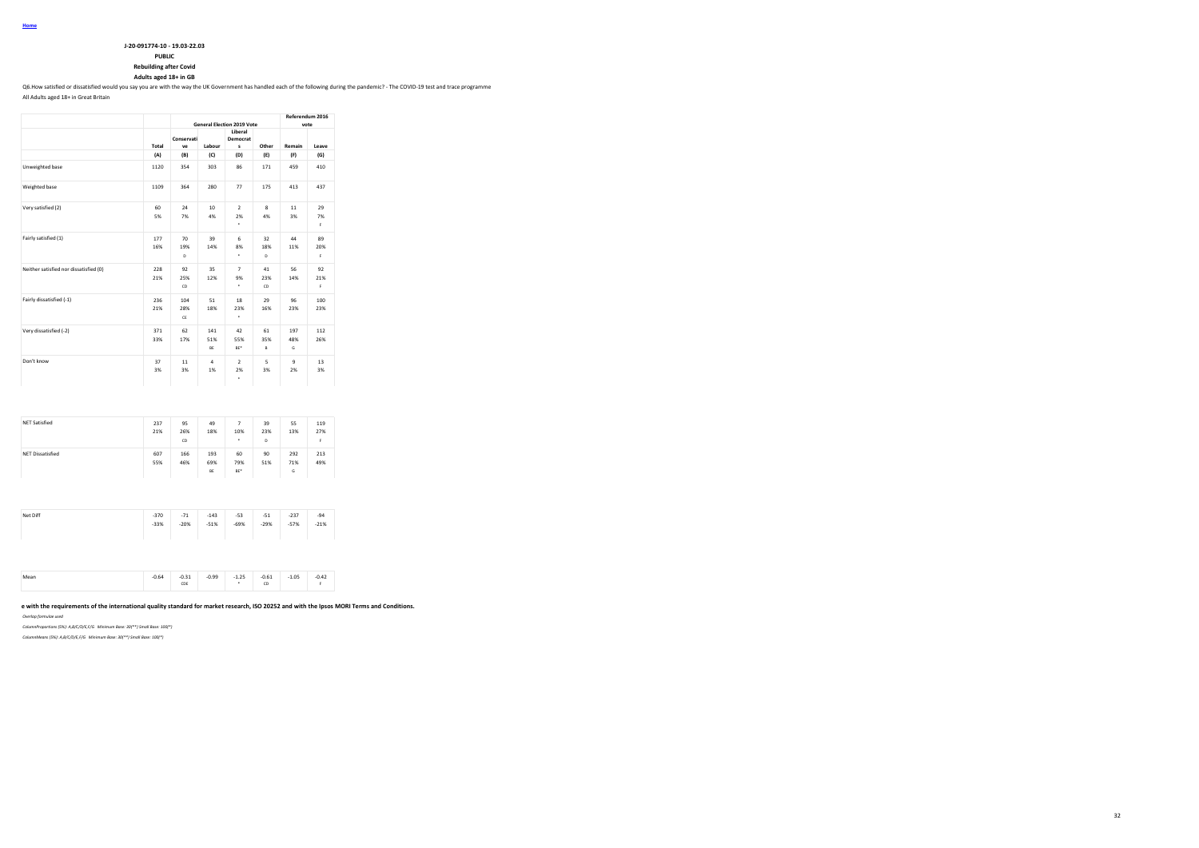| J-20-091774-10 - 19.03-22.03 |
|------------------------------|

**PUBLIC**

**Rebuilding after Covid**

**Adults aged 18+ in GB**

Q6.How satisfied or dissatisfied would you say you are with the way the UK Government has handled each of the following during the pandemic? - The COVID-19 test and trace programme

All Adults aged 18+ in Great Britain

|                                        |            |                  | Referendum 2016<br>vote |                                                               |                    |                    |                 |
|----------------------------------------|------------|------------------|-------------------------|---------------------------------------------------------------|--------------------|--------------------|-----------------|
|                                        | Total      | Conservati<br>VP | Labour                  | <b>General Election 2019 Vote</b><br>Liberal<br>Democrat<br>s | Other              | Remain             | Leave           |
|                                        | (A)        | (B)              | (C)                     | (D)                                                           | (E)                | (F)                | (G)             |
| Unweighted base                        | 1120       | 354              | 303                     | 86                                                            | 171                | 459                | 410             |
| Weighted base                          | 1109       | 364              | 280                     | 77                                                            | 175                | 413                | 437             |
| Very satisfied (2)                     | 60<br>5%   | 24<br>7%         | 10 <sup>10</sup><br>4%  | $\mathcal{L}$<br>2%<br>٠                                      | $\mathbf{R}$<br>4% | 11<br>3%           | 29<br>7%<br>F.  |
| Fairly satisfied (1)                   | 177<br>16% | 70<br>19%<br>D   | 39<br>14%               | 6<br>8%<br>٠                                                  | 32<br>18%<br>D     | 44<br>11%          | 89<br>20%<br>F. |
| Neither satisfied nor dissatisfied (0) | 228<br>21% | 92<br>25%<br>CD  | 35<br>12%               | $\overline{7}$<br>9%<br>٠                                     | 41<br>23%<br>CD    | 56<br>14%          | 92<br>21%<br>F. |
| Fairly dissatisfied (-1)               | 236<br>21% | 104<br>28%<br>CE | 51<br>18%               | 18<br>23%<br>٠                                                | 29<br>16%          | 96<br>23%          | 100<br>23%      |
| Very dissatisfied (-2)                 | 371<br>33% | 62<br>17%        | 141<br>51%<br>BE        | 42<br>55%<br>BE <sup>*</sup>                                  | 61<br>35%<br>B     | 197<br>48%<br>G    | 112<br>26%      |
| Don't know                             | 37<br>3%   | 11<br>3%         | $\mathbf{a}$<br>1%      | $\overline{a}$<br>2%<br>٠                                     | 5<br>3%            | $\mathbf{Q}$<br>2% | 13<br>3%        |

| <b>NET Dissatisfied</b> | 607 |            |                  |                              |           |                 |            |
|-------------------------|-----|------------|------------------|------------------------------|-----------|-----------------|------------|
|                         | 55% | 166<br>46% | 193<br>69%<br>BE | 60<br>79%<br>BE <sup>*</sup> | 90<br>51% | 292<br>71%<br>G | 213<br>49% |
| Net Diff                |     |            | $-143$           | $-53$                        | $-51$     | $-237$          | $-94$      |

| -379<br>$-7.1$<br>-143<br>.<br>- 21<br>-231<br>- 24                |  |
|--------------------------------------------------------------------|--|
| $-51%$<br>$-33%$<br>$-20%$<br>$-69%$<br>$-57%$<br>$-21%$<br>$-29%$ |  |
|                                                                    |  |
|                                                                    |  |
|                                                                    |  |
|                                                                    |  |
|                                                                    |  |

| $-0.99$<br>$-0.31$<br>$-1.25$<br>0.54<br>Mean<br>-u.u+<br><br>CDE | $-0.61$<br>$-1.05$<br>CD<br>and the control of | $-0.42$ |
|-------------------------------------------------------------------|------------------------------------------------|---------|
|-------------------------------------------------------------------|------------------------------------------------|---------|

# e with the requirements of the international quality standard for market research, ISO 20252 and with the Ipsos MORI Terms and Conditions.

*Overlap formulae used*

*ColumnProportions (5%): A,B/C/D/E,F/G Minimum Base: 30(\*\*) Small Base: 100(\*)*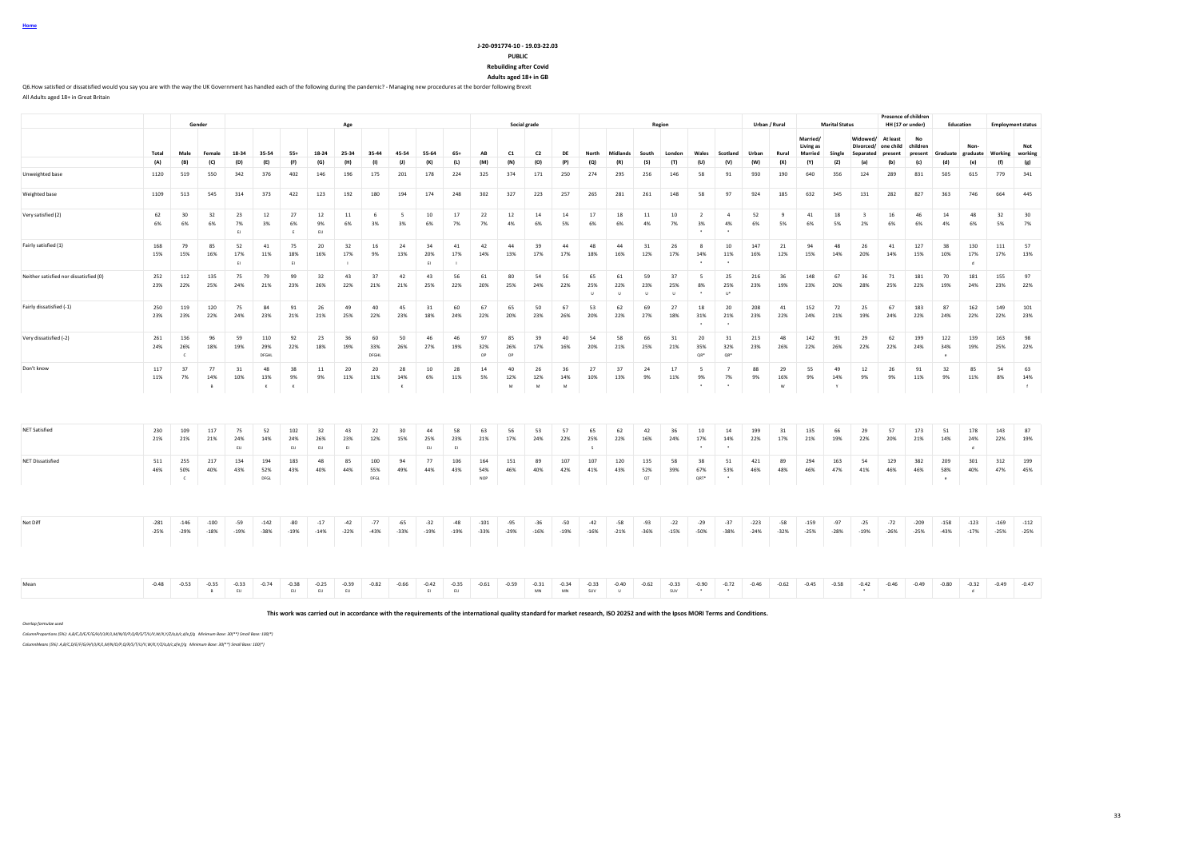#### **J-20-091774-10 - 19.03-22.03 PUBLIC**

**Rebuilding after Covid**

**Adults aged 18+ in GB**

Q6.How satisfied or dissatisfied would you say you are with the way the UK Government has handled each of the following during the pandemic? - Managing new procedures at the border following Brexit All Adults aged 18+ in Great Britain

**Gender Age Social grade Region Urban / Rural Marital Status Presence of children HH (17 or under) Education Employment status** Total Male Female 18-34 35-54 55+ 18-24 25-34 35-44 45-54 55-64 65+ AB C1 C2 DE North Midlands South London Wales Scotland Urban Rural **Married/ Living as Married Single Widowed/ At least Divorced/ one child Separated present No children present Graduate Nongraduate Working Not working** (A) (B) (C) (D) (E) (F) (G) (H) (I) (J) (K) (L) (M) (N) (O) (P) (Q) (R) (S) (T) (U) (V) (W) (X) (Y) (Z) (a) (b) (c) (d) (e) (f) (g) Unweighted base 1120 519 550 342 376 402 146 196 175 201 178 224 325 374 171 250 274 295 256 146 58 91 930 190 640 356 124 289 831 505 615 779 341 Weighted base 1109 513 545 314 373 422 123 192 180 194 174 248 302 327 223 257 265 281 261 148 58 97 924 185 632 345 131 282 827 363 746 664 445 Very satisfied (2) 62 30 32 23 12 27 12 11 6 5 10 17 22 12 14 14 17 18 11 10 2 4 52 9 41 18 3 16 46 14 48 32 30 6% 6% 6% 7% 3% 6% 9% 6% 3% 3% 6% 7% 7% 4% 6% 5% 6% 6% 4% 7% 3% 4% 6% 5% 6% 5% 2% 6% 6% 4% 6% 5% 7% EJ E EIJ \* \* Fairly satisfied (1) 168 79 85 52 41 75 20 32 16 24 34 41 42 44 39 44 48 44 31 26 8 10 147 21 94 48 26 41 127 38 130 111 57 15% 15% 16% 17% 11% 18% 16% 17% 9% 13% 20% 17% 14% 13% 17% 17% 18% 16% 12% 17% 14% 11% 16% 12% 15% 14% 20% 14% 15% 10% 17% 17% 13% EI EI I EI I \* \* d Neither satisfied nor dissatisfied (0) 252 112 135 75 79 99 32 43 37 42 43 56 61 80 54 56 65 61 59 37 5 25 216 36 148 67 36 71 181 70 181 155 97 23% 22% 25% 24% 21% 23% 26% 22% 21% 21% 25% 22% 20% 25% 24% 22% 25% 22% 23% 25% 8% 25% 23% 19% 23% 20% 28% 25% 22% 19% 24% 23% 22% U U U U \* U\* Fairly dissatisfied (-1) 250 119 120 75 84 91 26 49 40 45 31 60 67 65 50 67 53 62 69 27 18 20 208 41 152 72 25 67 183 87 162 149 101 23% 23% 22% 24% 23% 21% 21% 25% 22% 23% 18% 24% 22% 20% 23% 26% 20% 22% 27% 18% 31% 21% 23% 22% 24% 21% 19% 24% 22% 24% 22% 22% 23% \* \* Very dissatisfied (-2) 261 136 96 59 110 92 23 36 60 50 46 46 97 85 39 40 54 58 66 31 20 31 213 48 142 91 29 62 199 122 139 163 98 24% 26% 18% 19% 29% 22% 18% 19% 33% 26% 27% 19% 32% 26% 17% 16% 20% 21% 25% 21% 35% 32% 23% 26% 22% 26% 22% 22% 24% 34% 19% 25% 22%  $C$  , in the present of the present of the contract open open the contract  $\alpha$  are  $\alpha$  are  $\alpha$  are  $\alpha$  are  $\alpha$ Don't know 117 37 77 31 48 38 11 20 20 28 10 28 14 40 26 36 27 37 24 17 5 7 88 29 55 49 12 26 91 32 85 54 63 11% 7% 14% 10% 13% 9% 9% 11% 11% 14% 6% 11% 5% 12% 12% 14% 10% 13% 9% 11% 9% 7% 9% 16% 9% 14% 9% 9% 11% 9% 11% 8% 14% B K K K M M M \* \* W Y f NET Satisfied 230 109 117 75 52 102 32 43 22 30 44 58 63 56 53 57 65 62 42 36 10 14 199 31 135 66 29 57 173 51 178 143 87 21% 21% 21% 24% 14% 24% 26% 23% 12% 15% 25% 23% 21% 17% 24% 22% 25% 22% 16% 24% 17% 14% 22% 17% 21% 19% 22% 20% 21% 14% 24% 22% 19% EIJ EIJ EIJ EI EIJ EI S \* \* d NET Dissatisfied 511 255 217 134 194 183 48 85 100 94 77 106 164 151 89 107 107 120 135 58 38 51 421 89 294 163 54 129 382 209 301 312 199 46% 50% 40% 43% 52% 43% 40% 44% 55% 49% 44% 43% 54% 46% 40% 42% 41% 43% 52% 39% 67% 53% 46% 48% 46% 47% 41% 46% 46% 58% 40% 47% 45% C DFGL DFGL NOP QT QRT\* \* e Net Diff -281 -146 -100 -59 -142 -80 -17 -42 -77 -65 -32 -48 -101 -95 -36 -50 -42 -58 -93 -22 -29 -37 -223 -58 -159 -97 -25 -72 -209 -158 -123 -169 -112<br>-25% -29% -29% -18% -19% -38% -19% -14% -22% -43% -39% -19% -39% -29% -25% -29% -18% -19% -38% -19% -14% -22% -43% -33% -19% -19% -33% -29% -16% -19% -16% -21% -36% -15% -50% -38% -24% -32% -25% -28% -19% -26% -25% -43% -17% -25% -25% Mean -0.48 -0.53 -0.35 -0.33 -0.34 -0.33 -0.33 -0.35 -0.38 -0.34 -0.33 -0.34 -0.34 -0.34 -0.33 -0.40 -0.59 -0.33 -0.40 -0.52 -0.45 -0.45 -0.49 -0.49 -0.49 -0.49 -0.49 -0.49 -0.47 -0.46 -0.49 -0.49 -0.47 -0.49 -0.47 -0.47 B EUJ EUJ EUJ EUJ EIJ EUJ EIJ EUJ EIJ MANJAMA SUV U SUV \* \* \* julija je to je to je to je to je to

**This work was carried out in accordance with the requirements of the international quality standard for market research, ISO 20252 and with the Ipsos MORI Terms and Conditions.**

*Overlap formulae used*

*ColumnProportions (5%): A,B/C,D/E/F/G/H/I/J/K/L,M/N/O/P,Q/R/S/T/U/V,W/X,Y/Z/a,b/c,d/e,f/g Minimum Base: 30(\*\*) Small Base: 100(\*)*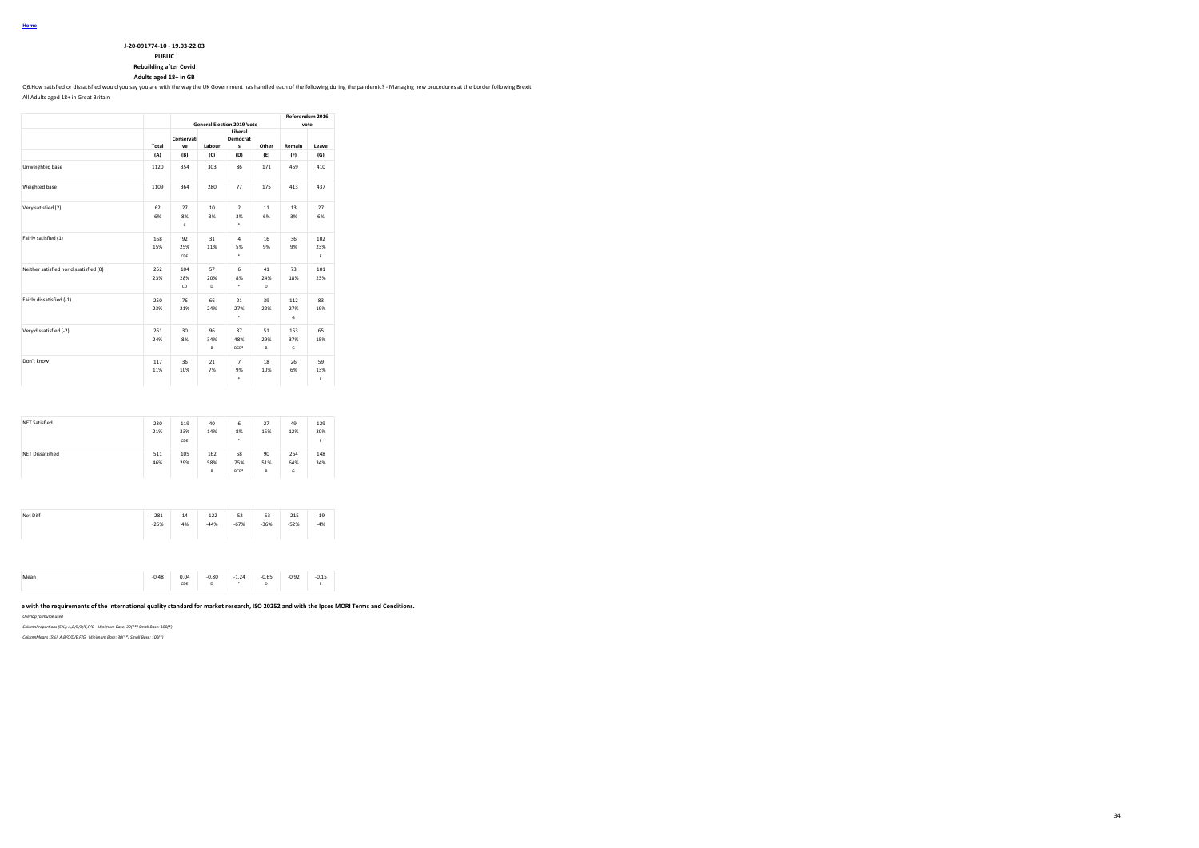| J-20-091774-10 - 19.03-22.03 |
|------------------------------|

**PUBLIC**

**Rebuilding after Covid**

**Adults aged 18+ in GB**

Q6.How satisfied or dissatisfied would you say you are with the way the UK Government has handled each of the following during the pandemic? - Managing new procedures at the border following Brexit

All Adults aged 18+ in Great Britain

|                                        |            | <b>General Election 2019 Vote</b> | Referendum 2016<br>vote |                               |                 |                 |                  |
|----------------------------------------|------------|-----------------------------------|-------------------------|-------------------------------|-----------------|-----------------|------------------|
|                                        | Total      | Conservati<br>ve                  | Labour                  | Liberal<br>Democrat<br>s      | Other           | Remain          | Leave            |
|                                        | (A)        | (B)                               | (C)                     | (D)                           | (E)             | (F)             | (G)              |
| Unweighted base                        | 1120       | 354                               | 303                     | 86                            | 171             | 459             | 410              |
| Weighted base                          | 1109       | 364                               | 280                     | 77                            | 175             | 413             | 437              |
| Very satisfied (2)                     | 62<br>6%   | 27<br>8%<br>$\mathsf{c}$          | 10 <sup>10</sup><br>3%  | $\mathcal{L}$<br>3%<br>٠      | 11<br>6%        | 13<br>3%        | 27<br>6%         |
| Fairly satisfied (1)                   | 168<br>15% | 92<br>25%<br>CDE                  | 31<br>11%               | 4<br>5%<br>$\epsilon$         | 16<br>9%        | 36<br>9%        | 102<br>23%<br>F. |
| Neither satisfied nor dissatisfied (0) | 252<br>23% | 104<br>28%<br>CD                  | 57<br>20%<br>D          | 6<br>8%<br>٠                  | 41<br>24%<br>D. | 73<br>18%       | 101<br>23%       |
| Fairly dissatisfied (-1)               | 250<br>23% | 76<br>21%                         | 66<br>24%               | 21<br>27%<br>٠                | 39<br>22%       | 112<br>27%<br>G | 83<br>19%        |
| Very dissatisfied (-2)                 | 261<br>24% | 30<br>8%                          | 96<br>34%<br>B          | 37<br>48%<br>BCE <sup>*</sup> | 51<br>29%<br>B  | 153<br>37%<br>G | 65<br>15%        |
| Don't know                             | 117<br>11% | 36<br>10%                         | 21<br>7%                | $\overline{7}$<br>9%<br>٠     | 18<br>10%       | 26<br>6%        | 59<br>13%<br>F.  |

| <b>NET Satisfied</b>    | 230<br>21% | 119<br>33%<br>CDE | 40<br>14%       | 6<br>8%<br>٠      | 27<br>15%      | 49<br>12%       | 129<br>30%<br>F |
|-------------------------|------------|-------------------|-----------------|-------------------|----------------|-----------------|-----------------|
| <b>NET Dissatisfied</b> | 511<br>46% | 105<br>29%        | 162<br>58%<br>B | 58<br>75%<br>BCE* | 90<br>51%<br>B | 264<br>64%<br>G | 148<br>34%      |
| Net Diff                | $-281$     | 14                | $-122$          | $-52$             | $-63$          | $-215$          | $-19$           |

| $0.0 - 0.0$ |        | $0.48$ $0.04$ $0.00$ $1.24$ $0.05$ |      |      |      | 0.02                                                                            | 0.15  |
|-------------|--------|------------------------------------|------|------|------|---------------------------------------------------------------------------------|-------|
|             |        |                                    |      |      |      |                                                                                 |       |
|             |        |                                    |      |      |      |                                                                                 |       |
|             |        |                                    |      |      |      |                                                                                 |       |
|             |        |                                    |      |      |      | the contract of the contract of the contract of the contract of the contract of |       |
|             | $-25%$ | 4%                                 | -44% | -67% | -36% | -52%                                                                            | $-4%$ |

# e with the requirements of the international quality standard for market research, ISO 20252 and with the Ipsos MORI Terms and Conditions.

*Overlap formulae used*

*ColumnProportions (5%): A,B/C/D/E,F/G Minimum Base: 30(\*\*) Small Base: 100(\*)*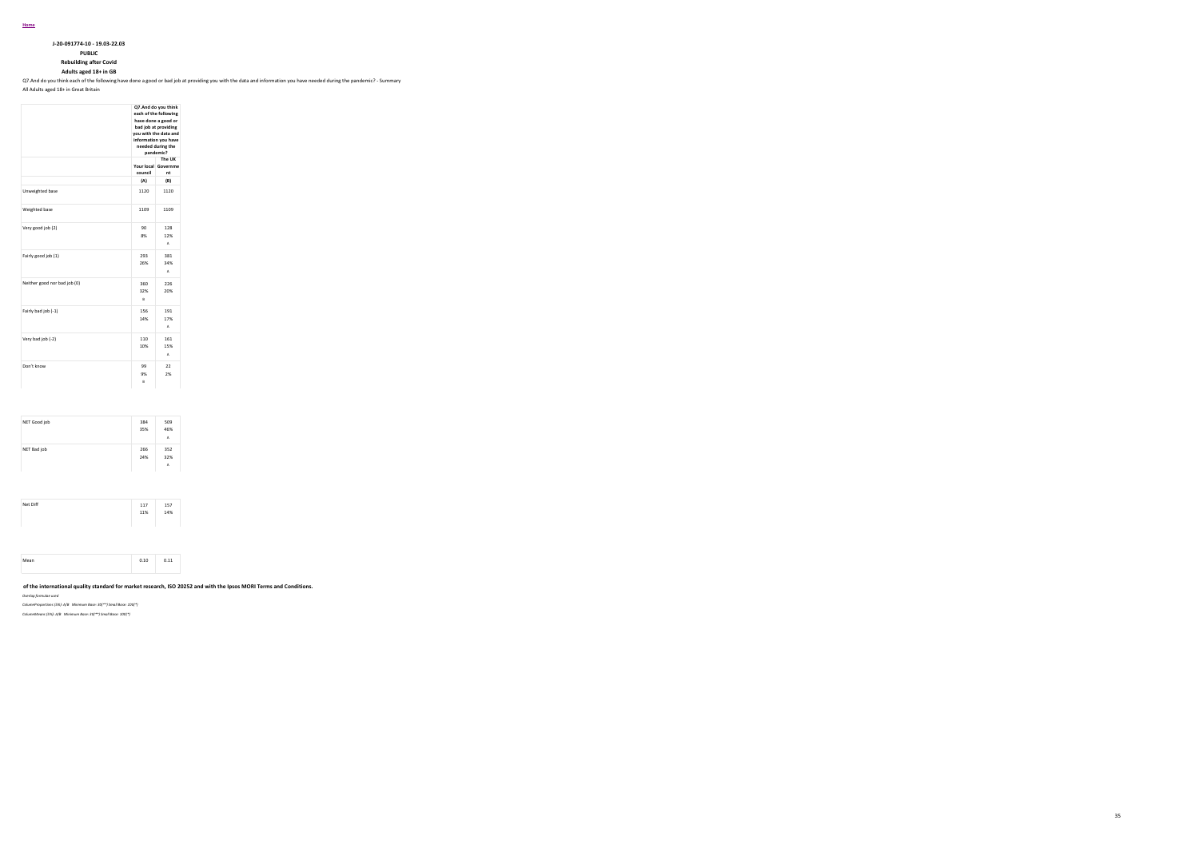**J-20-091774-10 - 19.03-22.03**

**PUBLIC Rebuilding after Covid**

**Adults aged 18+ in GB** Q7.And do you think each of the following have done a good or bad job at providing you with the data and information you have needed during the pandemic? - Summary

All Adults aged 18+ in Great Britain

|                              | Q7.And do you think<br>each of the following<br>have done a good or<br>bad job at providing<br>you with the data and<br>information you have<br>needed during the<br>pandemic? |                                     |  |  |  |  |  |  |  |
|------------------------------|--------------------------------------------------------------------------------------------------------------------------------------------------------------------------------|-------------------------------------|--|--|--|--|--|--|--|
|                              | council                                                                                                                                                                        | The UK<br>Your local Governme<br>nt |  |  |  |  |  |  |  |
|                              | (A)                                                                                                                                                                            | (B)                                 |  |  |  |  |  |  |  |
| Unweighted base              | 1120                                                                                                                                                                           | 1120                                |  |  |  |  |  |  |  |
| Weighted base                | 1109                                                                                                                                                                           | 1109                                |  |  |  |  |  |  |  |
| Very good job (2)            | 90<br>8%                                                                                                                                                                       | 128<br>12%<br>$\Delta$              |  |  |  |  |  |  |  |
| Fairly good job (1)          | 293<br>26%                                                                                                                                                                     | 381<br>34%<br>A                     |  |  |  |  |  |  |  |
| Neither good nor bad job (0) | 360<br>32%<br>R.                                                                                                                                                               | 226<br>20%                          |  |  |  |  |  |  |  |
| Fairly bad job (-1)          | 156<br>14%                                                                                                                                                                     | 191<br>17%<br>A                     |  |  |  |  |  |  |  |
| Very bad job (-2)            | 110<br>10%                                                                                                                                                                     | 161<br>15%<br>$\Delta$              |  |  |  |  |  |  |  |
| Don't know                   | 99<br>9%<br>Ŕ                                                                                                                                                                  | 22<br>2%                            |  |  |  |  |  |  |  |

| NET Good job | 384 | 509 |
|--------------|-----|-----|
|              | 35% | 46% |
|              |     | A   |
| NET Bad job  | 266 | 352 |
|              | 24% | 32% |
|              |     | A   |

| Net Diff | 117 | 157 |
|----------|-----|-----|
|          | 11% | 14% |
|          |     |     |
|          |     |     |
|          |     |     |
|          |     |     |
|          |     |     |
|          |     |     |

# **This work was carried out in accordance with the requirements of the international quality standard for market research, ISO 20252 and with the Ipsos MORI Terms and Conditions.**

*Overlap formulae used*

*ColumnProportions (5%): A/B Minimum Base: 30(\*\*) Small Base: 100(\*)*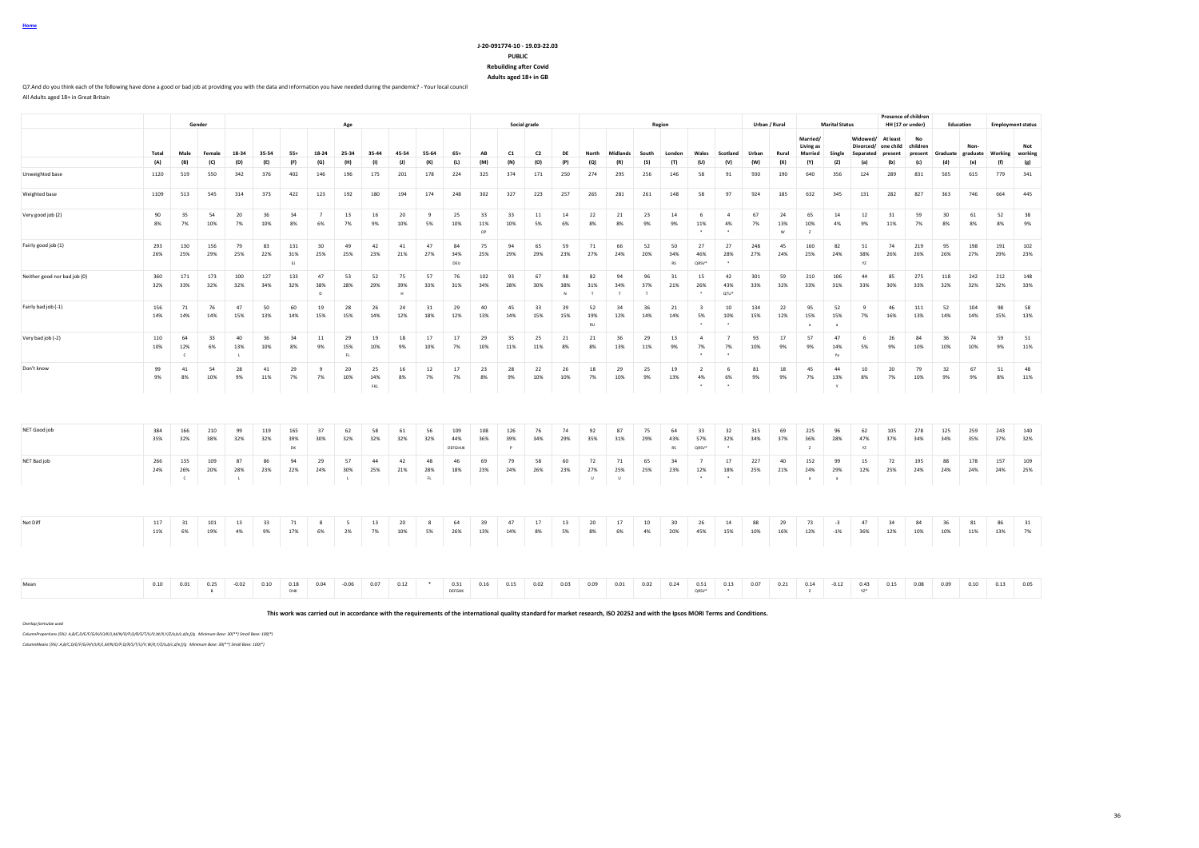### **J-20-091774-10 - 19.03-22.03 PUBLIC Rebuilding after Covid**

**Adults aged 18+ in GB**

Q7.And do you think each of the following have done a good or bad job at providing you with the data and information you have needed during the pandemic? - Your local council All Adults aged 18+ in Great Britain

|                              |            |                          | Gender     |            | Social grade |                  |                           |                           |                  |                |                    |                       |                 |                 | Urban / Rural<br>Region |                |                       |                       |                |                 |                       |                              |            | <b>Marital Status</b> |                                         | <b>Presence of children</b><br>HH (17 or under)<br>Education |                                                                |            |               | <b>Employment status</b> |                  |            |                |
|------------------------------|------------|--------------------------|------------|------------|--------------|------------------|---------------------------|---------------------------|------------------|----------------|--------------------|-----------------------|-----------------|-----------------|-------------------------|----------------|-----------------------|-----------------------|----------------|-----------------|-----------------------|------------------------------|------------|-----------------------|-----------------------------------------|--------------------------------------------------------------|----------------------------------------------------------------|------------|---------------|--------------------------|------------------|------------|----------------|
|                              | Total      | Male                     | Female     | 18-34      | 35-54        | $55+$            | 18-24                     | Age<br>25-34              | 35-44            | 45-54          | 55-64              | $65+$                 | AB              | C1              | C <sub>2</sub>          | DE             | North                 | Midlands              | South          | London          | Wales                 | Scotland                     | Urban      | Rural                 | Married/<br>Living as<br><b>Married</b> | Single                                                       | Widowed/ At least<br>Divorced/ one child children<br>Senarated | present    | No<br>present | Graduate                 | Non-<br>graduate | Working    | Not<br>working |
|                              | (A)        | (B)                      | (C)        | (D)        | (E)          | (F)              | (G)                       | (H)                       | (1)              | (1)            | (K)                | (L)                   | (M)             | (N)             | (O)                     | (P)            | (Q)                   | (R)                   | (S)            | (T)             | (U)                   | (V)                          | (W)        | (X)                   | (Y)                                     | (Z)                                                          | (a)                                                            | (b)        | (c)           | (d)                      | (e)              | (f)        | (g)            |
| Unweighted base              | 1120       | 519                      | 550        | 342        | 376          | 402              | 146                       | 196                       | 175              | 201            | 178                | 224                   | 325             | 374             | 171                     | 250            | 274                   | 295                   | 256            | 146             | 58                    | 91                           | 930        | 190                   | 640                                     | 356                                                          | 124                                                            | 289        | 831           | 505                      | 615              | 779        | 341            |
| Weighted base                | 1109       | 513                      | 545        | 314        | 373          | 422              | 123                       | 192                       | 180              | 194            | 174                | 248                   | 302             | 327             | 223                     | 257            | 265                   | 281                   | 261            | 148             | 58                    | 97                           | 924        | 185                   | 632                                     | 345                                                          | 131                                                            | 282        | 827           | 363                      | 746              | 664        | 445            |
| Very good job (2)            | 90<br>8%   | 35<br>7%                 | 54<br>10%  | 20<br>7%   | 36<br>10%    | 34<br>8%         | $\overline{7}$<br>6%      | 13<br>7%                  | 16<br>9%         | 20<br>10%      | $\mathbf{q}$<br>5% | 25<br>10%             | 33<br>11%<br>OP | 33<br>10%       | 11<br>5%                | 14<br>6%       | 22<br>8%              | 21<br>8%              | 23<br>9%       | 14<br>9%        | -6<br>11%             | $\overline{4}$<br>4%         | 67<br>7%   | 24<br>13%<br>W        | 65<br>10%<br>$\mathbf{z}$               | 14<br>4%                                                     | 12<br>9%                                                       | 31<br>11%  | 59<br>7%      | 30<br>8%                 | 61<br>8%         | 52<br>8%   | 38<br>9%       |
| Fairly good job (1)          | 293<br>26% | 130<br>25%               | 156<br>29% | 79<br>25%  | 83<br>22%    | 131<br>31%<br>E  | 30<br>25%                 | 49<br>25%                 | 42<br>23%        | 41<br>21%      | 47<br>27%          | 84<br>34%<br>DEIJ     | 75<br>25%       | 94<br>29%       | 65<br>29%               | 59<br>23%      | 71<br>27%             | 66<br>24%             | 52<br>20%      | 50<br>34%<br>RS | 27<br>46%<br>QRSV*    | 27<br>28%                    | 248<br>27% | 45<br>24%             | 160<br>25%                              | 82<br>24%                                                    | 51<br>38%<br>YZ                                                | 74<br>26%  | 219<br>26%    | 95<br>26%                | 198<br>27%       | 191<br>29% | 102<br>23%     |
| Neither good nor bad job (0) | 360<br>32% | 171<br>33%               | 173<br>32% | 100<br>32% | 127<br>34%   | 133<br>32%       | 47<br>38%<br>$\mathsf{D}$ | 53<br>28%                 | 52<br>29%        | 75<br>39%<br>H | 57<br>33%          | 76<br>31%             | 102<br>34%      | 93<br>28%       | 67<br>30%               | 98<br>38%<br>N | 82<br>31%<br>T        | 94<br>34%<br>T        | 96<br>37%<br>T | 31<br>21%       | 15<br>26%             | 42<br>43%<br>QTU*            | 301<br>33% | 59<br>32%             | 210<br>33%                              | 106<br>31%                                                   | 44<br>33%                                                      | 85<br>30%  | 275<br>33%    | 118<br>32%               | 242<br>32%       | 212<br>32% | 148<br>33%     |
| Fairly bad job (-1)          | 156<br>14% | 71<br>14%                | 76<br>14%  | 47<br>15%  | 50<br>13%    | 60<br>14%        | 19<br>15%                 | 28<br>15%                 | 26<br>14%        | 24<br>12%      | 31<br>18%          | 29<br>12%             | 40<br>13%       | 45<br>14%       | 33<br>15%               | 39<br>15%      | 52<br>19%<br>RU       | 34<br>12%             | 36<br>14%      | 21<br>14%       | $\mathbf{R}$<br>5%    | 10<br>10%                    | 134<br>15% | 22<br>12%             | 95<br>15%<br>$\overline{a}$             | 52<br>15%<br>$\overline{a}$                                  | 9<br>7%                                                        | 46<br>16%  | 111<br>13%    | 52<br>14%                | 104<br>14%       | 98<br>15%  | 58<br>13%      |
| Very bad job (-2)            | 110<br>10% | 64<br>12%<br>c           | 33<br>6%   | 40<br>13%  | 36<br>10%    | 34<br>8%         | 11<br>9%                  | 29<br>15%<br>FL           | 19<br>10%        | 18<br>9%       | 17<br>10%          | 17<br>7%              | 29<br>10%       | 35<br>11%       | 25<br>11%               | 21<br>8%       | 21<br>8%              | 36<br>13%             | 29<br>11%      | 13<br>9%        | $\mathbf{A}$<br>7%    | $\overline{7}$<br>7%         | 93<br>10%  | 17<br>9%              | 57<br>9%                                | 47<br>14%<br>Ya                                              | -6<br>5%                                                       | 26<br>9%   | 84<br>10%     | 36<br>10%                | 74<br>10%        | 59<br>9%   | 51<br>11%      |
| Don't know                   | 99<br>9%   | 41<br>8%                 | 54<br>10%  | 28<br>9%   | 41<br>11%    | 29<br>7%         | $\overline{9}$<br>7%      | 20<br>10%                 | 25<br>14%<br>FKL | 16<br>8%       | 12<br>7%           | 17<br>7%              | 23<br>8%        | 28<br>9%        | 22<br>10%               | 26<br>10%      | 18<br>7%              | 29<br>10%             | 25<br>9%       | 19<br>13%       | $\overline{2}$<br>4%  | - 6<br>6%                    | 81<br>9%   | 18<br>9%              | 45<br>7%                                | 44<br>13%                                                    | 10<br>8%                                                       | 20<br>7%   | 79<br>10%     | 32<br>9%                 | 67<br>9%         | 51<br>8%   | 48<br>11%      |
|                              |            |                          |            |            |              |                  |                           |                           |                  |                |                    |                       |                 |                 |                         |                |                       |                       |                |                 |                       |                              |            |                       |                                         |                                                              |                                                                |            |               |                          |                  |            |                |
| NET Good job                 | 384<br>35% | 166<br>32%               | 210<br>38% | 99<br>32%  | 119<br>32%   | 165<br>39%<br>DK | 37<br>30%                 | 62<br>32%                 | 58<br>32%        | 61<br>32%      | 56<br>32%          | 109<br>44%<br>DEFGHUK | 108<br>36%      | 126<br>39%<br>P | 76<br>34%               | 74<br>29%      | 92<br>35%             | 87<br>31%             | 75<br>29%      | 64<br>43%<br>RS | 33<br>57%<br>QRSV*    | 32<br>32%                    | 315<br>34% | 69<br>37%             | 225<br>36%<br>$\mathbf{z}$              | 96<br>28%                                                    | 62<br>47%<br>YZ                                                | 105<br>37% | 278<br>34%    | 125<br>34%               | 259<br>35%       | 243<br>37% | 140<br>32%     |
| NET Bad job                  | 266<br>24% | 135<br>26%<br>$\epsilon$ | 109<br>20% | 87<br>28%  | 86<br>23%    | 94<br>22%        | 29<br>24%                 | 57<br>30%<br>$\mathbf{L}$ | 44<br>25%        | 42<br>21%      | 48<br>28%<br>FL    | 46<br>18%             | 69<br>23%       | 79<br>24%       | 58<br>26%               | 60<br>23%      | 72<br>27%<br><b>U</b> | 71<br>25%<br><b>U</b> | 65<br>25%      | 34<br>23%       | $\overline{7}$<br>12% | 17<br>18%                    | 227<br>25% | 40<br>21%             | 152<br>24%<br>$\mathbf{a}$              | 99<br>29%<br>$\overline{a}$                                  | 15<br>12%                                                      | 72<br>25%  | 195<br>24%    | 88<br>24%                | 178<br>24%       | 157<br>24% | 109<br>25%     |
|                              |            |                          |            |            |              |                  |                           |                           |                  |                |                    |                       |                 |                 |                         |                |                       |                       |                |                 |                       |                              |            |                       |                                         |                                                              |                                                                |            |               |                          |                  |            |                |
| Net Diff                     | 117<br>11% | 31<br>6%                 | 101<br>19% | 13<br>4%   | 33<br>9%     | 71<br>17%        | -8<br>6%                  | - 5<br>2%                 | 13<br>7%         | 20<br>10%      | 8<br>5%            | 64<br>26%             | 39<br>13%       | 47<br>14%       | 17<br>8%                | 13<br>5%       | 20<br>8%              | 17<br>6%              | 10<br>4%       | 30<br>20%       | 26<br>45%             | 14<br>15%                    | 88<br>10%  | 29<br>16%             | 73<br>12%                               | $-3$<br>$-1%$                                                | 47<br>36%                                                      | 34<br>12%  | 84<br>10%     | 36<br>10%                | 81<br>11%        | 86<br>13%  | 31<br>7%       |
|                              |            |                          |            |            |              |                  |                           |                           |                  |                |                    |                       |                 |                 |                         |                |                       |                       |                |                 |                       |                              |            |                       |                                         |                                                              |                                                                |            |               |                          |                  |            |                |
| Mean                         | 0.10       | 0.01                     | 0.25<br>B  | $-0.02$    | 0.10         | 0.18<br>DHK      | 0.04                      | $-0.06$                   | 0.07             | 0.12           | *                  | 0.31<br><b>DEFGHK</b> | 0.16            | 0.15            | 0.02                    | 0.03           | 0.09                  | 0.01                  | 0.02           | 0.24            | 0.51<br>QRSV*         | 0.13<br>$\ddot{\phantom{1}}$ | 0.07       | 0.21                  | 0.14<br>Z                               | $-0.12$                                                      | 0.43<br>$YZ^*$                                                 | 0.15       | 0.08          | 0.09                     | 0.10             | 0.13       | 0.05           |

**This work was carried out in accordance with the requirements of the international quality standard for market research, ISO 20252 and with the Ipsos MORI Terms and Conditions.**

*Overlap formulae used*

*ColumnProportions (5%): A,B/C,D/E/F/G/H/I/J/K/L,M/N/O/P,Q/R/S/T/U/V,W/X,Y/Z/a,b/c,d/e,f/g Minimum Base: 30(\*\*) Small Base: 100(\*)*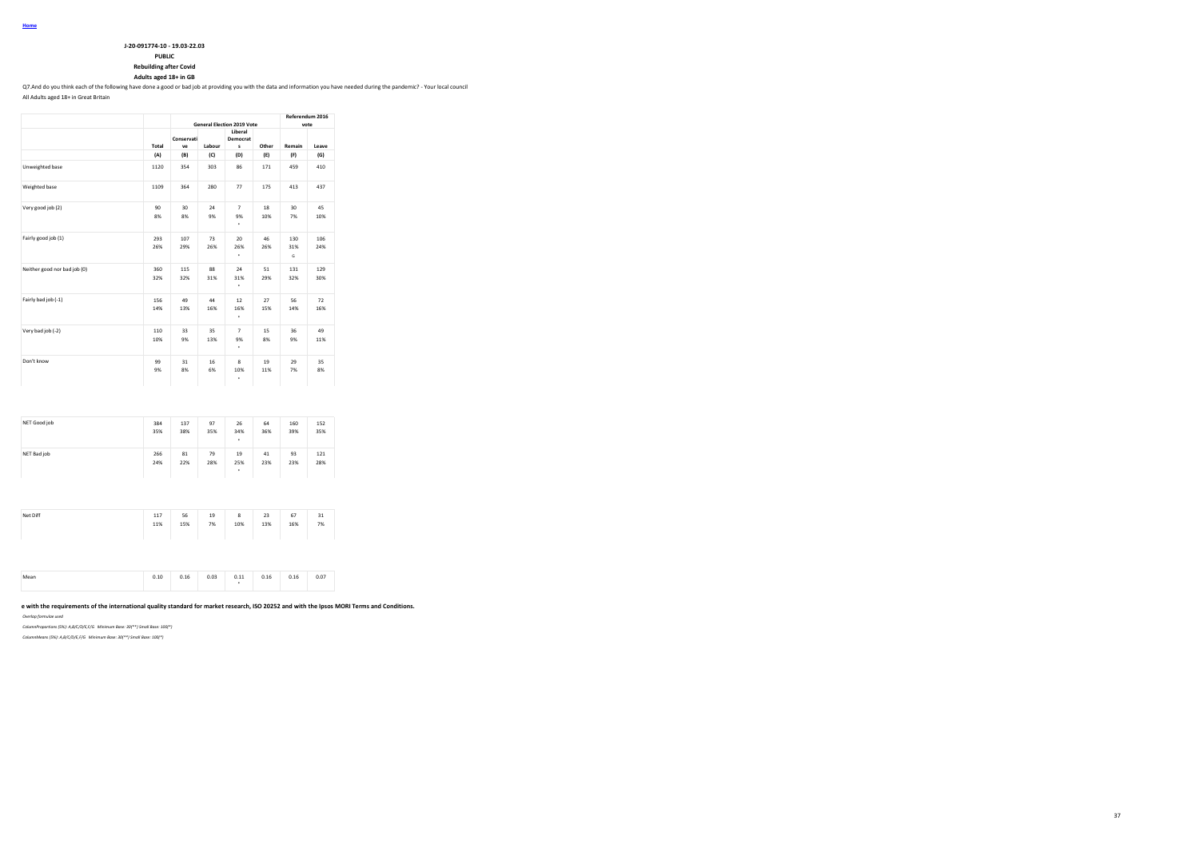| J-20-091774-10 - 19.03-22.03 |
|------------------------------|

**PUBLIC**

**Rebuilding after Covid**

**Adults aged 18+ in GB**

Q7.And do you think each of the following have done a good or bad job at providing you with the data and information you have needed during the pandemic? - Your local council

All Adults aged 18+ in Great Britain

|                              |            |                       | <b>General Election 2019 Vote</b> | Referendum 2016<br>vote   |           |                 |            |
|------------------------------|------------|-----------------------|-----------------------------------|---------------------------|-----------|-----------------|------------|
|                              | Total      | Conservati<br>ve      | Labour                            | Liberal<br>Democrat<br>s  | Other     | Remain          | Leave      |
|                              | (A)        | (B)                   | (C)                               | (D)                       | (E)       | (F)             | (G)        |
| Unweighted base              | 1120       | 354                   | 303                               | 86                        | 171       | 459             | 410        |
| Weighted base                | 1109       | 364                   | 280                               | 77                        | 175       | 413             | 437        |
| Very good job (2)            | 90<br>8%   | 30 <sub>o</sub><br>8% | 24<br>9%                          | $\overline{7}$<br>9%<br>٠ | 18<br>10% | 30<br>7%        | 45<br>10%  |
| Fairly good job (1)          | 293<br>26% | 107<br>29%            | 73<br>26%                         | 20<br>26%<br>٠            | 46<br>26% | 130<br>31%<br>G | 106<br>24% |
| Neither good nor bad job (0) | 360<br>32% | 115<br>32%            | 88<br>31%                         | 24<br>31%<br>٠            | 51<br>29% | 131<br>32%      | 129<br>30% |
| Fairly bad job (-1)          | 156<br>14% | 49<br>13%             | 44<br>16%                         | 12<br>16%<br>٠            | 27<br>15% | 56<br>14%       | 72<br>16%  |
| Very bad job (-2)            | 110<br>10% | 33<br>9%              | 35<br>13%                         | $\overline{7}$<br>9%<br>٠ | 15<br>8%  | 36<br>9%        | 49<br>11%  |
| Don't know                   | 99<br>9%   | 31<br>8%              | 16<br>6%                          | 8<br>10%<br>۰             | 19<br>11% | 29<br>7%        | 35<br>8%   |

| NET Good job | 384<br>35% | 137<br>38% | 97<br>35% | 26<br>34%<br>٠ | 64<br>36% | 160<br>39% | 152<br>35% |
|--------------|------------|------------|-----------|----------------|-----------|------------|------------|
| NET Bad job  | 266<br>24% | 81<br>22%  | 79<br>28% | 19<br>25%<br>٠ | 41<br>23% | 93<br>23%  | 121<br>28% |

| Net Diff | 117<br>11% | 56<br>15% | 19<br>7% | 8<br>10% | 23<br>13% | 67<br>16% | 31<br>7% |  |
|----------|------------|-----------|----------|----------|-----------|-----------|----------|--|
|----------|------------|-----------|----------|----------|-----------|-----------|----------|--|

| 0.03<br>0.07<br>0.16<br>0.11<br>0.16<br>0.10<br>0.16<br>Mean<br>$\cdots$<br>$\cdots$<br>. |
|-------------------------------------------------------------------------------------------|
|-------------------------------------------------------------------------------------------|

### e with the requirements of the international quality standard for market research, ISO 20252 and with the Ipsos MORI Terms and Conditions.

*Overlap formulae used*

*ColumnProportions (5%): A,B/C/D/E,F/G Minimum Base: 30(\*\*) Small Base: 100(\*)*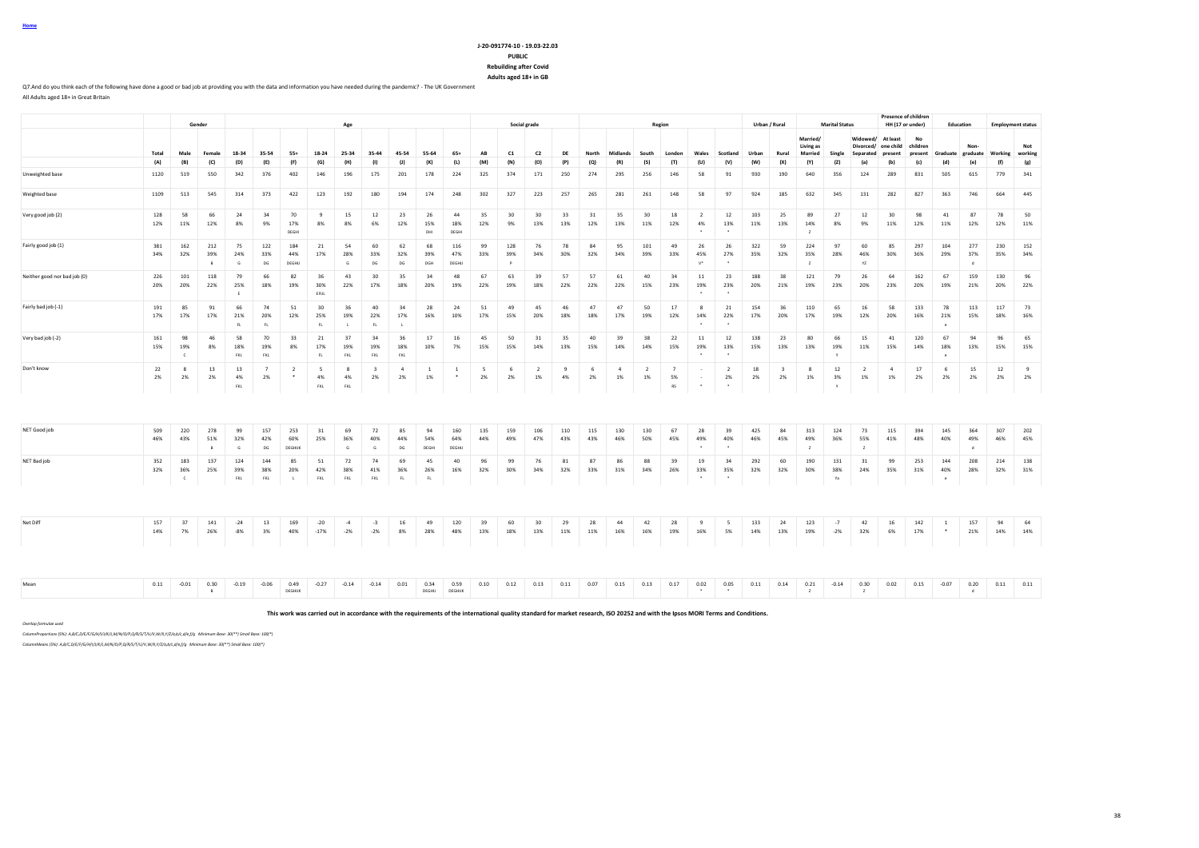|  | Home |  |  |  |
|--|------|--|--|--|
|  |      |  |  |  |

#### **J-20-091774-10 - 19.03-22.03 PUBLIC Rebuilding after Covid**

**Adults aged 18+ in GB**

Q7.And do you think each of the following have done a good or bad job at providing you with the data and information you have needed during the pandemic? - The UK Government All Adults aged 18+ in Great Britain

**Gender Age Social grade Region Urban / Rural Marital Status Presence of children HH (17 or under) Education Employment status** Total Male Female 18-34 35-54 55+ 18-24 25-34 35-44 45-54 55-64 65+ AB C1 C2 DE North Midlands South London Wales Scotland Urban Rural **Married/ Living as Married Single Widowed/ At least Divorced/ one child Separated present No children present Graduate Nongraduate Working Not working** (A) (B) (C) (D) (E) (F) (G) (H) (I) (J) (K) (L) (M) (N) (O) (P) (Q) (R) (S) (T) (U) (V) (W) (X) (Y) (Z) (a) (b) (c) (d) (e) (f) (g) Unweighted base 1120 519 550 342 376 402 146 196 175 201 178 224 325 374 171 250 274 295 256 146 58 91 930 190 640 356 124 289 831 505 615 779 341 Weighted base 1109 513 545 314 373 422 123 192 180 194 174 248 302 327 223 257 265 281 261 148 58 97 924 185 632 345 131 282 827 363 746 664 445 Very good job (2) 128 58 66 24 34 70 9 15 12 23 26 44 35 30 30 33 31 35 30 18 2 12 103 25 89 27 12 30 98 41 87 78 50 12% 11% 12% 8% 9% 17% 8% 8% 6% 12% 15% 18% 12% 9% 13% 13% 12% 13% 11% 12% 4% 13% 11% 13% 14% 8% 9% 11% 12% 11% 12% 12% 11% DEGHI DHI DEGHI \* \* Z Fairly good job (1) 381 162 212 75 122 184 21 54 60 62 68 116 99 128 76 78 84 95 101 49 26 26 322 59 224 97 60 85 297 104 277 230 152 34% 32% 39% 24% 33% 44% 17% 28% 33% 32% 39% 47% 33% 39% 34% 30% 32% 34% 39% 33% 45% 27% 35% 32% 35% 28% 46% 30% 36% 29% 37% 35% 34% B G DG DEGHU G DG DG DG DGH DEGHU P J J J V\* \* J Z Y YZ J J d Neither good nor bad job (0) 226 101 118 79 66 82 36 43 30 35 34 48 67 63 39 57 57 61 40 34 11 23 188 38 121 79 26 64 162 67 159 130 96 20% 20% 22% 25% 18% 19% 30% 22% 17% 18% 20% 19% 22% 19% 18% 22% 22% 22% 15% 23% 19% 23% 20% 21% 19% 23% 20% 23% 20% 19% 21% 20% 22% E EFIJL \* \* Fairly bad job (-1) 191 85 91 66 74 51 30 36 40 34 28 24 51 49 45 46 47 47 50 17 8 21 154 36 110 65 16 58 133 78 113 117 73 17% 17% 17% 21% 20% 12% 25% 19% 22% 17% 16% 10% 17% 15% 20% 18% 18% 17% 19% 12% 14% 22% 17% 20% 17% 19% 12% 20% 16% 21% 15% 18% 16% FL FL FL L FL L \* \* e Very bad job (-2) 161 98 46 58 70 33 21 37 34 36 17 16 45 50 31 35 40 39 38 22 11 12 138 23 80 66 15 41 120 67 94 96 65 15% 19% 8% 18% 19% 8% 17% 19% 19% 18% 10% 7% 15% 15% 14% 13% 15% 14% 14% 15% 19% 13% 15% 13% 13% 19% 11% 15% 14% 18% 13% 15% 15% C FKL FKL FL FKL FKL FKL \* \* Y e Don't know 22 8 13 13 7 2 5 8 3 4 1 1 5 6 2 9 6 4 2 7 - 2 18 3 8 12 2 4 17 6 15 12 9 2% 2% 2% 4% 2% \* 4% 4% 2% 2% 1% \* 2% 2% 1% 4% 2% 1% 1% 5% - 2% 2% 2% 1% 3% 1% 1% 2% 2% 2% 2% 2% FKL FKL FKL RS \* \* Y NET Good job 509 220 278 99 157 253 31 69 72 85 94 160 135 159 106 110 115 130 130 67 28 39 425 84 313 124 73 115 394 145 364 307 202 46% 43% 51% 32% 42% 60% 25% 36% 40% 44% 54% 64% 44% 49% 47% 43% 43% 46% 50% 45% 49% 40% 46% 45% 49% 36% 55% 41% 48% 40% 49% 46% 45% B G DG DEGHIJK G G DG DEGHIJ DEGHIJ DEGHIJ DEGHIJ DEGHIJ DEGHIJ DEGHIJ DEGHIJ DE ZA DE ZA DE ZA DE ZA DE ZA DE NET Bad job 352 183 137 124 144 85 51 72 74 69 45 40 96 99 76 81 87 86 88 39 19 34 292 60 190 131 31 99 253 144 208 214 138 32% 36% 25% 39% 38% 20% 42% 38% 41% 36% 26% 16% 32% 30% 34% 32% 33% 31% 34% 26% 33% 35% 32% 32% 30% 38% 24% 35% 31% 40% 28% 32% 31% C FKL FKL L FKL FKL FKL FL FL \* \* Ya e Net Diff 157 37 141 -24 13 169 -20 -4 -3 16 -49 120 39 60 30 29 28 44 42 28 9 5 133 24 123 -7 42 16 142 1 157 94 64 14% 7% 26% -8% 3% 40% -17% -2% -2% 8% 28% 48% 13% 18% 13% 11% 11% 16% 16% 19% 16% 5% 14% 13% 19% -2% 32% 6% 17% \* 21% 14% 14% Mean 0.11 -0.01 0.30 -0.19 -0.06 0.49 -0.27 -0.14 -0.14 0.01 0.34 0.19 0.11 0.07 0.11 0.11 0.13 0.11 0.13 0.11 0.12 0.13 0.11 0.15 0.07 0.14 0.31 0.11 0.14 0.30 0.02 0.15 -0.07 0.20 0.11 0.11

**This work was carried out in accordance with the requirements of the international quality standard for market research, ISO 20252 and with the Ipsos MORI Terms and Conditions.**

B DEGHUX DEGHUX DEGHUJK DEGHUJK DEGHUJK DEGHUJK DEGHUJK DEGHUJK DEGHUJK DEGHUJK DEGHUJK DEGHUJK DEGHUJK DEGHUJK DEGHUJK DEGHUJK DEGHUJK DEGHUJK DEGHUJK DEGHUJK DEGHUJK DEGHUJK DEGHUJK DEGHUJK DEGHUJK DEGHUJK DEGHUJK DEGHUJ

*Overlap formulae used*

*ColumnProportions (5%): A,B/C,D/E/F/G/H/I/J/K/L,M/N/O/P,Q/R/S/T/U/V,W/X,Y/Z/a,b/c,d/e,f/g Minimum Base: 30(\*\*) Small Base: 100(\*)*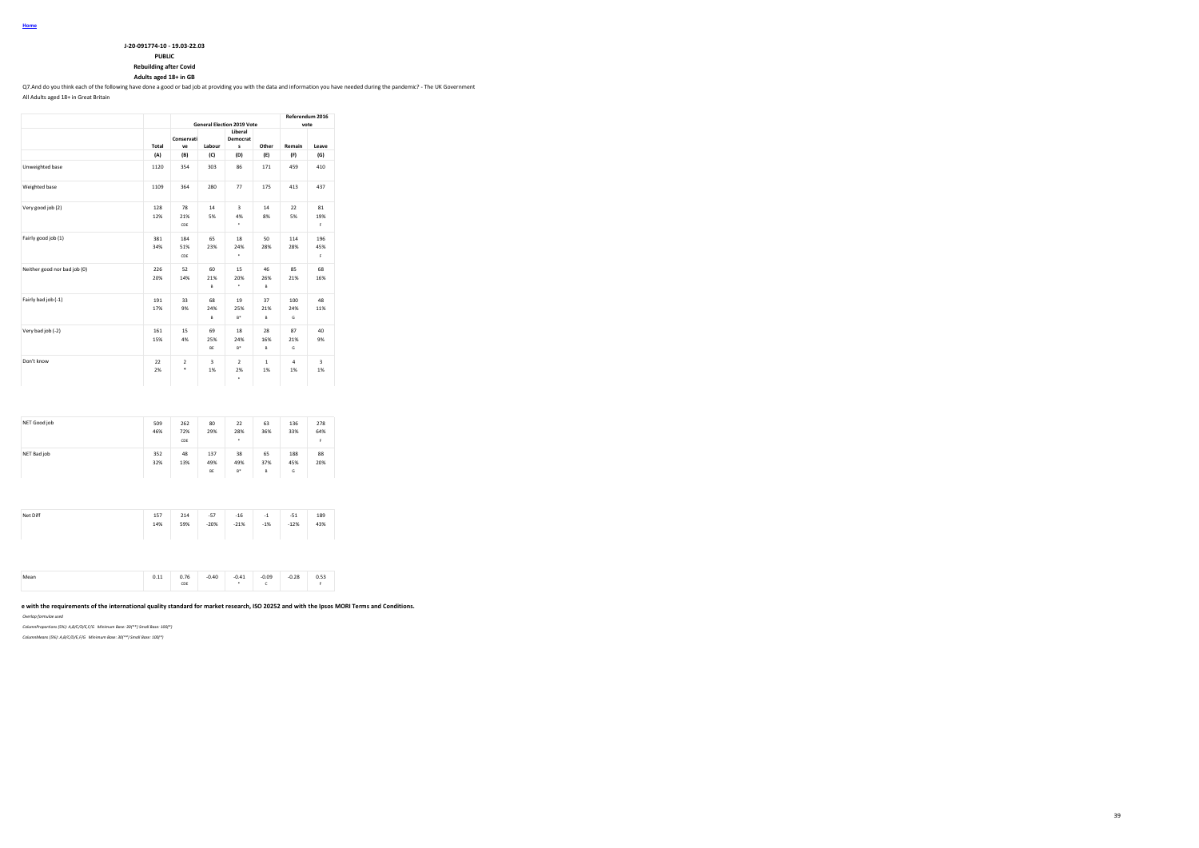| J-20-091774-10 - 19.03-22.03 |
|------------------------------|

**PUBLIC**

**Rebuilding after Covid**

**Adults aged 18+ in GB**

Q7.And do you think each of the following have done a good or bad job at providing you with the data and information you have needed during the pandemic? - The UK Government

All Adults aged 18+ in Great Britain

|                              |            |                     |                 | <b>General Election 2019 Vote</b>  |                    | Referendum 2016<br>vote |                  |  |
|------------------------------|------------|---------------------|-----------------|------------------------------------|--------------------|-------------------------|------------------|--|
|                              | Total      | Conservati<br>ve    | Labour          | Liberal<br>Democrat<br>s           | Other              | Remain                  | Leave            |  |
|                              | (A)        | (B)                 | (C)             | (D)                                | (E)                | (F)                     | (G)              |  |
| Unweighted base              | 1120       | 354                 | 303             | 86                                 | 171                | 459                     | 410              |  |
| Weighted base                | 1109       | 364                 | 280             | 77                                 | 175                | 413                     | 437              |  |
| Very good job (2)            | 128<br>12% | 78<br>21%<br>CDE    | 14<br>5%        | $\overline{\mathbf{3}}$<br>4%<br>٠ | 14<br>8%           | 22<br>5%                | 81<br>19%<br>F.  |  |
| Fairly good job (1)          | 381<br>34% | 184<br>51%<br>CDE   | 65<br>23%       | 18<br>24%<br>٠                     | 50<br>28%          | 114<br>28%              | 196<br>45%<br>F. |  |
| Neither good nor bad job (0) | 226<br>20% | 52<br>14%           | 60<br>21%<br>B  | 15<br>20%<br>٠                     | 46<br>26%<br>B     | 85<br>21%               | 68<br>16%        |  |
| Fairly bad job (-1)          | 191<br>17% | 33<br>9%            | 68<br>24%<br>B  | 19<br>25%<br>$B^*$                 | 37<br>21%<br>B     | 100<br>24%<br>G         | 48<br>11%        |  |
| Very bad job (-2)            | 161<br>15% | 15<br>4%            | 69<br>25%<br>BE | 18<br>24%<br>$B^*$                 | 28<br>16%<br>B     | 87<br>21%<br>G          | 40<br>9%         |  |
| Don't know                   | 22<br>2%   | $\overline{2}$<br>۰ | 3<br>1%         | $\overline{a}$<br>2%<br>٠          | $\mathbf{1}$<br>1% | $\overline{a}$<br>1%    | 3<br>1%          |  |

| NET Good job | 509<br>46% | 262<br>72%<br>CDE | 80<br>29%        | 22<br>28%<br>٠     | 63<br>36%      | 136<br>33%      | 278<br>64%<br>F |
|--------------|------------|-------------------|------------------|--------------------|----------------|-----------------|-----------------|
| NET Bad job  | 352<br>32% | 48<br>13%         | 137<br>49%<br>BE | 38<br>49%<br>$B^*$ | 65<br>37%<br>B | 188<br>45%<br>G | 88<br>20%       |

| Net Diff | 157 | 214 | $-57$  | $-16$  | $-1$  | $-51$  | 189 |
|----------|-----|-----|--------|--------|-------|--------|-----|
|          | 14% | 59% | $-20%$ | $-21%$ | $-1%$ | $-12%$ | 43% |
|          |     |     |        |        |       |        |     |

|  | 0.44 | 0.76<br>CDE | 0.40 | 0.41<br>the contract of the contract of | 0.09<br>. | 0.28 | n 53<br>ບ.ບວ |
|--|------|-------------|------|-----------------------------------------|-----------|------|--------------|
|--|------|-------------|------|-----------------------------------------|-----------|------|--------------|

### **This work was carried out in accordance with the requirements of the international quality standard for market research, ISO 20252 and with the Ipsos MORI Terms and Conditions.**

*Overlap formulae used*

*ColumnProportions (5%): A,B/C/D/E,F/G Minimum Base: 30(\*\*) Small Base: 100(\*)*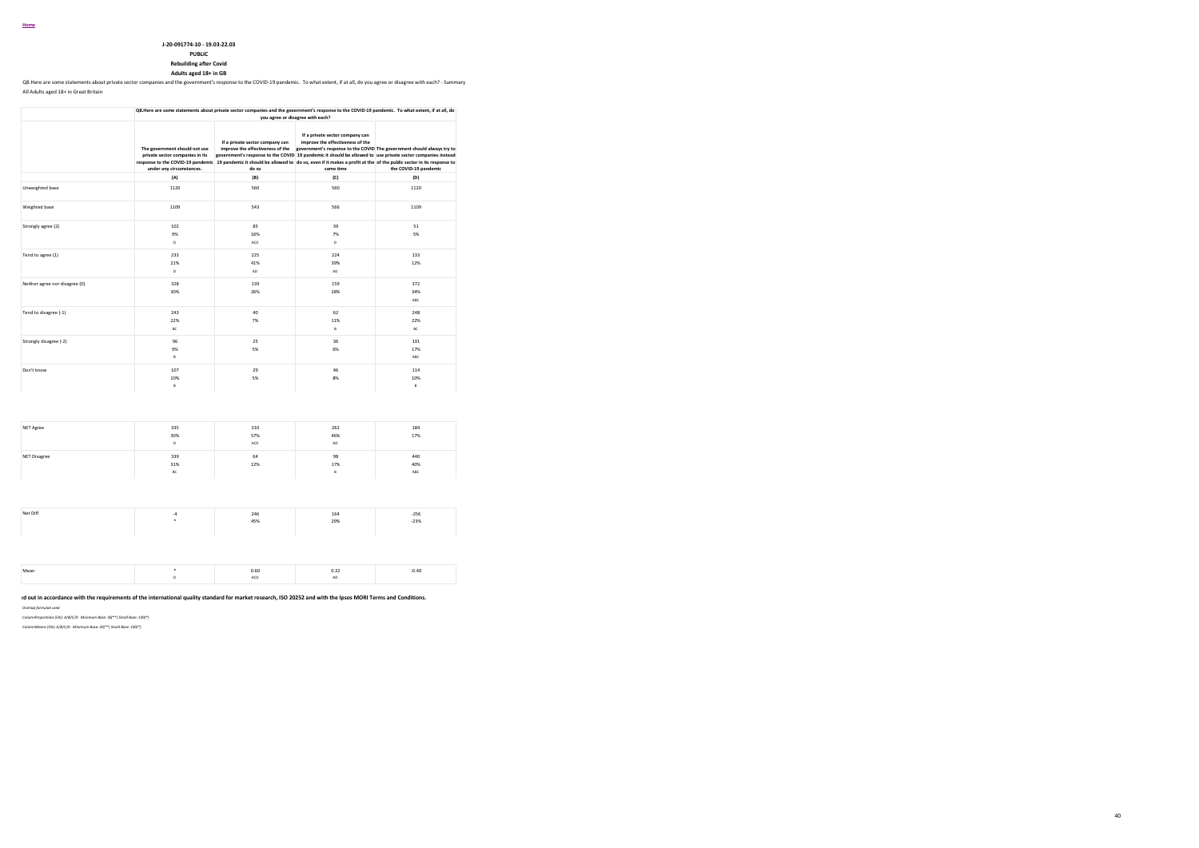#### **Home**

#### **J-20-091774-10 - 19.03-22.03**

### **PUBLIC**

#### **Rebuilding after Covid**

**Adults aged 18+ in GB**

Q8.Here are some statements about private sector companies and the government's response to the COVID-19 pandemic. To what extent, if at all, do you agree or disagree with each? - Summary All Adults aged 18+ in Great Britain

|                                |                                                                                              | Q8.Here are some statements about private sector companies and the government's response to the COVID-19 pandemic. To what extent, if at all, do                                                                                      | you agree or disagree with each?                                                                                                                                                                |                                                                                                 |
|--------------------------------|----------------------------------------------------------------------------------------------|---------------------------------------------------------------------------------------------------------------------------------------------------------------------------------------------------------------------------------------|-------------------------------------------------------------------------------------------------------------------------------------------------------------------------------------------------|-------------------------------------------------------------------------------------------------|
|                                | The government should not use<br>private sector companies in its<br>under any circumstances. | If a private sector company can<br>improve the effectiveness of the<br>response to the COVID-19 pandemic 19 pandemic it should be allowed to do so, even if it makes a profit at the of the public sector in its response to<br>do so | If a private sector company can<br>improve the effectiveness of the<br>government's response to the COVID 19 pandemic it should be allowed to use private sector companies instead<br>same time | government's response to the COVID The government should always try to<br>the COVID-19 pandemic |
|                                | (A)                                                                                          | (B)                                                                                                                                                                                                                                   | (C)                                                                                                                                                                                             | (D)                                                                                             |
| Unweighted base                | 1120                                                                                         | 560                                                                                                                                                                                                                                   | 560                                                                                                                                                                                             | 1120                                                                                            |
| Weighted base                  | 1109                                                                                         | 543                                                                                                                                                                                                                                   | 566                                                                                                                                                                                             | 1109                                                                                            |
| Strongly agree (2)             | 102<br>9%<br>D                                                                               | 85<br>16%<br>ACD                                                                                                                                                                                                                      | 39<br>7%<br>D                                                                                                                                                                                   | 51<br>5%                                                                                        |
| Tend to agree (1)              | 233<br>21%<br>D                                                                              | 225<br>41%<br>AD                                                                                                                                                                                                                      | 224<br>39%<br>AD                                                                                                                                                                                | 133<br>12%                                                                                      |
| Neither agree nor disagree (0) | 328<br>30%                                                                                   | 139<br>26%                                                                                                                                                                                                                            | 159<br>28%                                                                                                                                                                                      | 372<br>34%<br>ABC                                                                               |
| Tend to disagree (-1)          | 243<br>22%<br>BC.                                                                            | 40<br>7%                                                                                                                                                                                                                              | 62<br>11%<br>B                                                                                                                                                                                  | 248<br>22%<br><b>BC</b>                                                                         |
| Strongly disagree (-2)         | 96<br>9%<br>B                                                                                | 25<br>5%                                                                                                                                                                                                                              | 36<br>6%                                                                                                                                                                                        | 191<br>17%<br>ABC                                                                               |
| Don't know                     | 107<br>10%<br>R.                                                                             | 29<br>5%                                                                                                                                                                                                                              | 46<br>8%                                                                                                                                                                                        | 114<br>10%<br>R                                                                                 |

| NET Agree    | 335<br>30%<br>D  | 310<br>57%<br>ACD | 262<br>46%<br>AD | 184<br>17%        |
|--------------|------------------|-------------------|------------------|-------------------|
| NET Disagree | 339<br>31%<br>BC | 64<br>12%         | 98<br>17%<br>в   | 440<br>40%<br>ABC |
|              |                  |                   |                  |                   |
| Net Diff     | $-4$<br>٠        | 246<br>45%        | 164<br>29%       | $-256$<br>$-23%$  |
|              |                  |                   |                  |                   |
| Mean         | ٠<br>D           | 0.60<br>ACD       | 0.32<br>AD       | $-0.40$           |

**This work was carried out in accordance with the requirements of the international quality standard for market research, ISO 20252 and with the Ipsos MORI Terms and Conditions.**

40

*Overlap formulae used*

*ColumnProportions (5%): A/B/C/D Minimum Base: 30(\*\*) Small Base: 100(\*) ColumnMeans (5%): A/B/C/D Minimum Base: 30(\*\*) Small Base: 100(\*)*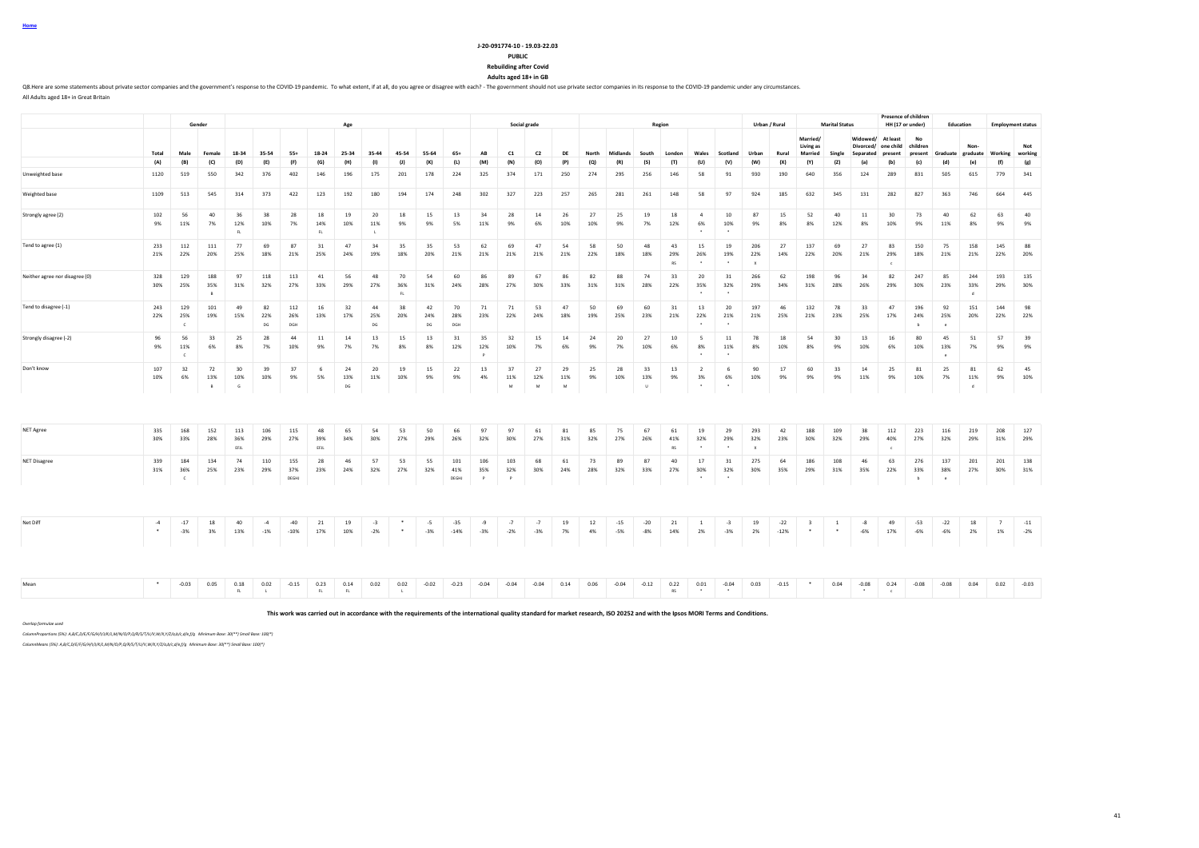**PUBLIC Rebuilding after Covid**

**J-20-091774-10 - 19.03-22.03**

**Adults aged 18+ in GB**

Q8. Here are some statements about private sector companies and the government's response to the COVID-19 pandemic. To what extent, if at all, do you agree or disagree with each? - The government should not use private sec All Adults aged 18+ in Great Britain

|                                |                |                            | Gender                     |                    |                 |                     |                   | Age             |                 |                      |                 |                     |                 |                 | Social grade               |                            |           |                |                     | Region          |                                              |                                 |                                         | Urban / Rural   |                                    | <b>Marital Status</b>  |                       | HH (17 or under)         | <b>Presence of children</b>  |                          | Education                  |                                   | <b>Employment status</b> |
|--------------------------------|----------------|----------------------------|----------------------------|--------------------|-----------------|---------------------|-------------------|-----------------|-----------------|----------------------|-----------------|---------------------|-----------------|-----------------|----------------------------|----------------------------|-----------|----------------|---------------------|-----------------|----------------------------------------------|---------------------------------|-----------------------------------------|-----------------|------------------------------------|------------------------|-----------------------|--------------------------|------------------------------|--------------------------|----------------------------|-----------------------------------|--------------------------|
|                                |                |                            |                            |                    |                 |                     |                   |                 |                 |                      |                 |                     |                 |                 |                            |                            |           |                |                     |                 |                                              |                                 |                                         |                 | Married/<br>Living as              |                        | Widowed/<br>Divorced/ | At least<br>one child    | No<br>children               |                          | Non-                       |                                   | Not                      |
|                                | Total          | Male                       | Female                     | 18-34              | 35-54           | $55+$               | 18-24             | 25-34           | 35-44           | 45-54                | 55-64           | $65+$               | AB              | C1              | C <sub>2</sub>             | DE                         | North     | Midlands       | South               | London          | Wales                                        | Scotland                        | Urban                                   | Rural           | Married                            | Single                 | Separated present     |                          | present                      |                          |                            | Graduate graduate Working working |                          |
|                                | (A)            | (B)                        | (C)                        | (D)                | (E)             | (F)                 | (G)               | (H)             | (1)             | (1)                  | (K)             | (L)                 | (M)             | (N)             | (O)                        | (P)                        | (Q)       | (R)            | (S)                 | (T)             | (U)                                          | (V)                             | (W)                                     | (X)             | (Y)                                | (Z)                    | (a)                   | (b)                      | (c)                          | (d)                      | (e)                        | (f)                               | (g)                      |
| Unweighted base                | 1120           | 519                        | 550                        | 342                | 376             | 402                 | 146               | 196             | 175             | 201                  | 178             | 224                 | 325             | 374             | 171                        | 250                        | 274       | 295            | 256                 | 146             | 58                                           | 91                              | 930                                     | 190             | 640                                | 356                    | 124                   | 289                      | 831                          | 505                      | 615                        | 779                               | 341                      |
| Weighted base                  | 1109           | 513                        | 545                        | 314                | 373             | 422                 | 123               | 192             | 180             | 194                  | 174             | 248                 | 302             | 327             | 223                        | 257                        | 265       | 281            | 261                 | 148             | 58                                           | 97                              | 924                                     | 185             | 632                                | 345                    | 131                   | 282                      | 827                          | 363                      | 746                        | 664                               | 445                      |
| Strongly agree (2)             | 102<br>9%      | 56<br>11%                  | 40<br>7%                   | 36<br>12%<br>FL.   | 38<br>10%       | 28<br>7%            | 18<br>14%<br>FL   | 19<br>10%       | 20<br>11%       | 18<br>9%             | 15<br>9%        | 13<br>5%            | 34<br>11%       | 28<br>9%        | 14<br>6%                   | 26<br>10%                  | 27<br>10% | 25<br>9%       | 19<br>7%            | 18<br>12%       | $\mathbf{A}$<br>6%                           | $10\,$<br>10%                   | 87<br>9%                                | 15<br>8%        | 52<br>8%                           | 40<br>12%              | 11<br>8%              | 30<br>10%                | 73<br>9%                     | 40<br>11%                | 62<br>8%                   | 63<br>9%                          | 40<br>9%                 |
| Tend to agree (1)              | 233<br>21%     | 112<br>22%                 | 111<br>20%                 | 77<br>25%          | 69<br>18%       | 87<br>21%           | 31<br>25%         | 47<br>24%       | 34<br>19%       | 35<br>18%            | 35<br>20%       | 53<br>21%           | 62<br>21%       | 69<br>21%       | 47<br>21%                  | 54<br>21%                  | 58<br>22% | 50<br>18%      | 48<br>18%           | 43<br>29%<br>RS | 15<br>26%<br>$\bullet$                       | 19<br>19%<br>$\bullet$          | 206<br>22%<br>$\mathsf{x}$              | 27<br>14%       | 137<br>22%                         | 69<br>20%              | 27<br>21%             | 83<br>29%<br>$\epsilon$  | 150<br>18%                   | 75<br>21%                | 158<br>21%                 | 145<br>22%                        | 88<br>20%                |
| Neither agree nor disagree (0) | 328<br>30%     | 129<br>25%                 | 188<br>35%<br>$\mathbf{R}$ | 97<br>31%          | 118<br>32%      | 113<br>27%          | 41<br>33%         | 56<br>29%       | 48<br>27%       | 70<br>36%<br>FL      | 54<br>31%       | 60<br>24%           | 86<br>28%       | 89<br>27%       | 67<br>30%                  | 86<br>33%                  | 82<br>31% | 88<br>31%      | 74<br>28%           | 33<br>22%       | 20<br>35%                                    | 31<br>32%                       | 266<br>29%                              | 62<br>34%       | 198<br>31%                         | 96<br>28%              | 34<br>26%             | 82<br>29%                | 247<br>30%                   | 85<br>23%                | 244<br>33%<br>$\mathbf{d}$ | 193<br>29%                        | 135<br>30%               |
| Tend to disagree (-1)          | 243<br>22%     | 129<br>25%<br>$\mathbf{C}$ | 101<br>19%                 | 49<br>15%          | 82<br>22%<br>DG | 112<br>26%<br>DGH   | 16<br>13%         | 32<br>17%       | 44<br>25%<br>DG | 38<br>20%            | 42<br>24%<br>DG | 70<br>28%<br>DGH    | 71<br>23%       | 71<br>22%       | 53<br>24%                  | 47<br>18%                  | 50<br>19% | 69<br>25%      | 60<br>23%           | 31<br>21%       | 13<br>22%                                    | 20<br>21%                       | 197<br>21%                              | 46<br>25%       | 132<br>21%                         | 78<br>23%              | 33<br>25%             | 47<br>17%                | 196<br>24%<br>$\overline{b}$ | 92<br>25%<br>$\epsilon$  | 151<br>20%                 | 144<br>22%                        | 98<br>22%                |
| Strongly disagree (-2)         | 96<br>9%       | 56<br>11%<br>$\epsilon$    | 33<br>6%                   | 25<br>8%           | 28<br>7%        | 44<br>10%           | 11<br>9%          | 14<br>7%        | 13<br>7%        | 15<br>8%             | 13<br>8%        | 31<br>12%           | 35<br>12%       | 32<br>10%       | 15<br>7%                   | 14<br>6%                   | 24<br>9%  | 20<br>7%       | 27<br>10%           | 10<br>6%        | - 5<br>8%                                    | 11<br>11%                       | 78<br>8%                                | 18<br>10%       | 54<br>8%                           | 30<br>9%               | 13<br>10%             | 16<br>6%                 | 80<br>10%                    | 45<br>13%                | 51<br>7%                   | 57<br>9%                          | 39<br>9%                 |
| Don't know                     | 107<br>10%     | 32<br>6%                   | 72<br>13%<br>B             | 30<br>10%<br>G     | 39<br>10%       | 37<br>9%            | 6<br>5%           | 24<br>13%<br>DG | 20<br>11%       | 19<br>10%            | 15<br>9%        | 22<br>9%            | 13<br>4%        | 37<br>11%<br>M  | 27<br>12%<br>${\mathsf M}$ | 29<br>11%<br>${\mathsf M}$ | 25<br>9%  | 28<br>10%      | 33<br>13%<br>$\cup$ | 13<br>9%        | $\overline{2}$<br>3%<br>$\ddot{\phantom{1}}$ | 6<br>6%<br>$\ddot{\phantom{1}}$ | 90<br>10%                               | 17<br>9%        | 60<br>9%                           | 33<br>9%               | 14<br>11%             | 25<br>9%                 | 81<br>10%                    | 25<br>7%                 | 81<br>11%<br>d             | 62<br>9%                          | 45<br>10%                |
|                                |                |                            |                            |                    |                 |                     |                   |                 |                 |                      |                 |                     |                 |                 |                            |                            |           |                |                     |                 |                                              |                                 |                                         |                 |                                    |                        |                       |                          |                              |                          |                            |                                   |                          |
| NET Agree                      | 335<br>30%     | 168<br>33%                 | 152<br>28%                 | 113<br>36%<br>EFJL | 106<br>29%      | 115<br>27%          | 48<br>39%<br>EFJL | 65<br>34%       | 54<br>30%       | 53<br>27%            | 50<br>29%       | 66<br>26%           | 97<br>32%       | 97<br>30%       | 61<br>27%                  | 81<br>31%                  | 85<br>32% | 75<br>27%      | 67<br>26%           | 61<br>41%<br>RS | 19<br>32%<br>$\ddot{\phantom{1}}$            | 29<br>29%                       | 293<br>32%<br>$\boldsymbol{\mathsf{x}}$ | 42<br>23%       | 188<br>30%                         | 109<br>32%             | 38<br>29%             | 112<br>40%<br>$\epsilon$ | 223<br>27%                   | 116<br>32%               | 219<br>29%                 | 208<br>31%                        | 127<br>29%               |
| NET Disagree                   | 339<br>31%     | 184<br>36%<br>$\mathbb C$  | 134<br>25%                 | 74<br>23%          | 110<br>29%      | 155<br>37%<br>DEGHJ | 28<br>23%         | 46<br>24%       | 57<br>32%       | 53<br>27%            | 55<br>32%       | 101<br>41%<br>DEGHJ | 106<br>35%<br>P | 103<br>32%<br>P | 68<br>30%                  | 61<br>24%                  | 73<br>28% | 89<br>32%      | 87<br>33%           | 40<br>27%       | 17<br>30%<br>$\bullet$                       | 31<br>32%<br>$\bullet$          | 275<br>30%                              | 64<br>35%       | 186<br>29%                         | 108<br>31%             | 46<br>35%             | 63<br>22%                | 276<br>33%<br>$\mathbf b$    | 137<br>38%<br>$\epsilon$ | 201<br>27%                 | 201<br>30%                        | 138<br>31%               |
|                                |                |                            |                            |                    |                 |                     |                   |                 |                 |                      |                 |                     |                 |                 |                            |                            |           |                |                     |                 |                                              |                                 |                                         |                 |                                    |                        |                       |                          |                              |                          |                            |                                   |                          |
| Net Diff                       | $-4$<br>$\ast$ | $-17$<br>$-3%$             | 18<br>3%                   | 40<br>13%          | $-4$<br>$-1%$   | $-40$<br>$-10%$     | 21<br>17%         | 19<br>10%       | $-3$<br>$-2%$   | $\ast$<br>$\ast$     | $-5$<br>$-3%$   | $-35$<br>$-14%$     | $-9$<br>$-3%$   | $-7$<br>$-2%$   | $-7$<br>$-3%$              | 19<br>7%                   | 12<br>4%  | $-15$<br>$-5%$ | $-20$<br>$-8%$      | 21<br>14%       | <sup>1</sup><br>2%                           | $-3$<br>$-3%$                   | 19<br>2%                                | $-22$<br>$-12%$ | $\overline{\mathbf{3}}$<br>$\cdot$ | <sup>1</sup><br>$\ast$ | $-8$<br>$-6%$         | 49<br>17%                | $-53$<br>$-6%$               | $-22$<br>$-6%$           | 18<br>2%                   | $\overline{7}$<br>1%              | $^{\circ}11$<br>$-2%$    |
|                                |                |                            |                            |                    |                 |                     |                   |                 |                 |                      |                 |                     |                 |                 |                            |                            |           |                |                     |                 |                                              |                                 |                                         |                 |                                    |                        |                       |                          |                              |                          |                            |                                   |                          |
| Mean                           | $\ast$         | $-0.03$                    | 0.05                       | 0.18<br>FL         | 0.02<br>$\sim$  | $-0.15$             | 0.23<br>F1        | 0.14<br>F1      | 0.02            | 0.02<br>$\mathbf{L}$ | $-0.02$         | $-0.23$             | $-0.04$         | $-0.04$         | $-0.04$                    | 0.14                       | 0.06      | $-0.04$        | $-0.12$             | 0.22<br>RS      | 0.01<br>$\bullet$                            | $-0.04$<br>$\bullet$            | 0.03                                    | $-0.15$         |                                    | 0.04                   | $-0.08$<br>$\bullet$  | 0.24<br>$\sim$           | $-0.08$                      | $-0.08$                  | 0.04                       | 0.02                              | $-0.03$                  |

**This work was carried out in accordance with the requirements of the international quality standard for market research, ISO 20252 and with the Ipsos MORI Terms and Conditions.**

*Overlap formulae used*

**Home**

*ColumnProportions (5%): A,B/C,D/E/F/G/H/I/J/K/L,M/N/O/P,Q/R/S/T/U/V,W/X,Y/Z/a,b/c,d/e,f/g Minimum Base: 30(\*\*) Small Base: 100(\*)*

*ColumnMeans (5%): A,B/C,D/E/F/G/H/I/J/K/L,M/N/O/P,Q/R/S/T/U/V,W/X,Y/Z/a,b/c,d/e,f/g Minimum Base: 30(\*\*) Small Base: 100(\*)*

41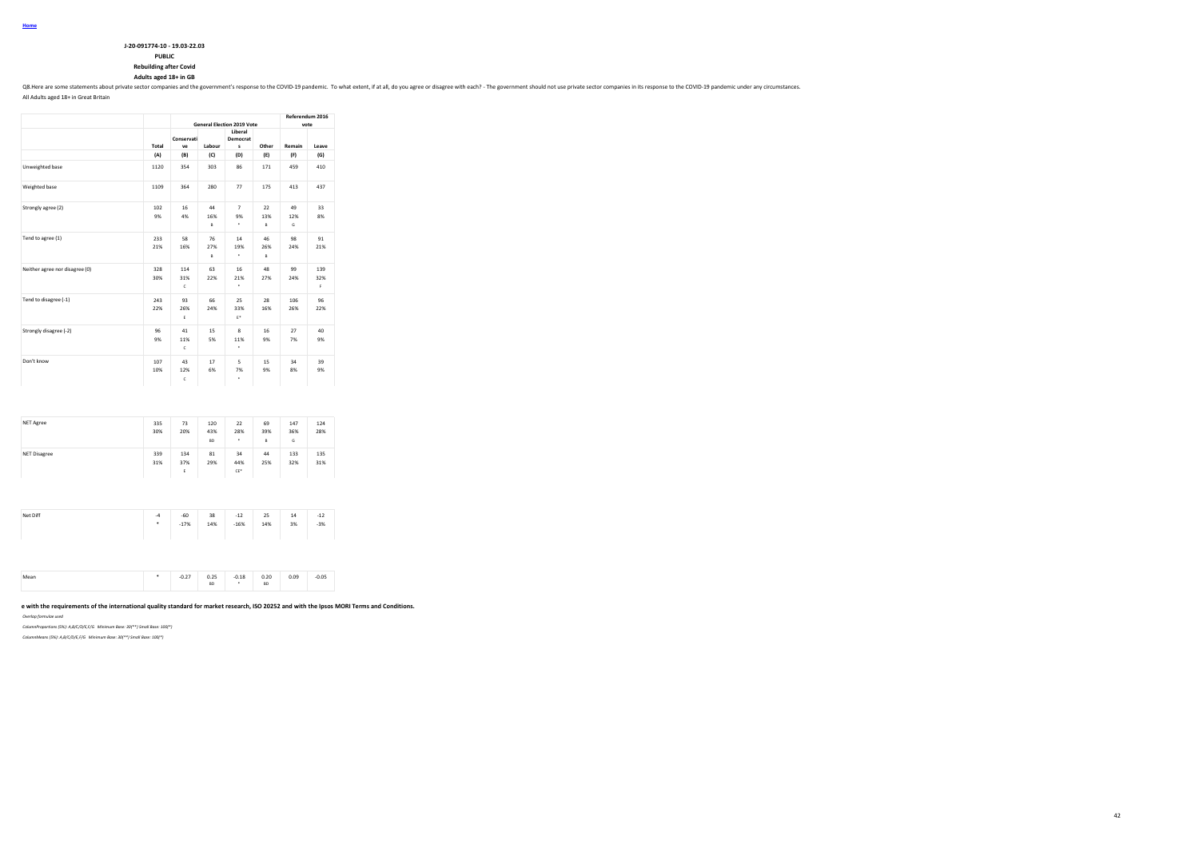| J-20-091774-10 - 19.03-22.03  |
|-------------------------------|
| <b>PUBLIC</b>                 |
| <b>Rebuilding after Covid</b> |

### **Adults aged 18+ in GB**

Q8. Here are some statements about private sector companies and the government's response to the COVID-19 pandemic. To what extent, if at all, do you agree or disagree with each? - The government should not use private sec

All Adults aged 18+ in Great Britain

|                                |            | <b>General Election 2019 Vote</b> |                | Referendum 2016<br>vote   |                |                |                  |
|--------------------------------|------------|-----------------------------------|----------------|---------------------------|----------------|----------------|------------------|
|                                | Total      | Conservati<br>ve                  | Labour         | Liberal<br>Democrat<br>s  | Other          | Remain         | Leave            |
|                                | (A)        | (B)                               | (C)            | (D)                       | (E)            | (F)            | (G)              |
| Unweighted base                | 1120       | 354                               | 303            | 86                        | 171            | 459            | 410              |
| Weighted base                  | 1109       | 364                               | 280            | 77                        | 175            | 413            | 437              |
| Strongly agree (2)             | 102<br>9%  | 16<br>4%                          | 44<br>16%<br>R | $\overline{7}$<br>9%<br>٠ | 22<br>13%<br>B | 49<br>12%<br>G | 33<br>8%         |
| Tend to agree (1)              | 233<br>21% | 58<br>16%                         | 76<br>27%<br>B | 14<br>19%<br>۰            | 46<br>26%<br>B | 98<br>24%      | 91<br>21%        |
| Neither agree nor disagree (0) | 328<br>30% | 114<br>31%<br>$\mathbf{c}$        | 63<br>22%      | 16<br>21%<br>٠            | 48<br>27%      | 99<br>24%      | 139<br>32%<br>F. |
| Tend to disagree (-1)          | 243<br>22% | 93<br>26%<br>E                    | 66<br>24%      | 25<br>33%<br>$E^*$        | 28<br>16%      | 106<br>26%     | 96<br>22%        |
| Strongly disagree (-2)         | 96<br>9%   | 41<br>11%<br>$\mathbf{c}$         | 15<br>5%       | 8<br>11%<br>٠             | 16<br>9%       | 27<br>7%       | 40<br>9%         |
| Don't know                     | 107<br>10% | 43<br>12%<br>c                    | 17<br>6%       | 5<br>7%<br>٠              | 15<br>9%       | 34<br>8%       | 39<br>9%         |

| <b>NET Agree</b>    | 335<br>30% | 73<br>20%       | 120<br>43%<br><b>BD</b> | 22<br>28%<br>٠   | 69<br>39%<br>B | 147<br>36%<br>G | 124<br>28% |
|---------------------|------------|-----------------|-------------------------|------------------|----------------|-----------------|------------|
| <b>NET Disagree</b> | 339<br>31% | 134<br>37%<br>E | 81<br>29%               | 34<br>44%<br>CE* | 44<br>25%      | 133<br>32%      | 135<br>31% |

| Net Diff | $-4$ | $-60$  | 38  | $-12$  | 25  | 14 | $-12$ |
|----------|------|--------|-----|--------|-----|----|-------|
|          | ٠    | $-17%$ | 14% | $-16%$ | 14% | 3% | $-3%$ |
|          |      |        |     |        |     |    |       |

| $-0.05$<br>0.09<br><br>$- - -$<br>$\sim$ $\sim$<br><b>BD</b><br>BD<br>-- |
|--------------------------------------------------------------------------|
|--------------------------------------------------------------------------|

#### e with the requirements of the international quality standard for market research, ISO 20252 and with the Ipsos MORI Terms and Conditions.

*Overlap formulae used*

*ColumnProportions (5%): A,B/C/D/E,F/G Minimum Base: 30(\*\*) Small Base: 100(\*)*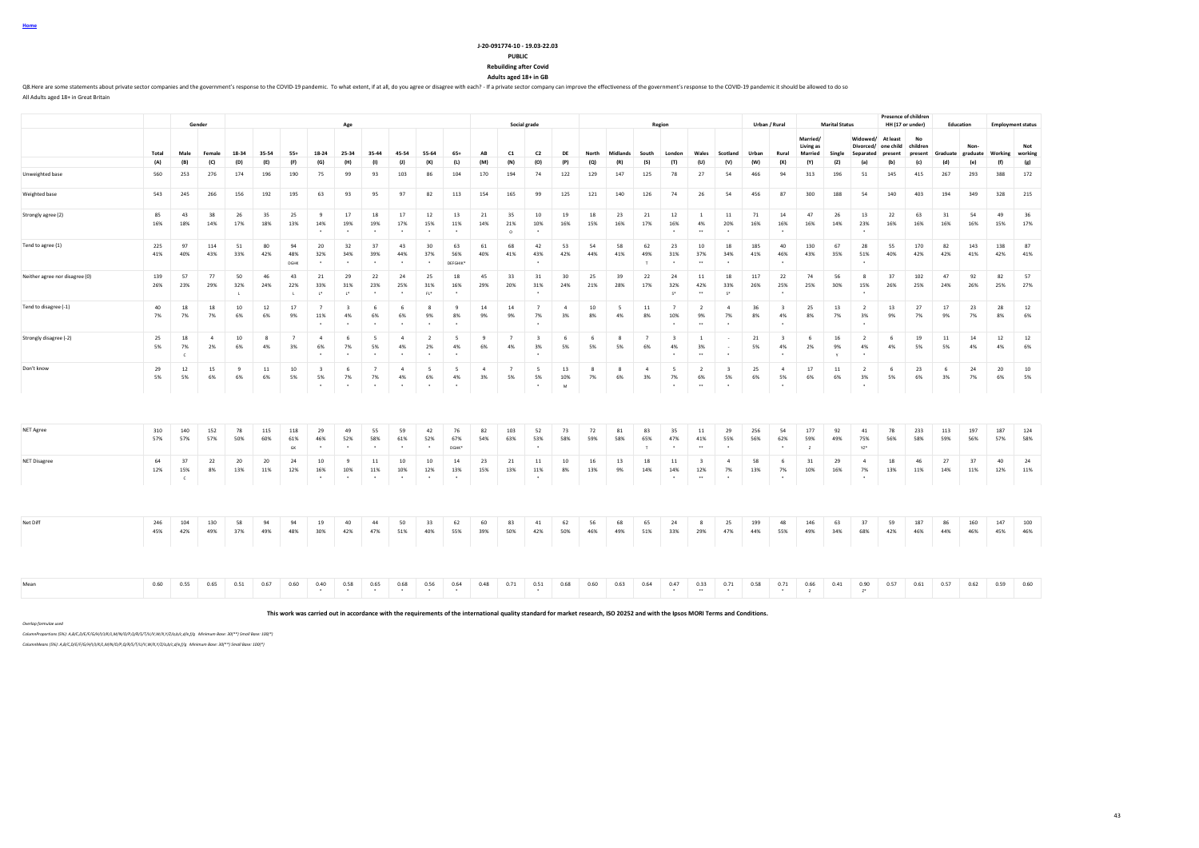**Home**

All Adults aged 18+ in Great Britain

#### **J-20-091774-10 - 19.03-22.03 PUBLIC Rebuilding after Covid**

**Adults aged 18+ in GB**

Q8. Here are some statements about private sector companies and the government's response to the COVID-19 pandemic. To what extent, if at all, do you agree or disagree with each? - If a private sector company can improve t

**Gender Age Social grade Region Urban / Rural Marital Status Presence of children**<br>**HH (17 or under) HH (17 or under) Education Employment status** Total Male Female 18-34 35-54 55+ 18-24 25-34 35-44 45-54 55-64 65+ AB C1 C2 DE North Midlands South London Wales Scotland Urban Rural **Married/ Living as Married Single Widowed/ At least Divorced/ Separated one child present No children present Graduate Nongraduate Working Not working** (A) (B) (C) (D) (E) (F) (G) (H) (I) (J) (K) (L) (M) (N) (O) (P) (Q) (R) (S) (T) (U) (V) (W) (X) (Y) (Z) (a) (b) (c) (d) (e) (f) (g) Unweighted base 560 253 276 174 196 190 75 99 93 103 86 104 170 194 74 122 129 147 125 78 27 54 466 94 313 196 51 145 415 267 293 388 172 Weighted base 543 245 266 156 192 195 63 93 95 97 82 113 154 165 99 125 121 140 126 74 26 54 456 87 300 188 54 140 403 194 349 328 215 Strongly agree (2) 85 43 38 26 35 25 9 17 18 17 12 13 21 35 10 19 18 23 21 12 1 11 71 14 47 26 13 22 63 31 54 49 36 16% 18% 14% 17% 18% 13% 14% 19% 19% 17% 15% 11% 14% 21% 10% 16% 15% 16% 17% 16% 4% 20% 16% 16% 16% 14% 23% 16% 16% 16% 16% 15% 17% \* \* \* \* \* \* O \* \* \*\* \* \* \* Tend to agree (1) 225 97 114 51 80 94 20 32 37 43 30 63 61 68 42 53 54 58 62 23 10 18 185 40 130 67 28 55 170 82 143 138 87 41% 40% 43% 33% 42% 48% 32% 34% 39% 44% 37% 56% 40% 41% 43% 42% 44% 41% 49% 31% 37% 34% 41% 46% 43% 35% 51% 40% 42% 42% 41% 42% 41% DGHK \* \* \* \* \* DEFGHIK\* \* T \* \*\* \* \* \* Neither agree nor disagree (0) 139 57 77 50 46 43 21 29 22 24 25 18 45 33 31 30 25 39 22 24 11 18 117 22 74 56 8 37 102 47 92 82 57 26% 23% 29% 32% 24% 22% 33% 31% 23% 25% 31% 16% 29% 20% 31% 24% 21% 28% 17% 32% 42% 33% 26% 25% 25% 30% 15% 26% 25% 24% 26% 25% 27% L L L\* L\* \* \* FL\* \* \* S\* \*\* S\* \* \* Tend to disagree (-1) 40 18 18 10 12 17 7 3 6 6 8 9 14 14 7 4 10 5 11 7 2 4 36 3 25 13 2 13 27 17 23 28 12 7% 7% 7% 6% 6% 9% 11% 4% 6% 6% 9% 8% 9% 9% 7% 3% 8% 4% 8% 10% 9% 7% 8% 4% 8% 7% 3% 9% 7% 9% 7% 8% 6% \* \* \* \* \* \* \* \* \*\* \* \* \* Strongly disagree (-2) 25 18 4 10 8 7 4 6 5 4 2 5 9 7 3 6 6 8 7 3 1 - 21 3 6 16 2 6 19 11 14 12 12 5% 7% 2% 6% 4% 3% 6% 7% 5% 4% 2% 4% 6% 4% 3% 5% 5% 5% 6% 4% 3% - 5% 4% 2% 9% 4% 4% 5% 5% 4% 4% 6% C \* \* \* \* \* \* \* \* \*\* \* \* Y \* Don't know 29 12 15 9 11 10 3 6 7 4 5 5 4 7 5 13 8 8 4 5 2 3 25 4 17 11 2 6 23 6 24 20 10 5% 5% 6% 6% 6% 5% 5% 7% 7% 4% 6% 4% 3% 5% 5% 10% 7% 6% 3% 7% 6% 5% 6% 5% 6% 6% 3% 5% 6% 3% 7% 6% 5% \* \* \* \* \* \* \* M \* \*\* \* \* \* NET Agree 310 140 152 78 115 118 29 49 55 59 42 76 82 103 52 73 72 81 83 35 11 29 256 54 177 92 41 78 233 113 197 187 124 57% 57% 57% 50% 60% 61% 46% 52% 58% 61% 52% 67% 54% 63% 53% 58% 59% 58% 65% 47% 41% 55% 56% 62% 59% 49% 75% 56% 58% 59% 56% 57% 58% GK \* \* \* \* \* DGHK\* \* T \* \*\* \* \* Z YZ\* NET Disagree 64 37 22 20 20 24 10 9 11 10 10 14 23 21 11 10 16 13 18 11 3 4 58 6 31 29 4 18 46 27 37 40 24 12% 15% 8% 13% 11% 12% 16% 10% 11% 10% 12% 13% 15% 13% 11% 8% 13% 9% 14% 14% 12% 7% 13% 7% 10% 16% 7% 13% 11% 14% 11% 12% 11% C \* \* \* \* \* \* \* \* \*\* \* \* \* Net Diff 246 104 130 58 94 94 19 40 44 50 33 62 60 83 41 62 56 68 65 24 8 25 199 48 146 63 37 59 187 86 160 147 100 45% 42% 49% 37% 49% 48% 30% 42% 47% 51% 40% 55% 39% 50% 42% 50% 46% 49% 51% 33% 29% 47% 44% 55% 49% 34% 68% 42% 46% 44% 46% 45% 46% Mean 0.60 0.55 0.65 0.51 0.67 0.60 0.40 0.58 0.65 0.68 0.56 0.64 0.48 0.71 0.51 0.68 0.60 0.63 0.64 0.47 0.33 0.71 0.58 0.71 0.66 0.41 0.90 0.57 0.61 0.57 0.62 0.59 0.60

**This work was carried out in accordance with the requirements of the international quality standard for market research, ISO 20252 and with the Ipsos MORI Terms and Conditions.**

\* \* \* \* \* \* \* \* \*\* \* \* Z Z\*

*Overlap formulae used*

*ColumnProportions (5%): A,B/C,D/E/F/G/H/I/J/K/L,M/N/O/P,Q/R/S/T/U/V,W/X,Y/Z/a,b/c,d/e,f/g Minimum Base: 30(\*\*) Small Base: 100(\*)*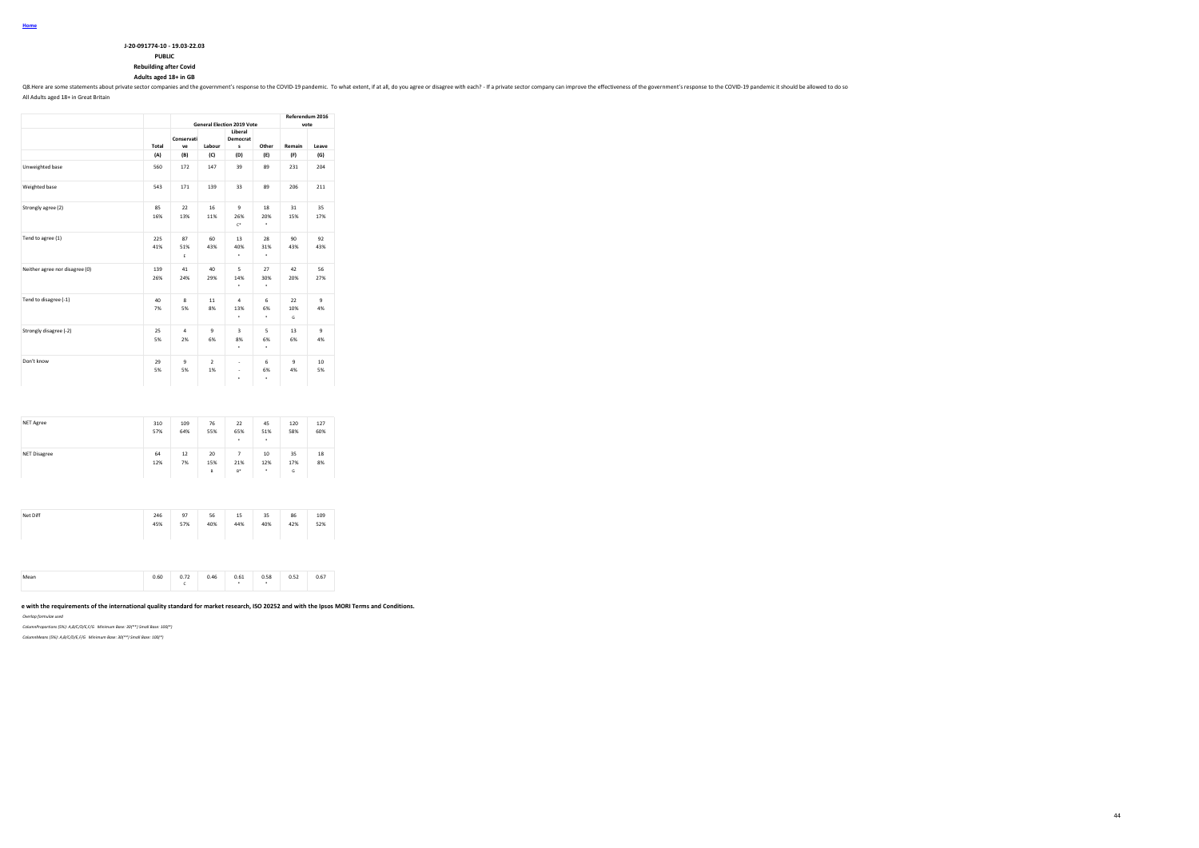| J-20-091774-10 - 19.03-22.03  |
|-------------------------------|
| <b>PUBLIC</b>                 |
| <b>Rebuilding after Covid</b> |

# **Rebuilding after Covid Adults aged 18+ in GB**

Q8. Here are some statements about private sector companies and the government's response to the COVID-19 pandemic. To what extent, if at all, do you agree or disagree with each? - If a private sector company can improve t

44

All Adults aged 18+ in Great Britain

|                                |            | <b>General Election 2019 Vote</b> | Referendum 2016<br>vote |                              |                |                    |                       |
|--------------------------------|------------|-----------------------------------|-------------------------|------------------------------|----------------|--------------------|-----------------------|
|                                | Total      | Conservati<br>ve                  | Labour                  | Liberal<br>Democrat<br>s     | Other          | Remain             | Leave                 |
|                                | (A)        | (B)                               | (C)                     | (D)                          | (E)            | (F)                | (G)                   |
| Unweighted base                | 560        | 172                               | 147                     | 39                           | 89             | 231                | 204                   |
| Weighted base                  | 543        | 171                               | 139                     | 33                           | 89             | 206                | 211                   |
| Strongly agree (2)             | 85<br>16%  | 22<br>13%                         | 16<br>11%               | $\mathbf{q}$<br>26%<br>$C^*$ | 18<br>20%<br>٠ | 31<br>15%          | 35<br>17%             |
| Tend to agree (1)              | 225<br>41% | 87<br>51%<br>E                    | 60<br>43%               | 13<br>40%<br>٠               | 28<br>31%<br>٠ | 90<br>43%          | 92<br>43%             |
| Neither agree nor disagree (0) | 139<br>26% | 41<br>24%                         | 40<br>29%               | 5<br>14%<br>٠                | 27<br>30%<br>٠ | 42<br>20%          | 56<br>27%             |
| Tend to disagree (-1)          | 40<br>7%   | 8<br>5%                           | 11<br>8%                | $\overline{a}$<br>13%<br>٠   | 6<br>6%<br>٠   | 22<br>10%<br>G     | $\overline{9}$<br>4%  |
| Strongly disagree (-2)         | 25<br>5%   | $\overline{a}$<br>2%              | ۹<br>6%                 | R<br>8%<br>٠                 | 5<br>6%<br>٠   | 13<br>6%           | $\mathbf{q}$<br>4%    |
| Don't know                     | 29<br>5%   | $\mathbf{Q}$<br>5%                | $\mathcal{L}$<br>1%     | ×,<br>×,<br>۰                | 6<br>6%<br>٠   | $\mathbf{q}$<br>4% | 10 <sup>1</sup><br>5% |

| NET Agree           | 310<br>57% | 109<br>64% | 76<br>55%      | 22<br>65%<br>٠    | 45<br>51%<br>٠         | 120<br>58%     | 127<br>60% |
|---------------------|------------|------------|----------------|-------------------|------------------------|----------------|------------|
| <b>NET Disagree</b> | 64<br>12%  | 12<br>7%   | 20<br>15%<br>B | 7<br>21%<br>$B^*$ | 10<br>12%<br>$\bullet$ | 35<br>17%<br>G | 18<br>8%   |

| Net Diff | 246<br>45% | 97<br>57% | 56<br>40% | 15<br>44% | 35<br>40% | 86<br>42% | 109<br>52% |  |
|----------|------------|-----------|-----------|-----------|-----------|-----------|------------|--|
|----------|------------|-----------|-----------|-----------|-----------|-----------|------------|--|

| Mean<br> | 0.60 | 0.72<br>,, | 0.46 | 0.61<br>$\cdots$ | 0 5.8<br>. | n ch<br><b>U.J.</b> | 0.67 |
|----------|------|------------|------|------------------|------------|---------------------|------|
|----------|------|------------|------|------------------|------------|---------------------|------|

#### e with the requirements of the international quality standard for market research, ISO 20252 and with the Ipsos MORI Terms and Conditions.

*Overlap formulae used*

*ColumnProportions (5%): A,B/C/D/E,F/G Minimum Base: 30(\*\*) Small Base: 100(\*)*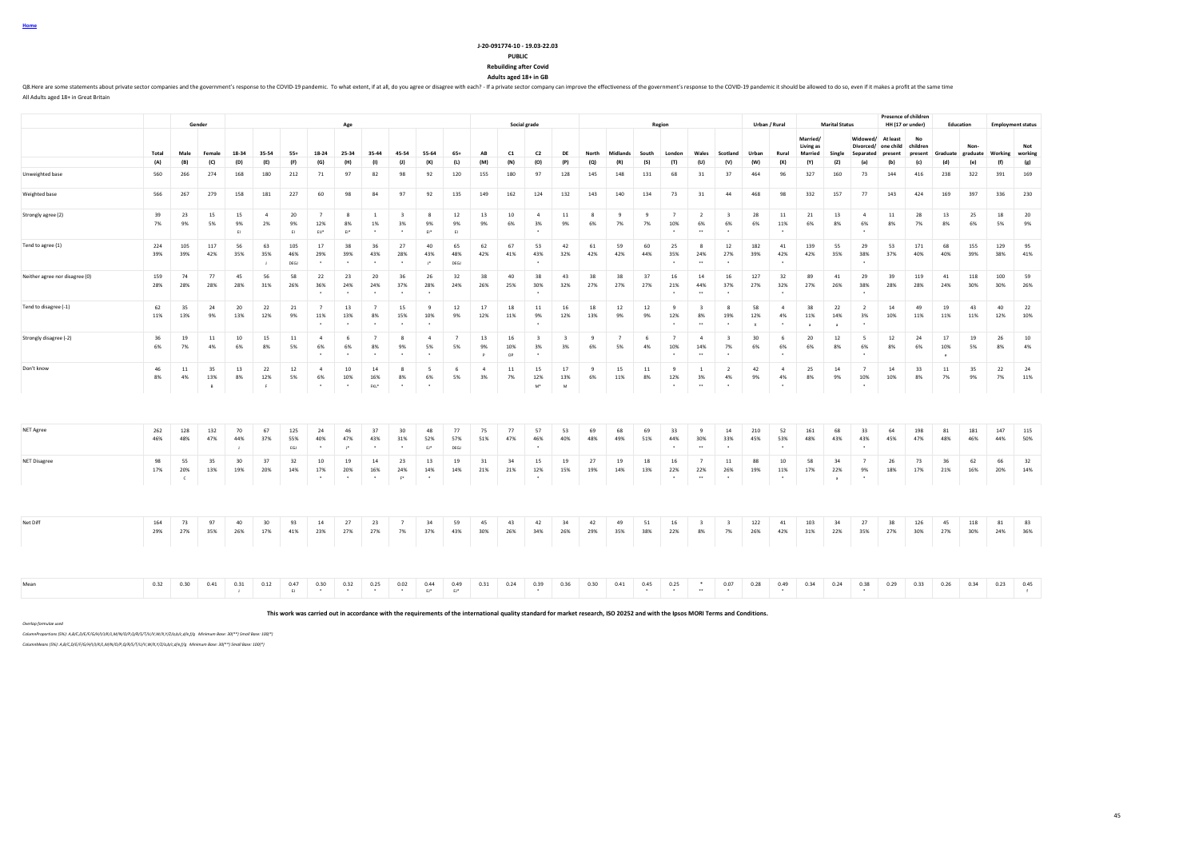| J-20-091774-10 - 19.03-22.03  |
|-------------------------------|
| <b>PUBLIC</b>                 |
| <b>Rebuilding after Covid</b> |

**Rebuilding after Covid Adults aged 18+ in GB**

Q8. Here are some statements about private sector companies and the government's response to the COVID-19 pandemic. To what extent, if at all, do you agree or disagree with each? - If a private sector company can improve t All Adults aged 18+ in Great Britain

|                                |              |                          |                |                       |                             |                    |                                              |                              |                                 |                                          |                                              |                      |                      |                 |                                                       |                               |              |                      |                 |                                               |                                                       |                                          |            |                                   |                              |                           |                       | <b>Presence of children</b>              |            |                                   |            |            |                          |
|--------------------------------|--------------|--------------------------|----------------|-----------------------|-----------------------------|--------------------|----------------------------------------------|------------------------------|---------------------------------|------------------------------------------|----------------------------------------------|----------------------|----------------------|-----------------|-------------------------------------------------------|-------------------------------|--------------|----------------------|-----------------|-----------------------------------------------|-------------------------------------------------------|------------------------------------------|------------|-----------------------------------|------------------------------|---------------------------|-----------------------|------------------------------------------|------------|-----------------------------------|------------|------------|--------------------------|
|                                |              |                          | Gender         |                       |                             |                    |                                              | Age                          |                                 |                                          |                                              |                      |                      |                 | Social grade                                          |                               |              |                      |                 | Region                                        |                                                       |                                          |            | Urban / Rural                     |                              | <b>Marital Status</b>     |                       | HH (17 or under)                         |            | Education                         |            |            | <b>Employment status</b> |
|                                |              |                          |                |                       |                             |                    |                                              |                              |                                 |                                          |                                              |                      |                      |                 |                                                       |                               |              |                      |                 |                                               |                                                       |                                          |            |                                   | Married/<br><b>Living as</b> |                           | Widowed/              | At least<br>Divorced/ one child children | No         |                                   | Non-       |            | Not                      |
|                                | Total<br>(A) | Male                     | Female         | 18-34                 | 35-54<br>(E)                | $55+$              | 18-24                                        | 25-34                        | 35-44<br>(1)                    | 45-54<br>(1)                             | 55-64<br>(K)                                 | 65+<br>(L)           | AB                   | C1              | C2                                                    | DE<br>(P)                     | North<br>(Q) | Midlands             | South           | London                                        | Wales<br>(U)                                          | Scotland                                 | Urban      | Rural                             | Married                      | Single                    | Separated             | present                                  | (c)        | present Graduate graduate Working | (e)        | ſf         | working                  |
|                                |              | (B)                      | (C)            | (D)                   |                             | (F)                | (G)                                          | (H)                          |                                 |                                          |                                              |                      | (M)                  | (N)             | (O)                                                   |                               |              | (R)                  | (S)             | (T)                                           |                                                       | (V)                                      | (W)        | (X)                               | (Y)                          | (Z)                       | (a)                   | (b)                                      |            |                                   |            |            | (g)                      |
| Unweighted base                | 560          | 266                      | 274            | 168                   | 180                         | 212                | 71                                           | 97                           | 82                              | 98                                       | 92                                           | 120                  | 155                  | 180             | 97                                                    | 128                           | 145          | 148                  | 131             | 68                                            | 31                                                    | 37                                       | 464        | 96                                | 327                          | 160                       | 73                    | 144                                      | 416        | 238                               | 322        | 391        | 169                      |
| Weighted base                  | 566          | 267                      | 279            | 158                   | 181                         | 227                | 60                                           | 98                           | 84                              | 97                                       | 92                                           | 135                  | 149                  | 162             | 124                                                   | 132                           | 143          | 140                  | 134             | 73                                            | 31                                                    | 44                                       | 468        | 98                                | 332                          | 157                       | 77                    | 143                                      | 424        | 169                               | 397        | 336        | 230                      |
| Strongly agree (2)             | 39<br>7%     | 23<br>9%                 | 15<br>5%       | 15<br>9%<br><b>FL</b> | $\overline{4}$<br>2%        | 20<br>9%<br>F1     | $\overline{7}$<br>12%<br>EU*                 | 8<br>8%<br>$E^+$             | $\mathbf{1}$<br>1%<br>$\cdot$   | $\overline{\mathbf{3}}$<br>3%<br>$\cdot$ | -8<br>9%<br>$E1^*$                           | 12<br>9%<br>EI       | 13<br>9%             | 10<br>6%        | $\overline{4}$<br>3%                                  | 11<br>9%                      | -8<br>6%     | -9<br>7%             | -9<br>7%        | $\overline{7}$<br>10%                         | $\overline{2}$<br>6%<br>$\ddot{\phantom{0}}$          | $\overline{\mathbf{3}}$<br>6%<br>٠       | 28<br>6%   | 11<br>11%                         | 21<br>6%                     | 13<br>8%                  | $\overline{a}$<br>6%  | 11<br>8%                                 | 28<br>7%   | 13<br>8%                          | 25<br>6%   | 18<br>5%   | 20<br>9%                 |
| Tend to agree (1)              | 224<br>39%   | 105<br>39%               | 117<br>42%     | 56<br>35%             | 63<br>35%<br>$\blacksquare$ | 105<br>46%<br>DEGJ | 17<br>29%                                    | 38<br>39%                    | 36<br>43%                       | 27<br>28%                                | 40<br>43%<br>$\mathbb{P}^*$                  | 65<br>48%<br>DEGJ    | 62<br>42%            | 67<br>41%       | 53<br>43%                                             | 42<br>32%                     | 61<br>42%    | 59<br>42%            | 60<br>44%       | 25<br>35%                                     | 8<br>24%<br>$\ddotsc$                                 | 12<br>27%                                | 182<br>39% | 41<br>42%                         | 139<br>42%                   | 55<br>35%                 | 29<br>38%             | 53<br>37%                                | 171<br>40% | 68<br>40%                         | 155<br>39% | 129<br>38% | 95<br>41%                |
| Neither agree nor disagree (0) | 159<br>28%   | 74<br>28%                | 77<br>28%      | 45<br>28%             | 56<br>31%                   | 58<br>26%          | 22<br>36%                                    | 23<br>24%<br>$\sim$          | 20<br>24%<br>$\cdot$            | 36<br>37%<br>$\cdot$                     | 26<br>28%<br>$\cdot$                         | 32<br>24%            | 38<br>26%            | 40<br>25%       | 38<br>30%                                             | 43<br>32%                     | 38<br>27%    | 38<br>27%            | 37<br>27%       | 16<br>21%<br>$\ddot{\phantom{1}}$             | 14<br>44%<br>$\bullet \bullet$                        | 16<br>37%<br>٠                           | 127<br>27% | 32<br>32%                         | 89<br>27%                    | 41<br>26%                 | 29<br>38%             | 39<br>28%                                | 119<br>28% | 41<br>24%                         | 118<br>30% | 100<br>30% | 59<br>26%                |
| Tend to disagree (-1)          | 62<br>11%    | 35<br>13%                | 24<br>9%       | 20<br>13%             | 22<br>12%                   | 21<br>9%           | $\overline{7}$<br>11%                        | 13<br>13%<br>$\sim$          | $\overline{7}$<br>8%<br>$\sim$  | 15<br>15%<br>$\overline{\phantom{a}}$    | 9<br>10%                                     | 12<br>9%             | 17<br>12%            | 18<br>11%       | 11<br>9%                                              | 16<br>12%                     | 18<br>13%    | 12<br>9%             | 12<br>9%        | 9<br>12%                                      | $\overline{\mathbf{3}}$<br>8%<br>$\ddot{\phantom{1}}$ | 8<br>19%                                 | 58<br>12%  | $\overline{4}$<br>4%              | 38<br>11%<br>$\mathbf{a}$    | 22<br>14%<br>$\mathbf{a}$ | $\overline{2}$<br>3%  | 14<br>10%                                | 49<br>11%  | 19<br>11%                         | 43<br>11%  | 40<br>12%  | 22<br>10%                |
| Strongly disagree (-2)         | 36<br>6%     | 19<br>7%                 | 11<br>4%       | 10<br>6%              | 15<br>8%                    | 11<br>5%           | $\overline{4}$<br>6%<br>$\sim$               | - 6<br>6%<br>$\sim$          | $\overline{7}$<br>8%<br>$\cdot$ | 8<br>9%<br>$\cdot$                       | $\overline{4}$<br>5%<br>$\ddot{\phantom{1}}$ | $\overline{7}$<br>5% | 13<br>9%<br>P        | 16<br>10%<br>OP | $\overline{\mathbf{3}}$<br>3%<br>$\ddot{\phantom{1}}$ | $\overline{\mathbf{3}}$<br>3% | 9<br>6%      | $\overline{7}$<br>5% | - 6<br>4%       | $\overline{7}$<br>10%<br>$\ddot{\phantom{1}}$ | $\overline{4}$<br>14%<br>$\bullet \bullet$            | $\overline{\mathbf{3}}$<br>7%<br>$\cdot$ | 30<br>6%   | 6<br>6%<br>$\ddot{\phantom{1}}$   | 20<br>6%                     | 12<br>8%                  | -5<br>6%              | 12<br>8%                                 | 24<br>6%   | 17<br>10%<br>$\sim$               | 19<br>5%   | 26<br>8%   | 10<br>4%                 |
| Don't know                     | 46<br>8%     | 11<br>4%                 | 35<br>13%<br>B | 13<br>8%              | 22<br>12%<br><b>F</b>       | 12<br>5%           | $\overline{4}$<br>6%<br>$\ddot{\phantom{1}}$ | 10<br>10%<br>$\cdot$         | 14<br>16%<br>FKL*               | -8<br>8%<br>$\ddot{\phantom{1}}$         | - 5<br>6%<br>$\bullet$                       | - 6<br>5%            | $\overline{4}$<br>3% | 11<br>7%        | 15<br>12%<br>M <sup>*</sup>                           | 17<br>13%<br>M                | -9<br>6%     | 15<br>11%            | 11<br>8%        | 9<br>12%<br>$\bullet$                         | -1<br>3%<br>$\ddot{\phantom{0}}$                      | $\overline{2}$<br>4%<br>$\bullet$        | 42<br>9%   | $\sim$<br>4%<br>$\bullet$         | 25<br>8%                     | 14<br>9%                  | $\overline{7}$<br>10% | 14<br>10%                                | 33<br>8%   | 11<br>7%                          | 35<br>9%   | 22<br>7%   | 24<br>11%                |
|                                |              |                          |                |                       |                             |                    |                                              |                              |                                 |                                          |                                              |                      |                      |                 |                                                       |                               |              |                      |                 |                                               |                                                       |                                          |            |                                   |                              |                           |                       |                                          |            |                                   |            |            |                          |
| NET Agree                      | 262<br>46%   | 128<br>48%               | 132<br>47%     | 70<br>44%             | 67<br>37%                   | 125<br>55%<br>EGJ  | 24<br>40%<br>$\ddot{\phantom{1}}$            | 46<br>47%<br>1 <sup>o</sup>  | 37<br>43%<br>$\cdot$            | 30<br>31%<br>$\bullet$                   | 48<br>52%<br>$EJ^*$                          | 77<br>57%<br>DEGJ    | 75<br>51%            | 77<br>47%       | 57<br>46%<br>$\bullet$                                | 53<br>40%                     | 69<br>48%    | 68<br>49%            | 69<br>51%       | 33<br>44%<br>$\ddot{\phantom{1}}$             | $\mathbf{q}$<br>30%<br>$\bullet \bullet$              | 14<br>33%<br>$\cdot$                     | 210<br>45% | 52<br>53%<br>$\ddot{\phantom{1}}$ | 161<br>48%                   | 68<br>43%                 | 33<br>43%             | 64<br>45%                                | 198<br>47% | 81<br>48%                         | 181<br>46% | 147<br>44% | 115<br>50%               |
| <b>NET Disagree</b>            | 98<br>17%    | 55<br>20%<br>$\mathbb C$ | 35<br>13%      | 30<br>19%             | 37<br>20%                   | 32<br>14%          | 10<br>17%                                    | 19<br>20%<br>$\cdot$         | 14<br>16%<br>$\cdot$            | 23<br>24%<br>$\mathsf{F}^\bullet$        | 13<br>14%<br>$\ddot{\phantom{1}}$            | 19<br>14%            | 31<br>21%            | 34<br>21%       | 15<br>12%<br>٠                                        | 19<br>15%                     | 27<br>19%    | 19<br>14%            | 18<br>13%       | 16<br>22%<br>$\bullet$                        | $\overline{7}$<br>22%<br>$\bullet\,\bullet$           | 11<br>26%<br>$\bullet$                   | 88<br>19%  | 10<br>11%                         | 58<br>17%                    | 34<br>22%<br>$\mathbf a$  | $\overline{7}$<br>9%  | 26<br>18%                                | 73<br>17%  | 36<br>21%                         | 62<br>16%  | 66<br>20%  | 32<br>14%                |
|                                |              |                          |                |                       |                             |                    |                                              |                              |                                 |                                          |                                              |                      |                      |                 |                                                       |                               |              |                      |                 |                                               |                                                       |                                          |            |                                   |                              |                           |                       |                                          |            |                                   |            |            |                          |
| Net Diff                       | 164<br>29%   | 73<br>27%                | 97<br>35%      | 40<br>26%             | 30<br>17%                   | 93<br>41%          | 14<br>23%                                    | 27<br>27%                    | 23<br>27%                       | $\overline{7}$<br>7%                     | 34<br>37%                                    | 59<br>43%            | 45<br>30%            | 43<br>26%       | 42<br>34%                                             | 34<br>26%                     | 42<br>29%    | 49<br>35%            | 51<br>38%       | 16<br>22%                                     | $\overline{\mathbf{3}}$<br>8%                         | $\overline{\mathbf{3}}$<br>7%            | 122<br>26% | 41<br>42%                         | 103<br>31%                   | 34<br>22%                 | 27<br>35%             | 38<br>27%                                | 126<br>30% | 45<br>27%                         | 118<br>30% | 81<br>24%  | 83<br>36%                |
|                                |              |                          |                |                       |                             |                    |                                              |                              |                                 |                                          |                                              |                      |                      |                 |                                                       |                               |              |                      |                 |                                               |                                                       |                                          |            |                                   |                              |                           |                       |                                          |            |                                   |            |            |                          |
| Mean                           | 0.32         | 0.30                     | 0.41           | 0.31<br>$\sim$        | 0.12                        | 0.47<br>EJ         | 0.30<br>$\ddot{\phantom{1}}$                 | 0.32<br>$\ddot{\phantom{1}}$ | 0.25<br>$\ddot{\phantom{1}}$    | 0.02<br>$\ddot{\phantom{1}}$             | 0.44<br>EJ*                                  | 0.49<br>EJ*          | 0.31                 | 0.24            | 0.39<br>$\sim$                                        | 0.36                          | 0.30         | 0.41                 | 0.45<br>$\cdot$ | 0.25<br>$\ddot{\phantom{1}}$                  | $\cdot$<br>$\cdots$                                   | 0.07<br>$\sim$                           | 0.28       | 0.49<br>$\sim$                    | 0.34                         | 0.24                      | 0.38<br>$\sim$        | 0.29                                     | 0.33       | 0.26                              | 0.34       | 0.23       | 0.45<br>f                |

**This work was carried out in accordance with the requirements of the international quality standard for market research, ISO 20252 and with the Ipsos MORI Terms and Conditions.**

*Overlap formulae used*

**Home**

*ColumnProportions (5%): A,B/C,D/E/F/G/H/I/J/K/L,M/N/O/P,Q/R/S/T/U/V,W/X,Y/Z/a,b/c,d/e,f/g Minimum Base: 30(\*\*) Small Base: 100(\*)*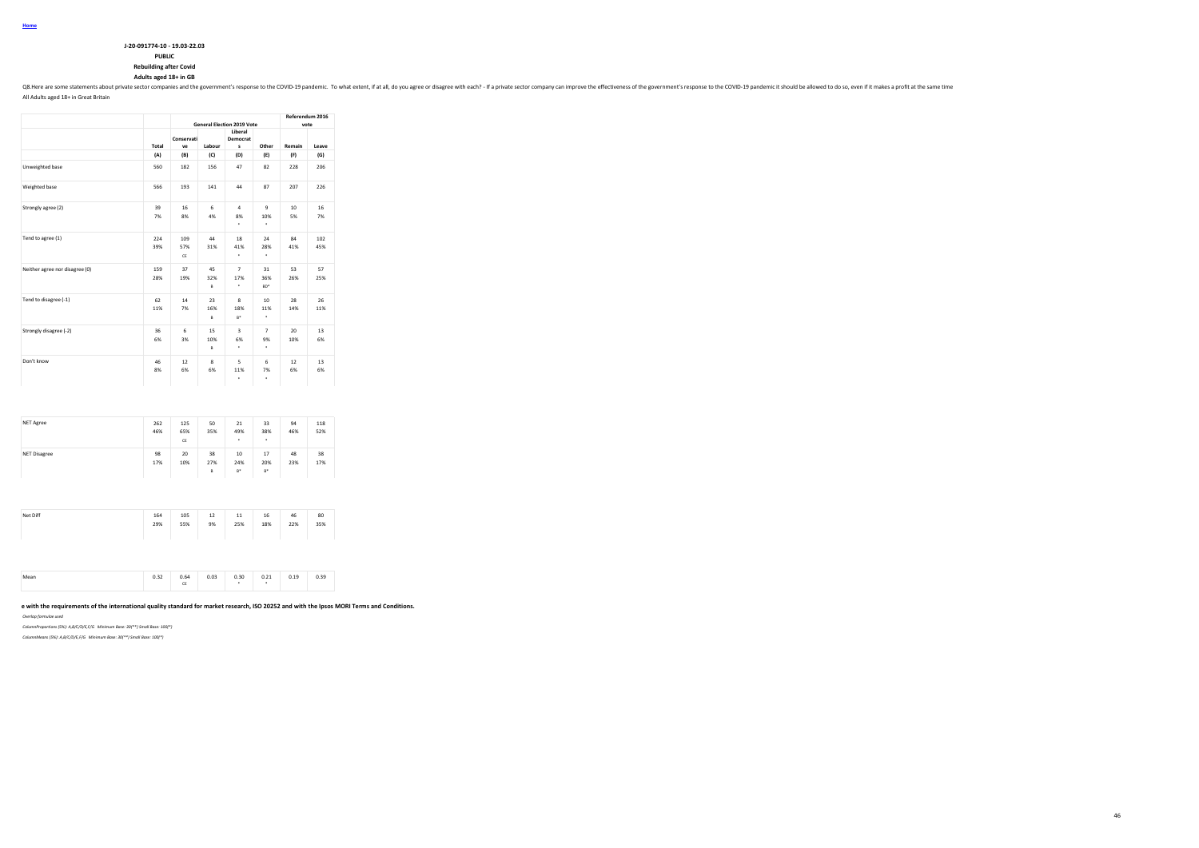| J-20-091774-10 - 19.03-22.03  |
|-------------------------------|
| <b>PUBLIC</b>                 |
| <b>Rebuilding after Covid</b> |

### **Adults aged 18+ in GB**

Q8. Here are some statements about private sector companies and the government's response to the COVID-19 pandemic. To what extent, if at all, do you agree or disagree with each? - If a private sector company can improve t

All Adults aged 18+ in Great Britain

|                                |            | <b>General Election 2019 Vote</b> | Referendum 2016<br>vote  |                            |                           |           |            |
|--------------------------------|------------|-----------------------------------|--------------------------|----------------------------|---------------------------|-----------|------------|
|                                | Total      | Conservati<br>ve                  | Labour                   | Liberal<br>Democrat<br>s   | Other                     | Remain    | Leave      |
|                                | (A)        | (B)                               | (C)                      | (D)                        | (E)                       | (F)       | (G)        |
| Unweighted base                | 560        | 182                               | 156                      | 47                         | 82                        | 228       | 206        |
| Weighted base                  | 566        | 193                               | 141                      | 44                         | 87                        | 207       | 226        |
| Strongly agree (2)             | 39<br>7%   | 16<br>8%                          | 6<br>4%                  | $\Delta$<br>8%<br>٠        | 9<br>10%<br>٠             | 10<br>5%  | 16<br>7%   |
| Tend to agree (1)              | 224<br>39% | 109<br>57%<br>CE                  | 44<br>31%                | 18<br>41%<br>٠             | 24<br>28%<br>٠            | 84<br>41% | 102<br>45% |
| Neither agree nor disagree (0) | 159<br>28% | 37<br>19%                         | 45<br>32%<br>B           | $\overline{7}$<br>17%<br>٠ | 31<br>36%<br>an*          | 53<br>26% | 57<br>25%  |
| Tend to disagree (-1)          | 62<br>11%  | 14<br>7%                          | 23<br>16%<br>B           | 8<br>18%<br>$R^*$          | 10<br>11%<br>٠            | 28<br>14% | 26<br>11%  |
| Strongly disagree (-2)         | 36<br>6%   | 6<br>3%                           | 15<br>10%<br>B           | 3<br>6%<br>٠               | $\overline{7}$<br>9%<br>٠ | 20<br>10% | 13<br>6%   |
| Don't know                     | 46<br>8%   | 12<br>6%                          | $\mathbf{\hat{z}}$<br>6% | 5<br>11%<br>٠              | 6<br>7%<br>٠              | 12<br>6%  | 13<br>6%   |

|                     | 46%       | 65%<br>CE | 35%            | 49%<br>٠           | 38%<br>٠           | 46%       | 52%       |
|---------------------|-----------|-----------|----------------|--------------------|--------------------|-----------|-----------|
| <b>NET Disagree</b> | 98<br>17% | 20<br>10% | 38<br>27%<br>B | 10<br>24%<br>$B^*$ | 17<br>20%<br>$B^*$ | 48<br>23% | 38<br>17% |

| Net Diff | 164<br>29% | 105<br>55% | 12<br>9% | $11$<br>25% | 16<br>18% | 46<br>22% | 80<br>35% |
|----------|------------|------------|----------|-------------|-----------|-----------|-----------|
|          |            |            |          |             |           |           |           |

| 0.03<br>0.64<br>0.30<br>0.25<br>n 39<br>$\sim$ $\sim$<br>19<br>Mear<br>0.41<br>u. 13<br><b>U.JJ</b><br><b>U.JA</b><br>.<br>.<br>a.<br>œ |
|-----------------------------------------------------------------------------------------------------------------------------------------|
|-----------------------------------------------------------------------------------------------------------------------------------------|

#### e with the requirements of the international quality standard for market research, ISO 20252 and with the Ipsos MORI Terms and Conditions.

*Overlap formulae used*

*ColumnProportions (5%): A,B/C/D/E,F/G Minimum Base: 30(\*\*) Small Base: 100(\*)*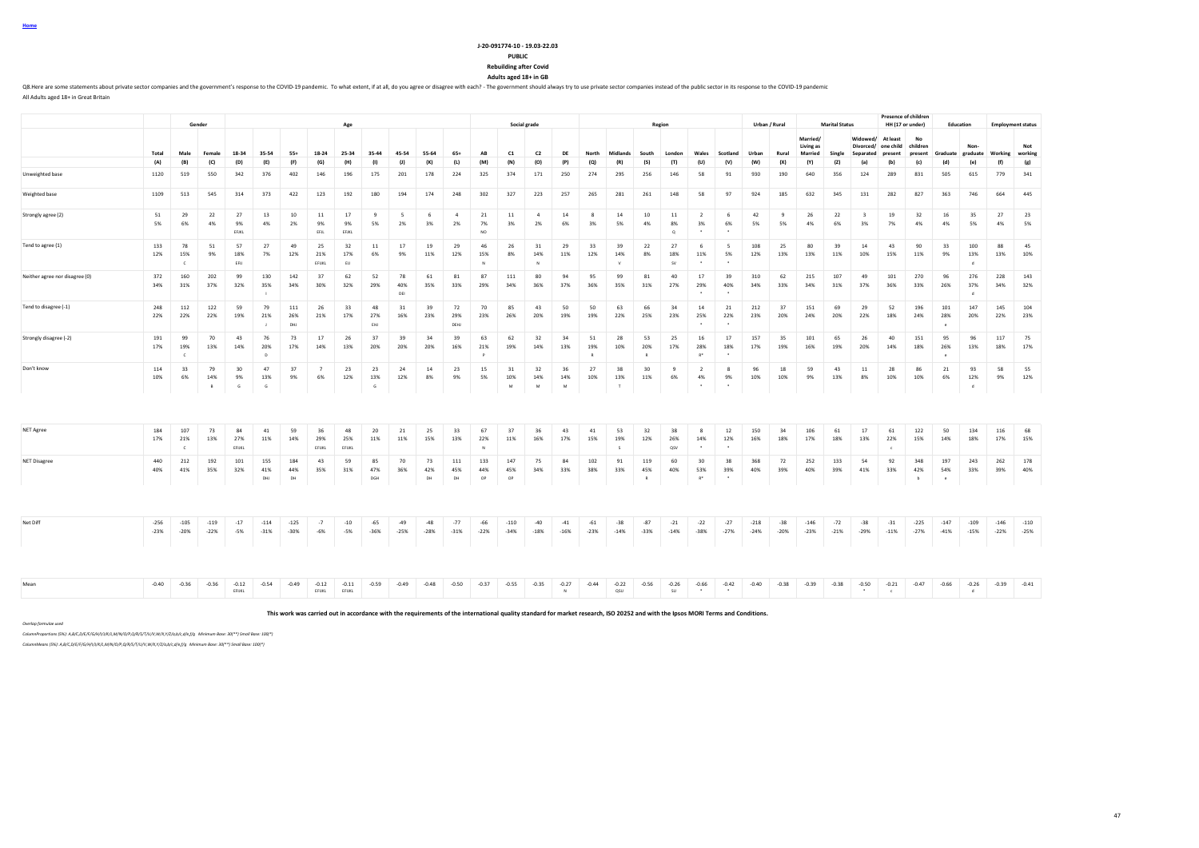**Home**

#### **J-20-091774-10 - 19.03-22.03 PUBLIC Rebuilding after Covid**

**Adults aged 18+ in GB**

Q8.Here are some statements about private sector companies and the government's response to the COVID-19 pandemic. To what extent, if at all, do you agree or disagree with each? - The government should always try to use pr All Adults aged 18+ in Great Britain

**Gender Age Social grade Region Urban / Rural Marital Status Presence of children**<br>**HH (17 or under) HH (17 or under) Education Employment status** Total Male Female 18-34 35-54 55+ 18-24 25-34 35-44 45-54 55-64 65+ AB C1 C2 DE North Midlands South London Wales Scotland Urban Rural **Married/ Living as Married Single Widowed/ At least Divorced/ Separated one child present No children**  Graduate<br>(d) **Nongraduate Working Not working** (A) (B) (C) (D) (E) (F) (G) (H) (I) (J) (K) (L) (M) (N) (O) (P) (Q) (R) (S) (T) (U) (V) (W) (X) (Y) (Z) (a) (b) (c) (d) (e) (f) (g) Unweighted base 1120 519 550 342 376 402 146 196 175 201 178 224 325 374 171 250 274 295 256 146 58 91 930 190 640 356 124 289 831 505 615 779 341 Weighted base 1109 513 545 314 373 422 123 192 180 194 174 248 302 327 223 257 265 281 261 148 58 97 924 185 632 345 131 282 827 363 746 664 445 Strongly agree (2) 51 29 22 27 13 10 11 17 9 5 6 4 21 11 4 14 8 14 10 11 2 6 42 9 26 22 3 19 32 16 35 27 23 5% 6% 4% 9% 4% 2% 9% 9% 5% 2% 3% 2% 7% 3% 2% 6% 3% 5% 4% 8% 3% 6% 5% 5% 4% 6% 3% 7% 4% 4% 5% 4% 5% EFJKL EFJL EFJKL NO Q \* \* Tend to agree (1) 133 78 51 57 27 49 25 32 11 17 19 29 46 26 31 29 33 39 22 27 6 5 108 25 80 39 14 43 90 33 100 88 45 12% 15% 9% 18% 7% 12% 21% 17% 6% 9% 11% 12% 15% 8% 14% 11% 12% 14% 8% 18% 11% 5% 12% 13% 13% 11% 10% 15% 11% 9% 13% 13% 10% C EFIJ EFIJKL EIJ ( EFIJKL EIJ ) N N N V SV \* \* \* | | | | | | | | | | Neither agree nor disagree (0) 372 160 202 99 130 142 37 62 52 78 61 81 87 111 80 94 95 99 81 40 17 39 310 62 215 107 49 101 270 96 276 228 143 34% 31% 37% 32% 35% 34% 30% 32% 29% 40% 35% 33% 29% 34% 36% 37% 36% 35% 31% 27% 29% 40% 34% 33% 34% 31% 37% 36% 33% 26% 37% 34% 32% I DEI DEI DEI DEI DIE LA DIE LA DIE LA DIE LA DIE LA DIE LA DIE LA DIE LA DIE LA DIE LA DIE LA DIE LA DIE LA D Tend to disagree (-1) 248 112 122 59 79 111 26 33 48 31 39 72 70 85 43 50 50 63 66 34 14 21 212 37 151 69 29 52 196 101 147 145 104 22% 22% 22% 19% 21% 26% 21% 17% 27% 16% 23% 29% 23% 26% 20% 19% 19% 22% 25% 23% 25% 22% 23% 20% 24% 20% 22% 18% 24% 28% 20% 22% 23% J DHJ EHJ DEHJ \* \* e Strongly disagree (-2) 191 99 70 43 76 73 17 26 37 39 34 39 63 62 32 34 51 28 53 25 16 17 157 35 101 65 26 40 151 95 96 117 75 17% 19% 13% 14% 20% 17% 14% 13% 20% 20% 20% 16% 21% 19% 14% 13% 19% 10% 20% 17% 28% 18% 17% 19% 16% 19% 20% 14% 18% 26% 13% 18% 17% C D P R R R\* \* e Don't know 114 33 79 30 47 37 7 23 23 24 14 23 15 31 32 36 27 38 30 9 2 8 96 18 59 43 11 28 86 21 93 58 55 10% 6% 14% 9% 13% 9% 6% 12% 13% 12% 8% 9% 5% 10% 14% 14% 10% 13% 11% 6% 4% 9% 10% 10% 9% 13% 8% 10% 10% 6% 12% 9% 12% B G G G M M M T \* \* d NET Agree 184 107 73 84 41 59 36 48 20 21 25 33 67 37 36 43 41 53 32 38 8 12 150 34 106 61 17 61 122 50 134 116 68 17% 21% 13% 27% 11% 14% 29% 25% 11% 11% 15% 13% 22% 11% 16% 17% 15% 19% 12% 26% 14% 12% 16% 18% 17% 18% 13% 22% 15% 14% 18% 17% 15% C EFIJKL EFIJKL EFIJKL EFIJKL EFIJKL I I N N S S QSV \* \* c NET Disagree 440 212 192 101 155 184 43 59 85 70 73 111 133 147 75 84 102 91 119 60 30 38 368 72 252 133 54 92 348 197 243 262 178 40% 41% 35% 32% 41% 44% 35% 31% 47% 36% 42% 45% 44% 45% 34% 33% 38% 33% 45% 40% 53% 39% 40% 39% 40% 39% 41% 33% 42% 54% 33% 39% 40%  $\mathsf{D}\mathsf{H}$  dhendred by  $\mathsf{D}\mathsf{H}$  and  $\mathsf{D}\mathsf{P}$  by the  $\mathsf{D}\mathsf{P}$  by  $\mathsf{D}\mathsf{P}$  by  $\mathsf{D}\mathsf{P}$  by  $\mathsf{D}\mathsf{P}$  and  $\mathsf{D}\mathsf{P}$  by  $\mathsf{D}\mathsf{P}$  and  $\mathsf{D}\mathsf{P}$  by  $\mathsf{D}\mathsf{P}$  and  $\mathsf{D}\mathsf{P}$  and Net Diff -256 -105 -119 -17 -114 -125 -7 -10 -65 -49 -48 -77 -66 -110 -40 -41 -61 -38 -87 -21 -22 -27 -218 -38 -146 -72 -38 -31 -225 -147 -109 -146 -110 -23% -20% -22% -5% -31% -30% -6% -5% -36% -25% -28% -31% -22% -34% -18% -16% -23% -14% -33% -14% -38% -27% -24% -20% -23% -21% -29% -11% -27% -41% -15% -22% -25% Mean -0.40 -0.36 -0.36 -0.12 -0.54 -0.49 -0.11 -0.59 -0.49 -0.48 -0.50 -0.37 -0.35 -0.27 -0.44 -0.22 -0.56 -0.26 -0.42 -0.40 -0.38 -0.39 -0.38 -0.39 -0.38 -0.39 -0.38 -0.50 -0.47 -0.66 -0.26 -0.26 -0.39 -0.41 -0.67 -0.41 EFIJKL EFIJKL EFIJKL N QSU SU \* \* \* c d

**This work was carried out in accordance with the requirements of the international quality standard for market research, ISO 20252 and with the Ipsos MORI Terms and Conditions.**

*Overlap formulae used*

*ColumnProportions (5%): A,B/C,D/E/F/G/H/I/J/K/L,M/N/O/P,Q/R/S/T/U/V,W/X,Y/Z/a,b/c,d/e,f/g Minimum Base: 30(\*\*) Small Base: 100(\*)*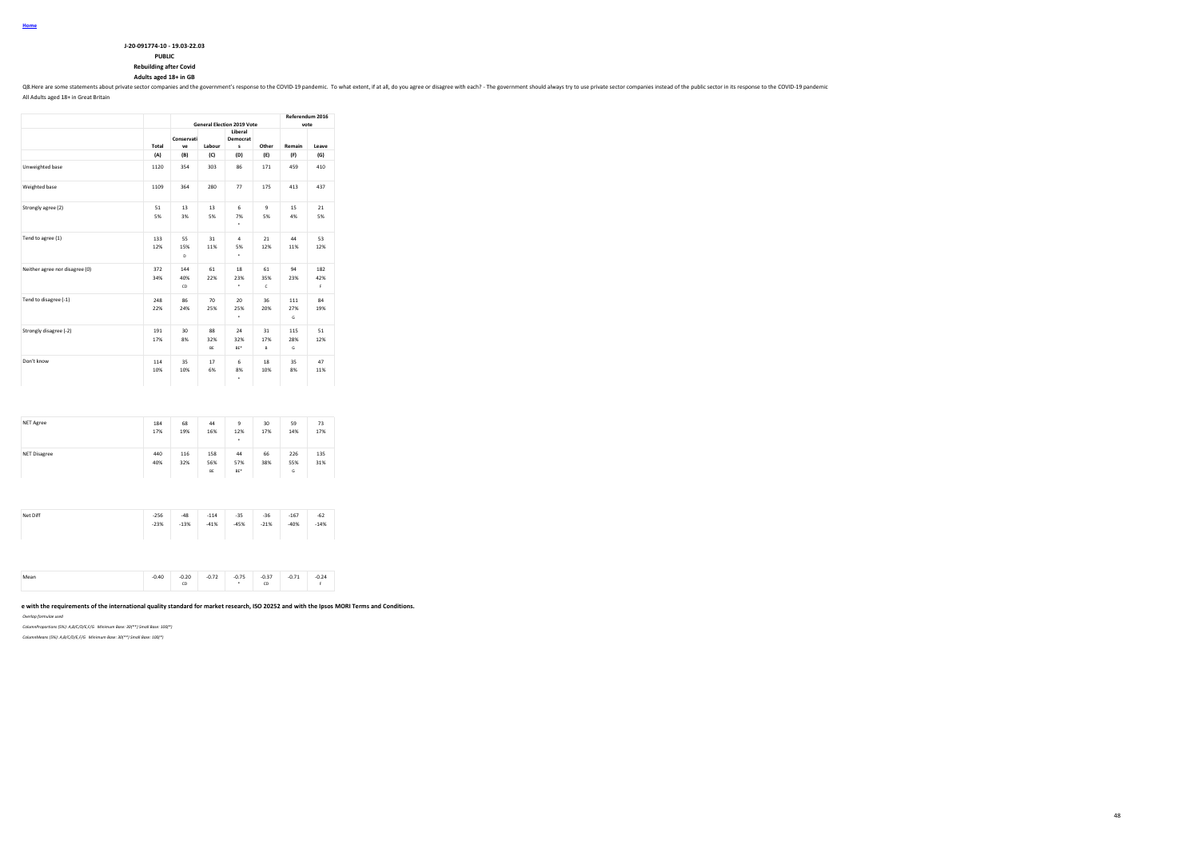| J-20-091774-10 - 19.03-22.03 |
|------------------------------|
| <b>PUBLIC</b>                |
| Rebuilding after Covid       |

# **Rebuilding after Covid Adults aged 18+ in GB**

Q8. Here are some statements about private sector companies and the government's response to the COVID-19 pandemic. To what extent, if at all, do you agree or disagree with each? - The government should always try to use p

All Adults aged 18+ in Great Britain

|                                |            |                  |                 | <b>General Election 2019 Vote</b> |                | Referendum 2016<br>vote |                 |  |  |  |
|--------------------------------|------------|------------------|-----------------|-----------------------------------|----------------|-------------------------|-----------------|--|--|--|
|                                | Total      | Conservati<br>ve | Labour          | Liberal<br>Democrat<br>s          | Other          | Remain                  | Leave           |  |  |  |
|                                | (A)        | (B)              | (C)             | (D)                               | (E)            | (F)                     | (G)             |  |  |  |
| Unweighted base                | 1120       | 354              | 303             | 86                                | 171            | 459                     | 410             |  |  |  |
| Weighted base                  | 1109       | 364              | 280             | 77                                | 175            | 413                     | 437             |  |  |  |
| Strongly agree (2)             | 51<br>5%   | 13<br>3%         | 13<br>5%        | 6<br>7%<br>٠                      | 9<br>5%        | 15<br>4%                | 21<br>5%        |  |  |  |
| Tend to agree (1)              | 133<br>12% | 55<br>15%<br>D   | 31<br>11%       | $\Delta$<br>5%<br>٠               | 21<br>12%      | 44<br>11%               | 53<br>12%       |  |  |  |
| Neither agree nor disagree (0) | 372<br>34% | 144<br>40%<br>CD | 61<br>22%       | 18<br>23%<br>٠                    | 61<br>35%<br>ċ | 94<br>23%               | 182<br>42%<br>F |  |  |  |
| Tend to disagree (-1)          | 248<br>22% | 86<br>24%        | 70<br>25%       | 20<br>25%<br>٠                    | 36<br>20%      | 111<br>27%<br>Ġ         | 84<br>19%       |  |  |  |
| Strongly disagree (-2)         | 191<br>17% | 30<br>8%         | 88<br>32%<br>BE | 24<br>32%<br>BE <sup>*</sup>      | 31<br>17%<br>B | 115<br>28%<br>G         | 51<br>12%       |  |  |  |
| Don't know                     | 114<br>10% | 35<br>10%        | 17<br>6%        | 6<br>8%<br>٠                      | 18<br>10%      | 35<br>8%                | 47<br>11%       |  |  |  |

| <b>NET Agree</b>    | 184<br>17% | 68<br>19%  | 44<br>16%        | 9<br>12%<br>٠    | 30<br>17% | 59<br>14%       | 73<br>17%  |
|---------------------|------------|------------|------------------|------------------|-----------|-----------------|------------|
| <b>NET Disagree</b> | 440<br>40% | 116<br>32% | 158<br>56%<br>BE | 44<br>57%<br>BE* | 66<br>38% | 226<br>55%<br>G | 135<br>31% |

| Net Diff | $-256$<br>$-23%$ | $-48$<br>$-13%$ | $-114$<br>$-41%$ | $-35$<br>$-45%$ | $-36$<br>$-21%$ | $-167$<br>$-40%$ | $-62$<br>$-14%$ |
|----------|------------------|-----------------|------------------|-----------------|-----------------|------------------|-----------------|
|          |                  |                 |                  |                 |                 |                  |                 |

|  | $-0.40$<br>$\cdots$ | $-0.20$<br>CD | ብ 72<br>$-0.72$<br>the contract of the contract of | 0.75 | $-0.37$<br>$\cdots$<br>CD<br><b>CONTRACTOR</b> | 0.71<br>$-0.71$ | $-0.24$ |
|--|---------------------|---------------|----------------------------------------------------|------|------------------------------------------------|-----------------|---------|
|--|---------------------|---------------|----------------------------------------------------|------|------------------------------------------------|-----------------|---------|

#### e with the requirements of the international quality standard for market research, ISO 20252 and with the Ipsos MORI Terms and Conditions.

*Overlap formulae used*

*ColumnProportions (5%): A,B/C/D/E,F/G Minimum Base: 30(\*\*) Small Base: 100(\*)*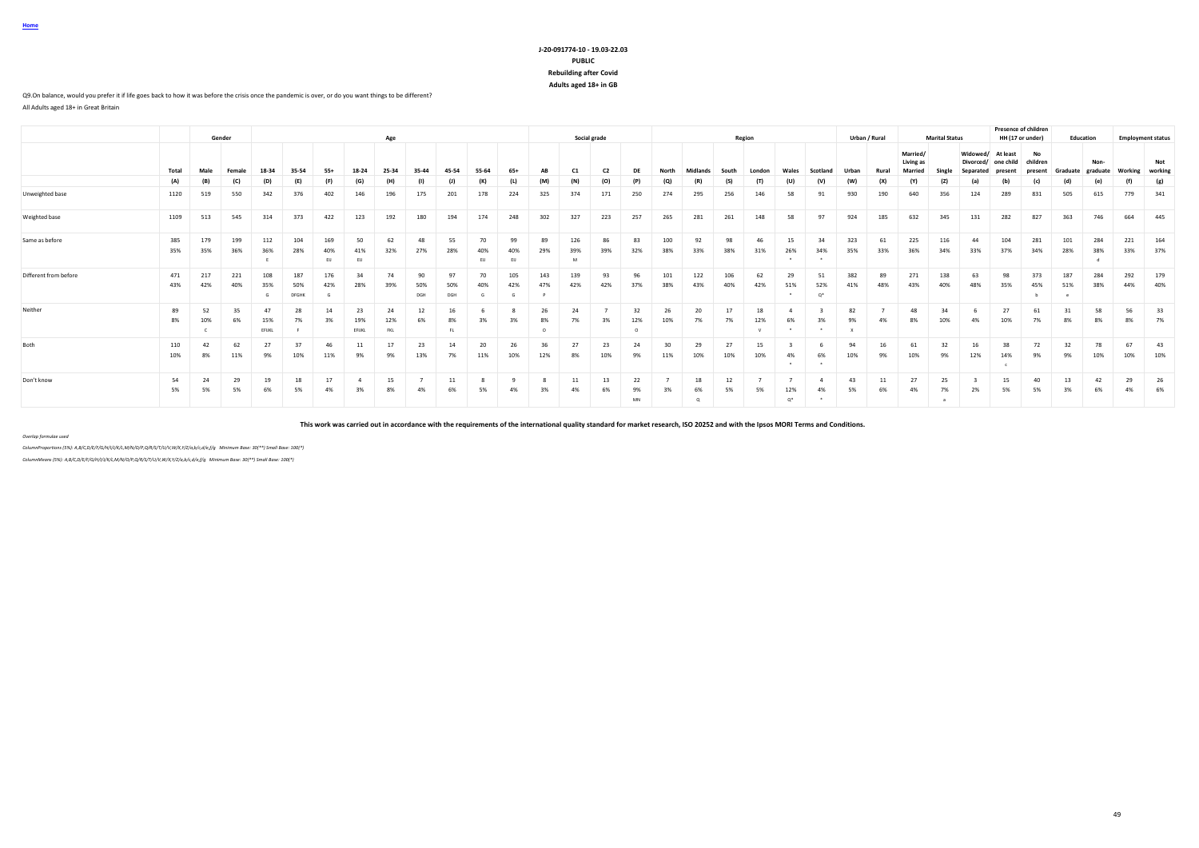### **J-20-091774-10 - 19.03-22.03 PUBLIC Rebuilding after Covid Adults aged 18+ in GB**

#### Q9.On balance, would you prefer it if life goes back to how it was before the crisis once the pandemic is over, or do you want things to be different?

All Adults aged 18+ in Great Britain

|                       |            |            | Gender     |              |                            |                  |                    | Age                     |                  |                  |                 |                 |            |                 | Social grade   |                       |                    |                        |            | Region    |              |                   |            | Urban / Rural |                                  | <b>Marital Status</b> |                 | <b>Presence of children</b>       | HH (17 or under) | Education  |                  |            | <b>Employment status</b> |
|-----------------------|------------|------------|------------|--------------|----------------------------|------------------|--------------------|-------------------------|------------------|------------------|-----------------|-----------------|------------|-----------------|----------------|-----------------------|--------------------|------------------------|------------|-----------|--------------|-------------------|------------|---------------|----------------------------------|-----------------------|-----------------|-----------------------------------|------------------|------------|------------------|------------|--------------------------|
|                       | Total      | Male       | Female     | 18-34        | 35-54                      | $55+$            | 18-24              | 25-34                   | 35-44            | 45-54            | 55-64           | $65+$           | <b>AB</b>  | C1              | C <sub>2</sub> | DF                    | North              | Midlands               | South      | London    |              | Scotland          |            | Rural         | Married/<br>Living as<br>Marriec |                       | <b>Divorced</b> | Widowed/ At least<br>child<br>one | No<br>children   | Graduate   | Non-<br>eraduate | Working    | Not<br>working           |
|                       | (A)        | (B)        | (C)        | (D)          | (E)                        | (F)              | (G)                | (H)                     | (1)              | (1)              | (K)             | (L)             | (M)        | (N)             | (O)            | (P)                   | $\left( 0 \right)$ | (R)                    | (S)        | (T)       | (U)          | (V)               | (W)        | (X)           | (Y)                              | (Z)                   | (a)             | (b)                               | (c)              | (d)        | (e)              | (f)        | (g)                      |
| Unweighted base       | 1120       | 519        | 550        | 342          | 376                        | 402              | 146                | 196                     | 175              | 201              | 178             | 224             | 325        | 374             | 171            | 250                   | 274                | 295                    | 256        | 146       | 58           | 91                | 930        | 190           | 640                              | 356                   | 124             | 289                               | 831              | 505        | 615              | 779        | 341                      |
| Weighted base         | 1109       | 513        | 545        | 314          | 373                        | 422              | 123                | 192                     | 180              | 194              | 174             | 248             | 302        | 327             | 223            | 257                   | 265                | 281                    | 261        | 148       | 58           | 97                | 924        | 185           | 632                              | 345                   | 131             | 282                               | 827              | 363        | 746              | 664        | 445                      |
| Same as before        | 385<br>35% | 179<br>35% | 199<br>36% | 112<br>36%   | 104<br>28%                 | 169<br>40%<br>EU | 50<br>41%<br>EU    | 62<br>32%               | 48<br>27%        | 55<br>28%        | 70<br>40%<br>EU | 99<br>40%<br>EU | 89<br>29%  | 126<br>39%<br>M | 86<br>39%      | 83<br>32%             | 100<br>38%         | 92<br>33%              | 98<br>38%  | 46<br>31% | 15<br>26%    | 34<br>34%         | 323<br>35% | 61<br>33%     | 225<br>36%                       | 116<br>34%            | 44<br>33%       | 104<br>37%                        | 281<br>34%       | 101<br>28% | 284<br>38%       | 221<br>33% | 164<br>37%               |
| Different from before | 471<br>43% | 217<br>42% | 221<br>40% | 108<br>35%   | 187<br>50%<br><b>DFGHK</b> | 176<br>42%       | 34<br>28%          | 74<br>39%               | 90<br>50%<br>DGH | 97<br>50%<br>DGH | 70<br>40%       | 105<br>42%      | 143<br>47% | 139<br>42%      | 93<br>42%      | 96<br>37%             | 101<br>38%         | 122<br>43%             | 106<br>40% | 62<br>42% | 29<br>51%    | 51<br>52%<br>$O*$ | 382<br>41% | 89<br>48%     | 271<br>43%                       | 138<br>40%            | 63<br>48%       | 98<br>35%                         | 373<br>45%       | 187<br>51% | 284<br>38%       | 292<br>44% | 179<br>40%               |
| Neither               | 89<br>8%   | 52<br>10%  | 6%         | 15%<br>EFUKL | 28<br>7%                   | 14<br>3%         | 23<br>19%<br>EFUKL | 24<br>12%<br><b>FKL</b> | 12               | 16<br>8%<br>FL.  |                 |                 | 26<br>8%   | 24<br>7%        | 3%             | 32<br>12%<br>$\Omega$ | 26<br>10%          | 20<br>7%               | 17<br>7%   | 18<br>12% | 6%           |                   | 82<br>9%   |               | 48<br>8%                         | 34<br>10%             | 4%              | 27<br>10%                         | 7%               | 31<br>8%   | 58<br>8%         | 56<br>8%   | 33<br>7%                 |
| Both                  | 110<br>10% | 42<br>8%   | 62<br>11%  | 27<br>9%     | 37<br>10%                  | 46<br>11%        | 11<br>9%           | 17<br>9%                | 23<br>13%        | 14<br>7%         | 20<br>11%       | 26<br>10%       | 36<br>12%  | 27<br>8%        | 23<br>10%      | 24<br>9%              | 30<br>11%          | 29<br>10%              | 27<br>10%  | 15<br>10% | 4%           | 6%<br>$\cdot$     | 94<br>10%  | 16<br>9%      | 61<br>10%                        | 32<br>9%              | 16<br>12%       | 38<br>14%                         | 72<br>9%         | 32<br>9%   | 78<br>10%        | 67<br>10%  | 43<br>10%                |
| Don't know            | 54<br>5%   | 24<br>5%   | 29<br>5%   | 19<br>6%     | 18<br>5%                   | 17               |                    | 15                      |                  | 11               | 5%              | 4%              | 3%         | 11<br>4%        | 13<br>6%       | 22<br>9%<br>MN        | 3%                 | 18<br>6%<br>$^{\circ}$ | 12<br>5%   | 5%        | 12%<br>$O^*$ | 4%                | 43<br>5%   | 11<br>6%      | 27<br>4%                         | 25<br>7%<br>a         | 2%              | 15<br>5%                          | 40<br>5%         | 13<br>3%   | 42<br>6%         | 29<br>4%   | 26<br>6%                 |

**This work was carried out in accordance with the requirements of the international quality standard for market research, ISO 20252 and with the Ipsos MORI Terms and Conditions.**

*Overlap formulae used*

*ColumnProportions (5%): A,B/C,D/E/F/G/H/I/J/K/L,M/N/O/P,Q/R/S/T/U/V,W/X,Y/Z/a,b/c,d/e,f/g Minimum Base: 30(\*\*) Small Base: 100(\*)*

*ColumnMeans (5%): A,B/C,D/E/F/G/H/I/J/K/L,M/N/O/P,Q/R/S/T/U/V,W/X,Y/Z/a,b/c,d/e,f/g Minimum Base: 30(\*\*) Small Base: 100(\*)*

**Home**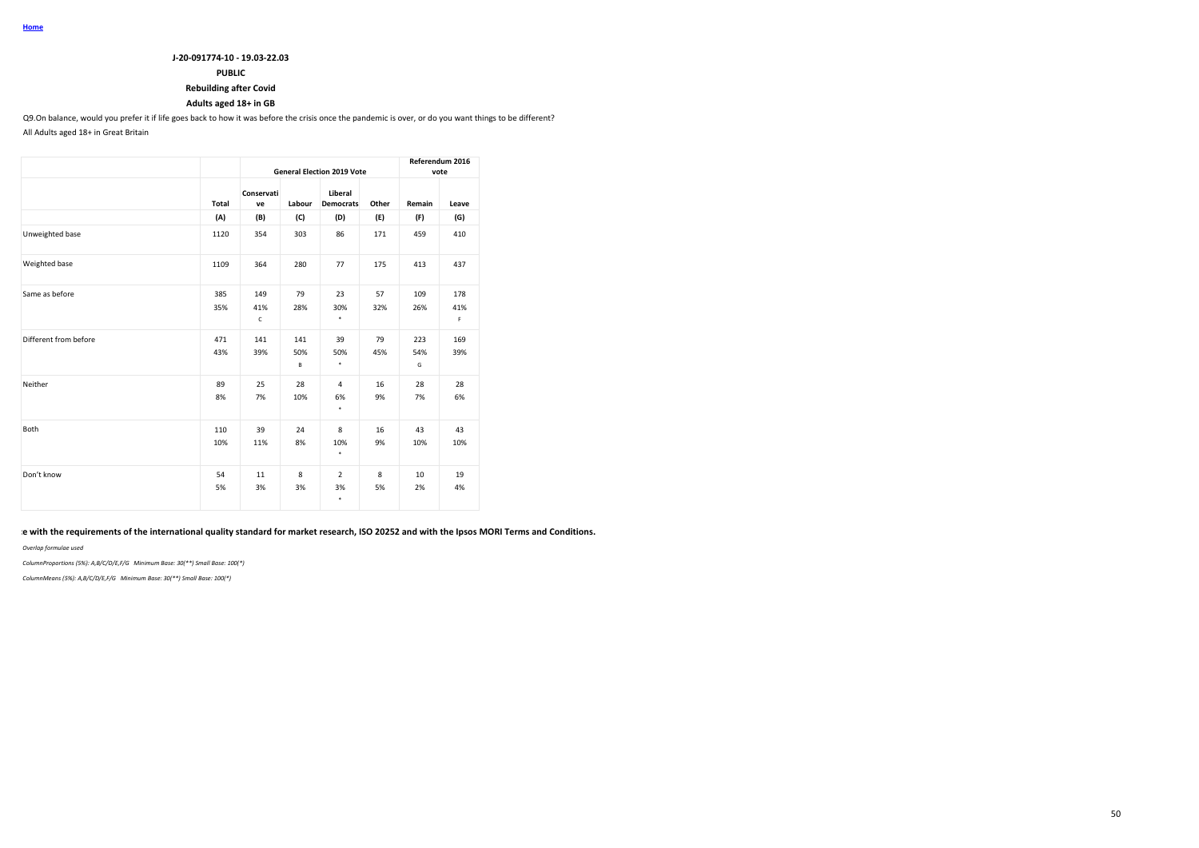### **J-20-091774-10 - 19.03-22.03**

## **PUBLIC**

### **Rebuilding after Covid**

### **Adults aged 18+ in GB**

Q9.On balance, would you prefer it if life goes back to how it was before the crisis once the pandemic is over, or do you want things to be different?

All Adults aged 18+ in Great Britain

|                       |                                                                                                |                     | <b>General Election 2019 Vote</b> |                             | Referendum 2016<br>vote |        |          |
|-----------------------|------------------------------------------------------------------------------------------------|---------------------|-----------------------------------|-----------------------------|-------------------------|--------|----------|
|                       | Total<br>(A)<br>1120<br>1109<br>385<br>35%<br>471<br>43%<br>89<br>8%<br>110<br>10%<br>54<br>5% | Conservati<br>ve    | Labour                            | Liberal<br><b>Democrats</b> | Other                   | Remain | Leave    |
|                       |                                                                                                | (B)                 | (C)                               | (D)                         | (E)                     | (F)    | (G)      |
| Unweighted base       |                                                                                                | 354                 | 303                               | 86                          | 171                     | 459    | 410      |
| Weighted base         |                                                                                                | 364                 | 280                               | 77                          | 175                     | 413    | 437      |
| Same as before        |                                                                                                | 149                 | 79                                | 23                          | 57                      | 109    | 178      |
|                       |                                                                                                | 41%<br>$\mathsf{C}$ | 28%                               | 30%<br>٠                    | 32%                     | 26%    | 41%<br>F |
| Different from before |                                                                                                | 141                 | 141                               | 39                          | 79                      | 223    | 169      |
|                       |                                                                                                | 39%                 | 50%                               | 50%                         | 45%                     | 54%    | 39%      |
|                       |                                                                                                |                     | В                                 | ٠                           |                         | G      |          |
| Neither               |                                                                                                | 25                  | 28                                | $\overline{4}$              | 16                      | 28     | 28       |
|                       |                                                                                                | 7%                  | 10%                               | 6%<br>٠                     | 9%                      | 7%     | 6%       |
| Both                  |                                                                                                | 39                  | 24                                | 8                           | 16                      | 43     | 43       |
|                       |                                                                                                | 11%                 | 8%                                | 10%<br>٠                    | 9%                      | 10%    | 10%      |
| Don't know            |                                                                                                | 11                  | 8                                 | $\overline{2}$              | 8                       | 10     | 19       |
|                       |                                                                                                | 3%                  | 3%                                | 3%<br>٠                     | 5%                      | 2%     | 4%       |

### **This work was carried out in accordance with the requirements of the international quality standard for market research, ISO 20252 and with the Ipsos MORI Terms and Conditions.**

*Overlap formulae used*

*ColumnProportions (5%): A,B/C/D/E,F/G Minimum Base: 30(\*\*) Small Base: 100(\*)*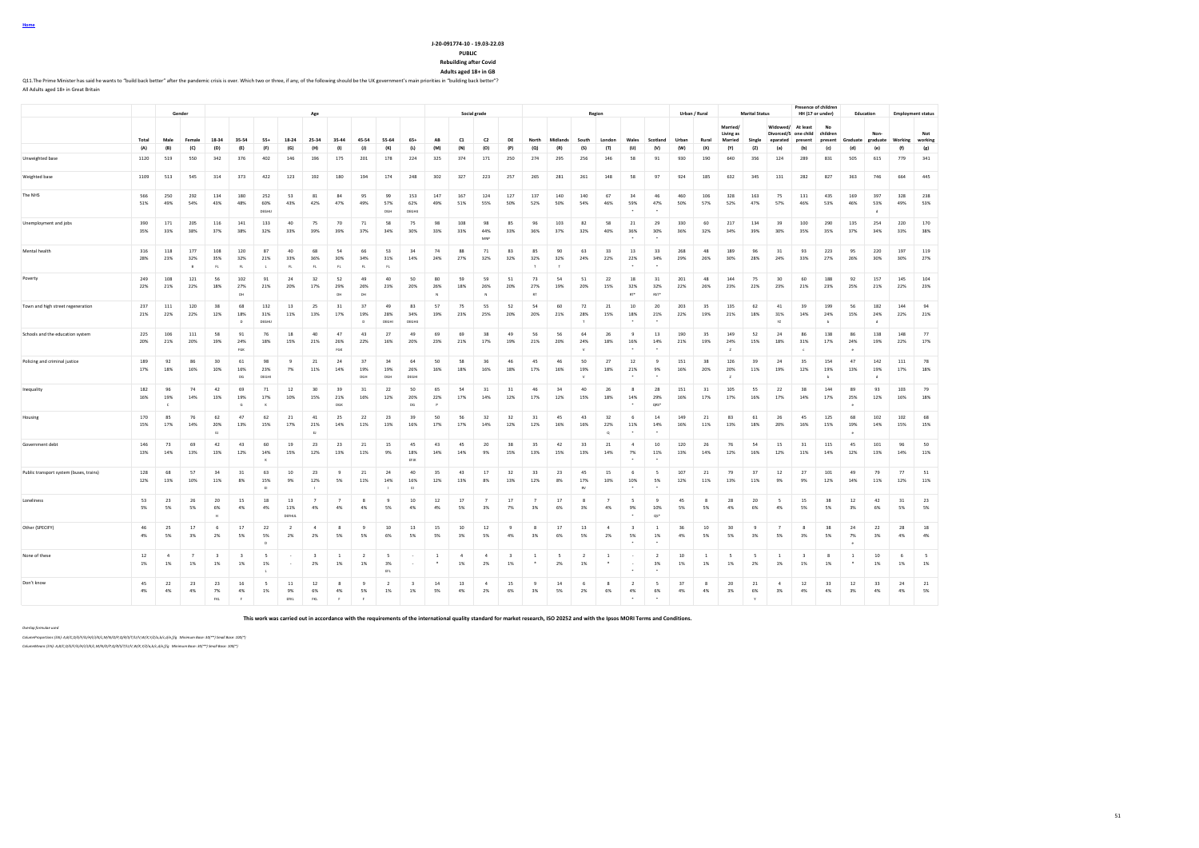**Rebuilding after Covid Adults aged 18+ in GB**

Q11.The Prime Minister has said he wants to "build back better" after the pandemic crisis is over. Which two or three, if any, of the following should be the UK government's main priorities in "building back better"?

All Adults aged 18+ in Great Britain

|                                         | Gender     |                      |                            |                               |                               |                                      | Age                  |                               |                         |                                      |                                       |                     | Social grade   |                      |                      |                               |                        |            | Region                    |                         |                            | Urban / Rural                   |            |                    | <b>Marital Status</b>        |                          |                        | Presence of children<br>HH (17 or under) | Education           |                          |                             | <b>Employment status</b> |                |
|-----------------------------------------|------------|----------------------|----------------------------|-------------------------------|-------------------------------|--------------------------------------|----------------------|-------------------------------|-------------------------|--------------------------------------|---------------------------------------|---------------------|----------------|----------------------|----------------------|-------------------------------|------------------------|------------|---------------------------|-------------------------|----------------------------|---------------------------------|------------|--------------------|------------------------------|--------------------------|------------------------|------------------------------------------|---------------------|--------------------------|-----------------------------|--------------------------|----------------|
|                                         |            |                      |                            |                               |                               |                                      |                      |                               |                         |                                      |                                       |                     |                |                      |                      |                               |                        |            |                           |                         |                            |                                 |            |                    | Married/                     |                          | Widowed/               | At least                                 | <b>No</b>           |                          |                             |                          |                |
|                                         | Total      | Male                 | Female                     | 18-34                         | 35-54                         | $55+$                                | $18 - 24$            | 25-34                         | 35-44                   | 45-54                                | 55-64                                 | $65+$               | AB             | C1                   | C <sub>2</sub>       | DE                            | North                  | Midlands   | South                     | London                  | Wales                      | Scotland                        | Urban      | Rural              | Living as<br>Married         | Single                   | Divorced/S<br>eparated | one child<br>present                     | children<br>present | Graduate                 | Non<br>graduate             | Working                  | Not<br>working |
|                                         | (A)        | (B)                  | (C)                        | (D)                           | (E)                           | (F)                                  | (G)                  | (H)                           | (1)                     | $\left( 1\right)$                    | (K)                                   | (L)                 | (M)            | (N)                  | (0)                  | (P)                           | (Q)                    | (R)        | (S)                       | (T)                     | (U)                        | (V)                             | (W)        | (X)                | (Y)                          | (Z)                      | (a)                    | (b)                                      | (c)                 | (d)                      | (e)                         | (f)                      | (g)            |
| Unweighted base                         | 1120       | 519                  | 550                        | 342                           | 376                           | 402                                  | 146                  | 196                           | 175                     | 201                                  | 178                                   | 224                 | 325            | 374                  | 171                  | 250                           | 274                    | 295        | 256                       | 146                     | 58                         | 91                              | 930        | 190                | 640                          | 356                      | 124                    | 289                                      | 831                 | 505                      | 615                         | 779                      | 341            |
| Weighted base                           | 1109       | 513                  | 545                        | 314                           | 373                           | 422                                  | 123                  | 192                           | 180                     | 194                                  | 174                                   | 248                 | 302            | 327                  | 223                  | 257                           | 265                    | 281        | 261                       | 148                     | 58                         | 97                              | 924        | 185                | 632                          | 345                      | 131                    | 282                                      | 827                 | 363                      | 746                         | 664                      | 445            |
| The NHS                                 | 566<br>51% | 250<br>49%           | 292<br>54%                 | 134<br>43%                    | 180<br>48%                    | 252<br>60%<br>DEGHU                  | 53<br>43%            | 81<br>42%                     | 84<br>47%               | 95<br>49%                            | 99<br>57%<br>DGH                      | 153<br>62%<br>DEGHL | 147<br>49%     | 167<br>51%           | 124<br>55%           | 127<br>50%                    | 137<br>52%             | 140<br>50% | 140<br>54%                | 67<br>46%               | 34<br>59%                  | 46<br>47%                       | 460<br>50% | 106<br>57%         | 328<br>52%                   | 163<br>47%               | 75<br>57%              | 131<br>46%                               | 435<br>53%          | 169<br>46%               | 397<br>53%                  | 328<br>49%               | 238<br>53%     |
| Unemployment and jobs                   | 390<br>35% | 171<br>33%           | 205<br>38%                 | 116<br>37%                    | 141<br>38%                    | 133<br>32%                           | 40<br>33%            | 75<br>39%                     | 70<br>39%               | 71<br>37%                            | 58<br>34%                             | 75<br>30%           | 98<br>33%      | 108<br>33%           | 98<br>44%<br>MNF     | 85<br>33%                     | 96<br>36%              | 103<br>37% | 82<br>32%                 | 58<br>40%               | 21<br>36%                  | 29<br>30%                       | 330<br>36% | 60<br>32%          | 217<br>34%                   | 134<br>39%               | 39<br>30%              | 100<br>35%                               | 290<br>35%          | 135<br>37%               | 254<br>34%                  | 220<br>33%               | 170<br>38%     |
| Mental health                           | 316<br>28% | 118<br>23%           | 177<br>32%<br>$\mathsf{B}$ | 108<br>35%<br>FL              | 120<br>32%<br>FL              | 87<br>21%<br>t.                      | 40<br>33%<br>FL      | 68<br>36%<br>FL.              | 54<br>30%<br>FL         | 66<br>34%<br>FL                      | 53<br>31%<br>FL.                      | 34<br>14%           | 74<br>24%      | 88<br>27%            | 71<br>32%            | 83<br>32%                     | 85<br>32%<br>T         | 90<br>32%  | 63<br>24%                 | 33<br>22%               | 13<br>22%                  | 33<br>34%                       | 268<br>29% | 48<br>26%          | 189<br>30%                   | 96<br>28%                | 31<br>24%              | 93<br>33%                                | 223<br>27%          | 95<br>26%                | 220<br>30%                  | 197<br>30%               | 119<br>27%     |
| Poverty                                 | 249<br>22% | 108<br>21%           | 121<br>22%                 | 56<br>18%                     | 102<br>27%<br>DH <sub>1</sub> | 91<br>21%                            | 24<br>20%            | 32<br>17%                     | 52<br>29%<br><b>DH</b>  | 49<br>26%<br>DH <sub>1</sub>         | 40<br>23%                             | 50<br>20%           | 80<br>26%      | 59<br>18%            | 59<br>26%            | 51<br>20%                     | 73<br>27%<br><b>RT</b> | 54<br>19%  | 51<br>20%                 | 22<br>15%               | 18<br>32%<br>RT*           | 31<br>32%<br><b>AST</b>         | 201<br>22% | 48<br>26%          | 144<br>23%                   | 75<br>22%                | 30<br>23%              | 60<br>21%                                | 188<br>23%          | 92<br>25%                | 157<br>21%                  | 145<br>22%               | 104<br>23%     |
| Town and high street regeneration       | 237<br>21% | 111<br>22%           | 120<br>22%                 | 38<br>12%                     | 68<br>18%<br>D.               | 132<br>31%<br>DEGHU                  | 13<br>11%            | 25<br>13%                     | 31<br>17%               | 37<br>19%<br>$\mathsf{D}$            | 49<br>28%<br>DEGHI                    | 83<br>34%<br>DEGHI. | 57<br>19%      | 75<br>23%            | 55<br>25%            | 52<br>20%                     | 54<br>20%              | 60<br>21%  | 72<br>28%                 | 21<br>15%               | 10<br>18%                  | 20<br>21%                       | 203<br>22% | 35<br>19%          | 135<br>21%                   | 62<br>18%                | $41\,$<br>31%<br>YZ    | 39<br>14%                                | 199<br>24%<br>h     | 56<br>15%                | 182<br>24%                  | 144<br>22%               | 94<br>21%      |
| Schools and the education system        | 225<br>20% | 106<br>21%           | 111<br>20%                 | 58<br>19%                     | 91<br>24%<br>FGK              | 76<br>18%                            | 18<br>15%            | 40<br>21%                     | 47<br>26%<br>FGK        | 43<br>22%                            | 27<br>16%                             | 49<br>20%           | 69<br>23%      | 69<br>21%            | 38<br>17%            | 49<br>19%                     | 56<br>21%              | 56<br>20%  | 64<br>24%                 | 26<br>18%               | $\mathbf{q}$<br>16%        | 13<br>14%                       | 190<br>21% | 35<br>19%          | 149<br>24%<br>$\overline{z}$ | 52<br>15%                | 24<br>18%              | 86<br>31%<br>$\epsilon$                  | 138<br>17%          | 86<br>24%<br>$\cdot$     | 138<br>19%                  | 148<br>22%               | 77<br>17%      |
| Policing and criminal justice           | 189<br>17% | 92<br>18%            | 86<br>16%                  | 30<br>10%                     | 61<br>16%<br>DS               | 98<br>23%<br>DEGHL                   | $\overline{9}$<br>7% | 21<br>11%                     | 24<br>14%               | 37<br>19%<br>DGH                     | 34<br>19%<br>DGH                      | 64<br>26%<br>DEGHL  | 50<br>16%      | 58<br>18%            | 36<br>16%            | 46<br>18%                     | 45<br>17%              | 46<br>16%  | 50<br>19%<br>$\mathbf{v}$ | 27<br>18%               | 12<br>21%                  | $\mathbf{Q}$<br>9%              | 151<br>16% | 38<br>20%          | 126<br>20%<br>$\overline{z}$ | 39<br>11%                | 24<br>19%              | 35<br>12%                                | 154<br>19%<br>h     | 47<br>13%                | 142<br>19%<br>$\mathcal{A}$ | 111<br>17%               | 78<br>18%      |
| Inequality                              | 182<br>16% | 96<br>19%<br>c       | 74<br>14%                  | 42<br>13%                     | 69<br>19%<br>G                | 71<br>17%<br>v.                      | 12<br>10%            | 30<br>15%                     | 39<br>21%<br>DG1        | 31<br>16%                            | 22<br>12%                             | 50<br>20%<br>DG     | 65<br>22%      | 54<br>17%            | 31<br>14%            | 31<br>12%                     | 46<br>17%              | 34<br>12%  | 40<br>15%                 | 26<br>18%               | -8<br>14%                  | 28<br>29%<br>ORS'               | 151<br>16% | 31<br>17%          | 105<br>17%                   | 55<br>16%                | 22<br>17%              | 38<br>14%                                | 144<br>17%          | 89<br>25%                | 93<br>12%                   | 103<br>16%               | 79<br>18%      |
| Housing                                 | 170<br>15% | 85<br>17%            | 76<br>14%                  | 62<br>20%<br>Đ                | 47<br>13%                     | 62<br>15%                            | 21<br>17%            | 41<br>21%<br>E                | 25<br>14%               | 22<br>11%                            | 23<br>13%                             | 39<br>16%           | 50<br>17%      | 56<br>17%            | 32<br>14%            | 32<br>12%                     | 31<br>12%              | 45<br>16%  | 43<br>16%                 | 32<br>22%<br>$^{\circ}$ | -6<br>11%                  | 14<br>14%                       | 149<br>16% | 21<br>11%          | 83<br>13%                    | 61<br>18%                | 26<br>20%              | 45<br>16%                                | 125<br>15%          | 68<br>19%                | 102<br>14%                  | 102<br>15%               | 68<br>15%      |
| Government deht                         | 146<br>13% | 73<br>14%            | 69<br>13%                  | 42<br>13%                     | 43<br>12%                     | 60<br>14%                            | 19<br>15%            | 23<br>12%                     | 23<br>13%               | 21<br>11%                            | 15<br>9%                              | 45<br>18%<br>EFJK   | 43<br>14%      | 45<br>14%            | 20<br>9%             | 38<br>15%                     | 35<br>13%              | 42<br>15%  | 33<br>13%                 | 21<br>14%               | $\sim$<br>7%               | $10\,$<br>11%                   | 120<br>13% | 26<br>14%          | 76<br>12%                    | 54<br>16%                | 15<br>12%              | 31<br>11%                                | 115<br>14%          | 45<br>12%                | 101<br>13%                  | 96<br>14%                | 50<br>11%      |
| Public transport system (buses, trains) | 128<br>12% | 68<br>13%            | 57<br>10%                  | 34<br>11%                     | 31<br>8%                      | 63<br>15%<br>F)                      | 10<br>9%             | 23<br>12%                     | 9<br>5%                 | 21<br>11%                            | 24<br>14%                             | 40<br>16%<br>F1     | 35<br>12%      | 43<br>13%            | 17<br>8%             | 32<br>13%                     | 33<br>12%              | 23<br>8%   | 45<br>17%<br><b>RV</b>    | 15<br>10%               | 6<br>10%                   | -5<br>5%                        | 107<br>12% | 21<br>11%          | 79<br>13%                    | 37<br>11%                | 12<br>9%               | 27<br>9%                                 | 101<br>12%          | 49<br>14%                | 79<br>11%                   | 77<br>12%                | 51<br>11%      |
| Loneliness                              | 53<br>5%   | 23<br>5%             | 26<br>5%                   | 20<br>6%                      | 15<br>4%                      | 18<br>4%                             | 13<br>11%<br>DEFHIJ  | $\overline{7}$<br>4%          | $\overline{7}$<br>4%    | $_{\rm s}$<br>4%                     | $\overline{9}$<br>5%                  | 10<br>4%            | 12<br>4%       | 17<br>5%             | $\overline{7}$<br>3% | 17<br>7%                      | $\overline{7}$<br>3%   | 17<br>6%   | $\mathbf{R}$<br>3%        | $\overline{7}$<br>4%    | $\sim$<br>9%               | 9<br>10%<br>QS*                 | 45<br>5%   | $_{\rm s}$<br>5%   | 28<br>4%                     | 20<br>6%                 | 5<br>4%                | 15<br>5%                                 | 38<br>5%            | 12<br>3%                 | 42<br>6%                    | 31<br>5%                 | 23<br>5%       |
| Other (SPECIFY)                         | 46<br>4%   | 25<br>5%             | 17<br>3%                   | 6<br>2%                       | 17<br>5%                      | 22<br>5%<br>$\mathsf D$              | $\overline{z}$<br>2% | $\Delta$<br>2%                | $\mathbf{R}$<br>5%      | $\overline{9}$<br>5%                 | 10<br>6%                              | 13<br>5%            | 15<br>5%       | $10$<br>3%           | 12<br>5%             | $\overline{q}$<br>4%          | $\mathbf{R}$<br>3%     | 17<br>6%   | 13<br>5%                  | $\Delta$<br>2%          | $\rightarrow$<br>5%        | $\overline{1}$<br>1%            | 36<br>4%   | $10$<br>5%         | 30<br>5%                     | $\mathbf{q}$<br>3%       | $\overline{7}$<br>5%   | $\mathbf{R}$<br>3%                       | 38<br>5%            | 24<br>7%<br>$\mathbf{e}$ | $22\,$<br>3%                | 28<br>4%                 | 18<br>4%       |
| None of these                           | $12$<br>1% | $\overline{4}$<br>1% | $\overline{7}$<br>1%       | $\overline{\mathbf{3}}$<br>1% | $\overline{\mathbf{3}}$<br>1% | $\overline{\phantom{a}}$<br>1%<br>п. |                      | $\overline{\mathbf{3}}$<br>2% | $\overline{1}$<br>1%    | $\overline{2}$<br>1%                 | $\overline{\phantom{a}}$<br>3%<br>EFL |                     | $\overline{1}$ | $\overline{4}$<br>1% | $\overline{4}$<br>2% | $\overline{\mathbf{3}}$<br>1% | $\overline{1}$         | - 5<br>2%  | $\overline{2}$<br>1%      | <sup>1</sup>            | $\sim$<br>$\cdot$          | $\overline{2}$<br>3%<br>$\cdot$ | 10<br>1%   | 1<br>1%            | -5<br>1%                     | 5<br>2%                  | $\mathbf{1}$<br>1%     | $\overline{\mathbf{3}}$<br>1%            | 8<br>1%             | $\mathbf{1}$<br>٠.       | $10\,$<br>1%                | 6<br>1%                  | 5<br>1%        |
| Don't know                              | 45<br>4%   | 22<br>4%             | 23<br>4%                   | -23<br>7%<br>FKL              | 16<br>4%<br>$\mathbf{F}$      | -5<br>1%                             | 11<br>9%<br>EFKL     | 12<br>6%<br>FKL               | 8<br>4%<br>$\mathbf{F}$ | $\overline{9}$<br>5%<br>$\mathbf{r}$ | $\overline{2}$<br>1%                  | $\mathbf{R}$<br>1%  | 14<br>5%       | 13<br>4%             | $\Delta$<br>2%       | 15<br>6%                      | $\mathbf{q}$<br>3%     | 14<br>5%   | -6<br>2%                  | $\mathbf{R}$<br>6%      | $\overline{ }$<br>4%<br>٠. | -5<br>6%<br>$\cdot$             | 37<br>4%   | $\mathbf{R}$<br>4% | 20<br>3%                     | 21<br>6%<br>$\mathbf{v}$ | $\Delta$<br>3%         | $12\,$<br>4%                             | 33<br>4%            | 12<br>3%                 | 33<br>4%                    | 24<br>4%                 | 21<br>5%       |

**This work was carried out in accordance with the requirements of the international quality standard for market research, ISO 20252 and with the Ipsos MORI Terms and Conditions.**

*Overlap formulae used*

*ColumnProportions (5%): A,B/C,D/E/F/G/H/I/J/K/L,M/N/O/P,Q/R/S/T/U/V,W/X,Y/Z/a,b/c,d/e,f/g Minimum Base: 30(\*\*) Small Base: 100(\*)*

*ColumnMeans (5%): A,B/C,D/E/F/G/H/I/J/K/L,M/N/O/P,Q/R/S/T/U/V,W/X,Y/Z/a,b/c,d/e,f/g Minimum Base: 30(\*\*) Small Base: 100(\*)*

**Home**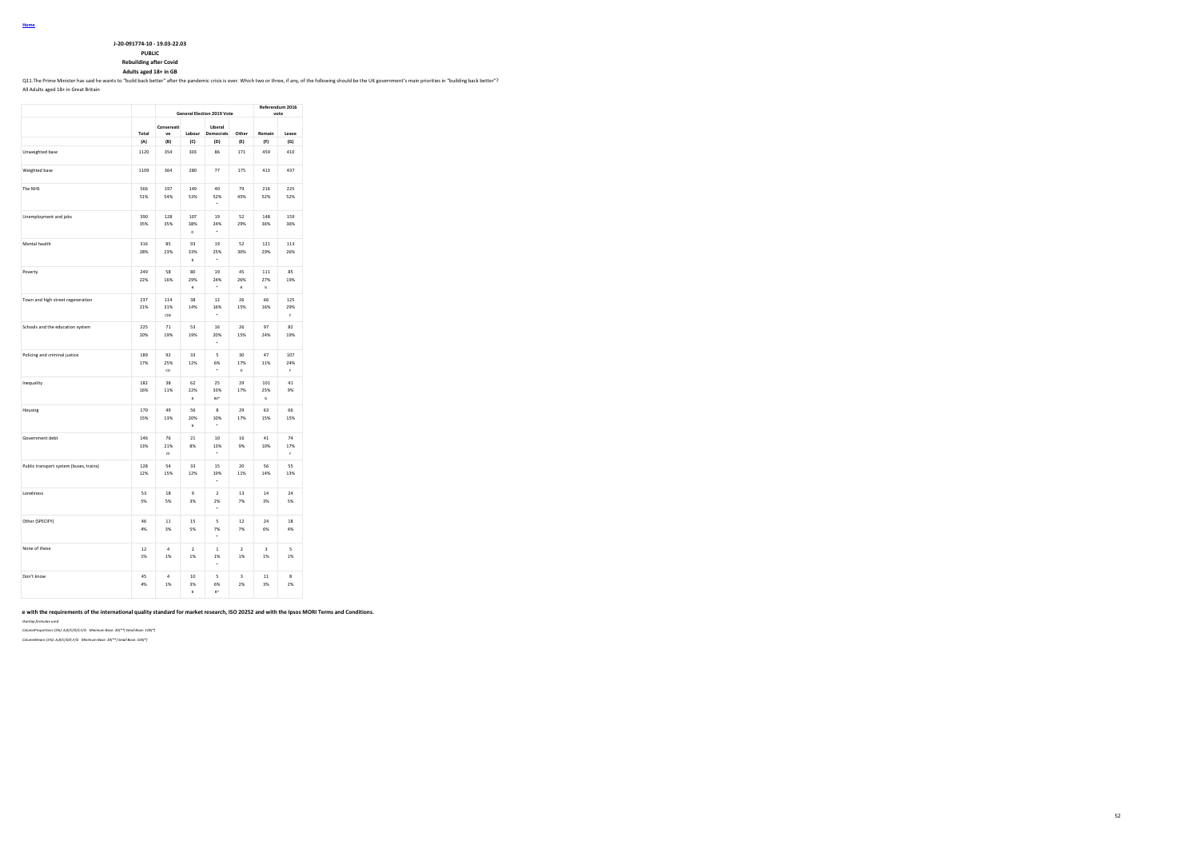**J-20-091774-10 - 19.03-22.03**

**PUBLIC**

**Rebuilding after Covid**

#### **Adults aged 18+ in GB**

Q11.The Prime Minister has said he wants to "build back better" after the pandemic crisis is over. Which two or three, if any, of the following should be the UK government's main priorities in "building back better"?

All Adults aged 18+ in Great Britain

|                                         |            | <b>General Election 2019 Vote</b> | Referendum 2016<br>vote     |                                    |                               |                 |                  |
|-----------------------------------------|------------|-----------------------------------|-----------------------------|------------------------------------|-------------------------------|-----------------|------------------|
|                                         | Total      | Conservati<br>ve                  | Labour                      | Liberal<br>Democrats               | Other                         | Remain          | Leave            |
|                                         | (A)        | (B)                               | (C)                         | (D)                                | (E)                           | (F)             | (G)              |
| Unweighted base                         | 1120       | 354                               | 303                         | 86                                 | 171                           | 459             | 410              |
| Weighted base                           | 1109       | 364                               | 280                         | 77                                 | 175                           | 413             | 437              |
| The NHS                                 | 566<br>51% | 197<br>54%                        | 149<br>53%                  | 40<br>52%                          | 79<br>45%                     | 216<br>52%      | 225<br>52%       |
| Unemployment and jobs                   | 390<br>35% | 128<br>35%                        | 107<br>38%<br>b             | 19<br>24%<br>$\cdot$               | 52<br>29%                     | 148<br>36%      | 159<br>36%       |
| Mental health                           | 316<br>28% | 85<br>23%                         | 93<br>33%<br>B              | 19<br>25%<br>٠                     | 52<br>30%                     | 121<br>29%      | 113<br>26%       |
| Poverty                                 | 249<br>22% | 58<br>16%                         | 80<br>29%<br>$\overline{B}$ | 19<br>24%<br>ä,                    | 45<br>26%<br>B                | 111<br>27%<br>Ġ | 85<br>19%        |
| Town and high street regeneration       | 237<br>21% | 114<br>31%<br>cns                 | 38<br>14%                   | 12<br>16%                          | 26<br>15%                     | 66<br>16%       | 125<br>29%<br>Ė  |
| Schools and the education system        | 225<br>20% | 71<br>19%                         | 53<br>19%                   | 16<br>20%                          | 26<br>15%                     | 97<br>24%       | 82<br>19%        |
| Policing and criminal justice           | 189<br>17% | 92<br>25%<br>CD                   | 33<br>12%                   | $\overline{\mathbf{S}}$<br>6%<br>٠ | 30<br>17%<br>D                | 47<br>11%       | 107<br>24%<br>k, |
| Inequality                              | 182<br>16% | 38<br>11%                         | 62<br>22%<br>B              | 25<br>33%<br>RF*                   | 29<br>17%                     | 101<br>25%<br>G | 41<br>9%         |
| Housing                                 | 170<br>15% | 49<br>13%                         | 56<br>20%<br>$\overline{B}$ | 8<br>10%                           | 29<br>17%                     | 63<br>15%       | 66<br>15%        |
| Government debt                         | 146<br>13% | 76<br>21%<br>CE                   | 21<br>8%                    | 10<br>13%                          | 16<br>9%                      | 41<br>10%       | 74<br>17%<br>Ė   |
| Public transport system (buses, trains) | 128<br>12% | 54<br>15%                         | 33<br>12%                   | 15<br>19%                          | 20<br>11%                     | 56<br>14%       | 55<br>13%        |
| Loneliness                              | 53<br>5%   | 18<br>5%                          | 9<br>3%                     | $\overline{2}$<br>2%               | 13<br>7%                      | 14<br>3%        | 24<br>5%         |
| Other (SPECIFY)                         | 46<br>4%   | 11<br>3%                          | 15<br>5%                    | 5<br>7%                            | 12<br>7%                      | 24<br>6%        | 18<br>4%         |
| None of these                           | 12<br>1%   | $\overline{4}$<br>1%              | $\overline{ }$<br>1%        | $\,$ 1 $\,$<br>1%                  | $\overline{\mathbf{2}}$<br>1% | 3<br>1%         | 5<br>1%          |
| Don't know                              | 45<br>4%   | $\overline{a}$<br>1%              | 10<br>3%<br>B               | 5<br>6%<br>R*                      | 3<br>2%                       | 11<br>3%        | 8<br>2%          |

### **This work was carried out in accordance with the requirements of the international quality standard for market research, ISO 20252 and with the Ipsos MORI Terms and Conditions.**

*Overlap formulae used*

*ColumnProportions (5%): A,B/C/D/E,F/G Minimum Base: 30(\*\*) Small Base: 100(\*)*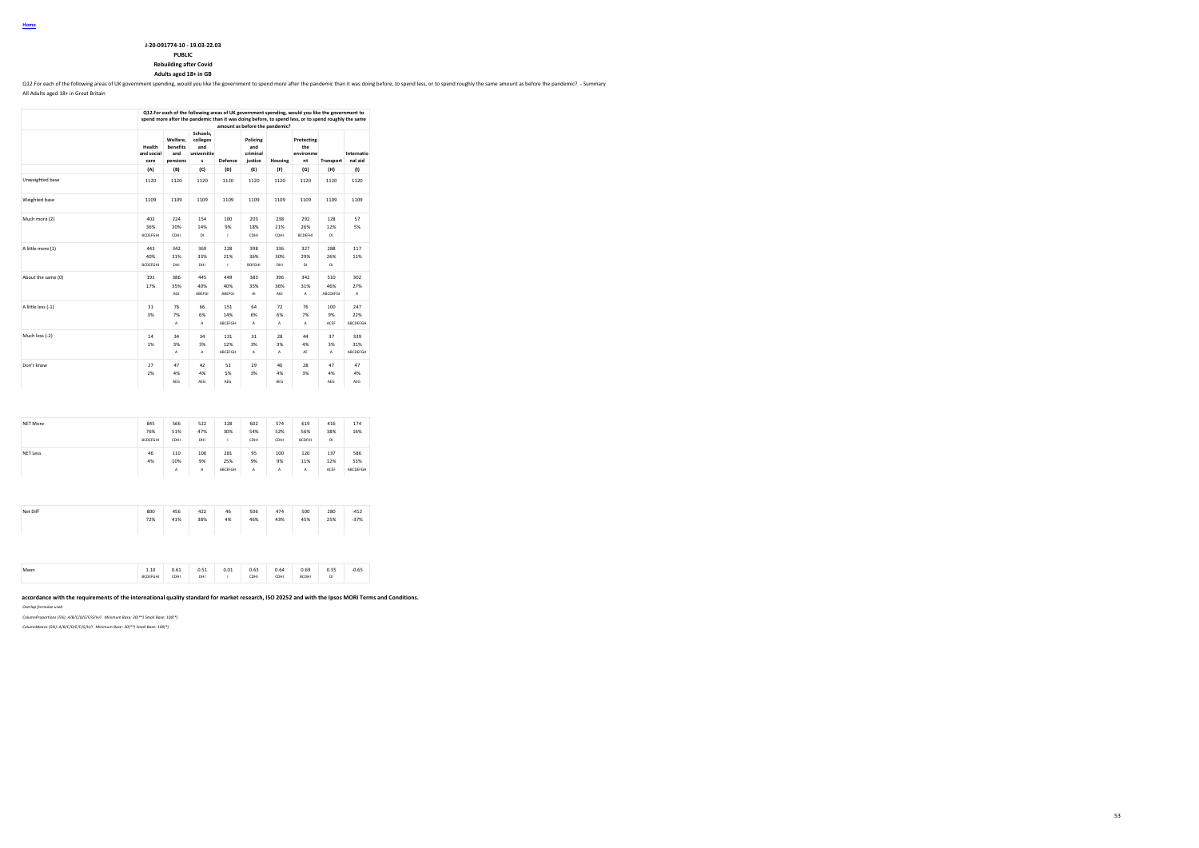**Rebuilding after Covid**

**Adults aged 18+ in GB**

Q12.For each of the following areas of UK government spending, would you like the government to spend more after the pandemic than it was doing before, to spend less, or to spend roughly the same amount as before the pande

All Adults aged 18+ in Great Britain

|                    |                               |                                         |                                                 |                       |                                        |                    | Q12.For each of the following areas of UK government spending, would you like the government to<br>spend more after the pandemic than it was doing before, to spend less, or to spend roughly the same |                        |                        |
|--------------------|-------------------------------|-----------------------------------------|-------------------------------------------------|-----------------------|----------------------------------------|--------------------|--------------------------------------------------------------------------------------------------------------------------------------------------------------------------------------------------------|------------------------|------------------------|
|                    |                               |                                         |                                                 |                       | amount as before the pandemic?         |                    |                                                                                                                                                                                                        |                        |                        |
|                    | Health<br>and social<br>care  | Welfare.<br>benefits<br>and<br>pensions | Schools,<br>colleges<br>and<br>universitie<br>s | Defence               | Policing<br>and<br>criminal<br>justice | Housing            | Protecting<br>the<br>environme<br>nt                                                                                                                                                                   | Transport              | Internatio<br>nal aid  |
|                    | (A)                           | (B)                                     | (C)                                             | (D)                   | (E)                                    | (F)                | (G)                                                                                                                                                                                                    | (H)                    | (1)                    |
| Unweighted base    | 1120                          | 1120                                    | 1120                                            | 1120                  | 1120                                   | 1120               | 1120                                                                                                                                                                                                   | 1120                   | 1120                   |
| Weighted base      | 1109                          | 1109                                    | 1109                                            | 1109                  | 1109                                   | 1109               | 1109                                                                                                                                                                                                   | 1109                   | 1109                   |
| Much more (2)      | 402<br>36%<br><b>BCDEFGHI</b> | 224<br>20%<br>CDHI                      | 154<br>14%<br>DI                                | 100<br>9%<br>I.       | 203<br>18%<br>CDHI                     | 238<br>21%<br>CDHI | 292<br>26%<br><b>BCDEFHI</b>                                                                                                                                                                           | 128<br>12%<br>DI       | 57<br>5%               |
| A little more (1)  | 443<br>40%<br><b>BCDEFGHI</b> | 342<br>31%<br>DHI                       | 369<br>33%<br>DHI                               | 228<br>21%<br>J.      | 398<br>36%<br><b>BDFGHI</b>            | 336<br>30%<br>DHI  | 327<br>29%<br>DI                                                                                                                                                                                       | 288<br>26%<br>DI       | 117<br>11%             |
| About the same (0) | 191<br>17%                    | 386<br>35%<br>AGI                       | 445<br>40%<br>ABEFGI                            | 449<br>40%<br>ABEFGI  | 383<br>35%<br>AI.                      | 396<br>36%<br>AGI  | 342<br>31%<br>A                                                                                                                                                                                        | 510<br>46%<br>ABCDEFGI | 302<br>27%<br>A        |
| A little less (-1) | 31<br>3%                      | 76<br>7%<br>A                           | 66<br>6%<br>А                                   | 151<br>14%<br>ABCEFGH | 64<br>6%<br>A                          | 72<br>6%<br>A      | 76<br>7%<br>A                                                                                                                                                                                          | 100<br>9%<br>ACEF      | 247<br>22%<br>ABCDEFGH |
| Much less (-2)     | 14<br>1%                      | 34<br>3%<br>А                           | 34<br>3%<br>А                                   | 131<br>12%<br>ABCEFGH | 31<br>3%<br>A                          | 28<br>3%<br>А      | 44<br>4%<br>AF                                                                                                                                                                                         | 37<br>3%<br>А          | 339<br>31%<br>ABCDEFGH |
| Don't know         | 27<br>2%                      | 47<br>4%<br>AEG                         | 42<br>4%<br>AEG                                 | 51<br>5%<br>AEG       | 29<br>3%                               | 40<br>4%<br>AEG    | 28<br>3%                                                                                                                                                                                               | 47<br>4%<br>AEG        | 47<br>4%<br>AEG        |
|                    |                               |                                         |                                                 |                       |                                        |                    |                                                                                                                                                                                                        |                        |                        |
| <b>NET More</b>    | 845<br>76%<br><b>BCDEFGHI</b> | 566<br>51%<br>CDHI                      | 522<br>47%<br>DHI                               | 328<br>30%<br>I.      | 602<br>54%<br>CDHI                     | 574<br>52%<br>CDHI | 619<br>56%<br><b>BCDFHI</b>                                                                                                                                                                            | 416<br>38%<br>DI       | 174<br>16%             |
| <b>NET Less</b>    | 46<br>4%                      | 110<br>10%<br>A                         | 100<br>9%<br>A                                  | 281<br>25%<br>ABCEFGH | 95<br>9%<br>A                          | 100<br>9%<br>A     | 120<br>11%<br>A                                                                                                                                                                                        | 137<br>12%<br>ACEF     | 586<br>53%<br>ABCDEFGH |

Mean 1.10 0.61 0.51 0.01 0.63 0.64 0.69 0.35 -0.65 BCDEFGHI CDHI DHI I CDHI CDHI BCDHI DI

Net Diff 800 456 422 46 506 474 500 280 -412 72% 41% 38% 4% 46% 43% 45% 25% -37%

accordance with the requirements of the international quality standard for market research, ISO 20252 and with the Ipsos MORI Terms and Conditions. *Overlap formulae used*

*ColumnProportions (5%): A/B/C/D/E/F/G/H/I Minimum Base: 30(\*\*) Small Base: 100(\*)*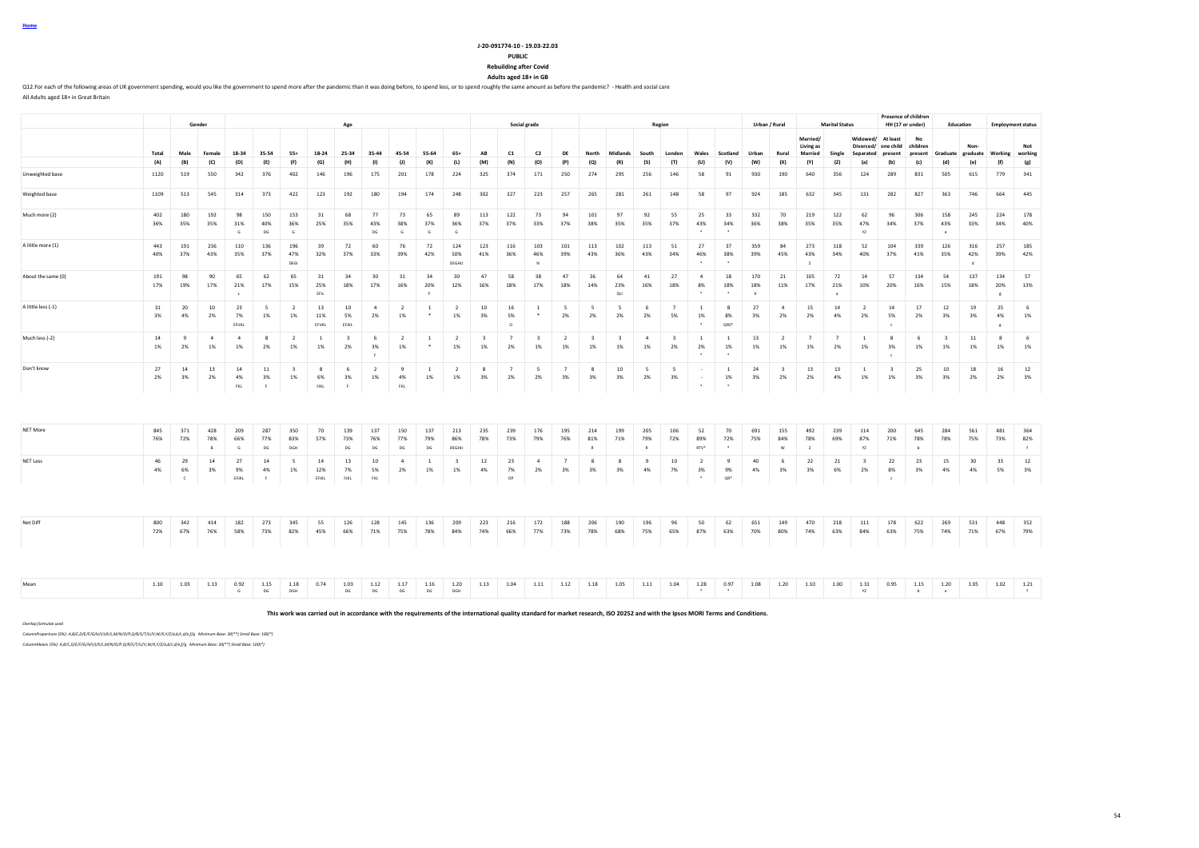| u<br>ŋρ |  |
|---------|--|
|         |  |

**Rebuilding after Covid**

**Adults aged 18+ in GB**

Q12.For each of the following areas of UK government spending, would you like the government to spend more after the pandemic than it was doing before, to spend less, or to spend roughly the same amount as before the pande All Adults aged 18+ in Great Britain

**Gender Age Social grade Region Urban / Rural Marital Status Presence of children**<br>**HH (17 or under) HH (17 or under) Education Employment status** Total Male Female 18-34 35-54 55+ 18-24 25-34 35-44 45-54 55-64 65+ AB C1 C2 DE North Midlands South London Wales Scotland Urban Rural **Married/ Living as Married Single Widowed/ At least Divorced/ one child Separated present No children present Graduate Nongraduate Working Not working** (A) (B) (C) (D) (E) (F) (G) (H) (I) (J) (K) (L) (M) (N) (O) (P) (Q) (R) (S) (T) (U) (V) (W) (X) (Y) (Z) (a) (b) (c) (d) (e) (f) (g) Unweighted base 1120 519 550 342 376 402 146 196 175 201 178 224 325 374 171 250 274 295 256 146 58 91 930 190 640 356 124 289 831 505 615 779 341 Weighted base 1109 513 545 314 373 422 123 192 180 194 174 248 302 327 223 257 265 281 261 148 58 97 924 185 632 345 131 282 827 363 746 664 445 Much more (2) 402 180 192 98 150 153 31 68 77 73 65 89 113 122 73 94 101 97 92 55 25 33 332 70 219 122 62 96 306 158 245 224 178 36% 35% 35% 31% 40% 36% 25% 35% 43% 38% 37% 36% 37% 37% 33% 37% 38% 35% 35% 37% 43% 34% 36% 38% 35% 35% 47% 34% 37% 43% 33% 34% 40% G DG G DG G G G \* \* YZ e A little more (1) 443 191 236 110 136 196 39 72 60 76 72 124 123 116 103 101 113 102 113 51 27 37 359 84 273 118 52 104 339 126 316 257 185 40% 37% 43% 35% 37% 47% 32% 37% 33% 39% 42% 50% 41% 36% 46% 39% 43% 36% 43% 34% 46% 38% 39% 45% 43% 34% 40% 37% 41% 35% 42% 39% 42% DEGI DEGHIJ N \* \* Z d About the same (0) 191 98 90 65 62 65 31 34 30 31 34 30 47 58 38 47 36 64 41 27 4 18 170 21 105 72 14 57 134 54 137 134 57 17% 19% 17% 21% 17% 15% 25% 18% 17% 16% 20% 12% 16% 18% 17% 18% 14% 23% 16% 18% 8% 18% 18% 11% 17% 21% 10% 20% 16% 15% 18% 20% 13% L EFL EFL I FRIDA ARTICLE I DE LA GREGO AL INDIANA ARTICLE A GREGO AL INDIANA ARTICLE A GREGO AL INDIANA ARTICL A little less (-1) 31 | 20 | 10 | 23 | 5 | 2 | 13 | 10 | 4 | 2 | 1 | 2 | 10 | 16 | 1 | 5 | 5 | 5 | 6 | 7 | 1 | 8 | 27 | 4 | 15 | 14 | 2 | 14 | 17 | 12 | 19 | 25 | 6 3% 4% 2% 7% 1% 1% 11% 5% 2% 1% \* 1% 3% 5% \* 2% 2% 2% 2% 5% 1% 8% 3% 2% 2% 4% 2% 5% 2% 3% 3% 4% 1% EFIJKL EFIJKL EFJKL O \* QRS\* c g Much less (-2) 14 9 4 4 8 2 1 3 6 2 1 2 3 7 3 2 3 3 4 3 1 1 3 2 7 7 7 1 1 8 6 3 11 8 6 1% 2% 1% 1% 2% 1% 1% 2% 3% 1% \* 1% 1% 2% 1% 1% 1% 1% 1% 2% 2% 1% 1% 1% 1% 2% 1% 3% 1% 1% 1% 1% 1% F \* \* c Don't know 27 14 13 14 11 3 8 6 2 9 1 2 8 7 5 7 8 10 5 5 - 1 24 3 13 13 1 3 25 10 18 16 12 2% 3% 2% 4% 3% 1% 6% 3% 1% 4% 1% 1% 3% 2% 2% 3% 3% 3% 2% 3% - 1% 3% 2% 2% 4% 1% 1% 3% 3% 2% 2% 3% FKL F FIKL F FKL \* \* NET More 845 371 428 209 287 350 70 139 137 150 137 213 235 239 176 195 214 199 205 106 52 70 691 155 492 239 114 200 645 284 561 481 364 76% 72% 78% 66% 77% 83% 57% 73% 76% 77% 79% 86% 78% 73% 79% 76% 81% 71% 79% 72% 89% 72% 75% 84% 78% 69% 87% 71% 78% 78% 75% 73% 82% B G DG DGH DG DG DG DG DG DEGHU R RTV\* \* W Z YZ b f f NET Less 46 29 14 27 14 5 14 13 10 4 1 3 12 23 4 7 8 8 9 10 2 9 40 6 22 21 3 22 23 15 30 33 12 4% 6% 3% 9% 4% 1% 12% 7% 5% 2% 1% 1% 4% 7% 2% 3% 3% 3% 4% 7% 3% 9% 4% 3% 3% 6% 2% 8% 3% 4% 4% 5% 3% C EFJKL F EFJKL FJKL FKL OP \* QR\* c Net Diff 800 342 414 182 273 345 55 126 128 145 136 209 223 216 172 188 206 190 196 96 50 62 651 149 470 218 111 178 622 269 531 448 352 72% 67% 76% 58% 73% 82% 45% 66% 71% 75% 78% 84% 74% 66% 77% 73% 78% 68% 75% 65% 87% 63% 70% 80% 74% 63% 84% 63% 75% 74% 71% 67% 79% Mean 1.10 1.03 1.13 0.92 1.15 1.04 1.04 1.04 1.12 1.14 1.15 1.20 1.13 1.04 1.11 1.12 1.13 1.05 1.10 1.10 1.20 1.10 1.10 1.10 1.10 1.14 1.20 1.05 1.15 1.20 1.05 1.12 1.20 G DG DGH DG DG DG DG DGH \* \* YZ b e f

**This work was carried out in accordance with the requirements of the international quality standard for market research, ISO 20252 and with the Ipsos MORI Terms and Conditions.**

*Overlap formulae used*

*ColumnProportions (5%): A,B/C,D/E/F/G/H/I/J/K/L,M/N/O/P,Q/R/S/T/U/V,W/X,Y/Z/a,b/c,d/e,f/g Minimum Base: 30(\*\*) Small Base: 100(\*)*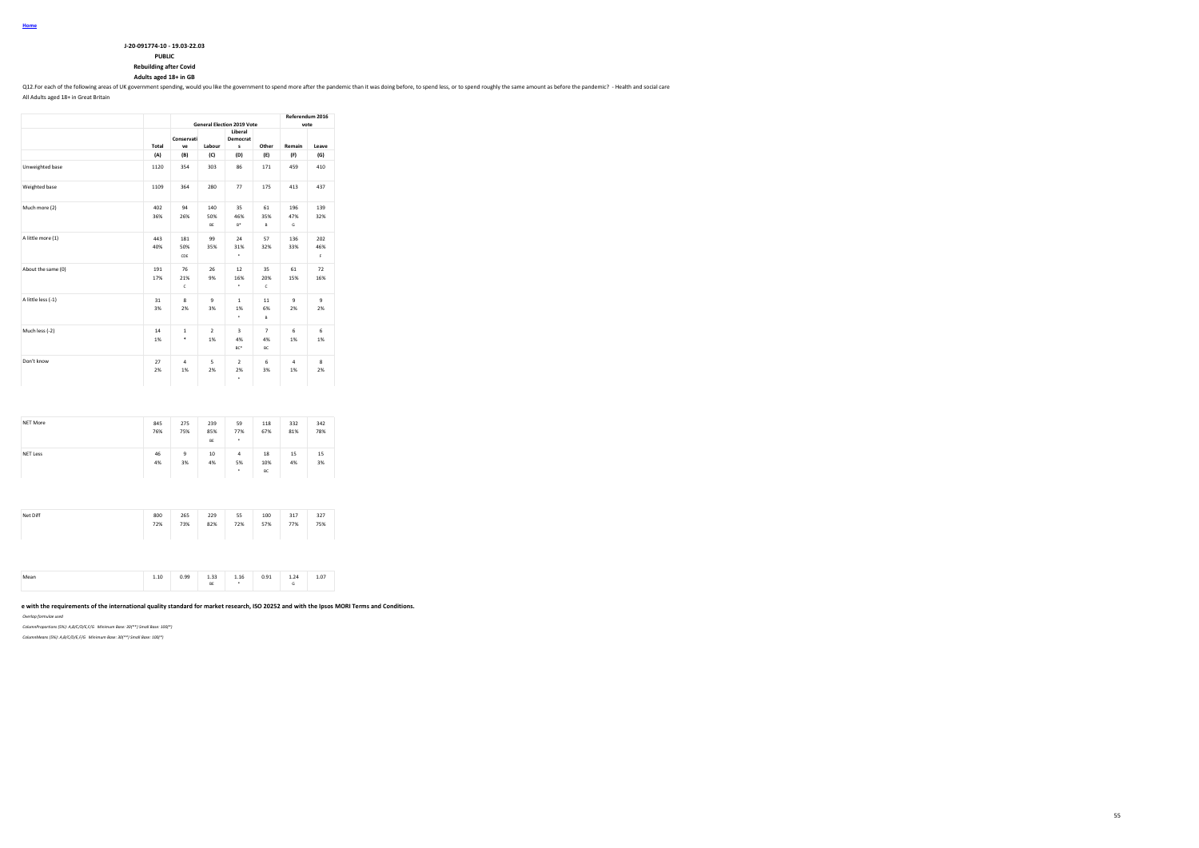| J-20-091774-10 - 19.03-22.03 |
|------------------------------|
| <b>DURLIC</b>                |

### **PUBLIC Rebuilding after Covid**

**Adults aged 18+ in GB**

Q12.For each of the following areas of UK government spending, would you like the government to spend more after the pandemic than it was doing before, to spend less, or to spend roughly the same amount as before the pande

All Adults aged 18+ in Great Britain

|                    | <b>General Election 2019 Vote</b><br>Liberal<br>Conservati<br>Democrat<br>Labour<br>Total<br>s<br>ve<br>(A)<br>(B)<br>(C)<br>(D)<br>303<br>86<br>1120<br>354<br>280<br>77<br>364<br>1109<br>94<br>140<br>35<br>402<br>50%<br>46%<br>36%<br>26%<br>$B^*$<br>BE<br>443<br>181<br>99<br>24<br>31%<br>40%<br>50%<br>35%<br>٠<br>CDE<br>76<br>26<br>191<br>12<br>17%<br>21%<br>9%<br>16%<br>٠<br>$\mathsf{c}$<br>8<br>$\mathbf{Q}$<br>$\mathbf{1}$<br>31<br>3%<br>2%<br>3%<br>1%<br>٠<br>$\overline{2}$<br>14<br>$\mathbf{1}$<br>3<br>۰<br>1%<br>1%<br>4%<br>BC*<br>$\overline{a}$<br>5<br>27<br>$\overline{a}$<br>2%<br>2%<br>2%<br>1%<br>٠ |  |  |  |                            | Referendum 2016<br>vote |                      |  |
|--------------------|-----------------------------------------------------------------------------------------------------------------------------------------------------------------------------------------------------------------------------------------------------------------------------------------------------------------------------------------------------------------------------------------------------------------------------------------------------------------------------------------------------------------------------------------------------------------------------------------------------------------------------------------|--|--|--|----------------------------|-------------------------|----------------------|--|
|                    |                                                                                                                                                                                                                                                                                                                                                                                                                                                                                                                                                                                                                                         |  |  |  | Other                      | Remain                  | Leave                |  |
|                    |                                                                                                                                                                                                                                                                                                                                                                                                                                                                                                                                                                                                                                         |  |  |  | (E)                        | (F)                     | (G)                  |  |
| Unweighted base    |                                                                                                                                                                                                                                                                                                                                                                                                                                                                                                                                                                                                                                         |  |  |  | 171                        | 459                     | 410                  |  |
| Weighted base      |                                                                                                                                                                                                                                                                                                                                                                                                                                                                                                                                                                                                                                         |  |  |  | 175                        | 413                     | 437                  |  |
| Much more (2)      |                                                                                                                                                                                                                                                                                                                                                                                                                                                                                                                                                                                                                                         |  |  |  | 61<br>35%<br>B             | 196<br>47%<br>G         | 139<br>32%           |  |
| A little more (1)  |                                                                                                                                                                                                                                                                                                                                                                                                                                                                                                                                                                                                                                         |  |  |  | 57<br>32%                  | 136<br>33%              | 202<br>46%<br>F.     |  |
| About the same (0) |                                                                                                                                                                                                                                                                                                                                                                                                                                                                                                                                                                                                                                         |  |  |  | 35<br>20%<br>c             | 61<br>15%               | 72<br>16%            |  |
| A little less (-1) |                                                                                                                                                                                                                                                                                                                                                                                                                                                                                                                                                                                                                                         |  |  |  | 11<br>6%<br>B              | 9<br>2%                 | $\overline{9}$<br>2% |  |
| Much less (-2)     |                                                                                                                                                                                                                                                                                                                                                                                                                                                                                                                                                                                                                                         |  |  |  | $\overline{7}$<br>4%<br>BC | 6<br>1%                 | 6<br>1%              |  |
| Don't know         |                                                                                                                                                                                                                                                                                                                                                                                                                                                                                                                                                                                                                                         |  |  |  | 6<br>3%                    | $\Delta$<br>1%          | 8<br>2%              |  |

| NET More        | 845<br>76% | 275<br>75% | 239<br>85%<br>BE | 59<br>77%<br>٠            | 118<br>67%      | 332<br>81% | 342<br>78% |
|-----------------|------------|------------|------------------|---------------------------|-----------------|------------|------------|
| <b>NET Less</b> | 46<br>4%   | 9<br>3%    | 10<br>4%         | $\overline{a}$<br>5%<br>٠ | 18<br>10%<br>BC | 15<br>4%   | 15<br>3%   |

| Net Diff | 800<br>72% | 265<br>73% | 229<br>82% | 55<br>72% | 100<br>57% | 317<br>77% | 327<br>75% |  |
|----------|------------|------------|------------|-----------|------------|------------|------------|--|
|          |            |            |            |           |            |            |            |  |

|  |  | Mean<br> | 10<br>1.10 | n oo<br>. | 22<br>$-$<br>BE | 1.16<br>$\overline{\phantom{a}}$ | 0.91<br>0.34 | 1.24<br>٠ | 1.07 |  |
|--|--|----------|------------|-----------|-----------------|----------------------------------|--------------|-----------|------|--|
|--|--|----------|------------|-----------|-----------------|----------------------------------|--------------|-----------|------|--|

### **This work was carried out in accordance with the requirements of the international quality standard for market research, ISO 20252 and with the Ipsos MORI Terms and Conditions.**

*Overlap formulae used*

*ColumnProportions (5%): A,B/C/D/E,F/G Minimum Base: 30(\*\*) Small Base: 100(\*)*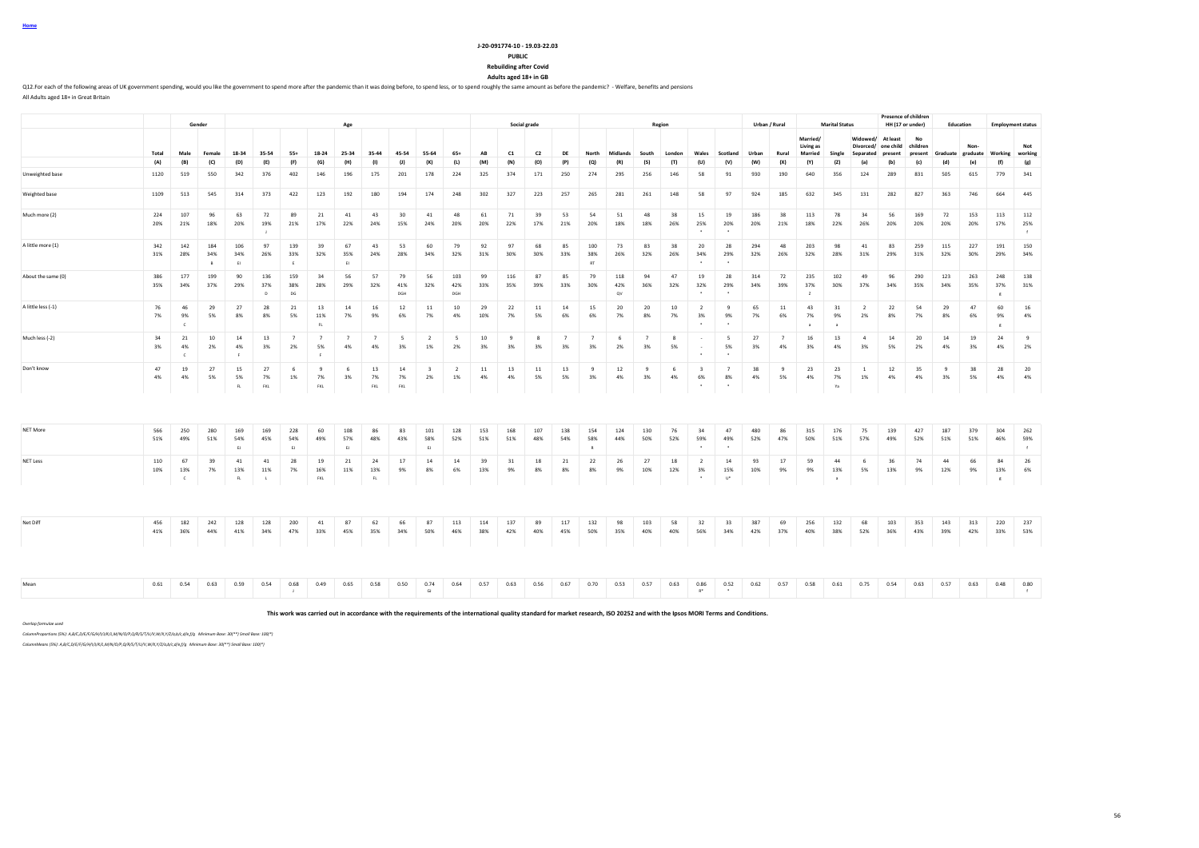| Home |  |
|------|--|
|      |  |

**Rebuilding after Covid**

**Adults aged 18+ in GB**

Q12.For each of the following areas of UK government spending, would you like the government to spend more after the pandemic than it was doing before, to spend less, or to spend roughly the same amount as before the pande All Adults aged 18+ in Great Britain

|                    |            |                         | Gender          |                           |                            |                      |                             | Age                  |                      |                  |                               |                                |            |            | Social grade   |                      |                           |                  |                      | Region    |                                   |                             |            | Urban / Rural |                            | <b>Marital Status</b>       |                      |                                 | Presence of children<br>HH (17 or under) | Education                         |            |                                | <b>Employment status</b> |
|--------------------|------------|-------------------------|-----------------|---------------------------|----------------------------|----------------------|-----------------------------|----------------------|----------------------|------------------|-------------------------------|--------------------------------|------------|------------|----------------|----------------------|---------------------------|------------------|----------------------|-----------|-----------------------------------|-----------------------------|------------|---------------|----------------------------|-----------------------------|----------------------|---------------------------------|------------------------------------------|-----------------------------------|------------|--------------------------------|--------------------------|
|                    |            |                         |                 |                           |                            |                      |                             |                      |                      |                  |                               |                                |            |            |                |                      |                           |                  |                      |           |                                   |                             |            |               | Married/<br>Living as      |                             | Widowed/             | At least<br>Divorced/ one child | No<br>children                           |                                   | Non        |                                | Not                      |
|                    | Total      | Male                    | Female          | 18-34                     | 35-54                      | $55+$                | 18-24                       | 25-34                | 35-44                | 45-54            | 55-64                         | $65+$                          | AB         | C1         | C <sub>2</sub> | DE                   | North                     | Midlands         | South                | London    | Wales                             | Scotland                    | Urban      | Rural         | <b>Married</b>             | Single                      | Separated            | present                         | present                                  | Graduate graduate Working working |            |                                |                          |
|                    | (A)        | (B)                     | (C)             | (D)                       | (E)                        | (F)                  | (G)                         | (H)                  | (1)                  | (1)              | (K)                           | (L)                            | (M)        | (N)        | (O)            | (P)                  | (Q)                       | (R               | (S)                  | (T)       | (U)                               | (V)                         | (W)        | (X)           | (Y)                        | (2)                         | (a)                  | (b)                             | (c)                                      | (d)                               | (e)        | (f)                            | (g)                      |
| Unweighted base    | 1120       | 519                     | 550             | 342                       | 376                        | 402                  | 146                         | 196                  | 175                  | 201              | 178                           | 224                            | 325        | 374        | 171            | 250                  | 274                       | 295              | 256                  | 146       | 58                                | 91                          | 930        | 190           | 640                        | 356                         | 124                  | 289                             | 831                                      | 505                               | 615        | 779                            | 341                      |
| Weighted base      | 1109       | 513                     | 545             | 314                       | 373                        | 422                  | 123                         | 192                  | 180                  | 194              | 174                           | 248                            | 302        | 327        | 223            | 257                  | 265                       | 281              | 261                  | 148       | 58                                | 97                          | 924        | 185           | 632                        | 345                         | 131                  | 282                             | 827                                      | 363                               | 746        | 664                            | 445                      |
| Much more (2)      | 224<br>20% | 107<br>21%              | 96<br>18%       | 63<br>20%                 | 72<br>19%                  | 89<br>21%            | 21<br>17%                   | 41<br>22%            | 43<br>24%            | 30<br>15%        | 41<br>24%                     | 48<br>20%                      | 61<br>20%  | 71<br>22%  | 39<br>17%      | 53<br>21%            | 54<br>20%                 | 51<br>18%        | 48<br>18%            | 38<br>26% | 15<br>25%                         | 19<br>20%                   | 186<br>20% | 38<br>21%     | 113<br>18%                 | 78<br>22%                   | 34<br>26%            | 56<br>20%                       | 169<br>20%                               | 72<br>20%                         | 153<br>20% | 113<br>17%                     | 112<br>25%<br>$\ddot{f}$ |
| A little more (1)  | 342<br>31% | 142<br>28%              | 184<br>34%<br>B | 106<br>34%<br>EI          | 97<br>26%                  | 139<br>33%<br>E      | 39<br>32%                   | 67<br>35%<br>EI      | 43<br>24%            | 53<br>28%        | 60<br>34%                     | 79<br>32%                      | 92<br>31%  | 97<br>30%  | 68<br>30%      | 85<br>33%            | 100<br>38%<br>$_{\rm RT}$ | 73<br>26%        | 83<br>32%            | 38<br>26% | 20<br>34%                         | 28<br>29%                   | 294<br>32% | 48<br>26%     | 203<br>32%                 | 98<br>28%                   | 41<br>31%            | 83<br>29%                       | 259<br>31%                               | 115<br>32%                        | 227<br>30% | 191<br>29%                     | 150<br>34%               |
| About the same (0) | 386<br>35% | 177<br>34%              | 199<br>37%      | 90<br>29%                 | 136<br>37%<br>$\mathsf{D}$ | 159<br>38%<br>DG     | 34<br>28%                   | 56<br>29%            | 57<br>32%            | 79<br>41%<br>DGH | 56<br>32%                     | 103<br>42%<br>DGH              | 99<br>33%  | 116<br>35% | 87<br>39%      | 85<br>33%            | 79<br>30%                 | 118<br>42%<br>ov | 94<br>36%            | 47<br>32% | 19<br>32%                         | 28<br>29%                   | 314<br>34% | 72<br>39%     | 235<br>37%<br>$\mathbf{z}$ | 102<br>30%                  | 49<br>37%            | 96<br>34%                       | 290<br>35%                               | 123<br>34%                        | 263<br>35% | 248<br>37%<br>$\boldsymbol{g}$ | 138<br>31%               |
| A little less (-1) | 76<br>7%   | 46<br>9%<br>$\epsilon$  | 29<br>5%        | 27<br>8%                  | 28<br>8%                   | 21<br>5%             | 13<br>11%<br>FL.            | 14<br>7%             | 16<br>9%             | 12<br>6%         | $11\,$<br>7%                  | 10<br>4%                       | 29<br>10%  | 22<br>7%   | $11\,$<br>5%   | $14\,$<br>6%         | 15<br>6%                  | 20<br>7%         | 20<br>8%             | 10<br>7%  | $\overline{2}$<br>3%              | $\mathbf{q}$<br>9%          | 65<br>7%   | $11\,$<br>6%  | 43<br>7%                   | 31<br>9%<br>$\overline{a}$  | $\overline{2}$<br>2% | 22<br>8%                        | 54<br>7%                                 | 29<br>8%                          | 47<br>6%   | 60<br>9%<br>$_{\rm g}$         | 16<br>4%                 |
| Much less (-2)     | 34<br>3%   | 21<br>4%<br>$\epsilon$  | 10<br>2%        | 14<br>4%<br>F.            | 13<br>3%                   | $\overline{7}$<br>2% | $\overline{7}$<br>5%<br>F.  | $\overline{7}$<br>4% | $\overline{7}$<br>4% | - 5<br>3%        | $\overline{2}$<br>1%          | $\overline{\phantom{a}}$<br>2% | 10<br>3%   | 9<br>3%    | 8<br>3%        | $\overline{7}$<br>3% | $\overline{7}$<br>3%      | 6<br>2%          | $\overline{7}$<br>3% | 5%        |                                   | - 5<br>5%                   | 27<br>3%   | 7<br>4%       | 16<br>3%                   | 13<br>4%                    | $\overline{4}$<br>3% | 14<br>5%                        | 20<br>2%                                 | 14<br>4%                          | 19<br>3%   | 24<br>4%                       | 9<br>2%                  |
| Don't know         | 47<br>4%   | 19<br>4%                | 27<br>5%        | 15<br>5%<br>FL            | 27<br>7%<br>FKL            | 6<br>1%              | $\overline{9}$<br>7%<br>FKL | 6<br>3%              | 13<br>7%<br>FKL      | 14<br>7%<br>FKL  | $\overline{\mathbf{3}}$<br>2% | $\overline{2}$<br>1%           | 11<br>4%   | 13<br>4%   | 11<br>5%       | 13<br>5%             | 9<br>3%                   | 12<br>4%         | $\overline{9}$<br>3% | 6<br>4%   | $\overline{\mathbf{3}}$<br>6%     | $\overline{7}$<br>8%        | 38<br>4%   | 9<br>5%       | 23<br>4%                   | 23<br>7%<br>Ya              | $\overline{1}$<br>1% | 12<br>4%                        | 35<br>4%                                 | 9<br>3%                           | 38<br>5%   | 28<br>4%                       | 20<br>4%                 |
|                    |            |                         |                 |                           |                            |                      |                             |                      |                      |                  |                               |                                |            |            |                |                      |                           |                  |                      |           |                                   |                             |            |               |                            |                             |                      |                                 |                                          |                                   |            |                                |                          |
| NET More           | 566<br>51% | 250<br>49%              | 280<br>51%      | 169<br>54%<br>$\mathsf E$ | 169<br>45%                 | 228<br>54%<br>EJ     | 60<br>49%                   | 108<br>57%<br>EJ     | 86<br>48%            | 83<br>43%        | 101<br>58%<br>EJ              | 128<br>52%                     | 153<br>51% | 168<br>51% | 107<br>48%     | 138<br>54%           | 154<br>58%<br>R           | 124<br>44%       | 130<br>50%           | 76<br>52% | 34<br>59%                         | 47<br>49%                   | 480<br>52% | 86<br>47%     | 315<br>50%                 | 176<br>51%                  | 75<br>57%            | 139<br>49%                      | 427<br>52%                               | 187<br>51%                        | 379<br>51% | 304<br>46%                     | 262<br>59%<br>$\ddot{f}$ |
| <b>NET Less</b>    | 110<br>10% | 67<br>13%<br>$\epsilon$ | 39<br>7%        | 41<br>13%<br>FL.          | 41<br>11%<br>$\mathbf{L}$  | 28<br>7%             | 19<br>16%<br>FKL            | 21<br>11%            | 24<br>13%<br>FL.     | 17<br>9%         | 14<br>8%                      | 14<br>6%                       | 39<br>13%  | 31<br>9%   | 18<br>8%       | 21<br>8%             | 22<br>8%                  | 26<br>9%         | 27<br>10%            | 18<br>12% | $\overline{2}$<br>3%<br>$\bullet$ | 14<br>15%<br>$\mathsf{U}^*$ | 93<br>10%  | 17<br>9%      | 59<br>9%                   | 44<br>13%<br>$\overline{a}$ | -6<br>5%             | 36<br>13%                       | 74<br>9%                                 | 44<br>12%                         | 66<br>9%   | 84<br>13%<br>8                 | 26<br>6%                 |
|                    |            |                         |                 |                           |                            |                      |                             |                      |                      |                  |                               |                                |            |            |                |                      |                           |                  |                      |           |                                   |                             |            |               |                            |                             |                      |                                 |                                          |                                   |            |                                |                          |
| Net Diff           | 456<br>41% | 182<br>36%              | 242<br>44%      | 128<br>41%                | 128<br>34%                 | 200<br>47%           | 41<br>33%                   | 87<br>45%            | 62<br>35%            | 66<br>34%        | 87<br>50%                     | 113<br>46%                     | 114<br>38% | 137<br>42% | 89<br>40%      | 117<br>45%           | 132<br>50%                | 98<br>35%        | 103<br>40%           | 58<br>40% | 32<br>56%                         | 33<br>34%                   | 387<br>42% | 69<br>37%     | 256<br>40%                 | 132<br>38%                  | 68<br>52%            | 103<br>36%                      | 353<br>43%                               | 143<br>39%                        | 313<br>42% | 220<br>33%                     | 237<br>53%               |
|                    |            |                         |                 |                           |                            |                      |                             |                      |                      |                  |                               |                                |            |            |                |                      |                           |                  |                      |           |                                   |                             |            |               |                            |                             |                      |                                 |                                          |                                   |            |                                |                          |
| Mean               | 0.61       | 0.54                    | 0.63            | 0.59                      | 0.54                       | 0.68                 | 0.49                        | 0.65                 | 0.58                 | 0.50             | 0.74<br>61                    | 0.64                           | 0.57       | 0.63       | 0.56           | 0.67                 | 0.70                      | 0.53             | 0.57                 | 0.63      | 0.86<br>$D^*$                     | 0.52                        | 0.62       | 0.57          | 0.58                       | 0.61                        | 0.75                 | 0.54                            | 0.63                                     | 0.57                              | 0.63       | 0.48                           | 0.80<br>$\ddot{f}$       |

**This work was carried out in accordance with the requirements of the international quality standard for market research, ISO 20252 and with the Ipsos MORI Terms and Conditions.**

*Overlap formulae used*

*ColumnProportions (5%): A,B/C,D/E/F/G/H/I/J/K/L,M/N/O/P,Q/R/S/T/U/V,W/X,Y/Z/a,b/c,d/e,f/g Minimum Base: 30(\*\*) Small Base: 100(\*)*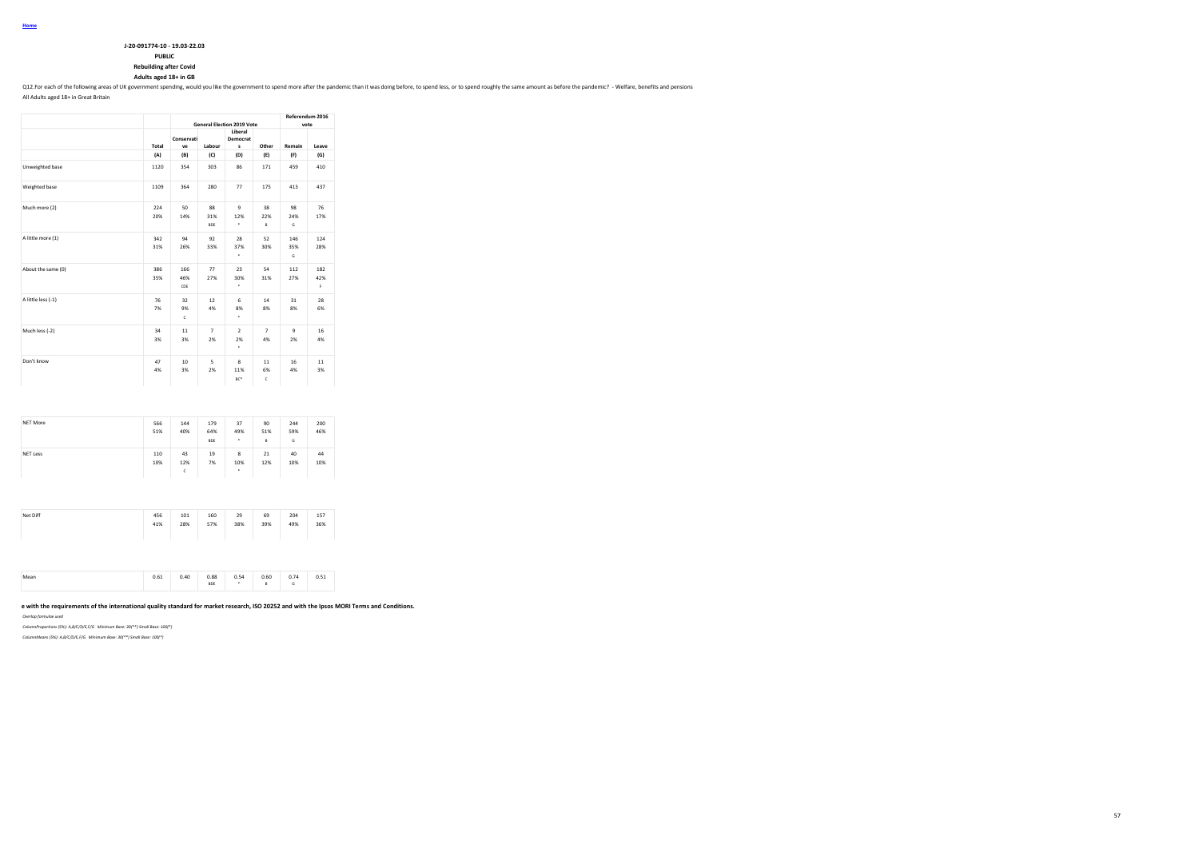| J-20-091774-10 - 19.03-22.03 |
|------------------------------|
| <b>PUBLIC</b>                |

**Rebuilding after Covid**

### **Adults aged 18+ in GB**

Q12.For each of the following areas of UK government spending, would you like the government to spend more after the pandemic than it was doing before, to spend less, or to spend roughly the same amount as before the pande

All Adults aged 18+ in Great Britain

|                    |            |                          |                         | <b>General Election 2019 Vote</b> |                      | vote               | Referendum 2016  |
|--------------------|------------|--------------------------|-------------------------|-----------------------------------|----------------------|--------------------|------------------|
|                    | Total      | Conservati<br>ve         | Labour                  | Liberal<br>Democrat<br>s          | Other                | Remain             | Leave            |
|                    | (A)        | (B)                      | (C)                     | (D)                               | (E)                  | (F)                | (G)              |
| Unweighted base    | 1120       | 354                      | 303                     | 86                                | 171                  | 459                | 410              |
| Weighted base      | 1109       | 364                      | 280                     | 77                                | 175                  | 413                | 437              |
| Much more (2)      | 224<br>20% | 50<br>14%                | 88<br>31%<br><b>BDE</b> | $\overline{9}$<br>12%<br>٠        | 38<br>22%<br>B       | 98<br>24%<br>G     | 76<br>17%        |
| A little more (1)  | 342<br>31% | 94<br>26%                | 92<br>33%               | 28<br>37%<br>٠                    | 52<br>30%            | 146<br>35%<br>G    | 124<br>28%       |
| About the same (0) | 386<br>35% | 166<br>46%<br>CDE        | 77<br>27%               | 23<br>30%<br>٠                    | 54<br>31%            | 112<br>27%         | 182<br>42%<br>F. |
| A little less (-1) | 76<br>7%   | 32<br>9%<br>$\mathsf{c}$ | 12<br>4%                | 6<br>8%<br>٠                      | 14<br>8%             | 31<br>8%           | 28<br>6%         |
| Much less (-2)     | 34<br>3%   | 11<br>3%                 | $\overline{7}$<br>2%    | $\overline{ }$<br>2%<br>٠         | $\overline{7}$<br>4% | $\mathbf{q}$<br>2% | 16<br>4%         |
| Don't know         | 47<br>4%   | 10 <sup>1</sup><br>3%    | 5<br>2%                 | 8<br>11%<br>BC*                   | 11<br>6%<br>c        | 16<br>4%           | 11<br>3%         |

| NET More        | 566<br>51% | 144<br>40%     | 179<br>64%<br><b>BDE</b> | 37<br>49%<br>٠ | 90<br>51%<br>B | 244<br>59%<br>G | 200<br>46% |
|-----------------|------------|----------------|--------------------------|----------------|----------------|-----------------|------------|
| <b>NET Less</b> | 110<br>10% | 43<br>12%<br>c | 19<br>7%                 | 8<br>10%<br>٠  | 21<br>12%      | 40<br>10%       | 44<br>10%  |

| Net Diff | 456 | 101 | 160 | 29  | 69  | 204 | 157 |
|----------|-----|-----|-----|-----|-----|-----|-----|
|          | 41% | 28% | 57% | 38% | 39% | 49% | 36% |

|  | 0.61 | 0.40 | 0.88<br><b>BDE</b> | 0.54 | 0.60<br>. | 0.74 | 0.51 |  |
|--|------|------|--------------------|------|-----------|------|------|--|
|--|------|------|--------------------|------|-----------|------|------|--|

### **This work was carried out in accordance with the requirements of the international quality standard for market research, ISO 20252 and with the Ipsos MORI Terms and Conditions.**

*Overlap formulae used*

*ColumnProportions (5%): A,B/C/D/E,F/G Minimum Base: 30(\*\*) Small Base: 100(\*)*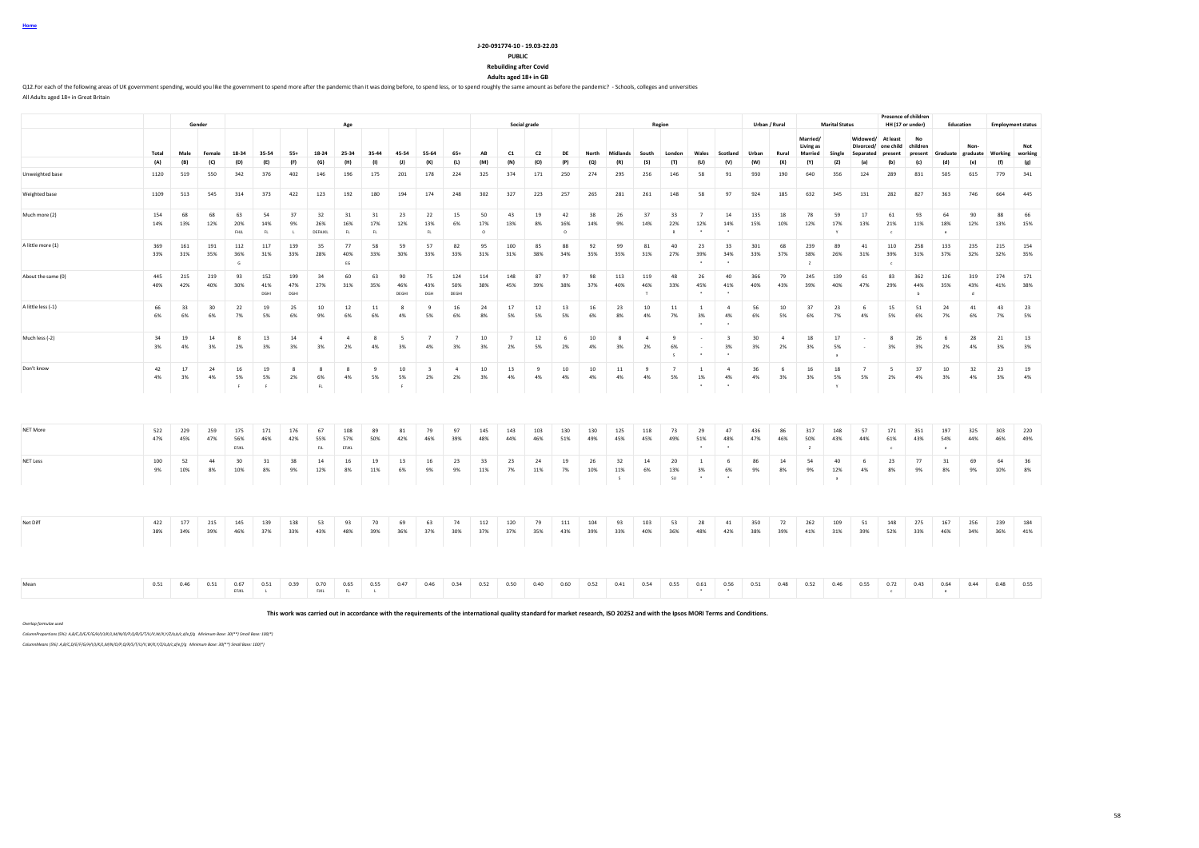| Home |  |
|------|--|
|      |  |

**Rebuilding after Covid**

**Adults aged 18+ in GB**

Q12.For each of the following areas of UK government spending, would you like the government to spend more after the pandemic than it was doing before, to spend less, or to spend roughly the same amount as before the pande All Adults aged 18+ in Great Britain

|                    |            |            | Gender                |                     |                    |                          |                          | Age                  |                 |                    |                               |                      |                         |                      | Social grade       |                       |            |                |                 | Region                    |                                            |                                   |                       | Urban / Rural |                             | <b>Marital Status</b>       |                      |                                | <b>Presence of children</b><br>HH (17 or under) |                          | Education                  |                                   | <b>Employment status</b> |
|--------------------|------------|------------|-----------------------|---------------------|--------------------|--------------------------|--------------------------|----------------------|-----------------|--------------------|-------------------------------|----------------------|-------------------------|----------------------|--------------------|-----------------------|------------|----------------|-----------------|---------------------------|--------------------------------------------|-----------------------------------|-----------------------|---------------|-----------------------------|-----------------------------|----------------------|--------------------------------|-------------------------------------------------|--------------------------|----------------------------|-----------------------------------|--------------------------|
|                    |            |            |                       |                     |                    |                          |                          |                      |                 |                    |                               |                      |                         |                      |                    |                       |            |                |                 |                           |                                            |                                   |                       |               | Married/                    |                             |                      | Widowed/ At least              | No                                              |                          |                            |                                   |                          |
|                    | Total      | Male       | Female                | 18-34               | 35-54              | $55+$                    | 18-24                    | 25-34                | 35-44           | 45-54              | 55-64                         | $65+$                | AB                      | C1                   | C <sub>2</sub>     | DE                    | North      | Midlands       | South           | London                    | Wales                                      | Scotland                          | Urban                 | Rural         | Living as<br><b>Married</b> | Single                      | Separated            | Divorced/ one child<br>present | children                                        |                          | Non-                       | present Graduate graduate Working | Not<br>working           |
|                    | (A)        | (B)        | (C)                   | (D)                 | (E)                | (F)                      | (G)                      | (H)                  | (1)             | (1)                | (K)                           | (L)                  | (M)                     | (N)                  | (O)                | (P)                   | (Q)        | (R)            | (S)             | (T)                       | (U)                                        | (V)                               | (W)                   | (X)           | (Y)                         | (2)                         | (a)                  | (b)                            | (c)                                             | (d)                      | (e)                        | (f)                               | (g)                      |
| Unweighted base    | 1120       | 519        | 550                   | 342                 | 376                | 402                      | 146                      | 196                  | 175             | 201                | 178                           | 224                  | 325                     | 374                  | 171                | 250                   | 274        | 295            | 256             | 146                       | 58                                         | 91                                | 930                   | 190           | 640                         | 356                         | 124                  | 289                            | 831                                             | 505                      | 615                        | 779                               | 341                      |
| Weighted base      | 1109       | 513        | 545                   | 314                 | 373                | 422                      | 123                      | 192                  | 180             | 194                | 174                           | 248                  | 302                     | 327                  | 223                | 257                   | 265        | 281            | 261             | 148                       | 58                                         | 97                                | 924                   | 185           | 632                         | 345                         | 131                  | 282                            | 827                                             | 363                      | 746                        | 664                               | 445                      |
| Much more (2)      | 154<br>14% | 68<br>13%  | 68<br>12%             | 63<br>20%<br>FHIL   | 54<br>14%<br>FL.   | 37<br>9%<br>$\mathbf{L}$ | 32<br>26%<br>DEFHJKL     | 31<br>16%<br>FL      | 31<br>17%<br>FL | 23<br>12%          | 22<br>13%<br>FL.              | 15<br>6%             | 50<br>17%<br>$^{\circ}$ | 43<br>13%            | 19<br>8%           | 42<br>16%<br>$\Omega$ | 38<br>14%  | 26<br>9%       | 37<br>14%       | 33<br>22%<br>$\mathbb{R}$ | $\overline{7}$<br>12%<br>$\cdot$           | 14<br>14%<br>$\cdot$              | 135<br>15%            | 18<br>10%     | 78<br>12%                   | 59<br>17%<br>$\mathbf{v}$   | 17<br>13%            | 61<br>21%<br>$\epsilon$        | 93<br>11%                                       | 64<br>18%<br>$\epsilon$  | 90<br>12%                  | 88<br>13%                         | 66<br>15%                |
| A little more (1)  | 369<br>33% | 161<br>31% | 191<br>35%            | 112<br>36%<br>G     | 117<br>31%         | 139<br>33%               | 35<br>28%                | 77<br>40%<br>EG      | 58<br>33%       | 59<br>30%          | 57<br>33%                     | 82<br>33%            | 95<br>31%               | 100<br>31%           | 85<br>38%          | 88<br>34%             | 92<br>35%  | 99<br>35%      | 81<br>31%       | 40<br>27%                 | 23<br>39%                                  | 33<br>34%                         | 301<br>33%            | 68<br>37%     | 239<br>38%<br>$\mathbf{z}$  | 89<br>26%                   | 41<br>31%            | 110<br>39%<br>$\epsilon$       | 258<br>31%                                      | 133<br>37%               | 235<br>32%                 | 215<br>32%                        | 154<br>35%               |
| About the same (0) | 445<br>40% | 215<br>42% | 219<br>40%            | 93<br>30%           | 152<br>41%<br>DGHI | 199<br>47%<br>DGHI       | 34<br>27%                | 60<br>31%            | 63<br>35%       | 90<br>46%<br>DEGHI | 75<br>43%<br>DGH              | 124<br>50%<br>DEGHI  | 114<br>38%              | 148<br>45%           | 87<br>39%          | 97<br>38%             | 98<br>37%  | 113<br>40%     | 119<br>46%<br>T | 48<br>33%                 | 26<br>45%                                  | 40<br>41%                         | 366<br>40%            | 79<br>43%     | 245<br>39%                  | 139<br>40%                  | 61<br>47%            | 83<br>29%                      | 362<br>44%<br>$\overline{b}$                    | 126<br>35%               | 319<br>43%<br>$\mathsf{d}$ | 274<br>41%                        | 171<br>38%               |
| A little less (-1) | 66<br>6%   | 33<br>6%   | 30 <sub>o</sub><br>6% | 22<br>7%            | 19<br>5%           | 25<br>6%                 | 10<br>9%                 | 12<br>6%             | $11\,$<br>6%    | -8<br>4%           | 9<br>5%                       | 16<br>6%             | 24<br>8%                | 17<br>5%             | 12<br>5%           | 13<br>5%              | 16<br>6%   | 23<br>8%       | $10$<br>4%      | $11\,$<br>7%              | $\overline{1}$<br>3%                       | $\mathbf{A}$<br>4%                | 56<br>6%              | 10<br>5%      | 37<br>6%                    | 23<br>7%                    | 6<br>4%              | 15<br>5%                       | 51<br>6%                                        | 24<br>7%                 | 41<br>6%                   | 43<br>7%                          | 23<br>5%                 |
| Much less (-2)     | 34<br>3%   | 19<br>4%   | 14<br>3%              | -8<br>2%            | 13<br>3%           | 14<br>3%                 | $\overline{4}$<br>3%     | $\overline{4}$<br>2% | -8<br>4%        | 5<br>3%            | 7<br>4%                       | $\overline{7}$<br>3% | 10<br>3%                | $\overline{7}$<br>2% | 12<br>5%           | 6<br>2%               | 10<br>4%   | 8<br>3%        | $\sim$<br>2%    | -9<br>6%<br>$\mathsf{s}$  |                                            | $\overline{\mathbf{3}}$<br>3%     | 30 <sub>o</sub><br>3% | $\sim$<br>2%  | 18<br>3%                    | 17<br>5%<br>$\overline{a}$  | $\sim$<br>$\sim$     | 8<br>3%                        | 26<br>3%                                        | 6<br>2%                  | 28<br>4%                   | 21<br>3%                          | 13<br>3%                 |
| Don't know         | 42<br>4%   | 17<br>3%   | 24<br>4%              | 16<br>5%<br>- F     | 19<br>5%<br>F      | 8<br>2%                  | 8<br>6%<br>$\mathsf{FL}$ | 8<br>4%              | 9<br>5%         | 10<br>5%<br>F      | $\overline{\mathbf{3}}$<br>2% | $\overline{4}$<br>2% | 10<br>3%                | 13<br>4%             | $\mathbf{q}$<br>4% | 10<br>4%              | 10<br>4%   | 11<br>4%       | 9<br>4%         | $\overline{7}$<br>5%      | <sup>1</sup><br>1%<br>$\bullet$            | $\overline{a}$<br>4%<br>$\bullet$ | 36<br>4%              | 6<br>3%       | 16<br>3%                    | 18<br>5%<br>Y               | $\overline{7}$<br>5% | 5<br>2%                        | 37<br>4%                                        | 10<br>3%                 | 32<br>4%                   | 23<br>3%                          | 19<br>4%                 |
|                    |            |            |                       |                     |                    |                          |                          |                      |                 |                    |                               |                      |                         |                      |                    |                       |            |                |                 |                           |                                            |                                   |                       |               |                             |                             |                      |                                |                                                 |                          |                            |                                   |                          |
| NET More           | 522<br>47% | 229<br>45% | 259<br>47%            | 175<br>56%<br>EFJKL | 171<br>46%         | 176<br>42%               | 67<br>55%<br><b>FJL</b>  | 108<br>57%<br>EFJKL  | 89<br>50%       | 81<br>42%          | 79<br>46%                     | 97<br>39%            | 145<br>48%              | 143<br>44%           | 103<br>46%         | 130<br>51%            | 130<br>49% | 125<br>45%     | 118<br>45%      | 73<br>49%                 | 29<br>51%<br>$\ddot{\phantom{1}}$          | 47<br>48%<br>$\ddot{\phantom{1}}$ | 436<br>47%            | 86<br>46%     | 317<br>50%<br>$\mathbb{Z}$  | 148<br>43%                  | 57<br>44%            | 171<br>61%<br>$\epsilon$       | 351<br>43%                                      | 197<br>54%<br>$\epsilon$ | 325<br>44%                 | 303<br>46%                        | 220<br>49%               |
| <b>NET Less</b>    | 100<br>9%  | 52<br>10%  | 44<br>8%              | 30<br>10%           | 31<br>8%           | 38<br>9%                 | 14<br>12%                | 16<br>8%             | 19<br>11%       | 13<br>6%           | 16<br>9%                      | 23<br>9%             | 33<br>11%               | 23<br>7%             | 24<br>11%          | 19<br>7%              | 26<br>10%  | 32<br>11%<br>S | 14<br>6%        | 20<br>13%<br>SU           | <sup>1</sup><br>3%<br>$\ddot{\phantom{1}}$ | -6<br>6%<br>$\ddot{\phantom{1}}$  | 86<br>9%              | 14<br>8%      | 54<br>9%                    | 40<br>12%<br>$\overline{a}$ | 6<br>4%              | 23<br>8%                       | 77<br>9%                                        | 31<br>8%                 | 69<br>9%                   | 64<br>10%                         | 36<br>8%                 |
|                    |            |            |                       |                     |                    |                          |                          |                      |                 |                    |                               |                      |                         |                      |                    |                       |            |                |                 |                           |                                            |                                   |                       |               |                             |                             |                      |                                |                                                 |                          |                            |                                   |                          |
| Net Diff           | 422<br>38% | 177<br>34% | 215<br>39%            | 145<br>46%          | 139<br>37%         | 138<br>33%               | 53<br>43%                | 93<br>48%            | 70<br>39%       | 69<br>36%          | 63<br>37%                     | 74<br>30%            | 112<br>37%              | 120<br>37%           | 79<br>35%          | 111<br>43%            | 104<br>39% | 93<br>33%      | 103<br>40%      | 53<br>36%                 | 28<br>48%                                  | 41<br>42%                         | 350<br>38%            | 72<br>39%     | 262<br>41%                  | 109<br>31%                  | 51<br>39%            | 148<br>52%                     | 275<br>33%                                      | 167<br>46%               | 256<br>34%                 | 239<br>36%                        | 184<br>41%               |
|                    |            |            |                       |                     |                    |                          |                          |                      |                 |                    |                               |                      |                         |                      |                    |                       |            |                |                 |                           |                                            |                                   |                       |               |                             |                             |                      |                                |                                                 |                          |                            |                                   |                          |
| Mean               | 0.51       | 0.46       | 0.51                  | 0.67<br>EFJKL       | 0.51<br>L          | 0.39                     | 0.70<br>FJKL             | 0.65<br>FL           | 0.55<br>L       | 0.47               | 0.46                          | 0.34                 | 0.52                    | 0.50                 | 0.40               | 0.60                  | 0.52       | 0.41           | 0.54            | 0.55                      | 0.61<br>$\bullet$                          | 0.56<br>$\bullet$                 | 0.51                  | 0.48          | 0.52                        | 0.46                        | 0.55                 | 0.72<br>$\sim$ 0.              | 0.43                                            | 0.64<br>$^{\circ}$       | 0.44                       | 0.48                              | 0.55                     |

**This work was carried out in accordance with the requirements of the international quality standard for market research, ISO 20252 and with the Ipsos MORI Terms and Conditions.**

*Overlap formulae used*

*ColumnProportions (5%): A,B/C,D/E/F/G/H/I/J/K/L,M/N/O/P,Q/R/S/T/U/V,W/X,Y/Z/a,b/c,d/e,f/g Minimum Base: 30(\*\*) Small Base: 100(\*)*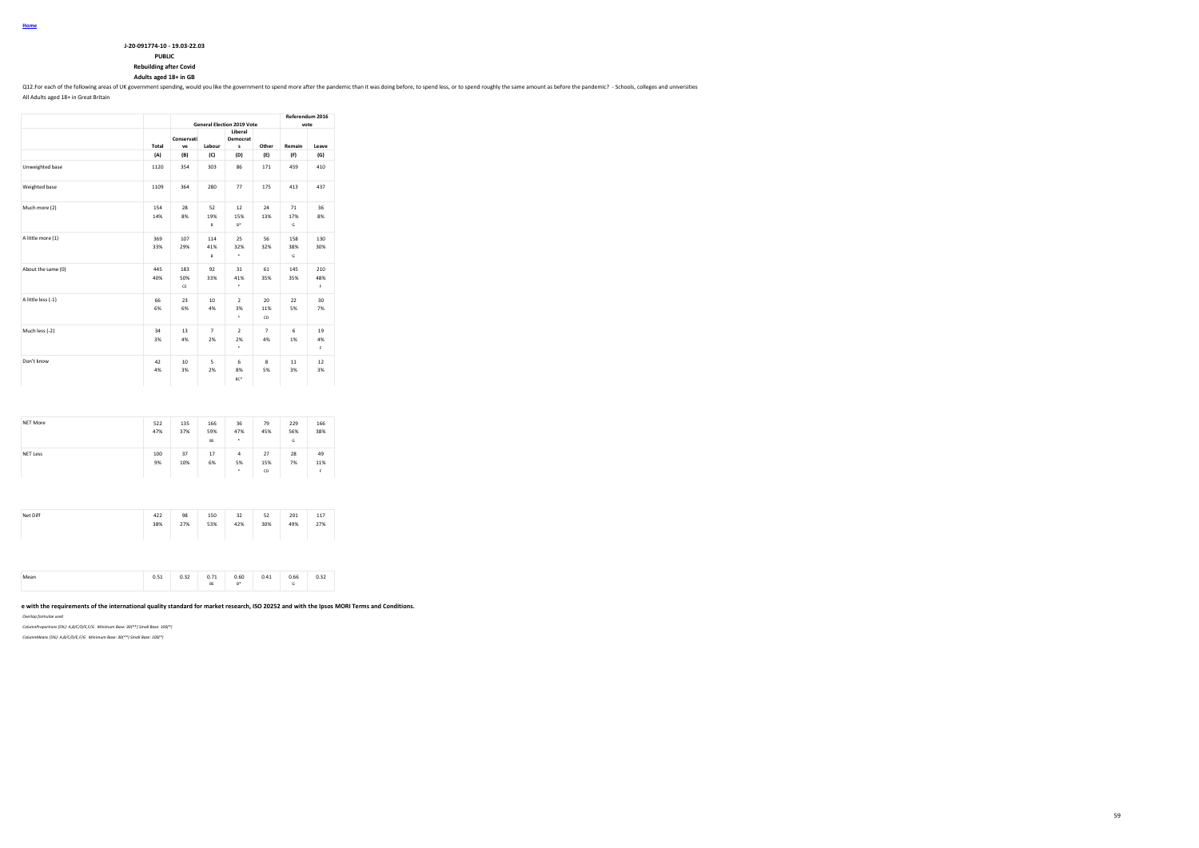| J-20-091774-10 - 19.03-22.03  |
|-------------------------------|
| <b>PUBLIC</b>                 |
| <b>Rebuilding after Covid</b> |

### **Adults aged 18+ in GB**

Q12.For each of the following areas of UK government spending, would you like the government to spend more after the pandemic than it was doing before, to spend less, or to spend reoughly the same amount as before the pand

All Adults aged 18+ in Great Britain

|                    |            |                  |                        | <b>General Election 2019 Vote</b> |                      | Referendum 2016<br>vote |                  |
|--------------------|------------|------------------|------------------------|-----------------------------------|----------------------|-------------------------|------------------|
|                    | Total      | Conservati<br>ve | Labour                 | Liberal<br>Democrat<br>s          | Other                | Remain                  | Leave            |
|                    | (A)        | (B)              | (C)                    | (D)                               | (E)                  | (F)                     | (G)              |
| Unweighted base    | 1120       | 354              | 303                    | 86                                | 171                  | 459                     | 410              |
| Weighted base      | 1109       | 364              | 280                    | 77                                | 175                  | 413                     | 437              |
| Much more (2)      | 154<br>14% | 28<br>8%         | 52<br>19%<br>B         | 12<br>15%<br>$B^*$                | 24<br>13%            | 71<br>17%<br>G          | 36<br>8%         |
| A little more (1)  | 369<br>33% | 107<br>29%       | 114<br>41%<br>B        | 25<br>32%<br>٠                    | 56<br>32%            | 158<br>38%<br>G         | 130<br>30%       |
| About the same (0) | 445<br>40% | 183<br>50%<br>CE | 92<br>33%              | 31<br>41%<br>٠                    | 61<br>35%            | 145<br>35%              | 210<br>48%<br>F. |
| A little less (-1) | 66<br>6%   | 23<br>6%         | 10 <sup>10</sup><br>4% | $\mathcal{L}$<br>3%<br>٠          | 20<br>11%<br>CD      | 22<br>5%                | 30<br>7%         |
| Much less (-2)     | 34<br>3%   | 13<br>4%         | $\overline{7}$<br>2%   | $\overline{ }$<br>2%<br>٠         | $\overline{7}$<br>4% | 6<br>1%                 | 19<br>4%<br>F.   |
| Don't know         | 42<br>4%   | 10<br>3%         | 5<br>2%                | 6<br>8%<br>BC*                    | 8<br>5%              | 11<br>3%                | 12<br>3%         |

| NET More        | 522<br>47% | 135<br>37% | 166<br>59%<br>BE | 36<br>47%<br>٠                    | 79<br>45%       | 229<br>56%<br>G | 166<br>38%      |
|-----------------|------------|------------|------------------|-----------------------------------|-----------------|-----------------|-----------------|
| <b>NET Less</b> | 100<br>9%  | 37<br>10%  | 17<br>6%         | $\overline{a}$<br>5%<br>$\bullet$ | 27<br>15%<br>CD | 28<br>7%        | 49<br>11%<br>F. |
| Net Diff        | 422        | 98         | 150              | 32                                | 52              | 201             | 117             |

| Mean | 0.51 | 0.32 | 0.71<br>BE | 0.60<br>$B^*$ | 0.41 | 0.66<br>G | 0.32 |  |
|------|------|------|------------|---------------|------|-----------|------|--|

#### e with the requirements of the international quality standard for market research, ISO 20252 and with the Ipsos MORI Terms and Conditions.

*Overlap formulae used*

*ColumnProportions (5%): A,B/C/D/E,F/G Minimum Base: 30(\*\*) Small Base: 100(\*)*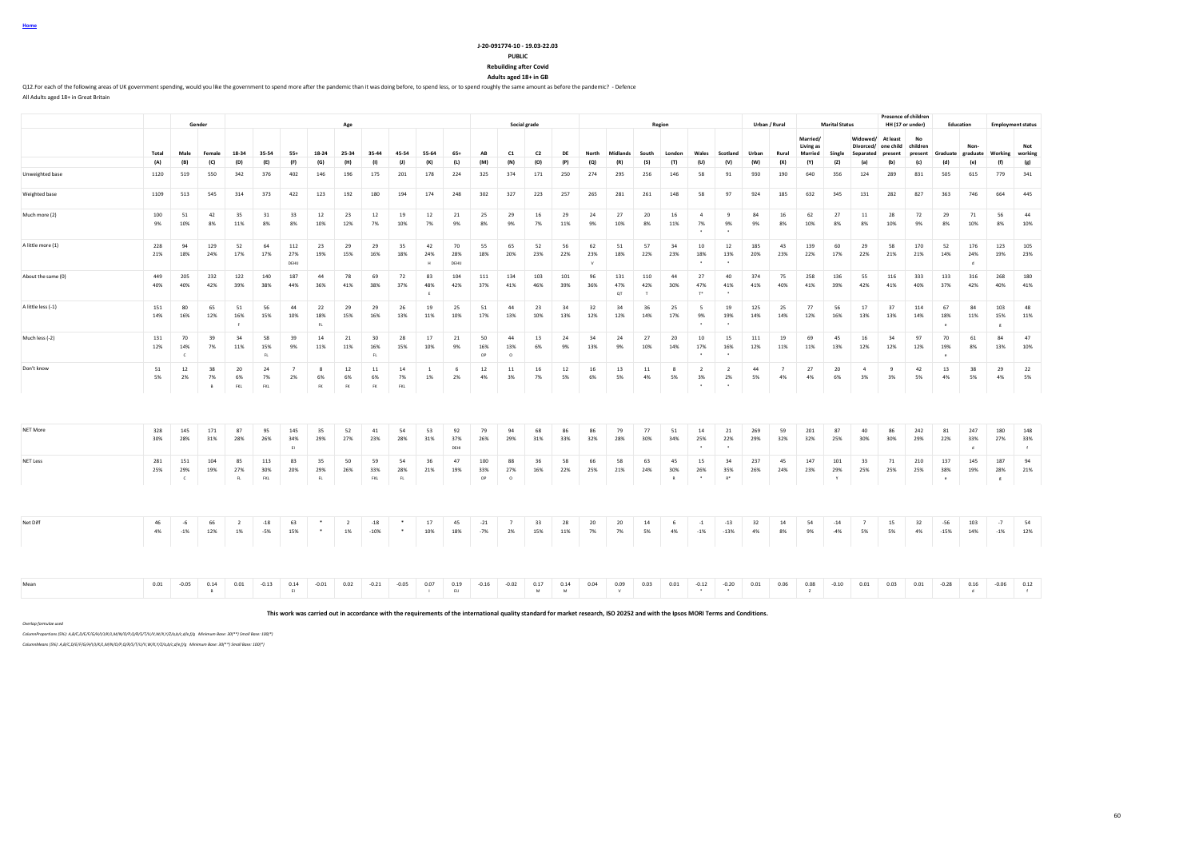|--|

**Rebuilding after Covid**

**Adults aged 18+ in GB**

Q12.For each of the following areas of UK government spending, would you like the government to spend more after the pandemic than it was doing before, to spend less, or to spend roughly the same amount as before the pande All Adults aged 18+ in Great Britain

**Gender Age Social grade Region Urban / Rural Marital Status Presence of children**<br>**HH (17 or under) HH (17 or under) Education Employment status** Total Male Female 18-34 35-54 55+ 18-24 25-34 35-44 45-54 55-64 65+ AB C1 C2 DE North Midlands South London Wales Scotland Urban Rural **Married/ Living as Married Single Widowed/ At least Divorced/ one child Separated present No children present Graduate Nongraduate Working Not working** (A) (B) (C) (D) (E) (F) (G) (H) (I) (J) (K) (L) (M) (N) (O) (P) (Q) (R) (S) (T) (U) (V) (W) (X) (Y) (Z) (a) (b) (c) (d) (e) (f) (g) Unweighted base 1120 519 550 342 376 402 146 196 175 201 178 224 325 374 171 250 274 295 256 146 58 91 930 190 640 356 124 289 831 505 615 779 341 Weighted base 1109 513 545 314 373 422 123 192 180 194 174 248 302 327 223 257 265 281 261 148 58 97 924 185 632 345 131 282 827 363 746 664 445 Much more (2) 100 51 42 35 31 33 12 23 12 19 12 21 25 29 16 29 24 27 20 16 4 9 84 16 62 27 11 28 72 29 71 56 44 9% 10% 8% 11% 8% 8% 10% 12% 7% 10% 7% 9% 8% 9% 7% 11% 9% 10% 8% 11% 7% 9% 9% 8% 10% 8% 8% 10% 9% 8% 10% 8% 10% \* \* A little more (1) 228 94 129 52 64 112 23 29 29 35 42 70 55 65 52 56 62 51 57 34 10 12 185 43 139 60 29 58 170 52 176 123 105 21% 18% 24% 17% 17% 27% 19% 15% 16% 18% 24% 28% 18% 20% 23% 22% 23% 18% 22% 23% 18% 13% 20% 23% 22% 17% 22% 21% 21% 14% 24% 19% 23% DEHIJ H DEHIJ H DEHIJ H DEHIJ H J H J V H J H J <sup>+</sup> ' ' | | | | | | | | | | | | About the same (0) 449 205 232 122 140 187 44 78 69 72 83 104 111 134 103 101 96 131 110 44 27 40 374 75 258 136 55 116 333 133 316 268 180 40% 40% 42% 39% 38% 44% 36% 41% 38% 37% 48% 42% 37% 41% 46% 39% 36% 47% 42% 30% 47% 41% 41% 40% 41% 39% 42% 41% 40% 37% 42% 40% 41%  $E$  to the contract of  $\alpha$  and  $\alpha$  the contract of  $\alpha$ A little less (-1) 151 80 65 51 56 44 22 29 29 26 19 25 51 44 23 34 32 34 36 25 5 19 125 25 77 56 17 37 114 67 84 103 48 14% 16% 12% 16% 15% 10% 18% 15% 16% 13% 11% 10% 17% 13% 10% 13% 12% 12% 14% 17% 9% 19% 14% 14% 12% 16% 13% 13% 14% 18% 11% 15% 11% F FL \* \* e g Much less (-2) 131 70 39 34 58 39 14 21 30 28 17 21 50 44 13 24 34 24 27 20 10 15 111 19 69 45 16 34 97 70 61 84 47 12% 14% 7% 11% 15% 9% 11% 11% 16% 15% 10% 9% 16% 13% 6% 9% 13% 9% 10% 14% 17% 16% 12% 11% 11% 13% 12% 12% 12% 19% 8% 13% 10% C FL FL OP O \* \* e Don't know 51 12 38 20 24 7 8 12 11 14 1 6 12 11 16 12 16 13 11 8 2 2 44 7 27 20 4 9 42 13 38 29 22 5% 2% 7% 6% 7% 2% 6% 6% 6% 7% 1% 2% 4% 3% 7% 5% 6% 5% 4% 5% 3% 2% 5% 4% 4% 6% 3% 3% 5% 4% 5% 4% 5% B FKL FKL FK FK FK FKL \* \* NET More 328 145 171 87 95 145 35 52 41 54 53 92 79 94 68 86 86 79 77 51 14 21 269 59 201 87 40 86 242 81 247 180 148 30% 28% 31% 28% 26% 34% 29% 27% 23% 28% 31% 37% 26% 29% 31% 33% 32% 28% 30% 34% 25% 22% 29% 32% 32% 25% 30% 30% 29% 22% 33% 27% 33% EI DEHI DEHI DEHI DEHI DEHI DELENA DENGAN DENGAN DENGAN DENGAN DENGAN DENGAN DENGAN DENGAN DENGAN DENGAN DENGA NET Less 281 151 104 85 113 83 35 50 59 54 36 47 100 88 36 58 66 58 63 45 15 34 237 45 147 101 33 71 210 137 145 187 94 25% 29% 19% 27% 30% 20% 29% 26% 33% 28% 21% 19% 33% 27% 16% 22% 25% 21% 24% 30% 26% 35% 26% 24% 23% 29% 25% 25% 25% 38% 19% 28% 21% C FL FKL FL FKL FL OP O R \* R\* Y e g Net Diff 46 -6 66 2 -18 63 \* 2 -18 \* 17 45 -21 7 33 28 20 20 14 6 -1 -13 32 14 54 -14 7 15 32 -56 103 -7 54 4% -1% 12% 1% -5% 15% \* 1% -10% \* 10% 18% -7% 2% 15% 11% 7% 7% 5% 4% -1% -13% 4% 8% 9% -4% 5% 5% 4% -15% 14% -1% 12% Mean 1980 0.01 0.05 0.14 0.01 0.13 0.14 0.01 0.02 0.21 0.05 0.07 0.19 0.16 0.02 0.17 0.14 0.04 0.09 0.03 0.01 0.12 0.20 0.01 0.05 0.01 0.08 0.01 0.03 0.01 0.28 0.16 0.06 0.12 B EI BILD I FULLEUIL MIMIUS VIII-LIII ALLANDI III ALLANDI H

**This work was carried out in accordance with the requirements of the international quality standard for market research, ISO 20252 and with the Ipsos MORI Terms and Conditions.**

*Overlap formulae used*

*ColumnProportions (5%): A,B/C,D/E/F/G/H/I/J/K/L,M/N/O/P,Q/R/S/T/U/V,W/X,Y/Z/a,b/c,d/e,f/g Minimum Base: 30(\*\*) Small Base: 100(\*)*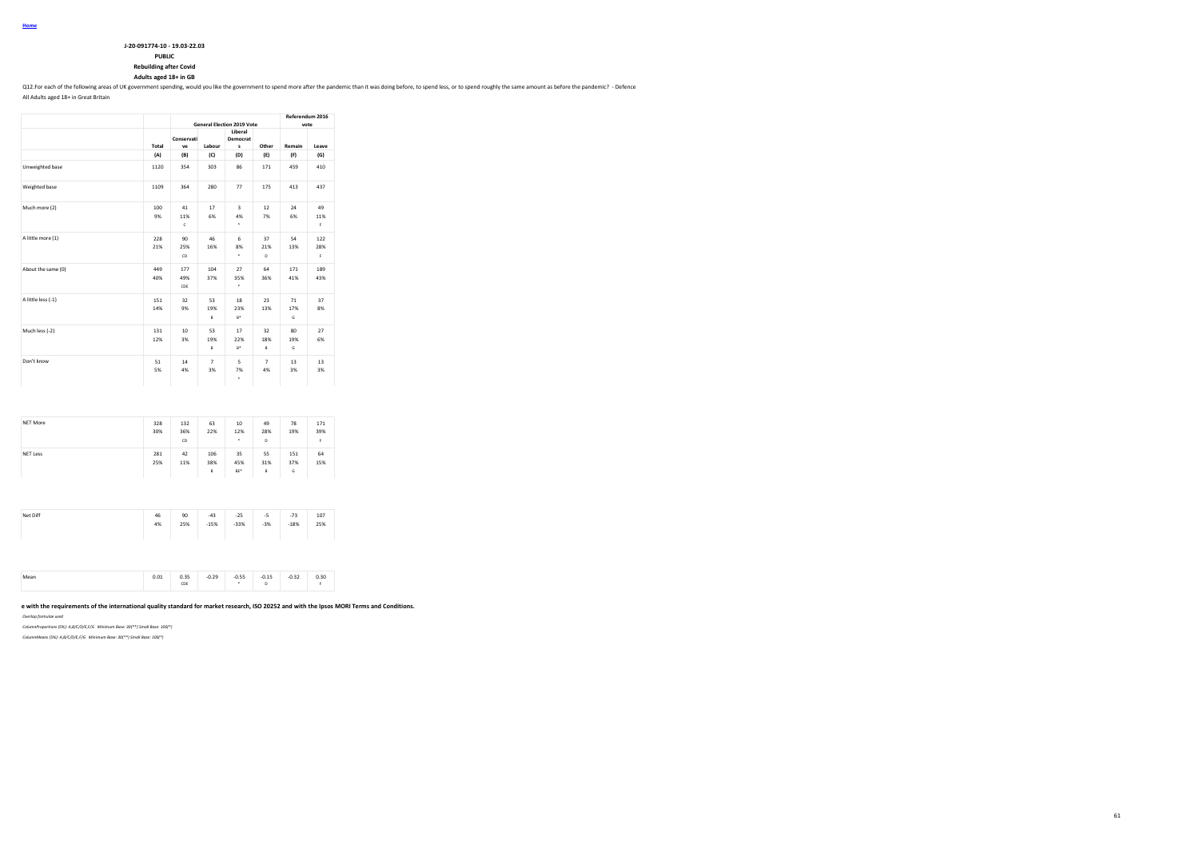| J-20-091774-10 - 19.03-22.03 |
|------------------------------|
| <b>DUDIT</b>                 |

**PUBLIC Rebuilding after Covid**

**Adults aged 18+ in GB**

Q12.For each of the following areas of UK government spending, would you like the government to spend more after the pandemic than it was doing before, to spend less, or to spend roughly the same amount as before the pande

All Adults aged 18+ in Great Britain

|                    |            |                   |                      | <b>General Election 2019 Vote</b>  |                      | Referendum 2016<br>vote |                  |
|--------------------|------------|-------------------|----------------------|------------------------------------|----------------------|-------------------------|------------------|
|                    | Total      | Conservati<br>ve  | Labour               | Liberal<br>Democrat<br>s           | Other                | Remain                  | Leave            |
|                    | (A)        | (B)               | (C)                  | (D)                                | (E)                  | (F)                     | (G)              |
| Unweighted base    | 1120       | 354               | 303                  | 86                                 | 171                  | 459                     | 410              |
| Weighted base      | 1109       | 364               | 280                  | 77                                 | 175                  | 413                     | 437              |
| Much more (2)      | 100<br>9%  | 41<br>11%<br>c    | 17<br>6%             | $\overline{\mathbf{3}}$<br>4%<br>٠ | 12<br>7%             | 24<br>6%                | 49<br>11%<br>F.  |
| A little more (1)  | 228<br>21% | 90<br>25%<br>CD   | 46<br>16%            | 6<br>8%<br>٠                       | 37<br>21%<br>D       | 54<br>13%               | 122<br>28%<br>F. |
| About the same (0) | 449<br>40% | 177<br>49%<br>CDE | 104<br>37%           | 27<br>35%<br>٠                     | 64<br>36%            | 171<br>41%              | 189<br>43%       |
| A little less (-1) | 151<br>14% | 32<br>9%          | 53<br>19%<br>B       | 18<br>23%<br>$B^*$                 | 23<br>13%            | 71<br>17%<br>G          | 37<br>8%         |
| Much less (-2)     | 131<br>12% | 10<br>3%          | 53<br>19%<br>B       | 17<br>22%<br>$B^*$                 | 32<br>18%<br>B       | 80<br>19%<br>G          | 27<br>6%         |
| Don't know         | 51<br>5%   | 14<br>4%          | $\overline{7}$<br>3% | 5<br>7%<br>٠                       | $\overline{7}$<br>4% | 13<br>3%                | 13<br>3%         |

| 281<br>25% | 42  | 106      | 35                     |                |                 |            |
|------------|-----|----------|------------------------|----------------|-----------------|------------|
|            | 11% | 38%<br>B | 45%<br>BE <sup>*</sup> | 55<br>31%<br>B | 151<br>37%<br>G | 64<br>15%  |
| 46         | 90  | $-43$    | $-25$                  | $-5$           | $-73$           | 107<br>25% |
|            | 4%  | 25%      | $-15%$                 | $-33%$         | $-3%$           | $-18%$     |

|  | 0.01 | n 35<br>ບ. ວມ<br>.<br>CDE<br>--- | 0.29 | $-0.55$ | $-0.15$ | o aa<br>٠<br>-0.34 | 0.30 |
|--|------|----------------------------------|------|---------|---------|--------------------|------|
|--|------|----------------------------------|------|---------|---------|--------------------|------|

### **This work was carried out in accordance with the requirements of the international quality standard for market research, ISO 20252 and with the Ipsos MORI Terms and Conditions.**

*Overlap formulae used*

*ColumnProportions (5%): A,B/C/D/E,F/G Minimum Base: 30(\*\*) Small Base: 100(\*)*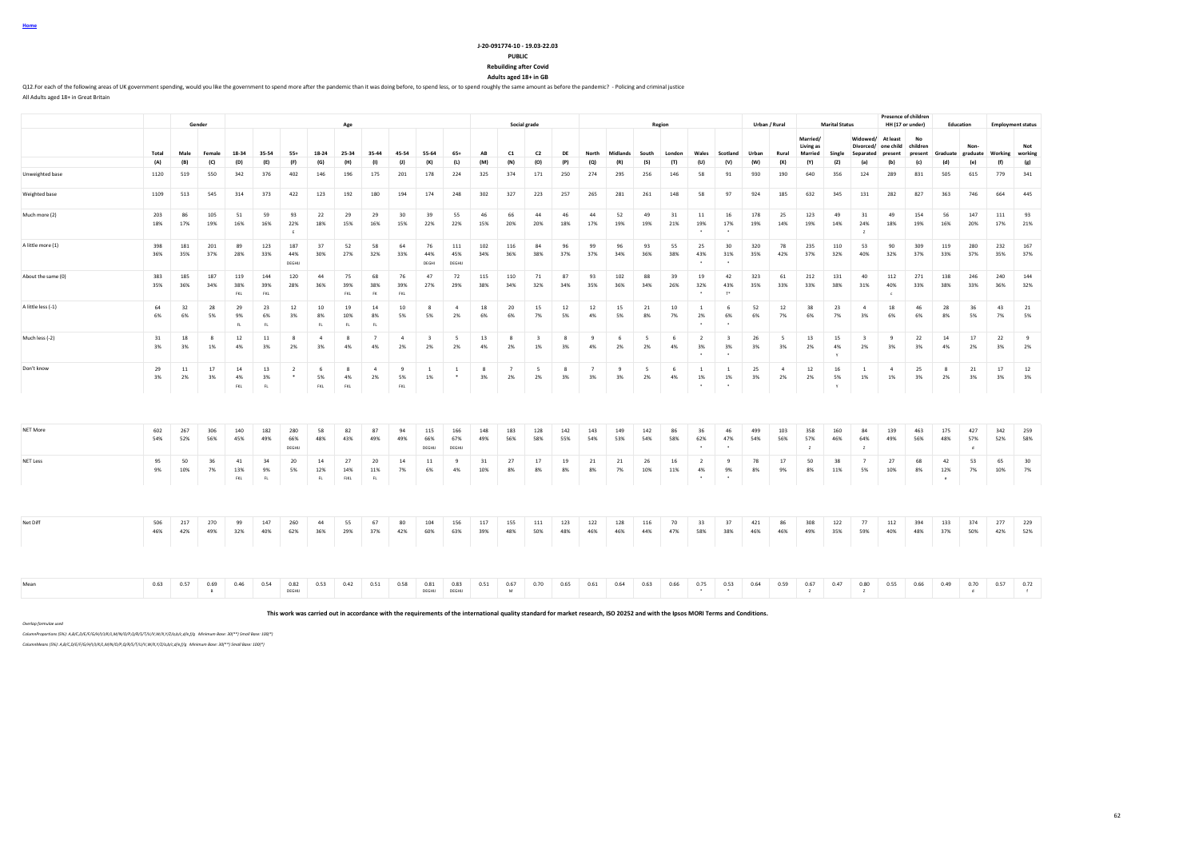| Home |  |
|------|--|
|      |  |

**Rebuilding after Covid**

**Adults aged 18+ in GB**

Q12.For each of the following areas of UK government spending, would you like the government to spend more after the pandemic than it was doing before, to spend less, or to spend roughly the same amount as before the pande All Adults aged 18+ in Great Britain

|                    |             |            | Gender     |                   |                   |                      |                      | Age               |                        |                             |                               |                                |            |                       | Social grade                  |                    |                      |                    |                      | Region     |                                        |                                            |            | Urban / Rural |                                  | <b>Marital Status</b>    |                               | <b>Presence of children</b><br>HH (17 or under)    |               |                         | Education       |            | <b>Employment status</b> |
|--------------------|-------------|------------|------------|-------------------|-------------------|----------------------|----------------------|-------------------|------------------------|-----------------------------|-------------------------------|--------------------------------|------------|-----------------------|-------------------------------|--------------------|----------------------|--------------------|----------------------|------------|----------------------------------------|--------------------------------------------|------------|---------------|----------------------------------|--------------------------|-------------------------------|----------------------------------------------------|---------------|-------------------------|-----------------|------------|--------------------------|
|                    | Total       | Male       | Female     | 18-34             | 35-54             | $55+$                | 18-24                | 25-34             | 35-44                  | 45-54                       | 55-64                         | $65+$                          | AB         | C1                    | C <sub>2</sub>                | DE                 | North                | Midlands           | South                | London     | Wales                                  | Scotland                                   | Urban      | Rural         | Married/<br>Living as<br>Married | Single                   | Divorced/<br>Separated        | Widowed/ At least<br>one child children<br>present | No<br>present | Graduate graduate       | Non-            |            | Not<br>Working working   |
| Unweighted base    | (A)<br>1120 | (B)<br>519 | (C)<br>550 | (D)<br>342        | (E)<br>376        | (F)<br>402           | (G)<br>146           | (H)<br>196        | (1)<br>175             | (1)<br>201                  | (K)<br>178                    | (L)<br>224                     | (M)<br>325 | (N)<br>374            | (O)<br>171                    | (P)<br>250         | Q <br>274            | (R)<br>295         | (S)<br>256           | (T)<br>146 | (U)<br>58                              | (V)<br>91                                  | (W)<br>930 | (X)<br>190    | (Y)<br>640                       | (2)<br>356               | (a)<br>124                    | (b)<br>289                                         | (c)<br>831    | (d)<br>505              | (e)<br>615      | (f)<br>779 | (g)<br>341               |
| Weighted base      | 1109        | 513        | 545        | 314               | 373               | 422                  | 123                  | 192               | 180                    | 194                         | 174                           | 248                            | 302        | 327                   | 223                           | 257                | 265                  | 281                | 261                  | 148        | 58                                     | 97                                         | 924        | 185           | 632                              | 345                      | 131                           | 282                                                | 827           | 363                     | 746             | 664        | 445                      |
| Much more (2)      | 203<br>18%  | 86<br>17%  | 105<br>19% | 51<br>16%         | 59<br>16%         | 93<br>22%            | 22<br>18%            | 29<br>15%         | 29<br>16%              | 30<br>15%                   | 39<br>22%                     | 55<br>22%                      | 46<br>15%  | 66<br>20%             | 44<br>20%                     | 46<br>18%          | 44<br>17%            | 52<br>19%          | 49<br>19%            | 31<br>21%  | 11<br>19%                              | 16<br>17%                                  | 178<br>19% | 25<br>14%     | 123<br>19%                       | 49<br>14%                | 31<br>24%<br>z                | 49<br>18%                                          | 154<br>19%    | 56<br>16%               | 147<br>20%      | 111<br>17% | 93<br>21%                |
| A little more (1)  | 398<br>36%  | 181<br>35% | 201<br>37% | 89<br>28%         | 123<br>33%        | 187<br>44%<br>DEGHIJ | 37<br>30%            | 52<br>27%         | 58<br>32%              | 64<br>33%                   | 76<br>44%<br>DEGHI            | 111<br>45%<br>DEGHIJ           | 102<br>34% | 116<br>36%            | 84<br>38%                     | 96<br>37%          | 99<br>37%            | 96<br>34%          | 93<br>36%            | 55<br>38%  | 25<br>43%                              | 30<br>31%                                  | 320<br>35% | 78<br>42%     | 235<br>37%                       | 110<br>32%               | 53<br>40%                     | 90<br>32%                                          | 309<br>37%    | 119<br>33%              | 280<br>37%      | 232<br>35% | 167<br>37%               |
| About the same (0) | 383<br>35%  | 185<br>36% | 187<br>34% | 119<br>38%<br>FKL | 144<br>39%<br>FKL | 120<br>28%           | 44<br>36%            | 75<br>39%<br>FKL  | 68<br>38%<br><b>FK</b> | 76<br>39%<br>FKL            | 47<br>27%                     | 72<br>29%                      | 115<br>38% | 110<br>34%            | 71<br>32%                     | 87<br>34%          | 93<br>35%            | 102<br>36%         | 88<br>34%            | 39<br>26%  | 19<br>32%                              | 42<br>43%<br>$T^*$                         | 323<br>35% | 61<br>33%     | 212<br>33%                       | 131<br>38%               | 40<br>31%                     | 112<br>40%                                         | 271<br>33%    | 138<br>38%              | 246<br>33%      | 240<br>36% | 144<br>32%               |
| A little less (-1) | 64<br>6%    | 32<br>6%   | 28<br>5%   | 29<br>9%<br>FL    | 23<br>6%<br>FL    | 12<br>3%             | 10<br>8%<br>FL.      | 19<br>10%<br>FL.  | 14<br>8%<br>FL.        | 10<br>5%                    | 8<br>5%                       | $\overline{a}$<br>2%           | 18<br>6%   | 20<br>6%              | 15<br>7%                      | 12<br>5%           | 12<br>4%             | 15<br>5%           | 21<br>8%             | 10<br>7%   | <sup>1</sup><br>2%                     | - 6<br>6%                                  | 52<br>6%   | 12<br>7%      | 38<br>6%                         | 23<br>7%                 | $\overline{4}$<br>3%          | 18<br>6%                                           | 46<br>6%      | 28<br>8%                | 36<br>5%        | 43<br>7%   | 21<br>5%                 |
| Much less (-2)     | 31<br>3%    | 18<br>3%   | 8<br>1%    | 12<br>4%          | 11<br>3%          | 8<br>2%              | $\overline{a}$<br>3% | -8<br>4%          | $\overline{7}$<br>4%   | $\overline{4}$<br>2%        | $\overline{\mathbf{3}}$<br>2% | $\overline{\phantom{0}}$<br>2% | 13<br>4%   | 8<br>2%               | $\overline{\mathbf{3}}$<br>1% | - 8<br>3%          | $\mathbf{q}$<br>4%   | 6<br>2%            | - 5<br>2%            | - 6<br>4%  | $\overline{2}$<br>3%<br>$\overline{a}$ | $\overline{\mathbf{3}}$<br>3%              | 26<br>3%   | 5<br>3%       | 13<br>2%                         | 15<br>4%<br>$\mathbf{v}$ | $\overline{\mathbf{3}}$<br>2% | 9<br>3%                                            | 22<br>3%      | 14<br>4%                | 17<br>2%        | 22<br>3%   | 9<br>2%                  |
| Don't know         | 29<br>3%    | 11<br>2%   | 17<br>3%   | 14<br>4%<br>FKL   | 13<br>3%<br>FL    | $\overline{2}$       | 6<br>5%<br>FKL       | -8<br>4%<br>FKL   | $\overline{4}$<br>2%   | $\overline{9}$<br>5%<br>FKL | <sup>1</sup><br>1%            | <sup>1</sup>                   | 8<br>3%    | $\overline{7}$<br>2%  | 5<br>2%                       | $\mathbf{R}$<br>3% | $\overline{7}$<br>3% | $\mathbf{q}$<br>3% | $\overline{5}$<br>2% | - 6<br>4%  | <sup>1</sup><br>1%<br>$\cdot$          | <sup>1</sup><br>1%<br>$\ddot{\phantom{1}}$ | 25<br>3%   | $\sim$<br>2%  | 12<br>2%                         | 16<br>5%<br>Y            | $\mathbf{1}$<br>1%            | $\mathbf{d}$<br>1%                                 | 25<br>3%      | 8<br>2%                 | 21<br>3%        | 17<br>3%   | 12<br>3%                 |
|                    |             |            |            |                   |                   |                      |                      |                   |                        |                             |                               |                                |            |                       |                               |                    |                      |                    |                      |            |                                        |                                            |            |               |                                  |                          |                               |                                                    |               |                         |                 |            |                          |
| NET More           | 602<br>54%  | 267<br>52% | 306<br>56% | 140<br>45%        | 182<br>49%        | 280<br>66%<br>DEGHU  | 58<br>48%            | 82<br>43%         | 87<br>49%              | 94<br>49%                   | 115<br>66%<br>DEGHIJ          | 166<br>67%<br>DEGHIJ           | 148<br>49% | 183<br>56%            | 128<br>58%                    | 142<br>55%         | 143<br>54%           | 149<br>53%         | 142<br>54%           | 86<br>58%  | 36<br>62%                              | 46<br>47%                                  | 499<br>54% | 103<br>56%    | 358<br>57%<br>$\mathbf{z}$       | 160<br>46%               | 84<br>64%<br>z                | 139<br>49%                                         | 463<br>56%    | 175<br>48%              | 427<br>57%<br>d | 342<br>52% | 259<br>58%               |
| <b>NET Less</b>    | 95<br>9%    | 50<br>10%  | 36<br>7%   | 41<br>13%<br>FKL  | 34<br>9%<br>FL    | 20<br>5%             | 14<br>12%<br>FL      | 27<br>14%<br>FJKL | 20<br>11%<br>FL        | 14<br>7%                    | 11<br>6%                      | 9<br>4%                        | 31<br>10%  | 27<br>8%              | 17<br>8%                      | 19<br>8%           | 21<br>8%             | 21<br>7%           | 26<br>10%            | 16<br>11%  | $\overline{2}$<br>4%<br>$\cdot$        | 9<br>9%<br>$\sim$                          | 78<br>8%   | 17<br>9%      | 50<br>8%                         | 38<br>11%                | $\overline{7}$<br>5%          | 27<br>10%                                          | 68<br>8%      | 42<br>12%<br>$\epsilon$ | 53<br>7%        | 65<br>10%  | 30<br>7%                 |
|                    |             |            |            |                   |                   |                      |                      |                   |                        |                             |                               |                                |            |                       |                               |                    |                      |                    |                      |            |                                        |                                            |            |               |                                  |                          |                               |                                                    |               |                         |                 |            |                          |
| Net Diff           | 506<br>46%  | 217<br>42% | 270<br>49% | 99<br>32%         | 147<br>40%        | 260<br>62%           | 44<br>36%            | 55<br>29%         | 67<br>37%              | 80<br>42%                   | 104<br>60%                    | 156<br>63%                     | 117<br>39% | 155<br>48%            | 111<br>50%                    | 123<br>48%         | 122<br>46%           | 128<br>46%         | 116<br>44%           | 70<br>47%  | 33<br>58%                              | 37<br>38%                                  | 421<br>46% | 86<br>46%     | 308<br>49%                       | 122<br>35%               | 77<br>59%                     | 112<br>40%                                         | 394<br>48%    | 133<br>37%              | 374<br>50%      | 277<br>42% | 229<br>52%               |
|                    |             |            |            |                   |                   |                      |                      |                   |                        |                             |                               |                                |            |                       |                               |                    |                      |                    |                      |            |                                        |                                            |            |               |                                  |                          |                               |                                                    |               |                         |                 |            |                          |
| Mean               | 0.63        | 0.57       | 0.69<br>B  | 0.46              | 0.54              | 0.82<br>DEGHIJ       | 0.53                 | 0.42              | 0.51                   | 0.58                        | 0.81<br>DEGHIJ                | 0.83<br>DEGHIJ                 | 0.51       | 0.67<br>${\mathsf M}$ | 0.70                          | 0.65               | 0.61                 | 0.64               | 0.63                 | 0.66       | 0.75<br>$\bullet$                      | 0.53<br>$\bullet$                          | 0.64       | 0.59          | 0.67<br>$\mathbf{z}$             | 0.47                     | 0.80<br>$\mathbb{Z}$          | 0.55                                               | 0.66          | 0.49                    | 0.70<br>d       | 0.57       | 0.72<br>f                |

**This work was carried out in accordance with the requirements of the international quality standard for market research, ISO 20252 and with the Ipsos MORI Terms and Conditions.**

*Overlap formulae used*

*ColumnProportions (5%): A,B/C,D/E/F/G/H/I/J/K/L,M/N/O/P,Q/R/S/T/U/V,W/X,Y/Z/a,b/c,d/e,f/g Minimum Base: 30(\*\*) Small Base: 100(\*)*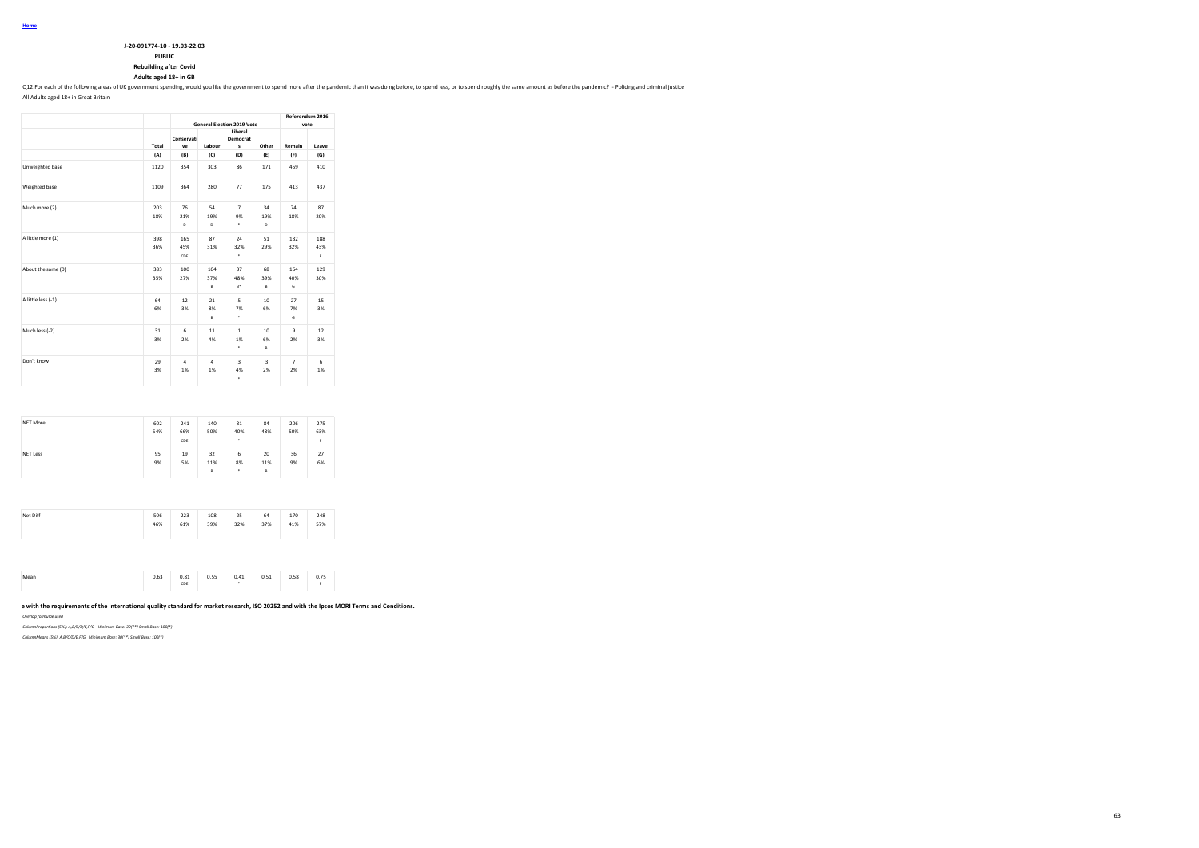| J-20-091774-10 - 19.03-22.03 |
|------------------------------|
| <b>PUBLIC</b>                |

**Rebuilding after Covid**

**Adults aged 18+ in GB**

Q12.For each of the following areas of UK government spending, would you like the government to spend more after the pandemic than it was doing before, to spend less, or to spend roughly the same amount as before the pande

All Adults aged 18+ in Great Britain

|                    |            |                      |                      | <b>General Election 2019 Vote</b> |                            | Referendum 2016<br>vote |                 |
|--------------------|------------|----------------------|----------------------|-----------------------------------|----------------------------|-------------------------|-----------------|
|                    | Total      | Conservati<br>ve     | Labour               | Liberal<br>Democrat<br>s          | Other                      | Remain                  | Leave           |
|                    | (A)        | (B)                  | (C)                  | (D)                               | (E)                        | (F)                     | (G)             |
| Unweighted base    | 1120       | 354                  | 303                  | 86                                | 171                        | 459                     | 410             |
| Weighted base      | 1109       | 364                  | 280                  | 77                                | 175                        | 413                     | 437             |
| Much more (2)      | 203<br>18% | 76<br>21%<br>D       | 54<br>19%<br>D       | $\overline{7}$<br>9%<br>٠         | 34<br>19%<br>D             | 74<br>18%               | 87<br>20%       |
| A little more (1)  | 398<br>36% | 165<br>45%<br>CDE    | 87<br>31%            | 24<br>32%<br>٠                    | 51<br>29%                  | 132<br>32%              | 188<br>43%<br>F |
| About the same (0) | 383<br>35% | 100<br>27%           | 104<br>37%<br>B      | 37<br>48%<br>$B^*$                | 68<br>39%<br>B             | 164<br>40%<br>G         | 129<br>30%      |
| A little less (-1) | 64<br>6%   | 12<br>3%             | 21<br>8%<br>B        | 5<br>7%<br>٠                      | 10<br>6%                   | 27<br>7%<br>G           | 15<br>3%        |
| Much less (-2)     | 31<br>3%   | 6<br>2%              | 11<br>4%             | 1<br>1%<br>٠                      | 10 <sup>1</sup><br>6%<br>B | 9<br>2%                 | 12<br>3%        |
| Don't know         | 29<br>3%   | $\overline{a}$<br>1% | $\overline{a}$<br>1% | R<br>4%<br>۰                      | 3<br>2%                    | $\overline{7}$<br>2%    | 6<br>1%         |

| NET More        | 602<br>54% | 241<br>66%<br>CDE | 140<br>50%     | 31<br>40%<br>٠ | 84<br>48%      | 206<br>50% | 275<br>63%<br>F. |
|-----------------|------------|-------------------|----------------|----------------|----------------|------------|------------------|
| <b>NET Less</b> | 95<br>9%   | 19<br>5%          | 32<br>11%<br>B | 6<br>8%<br>٠   | 20<br>11%<br>B | 36<br>9%   | 27<br>6%         |

| Net Diff | 506 | 223 | 108 | 25  | 64  | 170 | 248 |  |
|----------|-----|-----|-----|-----|-----|-----|-----|--|
|          | 46% | 61% | 39% | 32% | 37% | 41% | 57% |  |
|          |     |     |     |     |     |     |     |  |
|          |     |     |     |     |     |     |     |  |
|          |     |     |     |     |     |     |     |  |
|          |     |     |     |     |     |     |     |  |
|          |     |     |     |     |     |     |     |  |

| --- | Mean | $\sim$ cm<br>0.63 | 0.81<br>. | 0.55<br>. | 0.41 | 0.51<br><b>U.J.L</b> | 0.58 | 0. 7 F<br>u., J |  |
|-----|------|-------------------|-----------|-----------|------|----------------------|------|-----------------|--|
|     |      |                   | CDE       |           |      |                      |      |                 |  |

#### e with the requirements of the international quality standard for market research, ISO 20252 and with the Ipsos MORI Terms and Conditions.

*Overlap formulae used*

*ColumnProportions (5%): A,B/C/D/E,F/G Minimum Base: 30(\*\*) Small Base: 100(\*)*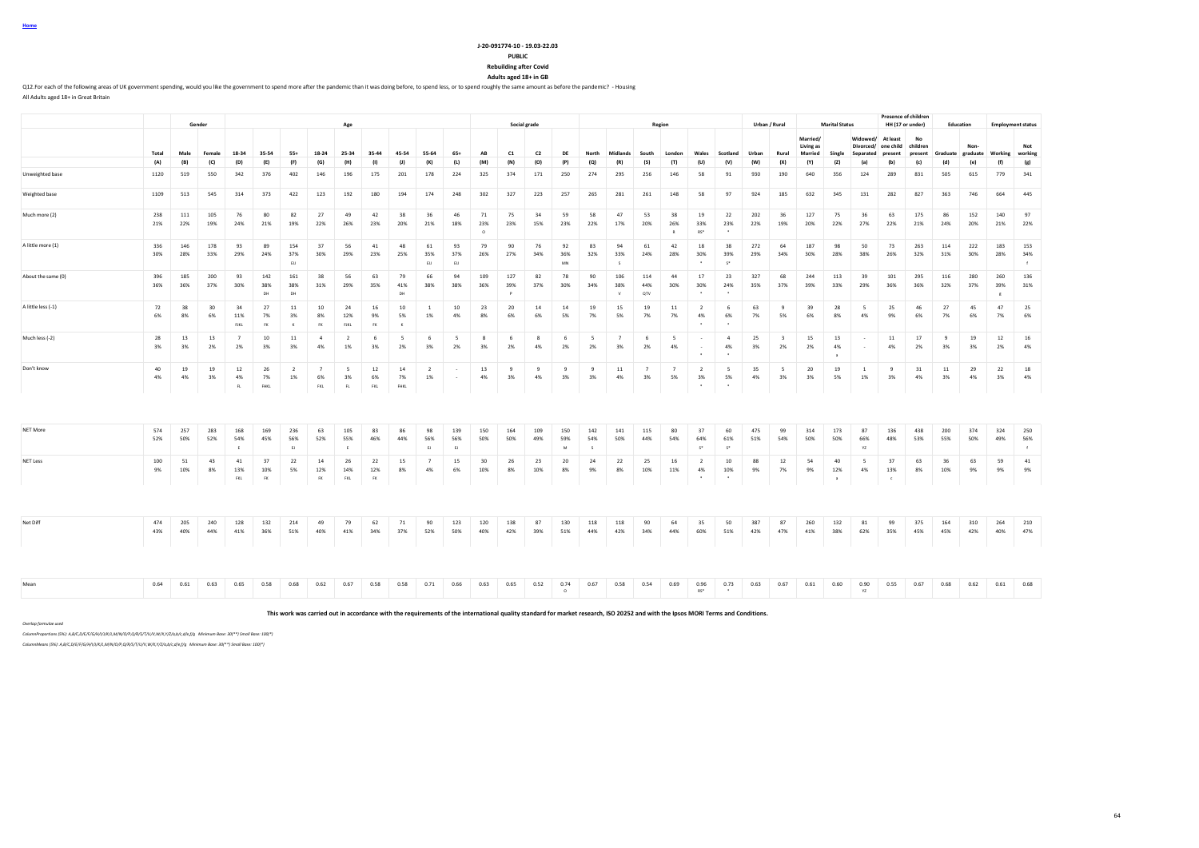| Home |  |
|------|--|
|      |  |

**Rebuilding after Covid**

**Adults aged 18+ in GB**

Q12. For each of the following areas of UK government spending, would you like the government to spend more after the pandemic than it was doing before, to spend less, or to spend roughly the same amount as before the pand All Adults aged 18+ in Great Britain

**Gender Age Social grade Region Urban / Rural Marital Status Presence of children**<br>**HH (17 or under) HH (17 or under) Education Employment status** Total Male Female 18-34 35-54 55+ 18-24 25-34 35-44 45-54 55-64 65+ AB C1 C2 DE North Midlands South London Wales Scotland Urban Rural **Married/ Living as Married Single Widowed/ At least Divorced/ one child Separated present No children present Graduate Nongraduate Working Not working** (A) (B) (C) (D) (E) (F) (G) (H) (I) (J) (K) (L) (M) (N) (O) (P) (Q) (R) (S) (T) (U) (V) (W) (X) (Y) (Z) (a) (b) (c) (d) (e) (f) (g) Unweighted base 1120 519 550 342 376 402 146 196 175 201 178 224 325 374 171 250 274 295 256 146 58 91 930 190 640 356 124 289 831 505 615 779 341 Weighted base 1109 513 545 314 373 422 123 192 180 194 174 248 302 327 223 257 265 281 261 148 58 97 924 185 632 345 131 282 827 363 746 664 445 Much more (2) 238 111 105 76 80 82 27 49 42 38 36 46 71 75 34 59 58 47 53 38 19 22 202 36 127 75 36 63 175 86 152 140 97 21% 22% 19% 24% 21% 19% 22% 26% 23% 20% 21% 18% 23% 23% 15% 23% 22% 17% 20% 26% 33% 23% 22% 19% 20% 22% 27% 22% 21% 24% 20% 21% 22% O R RS\* \* A little more (1) 336 146 178 93 89 154 37 56 41 48 61 93 79 90 76 92 83 94 61 42 18 38 272 64 187 98 50 73 263 114 222 183 153 30% 28% 33% 29% 24% 37% 30% 29% 23% 25% 35% 37% 26% 27% 34% 36% 32% 33% 24% 28% 30% 39% 29% 34% 30% 28% 38% 26% 32% 31% 30% 28% 34% EIJ EIJ EIJ MN S \* S\* f About the same (0) 396 185 200 93 142 161 38 56 63 79 66 94 109 127 82 78 90 106 114 44 17 23 327 68 244 113 39 101 295 116 280 260 136 36% 36% 37% 30% 38% 38% 31% 29% 35% 41% 38% 38% 36% 39% 37% 30% 34% 38% 44% 30% 30% 24% 35% 37% 39% 33% 29% 36% 36% 32% 37% 39% 31% DH DH PH DH DH P I P P I V QTV T ' ' ' I J I I I I I I I I I A little less (-1) 72 38 30 34 27 11 10 24 16 10 1 10 23 20 14 14 19 15 19 11 2 6 63 9 39 28 5 25 46 27 45 47 25 6% 8% 6% 11% 7% 3% 8% 12% 9% 5% 1% 4% 8% 6% 6% 5% 7% 5% 7% 7% 4% 6% 7% 5% 6% 8% 4% 9% 6% 7% 6% 7% 6% FJKL FK K FK FJKL FK K \* \* Much less (-2) 28 13 13 7 10 11 4 2 6 5 6 5 8 6 8 6 5 7 6 5 - 4 25 3 15 13 - 11 17 9 19 12 16 3% 3% 2% 2% 3% 3% 4% 1% 3% 2% 3% 2% 3% 2% 4% 2% 2% 3% 2% 4% - 4% 3% 2% 2% 4% - 4% 2% 3% 3% 2% 4% \* \* a Don't know 40 19 19 12 26 2 7 5 12 14 2 - 13 9 9 9 9 11 7 7 2 5 35 5 20 19 1 9 31 11 29 22 18 4% 4% 3% 4% 7% 1% 6% 3% 6% 7% 1% - 4% 3% 4% 3% 3% 4% 3% 5% 3% 5% 4% 3% 3% 5% 1% 3% 4% 3% 4% 3% 4% FL FHKL FKL FL FKL FHKL \* \* NET More 574 257 283 168 169 236 63 105 83 86 98 139 150 164 109 150 142 141 115 80 37 60 475 99 314 173 87 136 438 200 374 324 250 52% 50% 52% 54% 45% 56% 52% 55% 46% 44% 56% 56% 50% 50% 49% 59% 54% 50% 44% 54% 64% 61% 51% 54% 50% 50% 66% 48% 53% 55% 50% 49% 56% E EJ EJ EJ ED EJ J. MIS J. S\* S\* J. J. VZ J. J. J. J. J NET Less 100 51 43 41 37 22 14 26 22 15 7 15 30 26 23 20 24 22 25 16 2 10 88 12 54 40 5 37 63 36 63 59 41 9% 10% 8% 13% 10% 5% 12% 14% 12% 8% 4% 6% 10% 8% 10% 8% 9% 8% 10% 11% 4% 10% 9% 7% 9% 12% 4% 13% 8% 10% 9% 9% 9% FKL FK | FK FKL FK | FKL | FK | FKL | FKL | FKL | FKL | TKL | TAL | C Net Diff 474 205 240 128 132 214 49 79 62 71 90 123 120 138 87 130 118 118 90 64 35 50 387 87 260 132 81 99 375 164 310 264 210 43% 40% 44% 41% 36% 51% 40% 41% 34% 37% 52% 50% 40% 42% 39% 51% 44% 42% 34% 44% 60% 51% 42% 47% 41% 38% 62% 35% 45% 45% 42% 40% 47% Mean 10.64 0.61 0.63 0.65 0.58 0.62 0.67 0.58 0.58 0.71 0.66 0.63 0.65 0.52 0.74 0.67 0.54 0.69 0.69 0.69 0.67 0.61 0.60 0.90 0.55 0.67 0.68 0.62 0.61 0.68 O RS\* \* YZ

**This work was carried out in accordance with the requirements of the international quality standard for market research, ISO 20252 and with the Ipsos MORI Terms and Conditions.**

*Overlap formulae used*

*ColumnProportions (5%): A,B/C,D/E/F/G/H/I/J/K/L,M/N/O/P,Q/R/S/T/U/V,W/X,Y/Z/a,b/c,d/e,f/g Minimum Base: 30(\*\*) Small Base: 100(\*)*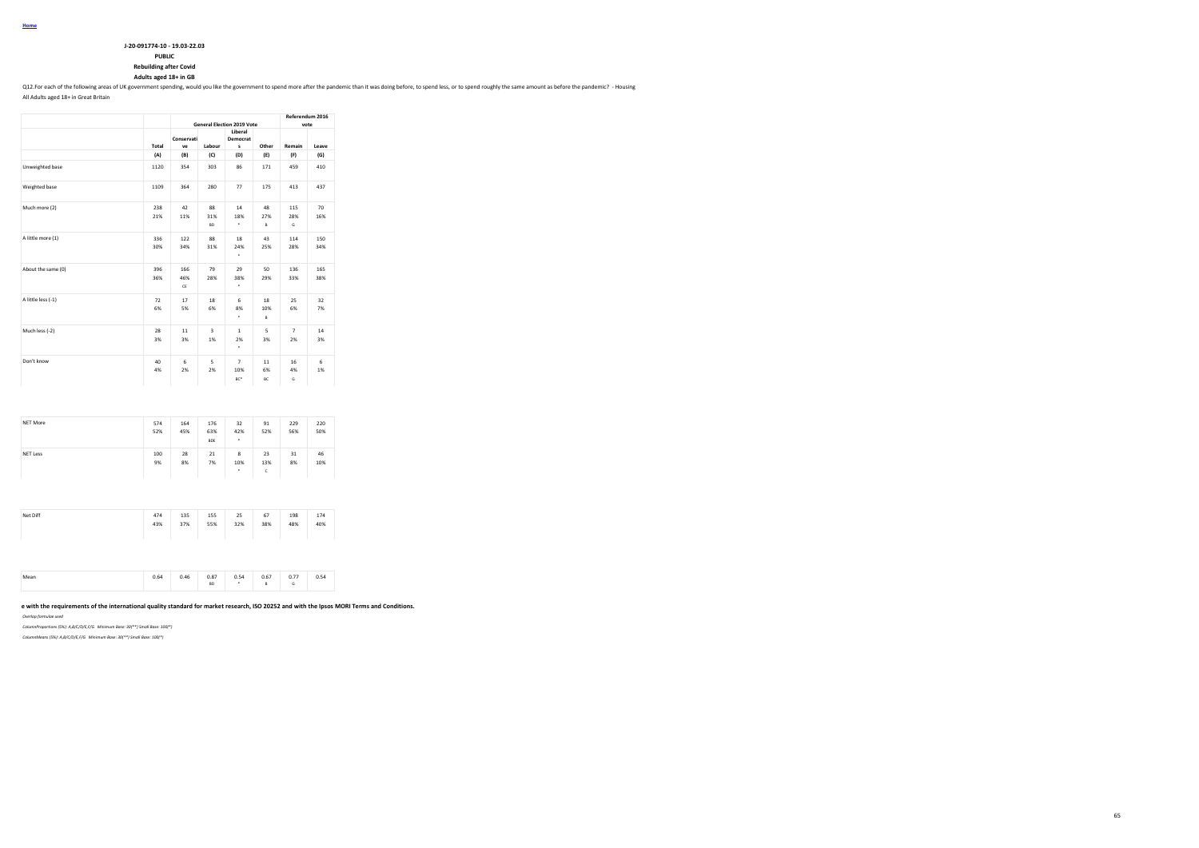| J-20-091774-10 - 19.03-22.03 |
|------------------------------|
| <b>PUBLIC</b>                |

**Rebuilding after Covid**

**Adults aged 18+ in GB**

Q12.For each of the following areas of UK government spending, would you like the government to spend more after the pandemic than it was doing before, to spend less, or to spend roughly the same amount as before the pande

All Adults aged 18+ in Great Britain

|                    |            |                  | <b>General Election 2019 Vote</b> | Referendum 2016<br>vote      |                |                      |            |  |
|--------------------|------------|------------------|-----------------------------------|------------------------------|----------------|----------------------|------------|--|
|                    | Total      | Conservati<br>ve | Labour                            | Liberal<br>Democrat<br>s     | Other          | Remain               | Leave      |  |
|                    | (A)        | (B)              | (C)                               | (D)                          | (E)            | (F)                  | (G)        |  |
| Unweighted base    | 1120       | 354              | 303                               | 86                           | 171            | 459                  | 410        |  |
| Weighted base      | 1109       | 364              | 280                               | 77                           | 175            | 413                  | 437        |  |
| Much more (2)      | 238<br>21% | 42<br>11%        | 88<br>31%<br><b>RD</b>            | 14<br>18%<br>٠               | 48<br>27%<br>B | 115<br>28%<br>G      | 70<br>16%  |  |
| A little more (1)  | 336<br>30% | 122<br>34%       | 88<br>31%                         | 18<br>24%<br>٠               | 43<br>25%      | 114<br>28%           | 150<br>34% |  |
| About the same (0) | 396<br>36% | 166<br>46%<br>CE | 79<br>28%                         | 29<br>38%<br>٠               | 50<br>29%      | 136<br>33%           | 165<br>38% |  |
| A little less (-1) | 72<br>6%   | 17<br>5%         | 18<br>6%                          | 6<br>8%<br>٠                 | 18<br>10%<br>B | 25<br>6%             | 32<br>7%   |  |
| Much less (-2)     | 28<br>3%   | 11<br>3%         | $\overline{\mathbf{3}}$<br>1%     | $\mathbf{1}$<br>2%<br>٠      | 5<br>3%        | $\overline{7}$<br>2% | 14<br>3%   |  |
| Don't know         | 40<br>4%   | 6<br>2%          | 5<br>2%                           | $\overline{7}$<br>10%<br>BC* | 11<br>6%<br>BC | 16<br>4%<br>G        | 6<br>1%    |  |

| NET More        | 574<br>52% | 164<br>45% | 176<br>63%<br>BDE | 32<br>42%<br>٠ | 91<br>52%      | 229<br>56% | 220<br>50% |
|-----------------|------------|------------|-------------------|----------------|----------------|------------|------------|
| <b>NET Less</b> | 100<br>9%  | 28<br>8%   | 21<br>7%          | 8<br>10%<br>٠  | 23<br>13%<br>c | 31<br>8%   | 46<br>10%  |

| Net Diff | 474<br>43% | 135<br>37% | 155<br>55% | 25<br>32% | 67<br>38% | 198<br>48% | 174<br>40% |  |
|----------|------------|------------|------------|-----------|-----------|------------|------------|--|
|          |            |            |            |           |           |            |            |  |

|  |  |  | 0.64 | 0.46<br>$\cdots$ | 0.87<br><b>BD</b> | 0.54<br>0.34 | 0.67 | 0.77<br>$\cdots$ | 0 5 A<br><b>U.J4</b> |  |
|--|--|--|------|------------------|-------------------|--------------|------|------------------|----------------------|--|
|--|--|--|------|------------------|-------------------|--------------|------|------------------|----------------------|--|

### **This work was carried out in accordance with the requirements of the international quality standard for market research, ISO 20252 and with the Ipsos MORI Terms and Conditions.**

*Overlap formulae used*

*ColumnProportions (5%): A,B/C/D/E,F/G Minimum Base: 30(\*\*) Small Base: 100(\*)*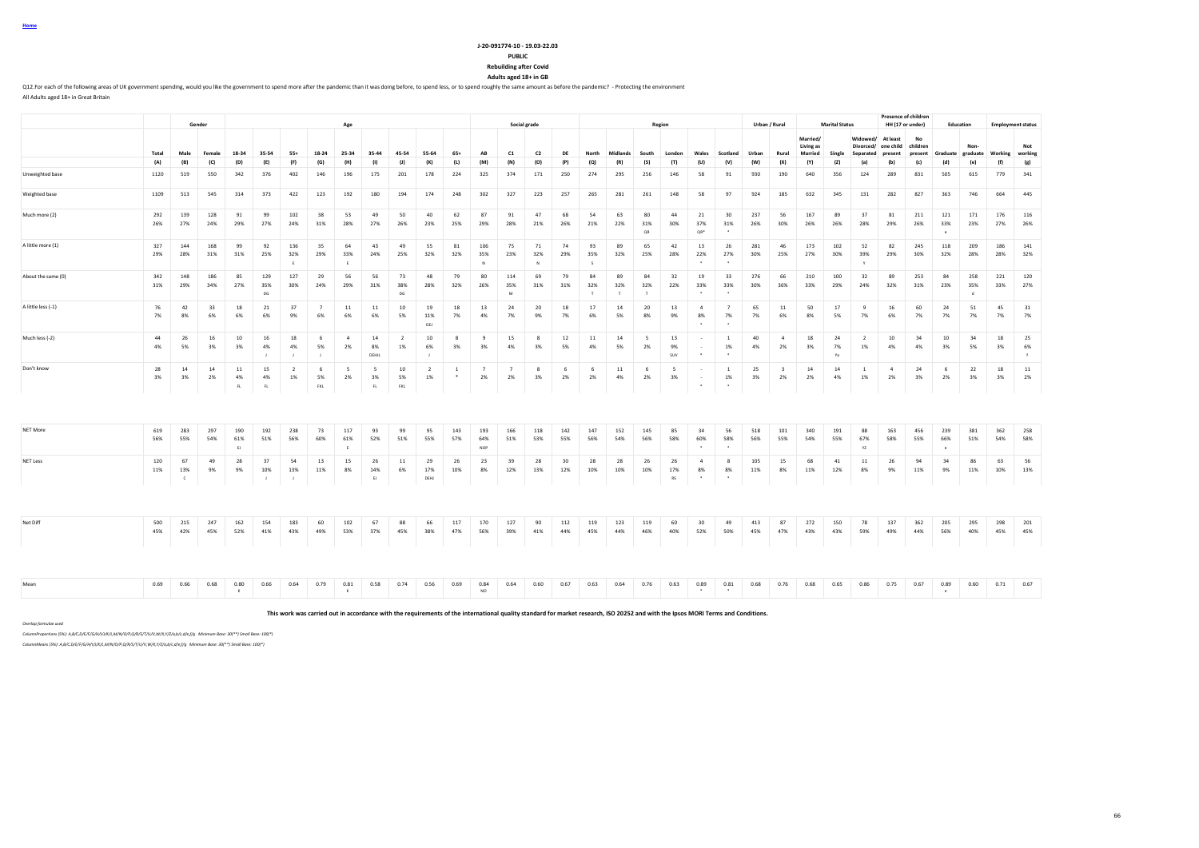**Home**

#### **J-20-091774-10 - 19.03-22.03 PUBLIC**

**Rebuilding after Covid Adults aged 18+ in GB**

Q12.For each of the following areas of UK government spending, would you like the government to spend more after the pandemic than it was doing before, to spend less, or to spend roughly the same amount as before the pande All Adults aged 18+ in Great Britain

|                    |            |                           |            |                      |                           |                           |                           |                                |                          |                      |                      |              |                          |                      |                     |            |                     |                     |                     |                 |                                 |                                            |            |                               |                             |                       |                          |                                         | Presence of children   |                      |                           |                          |                                 |
|--------------------|------------|---------------------------|------------|----------------------|---------------------------|---------------------------|---------------------------|--------------------------------|--------------------------|----------------------|----------------------|--------------|--------------------------|----------------------|---------------------|------------|---------------------|---------------------|---------------------|-----------------|---------------------------------|--------------------------------------------|------------|-------------------------------|-----------------------------|-----------------------|--------------------------|-----------------------------------------|------------------------|----------------------|---------------------------|--------------------------|---------------------------------|
|                    |            |                           | Gender     |                      |                           |                           |                           | Age                            |                          |                      |                      |              |                          |                      | Social grade        |            |                     |                     |                     | Region          |                                 |                                            |            | Urban / Rural                 | Married/                    | <b>Marital Status</b> | Widowed/                 | At least                                | HH (17 or under)<br>No | Education            |                           | <b>Employment status</b> |                                 |
|                    | Total      | Male                      | Female     | 18-34                | 35-54                     | $55+$                     | 18-24                     | 25-34                          | 35-44                    | 45-54                | 55-64                | $65+$        | AB                       | C1                   | C2                  | DE         | North               | Midlands            | South               | London          | Wales                           | Scotland                                   | Urban      | Rural                         | Living as<br><b>Married</b> | Single                | Separated                | Divorced/ one child children<br>present | present                | Graduate             | Non-<br>graduate Working  |                          | Not<br>working                  |
|                    | (A)        | (B)                       | (C)        | (D)                  | (E)                       | (F)                       | (G)                       | (H)                            | (1)                      | (1)                  | (K)                  | (L)          | (M)                      | (N)                  | (O)                 | (P)        | (Q)                 | (R)                 | (S)                 | (T)             | (U)                             | (V)                                        | (W)        | (X)                           | (Y)                         | (Z)                   | (a)                      | (b)                                     | (c)                    | (d)                  | (e)                       | (f)                      | (g)                             |
| Unweighted base    | 1120       | 519                       | 550        | 342                  | 376                       | 402                       | 146                       | 196                            | 175                      | 201                  | 178                  | 224          | 325                      | 374                  | 171                 | 250        | 274                 | 295                 | 256                 | 146             | 58                              | 91                                         | 930        | 190                           | 640                         | 356                   | 124                      | 289                                     | 831                    | 505                  | 615                       | 779                      | 341                             |
| Weighted base      | 1109       | 513                       | 545        | 314                  | 373                       | 422                       | 123                       | 192                            | 180                      | 194                  | 174                  | 248          | 302                      | 327                  | 223                 | 257        | 265                 | 281                 | 261                 | 148             | 58                              | 97                                         | 924        | 185                           | 632                         | 345                   | 131                      | 282                                     | 827                    | 363                  | 746                       | 664                      | 445                             |
| Much more (2)      | 292<br>26% | 139<br>27%                | 128<br>24% | 91<br>29%            | 99<br>27%                 | 102<br>24%                | 38<br>31%                 | 53<br>28%                      | 49<br>27%                | 50<br>26%            | 40<br>23%            | 62<br>25%    | 87<br>29%                | 91<br>28%            | 47<br>21%           | 68<br>26%  | 54<br>21%           | 63<br>22%           | 80<br>31%<br>OR     | 44<br>30%       | 21<br>37%<br>OR*                | 30<br>31%                                  | 237<br>26% | 56<br>30%                     | 167<br>26%                  | 89<br>26%             | 37<br>28%                | 81<br>29%                               | 211<br>26%             | 121<br>33%<br>$\sim$ | 171<br>23%                | 176<br>27%               | 116<br>26%                      |
| A little more (1)  | 327<br>29% | 144<br>28%                | 168<br>31% | 99<br>31%            | 92<br>25%                 | 136<br>32%<br>F.          | 35<br>29%                 | 64<br>33%<br>F.                | 43<br>24%                | 49<br>25%            | 55<br>32%            | 81<br>32%    | 106<br>35%               | 75<br>23%            | 71<br>32%<br>$\sim$ | 74<br>29%  | 93<br>35%<br>$\sim$ | 89<br>32%           | 65<br>25%           | 42<br>28%       | 13<br>22%                       | 26<br>27%                                  | 281<br>30% | 46<br>25%                     | 173<br>27%                  | 102<br>30%            | 52<br>39%<br>$\mathbf v$ | 82<br>29%                               | 245<br>30%             | 118<br>32%           | 209<br>28%                | 186<br>28%               | 141<br>32%                      |
| About the same (0) | 342<br>31% | 148<br>29%                | 186<br>34% | 85<br>27%            | 129<br>35%<br>DG          | 127<br>30%                | 29<br>24%                 | 56<br>29%                      | 56<br>31%                | 73<br>38%<br>DG      | 48<br>28%            | 79<br>32%    | 80<br>26%                | 114<br>35%<br>M      | 69<br>31%           | 79<br>31%  | 84<br>32%<br>$\top$ | 89<br>32%<br>$\top$ | 84<br>32%<br>$\top$ | 32<br>22%       | 19<br>33%<br>$\cdot$            | 33<br>33%                                  | 276<br>30% | 66<br>36%                     | 210<br>33%                  | 100<br>29%            | 32<br>24%                | 89<br>32%                               | 253<br>31%             | 84<br>23%            | 258<br>35%<br>$\mathbf d$ | 221<br>33%               | 120<br>27%                      |
| A little less (-1) | 76<br>7%   | 42<br>8%                  | 33<br>6%   | 18<br>6%             | 21<br>6%                  | 37<br>9%                  | $\overline{7}$<br>6%      | $11\,$<br>6%                   | 11<br>6%                 | 10<br>5%             | 19<br>11%<br>DEJ     | 18<br>7%     | 13<br>4%                 | 24<br>7%             | 20<br>9%            | 18<br>7%   | 17<br>6%            | 14<br>5%            | 20<br>8%            | 13<br>9%        | $\mathbf{d}$<br>8%              | $\overline{7}$<br>7%                       | 65<br>7%   | 11<br>6%                      | 50<br>8%                    | 17<br>5%              | -9<br>7%                 | 16<br>6%                                | 60<br>7%               | 24<br>7%             | 51<br>7%                  | 45<br>7%                 | 31<br>7%                        |
| Much less (-2)     | 44<br>4%   | 26<br>5%                  | 16<br>3%   | 10<br>3%             | 16<br>4%<br>$\mathbf{I}$  | 18<br>4%<br>$\mathbf{I}$  | 6<br>5%<br>$\overline{1}$ | $\overline{4}$<br>2%           | 14<br>8%<br>DEHJL        | $\overline{2}$<br>1% | 10<br>6%             | 8<br>3%      | 9<br>3%                  | 15<br>4%             | $\mathbf{R}$<br>3%  | 12<br>5%   | 11<br>4%            | 14<br>5%            | 5<br>2%             | 13<br>9%<br>suv | $\sim$<br>$\ddot{\phantom{1}}$  | <sup>1</sup><br>1%<br>$\ddot{\phantom{1}}$ | 40<br>4%   | $\sim$<br>2%                  | 18<br>3%                    | 24<br>7%<br>Ya        | $\overline{2}$<br>1%     | 10<br>4%                                | 34<br>4%               | $10\,$<br>3%         | 34<br>5%                  | 18<br>3%                 | 25<br>6%<br>$\ddot{\mathbf{f}}$ |
| Don't know         | 28<br>3%   | 14<br>3%                  | 14<br>2%   | 11<br>4%<br>FL       | 15<br>4%<br>FL            | $\overline{2}$<br>1%      | 6<br>5%<br>FKL            | $\overline{\phantom{a}}$<br>2% | 5<br>3%<br>$\mathsf{FL}$ | 10<br>5%<br>FKL      | $\overline{2}$<br>1% | <sup>1</sup> | $\overline{7}$<br>2%     | $\overline{7}$<br>2% | $\mathbf{R}$<br>3%  | 6<br>2%    | 6<br>2%             | 11<br>4%            | - 6<br>2%           | - 5<br>3%       | $\sim$<br>$\bullet$             | <sup>1</sup><br>$1\%$<br>$\bullet$         | 25<br>3%   | $\overline{\mathbf{3}}$<br>2% | 14<br>2%                    | 14<br>4%              | <sup>1</sup><br>1%       | $\overline{4}$<br>2%                    | 24<br>3%               | - 6<br>2%            | 22<br>3%                  | 18<br>3%                 | 11<br>2%                        |
|                    |            |                           |            |                      |                           |                           |                           |                                |                          |                      |                      |              |                          |                      |                     |            |                     |                     |                     |                 |                                 |                                            |            |                               |                             |                       |                          |                                         |                        |                      |                           |                          |                                 |
| NET More           | 619<br>56% | 283<br>55%                | 297<br>54% | 190<br>61%<br>E      | 192<br>51%                | 238<br>56%                | 73<br>60%                 | 117<br>61%<br>E                | 93<br>52%                | 99<br>51%            | 95<br>55%            | 143<br>57%   | 193<br>64%<br><b>NOP</b> | 166<br>51%           | 118<br>53%          | 142<br>55% | 147<br>56%          | 152<br>54%          | 145<br>56%          | 85<br>58%       | 34<br>60%<br>$\bullet$          | 56<br>58%<br>$\cdot$                       | 518<br>56% | 101<br>55%                    | 340<br>54%                  | 191<br>55%            | 88<br>67%<br>YZ          | 163<br>58%                              | 456<br>55%             | 239<br>66%           | 381<br>51%                | 362<br>54%               | 258<br>58%                      |
| NET Less           | 120<br>11% | 67<br>13%<br>$\mathbf{c}$ | 49<br>9%   | 28<br>9%             | 37<br>10%<br>$\mathbf{I}$ | 54<br>13%<br>$\mathbf{I}$ | 13<br>11%                 | 15<br>8%                       | 26<br>14%<br>EJ          | $11\,$<br>6%         | 29<br>17%<br>DEHJ    | 26<br>10%    | 23<br>8%                 | 39<br>12%            | 28<br>13%           | 30<br>12%  | 28<br>10%           | 28<br>10%           | 26<br>10%           | 26<br>17%<br>RS | $\overline{4}$<br>8%<br>$\cdot$ | 8<br>8%<br>$\cdot$                         | 105<br>11% | 15<br>8%                      | 68<br>11%                   | 41<br>12%             | 11<br>8%                 | 26<br>9%                                | 94<br>11%              | 34<br>9%             | 86<br>11%                 | 63<br>10%                | 56<br>13%                       |
|                    |            |                           |            |                      |                           |                           |                           |                                |                          |                      |                      |              |                          |                      |                     |            |                     |                     |                     |                 |                                 |                                            |            |                               |                             |                       |                          |                                         |                        |                      |                           |                          |                                 |
| Net Diff           | 500<br>45% | 215<br>42%                | 247<br>45% | 162<br>52%           | 154<br>41%                | 183<br>43%                | 60<br>49%                 | 102<br>53%                     | 67<br>37%                | 88<br>45%            | 66<br>38%            | 117<br>47%   | 170<br>56%               | 127<br>39%           | 90<br>41%           | 112<br>44% | 119<br>45%          | 123<br>44%          | 119<br>46%          | 60<br>40%       | 30<br>52%                       | 49<br>50%                                  | 413<br>45% | 87<br>47%                     | 272<br>43%                  | 150<br>43%            | 78<br>59%                | 137<br>49%                              | 362<br>44%             | 205<br>56%           | 295<br>40%                | 298<br>45%               | 201<br>45%                      |
|                    |            |                           |            |                      |                           |                           |                           |                                |                          |                      |                      |              |                          |                      |                     |            |                     |                     |                     |                 |                                 |                                            |            |                               |                             |                       |                          |                                         |                        |                      |                           |                          |                                 |
| Mean               | 0.69       | 0.66                      | 0.68       | 0.80<br>$\mathbf{K}$ | 0.66                      | 0.64                      | 0.79                      | 0.81<br>K                      | 0.58                     | 0.74                 | 0.56                 | 0.69         | 0.84<br>NO               | 0.64                 | 0.60                | 0.67       | 0.63                | 0.64                | 0.76                | 0.63            | 0.89<br>$\bullet$               | 0.81<br>$\bullet$                          | 0.68       | 0.76                          | 0.68                        | 0.65                  | 0.86                     | 0.75                                    | 0.67                   | 0.89<br>$\epsilon$   | 0.60                      | 0.71                     | 0.67                            |

**This work was carried out in accordance with the requirements of the international quality standard for market research, ISO 20252 and with the Ipsos MORI Terms and Conditions.**

*Overlap formulae used*

*ColumnProportions (5%): A,B/C,D/E/F/G/H/I/J/K/L,M/N/O/P,Q/R/S/T/U/V,W/X,Y/Z/a,b/c,d/e,f/g Minimum Base: 30(\*\*) Small Base: 100(\*)*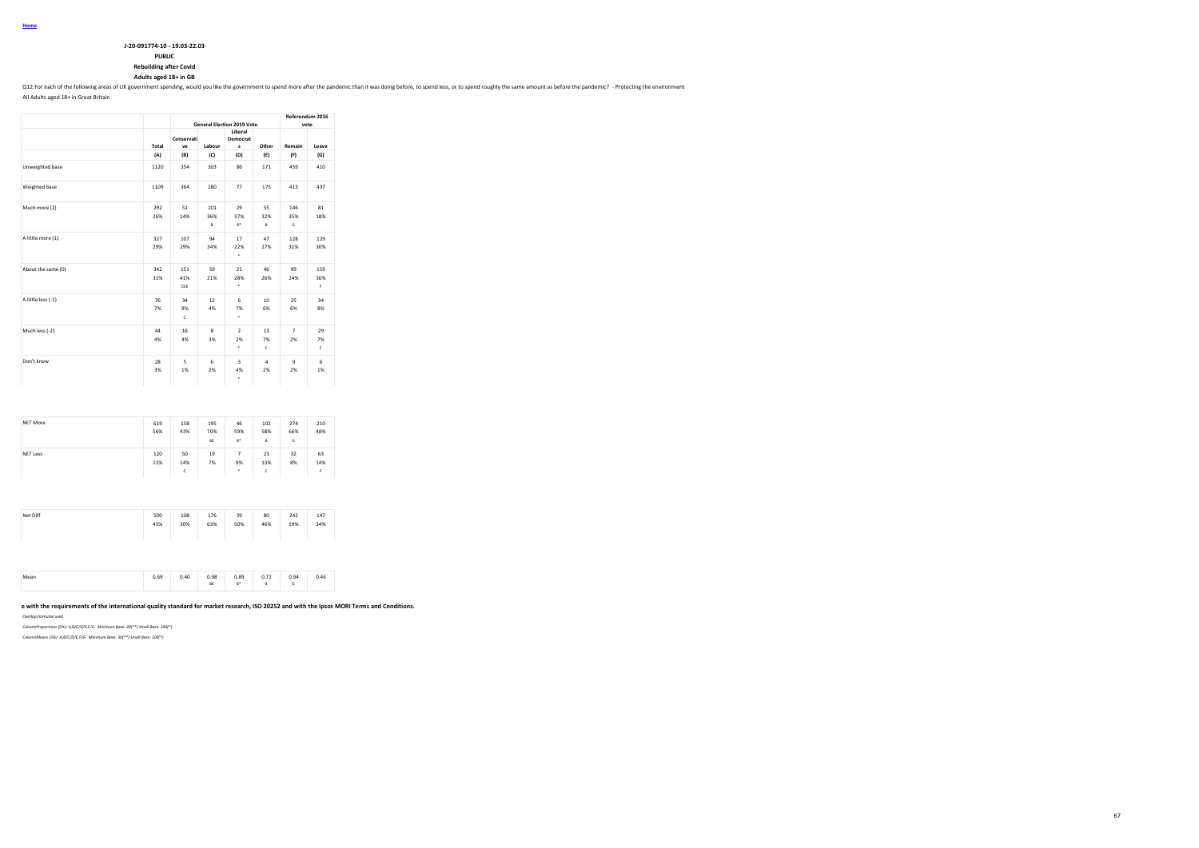| J-20-091774-10 - 19.03-22.03  |
|-------------------------------|
| <b>PUBLIC</b>                 |
| <b>Rebuilding after Covid</b> |

**Adults aged 18+ in GB**

Q12.For each of the following areas of UK government spending, would you like the government to spend more after the pandemic than it was doing before, to spend less, or to spend roughly the same amount as before the pande

All Adults aged 18+ in Great Britain

|                    |            |                          | <b>General Election 2019 Vote</b> | Referendum 2016<br>vote   |                |                      |                  |  |
|--------------------|------------|--------------------------|-----------------------------------|---------------------------|----------------|----------------------|------------------|--|
|                    | Total      | Conservati<br>ve         | Labour                            | Other                     | Remain         | Leave                |                  |  |
|                    | (A)        | (B)                      | (C)                               | s<br>(D)                  | (E)            | (F)                  | (G)              |  |
| Unweighted base    | 1120       | 354                      | 303                               | 86                        | 171            | 459                  | 410              |  |
| Weighted base      | 1109       | 364                      | 280                               | 77                        | 175            | 413                  | 437              |  |
| Much more (2)      | 292<br>26% | 51<br>14%                | 101<br>36%<br>B                   | 29<br>37%<br>$B^*$        | 55<br>32%<br>B | 146<br>35%<br>G      | 81<br>18%        |  |
| A little more (1)  | 327<br>29% | 107<br>29%               | 94<br>34%                         | 17<br>22%<br>٠            | 47<br>27%      | 128<br>31%           | 129<br>30%       |  |
| About the same (0) | 342<br>31% | 151<br>41%<br>CDE        | 59<br>21%                         | 21<br>28%<br>٠            | 46<br>26%      | 99<br>24%            | 159<br>36%<br>F. |  |
| A little less (-1) | 76<br>7%   | 34<br>9%<br>$\mathbf{c}$ | 12<br>4%                          | 6<br>7%<br>٠              | 10<br>6%       | 25<br>6%             | 34<br>8%         |  |
| Much less (-2)     | 44<br>4%   | 16<br>4%                 | 8<br>3%                           | $\overline{2}$<br>2%<br>٠ | 13<br>7%<br>ċ  | $\overline{7}$<br>2% | 29<br>7%<br>F    |  |
| Don't know         | 28<br>3%   | 5<br>1%                  | 6<br>2%                           | 3<br>4%<br>٠              | 4<br>2%        | 9<br>2%              | 6<br>1%          |  |

| 50<br>19<br><b>NET Less</b><br>120 |                                |          |                |
|------------------------------------|--------------------------------|----------|----------------|
| 11%<br>7%<br>14%<br>ċ              | 23<br>7<br>9%<br>13%<br>٠<br>c | 32<br>8% | 63<br>14%<br>F |

| 45%<br>30%<br>63%<br>50%<br>46%<br>59% | Net Diff | 500 | 108 | 176 | 39 | 80 | 242 | 147<br>34% |
|----------------------------------------|----------|-----|-----|-----|----|----|-----|------------|
|----------------------------------------|----------|-----|-----|-----|----|----|-----|------------|

|  | 0.69 | 0.40<br>$\cdots$ | 0.98<br>$-1$<br>BE | 0.89<br>$B^*$ | 0.72<br>u., . | n o.<br>ບ.ວາ | 0.46 |
|--|------|------------------|--------------------|---------------|---------------|--------------|------|
|--|------|------------------|--------------------|---------------|---------------|--------------|------|

### **This work was carried out in accordance with the requirements of the international quality standard for market research, ISO 20252 and with the Ipsos MORI Terms and Conditions.**

*Overlap formulae used*

*ColumnProportions (5%): A,B/C/D/E,F/G Minimum Base: 30(\*\*) Small Base: 100(\*)*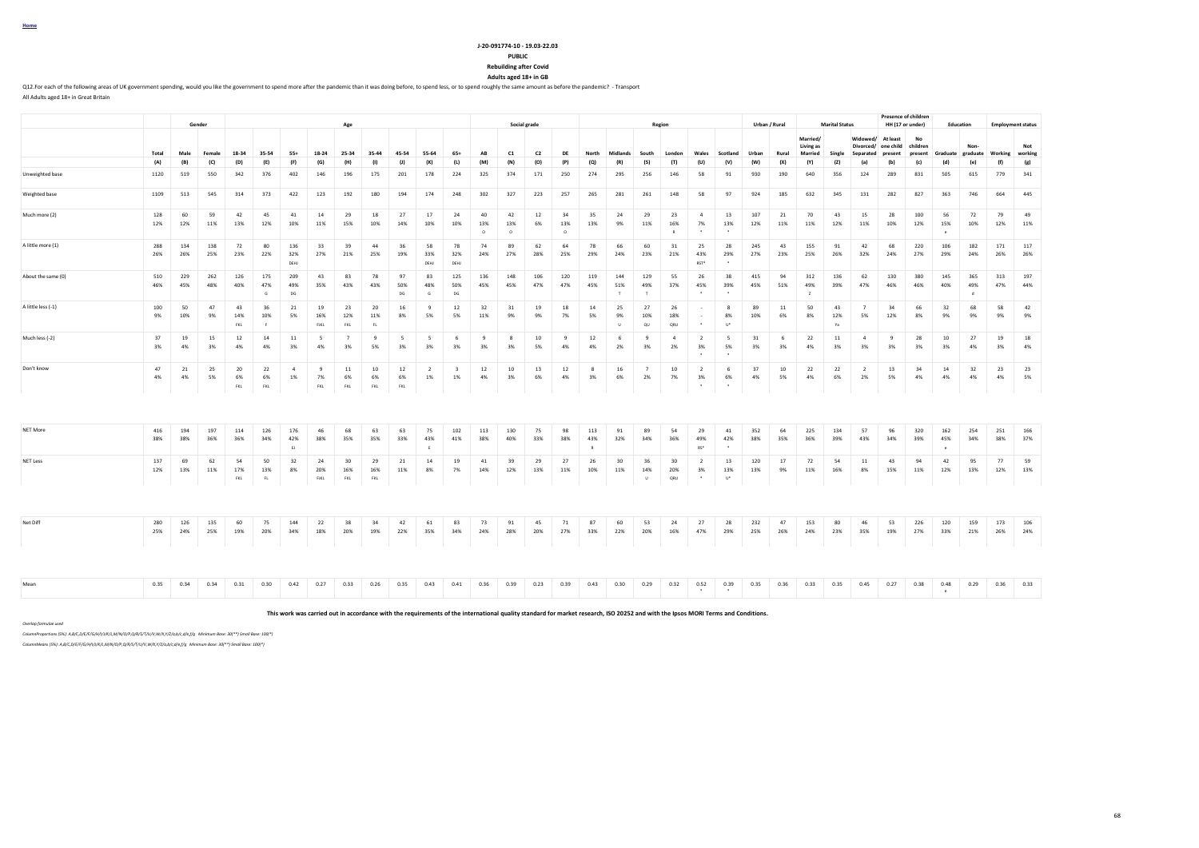### **J-20-091774-10 - 19.03-22.03**

**PUBLIC Rebuilding after Covid**

**Adults aged 18+ in GB**

Q12. For each of the following areas of UK government spending, would you like the government to spend more after the pandemic than it was doing before, to spend less, or to spend roughly the same amount as before the pand All Adults aged 18+ in Great Britain

**Gender Age Social grade Region Urban / Rural Marital Status Presence of children**<br>**HH (17 or under) HH (17 or under) Education Employment status** Total Male Female 18-34 35-54 55+ 18-24 25-34 35-44 45-54 55-64 65+ AB C1 C2 DE North Midlands South London Wales Scotland Urban Rural **Married/ Living as Married Single Widowed/ At least Divorced/ one child Separated present No children present Graduate Nongraduate Working Not working** (A) (B) (C) (D) (E) (F) (G) (H) (I) (J) (K) (L) (M) (N) (O) (P) (Q) (R) (S) (T) (U) (V) (W) (X) (Y) (Z) (a) (b) (c) (d) (e) (f) (g) Unweighted base 1120 519 550 342 376 402 146 196 175 201 178 224 325 374 171 250 274 295 256 146 58 91 930 190 640 356 124 289 831 505 615 779 341 Weighted base 1109 513 545 314 373 422 123 192 180 194 174 248 302 327 223 257 265 281 261 148 58 97 924 185 632 345 131 282 827 363 746 664 445 Much more (2) 128 60 59 42 45 41 14 29 18 27 17 24 40 42 12 34 35 24 29 23 4 13 107 21 70 43 15 28 100 56 72 79 49 12% 12% 11% 13% 12% 10% 11% 15% 10% 14% 10% 10% 13% 13% 6% 13% 13% 9% 11% 16% 7% 13% 12% 11% 11% 12% 11% 10% 12% 15% 10% 12% 11% O O O R \* \* e A little more (1) 288 134 138 72 80 136 33 39 44 36 58 78 74 89 62 64 78 66 60 31 25 28 245 43 155 91 42 68 220 106 182 171 117 26% 26% 25% 23% 22% 32% 27% 21% 25% 19% 33% 32% 24% 27% 28% 25% 29% 24% 23% 21% 43% 29% 27% 23% 25% 26% 32% 24% 27% 29% 24% 26% 26% DEHJ DEHJ DEHJ DEHJ DEHJ DEHJ DEHJ NOT DEHJ MEST " About the same (0) 510 229 262 126 175 209 43 83 78 97 83 125 136 148 106 120 119 144 129 55 26 38 415 94 312 136 62 130 380 145 365 313 197 46% 45% 48% 40% 47% 49% 35% 43% 43% 50% 48% 50% 45% 45% 47% 47% 45% 51% 49% 37% 45% 39% 45% 51% 49% 39% 47% 46% 46% 40% 49% 47% 44% G DG DG G DG T T \* \* Z d A little less (-1) 100 50 47 43 36 21 19 23 20 16 9 12 32 31 19 18 14 25 27 26 - 8 89 11 50 43 7 34 66 32 68 58 42 9% 10% 9% 14% 10% 5% 16% 12% 11% 8% 5% 5% 11% 9% 9% 7% 5% 9% 10% 18% - 8% 10% 6% 8% 12% 5% 12% 8% 9% 9% 9% 9% FKL F FJKL FKL FL U QU QRU \* U\* Ya Much less (-2) 37 19 15 12 14 11 5 7 9 5 5 6 9 8 10 9 12 6 9 4 2 5 31 6 22 11 4 9 28 10 27 19 18 3% 4% 3% 4% 4% 3% 4% 3% 5% 3% 3% 3% 3% 3% 5% 4% 4% 2% 3% 2% 3% 5% 3% 3% 4% 3% 3% 3% 3% 3% 4% 3% 4% \* \* 0 on't know 47 21 25 20 22 4 9 11 10 12 2 3 12 10 13 12 8 16 7 10 2 6 37 10 22 2 2 2 13 34 14 32 23 23 4% 4% 5% 6% 6% 1% 7% 6% 6% 6% 1% 1% 4% 3% 6% 4% 3% 6% 2% 7% 3% 6% 4% 5% 4% 6% 2% 5% 4% 4% 4% 4% 5% FKL FKL FKL FKL FKL FKL \* \* NET More 416 194 197 114 126 176 46 68 63 63 75 102 113 130 75 98 113 91 89 54 29 41 352 64 225 134 57 96 320 162 254 251 166 38% 38% 36% 36% 34% 42% 38% 35% 35% 33% 43% 41% 38% 40% 33% 38% 43% 32% 34% 36% 49% 42% 38% 35% 36% 39% 43% 34% 39% 45% 34% 38% 37% EJ E RS\* \* eT RS\* \* eT RS\* \* eT RS\* \* eT RS\* \* eT RS\* \* eT RS\* eT RS\* eT RS\* eT RS\* eT RS\* eT RS\* eT RS\* eT RS NET Less 137 69 62 54 50 32 24 30 29 21 14 19 41 39 29 27 26 30 36 30 2 13 120 17 72 54 11 43 94 42 95 77 59 12% 13% 11% 17% 13% 8% 20% 16% 16% 11% 8% 7% 14% 12% 13% 11% 10% 11% 14% 20% 3% 13% 13% 9% 11% 16% 8% 15% 11% 12% 13% 12% 13% FKL FL FXL FKL FKL FKL I DI QRU \* U\* Net Diff 280 126 135 60 75 144 22 38 34 42 61 83 73 91 45 71 87 60 53 24 27 28 232 47 153 80 46 53 226 120 159 173 106 25% 24% 25% 19% 20% 34% 18% 20% 19% 22% 35% 34% 24% 28% 20% 27% 33% 22% 20% 16% 47% 29% 25% 26% 24% 23% 35% 19% 27% 33% 21% 26% 24% Mean 10.35 0.34 0.34 0.34 0.31 0.30 0.42 0.27 0.33 0.26 0.35 0.43 0.41 0.36 0.39 0.43 0.30 0.43 0.32 0.39 0.32 0.36 0.39 0.35 0.45 0.29 0.36 0.39 0.48 0.29 0.36 0.33 0.45 0.27 0.38 0.48 0.29 0.36 \* \* e

**This work was carried out in accordance with the requirements of the international quality standard for market research, ISO 20252 and with the Ipsos MORI Terms and Conditions.**

*Overlap formulae used*

*ColumnProportions (5%): A,B/C,D/E/F/G/H/I/J/K/L,M/N/O/P,Q/R/S/T/U/V,W/X,Y/Z/a,b/c,d/e,f/g Minimum Base: 30(\*\*) Small Base: 100(\*)*

*ColumnMeans (5%): A,B/C,D/E/F/G/H/I/J/K/L,M/N/O/P,Q/R/S/T/U/V,W/X,Y/Z/a,b/c,d/e,f/g Minimum Base: 30(\*\*) Small Base: 100(\*)*

68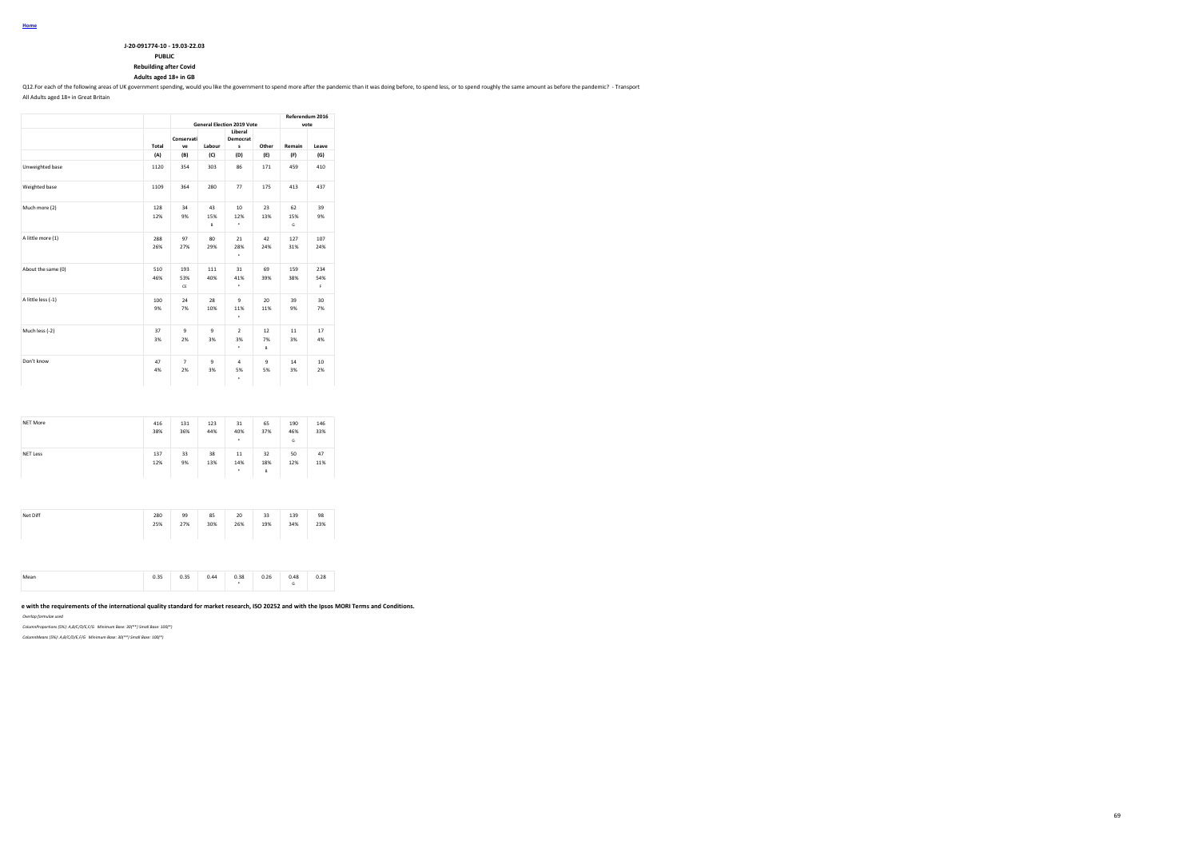| J-20-091774-10 - 19.03-22.03 |
|------------------------------|
| <b>PUBLIC</b>                |

**PUBLIC Rebuilding after Covid**

**Adults aged 18+ in GB**

Q12. For each of the following areas of UK government spending, would you like the government to spend more after the pandemic than it was doing before, to spend less, or to spend roughly the same amount as before the pand

All Adults aged 18+ in Great Britain

|                    |            |                      |                    | <b>General Election 2019 Vote</b> |                    | Referendum 2016<br>vote |                       |
|--------------------|------------|----------------------|--------------------|-----------------------------------|--------------------|-------------------------|-----------------------|
|                    | Total      | Conservati<br>ve     | Labour             | Liberal<br>Democrat<br>s          | Other              | Remain                  | Leave                 |
|                    | (A)        | (B)                  | (C)                | (D)                               | (E)                | (F)                     | (G)                   |
| Unweighted base    | 1120       | 354                  | 303                | 86                                | 171                | 459                     | 410                   |
| Weighted base      | 1109       | 364                  | 280                | 77                                | 175                | 413                     | 437                   |
| Much more (2)      | 128<br>12% | 34<br>9%             | 43<br>15%<br>B     | 10<br>12%<br>٠                    | 23<br>13%          | 62<br>15%<br>G          | 39<br>9%              |
| A little more (1)  | 288<br>26% | 97<br>27%            | 80<br>29%          | 21<br>28%<br>٠                    | 42<br>24%          | 127<br>31%              | 107<br>24%            |
| About the same (0) | 510<br>46% | 193<br>53%<br>CE     | 111<br>40%         | 31<br>41%<br>٠                    | 69<br>39%          | 159<br>38%              | 234<br>54%<br>F.      |
| A little less (-1) | 100<br>9%  | 24<br>7%             | 28<br>10%          | 9<br>11%<br>٠                     | 20<br>11%          | 39<br>9%                | 30<br>7%              |
| Much less (-2)     | 37<br>3%   | $\mathbf{Q}$<br>2%   | $\mathbf{Q}$<br>3% | $\overline{2}$<br>3%<br>٠         | 12<br>7%<br>B      | 11<br>3%                | 17<br>4%              |
| Don't know         | 47<br>4%   | $\overline{7}$<br>2% | $\mathbf{Q}$<br>3% | $\Delta$<br>5%<br>٠               | $\mathbf{Q}$<br>5% | 14<br>3%                | 10 <sup>1</sup><br>2% |

| NET More        | 416<br>38% | 131<br>36% | 123<br>44% | 31<br>40%<br>٠ | 65<br>37%      | 190<br>46%<br>G | 146<br>33% |
|-----------------|------------|------------|------------|----------------|----------------|-----------------|------------|
| <b>NET Less</b> | 137<br>12% | 33<br>9%   | 38<br>13%  | 11<br>14%<br>٠ | 32<br>18%<br>B | 50<br>12%       | 47<br>11%  |

| Net Diff | 280<br>25% | 99<br>27% | 85<br>30% | 20<br>26% | 33<br>19% | 139<br>34% | 98<br>23% |
|----------|------------|-----------|-----------|-----------|-----------|------------|-----------|
|          |            |           |           |           |           |            |           |

|  | $\sim$ $\sim$<br><b>U.JJ</b> | n 35<br>,,,,<br>. | AA<br>$\sim$ | n 38<br>$\cdots$ | 0.26<br>u.cu<br>$\sim$ $\sim$ | 0.48 | 0.28 |
|--|------------------------------|-------------------|--------------|------------------|-------------------------------|------|------|
|--|------------------------------|-------------------|--------------|------------------|-------------------------------|------|------|

### e with the requirements of the international quality standard for market research, ISO 20252 and with the Ipsos MORI Terms and Conditions.

*Overlap formulae used*

*ColumnProportions (5%): A,B/C/D/E,F/G Minimum Base: 30(\*\*) Small Base: 100(\*)*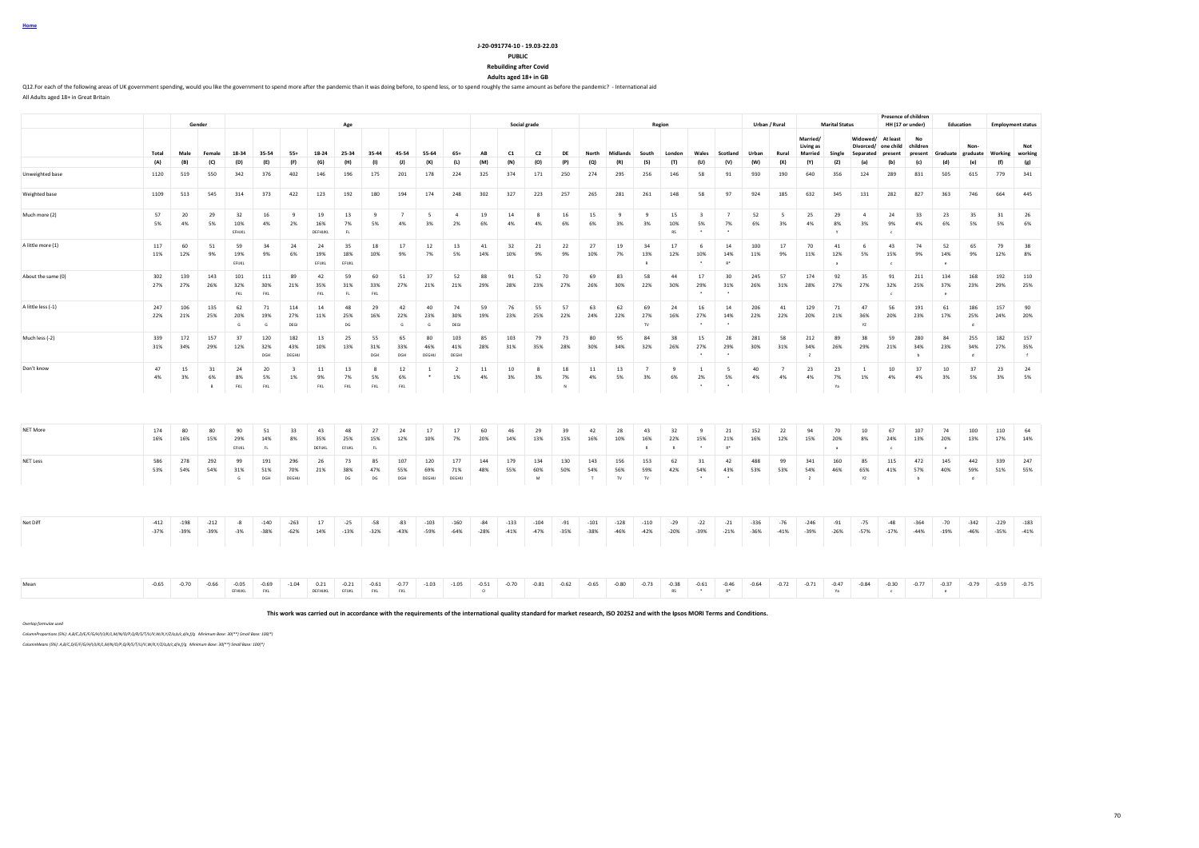| -18.<br>ı. |
|------------|
|------------|

**Rebuilding after Covid**

**Adults aged 18+ in GB**

Q12.For each of the following areas of UK government spending, would you like the government to spend more after the pandemic than it was doing before, to spend less, or to spend roughly the same amount as before the pande All Adults aged 18+ in Great Britain

|                    |                  |                  | Gender           |                     |                   |                               |                       | Age                 |                  |                      |                      |                      |                    |                  | Social grade                |                 |                      |                  |                           | Region          |                                         |                                        |                  | Urban / Rural        |                            | <b>Marital Status</b>       |                      |                                          | <b>Presence of children</b><br>HH (17 or under) |                          | Education                 |                  | <b>Employment status</b> |
|--------------------|------------------|------------------|------------------|---------------------|-------------------|-------------------------------|-----------------------|---------------------|------------------|----------------------|----------------------|----------------------|--------------------|------------------|-----------------------------|-----------------|----------------------|------------------|---------------------------|-----------------|-----------------------------------------|----------------------------------------|------------------|----------------------|----------------------------|-----------------------------|----------------------|------------------------------------------|-------------------------------------------------|--------------------------|---------------------------|------------------|--------------------------|
|                    |                  |                  |                  |                     |                   |                               |                       |                     |                  |                      |                      |                      |                    |                  |                             |                 |                      |                  |                           |                 |                                         |                                        |                  |                      | Married/<br>Living as      |                             | Widowed/             | At least<br>Divorced/ one child children | No                                              |                          | Non-                      |                  | Not                      |
|                    | Total<br>(A)     | Male<br>(B)      | Female<br>(C)    | 18-34<br>(D)        | 35-54<br>(E)      | $55+$<br>(F)                  | 18-24<br>(G)          | 25-34<br>(H)        | 35-44<br>(1)     | 45-54<br>(1)         | 55-64<br>(K)         | $65+$<br>(L)         | AB<br>(M)          | C1<br>(N)        | C <sub>2</sub><br>(O)       | DE<br>(P)       | North<br>(Q)         | Midlands<br>(R)  | South<br>(S)              | London<br>(T)   | Wales<br>(U)                            | Scotland<br>(V)                        | Urban<br>(W)     | Rural<br>(X)         | <b>Married</b><br>(Y)      | Single<br>(Z)               | Separated<br>(a)     | present<br>(b)                           | present<br>(c)                                  | Graduate graduate<br>(d) | (e)                       | Working<br>(f)   | working<br>(g)           |
| Unweighted base    | 1120             | 519              | 550              | 342                 | 376               | 402                           | 146                   | 196                 | 175              | 201                  | 178                  | 224                  | 325                | 374              | 171                         | 250             | 274                  | 295              | 256                       | 146             | 58                                      | 91                                     | 930              | 190                  | 640                        | 356                         | 124                  | 289                                      | 831                                             | 505                      | 615                       | 779              | 341                      |
| Weighted base      | 1109             | 513              | 545              | 314                 | 373               | 422                           | 123                   | 192                 | 180              | 194                  | 174                  | 248                  | 302                | 327              | 223                         | 257             | 265                  | 281              | 261                       | 148             | 58                                      | 97                                     | 924              | 185                  | 632                        | 345                         | 131                  | 282                                      | 827                                             | 363                      | 746                       | 664              | 445                      |
| Much more (2)      | 57<br>5%         | 20<br>4%         | 29<br>5%         | 32<br>10%<br>EFHJKL | 16<br>4%          | 9<br>2%                       | 19<br>16%<br>DEFHIJKL | 13<br>7%<br>FL.     | -9<br>5%         | $\overline{7}$<br>4% | -5<br>3%             | $\overline{4}$<br>2% | 19<br>6%           | 14<br>4%         | 8<br>4%                     | 16<br>6%        | 15<br>6%             | 9<br>3%          | 9<br>3%                   | 15<br>10%<br>RS | $\overline{\mathbf{3}}$<br>5%<br>$\sim$ | $\overline{7}$<br>7%<br>$\overline{a}$ | 52<br>6%         | - 5<br>3%            | 25<br>4%                   | 29<br>8%<br>$\mathbf{v}$    | $\overline{a}$<br>3% | 24<br>9%<br>$\epsilon$                   | 33<br>4%                                        | 23<br>6%                 | 35<br>5%                  | 31<br>5%         | 26<br>6%                 |
| A little more (1)  | 117<br>11%       | 60<br>12%        | 51<br>9%         | 59<br>19%<br>EFIJKL | 34<br>9%          | 24<br>6%                      | 24<br>19%<br>EFUKL    | 35<br>18%<br>EFIJKL | 18<br>10%        | 17<br>9%             | 12<br>7%             | 13<br>5%             | 41<br>14%          | 32<br>10%        | 21<br>9%                    | 22<br>9%        | 27<br>10%            | 19<br>7%         | 34<br>13%                 | 17<br>12%       | 6<br>10%                                | 14<br>14%<br>$R^*$                     | 100<br>11%       | 17<br>9%             | 70<br>11%                  | 41<br>12%<br>$\overline{a}$ | 6<br>5%              | 43<br>15%<br>$\epsilon$                  | 74<br>9%                                        | 52<br>14%<br>$\epsilon$  | 65<br>9%                  | 79<br>12%        | 38<br>8%                 |
| About the same (0) | 302<br>27%       | 139<br>27%       | 143<br>26%       | 101<br>32%<br>FKL   | 111<br>30%<br>FKL | 89<br>21%                     | 42<br>35%<br>FKL      | 59<br>31%<br>FL     | 60<br>33%<br>FKL | 51<br>27%            | 37<br>21%            | 52<br>21%            | 88<br>29%          | 91<br>28%        | 52<br>23%                   | 70<br>27%       | 69<br>26%            | 83<br>30%        | 58<br>22%                 | 44<br>30%       | 17<br>29%                               | 30<br>31%                              | 245<br>26%       | 57<br>31%            | 174<br>28%                 | 92<br>27%                   | 35<br>27%            | 91<br>32%<br>$\epsilon$                  | 211<br>25%                                      | 134<br>37%<br>$\epsilon$ | 168<br>23%                | 192<br>29%       | 110<br>25%               |
| A little less (-1) | 247<br>22%       | 106<br>21%       | 135<br>25%       | 62<br>20%<br>G      | 71<br>19%<br>G    | 114<br>27%<br>DEGI            | 14<br>11%             | 48<br>25%<br>DG     | 29<br>16%        | 42<br>22%<br>G       | 40<br>23%<br>G       | 74<br>30%<br>DEGI    | 59<br>19%          | 76<br>23%        | 55<br>25%                   | 57<br>22%       | 63<br>24%            | 62<br>22%        | 69<br>27%<br>TV.          | 24<br>16%       | 16<br>27%                               | 14<br>14%                              | 206<br>22%       | 41<br>22%            | 129<br>20%                 | 71<br>21%                   | 47<br>36%<br>YZ      | 56<br>20%                                | 191<br>23%                                      | 61<br>17%                | 186<br>25%<br>-d          | 157<br>24%       | 90<br>20%                |
| Much less (-2)     | 339<br>31%       | 172<br>34%       | 157<br>29%       | 37<br>12%           | 120<br>32%<br>DGH | 182<br>43%<br>DEGHIJ          | 13<br>10%             | 25<br>13%           | 55<br>31%<br>DGH | 65<br>33%<br>DGH     | 80<br>46%<br>DEGHIJ  | 103<br>41%<br>DEGHI  | 85<br>28%          | 103<br>31%       | 79<br>35%                   | 73<br>28%       | 80<br>30%            | 95<br>34%        | 84<br>32%                 | 38<br>26%       | 15<br>27%                               | 28<br>29%                              | 281<br>30%       | 58<br>31%            | 212<br>34%<br>$\mathbf{z}$ | 89<br>26%                   | 38<br>29%            | 59<br>21%                                | 280<br>34%<br>b                                 | 84<br>23%                | 255<br>34%<br>$\mathbf d$ | 182<br>27%       | 157<br>35%<br>f          |
| Don't know         | 47<br>4%         | 15<br>3%         | 31<br>6%<br>в    | 24<br>8%<br>FKL     | 20<br>5%<br>FKL   | $\overline{\mathbf{3}}$<br>1% | 11<br>9%<br>FKL       | 13<br>7%<br>FKL     | -8<br>5%<br>FKL  | 12<br>6%<br>FKL      | <sup>1</sup>         | -2<br>1%             | 11<br>4%           | 10<br>3%         | -8<br>3%                    | 18<br>7%<br>N   | 11<br>4%             | 13<br>5%         | $\overline{7}$<br>3%      | -9<br>6%        | <sup>1</sup><br>2%                      | - 5<br>5%                              | 40<br>4%         | $\overline{7}$<br>4% | 23<br>4%                   | 23<br>7%<br>Ya              | <sup>1</sup><br>1%   | 10<br>4%                                 | 37<br>4%                                        | 10<br>3%                 | 37<br>5%                  | 23<br>3%         | 24<br>5%                 |
|                    |                  |                  |                  |                     |                   |                               |                       |                     |                  |                      |                      |                      |                    |                  |                             |                 |                      |                  |                           |                 |                                         |                                        |                  |                      |                            |                             |                      |                                          |                                                 |                          |                           |                  |                          |
| NET More           | 174<br>16%       | 80<br>16%        | 80<br>15%        | 90<br>29%<br>EFIJKL | 51<br>14%<br>FL.  | 33<br>8%                      | 43<br>35%<br>DEFIJKL  | 48<br>25%<br>EFIJKL | 27<br>15%<br>FL  | 24<br>12%            | 17<br>10%            | 17<br>7%             | 60<br>20%          | 46<br>14%        | 29<br>13%                   | 39<br>15%       | 42<br>16%            | 28<br>10%        | 43<br>16%<br>$\mathbb{R}$ | 32<br>22%<br>R  | $\mathbf{q}$<br>15%                     | 21<br>21%<br>$R^*$                     | 152<br>16%       | 22<br>12%            | 94<br>15%                  | 70<br>20%<br>$\overline{a}$ | 10<br>8%             | 67<br>24%<br>$\epsilon$                  | 107<br>13%                                      | 74<br>20%<br>$\epsilon$  | 100<br>13%                | 110<br>17%       | 64<br>14%                |
| <b>NET Less</b>    | 586<br>53%       | 278<br>54%       | 292<br>54%       | 99<br>31%<br>G      | 191<br>51%<br>DGH | 296<br>70%<br>DEGHIJ          | 26<br>21%             | 73<br>38%<br>DG     | 85<br>47%<br>DG  | 107<br>55%<br>DGH    | 120<br>69%<br>DEGHIJ | 177<br>71%<br>DEGHIJ | 144<br>48%         | 179<br>55%       | 134<br>60%<br>${\mathsf M}$ | 130<br>50%      | 143<br>54%<br>$\top$ | 156<br>56%<br>TV | 153<br>59%<br>TV          | 62<br>42%       | 31<br>54%                               | 42<br>43%                              | 488<br>53%       | 99<br>53%            | 341<br>54%<br>$\mathbb{Z}$ | 160<br>46%                  | 85<br>65%<br>YZ      | 115<br>41%                               | 472<br>57%<br>$\mathbf{b}$                      | 145<br>40%               | 442<br>59%<br>d           | 339<br>51%       | 247<br>55%               |
|                    |                  |                  |                  |                     |                   |                               |                       |                     |                  |                      |                      |                      |                    |                  |                             |                 |                      |                  |                           |                 |                                         |                                        |                  |                      |                            |                             |                      |                                          |                                                 |                          |                           |                  |                          |
| Net Diff           | $-412$<br>$-37%$ | $-198$<br>$-39%$ | $-212$<br>$-39%$ | $-8$<br>$-3%$       | $-140$<br>$-38%$  | $-263$<br>$-62%$              | 17<br>14%             | $-25$<br>$-13%$     | $-58$<br>$-32%$  | $-83$<br>$-43%$      | $-103$<br>$-59%$     | $-160$<br>$-64%$     | $-84$<br>$-28%$    | $-133$<br>$-41%$ | $-104$<br>$-47%$            | $-91$<br>$-35%$ | $-101$<br>$-38%$     | $-128$<br>$-46%$ | $-110$<br>$-42%$          | $-29$<br>$-20%$ | $-22$<br>$-39%$                         | $-21$<br>$-21%$                        | $-336$<br>$-36%$ | $-76$<br>$-41%$      | $-246$<br>$-39%$           | $-91$<br>$-26%$             | $-75$<br>$-57%$      | $-48$<br>$-17%$                          | $-364$<br>$-44%$                                | $-70$<br>$-19%$          | $-342$<br>$-46%$          | $-229$<br>$-35%$ | $-183$<br>$-41%$         |
|                    |                  |                  |                  |                     |                   |                               |                       |                     |                  |                      |                      |                      |                    |                  |                             |                 |                      |                  |                           |                 |                                         |                                        |                  |                      |                            |                             |                      |                                          |                                                 |                          |                           |                  |                          |
| Mean               | $-0.65$          | $-0.70$          | $-0.66$          | $-0.05$<br>EFHIJKL  | $-0.69$<br>FKL    | $-1.04$                       | 0.21<br>DEFHIJKL      | $-0.21$<br>EFIJKL   | $-0.61$<br>FKL   | $-0.77$<br>FKL       | $-1.03$              | $-1.05$              | $-0.51$<br>$\circ$ | $-0.70$          | $-0.81$                     | $-0.62$         | $-0.65$              | $-0.80$          | $-0.73$                   | $-0.38$<br>RS   | $-0.61$<br>$\ddot{\phantom{1}}$         | $-0.46$<br>$R^*$                       | $-0.64$          | $-0.72$              | $-0.71$                    | $-0.47$<br>Ya               | $-0.84$              | $-0.30$<br>$\epsilon$                    | $-0.77$                                         | $-0.37$<br>$\epsilon$    | $-0.79$                   | $-0.59$          | $-0.75$                  |

**This work was carried out in accordance with the requirements of the international quality standard for market research, ISO 20252 and with the Ipsos MORI Terms and Conditions.**

*Overlap formulae used*

*ColumnProportions (5%): A,B/C,D/E/F/G/H/I/J/K/L,M/N/O/P,Q/R/S/T/U/V,W/X,Y/Z/a,b/c,d/e,f/g Minimum Base: 30(\*\*) Small Base: 100(\*)*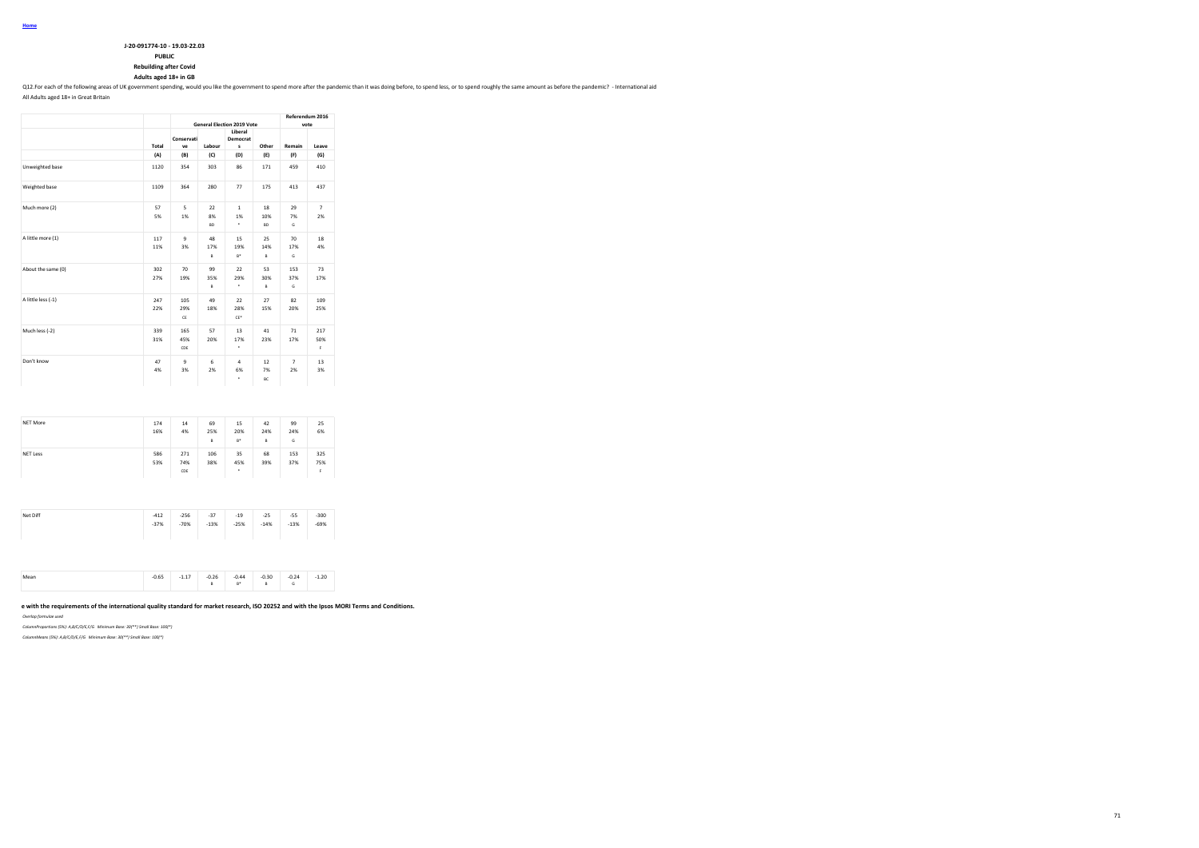| J-20-091774-10 - 19.03-22.03 |
|------------------------------|
| <b>PURLIC</b>                |

#### **PUBLIC Rebuilding after Covid**

**Adults aged 18+ in GB**

Q12.For each of the following areas of UK government spending, would you like the government to spend more after the pandemic than it was doing before, to spend less, or to spend roughly the same amount as before the pande

All Adults aged 18+ in Great Britain

|                    |            | <b>General Election 2019 Vote</b> | Referendum 2016<br>vote |                          |                        |                      |                      |  |
|--------------------|------------|-----------------------------------|-------------------------|--------------------------|------------------------|----------------------|----------------------|--|
|                    | Total      | Conservati<br>ve                  | Labour                  | Liberal<br>Democrat<br>s | Other                  | Remain               | Leave                |  |
|                    | (A)        | (B)                               | (C)                     | (D)                      | (E)                    | (F)                  | (G)                  |  |
| Unweighted base    | 1120       | 354                               | 303                     | 86                       | 171                    | 459                  | 410                  |  |
| Weighted base      | 1109       | 364                               | 280                     | 77                       | 175                    | 413                  | 437                  |  |
| Much more (2)      | 57<br>5%   | 5<br>1%                           | 22<br>8%<br><b>BD</b>   | $\mathbf{1}$<br>1%<br>٠  | 18<br>10%<br><b>BD</b> | 29<br>7%<br>G        | $\overline{7}$<br>2% |  |
| A little more (1)  | 117<br>11% | $\mathbf{Q}$<br>3%                | 48<br>17%<br>B          | 15<br>19%<br>$B^*$       | 25<br>14%<br>B         | 70<br>17%<br>G       | 18<br>4%             |  |
| About the same (0) | 302<br>27% | 70<br>19%                         | 99<br>35%<br>B          | 22<br>29%<br>٠           | 53<br>30%<br>B         | 153<br>37%<br>G      | 73<br>17%            |  |
| A little less (-1) | 247<br>22% | 105<br>29%<br>CE                  | 49<br>18%               | 22<br>28%<br>$CE*$       | 27<br>15%              | 82<br>20%            | 109<br>25%           |  |
| Much less (-2)     | 339<br>31% | 165<br>45%<br>CDE                 | 57<br>20%               | 13<br>17%<br>٠           | 41<br>23%              | 71<br>17%            | 217<br>50%<br>F.     |  |
| Don't know         | 47<br>4%   | $\mathbf{Q}$<br>3%                | 6<br>2%                 | 4<br>6%<br>٠             | 12<br>7%<br>BC         | $\overline{7}$<br>2% | 13<br>3%             |  |

| NET More        | 174<br>16% | 14<br>4%          | 69<br>25%<br>B | 15<br>20%<br>$B^*$ | 42<br>24%<br>$\mathsf{B}$ | 99<br>24%<br>G | 25<br>6%         |
|-----------------|------------|-------------------|----------------|--------------------|---------------------------|----------------|------------------|
| <b>NET Less</b> | 586<br>53% | 271<br>74%<br>CDE | 106<br>38%     | 35<br>45%<br>٠     | 68<br>39%                 | 153<br>37%     | 325<br>75%<br>F. |
|                 |            |                   |                |                    |                           |                |                  |

| Mear<br> | n cr<br>J.b><br>. | $\sim$<br>.<br>$\overline{\phantom{a}}$ | 0.26<br>$-$ | 0.44<br>-0.44<br>n. | $-0.30$<br>- | 0.24<br>$\cdots$ | 20<br>.1.ZU<br>$-$ |
|----------|-------------------|-----------------------------------------|-------------|---------------------|--------------|------------------|--------------------|
|----------|-------------------|-----------------------------------------|-------------|---------------------|--------------|------------------|--------------------|

#### e with the requirements of the international quality standard for market research, ISO 20252 and with the Ipsos MORI Terms and Conditions.

*Overlap formulae used*

*ColumnProportions (5%): A,B/C/D/E,F/G Minimum Base: 30(\*\*) Small Base: 100(\*)*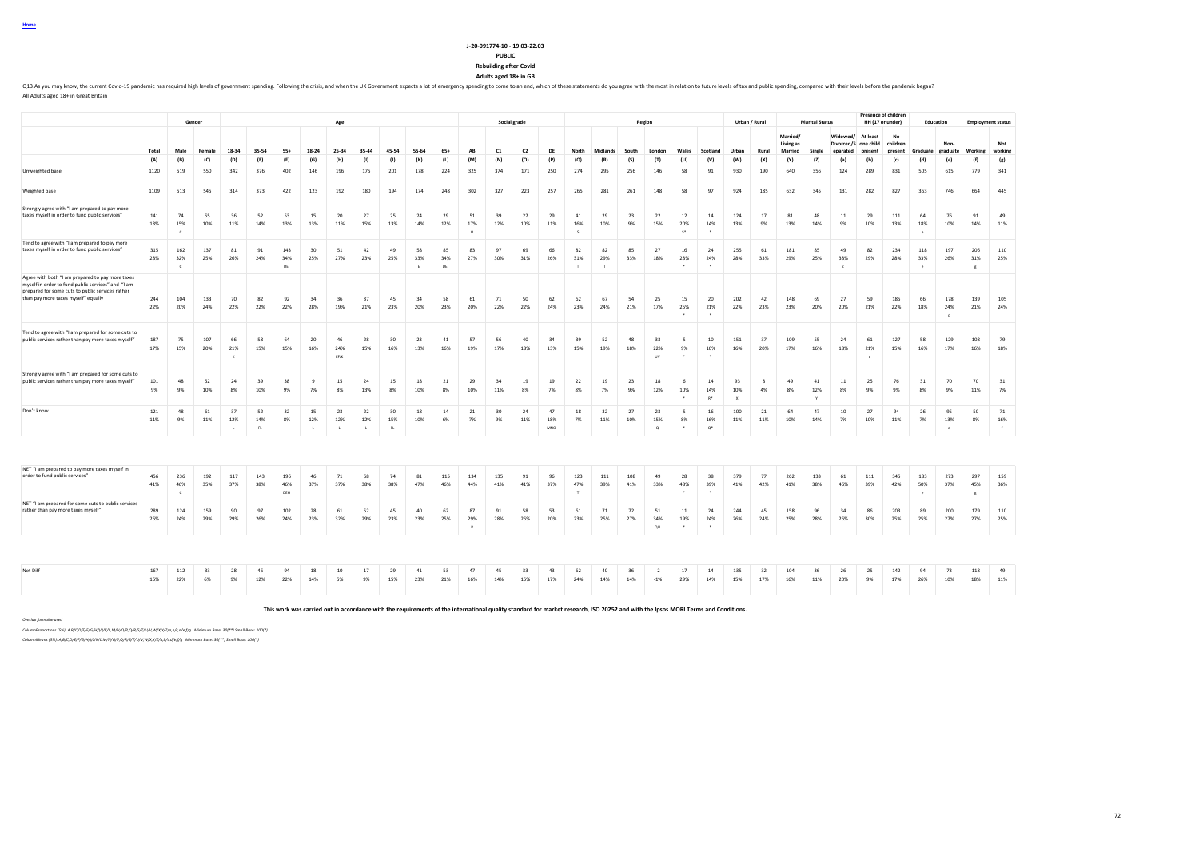# **J-20-091774-10 - 19.03-22.03**

### **PUBLIC**

**Rebuilding after Covid Adults aged 18+ in GB**

Q13.As you may know, the current Covid-19 pandemic has required high levels of government spending. Following the crisis, and when the UK Government expects a lot of emergency spending to come to an end, which of these sta All Adults aged 18+ in Great Britain

|                                                                                                                                                                                                   |            |                          | Gender     |                           |                |                   |                           |                           | Social grade<br>Age       |                  |                |                  |                       |            |                |                  | Region               |                     |                |                        |                                   |                                   |                           | Urban / Rural |                                  | <b>Marital Status</b> |                                              |                         | <b>Presence of children</b><br>HH (17 or under) | Education                  |                           | <b>Employment status</b>   |                |
|---------------------------------------------------------------------------------------------------------------------------------------------------------------------------------------------------|------------|--------------------------|------------|---------------------------|----------------|-------------------|---------------------------|---------------------------|---------------------------|------------------|----------------|------------------|-----------------------|------------|----------------|------------------|----------------------|---------------------|----------------|------------------------|-----------------------------------|-----------------------------------|---------------------------|---------------|----------------------------------|-----------------------|----------------------------------------------|-------------------------|-------------------------------------------------|----------------------------|---------------------------|----------------------------|----------------|
|                                                                                                                                                                                                   | Total      | Male                     | Female     | 18-34                     | 35-54          | $55+$             | 18-24                     | 25-34                     | 35-44                     | 45-54            | 55-64          | $65+$            | AB                    | C1         | C <sub>2</sub> | DF               | North                | Midlands            | South          | London                 | Wales                             | Scotland                          | Urban                     | Rural         | Married/<br>Living as<br>Married | Single                | Widowed/<br>Divorced/S one child<br>enarated | At least<br>present     | No<br>children<br>present                       | Graduate                   | Non-<br>graduate          | Working                    | Not<br>working |
|                                                                                                                                                                                                   | (A)        | (B)                      | (C)        | (D)                       | (E)            | (F)               | (G)                       | (H)                       | (1)                       | (1)              | (K)            | (L)              | (M)                   | (N)        | (O)            | (P)              | (Q)                  | (R)                 | (S)            | (T)                    | (U)                               | (V)                               | (W)                       | (X)           | (Y)                              | (Z)                   | (a)                                          | (b)                     | (c)                                             | (d)                        | (e)                       | (f)                        | (g)            |
| Unweighted base                                                                                                                                                                                   | 1120       | 519                      | 550        | 342                       | 376            | 402               | 146                       | 196                       | 175                       | 201              | 178            | 224              | 325                   | 374        | 171            | 250              | 274                  | 295                 | 256            | 146                    | 58                                | 91                                | 930                       | 190           | 640                              | 356                   | 124                                          | 289                     | 831                                             | 505                        | 615                       | 779                        | 341            |
| Weighted base                                                                                                                                                                                     | 1109       | 513                      | 545        | 314                       | 373            | 422               | 123                       | 192                       | 180                       | 194              | 174            | 248              | 302                   | 327        | 223            | 257              | 265                  | 281                 | 261            | 148                    | 58                                | 97                                | 924                       | 185           | 632                              | 345                   | 131                                          | 282                     | 827                                             | 363                        | 746                       | 664                        | 445            |
| Strongly agree with "I am prepared to pay more<br>taxes myself in order to fund public services"                                                                                                  | 141<br>13% | 74<br>15%<br>$\epsilon$  | 55<br>10%  | 36<br>11%                 | 52<br>14%      | 53<br>13%         | 15<br>13%                 | 20<br>11%                 | 27<br>15%                 | 25<br>13%        | 24<br>14%      | 29<br>12%        | 51<br>17%<br>$\Omega$ | 39<br>12%  | 22<br>10%      | 29<br>11%        | 41<br>16%<br>$\sim$  | 29<br>10%           | 23<br>9%       | 22<br>15%              | 12<br>20%<br>$\leftrightarrow$    | 14<br>14%<br>$\bullet$            | 124<br>13%                | 17<br>9%      | 81<br>13%                        | 48<br>14%             | $11\,$<br>9%                                 | 29<br>10%               | 111<br>13%                                      | 64<br>18%                  | 76<br>10%                 | 91<br>14%                  | 49<br>11%      |
| Tend to agree with "I am prepared to pay more<br>taxes myself in order to fund public services"                                                                                                   | 315<br>28% | 162<br>32%<br>$\epsilon$ | 137<br>25% | 81<br>26%                 | 91<br>24%      | 143<br>34%<br>DEI | 30<br>25%                 | 51<br>27%                 | 42<br>23%                 | 49<br>25%        | 58<br>33%<br>E | 85<br>34%<br>DEI | 83<br>27%             | 97<br>30%  | 69<br>31%      | 66<br>26%        | 82<br>31%<br>T       | 82<br>29%<br>$\top$ | 85<br>33%<br>T | 27<br>18%              | 16<br>28%<br>٠                    | 24<br>24%<br>$\ddot{\phantom{1}}$ | 255<br>28%                | 61<br>33%     | 181<br>29%                       | 85<br>25%             | 49<br>38%<br>$\mathbf z$                     | 82<br>29%               | 234<br>28%                                      | 118<br>33%<br>$\mathbf{c}$ | 197<br>26%                | 206<br>31%<br>$_{\rm g}$   | 110<br>25%     |
| Agree with both "I am prepared to pay more taxes<br>myself in order to fund public services" and "I am<br>prepared for some cuts to public services rather<br>than pay more taxes myself" equally | 244<br>22% | 104<br>20%               | 133<br>24% | 70<br>22%                 | 82<br>22%      | 92<br>22%         | 34<br>28%                 | 36<br>19%                 | 37<br>21%                 | 45<br>23%        | 34<br>20%      | 58<br>23%        | 61<br>20%             | 71<br>22%  | 50<br>22%      | 62<br>24%        | 62<br>23%            | 67<br>24%           | 54<br>21%      | 25<br>17%              | 15<br>25%<br>$\ddot{\phantom{1}}$ | 20<br>21%<br>$\bullet$            | 202<br>22%                | 42<br>23%     | 148<br>23%                       | 69<br>20%             | 27<br>20%                                    | 59<br>21%               | 185<br>22%                                      | 66<br>18%                  | 178<br>24%<br>$\mathbf d$ | 139<br>21%                 | 105<br>24%     |
| Tend to agree with "I am prepared for some cuts to<br>public services rather than pay more taxes myself"                                                                                          | 187<br>17% | 75<br>15%                | 107<br>20% | 66<br>21%<br>$\kappa$     | 58<br>15%      | 64<br>15%         | 20<br>16%                 | 46<br>24%<br>EFJK         | 28<br>15%                 | 30<br>16%        | 23<br>13%      | 41<br>16%        | 57<br>19%             | 56<br>17%  | 40<br>18%      | 34<br>13%        | 39<br>15%            | 52<br>19%           | 48<br>18%      | 33<br>22%<br><b>UV</b> | -5<br>9%<br>$\ddot{\phantom{1}}$  | 10<br>10%<br>$\bullet$            | 151<br>16%                | 37<br>20%     | 109<br>17%                       | 55<br>16%             | 24<br>18%                                    | 61<br>21%<br>$\epsilon$ | 127<br>15%                                      | 58<br>16%                  | 129<br>17%                | 108<br>16%                 | 79<br>18%      |
| Strongly agree with "I am prepared for some cuts to<br>public services rather than pay more taxes myself"                                                                                         | 101<br>9%  | 48<br>9%                 | 52<br>10%  | 24<br>8%                  | 39<br>10%      | 38<br>9%          | $\overline{9}$<br>7%      | 15<br>8%                  | 24<br>13%                 | 15<br>8%         | 18<br>10%      | 21<br>8%         | 29<br>10%             | 34<br>11%  | 19<br>8%       | 19<br>7%         | 22<br>8%             | 19<br>7%            | 23<br>9%       | 18<br>12%              | - 6<br>10%<br>$\bullet$           | 14<br>14%<br>$R^*$                | 93<br>10%<br>$\mathbf{x}$ | -8<br>4%      | 49<br>8%                         | 41<br>12%<br>Y.       | 11<br>8%                                     | 25<br>9%                | 76<br>9%                                        | 31<br>8%                   | 70<br>9%                  | 70<br>11%                  | 31<br>7%       |
| Don't know                                                                                                                                                                                        | 121<br>11% | 48<br>9%                 | 61<br>11%  | 37<br>12%<br>$\mathbf{L}$ | 52<br>14%<br>R | 32<br>8%          | 15<br>12%<br>$\mathbf{L}$ | 23<br>12%<br>$\mathbf{L}$ | 22<br>12%<br>$\mathbf{L}$ | 30<br>15%<br>FL. | 18<br>10%      | 14<br>6%         | 21<br>7%              | 30<br>9%   | 24<br>11%      | 47<br>18%<br>MNO | 18<br>7%             | 32<br>11%           | 27<br>10%      | 23<br>15%<br>$\alpha$  | 5<br>8%<br>$\bullet$              | 16<br>16%<br>$Q^*$                | 100<br>11%                | 21<br>11%     | 64<br>10%                        | 47<br>14%             | 10<br>7%                                     | 27<br>10%               | 94<br>11%                                       | 26<br>7%                   | 95<br>13%<br>d            | 50<br>8%                   | 71<br>16%<br>f |
|                                                                                                                                                                                                   |            |                          |            |                           |                |                   |                           |                           |                           |                  |                |                  |                       |            |                |                  |                      |                     |                |                        |                                   |                                   |                           |               |                                  |                       |                                              |                         |                                                 |                            |                           |                            |                |
| NET "I am prepared to pay more taxes myself in<br>order to fund public services"                                                                                                                  | 456<br>41% | 236<br>46%<br>$\epsilon$ | 192<br>35% | 117<br>37%                | 143<br>38%     | 196<br>46%<br>DEH | 46<br>37%                 | 71<br>37%                 | 68<br>38%                 | 74<br>38%        | 81<br>47%      | 115<br>46%       | 134<br>44%            | 135<br>41% | 91<br>41%      | 96<br>37%        | 123<br>47%<br>$\top$ | 111<br>39%          | 108<br>41%     | 49<br>33%              | 28<br>48%<br>٠                    | 38<br>39%<br>$\ddot{\phantom{1}}$ | 379<br>41%                | 77<br>42%     | 262<br>41%                       | 133<br>38%            | 61<br>46%                                    | 111<br>39%              | 345<br>42%                                      | 183<br>50%<br>$\circ$      | 273<br>37%                | 297<br>45%<br>$\mathbf{g}$ | 159<br>36%     |
| NET "I am prepared for some cuts to public services<br>rather than pay more taxes myself                                                                                                          | 289<br>26% | 124<br>24%               | 159<br>29% | 90<br>29%                 | 97<br>26%      | 102<br>24%        | 28<br>23%                 | 61<br>32%                 | 52<br>29%                 | 45<br>23%        | 40<br>23%      | 62<br>25%        | 87<br>29%<br>P        | 91<br>28%  | 58<br>26%      | 53<br>20%        | 61<br>23%            | 71<br>25%           | 72<br>27%      | 51<br>34%<br>QU        | 11<br>19%                         | 24<br>24%                         | 244<br>26%                | 45<br>24%     | 158<br>25%                       | 96<br>28%             | 34<br>26%                                    | 86<br>30%               | 203<br>25%                                      | 89<br>25%                  | 200<br>27%                | 179<br>27%                 | 110<br>25%     |
| Net Diff                                                                                                                                                                                          | 167        | 112                      | 33         | 28                        | 46             | 94                | 18                        | 10                        | 17                        | 29               | 41             | 53               | 47                    | 45         | 33             | 43               | 62                   | 40                  | 36             | $-2$                   | 17                                | 14                                | 135                       | 32            | 104                              | 36                    | 26                                           | 25                      | 142                                             | 94                         | 73                        | 118                        | 49             |
|                                                                                                                                                                                                   | 15%        | 22%                      | 6%         | 9%                        | 12%            | 22%               | 14%                       | 5%                        | 9%                        | 15%              | 23%            | 21%              | 16%                   | 14%        | 15%            | 17%              | 24%                  | 14%                 | 14%            | $-1%$                  | 29%                               | 14%                               | 15%                       | 17%           | 16%                              | 11%                   | 20%                                          | 9%                      | 17%                                             | 26%                        | 10%                       | 18%                        | 11%            |

**This work was carried out in accordance with the requirements of the international quality standard for market research, ISO 20252 and with the Ipsos MORI Terms and Conditions.**

*Overlap formulae used*

*ColumnProportions (5%): A,B/C,D/E/F/G/H/I/J/K/L,M/N/O/P,Q/R/S/T/U/V,W/X,Y/Z/a,b/c,d/e,f/g Minimum Base: 30(\*\*) Small Base: 100(\*)*

*ColumnMeans (5%): A,B/C,D/E/F/G/H/I/J/K/L,M/N/O/P,Q/R/S/T/U/V,W/X,Y/Z/a,b/c,d/e,f/g Minimum Base: 30(\*\*) Small Base: 100(\*)*

**Home**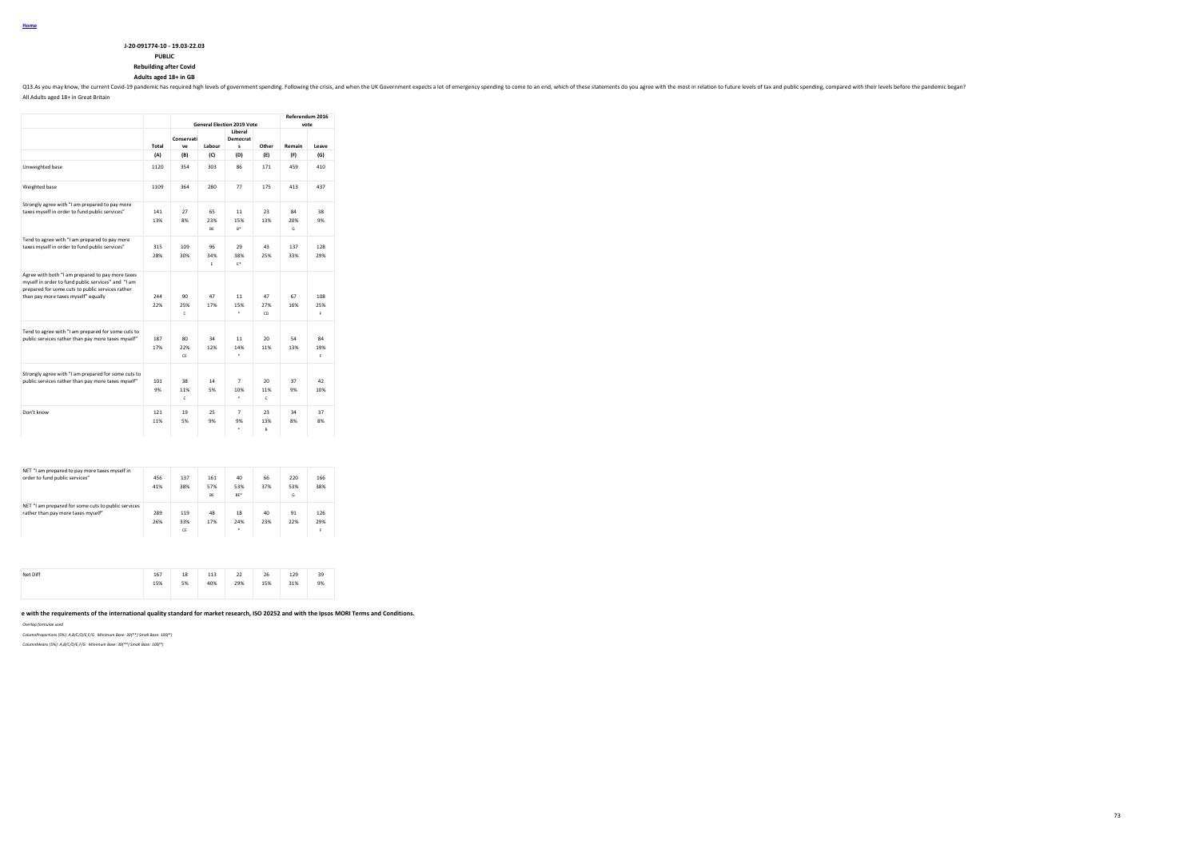## **PUBLIC**

**Rebuilding after Covid**

### **Adults aged 18+ in GB**

Q13.As you may know, the current Covid-19 pandemic has required high levels of government spending. Following the crisis, and when the UK Government expects a lot of emergency spending to come to an end, which of these sta

All Adults aged 18+ in Great Britain

|                                                                                         |       |                  |           | <b>General Election 2019 Vote</b> |                 | Referendum 2016 | vote  |
|-----------------------------------------------------------------------------------------|-------|------------------|-----------|-----------------------------------|-----------------|-----------------|-------|
|                                                                                         | Total | Conservati<br>ve | Labour    | Liberal<br>Democrat<br>s          | Other           | Remain          | Leave |
|                                                                                         | (A)   | (B)              | (C)       | (D)                               | (E)             | (F)             | (G)   |
| Unweighted base                                                                         | 1120  | 354              | 303       | 86                                | 171             | 459             | 410   |
| Weighted base                                                                           | 1109  | 364              | 280       | 77                                | 175             | 413             | 437   |
| Strongly agree with "I am prepared to pay more                                          |       |                  |           |                                   |                 |                 |       |
| taxes myself in order to fund public services"                                          | 141   | 27               | 65        | 11                                | 23              | 84              | 38    |
|                                                                                         | 13%   | 8%               | 23%       | 15%                               | 13%             | 20%             | 9%    |
|                                                                                         |       |                  | <b>RF</b> | $R^*$                             |                 | G.              |       |
| Tend to agree with "I am prepared to pay more                                           |       |                  |           |                                   |                 |                 |       |
| taxes myself in order to fund public services"                                          | 315   | 109              | 96        | 29                                | 43              | 137             | 128   |
|                                                                                         | 28%   | 30%              | 34%       | 38%                               | 25%             | 33%             | 29%   |
|                                                                                         |       |                  | F.        | F*                                |                 |                 |       |
| Agree with both "I am prepared to pay more taxes                                        |       |                  |           |                                   |                 |                 |       |
| myself in order to fund public services" and "I am                                      |       |                  |           |                                   |                 |                 |       |
| prepared for some cuts to public services rather<br>than pay more taxes myself" equally | 244   | 90               | 47        | 11                                | 47              | 67              | 108   |
|                                                                                         | 22%   | 25%              | 17%       | 15%                               | 27%             | 16%             | 25%   |
|                                                                                         |       | $\mathsf{c}$     |           | ٠                                 | CD              |                 | F.    |
|                                                                                         |       |                  |           |                                   |                 |                 |       |
| Tend to agree with "I am prepared for some cuts to                                      |       |                  |           |                                   |                 |                 |       |
| public services rather than pay more taxes myself"                                      | 187   | 80               | 34        | 11                                | 20 <sub>0</sub> | 54              | 84    |
|                                                                                         | 17%   | 22%              | 12%       | 14%                               | 11%             | 13%             | 19%   |
|                                                                                         |       | CF.              |           | ٠                                 |                 |                 | F.    |
|                                                                                         |       |                  |           |                                   |                 |                 |       |
| Strongly agree with "I am prepared for some cuts to                                     |       |                  |           |                                   |                 |                 |       |
| public services rather than pay more taxes myself"                                      | 101   | 38               | 14        | $\overline{7}$                    | 20 <sub>0</sub> | 37              | 42    |
|                                                                                         | 9%    | 11%              | 5%        | 10%                               | 11%             | 9%              | 10%   |
|                                                                                         |       | c.               |           | ٠                                 | c               |                 |       |
| Don't know                                                                              | 121   | 19               | $25 -$    | $\overline{7}$                    | 23              | 34              | 37    |
|                                                                                         | 11%   | 5%               | 9%        | 9%                                | 13%             | 8%              | 8%    |
|                                                                                         |       |                  |           | $\epsilon$                        | $\overline{R}$  |                 |       |

| NET "I am prepared to pay more taxes myself in<br>order to fund public services"          | 456<br>41% | 137<br>38%       | 161<br>57%<br>BE | 40<br>53%<br>BE <sup>*</sup> | 66<br>37% | 220<br>53%<br>G | 166<br>38%      |
|-------------------------------------------------------------------------------------------|------------|------------------|------------------|------------------------------|-----------|-----------------|-----------------|
| NET "I am prepared for some cuts to public services<br>rather than pay more taxes myself" | 289<br>26% | 119<br>33%<br>CE | 48<br>17%        | 18<br>24%<br>٠               | 40<br>23% | 91<br>22%       | 126<br>29%<br>F |

| Net Diff | 167<br>---<br>15%<br>$- - - -$ | 18<br>5% | 113<br>---<br>40% | 22<br>29%<br>---- | 26<br>15%<br>$- - -$ | 129<br>31% | 39<br>9% |
|----------|--------------------------------|----------|-------------------|-------------------|----------------------|------------|----------|
|----------|--------------------------------|----------|-------------------|-------------------|----------------------|------------|----------|

e with the requirements of the international quality standard for market research, ISO 20252 and with the Ipsos MORI Terms and Conditions.

*Overlap formulae used*

*ColumnProportions (5%): A,B/C/D/E,F/G Minimum Base: 30(\*\*) Small Base: 100(\*)*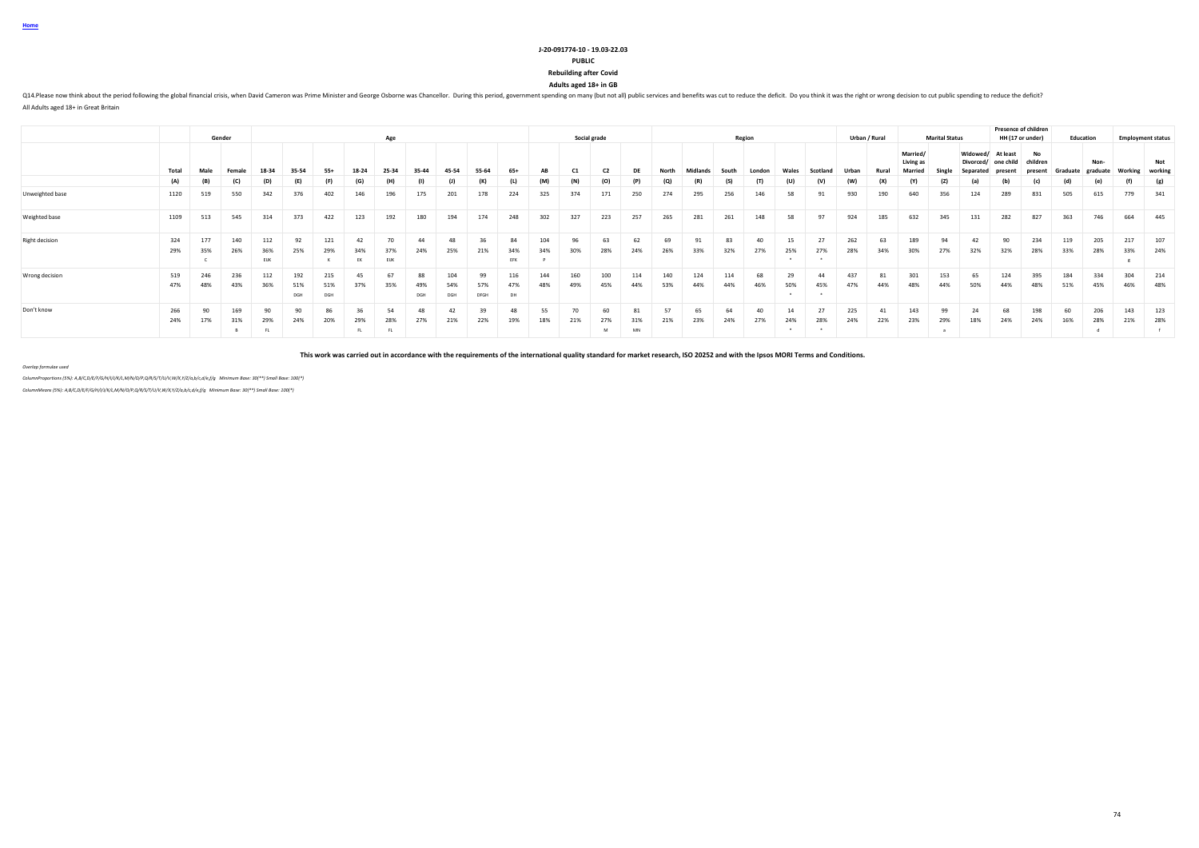#### **PUBLIC**

**Rebuilding after Covid**

**Adults aged 18+ in GB**

Q14.Please now think about the period following the global financial crisis, when David Cameron was Prime Minister and George Osborne was Chancellor. During this period, government spending on many (but not all) public ser

All Adults aged 18+ in Great Britain

|                       |            |            |            |                    |                   |                   |            |                  |                  |            |            |                  |            |                |              |            |            |            |            | Region    |           |           |            | Urban / Rural |                       |                       |                       |                       | <b>Presence of children</b><br>HH (17 or under) |            |                   |            |                                 |
|-----------------------|------------|------------|------------|--------------------|-------------------|-------------------|------------|------------------|------------------|------------|------------|------------------|------------|----------------|--------------|------------|------------|------------|------------|-----------|-----------|-----------|------------|---------------|-----------------------|-----------------------|-----------------------|-----------------------|-------------------------------------------------|------------|-------------------|------------|---------------------------------|
|                       |            |            | Gender     |                    |                   |                   |            | Age              |                  |            |            |                  |            |                | Social grade |            |            |            |            |           |           |           |            |               | Married/<br>Living as | <b>Marital Status</b> | Widowed/<br>Divorced. | At least<br>one child | No<br>children                                  |            | Education<br>Non- |            | <b>Employment status</b><br>Not |
|                       | Total      | Male       |            | 18.34              | 35-54             | $55+$             | 18-24      |                  |                  | 15-54      | 55-64      | $65+$            |            | C <sub>1</sub> |              |            |            |            |            |           |           |           |            | Rural         |                       |                       |                       |                       |                                                 | Graduate   | eraduate          | Working    | working                         |
|                       | (A)        |            | (C)        | (D)                | (E)               | (F)               |            |                  |                  |            |            | (L)              | (M)        |                | (O)          |            | (Q)        | (R         | (S)        |           |           | (V)       | (W)        | (X)           | (Y)                   | (z)                   | a                     | (b)                   | (c)                                             | (d         |                   |            | (g)                             |
| Unweighted base       | 1120       | 519        | 550        | 342                | 376               | 402               | 146        | 196              | 175              | 201        | 178        | 224              | 325        | 374            | 171          | 250        | 274        | 295        | 256        | 146       | 58        | 91        | 930        | 190           | 640                   | 356                   | 124                   | 289                   | 831                                             | 505        | 615               | 779        | 341                             |
| Weighted base         | 1109       | 513        | 545        | 314                | 373               | 422               | 123        | 192              | 180              | 194        | 174        | 248              | 302        | 327            | 223          | 257        | 265        | 281        | 261        | 148       | 58        | 97        | 924        | 185           | 632                   | 345                   | 131                   | 282                   | 827                                             | 363        | 746               | 664        | 445                             |
| <b>Right decision</b> | 324<br>29% | 177<br>35% | 140<br>26% | 112<br>36%<br>EIJK | 92<br>25%         | 121<br>29%        | 42<br>EK   | 70<br><b>EUK</b> | 44<br>24%        | 48<br>25%  | 36<br>21%  | 84<br>34%<br>EFK | 104<br>34% | 96<br>30%      | 63<br>28%    | 62<br>24%  | 69<br>26%  | 91<br>33%  | 83<br>32%  | 40<br>27% | 15<br>25% | 27<br>27% | 262<br>28% | 63<br>34%     | 189<br>30%            | 94<br>27%             | 42<br>32%             | 90<br>32%             | 234<br>28%                                      | 119<br>33% | 205<br>28%        | 217<br>33% | 107<br>24%                      |
| Wrong decision        | 519<br>47% | 246<br>48% | 236<br>43% | 112<br>36%         | 192<br>51%<br>DGH | 215<br>51%<br>DGH | 45         | 67<br>35%        | 88<br>49%<br>DGH | 104<br>DGH | 99<br>DFGH | <b>DH</b>        | 144<br>48% | 160<br>49%     | 100<br>45%   | 44%        | 140<br>53% | 124<br>44% | 114<br>44% | 68<br>46% | 29<br>50% | 44<br>45% | 437<br>47% | 81<br>44%     | 301<br>48%            | 153<br>44%            | 65<br>50%             | 124<br>44%            | 395<br>48%                                      | 184<br>51% | 334<br>45%        | 304<br>46% | 214<br>48%                      |
| Don't know            | 266<br>24% | 90<br>17%  | 31%<br>В.  | 29%<br>. FL        | 90<br>24%         | 20%               | 29%<br>FL. | 28%<br>FL.       | 27%              | 21%        | 22%        | 19%              | 18%        | 21%            | 27%<br>M     | 5170<br>MN | 57<br>21%  | 65<br>23%  | 64<br>24%  | 40<br>27% | 14<br>24% | 27<br>28% | 225<br>24% | 41<br>22%     | 143<br>23%            | 99<br>29%             | 24<br>18%             | 68<br>24%             | 198<br>24%                                      | 60<br>16%  | 206<br>28%        | 143<br>21% | 123<br>28%                      |

**This work was carried out in accordance with the requirements of the international quality standard for market research, ISO 20252 and with the Ipsos MORI Terms and Conditions.**

*Overlap formulae used*

*ColumnProportions (5%): A,B/C,D/E/F/G/H/I/J/K/L,M/N/O/P,Q/R/S/T/U/V,W/X,Y/Z/a,b/c,d/e,f/g Minimum Base: 30(\*\*) Small Base: 100(\*)*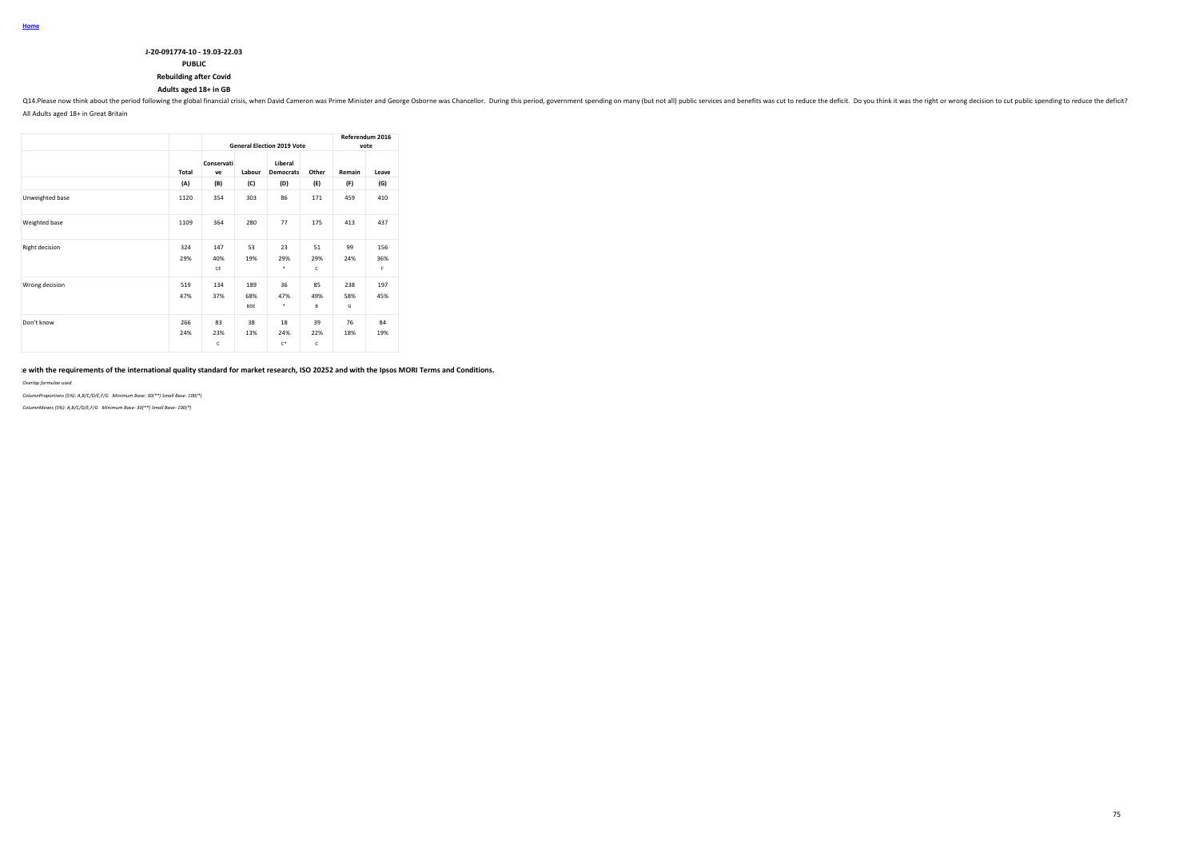### **J-20-091774-10 - 19.03-22.03 PUBLIC**

# **Rebuilding after Covid**

## **Adults aged 18+ in GB**

Q14.Please now think about the period following the global financial crisis, when David Cameron was Prime Minister and George Osborne was Chancellor. During this period, government spending on many (but not all) public ser All Adults aged 18+ in Great Britain

|                       |            |                  |                          | <b>General Election 2019 Vote</b> |                | vote            | Referendum 2016 |
|-----------------------|------------|------------------|--------------------------|-----------------------------------|----------------|-----------------|-----------------|
|                       | Total      | Conservati<br>ve | Labour                   | Liberal<br><b>Democrats</b>       | Other          | Remain          | Leave           |
|                       | (A)        | (B)              | (C)                      | (D)                               | (E)            | (F)             | (G)             |
| Unweighted base       | 1120       | 354              | 303                      | 86                                | 171            | 459             | 410             |
| Weighted base         | 1109       | 364              | 280                      | 77                                | 175            | 413             | 437             |
| <b>Right decision</b> | 324<br>29% | 147<br>40%<br>CE | 53<br>19%                | 23<br>29%<br>٠                    | 51<br>29%<br>c | 99<br>24%       | 156<br>36%<br>F |
| Wrong decision        | 519<br>47% | 134<br>37%       | 189<br>68%<br><b>BDE</b> | 36<br>47%<br>٠                    | 85<br>49%<br>B | 238<br>58%<br>G | 197<br>45%      |
| Don't know            | 266<br>24% | 83<br>23%<br>c   | 38<br>13%                | 18<br>24%<br>$C^*$                | 39<br>22%<br>c | 76<br>18%       | 84<br>19%       |

### e with the requirements of the international quality standard for market research, ISO 20252 and with the Ipsos MORI Terms and Conditions.

*Overlap formulae used*

*ColumnProportions (5%): A,B/C/D/E,F/G Minimum Base: 30(\*\*) Small Base: 100(\*)*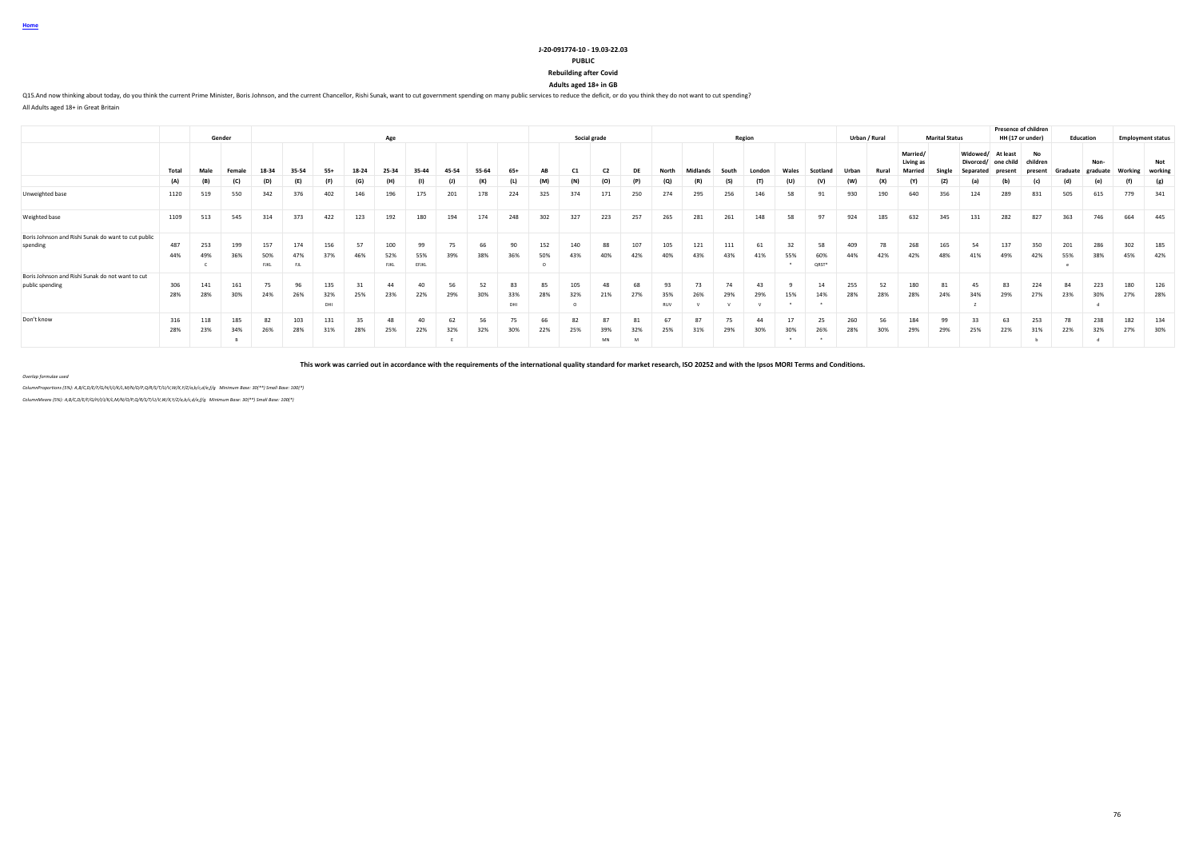### **PUBLIC**

**Rebuilding after Covid**

**Adults aged 18+ in GB**

Q15.And now thinking about today, do you think the current Prime Minister, Boris Johnson, and the current Chancellor, Rishi Sunak, want to cut government spending on many public services to reduce the deficit, or do you th

All Adults aged 18+ in Great Britain

|                                                                     |            |            | Gender     |                           |                          |                   |           | Age                |                    |           |           |                  |            |            | Social grade |            |                    |            |           | Region |       |                    |            | Urban / Rural |                                  | <b>Marital Status</b> |                                    |                       | <b>Presence of children</b><br>HH (17 or under) |            | Education        |            | <b>Employment status</b> |
|---------------------------------------------------------------------|------------|------------|------------|---------------------------|--------------------------|-------------------|-----------|--------------------|--------------------|-----------|-----------|------------------|------------|------------|--------------|------------|--------------------|------------|-----------|--------|-------|--------------------|------------|---------------|----------------------------------|-----------------------|------------------------------------|-----------------------|-------------------------------------------------|------------|------------------|------------|--------------------------|
|                                                                     | Total      | Male       | Female     | 18-34                     | 35-54                    | $55+$             | 18-24     | 25-34              | 35-44              | 45-54     | 55-64     | $65+$            | AB         |            |              |            | North              | Midlands   | South     | London | Wales | Scotland           | Urban      | Rural         | Married/<br>Living as<br>Married |                       | Widowed/<br>Divorced/<br>Separated | At least<br>one child | No<br>children<br><b>resent</b>                 | Graduate   | Non-<br>graduate | Working    | Not<br>working           |
|                                                                     | (A)        | (B)        | (C)        | (D)                       | (E)                      | (F)               | (G)       |                    | (1)                | (1)       | (K)       |                  | (M)        | (N)        | (O)          |            | $\left( 0 \right)$ | (R)        |           |        | (U)   |                    | (W)        | (X)           |                                  | (Z)                   | (a)                                | (b)                   | (c)                                             | (d)        | (e)              | (f)        | (g)                      |
| Unweighted base                                                     | 1120       | 519        | 550        | 342                       | 376                      | 402               | 146       | 196                | 175                | 201       | 178       | 224              | 325        | 374        | 171          | 250        | 274                | 295        | 256       | 146    | 58    | 91                 | 930        | 190           | 640                              | 356                   | 124                                | 289                   | 831                                             | 505        | 615              | 779        | 341                      |
| Weighted base                                                       | 1109       | 513        | 545        | 314                       | 373                      | 422               | 123       | 192                | 180                | 194       | 174       | 248              | 302        | 327        | 223          | 257        | 265                | 281        | 261       | 148    | 58    | Q7                 | 924        | 185           | 632                              | 345                   | 131                                | 282                   | 827                                             | 363        | 746              | 664        | 445                      |
| Boris Johnson and Rishi Sunak do want to cut public<br>spending     | 487<br>44% | 253<br>49% | 199<br>36% | 157<br>50%<br><b>FJKL</b> | 174<br>47%<br><b>FJL</b> | 156<br>37%        | 57<br>46% | 100<br>52%<br>FJKL | 99<br>55%<br>EFJKL | 39%       | 66<br>38% | 90<br>36%        | 152<br>50% | 140<br>43% | 88<br>40%    | 107<br>42% | 105<br>40%         | 121<br>43% | 43%       | 41%    |       | 58<br>60%<br>QRST* | 409        | 42%           | 268<br>42%                       | 165<br>48%            | 54<br>41%                          | 137<br>49%            | 350<br>42%                                      | 201<br>55% | 286<br>38%       | 302<br>45% | 185<br>42%               |
| Boris Johnson and Rishi Sunak do not want to cut<br>public spending | 306<br>28% | 141<br>28% | 161<br>30% | 75<br>24%                 | 96<br>26%                | 135<br>32%<br>DHI | 25%       | 44<br>23%          | 40<br>22%          | 56<br>29% | 52<br>30% | 83<br>33%<br>DHI | 85<br>28%  | 105<br>32% | 48<br>21%    | 68<br>27%  | 35%<br><b>RUV</b>  | 73<br>26%  | 74<br>29% | 29%    | 15%   | 14%                | 255<br>28% | 52<br>28%     | 180<br>28%                       | 81<br>24%             | 45<br>34%                          | 83<br>29%             | 224<br>27%                                      | 84<br>23%  | 223<br>30%       | 180<br>27% | 126<br>28%               |
| Don't know                                                          | 316<br>28% | 118<br>23% | 185<br>34% | 82<br>26%                 | 103<br>28%               | 131<br>31%        | 28%       | 48<br>25%          | 40<br>22%          | 62<br>32% | 56<br>32% | 75<br>30%        | 66<br>22%  | 82<br>25%  | 39%<br>MN    | 32%        | 25%                | 31%        | 29%       | 30%    | 30%   | 26%                | 260<br>28% | 56<br>30%     | 184<br>29%                       | 99<br>29%             | 25%                                | 63<br>22%             | 253<br>31%                                      | 22%        | 238<br>32%       | 182<br>27% | 134<br>30%               |

**This work was carried out in accordance with the requirements of the international quality standard for market research, ISO 20252 and with the Ipsos MORI Terms and Conditions.**

*Overlap formulae used*

*ColumnProportions (5%): A,B/C,D/E/F/G/H/I/J/K/L,M/N/O/P,Q/R/S/T/U/V,W/X,Y/Z/a,b/c,d/e,f/g Minimum Base: 30(\*\*) Small Base: 100(\*) ColumnMeans (5%): A,B/C,D/E/F/G/H/I/J/K/L,M/N/O/P,Q/R/S/T/U/V,W/X,Y/Z/a,b/c,d/e,f/g Minimum Base: 30(\*\*) Small Base: 100(\*)*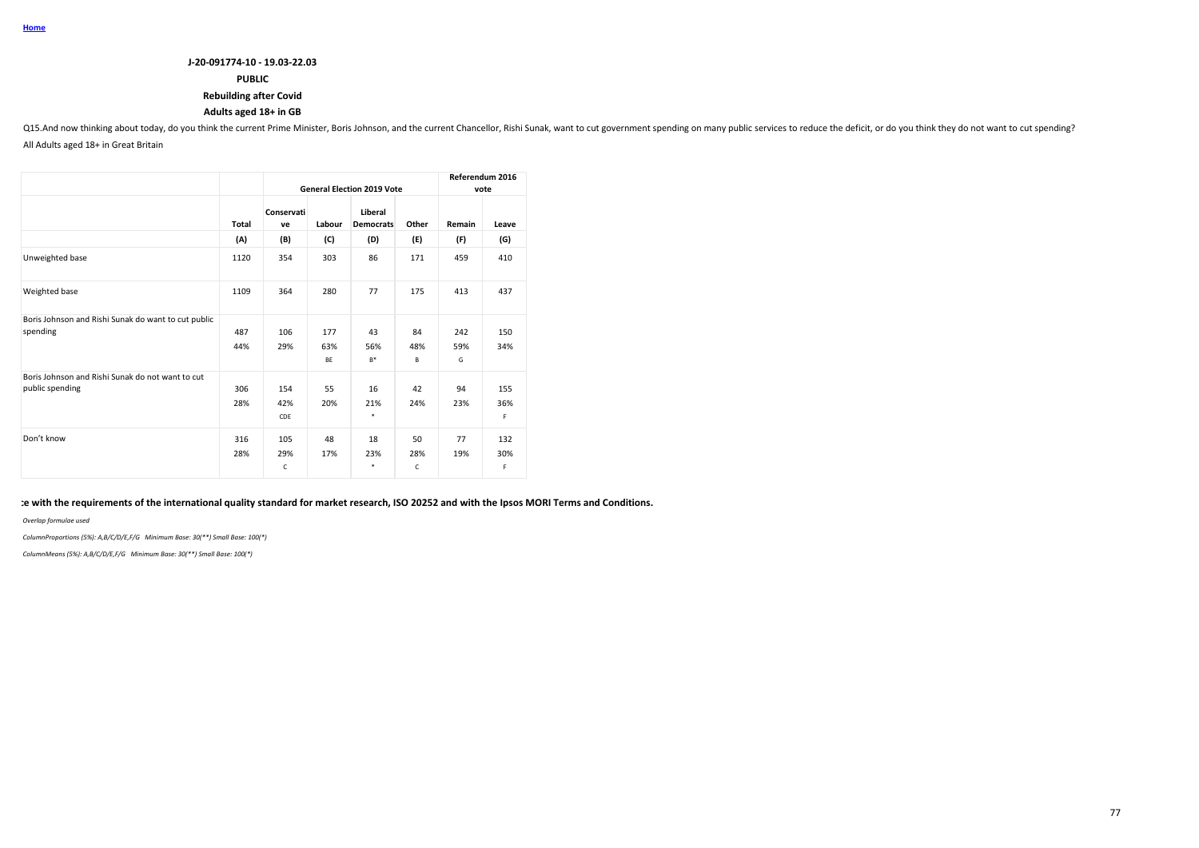## **PUBLIC**

## **Rebuilding after Covid**

## **Adults aged 18+ in GB**

Q15.And now thinking about today, do you think the current Prime Minister, Boris Johnson, and the current Chancellor, Rishi Sunak, want to cut government spending on many public services to reduce the deficit, or do you th All Adults aged 18+ in Great Britain

|                                                                     |            |                   |                         | <b>General Election 2019 Vote</b> |                           |                 | Referendum 2016<br>vote |
|---------------------------------------------------------------------|------------|-------------------|-------------------------|-----------------------------------|---------------------------|-----------------|-------------------------|
|                                                                     | Total      | Conservati<br>ve  | Labour                  | Liberal<br><b>Democrats</b>       | Other                     | Remain          | Leave                   |
|                                                                     | (A)        | (B)               | (C)                     | (D)                               | (E)                       | (F)             | (G)                     |
| Unweighted base                                                     | 1120       | 354               | 303                     | 86                                | 171                       | 459             | 410                     |
| Weighted base                                                       | 1109       | 364               | 280                     | 77                                | 175                       | 413             | 437                     |
| Boris Johnson and Rishi Sunak do want to cut public<br>spending     | 487<br>44% | 106<br>29%        | 177<br>63%<br><b>BE</b> | 43<br>56%<br>$B*$                 | 84<br>48%<br>В            | 242<br>59%<br>G | 150<br>34%              |
| Boris Johnson and Rishi Sunak do not want to cut<br>public spending | 306<br>28% | 154<br>42%<br>CDE | 55<br>20%               | 16<br>21%<br>$\ast$               | 42<br>24%                 | 94<br>23%       | 155<br>36%<br>F.        |
| Don't know                                                          | 316<br>28% | 105<br>29%<br>C   | 48<br>17%               | 18<br>23%<br>$\ast$               | 50<br>28%<br>$\mathsf{C}$ | 77<br>19%       | 132<br>30%<br>F.        |

## **This work was carried out in accordance with the requirements of the international quality standard for market research, ISO 20252 and with the Ipsos MORI Terms and Conditions.**

*Overlap formulae used*

*ColumnProportions (5%): A,B/C/D/E,F/G Minimum Base: 30(\*\*) Small Base: 100(\*)*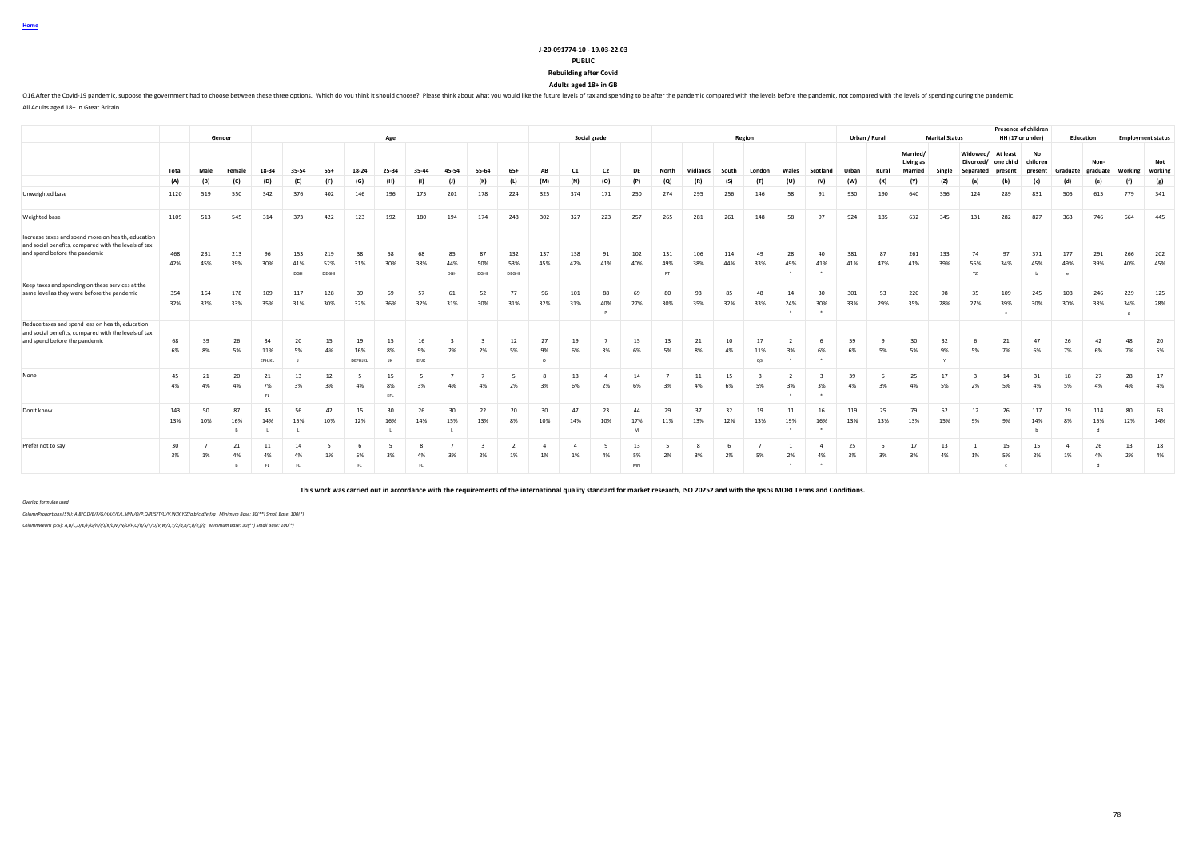**Home**

#### **J-20-091774-10 - 19.03-22.03**

**PUBLIC**

**Rebuilding after Covid**

**Adults aged 18+ in GB**

Q16.After the Covid-19 pandemic, suppose the government had to choose between these three options. Which do you think it should choose? Please think about what you would like the future levels of tax and spending to be aft

All Adults aged 18+ in Great Britain

|                                                                                                                                             |            |            | Gender                   |                     |                   |                     |                      | Age             |                  |                  |                   |                     |                      |                      | Social grade         |                |                         |            |            | Region          |           |           |            | Urban / Rural |                                  | <b>Marital Status</b> |                                    | Presence of children<br>HH (17 or under) |                           | Education            |                  |            | <b>Employment status</b> |
|---------------------------------------------------------------------------------------------------------------------------------------------|------------|------------|--------------------------|---------------------|-------------------|---------------------|----------------------|-----------------|------------------|------------------|-------------------|---------------------|----------------------|----------------------|----------------------|----------------|-------------------------|------------|------------|-----------------|-----------|-----------|------------|---------------|----------------------------------|-----------------------|------------------------------------|------------------------------------------|---------------------------|----------------------|------------------|------------|--------------------------|
|                                                                                                                                             | Total      | Male       | Female                   | 18-34               | 35-54             | $55+$               | 18-24                | 25-34           | 35-44            | 45-54            | 55-64             | $65+$               | AB                   | C1                   | C <sub>2</sub>       | DE             | North                   | Midlands   | South      | London          | Wales     | Scotland  | Urban      | Rural         | Married/<br>Living as<br>Married | Single                | Widowed/<br>Divorced/<br>Separated | At least<br>one child<br>present         | No<br>children<br>present | Graduate             | Non-<br>graduate | Working    | Not<br>working           |
|                                                                                                                                             | (A)        | (B)        | (C)                      | (D)                 | (E)               | (F)                 | (G)                  | (H)             | (1)              | (J)              | (K)               | (L)                 | (M)                  | (N)                  | (O)                  | (P)            | (Q)                     | (R)        | (S)        | (T)             | (U)       | (V)       | (W)        | (X)           | (Y)                              | (2)                   | (a)                                | (b)                                      | (c)                       | (d)                  | (e)              | (f)        | (g)                      |
| Unweighted base                                                                                                                             | 1120       | 519        | 550                      | 342                 | 376               | 402                 | 146                  | 196             | 175              | 201              | 178               | 224                 | 325                  | 374                  | 171                  | 250            | 274                     | 295        | 256        | 146             | 58        | 91        | 930        | 190           | 640                              | 356                   | 124                                | 289                                      | 831                       | 505                  | 615              | 779        | 341                      |
| Weighted base                                                                                                                               | 1109       | 513        | 545                      | 314                 | 373               | 422                 | 123                  | 192             | 180              | 194              | 174               | 248                 | 302                  | 327                  | 223                  | 257            | 265                     | 281        | 261        | 148             | 58        | 97        | 924        | 185           | 632                              | 345                   | 131                                | 282                                      | 827                       | 363                  | 746              | 664        | 445                      |
| Increase taxes and spend more on health, education<br>and social benefits, compared with the levels of tax<br>and spend before the pandemic | 468<br>42% | 231<br>45% | 213<br>39%               | 96<br>30%           | 153<br>41%<br>DGH | 219<br>52%<br>DEGHI | 38<br>31%            | 58<br>30%       | 68<br>38%        | 85<br>44%<br>DGH | 87<br>50%<br>DGHI | 132<br>53%<br>DEGHI | 137<br>45%           | 138<br>42%           | 91<br>41%            | 102<br>40%     | 131<br>49%<br><b>RT</b> | 106<br>38% | 114<br>44% | 49<br>33%       | 28<br>49% | 40<br>41% | 381<br>41% | 87<br>47%     | 261<br>41%                       | 133<br>39%            | 74<br>56%<br>YZ                    | 97<br>34%                                | 371<br>45%<br>h           | 177<br>49%           | 291<br>39%       | 266<br>40% | 202<br>45%               |
| Keep taxes and spending on these services at the<br>same level as they were before the pandemic                                             | 354<br>32% | 164<br>32% | 178<br>33%               | 109<br>35%          | 117<br>31%        | 128<br>30%          | 39<br>32%            | 69<br>36%       | 57<br>32%        | 61<br>31%        | 52<br>30%         | 77<br>31%           | 96<br>32%            | 101<br>31%           | 88<br>40%            | 69<br>27%      | 80<br>30%               | 98<br>35%  | 85<br>32%  | 48<br>33%       | 14<br>24% | 30<br>30% | 301<br>33% | 53<br>29%     | 220<br>35%                       | 98<br>28%             | 35<br>27%                          | 109<br>39%                               | 245<br>30%                | 108<br>30%           | 246<br>33%       | 229<br>34% | 125<br>28%               |
| Reduce taxes and spend less on health, education<br>and social benefits, compared with the levels of tax<br>and spend before the pandemic   | 68<br>6%   | 39<br>8%   | 26<br>5%                 | 34<br>11%<br>EFHJKL | 20<br>5%          | 15<br>4%            | 19<br>16%<br>DEFHJKL | 15<br>8%<br>JK  | 16<br>9%<br>EFJK | 2%               | 2%                | 12<br>5%            | 27<br>9%<br>$\circ$  | 19<br>6%             | 3%                   | 15<br>6%       | 13<br>5%                | 21<br>8%   | 10<br>4%   | 17<br>11%<br>QS | 3%        | 6%        | 59<br>6%   | 5%            | 30<br>5%                         | 32<br>9%              | -6<br>5%                           | 21<br>7%                                 | 47<br>6%                  | 26<br>7%             | 42<br>6%         | 48<br>7%   | 20<br>5%                 |
| None                                                                                                                                        | 45<br>4%   | 21<br>4%   | 20<br>4%                 | 21<br>7%<br>F1      | 13<br>3%          | 12<br>3%            | 4%                   | 15<br>8%<br>EFL | 3%               | 4%               | 4%                | -5<br>2%            | -8<br>3%             | 18<br>6%             | $\overline{4}$<br>2% | 14<br>6%       | 3%                      | 11<br>4%   | 15<br>6%   | 5%              | 3%        | 3%        | 39<br>4%   | -6<br>3%      | 25<br>4%                         | 17<br>5%              | 2%                                 | 14<br>5%                                 | 31<br>4%                  | 18<br>5%             | 27<br>4%         | 28<br>4%   | 17<br>4%                 |
| Don't know                                                                                                                                  | 143<br>13% | 50<br>10%  | 87<br>16%<br><b>B</b>    | 45<br>14%           | 56<br>15%         | 42<br>10%           | 15<br>12%            | 30<br>16%       | 26<br>14%        | 30<br>15%        | 22<br>13%         | 20<br>8%            | 30<br>10%            | 47<br>14%            | 23<br>10%            | 44<br>17%<br>M | 29<br>11%               | 37<br>13%  | 32<br>12%  | 19<br>13%       | 11<br>19% | 16<br>16% | 119<br>13% | 25<br>13%     | 79<br>13%                        | 52<br>15%             | 12<br>9%                           | 26<br>9%                                 | 117<br>14%                | 29<br>8%             | 114<br>15%       | 80<br>12%  | 63<br>14%                |
| Prefer not to say                                                                                                                           | 30<br>3%   | 1%         | 21<br>4%<br>$\mathbb{R}$ | 11<br>4%<br>FL.     | 14<br>4%<br>FI.   | 1%                  | 5%<br>FL.            | 3%              | -8<br>4%<br>FI.  | 3%               | 2%                | 1%                  | $\overline{a}$<br>1% | $\overline{a}$<br>1% | 4%                   | 13<br>5%<br>MN | 2%                      | 3%         | 2%         | 5%              | 2%        | 4%        | 25<br>3%   | 3%            | 17<br>3%                         | 13<br>4%              | 1%                                 | 15<br>5%                                 | 15<br>2%                  | $\overline{a}$<br>1% | 26<br>4%         | 13<br>2%   | 18<br>4%                 |

**This work was carried out in accordance with the requirements of the international quality standard for market research, ISO 20252 and with the Ipsos MORI Terms and Conditions.**

*Overlap formulae used*

*ColumnProportions (5%): A,B/C,D/E/F/G/H/I/J/K/L,M/N/O/P,Q/R/S/T/U/V,W/X,Y/Z/a,b/c,d/e,f/g Minimum Base: 30(\*\*) Small Base: 100(\*)*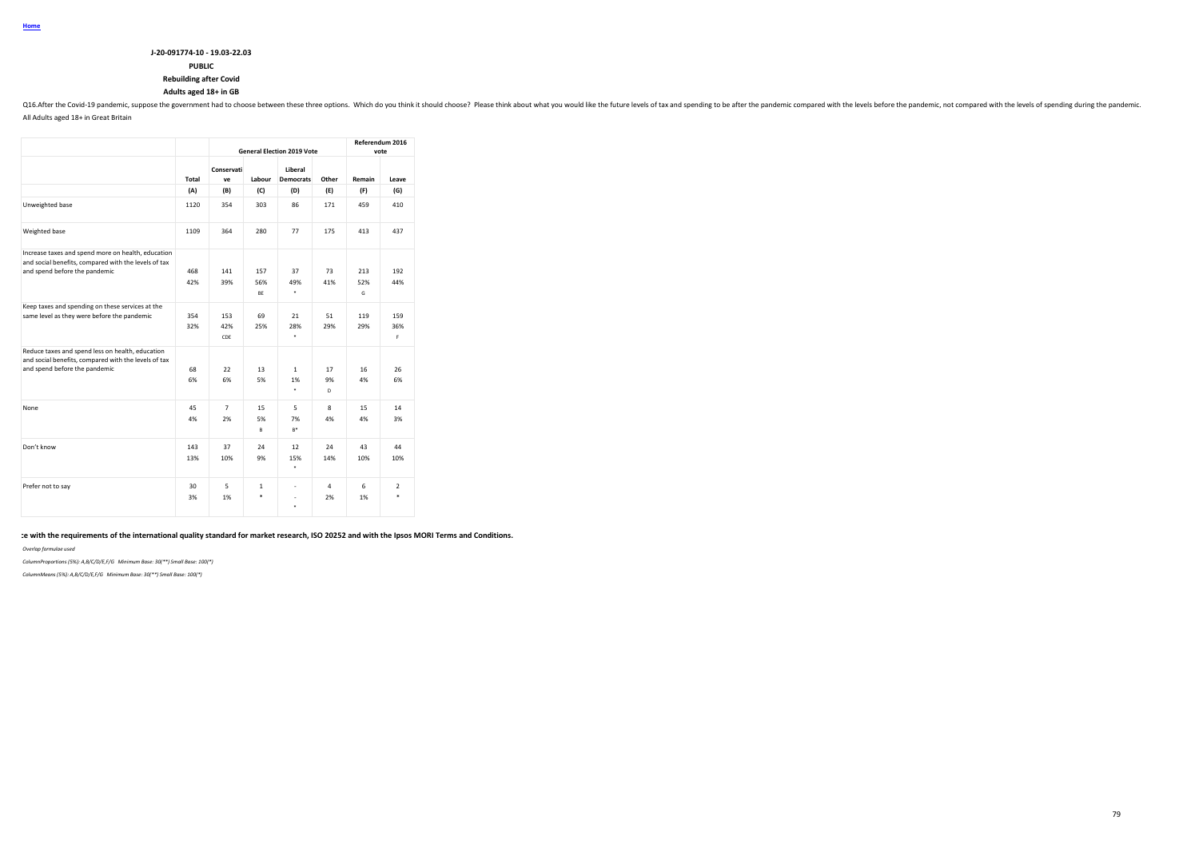## **PUBLIC**

## **Rebuilding after Covid**

## **Adults aged 18+ in GB**

016.After the Covid-19 pandemic, suppose the government had to choose between these three options. Which do you think it should choose? Please think about what you would like the future levels of tax and spending to be aft All Adults aged 18+ in Great Britain

|                                                                                                            |       |                  |              | <b>General Election 2019 Vote</b> |         |          | Referendum 2016<br>vote |
|------------------------------------------------------------------------------------------------------------|-------|------------------|--------------|-----------------------------------|---------|----------|-------------------------|
|                                                                                                            | Total | Conservati<br>ve | Labour       | Liberal<br><b>Democrats</b>       | Other   | Remain   | Leave                   |
|                                                                                                            | (A)   | (B)              | (C)          | (D)                               | (E)     | (F)      | (G)                     |
| Unweighted base                                                                                            | 1120  | 354              | 303          | 86                                | 171     | 459      | 410                     |
| Weighted base                                                                                              | 1109  | 364              | 280          | 77                                | 175     | 413      | 437                     |
| Increase taxes and spend more on health, education<br>and social benefits, compared with the levels of tax |       |                  |              |                                   |         |          |                         |
| and spend before the pandemic                                                                              | 468   | 141              | 157          | 37                                | 73      | 213      | 192                     |
|                                                                                                            | 42%   | 39%              | 56%<br>BE    | 49%<br>٠                          | 41%     | 52%<br>G | 44%                     |
| Keep taxes and spending on these services at the                                                           |       |                  |              |                                   |         |          |                         |
| same level as they were before the pandemic                                                                | 354   | 153              | 69           | 21                                | 51      | 119      | 159                     |
|                                                                                                            | 32%   | 42%<br>CDE       | 25%          | 28%<br>$\ast$                     | 29%     | 29%      | 36%<br>F.               |
| Reduce taxes and spend less on health, education<br>and social benefits, compared with the levels of tax   |       |                  |              |                                   |         |          |                         |
| and spend before the pandemic                                                                              | 68    | 22               | 13           | $\mathbf{1}$                      | 17      | 16       | 26                      |
|                                                                                                            | 6%    | 6%               | 5%           | 1%<br>٠                           | 9%<br>D | 4%       | 6%                      |
| None                                                                                                       | 45    | $\overline{7}$   | 15           | 5                                 | 8       | 15       | 14                      |
|                                                                                                            | 4%    | 2%               | 5%<br>B      | 7%<br>$B^*$                       | 4%      | 4%       | 3%                      |
| Don't know                                                                                                 | 143   | 37               | 24           | 12                                | 24      | 43       | 44                      |
|                                                                                                            | 13%   | 10%              | 9%           | 15%<br>$\ast$                     | 14%     | 10%      | 10%                     |
| Prefer not to say                                                                                          | 30    | 5                | $\mathbf{1}$ | ٠                                 | 4       | 6        | $\overline{2}$          |
|                                                                                                            | 3%    | 1%               | *            | ä,<br>$\star$                     | 2%      | 1%       | ×.                      |

te with the requirements of the international quality standard for market research, ISO 20252 and with the Ipsos MORI Terms and Conditions.

#### *Overlap formulae used*

*ColumnProportions (5%): A,B/C/D/E,F/G Minimum Base: 30(\*\*) Small Base: 100(\*)*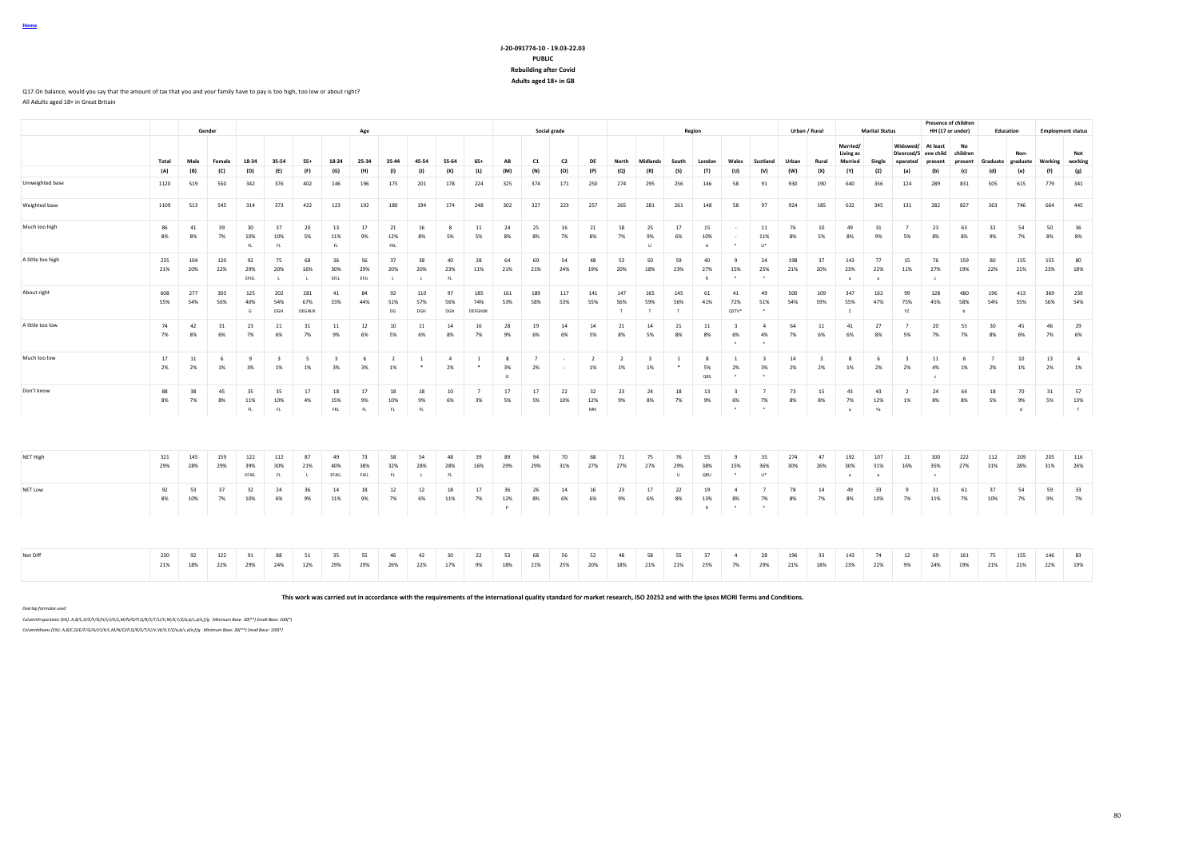### **J-20-091774-10 - 19.03-22.03 PUBLIC Rebuilding after Covid Adults aged 18+ in GB**

#### Q17.On balance, would you say that the amount of tax that you and your family have to pay is too high, too low or about right? All Adults aged 18+ in Great Britain

|                   |            |            | Gender     |                     |                               |                           |                               | Age               |                      |                           |                      |                          |                           |                      | Social grade   |                      |                    |                               |                          | Region                    |                                          |                                          |            | Urban / Rural                 |                        | <b>Marital Status</b>      |                               | HH (17 or under)           | <b>Presence of children</b> | Education         |               | <b>Employment status</b> |                      |
|-------------------|------------|------------|------------|---------------------|-------------------------------|---------------------------|-------------------------------|-------------------|----------------------|---------------------------|----------------------|--------------------------|---------------------------|----------------------|----------------|----------------------|--------------------|-------------------------------|--------------------------|---------------------------|------------------------------------------|------------------------------------------|------------|-------------------------------|------------------------|----------------------------|-------------------------------|----------------------------|-----------------------------|-------------------|---------------|--------------------------|----------------------|
|                   |            |            |            |                     |                               |                           |                               |                   |                      |                           |                      |                          |                           |                      |                |                      |                    |                               |                          |                           |                                          |                                          |            |                               | Married/<br>Living as  |                            | Widowed/<br>Divorced/S        | At least<br>one child      | No<br>children              |                   | Non           |                          | Not                  |
|                   | Total      | Male       | Female     | 18-34               | 35-54                         | $55+$                     | 18-24                         | 25-34             | 35-44                | 45-54                     | 55-64                | $65+$                    | AB                        | C1                   | C <sub>2</sub> | DE                   | North              | Midlands                      | South                    | London                    | Wales                                    | Scotland                                 | Urban      | Rural                         | <b>Married</b>         | Single                     | eparated                      | present                    | present                     | Graduate graduate |               | Working                  | working              |
|                   | (A)        | (B)        | (C)        | (D)                 | (E)                           | (F)                       | (G)                           | (H)               | (1)                  | (1)                       | (K)                  | (L)                      | (M)                       | (N)                  | (O)            | (P)                  | (Q)                | (R)                           | (S)                      | (T)                       | (U)                                      | (V)                                      | (W)        | (X)                           | (Y)                    | (2)                        | (a)                           | (b)                        | (c)                         | (d)               | (e)           | (f)                      | (g)                  |
| Unweighted base   | 1120       | 519        | 550        | 342                 | 376                           | 402                       | 146                           | 196               | 175                  | 201                       | 178                  | 224                      | 325                       | 374                  | 171            | 250                  | 274                | 295                           | 256                      | 146                       | 58                                       | 91                                       | 930        | 190                           | 640                    | 356                        | 124                           | 289                        | 831                         | 505               | 615           | 779                      | 341                  |
| Weighted base     | 1109       | 513        | 545        | 314                 | 373                           | 422                       | 123                           | 192               | 180                  | 194                       | 174                  | 248                      | 302                       | 327                  | 223            | 257                  | 265                | 281                           | 261                      | 148                       | 58                                       | 97                                       | 924        | 185                           | 632                    | 345                        | 131                           | 282                        | 827                         | 363               | 746           | 664                      | 445                  |
| Much too high     | 86<br>8%   | 41<br>8%   | 39<br>7%   | 30<br>10%<br>FL.    | 37<br>10%<br>FL               | 20<br>5%                  | 13<br>11%<br>FL.              | 17<br>9%          | 21<br>12%<br>FKL     | 16<br>8%                  | 8<br>5%              | 11<br>5%                 | 24<br>8%                  | 25<br>8%             | 16<br>7%       | 21<br>8%             | 18<br>7%           | 25<br>9%<br>$\mathbf{H}$      | 17<br>6%                 | 15<br>10%<br>$\mathbf{H}$ | $\cdot$                                  | 11<br>11%<br>$U^*$                       | 76<br>8%   | 10<br>5%                      | 49<br>8%               | 31<br>9%                   | 7<br>5%                       | 23<br>8%                   | 63<br>8%                    | 32<br>9%          | 54<br>7%      | 50<br>8%                 | 36<br>8%             |
| A little too high | 235<br>21% | 104<br>20% | 120<br>22% | 92<br>29%<br>EFUL   | 75<br>20%<br><b>A</b>         | 68<br>16%<br>$\mathbf{L}$ | 36<br>30%<br>EFJL             | 56<br>29%<br>EFJL | 37<br>20%<br>- 11    | 38<br>20%<br>$\mathbf{L}$ | 40<br>23%<br>FL      | 28<br>11%                | 64<br>21%                 | 69<br>21%            | 54<br>24%      | 48<br>19%            | 53<br>20%          | 50<br>18%                     | 59<br>23%                | 40<br>27%<br>R            | $\mathbf{q}$<br>15%<br>$\cdot$           | 24<br>25%<br>$\cdot$                     | 198<br>21% | 37<br>20%                     | 143<br>23%<br>$\alpha$ | 77<br>22%<br>a             | 15<br>11%                     | 76<br>27%<br>$\epsilon$    | 159<br>19%                  | 80<br>22%         | 155<br>21%    | 155<br>23%               | 80<br>18%            |
| About right       | 608<br>55% | 277<br>54% | 303<br>56% | 125<br>40%<br>G     | 202<br>54%<br>DGH             | 281<br>67%<br>DEGHUK      | 41<br>33%                     | 84<br>44%         | 92<br>51%<br>DG      | 110<br>57%<br>DGH         | 97<br>56%<br>DGH     | 185<br>74%<br>DEFGHUK    | 161<br>53%                | 189<br>58%           | 117<br>53%     | 141<br>55%           | 147<br>56%         | 165<br>59%<br>T               | 145<br>56%               | 61<br>41%                 | 41<br>72%<br>QSTV*                       | 49<br>51%                                | 500<br>54% | 109<br>59%                    | 347<br>55%             | 162<br>47%                 | 99<br>75%<br>YZ               | 128<br>45%                 | 480<br>58%                  | 196<br>54%        | 413<br>55%    | 369<br>56%               | 239<br>54%           |
| A little too low  | 74<br>7%   | 42<br>8%   | 31<br>6%   | 23<br>7%            | 21<br>6%                      | 31<br>7%                  | 11<br>9%                      | 12<br>6%          | 10<br>5%             | 11<br>6%                  | 14<br>8%             | 16<br>7%                 | 28<br>9%                  | 19<br>6%             | 14<br>6%       | 14<br>5%             | 21<br>8%           | 14<br>5%                      | 21<br>8%                 | 11<br>8%                  | $\overline{\mathbf{3}}$<br>6%<br>$\cdot$ | $\sim$<br>4%<br>$\cdot$                  | 64<br>7%   | 11<br>6%                      | 41<br>6%               | 27<br>8%                   | 7<br>5%                       | 20<br>7%                   | 55<br>7%                    | 30<br>8%          | 45<br>6%      | 46<br>7%                 | 29<br>6%             |
| Much too low      | 17<br>2%   | 11<br>2%   | 6<br>1%    | 9<br>3%             | $\overline{\mathbf{3}}$<br>1% | -5<br>1%                  | $\overline{\mathbf{3}}$<br>3% | 6<br>3%           | $\overline{2}$<br>1% | $\overline{1}$<br>$\cdot$ | $\overline{4}$<br>2% | $\overline{1}$<br>$\ast$ | 8<br>3%<br>$\circ$        | $\overline{7}$<br>2% |                | $\overline{2}$<br>1% | <sup>2</sup><br>1% | $\overline{\mathbf{3}}$<br>1% | $\overline{1}$<br>$\ast$ | 8<br>5%<br>QRS            | $\overline{1}$<br>2%<br>$\cdot$          | $\overline{\mathbf{3}}$<br>3%<br>$\cdot$ | 14<br>2%   | $\overline{\mathbf{3}}$<br>2% | 8<br>1%                | - 6<br>2%                  | $\overline{\mathbf{3}}$<br>2% | 11<br>4%<br>$\epsilon$     | 6<br>1%                     | 7<br>2%           | 10<br>1%      | 13<br>2%                 | $\overline{4}$<br>1% |
| Don't know        | 88<br>8%   | 38<br>7%   | 45<br>8%   | 35<br>11%<br>FL.    | 35<br>10%<br>FL               | 17<br>4%                  | 18<br>15%<br>FKL              | 17<br>9%<br>FL    | 18<br>10%<br>FL      | 18<br>9%<br>FL            | 10<br>6%             | 3%                       | 17<br>5%                  | 17<br>5%             | 22<br>10%      | 32<br>12%<br>MN      | 23<br>9%           | 24<br>8%                      | 18<br>7%                 | 13<br>9%                  | $\mathbf{R}$<br>6%<br>$\cdot$            | $\overline{7}$<br>7%                     | 73<br>8%   | 15<br>8%                      | 43<br>7%<br>$\alpha$   | 43<br>12%<br>Ya            | $\overline{2}$<br>1%          | 24<br>8%                   | 64<br>8%                    | 18<br>5%          | 70<br>9%<br>ď | 31<br>5%                 | 57<br>13%<br>f       |
|                   |            |            |            |                     |                               |                           |                               |                   |                      |                           |                      |                          |                           |                      |                |                      |                    |                               |                          |                           |                                          |                                          |            |                               |                        |                            |                               |                            |                             |                   |               |                          |                      |
| NET High          | 321<br>29% | 145<br>28% | 159<br>29% | 122<br>39%<br>EFJKL | 112<br>30%<br>FL              | 87<br>21%<br>$\mathbf{L}$ | 49<br>40%<br>EFJKL            | 73<br>38%<br>FJKL | 58<br>32%<br>FL.     | 54<br>28%<br>$\mathbf{L}$ | 48<br>28%<br>FL.     | 39<br>16%                | 89<br>29%                 | 94<br>29%            | 70<br>31%      | 68<br>27%            | 71<br>27%          | 75<br>27%                     | 76<br>29%<br>$\cup$      | 55<br>38%<br>ORU          | $\mathbf{q}$<br>15%<br>$\cdot$           | 35<br>36%<br>$U^*$                       | 274<br>30% | 47<br>26%                     | 192<br>30%<br>$\alpha$ | 107<br>31%<br>$\mathbf{a}$ | 21<br>16%                     | 100<br>35%<br>$\mathbf{c}$ | 222<br>27%                  | 112<br>31%        | 209<br>28%    | 205<br>31%               | 116<br>26%           |
| NET Low           | 92<br>8%   | 53<br>10%  | 37<br>7%   | 32<br>10%           | 24<br>6%                      | 36<br>9%                  | 14<br>11%                     | 18<br>9%          | 12<br>7%             | 12<br>6%                  | 18<br>11%            | 17<br>7%                 | 36<br>12%<br>$\mathsf{P}$ | 26<br>8%             | 14<br>6%       | 16<br>6%             | 23<br>9%           | 17<br>6%                      | 22<br>8%                 | 19<br>13%<br>R            | $\overline{a}$<br>8%<br>$\cdot$          | $\overline{7}$<br>7%<br>$\cdot$          | 78<br>8%   | 14<br>7%                      | 49<br>8%               | 33<br>10%                  | -9<br>7%                      | 31<br>11%                  | 61<br>7%                    | 37<br>10%         | 54<br>7%      | 59<br>9%                 | 33<br>7%             |
| Net Diff          | 230<br>21% | 92<br>18%  | 122<br>22% | 91<br>29%           | 88<br>24%                     | 51<br>12%                 | 35<br>29%                     | 55<br>29%         | 46<br>26%            | 42<br>22%                 | 30<br>17%            | 22<br>9%                 | 53<br>18%                 | 68<br>21%            | 56<br>25%      | 52<br>20%            | 48<br>18%          | 58<br>21%                     | 55<br>21%                | 37<br>25%                 | 7%                                       | 28<br>29%                                | 196<br>21% | 33<br>18%                     | 143<br>23%             | 74<br>22%                  | 12<br>9%                      | 69<br>24%                  | 161<br>19%                  | 75<br>21%         | 155<br>21%    | 146<br>22%               | 83<br>19%            |

**This work was carried out in accordance with the requirements of the international quality standard for market research, ISO 20252 and with the Ipsos MORI Terms and Conditions.**

*Overlap formulae used*

**Home**

*ColumnProportions (5%): A,B/C,D/E/F/G/H/I/J/K/L,M/N/O/P,Q/R/S/T/U/V,W/X,Y/Z/a,b/c,d/e,f/g Minimum Base: 30(\*\*) Small Base: 100(\*)*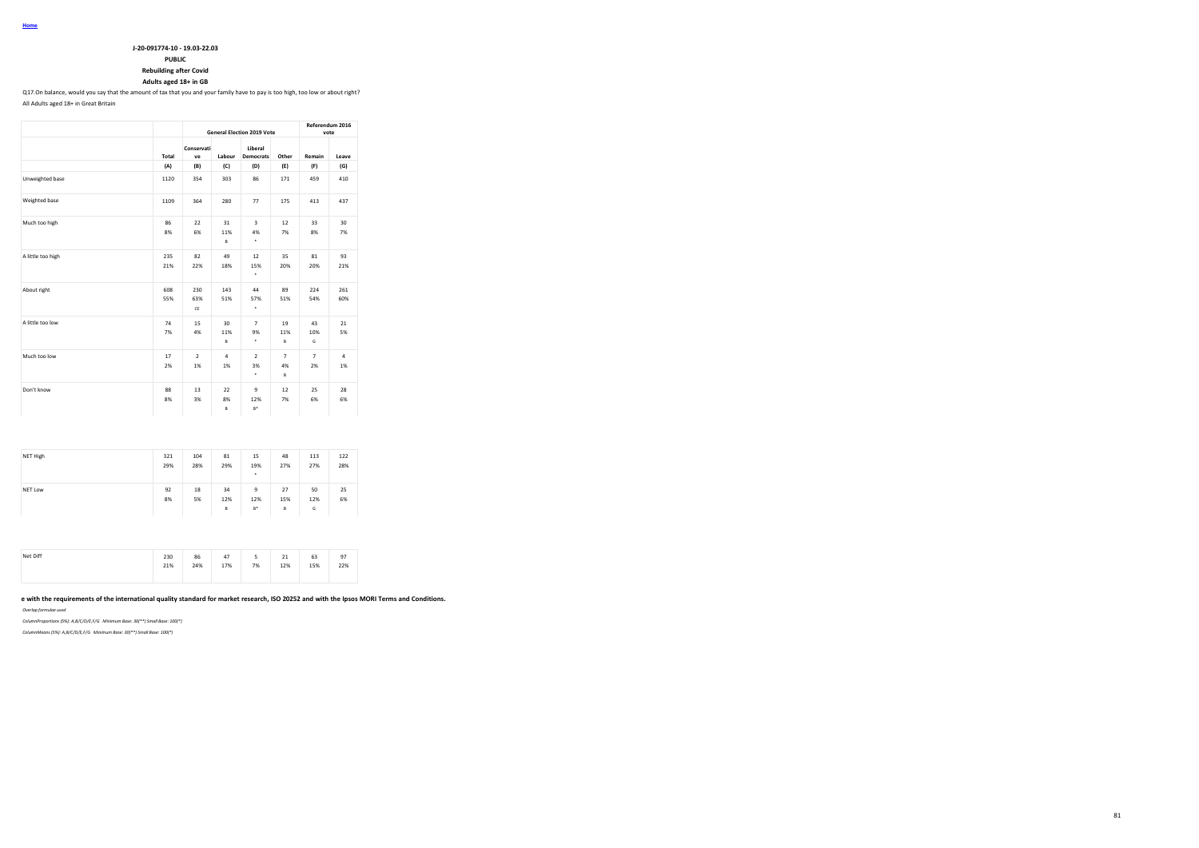### **PUBLIC**

**Rebuilding after Covid**

### **Adults aged 18+ in GB**

Q17.On balance, would you say that the amount of tax that you and your family have to pay is too high, too low or about right? All Adults aged 18+ in Great Britain

|                   |            |                      |                      | <b>General Election 2019 Vote</b> |                           | Referendum 2016<br>vote |                      |
|-------------------|------------|----------------------|----------------------|-----------------------------------|---------------------------|-------------------------|----------------------|
|                   | Total      | Conservati<br>ve     | Labour               | Liberal<br>Democrats              | Other                     | Remain                  | Leave                |
|                   | (A)        | (B)                  | (C)                  | (D)                               | (E)                       | (F)                     | (G)                  |
| Unweighted base   | 1120       | 354                  | 303                  | 86                                | 171                       | 459                     | 410                  |
| Weighted base     | 1109       | 364                  | 280                  | 77                                | 175                       | 413                     | 437                  |
| Much too high     | 86<br>8%   | 22<br>6%             | 31<br>11%<br>B       | 3<br>4%<br>٠                      | 12<br>7%                  | 33<br>8%                | 30<br>7%             |
| A little too high | 235<br>21% | 82<br>22%            | 49<br>18%            | 12<br>15%<br>٠                    | 35<br>20%                 | 81<br>20%               | 93<br>21%            |
| About right       | 608<br>55% | 230<br>63%<br>CE     | 143<br>51%           | 44<br>57%<br>٠                    | 89<br>51%                 | 224<br>54%              | 261<br>60%           |
| A little too low  | 74<br>7%   | 15<br>4%             | 30<br>11%<br>B       | $\overline{7}$<br>9%<br>$\bullet$ | 19<br>11%<br>B            | 43<br>10%<br>G          | 21<br>5%             |
| Much too low      | 17<br>2%   | $\overline{2}$<br>1% | $\overline{4}$<br>1% | $\overline{2}$<br>3%<br>٠         | $\overline{7}$<br>4%<br>B | $\overline{7}$<br>2%    | $\overline{4}$<br>1% |
| Don't know        | 88<br>8%   | 13<br>3%             | 22<br>8%<br>B        | 9<br>12%<br>$B^*$                 | 12<br>7%                  | 25<br>6%                | 28<br>6%             |

| NET High | 321<br>29% | 104<br>28% | 81<br>29%      | 15<br>19%<br>٠    | 48<br>27%      | 113<br>27%     | 122<br>28% |
|----------|------------|------------|----------------|-------------------|----------------|----------------|------------|
| NET Low  | 92<br>8%   | 18<br>5%   | 34<br>12%<br>B | 9<br>12%<br>$B^*$ | 27<br>15%<br>B | 50<br>12%<br>G | 25<br>6%   |

| Net Diff | 230         | 86  | 47  |    | 34<br>$^{21}$ | 63  | 97             |
|----------|-------------|-----|-----|----|---------------|-----|----------------|
|          | 21%<br>---- | 24% | 17% | 7% | 12%<br>----   | 15% | 22%<br>$- - -$ |
|          |             |     |     |    |               |     |                |

## **This work was carried out in accordance with the requirements of the international quality standard for market research, ISO 20252 and with the Ipsos MORI Terms and Conditions.**

*Overlap formulae used*

*ColumnProportions (5%): A,B/C/D/E,F/G Minimum Base: 30(\*\*) Small Base: 100(\*)*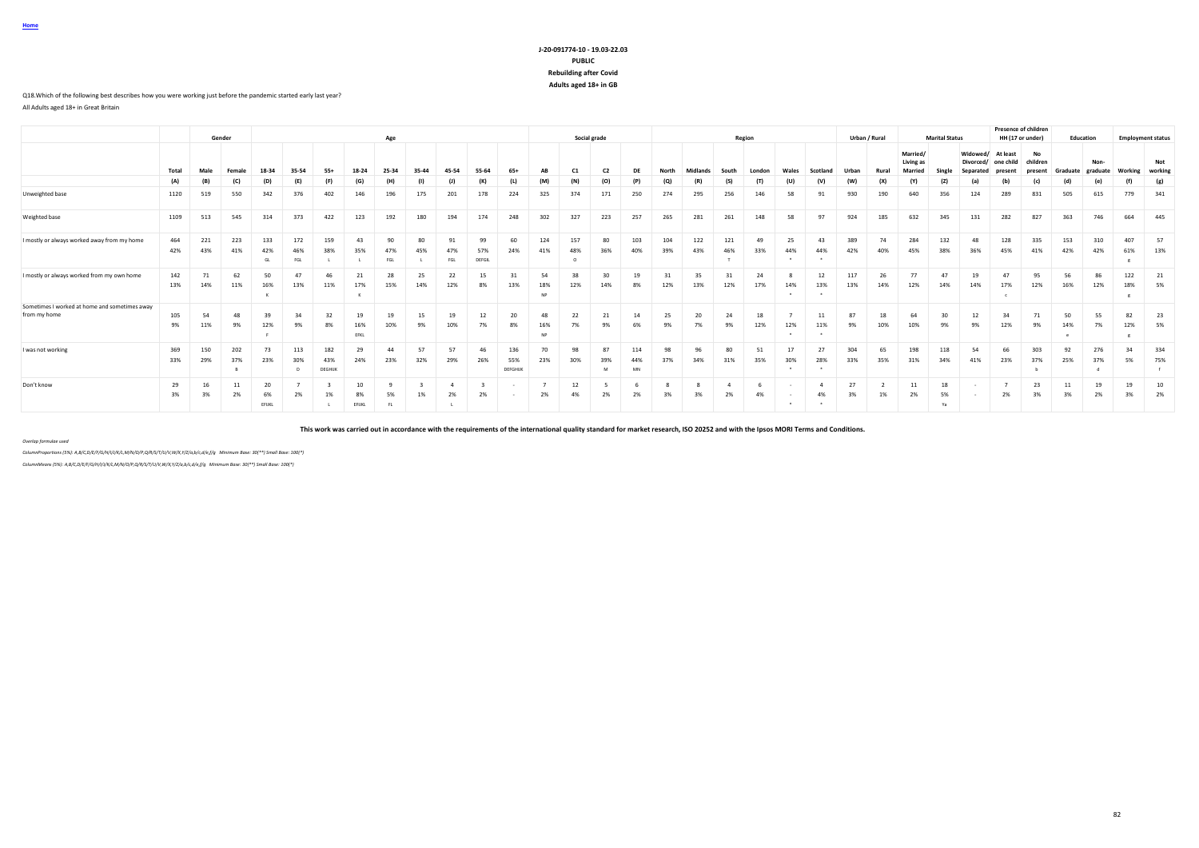### **J-20-091774-10 - 19.03-22.03 PUBLIC Rebuilding after Covid Adults aged 18+ in GB**

### Q18.Which of the following best describes how you were working just before the pandemic started early last year?

All Adults aged 18+ in Great Britain

**Home**

|                                                               |            |            | Gender     |                   |                   |                      |                   |                  |           |                  |                     |                       |                        |            | Social grade   |                  |            |                 |            | Region    |           |           |            | Urban / Rural |                                  | <b>Marital Status</b> |                       |                       | <b>Presence of children</b><br>HH (17 or under) |            | Education        |            | <b>Employment status</b> |
|---------------------------------------------------------------|------------|------------|------------|-------------------|-------------------|----------------------|-------------------|------------------|-----------|------------------|---------------------|-----------------------|------------------------|------------|----------------|------------------|------------|-----------------|------------|-----------|-----------|-----------|------------|---------------|----------------------------------|-----------------------|-----------------------|-----------------------|-------------------------------------------------|------------|------------------|------------|--------------------------|
|                                                               |            |            |            |                   |                   |                      |                   | Age              |           |                  |                     |                       |                        |            |                |                  |            |                 |            |           |           |           |            |               |                                  |                       |                       |                       |                                                 |            |                  |            |                          |
|                                                               | Total      | Male       | Female     | 18-34             | 35-54             | $55+$                | 18-24             | 25-34            | 35-44     | 45-54            | 55-64               | $65+$                 | AB                     | C1         | C <sub>2</sub> | DE               | North      | <b>Midlands</b> | South      | London    |           | Scotland  |            | Rural         | Married/<br>Living as<br>Married |                       | Widowed/<br>Divorced/ | At least<br>one child | No<br>children                                  | Graduate   | Non-<br>graduate | Working    | Not<br>working           |
|                                                               | (A)        | (B)        | (C)        | (D)               | (E)               | (F)                  | (G)               | (H)              | (1)       |                  | (K)                 | (L)                   | (M)                    | (N)        | (O)            | (P)              | (Q)        | (R)             | (S)        | (T)       | (U)       | (V)       | (W)        | (X)           |                                  | (Z)                   | (a)                   | (b)                   | (c)                                             | (d)        | (e)              |            | (g)                      |
| Unweighted base                                               | 1120       | 519        | 550        | 342               | 376               | 402                  | 146               | 196              | 175       | 201              | 178                 | 224                   | 325                    | 374        | 171            | 250              | 274        | 295             | 256        | 146       | 58        | 91        | 930        | 190           | 640                              | 356                   | 124                   | 289                   | 831                                             | 505        | 615              | 779        | 341                      |
| Weighted base                                                 | 1109       | 513        | 545        | 314               | 373               | 422                  | 123               | 192              | 180       | 194              | 174                 | 248                   | 302                    | 327        | 223            | 257              | 265        | 281             | 261        | 148       | 58        | 97        | 924        | 185           | 632                              | 345                   | 131                   | 282                   | 827                                             | 363        | 746              | 664        | 445                      |
| I mostly or always worked away from my home                   | 464<br>42% | 221<br>43% | 223<br>41% | 133<br>42%<br>GL  | 172<br>46%<br>FGL | 159<br>38%           | 43<br>35%         | 90<br>47%<br>FGL | 80<br>45% | 91<br>47%<br>FGL | 99<br>57%<br>DEFGIL | 60<br>24%             | 124<br>41%             | 157<br>48% | 80<br>36%      | 103<br>40%       | 104<br>39% | 122<br>43%      | 121<br>46% | 49<br>33% | 25<br>44% | 43<br>44% | 389<br>42% | 74<br>40%     | 284<br>45%                       | 132<br>38%            | 48<br>36%             | 128<br>45%            | 335<br>41%                                      | 153<br>42% | 310<br>42%       | 407<br>61% | 57<br>13%                |
| I mostly or always worked from my own home                    | 142<br>13% | 71<br>14%  | 62<br>11%  | 50<br>16%         | 47<br>13%         | 46<br>11%            | 21<br>17%         | 28<br>15%        | 25<br>14% | 22<br>12%        | 15<br>8%            | 31<br>13%             | 54<br>18%<br><b>NP</b> | 38<br>12%  | 30<br>14%      | 19<br>8%         | 31<br>12%  | 35<br>13%       | 31<br>12%  | 24<br>17% | 14%       | 12<br>13% | 117<br>13% | 26<br>14%     | 77<br>12%                        | 47<br>14%             | 19<br>14%             | 47<br>17%             | 95<br>12%                                       | 56<br>16%  | 86<br>12%        | 122<br>18% | 21<br>5%                 |
| Sometimes I worked at home and sometimes away<br>from my home | 105<br>9%  | 54<br>11%  | 48<br>9%   | 39<br>12%         | 34<br>9%          | 32<br>8%             | 19<br>16%<br>EFKL | 19<br>10%        | 15<br>9%  | 19<br>10%        | 12<br>7%            | 20<br>8%              | 48<br>16%<br><b>NP</b> | 22<br>7%   | 21<br>9%       | 14<br>6%         | 25<br>9%   | 20<br>7%        | 24<br>9%   | 18<br>12% | 12%       | 11<br>11% | 87<br>9%   | 18<br>10%     | 64<br>10%                        | 30<br>9%              | 12<br>9%              | 34<br>12%             | 71<br>9%                                        | 50<br>14%  | 55<br>7%         | 82<br>12%  | 23<br>5%                 |
| I was not working                                             | 369<br>33% | 150<br>29% | 202<br>37% | 73<br>23%         | 113<br>30%        | 182<br>43%<br>DEGHUK | 29<br>24%         | 44<br>23%        | 57<br>32% | 57<br>29%        | 46<br>26%           | 136<br>55%<br>DEFGHUK | 70<br>23%              | 98<br>30%  | 87<br>39%<br>M | 114<br>44%<br>MN | 98<br>37%  | 96<br>34%       | 80<br>31%  | 51<br>35% | 17<br>30% | 27<br>28% | 304<br>33% | 65<br>35%     | 198<br>31%                       | 118<br>34%            | 54<br>41%             | 66<br>23%             | 303<br>37%                                      | 92<br>25%  | 276<br>37%       | 34<br>5%   | 334<br>75%               |
| Don't know                                                    | 29<br>3%   | 16<br>3%   | 11<br>2%   | 20<br>6%<br>EFUKL | 2%                | 1%                   | 10<br>8%<br>EFUKL | 5%<br>FL.        | 1%        | 2%               | 2%                  |                       | 2%                     | 12<br>4%   | 2%             | 2%               | 3%         | 3%              | 2%         | 4%        |           | 4%        | 27<br>3%   | 1%            | 11<br>2%                         | 18<br>5%<br>Ya        |                       | 2%                    | 23<br>3%                                        | 11<br>3%   | 19<br>2%         | 19<br>3%   | 10<br>2%                 |

**This work was carried out in accordance with the requirements of the international quality standard for market research, ISO 20252 and with the Ipsos MORI Terms and Conditions.**

*Overlap formulae used*

*ColumnProportions (5%): A,B/C,D/E/F/G/H/I/J/K/L,M/N/O/P,Q/R/S/T/U/V,W/X,Y/Z/a,b/c,d/e,f/g Minimum Base: 30(\*\*) Small Base: 100(\*)*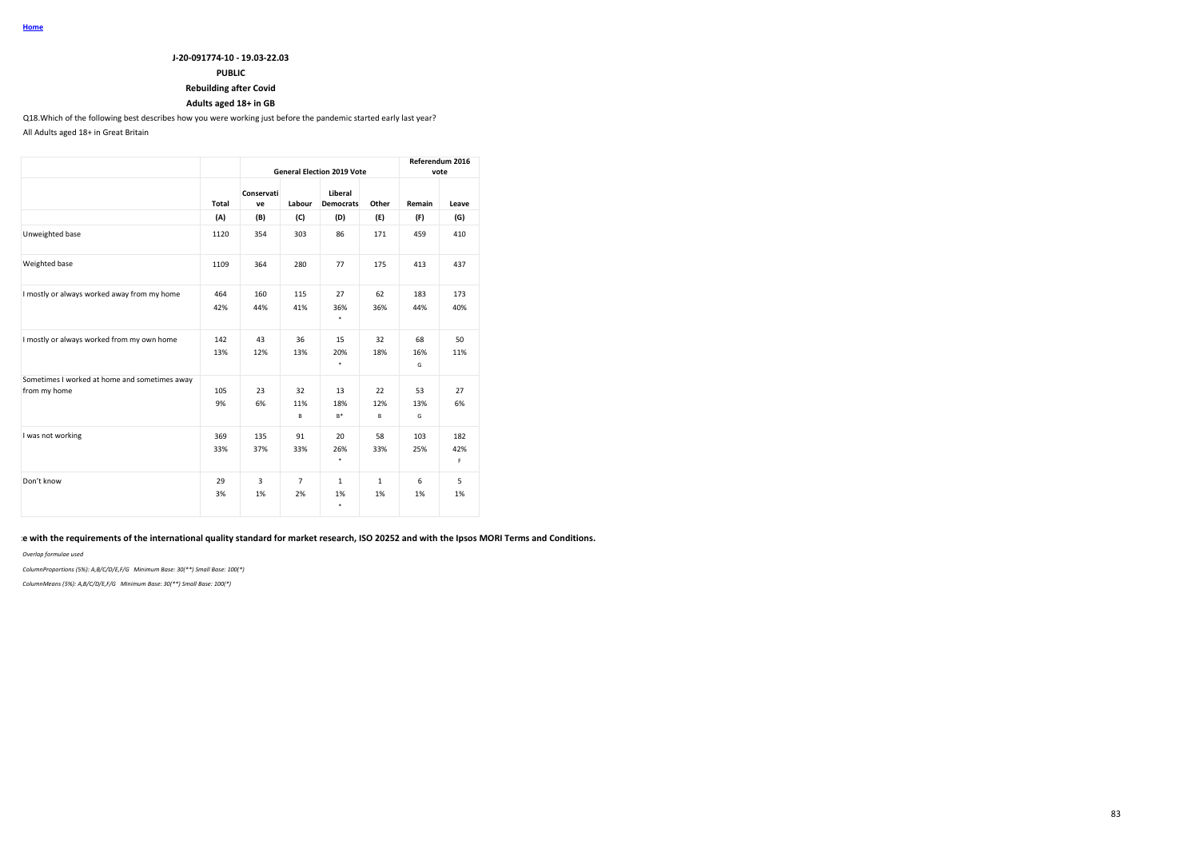### **PUBLIC**

## **Rebuilding after Covid**

## **Adults aged 18+ in GB**

Q18.Which of the following best describes how you were working just before the pandemic started early last year?

All Adults aged 18+ in Great Britain

|                                                               |       |                  |                |                                   |              |          | Referendum 2016 |
|---------------------------------------------------------------|-------|------------------|----------------|-----------------------------------|--------------|----------|-----------------|
|                                                               |       |                  |                | <b>General Election 2019 Vote</b> |              |          | vote            |
|                                                               | Total | Conservati<br>ve | Labour         | Liberal<br><b>Democrats</b>       | Other        | Remain   | Leave           |
|                                                               | (A)   | (B)              | (C)            | (D)                               | (E)          | (F)      | (G)             |
| Unweighted base                                               | 1120  | 354              | 303            | 86                                | 171          | 459      | 410             |
| Weighted base                                                 | 1109  | 364              | 280            | 77                                | 175          | 413      | 437             |
| I mostly or always worked away from my home                   | 464   | 160              | 115            | 27                                | 62           | 183      | 173             |
|                                                               | 42%   | 44%              | 41%            | 36%<br>٠                          | 36%          | 44%      | 40%             |
| I mostly or always worked from my own home                    | 142   | 43               | 36             | 15                                | 32           | 68       | 50              |
|                                                               | 13%   | 12%              | 13%            | 20%<br>٠                          | 18%          | 16%<br>G | 11%             |
| Sometimes I worked at home and sometimes away<br>from my home | 105   | 23               | 32             | 13                                | 22           | 53       | 27              |
|                                                               | 9%    | 6%               | 11%            | 18%                               | 12%          | 13%      | 6%              |
|                                                               |       |                  | в              | B*                                | B            | G        |                 |
| I was not working                                             | 369   | 135              | 91             | 20                                | 58           | 103      | 182             |
|                                                               | 33%   | 37%              | 33%            | 26%<br>٠                          | 33%          | 25%      | 42%<br>F        |
| Don't know                                                    | 29    | 3                | $\overline{7}$ | $\mathbf{1}$                      | $\mathbf{1}$ | 6        | 5               |
|                                                               | 3%    | 1%               | 2%             | 1%<br>٠                           | 1%           | 1%       | 1%              |

## **This work was carried out in accordance with the requirements of the international quality standard for market research, ISO 20252 and with the Ipsos MORI Terms and Conditions.**

*Overlap formulae used*

*ColumnProportions (5%): A,B/C/D/E,F/G Minimum Base: 30(\*\*) Small Base: 100(\*)*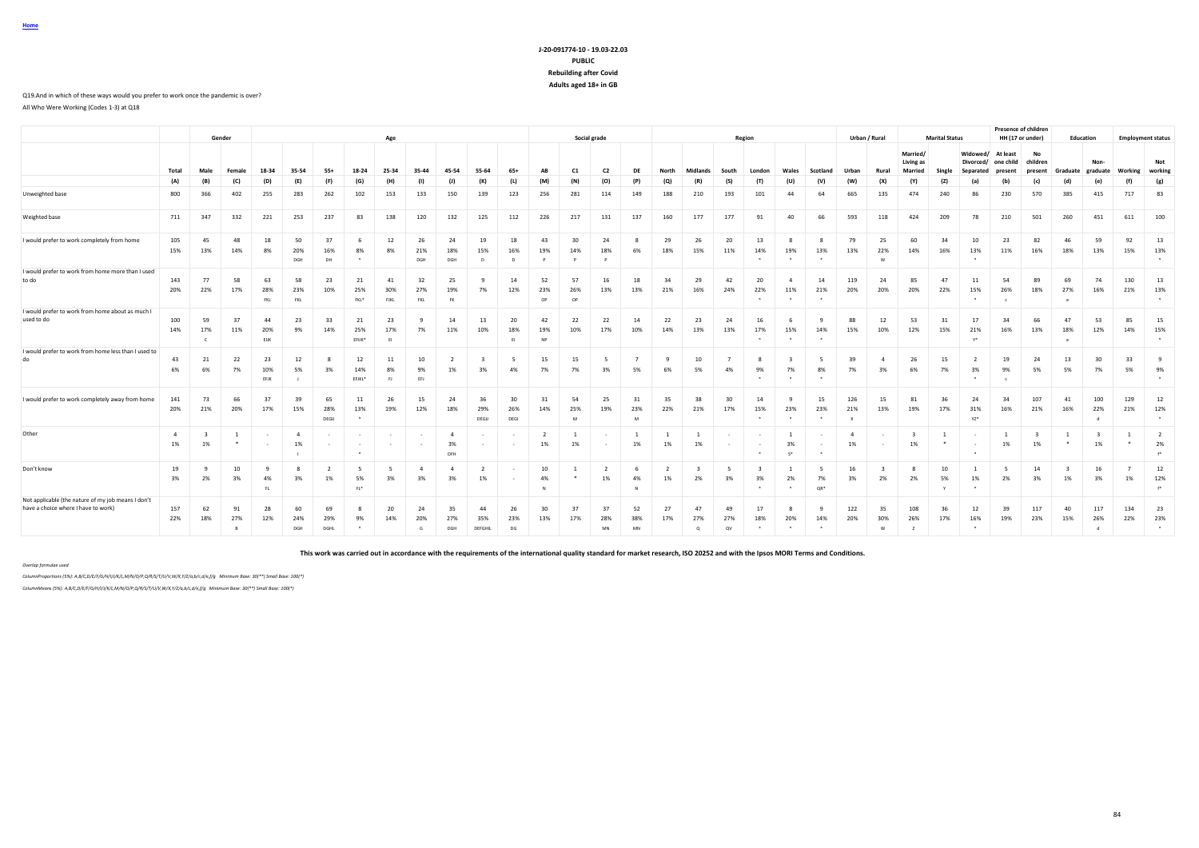### **J-20-091774-10 - 19.03-22.03 PUBLIC Rebuilding after Covid Adults aged 18+ in GB**

Q19.And in which of these ways would you prefer to work once the pandemic is over? All Who Were Working (Codes 1-3) at Q18

|                                                                                           |            |                         | Gender    |                   |                              |                   |                     | Age               |                  |                             |                      |                       |                        |                 | Social grade    |                 |           |                         |                 | Region                     |                 |               |            | Urban / Rural  |                                  | <b>Marital Status</b> |                                    | Presence of children<br>HH (17 or under) |                           |                | Education        |            | <b>Employment status</b>               |
|-------------------------------------------------------------------------------------------|------------|-------------------------|-----------|-------------------|------------------------------|-------------------|---------------------|-------------------|------------------|-----------------------------|----------------------|-----------------------|------------------------|-----------------|-----------------|-----------------|-----------|-------------------------|-----------------|----------------------------|-----------------|---------------|------------|----------------|----------------------------------|-----------------------|------------------------------------|------------------------------------------|---------------------------|----------------|------------------|------------|----------------------------------------|
|                                                                                           | Total      | Male                    | Female    | 18-34             | 35-54                        | $55+$             | 18-24               | 25-34             | 35-44            | 45-54                       | 55-64                | $65+$                 | AB                     | C <sub>1</sub>  | C <sub>2</sub>  | DE              | North     | Midlands                | South           | London                     | Wales           | Scotland      | Urban      | Rural          | Married/<br>Living as<br>Married | Single                | Widowed/<br>Divorced/<br>Separated | At least<br>one child<br>present         | No<br>children<br>present | Graduate       | Non-<br>graduate | Working    | Not<br>working                         |
|                                                                                           | (A)        | (B)                     | (C)       | (D)               | (E)                          | (F)               | (G)                 | (H)               | (1)              | (1)                         | (K)                  | (L)                   | (M)                    | (N)             | (O)             | (P)             | (Q)       | (R)                     | (S)             | (T)                        | (U)             | (V)           | (W)        | (X)            | (Y)                              | (Z)                   | (a)                                |                                          | (c)                       | (d)            | (e)              | (f)        | (g)                                    |
| Unweighted base                                                                           | 800        | 366                     | 402       | 255               | 283                          | 262               | 102                 | 153               | 133              | 150                         | 139                  | 123                   | 256                    | 281             | 114             | 149             | 188       | 210                     | 193             | 101                        | 44              | 64            | 665        | 135            | 474                              | 240                   | 86                                 | 230                                      | 570                       | 385            | 415              | 717        | 83                                     |
| Weighted base                                                                             | 711        | 347                     | 332       | 221               | 253                          | 237               | 83                  | 138               | 120              | 132                         | 125                  | 112                   | 226                    | 217             | 131             | 137             | 160       | 177                     | 177             | 91                         | 40              | 66            | 593        | 118            | 424                              | 209                   | 78                                 | 210                                      | 501                       | 260            | 451              | 611        | 100                                    |
| I would prefer to work completely from home                                               | 105<br>15% | 45<br>13%               | 48<br>14% | 18<br>8%          | 50<br>20%<br>DGH             | 37<br>16%<br>DH   | 8%                  | 12<br>8%          | 26<br>21%<br>DGH | 24<br>18%<br>DGH            | 19<br>15%<br>D       | 18<br>16%<br>$\Omega$ | 43<br>19%<br>P         | 30<br>14%<br>P  | 24<br>18%       | 6%              | 29<br>18% | 26<br>15%               | 20<br>11%       | 13<br>14%                  | 19%             | 13%           | 79<br>13%  | 25<br>22%<br>w | 60<br>14%                        | 34<br>16%             | 10<br>13%<br>$\bullet$             | 23<br>11%                                | 82<br>16%                 | 46<br>18%      | 59<br>13%        | 92<br>15%  | 13<br>13%<br>$\ddot{\phantom{1}}$      |
| I would prefer to work from home more than I used<br>to do                                | 143<br>20% | 77<br>22%               | 58<br>17% | 63<br>28%<br>FKL  | 58<br>23%<br>FKL             | 23<br>10%         | 21<br>25%<br>FKL*   | 41<br>30%<br>FJKL | 32<br>27%<br>FKL | 25<br>19%<br><b>FK</b>      | $\mathbf{q}$<br>7%   | 14<br>12%             | 52<br>23%<br>OP        | 57<br>26%<br>OP | 16<br>13%       | 18<br>13%       | 34<br>21% | 29<br>16%               | 42<br>24%       | 20<br>22%                  | 11%             | 14<br>21%     | 119<br>20% | 24<br>20%      | 85<br>20%                        | 47<br>22%             | 11<br>15%                          | 54<br>26%<br>$\epsilon$                  | 89<br>18%                 | 69<br>27%<br>e | 74<br>16%        | 130<br>21% | 13<br>13%<br>$\ddot{\phantom{1}}$      |
| I would prefer to work from home about as much I<br>used to do                            | 100<br>14% | 59<br>17%<br>$\epsilon$ | 37<br>11% | 44<br>20%<br>ELIK | 23<br>9%                     | 33<br>14%         | 21<br>25%<br>EFUK*  | 23<br>17%<br>EI   | 9<br>7%          | 14<br>11%                   | 13<br>10%            | 20<br>18%<br>E1       | 42<br>19%<br><b>NP</b> | 22<br>10%       | 22<br>17%       | 14<br>10%       | 22<br>14% | 23<br>13%               | 24<br>13%       | 16<br>17%                  | 15%             | 14%           | 88<br>15%  | 12<br>10%      | 53<br>12%                        | 31<br>15%             | 17<br>21%<br>$Y^*$                 | 34<br>16%                                | 66<br>13%                 | 47<br>18%      | 53<br>12%        | 85<br>14%  | 15<br>15%<br>$\ddot{\phantom{1}}$      |
| I would prefer to work from home less than I used to<br>do                                | 43<br>6%   | 21<br>6%                | 22<br>7%  | 23<br>10%<br>EFJK | 12<br>5%                     | 3%                | 12<br>14%<br>EFJKL* | 11<br>8%<br>E1    | 10<br>9%<br>EFJ  | 1%                          | 3%                   | 5<br>4%               | 15<br>7%               | 15<br>7%        | 3%              | 5%              | 9<br>6%   | 10<br>5%                | 4%              | 9%<br>$\cdot$              | 7%<br>$\bullet$ | 8%<br>$\cdot$ | 39<br>7%   | 3%             | 26<br>6%                         | 15<br>7%              | 3%<br>$\cdot$                      | 19<br>9%<br>$\epsilon$                   | 24<br>5%                  | 13<br>5%       | 30<br>7%         | 33<br>5%   | -9<br>9%<br>$\star$                    |
| I would prefer to work completely away from home                                          | 141<br>20% | 73<br>21%               | 66<br>20% | 37<br>17%         | 39<br>15%                    | 65<br>28%<br>DEGU | 11<br>13%           | 26<br>19%         | 15<br>12%        | 24<br>18%                   | 36<br>29%<br>DEGIJ   | 30<br>26%<br>DEGI     | 31<br>14%              | 54<br>25%<br>M  | 25<br>19%       | 31<br>23%<br>M  | 35<br>22% | 38<br>21%               | 30<br>17%       | 14<br>15%                  | 23%             | 15<br>23%     | 126<br>21% | 15<br>13%      | 81<br>19%                        | 36<br>17%             | 24<br>31%<br>YZ*                   | 34<br>16%                                | 107<br>21%                | 41<br>16%      | 100<br>22%<br>d  | 129<br>21% | 12<br>12%<br>$\cdot$                   |
| Other                                                                                     | -4<br>1%   | 1%                      |           |                   | 1%                           |                   |                     |                   |                  | $\overline{a}$<br>3%<br>DFH |                      |                       | 2<br>1%                | 1%              |                 | -1<br>1%        | 1%        | 1%                      |                 |                            | 3%<br>$<$ *     |               | 1%         |                | 1%                               |                       |                                    | 1%                                       | 1%                        |                | 1%               |            | $\overline{2}$<br>2%<br>$\mathbf{f}^*$ |
| Don't know                                                                                | 19<br>3%   | -9<br>2%                | 10<br>3%  | ٩<br>4%<br>FL     | $\mathbf{\mathcal{R}}$<br>3% | 1%                | - 5<br>5%<br>$FL^*$ | -5<br>3%          | 4<br>3%          | $\Delta$<br>3%              | 1%                   |                       | 10<br>4%<br>N          | $\bullet$       | 1%              | 4%              | 1%        | 2%                      | 3%              | 3%<br>$\ddot{\phantom{1}}$ | 2%<br>$\cdot$   | 7%<br>QR*     | 16<br>3%   | 2%             | 2%                               | 10<br>5%              | 1%<br>$\bullet$                    | -5<br>2%                                 | 14<br>3%                  | - 3<br>1%      | 16<br>3%         | 1%         | 12<br>12%<br>$f^*$                     |
| Not applicable (the nature of my job means I don't<br>have a choice where I have to work] | 157<br>22% | 62<br>18%               | 91<br>27% | 28<br>12%         | 60<br>24%<br>DGH             | 69<br>29%<br>DGHL | -8<br>9%            | 20<br>14%         | 24<br>20%<br>G   | 35<br>27%<br>DGH            | 44<br>35%<br>DEFGHIL | 26<br>23%<br>DG       | 30<br>13%              | 37<br>17%       | 37<br>28%<br>MN | 52<br>38%<br>MN | 27<br>17% | 47<br>27%<br>$^{\circ}$ | 49<br>27%<br>OV | 17<br>18%                  | 20%             | 14%           | 122<br>20% | 35<br>30%      | 108<br>26%                       | 36<br>17%             | 12<br>16%<br>$\sim$                | 39<br>19%                                | 117<br>23%                | 40<br>15%      | 117<br>26%<br>d  | 134<br>22% | 23<br>23%<br>$\ddot{\phantom{1}}$      |

**This work was carried out in accordance with the requirements of the international quality standard for market research, ISO 20252 and with the Ipsos MORI Terms and Conditions.**

### *Overlap formulae used*

*ColumnProportions (5%): A,B/C,D/E/F/G/H/I/J/K/L,M/N/O/P,Q/R/S/T/U/V,W/X,Y/Z/a,b/c,d/e,f/g Minimum Base: 30(\*\*) Small Base: 100(\*)*

*ColumnMeans (5%): A,B/C,D/E/F/G/H/I/J/K/L,M/N/O/P,Q/R/S/T/U/V,W/X,Y/Z/a,b/c,d/e,f/g Minimum Base: 30(\*\*) Small Base: 100(\*)*

**Home**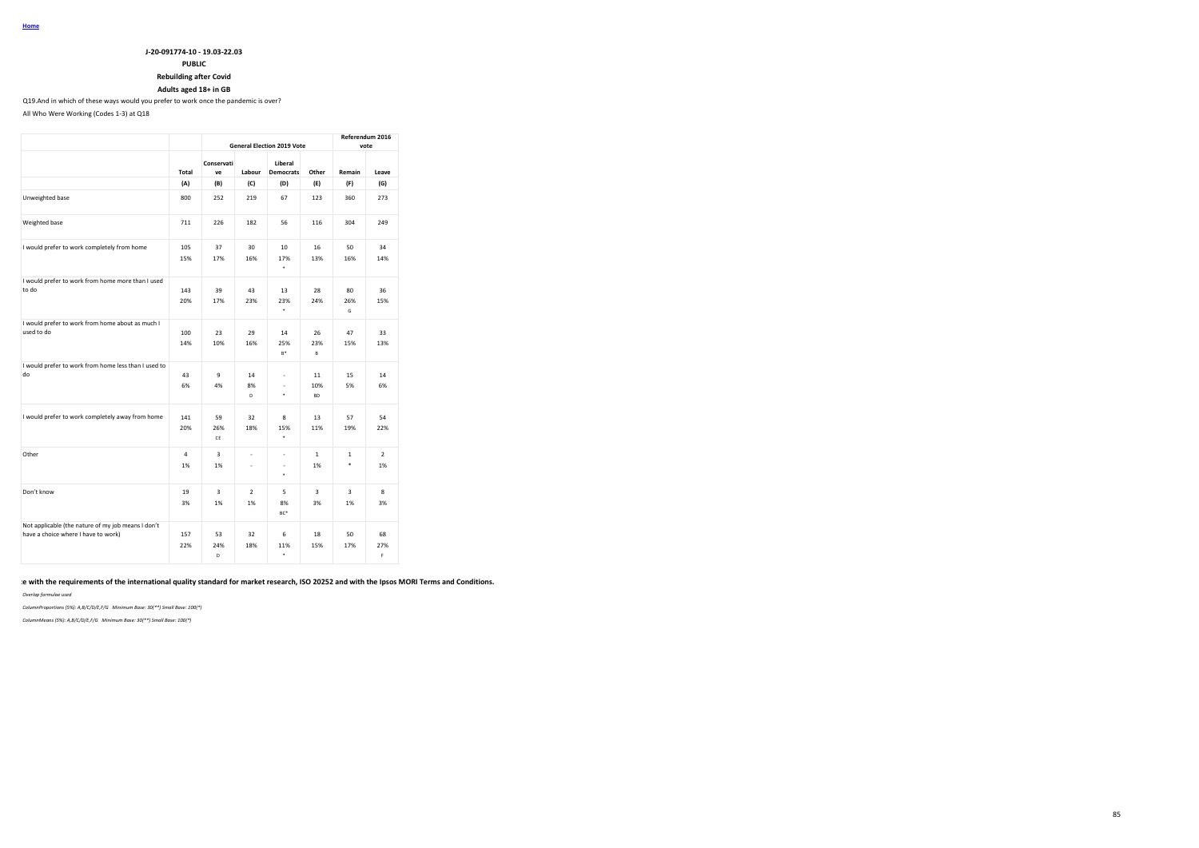## **J-20-091774-10 - 19.03-22.03 PUBLIC Rebuilding after Covid**

### **Adults aged 18+ in GB** Q19.And in which of these ways would you prefer to work once the pandemic is over?

All Who Were Working (Codes 1-3) at Q18

|                                                                                           |                      |                  |                      | <b>General Election 2019 Vote</b>               |                        |                    | Referendum 2016<br>vote |
|-------------------------------------------------------------------------------------------|----------------------|------------------|----------------------|-------------------------------------------------|------------------------|--------------------|-------------------------|
|                                                                                           | Total                | Conservati<br>ve | Labour               | Liberal<br><b>Democrats</b>                     | Other                  | Remain             | Leave                   |
|                                                                                           | (A)                  | (B)              | (C)                  | (D)                                             | (E)                    | (F)                | (G)                     |
| Unweighted base                                                                           | 800                  | 252              | 219                  | 67                                              | 123                    | 360                | 273                     |
| Weighted base                                                                             | 711                  | 226              | 182                  | 56                                              | 116                    | 304                | 249                     |
| I would prefer to work completely from home                                               | 105<br>15%           | 37<br>17%        | 30<br>16%            | 10<br>17%<br>٠                                  | 16<br>13%              | 50<br>16%          | 34<br>14%               |
| I would prefer to work from home more than I used<br>to do                                | 143<br>20%           | 39<br>17%        | 43<br>23%            | 13<br>23%<br>٠                                  | 28<br>24%              | 80<br>26%<br>G     | 36<br>15%               |
| I would prefer to work from home about as much I<br>used to do                            | 100<br>14%           | 23<br>10%        | 29<br>16%            | 14<br>25%<br>$B^+$                              | 26<br>23%<br>B         | 47<br>15%          | 33<br>13%               |
| I would prefer to work from home less than I used to<br>do                                | 43<br>6%             | 9<br>4%          | 14<br>8%<br>D        | ä,<br>ä,<br>٠                                   | 11<br>10%<br><b>BD</b> | 15<br>5%           | 14<br>6%                |
| I would prefer to work completely away from home                                          | 141<br>20%           | 59<br>26%<br>CE  | 32<br>18%            | 8<br>15%<br>$\bullet$                           | 13<br>11%              | 57<br>19%          | 54<br>22%               |
| Other                                                                                     | $\overline{4}$<br>1% | 3<br>1%          | ä,<br>ä,             | $\overline{\phantom{a}}$<br>$\blacksquare$<br>٠ | $\mathbf{1}$<br>1%     | $\mathbf{1}$<br>\$ | $\overline{2}$<br>1%    |
| Don't know                                                                                | 19<br>3%             | 3<br>1%          | $\overline{2}$<br>1% | 5<br>8%<br>BC <sup>+</sup>                      | 3<br>3%                | 3<br>1%            | 8<br>3%                 |
| Not applicable (the nature of my job means I don't<br>have a choice where I have to work) | 157<br>22%           | 53<br>24%<br>D   | 32<br>18%            | 6<br>11%<br>۰                                   | 18<br>15%              | 50<br>17%          | 68<br>27%<br>F.         |

### **This work was carried out in accordance with the requirements of the international quality standard for market research, ISO 20252 and with the Ipsos MORI Terms and Conditions.**

*Overlap formulae used*

*ColumnProportions (5%): A,B/C/D/E,F/G Minimum Base: 30(\*\*) Small Base: 100(\*)*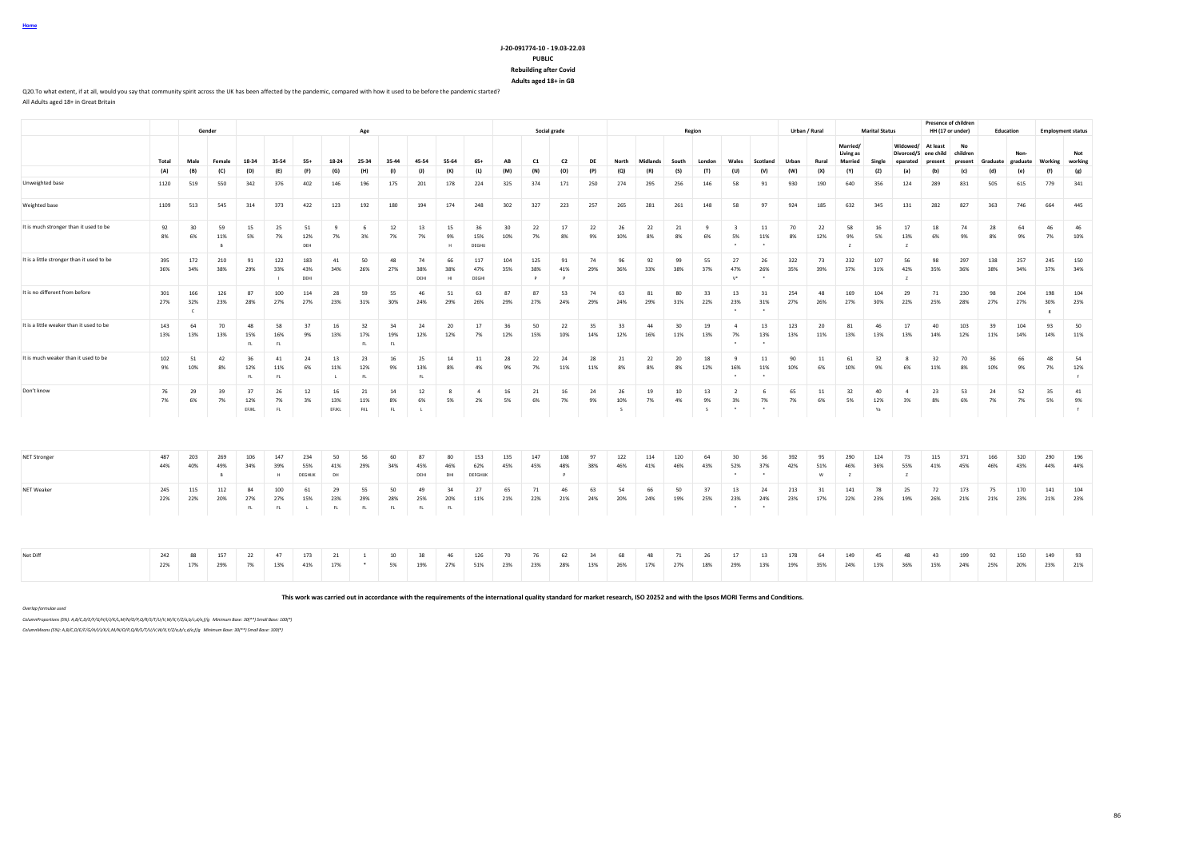## **J-20-091774-10 - 19.03-22.03 PUBLIC**

**Rebuilding after Covid Adults aged 18+ in GB**

Q20.To what extent, if at all, would you say that community spirit across the UK has been affected by the pandemic, compared with how it used to be before the pandemic started? All Adults aged 18+ in Great Britain

|                                            |            |                          | Gender                     |                    |                              |                             |                    | Age                       |                 |                   |                  |                       |            |                            | Social grade               |           |                 |            |            | Region         |                                 |                      |            | Urban / Rural  |                                         | <b>Marital Status</b> |                                              |                     | <b>Presence of children</b><br>HH (17 or under) | Education  |                  |                        | <b>Employment status</b> |
|--------------------------------------------|------------|--------------------------|----------------------------|--------------------|------------------------------|-----------------------------|--------------------|---------------------------|-----------------|-------------------|------------------|-----------------------|------------|----------------------------|----------------------------|-----------|-----------------|------------|------------|----------------|---------------------------------|----------------------|------------|----------------|-----------------------------------------|-----------------------|----------------------------------------------|---------------------|-------------------------------------------------|------------|------------------|------------------------|--------------------------|
|                                            | Total      | Male                     | Female                     | 18-34              | 35-54                        | $55+$                       | 18-24              | 25-34                     | 35-44           | 45-54             | 55-64            | 654                   | AB         | C1                         | C <sub>2</sub>             | DF        |                 | Midlands   | South      | Londor         | Wales                           | Scotland             | Urban      | Rural          | Married/<br>Living as<br><b>Married</b> | Single                | Widowed/<br>Divorced/S one child<br>eparated | At least<br>present | No<br>children<br>present                       | Graduate   | Non-<br>graduate | Working                | Not<br>working           |
|                                            | (A)        | (B)                      | (C)                        | (D)                | (E)                          | (F)                         | (G)                | (H)                       | (1)             | (1)               | (K)              | (L)                   | (M)        | (N)                        | (O)                        | (P)       | (Q)             | (R)        | (S)        | (T)            | (U)                             | (V)                  | (W)        | (X)            | (Y)                                     | (Z)                   | (a)                                          | (b)                 | (c)                                             | (d)        | (e)              | (f)                    | (g)                      |
| Unweighted base                            | 1120       | 519                      | 550                        | 342                | 376                          | 402                         | 146                | 196                       | 175             | 201               | 178              | 224                   | 325        | 374                        | 171                        | 250       | 274             | 295        | 256        | 146            | 58                              | 91                   | 930        | 190            | 640                                     | 356                   | 124                                          | 289                 | 831                                             | 505        | 615              | 779                    | 341                      |
| Weighted base                              | 1109       | 513                      | 545                        | 314                | 373                          | 422                         | 123                | 192                       | 180             | 194               | 174              | 248                   | 302        | 327                        | 223                        | 257       | 265             | 281        | 261        | 148            | 58                              | 97                   | 924        | 185            | 632                                     | 345                   | 131                                          | 282                 | 827                                             | 363        | 746              | 664                    | 445                      |
| It is much stronger than it used to be     | 92<br>8%   | 30<br>6%                 | 59<br>11%                  | 15<br>5%           | 25<br>7%                     | 51<br>12%<br>DEH            | 9<br>7%            | 6<br>3%                   | 12<br>7%        | 13<br>7%          | 15<br>9%<br>H    | 36<br>15%<br>DEGHU    | 30<br>10%  | 22<br>7%                   | 17<br>8%                   | 22<br>9%  | 26<br>10%       | 22<br>8%   | 21<br>8%   | -9<br>6%       | $\overline{\mathbf{3}}$<br>5%   | 11<br>11%            | 70<br>8%   | 22<br>12%      | 58<br>9%                                | 16<br>5%              | 17<br>13%                                    | 18<br>6%            | 74<br>9%                                        | 28<br>8%   | 64<br>9%         | 46<br>7%               | 46<br>10%                |
| It is a little stronger than it used to be | 395<br>36% | 172<br>34%               | 210<br>38%                 | 91<br>29%          | 122<br>33%<br>$\blacksquare$ | 183<br>43%<br>DEHI          | 41<br>34%          | 50<br>26%                 | 48<br>27%       | 74<br>38%<br>DEHI | 66<br>38%<br>HI  | 117<br>47%<br>DEGHI   | 104<br>35% | 125<br>38%<br>$\mathsf{P}$ | 91<br>41%<br>$\mathsf{P}$  | 74<br>29% | 96<br>36%       | 92<br>33%  | 99<br>38%  | 55<br>37%      | 27<br>47%<br>$\mathsf{V}^\star$ | 26<br>26%            | 322<br>35% | 73<br>39%      | 232<br>37%                              | 107<br>31%            | 56<br>42%<br>$\overline{z}$                  | 98<br>35%           | 297<br>36%                                      | 138<br>38% | 257<br>34%       | 245<br>37%             | 150<br>34%               |
| It is no different from before             | 301<br>27% | 166<br>32%<br>$\epsilon$ | 126<br>23%                 | 87<br>28%          | 100<br>27%                   | 114<br>27%                  | 28<br>23%          | 59<br>31%                 | 55<br>30%       | 46<br>24%         | 51<br>29%        | 63<br>26%             | 87<br>29%  | 87<br>27%                  | 53<br>24%                  | 74<br>29% | 63<br>24%       | 81<br>29%  | 80<br>31%  | 33<br>22%      | 13<br>23%                       | 31<br>31%            | 254<br>27% | 48<br>26%      | 169<br>27%                              | 104<br>30%            | 29<br>22%                                    | 71<br>25%           | 230<br>28%                                      | 98<br>27%  | 204<br>27%       | 198<br>30%<br>$\kappa$ | 104<br>23%               |
| It is a little weaker than it used to be   | 143<br>13% | 64<br>13%                | 70<br>13%                  | 48<br>15%<br>FL.   | 58<br>16%<br>FL              | 37<br>9%                    | 16<br>13%          | 32<br>17%<br>FL           | 34<br>19%       | 24<br>12%         | 20<br>12%        | 17<br>7%              | 36<br>12%  | 50<br>15%                  | 22<br>10%                  | 35<br>14% | 33<br>12%       | 44<br>16%  | 30<br>11%  | 19<br>13%      | $\overline{a}$<br>7%            | 13<br>13%            | 123<br>13% | 20<br>11%      | 81<br>13%                               | 46<br>13%             | 17<br>13%                                    | 40<br>14%           | 103<br>12%                                      | 39<br>11%  | 104<br>14%       | 93<br>14%              | 50<br>11%                |
| It is much weaker than it used to be       | 102<br>9%  | 51<br>10%                | 42<br>8%                   | 36<br>12%<br>FL.   | 41<br>11%<br>FL              | 24<br>6%                    | 13<br>11%          | 23<br>12%<br>FL           | 16<br>9%        | 25<br>13%<br>FL   | 14<br>8%         | 11<br>4%              | 28<br>9%   | 22<br>7%                   | 24<br>11%                  | 28<br>11% | 21<br>8%        | 22<br>8%   | 20<br>8%   | 18<br>12%      | $\mathbf{q}$<br>16%             | 11<br>11%            | 90<br>10%  | 11<br>6%       | 61<br>10%                               | 32<br>9%              | 8<br>6%                                      | 32<br>11%           | 70<br>8%                                        | 36<br>10%  | 66<br>9%         | 48<br>7%               | 54<br>12%<br>f           |
| Don't know                                 | 76<br>7%   | 29<br>6%                 | 39<br>7%                   | 37<br>12%<br>EFJKL | 26<br>7%<br>FL.              | 12<br>3%                    | 16<br>13%<br>EFJKL | 21<br>11%<br>FKL          | 14<br>8%<br>FL  | 12<br>6%          | 5%               | $\mathbf{A}$<br>2%    | 16<br>5%   | 21<br>6%                   | 16<br>7%                   | 24<br>9%  | 26<br>10%<br>s. | 19<br>7%   | 10<br>4%   | 13<br>9%<br>s. | $\overline{2}$<br>3%<br>$\cdot$ | - 6<br>7%<br>$\cdot$ | 65<br>7%   | 11<br>6%       | 32<br>5%                                | 40<br>12%<br>Ya       | $\mathbf{A}$<br>3%                           | 23<br>8%            | 53<br>6%                                        | 24<br>7%   | 52<br>7%         | 35<br>5%               | 41<br>9%<br>f            |
|                                            |            |                          |                            |                    |                              |                             |                    |                           |                 |                   |                  |                       |            |                            |                            |           |                 |            |            |                |                                 |                      |            |                |                                         |                       |                                              |                     |                                                 |            |                  |                        |                          |
| <b>NET Stronger</b>                        | 487<br>44% | 203<br>40%               | 269<br>49%<br>$\mathsf{R}$ | 106<br>34%         | 147<br>39%<br>$\mathbf{H}$   | 234<br>55%<br><b>DEGHUK</b> | 50<br>41%<br>DH    | 56<br>29%                 | 60<br>34%       | 87<br>45%<br>DEHI | 80<br>46%<br>DHI | 153<br>62%<br>DEFGHUK | 135<br>45% | 147<br>45%                 | 108<br>48%<br>$\mathsf{P}$ | 97<br>38% | 122<br>46%      | 114<br>41% | 120<br>46% | 64<br>43%      | 30<br>52%<br>$\cdot$            | 36<br>37%<br>$\cdot$ | 392<br>42% | 95<br>51%<br>W | 290<br>46%<br>$\overline{z}$            | 124<br>36%            | 73<br>55%<br>$\overline{z}$                  | 115<br>41%          | 371<br>45%                                      | 166<br>46% | 320<br>43%       | 290<br>44%             | 196<br>44%               |
| NET Weaker                                 | 245<br>22% | 115<br>22%               | 112<br>20%                 | 84<br>27%<br>FL.   | 100<br>27%<br>FL.            | 61<br>15%<br>$\mathbf{L}$   | 29<br>23%<br>FL.   | 55<br>29%<br>FL           | 50<br>28%<br>FL | 49<br>25%<br>FL.  | 34<br>20%<br>FL  | 27<br>11%             | 65<br>21%  | 71<br>22%                  | 46<br>21%                  | 63<br>24% | 54<br>20%       | 66<br>24%  | 50<br>19%  | 37<br>25%      | 13<br>23%                       | 24<br>24%            | 213<br>23% | 31<br>17%      | 141<br>22%                              | 78<br>23%             | 25<br>19%                                    | 72<br>26%           | 173<br>21%                                      | 75<br>21%  | 170<br>23%       | 141<br>21%             | 104<br>23%               |
|                                            |            |                          |                            |                    |                              |                             |                    |                           |                 |                   |                  |                       |            |                            |                            |           |                 |            |            |                |                                 |                      |            |                |                                         |                       |                                              |                     |                                                 |            |                  |                        |                          |
| Net Diff                                   | 242<br>22% | 88<br>17%                | 157<br>29%                 | 22<br>7%           | 47<br>13%                    | 173<br>41%                  | 21<br>17%          | $\overline{1}$<br>$\star$ | 10<br>5%        | 38<br>19%         | 46<br>27%        | 126<br>51%            | 70<br>23%  | 76<br>23%                  | 62<br>28%                  | 34<br>13% | 68<br>26%       | 48<br>17%  | 71<br>27%  | 26<br>18%      | 17<br>29%                       | 13<br>13%            | 178<br>19% | 64<br>35%      | 149<br>24%                              | 45<br>13%             | 48<br>36%                                    | 43<br>15%           | 199<br>24%                                      | 92<br>25%  | 150<br>20%       | 149<br>23%             | 93<br>21%                |

**This work was carried out in accordance with the requirements of the international quality standard for market research, ISO 20252 and with the Ipsos MORI Terms and Conditions.**

*Overlap formulae used*

**Home**

*ColumnProportions (5%): A,B/C,D/E/F/G/H/I/J/K/L,M/N/O/P,Q/R/S/T/U/V,W/X,Y/Z/a,b/c,d/e,f/g Minimum Base: 30(\*\*) Small Base: 100(\*)*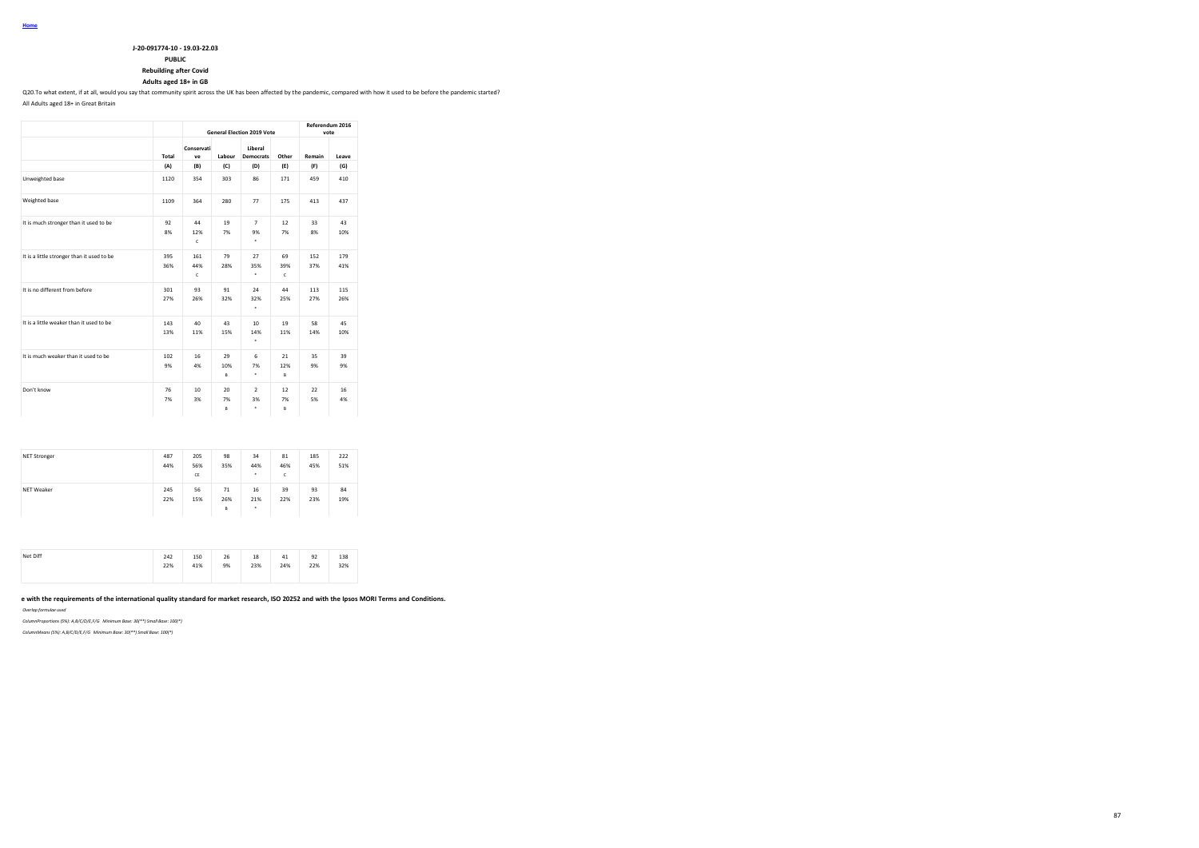**PUBLIC**

**Rebuilding after Covid**

**Adults aged 18+ in GB**

Q20.To what extent, if at all, would you say that community spirit across the UK has been affected by the pandemic, compared with how it used to be before the pandemic started?

All Adults aged 18+ in Great Britain

|                                            |            |                            |                | <b>General Election 2019 Vote</b> |                | Referendum 2016 | vote       |
|--------------------------------------------|------------|----------------------------|----------------|-----------------------------------|----------------|-----------------|------------|
|                                            | Total      | Conservati<br>ve           | Labour         | Liberal<br><b>Democrats</b>       | Other          | Remain          | Leave      |
|                                            | (A)        | (B)                        | (C)            | (D)                               | (E)            | (F)             | (G)        |
| Unweighted base                            | 1120       | 354                        | 303            | 86                                | 171            | 459             | 410        |
| Weighted base                              | 1109       | 364                        | 280            | 77                                | 175            | 413             | 437        |
| It is much stronger than it used to be     | 92<br>8%   | 44<br>12%<br>$\mathsf{C}$  | 19<br>7%       | $\overline{7}$<br>9%<br>٠         | 12<br>7%       | 33<br>8%        | 43<br>10%  |
| It is a little stronger than it used to be | 395<br>36% | 161<br>44%<br>$\mathsf{C}$ | 79<br>28%      | 27<br>35%<br>٠                    | 69<br>39%<br>c | 152<br>37%      | 179<br>41% |
| It is no different from before             | 301<br>27% | 93<br>26%                  | 91<br>32%      | 24<br>32%<br>٠                    | 44<br>25%      | 113<br>27%      | 115<br>26% |
| It is a little weaker than it used to be   | 143<br>13% | 40<br>11%                  | 43<br>15%      | 10 <sup>1</sup><br>14%<br>٠       | 19<br>11%      | 58<br>14%       | 45<br>10%  |
| It is much weaker than it used to be       | 102<br>9%  | 16<br>4%                   | 29<br>10%<br>B | 6<br>7%<br>٠                      | 21<br>12%<br>B | 35<br>9%        | 39<br>9%   |
| Don't know                                 | 76<br>7%   | 10<br>3%                   | 20<br>7%<br>B  | $\overline{2}$<br>3%<br>٠         | 12<br>7%<br>B  | 22<br>5%        | 16<br>4%   |

| <b>NET Stronger</b> | 487<br>44% | 205<br>56%<br>CE | 98<br>35%      | 34<br>44%<br>$\cdot$ | 81<br>46%<br>c | 185<br>45% | 222<br>51% |
|---------------------|------------|------------------|----------------|----------------------|----------------|------------|------------|
| <b>NET Weaker</b>   | 245<br>22% | 56<br>15%        | 71<br>26%<br>B | 16<br>21%<br>٠       | 39<br>22%      | 93<br>23%  | 84<br>19%  |

| Net Diff | 242<br>- - - | 150                                  | 26<br>-- | 18  | 41<br>$\cdot$ $\cdot$ | 92<br>--    | 138 |
|----------|--------------|--------------------------------------|----------|-----|-----------------------|-------------|-----|
|          | 22%<br>----  | 41%<br>the control of the control of | 9%       | 23% | 24%                   | 22%<br>---- | 32% |
|          |              |                                      |          |     |                       |             |     |

e with the requirements of the international quality standard for market research, ISO 20252 and with the Ipsos MORI Terms and Conditions.

*Overlap formulae used*

*ColumnProportions (5%): A,B/C/D/E,F/G Minimum Base: 30(\*\*) Small Base: 100(\*)*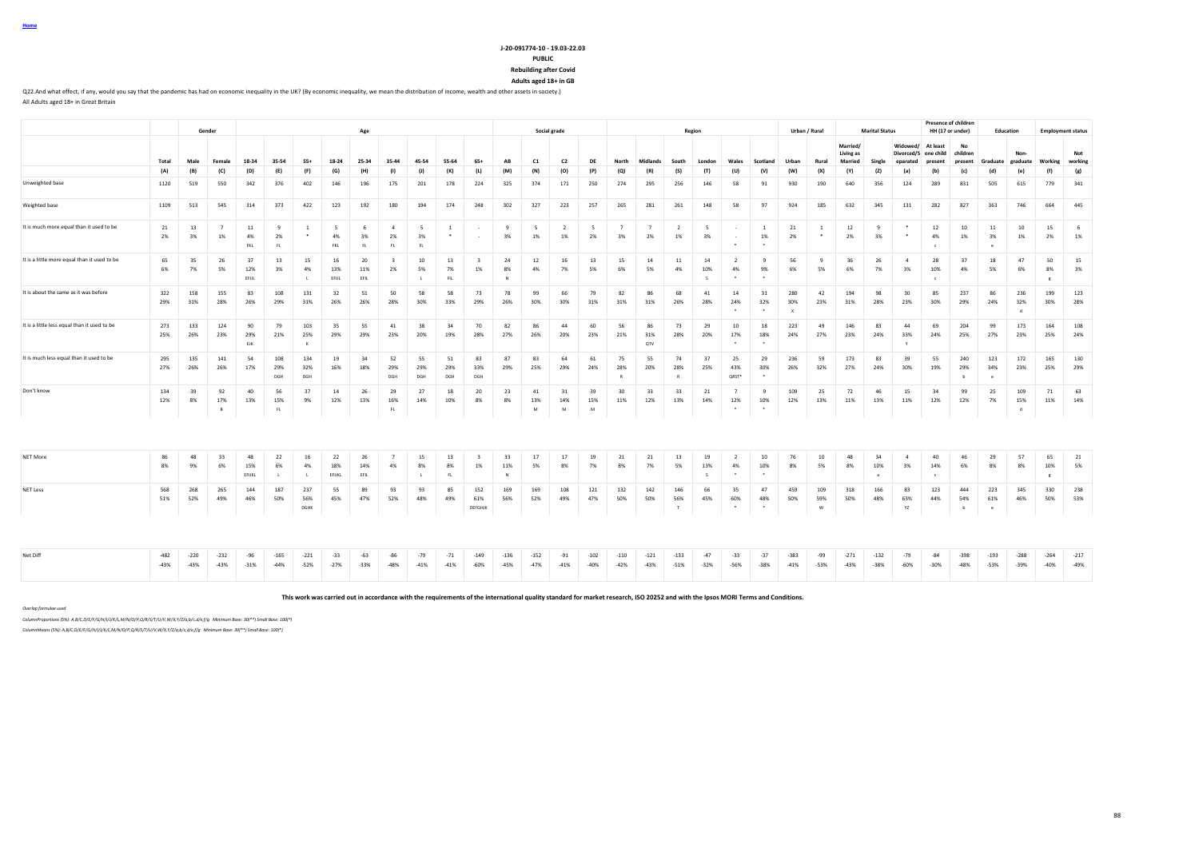#### **J-20-091774-10 - 19.03-22.03 PUBLIC**

**Rebuilding after Covid**

**Adults aged 18+ in GB**

Q22.And what effect, if any, would you say that the pandemic has had on economic inequality in the UK? (By economic inequality, we mean the distribution of income, wealth and other assets in society.) All Adults aged 18+ in Great Britain

|                                              |                  |                  | Gender               |                    |                            |                    |                     | Age               |                           |                             |                  |                       |                  |                  | Social grade       |                                |                           |                      |                           | Region          |                                 |                      |                  | Urban / Rural           |                                         | <b>Marital Status</b> |                                              |                         | <b>Presence of children</b><br>HH (17 or under) | Education        |                  | <b>Employment status</b> |                  |
|----------------------------------------------|------------------|------------------|----------------------|--------------------|----------------------------|--------------------|---------------------|-------------------|---------------------------|-----------------------------|------------------|-----------------------|------------------|------------------|--------------------|--------------------------------|---------------------------|----------------------|---------------------------|-----------------|---------------------------------|----------------------|------------------|-------------------------|-----------------------------------------|-----------------------|----------------------------------------------|-------------------------|-------------------------------------------------|------------------|------------------|--------------------------|------------------|
|                                              | Total            | Male             |                      |                    | 35-54                      | $55+$              | 18-24               | 25-34             | 35-44                     | 45-54                       | 55-64            | $65+$                 | AB               | C1               | C <sub>2</sub>     | DF                             |                           | <b>Midlands</b>      | South                     | London          | Wales                           | Scotland             | Urban            | Rural                   | Married/<br>Living as<br><b>Married</b> | Single                | Widowed/<br>Divorced/S one child<br>eparated | At least<br>present     | No<br>children<br>present                       | Graduate         | Non-<br>graduate | Working                  | Not<br>working   |
|                                              | (A)              | (B)              | (C)                  | (D)                | (E)                        | (F)                | (G)                 | (H)               | (1)                       | (I)                         | (K)              | (L)                   | (M)              | (N)              | (O)                | (P)                            | (Q)                       | (R)                  | (S)                       | (T)             | (U)                             | (V)                  | (W)              | (X)                     | (Y)                                     | (2)                   | (a)                                          | (b)                     | (c)                                             | (d)              | (e)              | (f)                      | (g)              |
| Unweighted base                              | 1120             | 519              | 550                  | 342                | 376                        | 402                | 146                 | 196               | 175                       | 201                         | 178              | 224                   | 325              | 374              | 171                | 250                            | 274                       | 295                  | 256                       | 146             | 58                              | 91                   | 930              | 190                     | 640                                     | 356                   | 124                                          | 289                     | 831                                             | 505              | 615              | 779                      | 341              |
| Weighted base                                | 1109             | 513              | 545                  | 314                | 373                        | 422                | 123                 | 192               | 180                       | 194                         | 174              | 248                   | 302              | 327              | 223                | 257                            | 265                       | 281                  | 261                       | 148             | 58                              | 97                   | 924              | 185                     | 632                                     | 345                   | 131                                          | 282                     | 827                                             | 363              | 746              | 664                      | 445              |
| It is much more equal than it used to be     | 21<br>2%         | 13<br>3%         | $\overline{7}$<br>1% | 11<br>4%<br>FKL    | $\mathbf{q}$<br>2%<br>FL   | $\overline{1}$     | $\sim$<br>4%<br>FKL | -6<br>3%<br>FL.   | $\mathbf{A}$<br>2%<br>FL. | $\overline{5}$<br>3%<br>FL. | $\overline{1}$   |                       | 9<br>3%          | 5<br>1%          | <sup>2</sup><br>1% | $\overline{\phantom{0}}$<br>2% | 7<br>3%                   | $\overline{7}$<br>2% | $\overline{2}$<br>1%      | - 5<br>3%       | $\sim$                          | $\mathbf{1}$<br>1%   | 21<br>2%         | $\mathbf{1}$<br>$\cdot$ | 12<br>2%                                | $\mathbf{q}$<br>3%    | $\ast$<br>$\ast$                             | 12<br>4%<br>$\epsilon$  | 10<br>1%                                        | 11<br>3%<br>-e   | 10<br>1%         | 15<br>2%                 | - 6<br>1%        |
| It is a little more equal than it used to be | 65<br>6%         | 35<br>7%         | 26<br>5%             | 37<br>12%<br>EFUL  | 13<br>3%                   | 15<br>4%           | 16<br>13%<br>EFUL   | 20<br>11%<br>EFIL | 2%                        | 10<br>5%<br>$\mathbf{L}$    | 13<br>7%<br>FIL  | 1%                    | 24<br>8%<br>N    | 12<br>4%         | 16<br>7%           | 13<br>5%                       | 15<br>6%                  | 14<br>5%             | 11<br>4%                  | 14<br>10%<br>s. | - 2<br>4%<br>$\cdot$            | -9<br>9%             | 56<br>6%         | -9<br>5%                | 36<br>6%                                | 26<br>7%              | $\overline{4}$<br>3%                         | 28<br>10%<br>$\epsilon$ | 37<br>4%                                        | 18<br>5%         | 47<br>6%         | 50<br>8%<br>$\mathbf{g}$ | 15<br>3%         |
| It is about the same as it was before        | 322<br>29%       | 158<br>31%       | 155<br>28%           | 83<br>26%          | 108<br>29%                 | 131<br>31%         | 32<br>26%           | 51<br>26%         | 50<br>28%                 | 58<br>30%                   | 58<br>33%        | 73<br>29%             | 78<br>26%        | 99<br>30%        | 66<br>30%          | 79<br>31%                      | 82<br>31%                 | 86<br>31%            | 68<br>26%                 | 41<br>28%       | 14<br>24%                       | 31<br>32%            | 280<br>30%       | 42<br>23%               | 194<br>31%                              | 98<br>28%             | 30<br>23%                                    | 85<br>30%               | 237<br>29%                                      | 86<br>24%        | 236<br>32%       | 199<br>30%               | 123<br>28%       |
| It is a little less equal than it used to be | 273<br>25%       | 133<br>26%       | 124<br>23%           | 90<br>29%<br>EJK   | 79<br>21%                  | 103<br>25%         | 35<br>29%           | 55<br>29%         | 41<br>23%                 | 38<br>20%                   | 34<br>19%        | 70<br>28%             | 82<br>27%        | 86<br>26%        | 44<br>20%          | 60<br>23%                      | 56<br>21%                 | 86<br>31%<br>QTV     | 73<br>28%                 | 29<br>20%       | 10<br>17%<br>$\cdot$            | 18<br>18%            | 223<br>24%       | 49<br>27%               | 146<br>23%                              | 83<br>24%             | 44<br>33%                                    | 69<br>24%               | 204<br>25%                                      | 99<br>27%        | 173<br>23%       | 164<br>25%               | 108<br>24%       |
| It is much less equal than it used to be     | 295<br>27%       | 135<br>26%       | 141<br>26%           | 54<br>17%          | 108<br>29%<br>DGH          | 134<br>32%<br>DGH  | 19<br>16%           | 34<br>18%         | 52<br>29%<br>DGH          | 55<br>29%<br>DGH            | 51<br>29%<br>DGH | 83<br>33%<br>DGH      | 87<br>29%        | 83<br>25%        | 64<br>29%          | 61<br>24%                      | 75<br>28%<br>$\mathbb{R}$ | 55<br>20%            | 74<br>28%<br>$\mathbb{R}$ | 37<br>25%       | 25<br>43%<br>QRST*              | 29<br>30%<br>$\cdot$ | 236<br>26%       | 59<br>32%               | 173<br>27%                              | 83<br>24%             | 39<br>30%                                    | 55<br>19%               | 240<br>29%<br>b                                 | 123<br>34%<br>-e | 172<br>23%       | 165<br>25%               | 130<br>29%       |
| Don't know                                   | 134<br>12%       | 39<br>8%         | 92<br>17%            | 40<br>13%          | 56<br>15%<br>FL            | 37<br>9%           | 14<br>12%           | 26<br>13%         | 29<br>16%<br>FL.          | 27<br>14%                   | 18<br>10%        | 20<br>8%              | 23<br>8%         | 41<br>13%<br>M   | 31<br>14%<br>M     | 39<br>15%<br>M                 | 30<br>11%                 | 33<br>12%            | 33<br>13%                 | 21<br>14%       | 12%                             | $\mathbf{q}$<br>10%  | 109<br>12%       | 25<br>13%               | 72<br>11%                               | 46<br>13%             | 15<br>11%                                    | 34<br>12%               | 99<br>12%                                       | 25<br>7%         | 109<br>15%<br>ď  | 71<br>11%                | 63<br>14%        |
|                                              |                  |                  |                      |                    |                            |                    |                     |                   |                           |                             |                  |                       |                  |                  |                    |                                |                           |                      |                           |                 |                                 |                      |                  |                         |                                         |                       |                                              |                         |                                                 |                  |                  |                          |                  |
| <b>NET More</b>                              | 86<br>8%         | 48<br>9%         | 33<br>6%             | 48<br>15%<br>EFUKL | 22<br>6%<br>$\blacksquare$ | 16<br>4%           | 22<br>18%<br>EFIJKL | 26<br>14%<br>EFIL | 4%                        | 15<br>8%                    | 13<br>8%<br>FL.  | -3<br>1%              | 33<br>11%<br>N   | 17<br>5%         | 17<br>8%           | 19<br>7%                       | 21<br>8%                  | 21<br>7%             | 13<br>5%                  | 19<br>13%<br>s. | $\overline{2}$<br>4%<br>$\cdot$ | 10<br>10%<br>$\cdot$ | 76<br>8%         | 10<br>5%                | 48<br>8%                                | 34<br>10%<br>a        | $\mathbf{A}$<br>3%                           | 40<br>14%<br>$\epsilon$ | 46<br>6%                                        | 29<br>8%         | 57<br>8%         | 65<br>10%<br>$_{\rm g}$  | 21<br>5%         |
| <b>NET Less</b>                              | 568<br>51%       | 268<br>52%       | 265<br>49%           | 144<br>46%         | 187<br>50%                 | 237<br>56%<br>DGHK | 55<br>45%           | 89<br>47%         | 93<br>52%                 | 93<br>48%                   | 85<br>49%        | 152<br>61%<br>DEFGHJK | 169<br>56%       | 169<br>52%       | 108<br>49%         | 121<br>47%                     | 132<br>50%                | 142<br>50%           | 146<br>56%<br>T           | 66<br>45%       | 35<br>60%<br>$\cdot$            | 47<br>48%<br>$\cdot$ | 459<br>50%       | 109<br>59%<br>W         | 318<br>50%                              | 166<br>48%            | 83<br>63%<br>YZ                              | 123<br>44%              | 444<br>54%<br>$\mathbf b$                       | 223<br>61%<br>e  | 345<br>46%       | 330<br>50%               | 238<br>53%       |
|                                              |                  |                  |                      |                    |                            |                    |                     |                   |                           |                             |                  |                       |                  |                  |                    |                                |                           |                      |                           |                 |                                 |                      |                  |                         |                                         |                       |                                              |                         |                                                 |                  |                  |                          |                  |
| Net Diff                                     | $-482$<br>$-43%$ | $-220$<br>$-43%$ | $-232$<br>$-43%$     | $-96$<br>$-31%$    | $-165$<br>$-44%$           | $-221$<br>$-52%$   | $-33$<br>$-27%$     | $-63$<br>$-33%$   | $-86$<br>$-48%$           | $-79$<br>$-41%$             | $-71$<br>$-41%$  | $-149$<br>$-60%$      | $-136$<br>$-45%$ | $-152$<br>$-47%$ | $-91$<br>$-41%$    | $-102$<br>$-40%$               | $-110$<br>$-42%$          | $-121$<br>$-43%$     | $-133$<br>$-51%$          | $-47$<br>$-32%$ | $-33$<br>$-56%$                 | $-37$<br>$-38%$      | $-383$<br>$-41%$ | $-99$<br>$-53%$         | $-271$<br>$-43%$                        | $-132$<br>$-38%$      | $-79$<br>$-60%$                              | $-84$<br>$-30%$         | $-398$<br>$-48%$                                | $-193$<br>$-53%$ | $-288$<br>$-39%$ | $-264$<br>$-40%$         | $-217$<br>$-49%$ |

**This work was carried out in accordance with the requirements of the international quality standard for market research, ISO 20252 and with the Ipsos MORI Terms and Conditions.**

*Overlap formulae used*

**Home**

*ColumnProportions (5%): A,B/C,D/E/F/G/H/I/J/K/L,M/N/O/P,Q/R/S/T/U/V,W/X,Y/Z/a,b/c,d/e,f/g Minimum Base: 30(\*\*) Small Base: 100(\*)*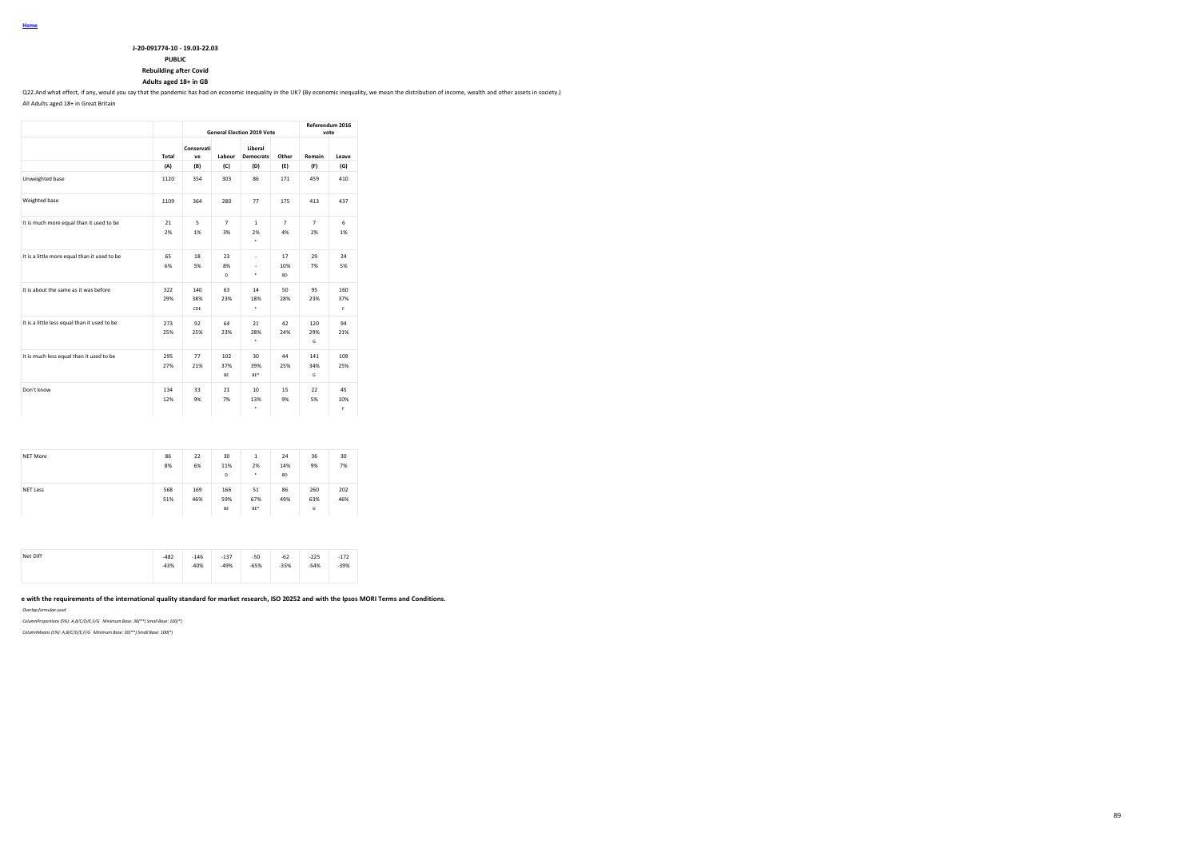### **PUBLIC**

**Rebuilding after Covid**

### **Adults aged 18+ in GB**

Q22.And what effect, if any, would you say that the pandemic has had on economic inequality in the UK? (By economic inequality, we mean the distribution of income, wealth and other assets in society.)

All Adults aged 18+ in Great Britain

|                                              |            |                   |                      | <b>General Election 2019 Vote</b>  |                        |                      | Referendum 2016<br>vote |
|----------------------------------------------|------------|-------------------|----------------------|------------------------------------|------------------------|----------------------|-------------------------|
|                                              | Total      | Conservati<br>ve  | Labour               | Liberal<br><b>Democrats</b>        | Other                  | Remain               | Leave                   |
|                                              | (A)        | (B)               | (C)                  | (D)                                | (E)                    | (F)                  | (G)                     |
| Unweighted base                              | 1120       | 354               | 303                  | 86                                 | 171                    | 459                  | 410                     |
| Weighted base                                | 1109       | 364               | 280                  | 77                                 | 175                    | 413                  | 437                     |
| It is much more equal than it used to be     | 21<br>2%   | 5<br>1%           | $\overline{7}$<br>3% | $\mathbf{1}$<br>2%<br>٠            | $\overline{7}$<br>4%   | $\overline{7}$<br>2% | 6<br>1%                 |
| It is a little more equal than it used to be | 65<br>6%   | 18<br>5%          | 23<br>8%<br>D        | ٠<br>$\overline{\phantom{a}}$<br>٠ | 17<br>10%<br><b>BD</b> | 29<br>7%             | 24<br>5%                |
| It is about the same as it was before        | 322<br>29% | 140<br>38%<br>CDE | 63<br>23%            | 14<br>18%<br>٠                     | 50<br>28%              | 95<br>23%            | 160<br>37%<br>F         |
| It is a little less equal than it used to be | 273<br>25% | 97<br>25%         | 64<br>23%            | 21<br>28%<br>٠                     | 42<br>24%              | 120<br>29%<br>G      | 94<br>21%               |
| It is much less equal than it used to be     | 295<br>27% | 77<br>21%         | 102<br>37%<br>BE     | 30<br>39%<br>BE*                   | 44<br>25%              | 141<br>34%<br>G      | 109<br>25%              |
| Don't know                                   | 134<br>12% | 33<br>9%          | 21<br>7%             | 10<br>13%<br>٠                     | 15<br>9%               | 22<br>5%             | 45<br>10%<br>Ė          |

| <b>NET More</b> | 86<br>8%   | 22<br>6%   | 30<br>11%<br>D   | 1<br>2%<br>٠     | 24<br>14%<br><b>BD</b> | 36<br>9%        | 30<br>7%   |
|-----------------|------------|------------|------------------|------------------|------------------------|-----------------|------------|
| <b>NET Less</b> | 568<br>51% | 169<br>46% | 166<br>59%<br>BE | 51<br>67%<br>BE* | 86<br>49%              | 260<br>63%<br>G | 202<br>46% |

| Net Diff | $-482$ | $-146$ | $-137$ | $-50$  | $-62$  | $-225$ | $-172$ |
|----------|--------|--------|--------|--------|--------|--------|--------|
|          | $-43%$ | $-40%$ | $-49%$ | $-65%$ | $-35%$ | $-54%$ | $-39%$ |
|          |        |        |        |        |        |        |        |

## e with the requirements of the international quality standard for market research, ISO 20252 and with the Ipsos MORI Terms and Conditions.

*Overlap formulae used*

*ColumnProportions (5%): A,B/C/D/E,F/G Minimum Base: 30(\*\*) Small Base: 100(\*)*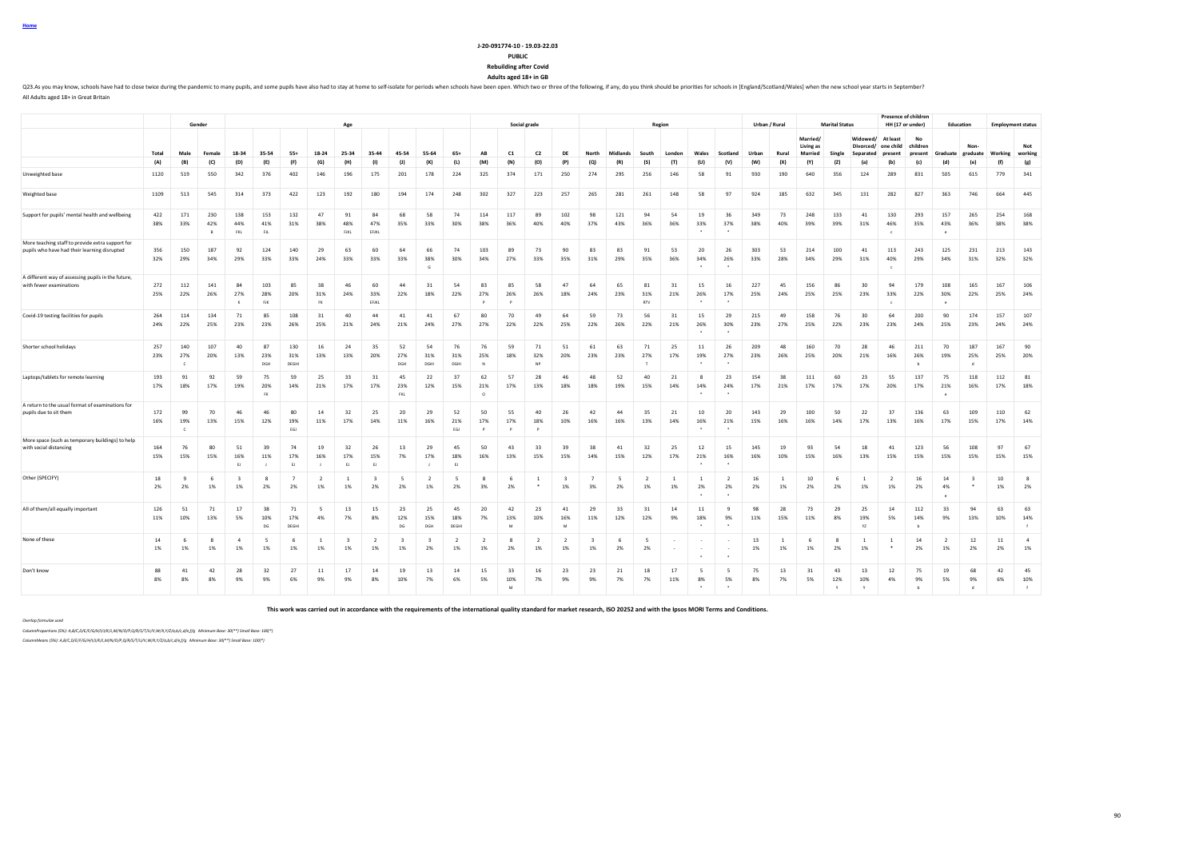**Home**

#### **J-20-091774-10 - 19.03-22.03 PUBLIC**

**Rebuilding after Covid**

**Adults aged 18+ in GB**

Q23.As you may know, schools have had to close twice during the pandemic to many pupils, and some pupils have also had to stay at home to self-isolate for periods when schols have been open. Which two or three of the follo All Adults aged 18+ in Great Britain

**Gender Age Social grade Region Urban / Rural Marital Status Presence of children**<br>**HH (17 or under) HH (17 or under) Education Employment status** Total Male Female 18-34 35-54 55+ 18-24 25-34 35-44 45-54 55-64 65+ AB C1 C2 DE North Midlands South London Wales Scotland Urban Rural **Married/ Living as Married Single Widowed/ At least Divorced/ Separated one child present No children**  Graduate<br>(d) **Nongraduate Working Not working** (A) (B) (C) (D) (E) (F) (G) (H) (I) (J) (K) (L) (M) (N) (O) (P) (Q) (R) (S) (T) (U) (V) (W) (X) (Y) (Z) (a) (b) (c) (d) (e) (f) (g) Unweighted base 1120 519 550 342 376 402 146 196 175 201 178 224 325 374 171 250 274 295 256 146 58 91 930 190 640 356 124 289 831 505 615 779 341 Weighted base 1109 513 545 314 373 422 123 192 180 194 174 248 302 327 223 257 265 281 261 148 58 97 924 185 632 345 131 282 827 363 746 664 445 Support for pupils' mental health and wellbeing 422 171 230 138 153 132 47 91 84 68 58 74 114 117 89 102 98 121 94 54 19 36 349 73 248 133 41 130 293 157 265 254 168 38% 33% 42% 44% 41% 31% 38% 48% 47% 35% 33% 30% 38% 36% 40% 40% 37% 43% 36% 36% 33% 37% 38% 40% 39% 39% 31% 46% 35% 43% 36% 38% 38% B FKL FJL FJKL EFJKL \* \* c e More teaching staff to provide extra support for pupils who have had their learning disrupted 356 150 187 92 124 140 29 63 60 64 66 74 103 89 73 90 83 83 91 53 20 26 303 53 214 100 41 113 243 125 231 213 143 32% 29% 34% 29% 33% 33% 24% 33% 33% 33% 38% 30% 34% 27% 33% 35% 31% 29% 35% 36% 34% 26% 33% 28% 34% 29% 31% 40% 29% 34% 31% 32% 32%  $\bullet$  . The contract of the contract of the contract of the contract of the contract of the contract of the contract of the contract of the contract of the contract of the contract of the contract of the contract of the co A different way of assessing pupils in the future, with fewer examinations 272 112 141 84 103 85 38 46 60 44 31 54 83 85 58 47 64 65 81 31 15 16 227 45 156 86 30 94 179 108 165 167 106 25% 22% 26% 27% 28% 20% 31% 24% 33% 22% 18% 22% 27% 26% 26% 18% 24% 23% 31% 21% 26% 17% 25% 24% 25% 25% 23% 33% 22% 30% 22% 25% 24% K FJK FK EFJKL P P RTV \* \* c e Covid-19 testing facilities for pupils 264 114 134 71 85 108 31 40 44 41 41 67 80 70 49 64 59 73 56 31 15 29 215 49 158 76 30 64 200 90 174 157 107 24% 22% 25% 23% 23% 26% 25% 21% 24% 21% 24% 27% 27% 22% 22% 25% 22% 26% 22% 21% 26% 30% 23% 27% 25% 22% 23% 23% 24% 25% 23% 24% 24% \* \* Shorter school holidays 257 140 107 40 87 130 16 24 35 52 54 76 76 59 71 51 61 63 71 25 11 26 209 48 160 70 28 46 211 70 187 167 90 23% 27% 20% 13% 23% 31% 13% 13% 20% 27% 31% 31% 25% 18% 32% 20% 23% 23% 27% 17% 19% 27% 23% 26% 25% 20% 21% 16% 26% 19% 25% 25% 20% C DGH DEGHI DGH DGHI DGHI N NP T \* \* b d Laptops/tablets for remote learning 193 91 92 59 75 59 25 33 31 45 22 37 62 57 28 46 48 52 40 21 8 23 154 38 111 60 23 55 137 75 118 112 81 17% 18% 17% 19% 20% 14% 21% 17% 17% 23% 12% 15% 21% 17% 13% 18% 18% 19% 15% 14% 14% 24% 17% 21% 17% 17% 17% 20% 17% 21% 16% 17% 18% FK for the set of the set of the set of the set of the set of the set of the set of the set of the set of the set of the set of the set of the set of the set of the set of the set of the set of the set of the set of the s A return to the usual format of examinations for pupils due to sit them 172 99 70 46 46 80 14 32 25 20 29 52 50 55 40 26 42 44 35 21 10 20 143 29 100 50 22 37 136 63 109 110 62 16% 19% 13% 15% 12% 19% 11% 17% 14% 11% 16% 21% 17% 17% 18% 10% 16% 16% 13% 14% 16% 21% 15% 16% 16% 14% 17% 13% 16% 17% 15% 17% 14% C EGJ EGJ P P P \* \* More space (such as temporary buildings) to help with social distancing 164 76 80 51 39 74 19 32 26 13 29 45 50 43 33 39 38 41 32 25 12 15 145 19 93 54 18 41 123 56 108 97 67 15% 15% 15% 16% 11% 17% 16% 17% 15% 7% 17% 18% 16% 13% 15% 15% 14% 15% 12% 17% 21% 16% 16% 10% 15% 16% 13% 15% 15% 15% 15% 15% 15% EJ J EJ J EJ EJ J EJ \* \* Other (SPECIFY) 18 9 6 3 8 7 2 1 3 5 2 5 8 6 1 3 7 5 2 1 1 2 16 1 10 6 1 2 16 1 4 3 10 8 2% 2% 1% 1% 2% 2% 1% 1% 2% 2% 1% 2% 3% 2% \* 1% 3% 2% 1% 1% 2% 2% 2% 1% 2% 2% 1% 1% 2% 4% \* 1% 2% \* \* e All of them/all equally important 126 51 71 17 38 71 5 13 15 23 25 45 20 42 23 41 29 33 31 14 11 9 98 28 73 29 25 14 112 33 94 63 63 11% 10% 13% 5% 10% 17% 4% 7% 8% 12% 15% 18% 7% 13% 10% 16% 11% 12% 12% 9% 18% 9% 11% 15% 11% 8% 19% 5% 14% 9% 13% 10% 14% DG DEGHI DI DG DGH DEGHI M M M M \* \* \* YZ b f f None of these 14 6 8 4 5 6 1 3 2 3 3 2 2 8 2 2 3 6 5 - - - 13 1 1 6 8 1 1 1 4 2 12 11 4 1% 1% 1% 1% 1% 1% 1% 1% 1% 1% 2% 1% 1% 2% 1% 1% 1% 2% 2% - - - 1% 1% 1% 2% 1% \* 2% 1% 2% 2% 1% \* \* Don't know 88 41 42 28 32 27 11 17 14 19 13 14 15 33 16 23 23 21 18 17 5 5 75 13 31 43 13 12 75 19 68 42 45 8% 8% 8% 9% 9% 6% 9% 9% 8% 10% 7% 6% 5% 10% 7% 9% 9% 7% 7% 11% 8% 5% 8% 7% 5% 12% 10% 4% 9% 5% 9% 6% 10% M \* \* Y Y b d f

**This work was carried out in accordance with the requirements of the international quality standard for market research, ISO 20252 and with the Ipsos MORI Terms and Conditions.**

*Overlap formulae used*

*ColumnProportions (5%): A,B/C,D/E/F/G/H/I/J/K/L,M/N/O/P,Q/R/S/T/U/V,W/X,Y/Z/a,b/c,d/e,f/g Minimum Base: 30(\*\*) Small Base: 100(\*)*